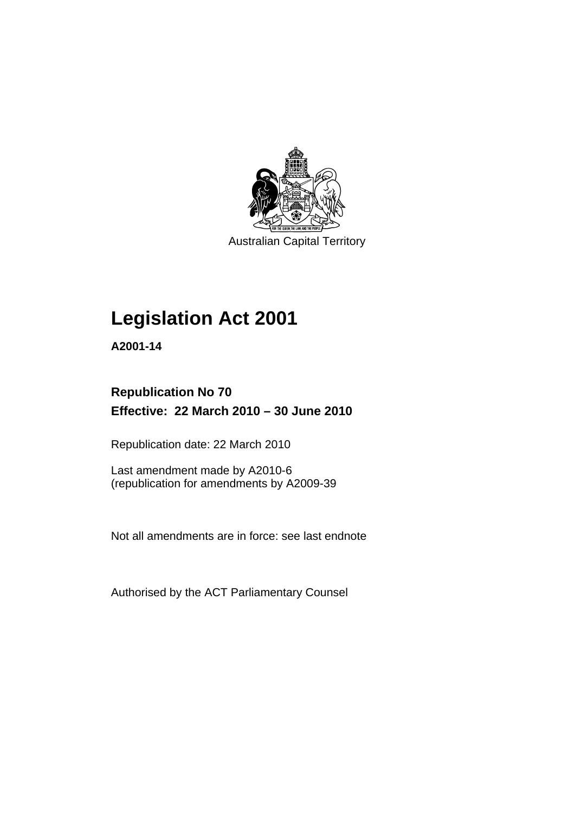

Australian Capital Territory

## **[Legislation Act 2001](#page-16-0)**

**A2001-14** 

## **Republication No 70 Effective: 22 March 2010 – 30 June 2010**

Republication date: 22 March 2010

Last amendment made by A2010-6 (republication for amendments by A2009-39

Not all amendments are in force: see last endnote

Authorised by the ACT Parliamentary Counsel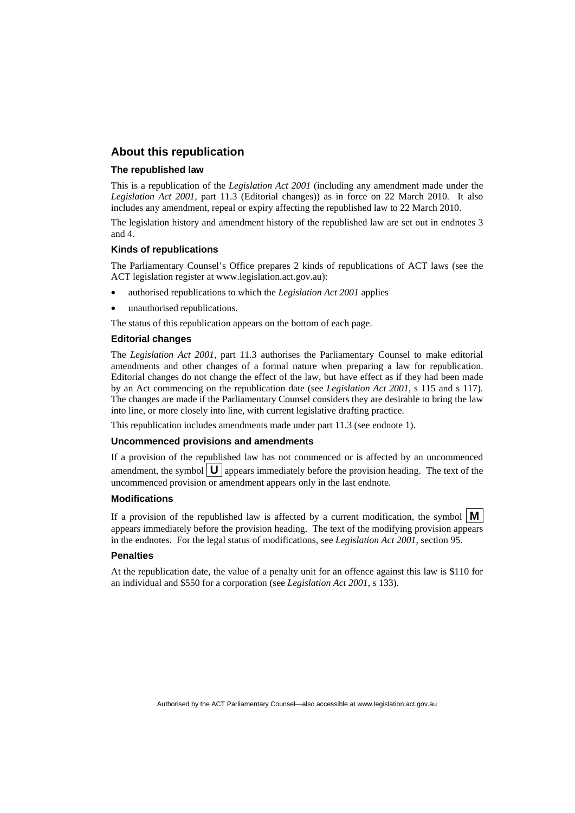### **About this republication**

#### **The republished law**

This is a republication of the *Legislation Act 2001* (including any amendment made under the *Legislation Act 2001*, part 11.3 (Editorial changes)) as in force on 22 March 2010*.* It also includes any amendment, repeal or expiry affecting the republished law to 22 March 2010.

The legislation history and amendment history of the republished law are set out in endnotes 3 and 4.

### **Kinds of republications**

The Parliamentary Counsel's Office prepares 2 kinds of republications of ACT laws (see the ACT legislation register at www.legislation.act.gov.au):

- authorised republications to which the *Legislation Act 2001* applies
- unauthorised republications.

The status of this republication appears on the bottom of each page.

#### **Editorial changes**

The *Legislation Act 2001*, part 11.3 authorises the Parliamentary Counsel to make editorial amendments and other changes of a formal nature when preparing a law for republication. Editorial changes do not change the effect of the law, but have effect as if they had been made by an Act commencing on the republication date (see *Legislation Act 2001*, s 115 and s 117). The changes are made if the Parliamentary Counsel considers they are desirable to bring the law into line, or more closely into line, with current legislative drafting practice.

This republication includes amendments made under part 11.3 (see endnote 1).

#### **Uncommenced provisions and amendments**

If a provision of the republished law has not commenced or is affected by an uncommenced amendment, the symbol  $\mathbf{U}$  appears immediately before the provision heading. The text of the uncommenced provision or amendment appears only in the last endnote.

#### **Modifications**

If a provision of the republished law is affected by a current modification, the symbol  $\mathbf{M}$ appears immediately before the provision heading. The text of the modifying provision appears in the endnotes. For the legal status of modifications, see *Legislation Act 2001*, section 95.

#### **Penalties**

At the republication date, the value of a penalty unit for an offence against this law is \$110 for an individual and \$550 for a corporation (see *Legislation Act 2001*, s 133).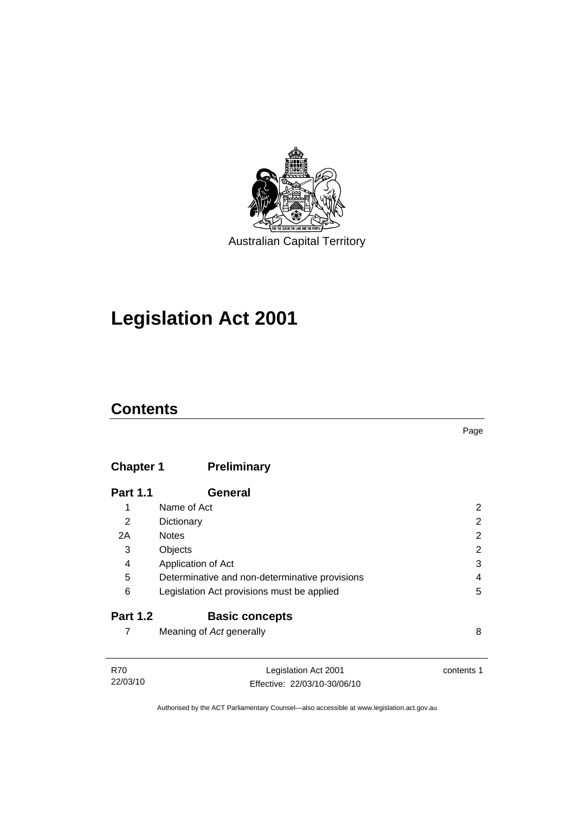

## **[Legislation Act 2001](#page-16-0)**

## **Contents**

## **Chapter 1 Preliminary**

| <b>Part 1.1</b> | General                                        |   |
|-----------------|------------------------------------------------|---|
| 1               | Name of Act                                    | 2 |
| 2               | Dictionary                                     | 2 |
| 2A              | <b>Notes</b>                                   | 2 |
| 3               | Objects                                        | 2 |
| 4               | Application of Act                             | 3 |
| 5               | Determinative and non-determinative provisions | 4 |
| 6               | Legislation Act provisions must be applied     | 5 |
| <b>Part 1.2</b> | <b>Basic concepts</b>                          |   |
|                 | Meaning of Act generally                       | 8 |

| R70      | Legislation Act 2001         | contents 1 |
|----------|------------------------------|------------|
| 22/03/10 | Effective: 22/03/10-30/06/10 |            |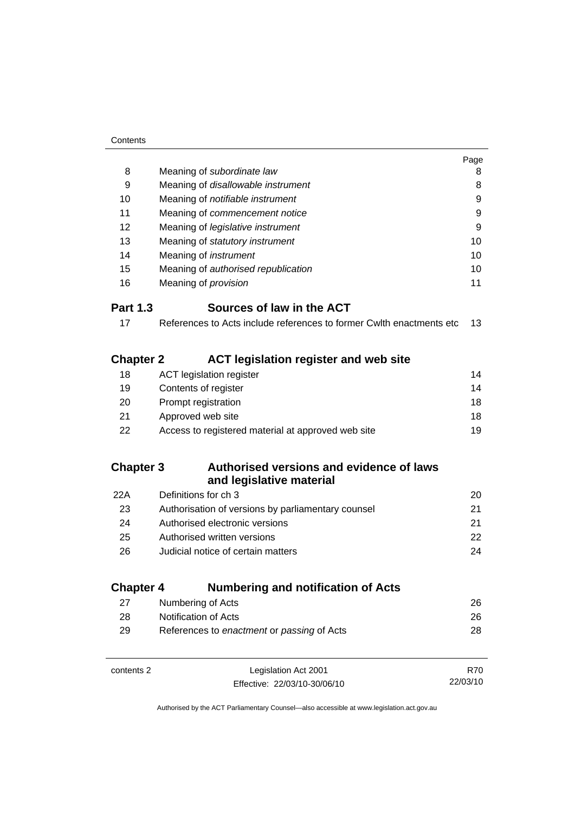|                                                                                          | Page                                                                                                                                                                                                                                                                                                                                             |
|------------------------------------------------------------------------------------------|--------------------------------------------------------------------------------------------------------------------------------------------------------------------------------------------------------------------------------------------------------------------------------------------------------------------------------------------------|
|                                                                                          | 8                                                                                                                                                                                                                                                                                                                                                |
|                                                                                          | 8                                                                                                                                                                                                                                                                                                                                                |
|                                                                                          | 9                                                                                                                                                                                                                                                                                                                                                |
|                                                                                          | 9                                                                                                                                                                                                                                                                                                                                                |
|                                                                                          | 9                                                                                                                                                                                                                                                                                                                                                |
|                                                                                          | 10                                                                                                                                                                                                                                                                                                                                               |
|                                                                                          | 10                                                                                                                                                                                                                                                                                                                                               |
|                                                                                          | 10                                                                                                                                                                                                                                                                                                                                               |
|                                                                                          | 11                                                                                                                                                                                                                                                                                                                                               |
| Sources of law in the ACT                                                                |                                                                                                                                                                                                                                                                                                                                                  |
| References to Acts include references to former Cwlth enactments etc                     | 13                                                                                                                                                                                                                                                                                                                                               |
| <b>Chapter 2</b><br><b>ACT legislation register and web site</b>                         |                                                                                                                                                                                                                                                                                                                                                  |
|                                                                                          | 14                                                                                                                                                                                                                                                                                                                                               |
| Contents of register                                                                     | 14                                                                                                                                                                                                                                                                                                                                               |
| Prompt registration                                                                      | 18                                                                                                                                                                                                                                                                                                                                               |
| Approved web site                                                                        | 18                                                                                                                                                                                                                                                                                                                                               |
| Access to registered material at approved web site                                       | 19                                                                                                                                                                                                                                                                                                                                               |
| <b>Chapter 3</b><br>Authorised versions and evidence of laws<br>and legislative material |                                                                                                                                                                                                                                                                                                                                                  |
| Definitions for ch 3                                                                     | 20                                                                                                                                                                                                                                                                                                                                               |
| Authorisation of versions by parliamentary counsel                                       | 21                                                                                                                                                                                                                                                                                                                                               |
| Authorised electronic versions                                                           | 21                                                                                                                                                                                                                                                                                                                                               |
| Authorised written versions                                                              | 22                                                                                                                                                                                                                                                                                                                                               |
| Judicial notice of certain matters                                                       | 24                                                                                                                                                                                                                                                                                                                                               |
| <b>Chapter 4</b><br><b>Numbering and notification of Acts</b>                            |                                                                                                                                                                                                                                                                                                                                                  |
| Numbering of Acts                                                                        | 26                                                                                                                                                                                                                                                                                                                                               |
| Notification of Acts                                                                     | 26                                                                                                                                                                                                                                                                                                                                               |
| References to enactment or passing of Acts                                               | 28                                                                                                                                                                                                                                                                                                                                               |
|                                                                                          | Meaning of subordinate law<br>Meaning of disallowable instrument<br>Meaning of notifiable instrument<br>Meaning of commencement notice<br>Meaning of legislative instrument<br>Meaning of statutory instrument<br>Meaning of <i>instrument</i><br>Meaning of authorised republication<br>Meaning of provision<br><b>ACT</b> legislation register |

| contents 2 | Legislation Act 2001         | R70      |
|------------|------------------------------|----------|
|            | Effective: 22/03/10-30/06/10 | 22/03/10 |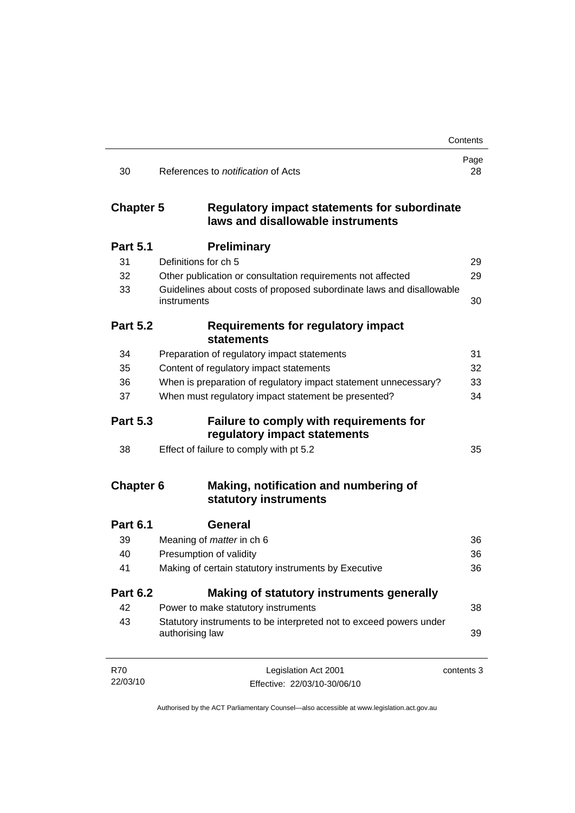|                  |                                                                                       | Contents   |
|------------------|---------------------------------------------------------------------------------------|------------|
| 30               | References to <i>notification</i> of Acts                                             | Page<br>28 |
| <b>Chapter 5</b> | Regulatory impact statements for subordinate<br>laws and disallowable instruments     |            |
| <b>Part 5.1</b>  | <b>Preliminary</b>                                                                    |            |
| 31               | Definitions for ch 5                                                                  | 29         |
| 32               | Other publication or consultation requirements not affected                           | 29         |
| 33               | Guidelines about costs of proposed subordinate laws and disallowable<br>instruments   | 30         |
| <b>Part 5.2</b>  | <b>Requirements for regulatory impact</b><br><b>statements</b>                        |            |
| 34               | Preparation of regulatory impact statements                                           | 31         |
| 35               | Content of regulatory impact statements                                               | 32         |
| 36               | When is preparation of regulatory impact statement unnecessary?                       | 33         |
| 37               | When must regulatory impact statement be presented?                                   | 34         |
| <b>Part 5.3</b>  | Failure to comply with requirements for<br>regulatory impact statements               |            |
| 38               | Effect of failure to comply with pt 5.2                                               | 35         |
| <b>Chapter 6</b> | Making, notification and numbering of<br>statutory instruments                        |            |
| <b>Part 6.1</b>  | <b>General</b>                                                                        |            |
| 39               | Meaning of <i>matter</i> in ch 6                                                      | 36         |
| 40               | Presumption of validity                                                               | 36         |
| 41               | Making of certain statutory instruments by Executive                                  | 36         |
| <b>Part 6.2</b>  | <b>Making of statutory instruments generally</b>                                      |            |
| 42               | Power to make statutory instruments                                                   | 38         |
| 43               | Statutory instruments to be interpreted not to exceed powers under<br>authorising law | 39         |
| <b>R70</b>       | Legislation Act 2001                                                                  | contents 3 |
| 22/03/10         | Effective: 22/03/10-30/06/10                                                          |            |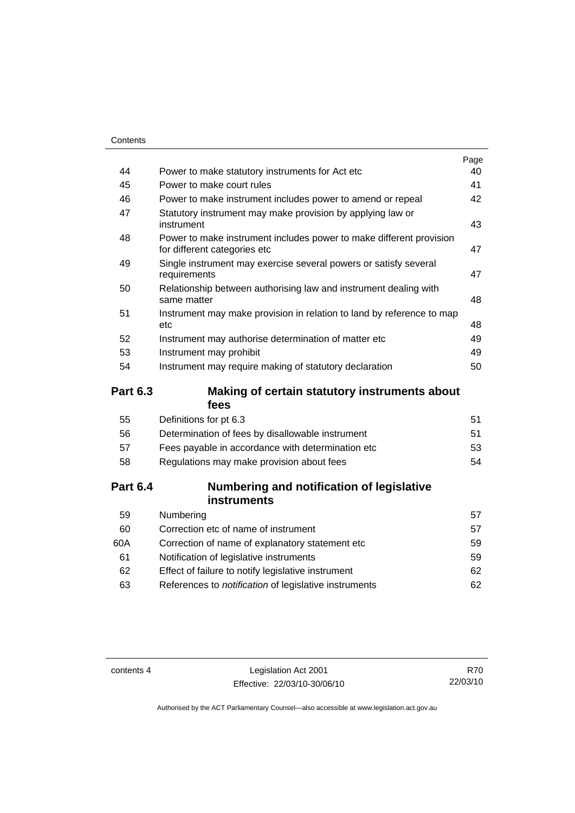|    |                                                                                                     | Page |
|----|-----------------------------------------------------------------------------------------------------|------|
| 44 | Power to make statutory instruments for Act etc                                                     | 40   |
| 45 | Power to make court rules                                                                           | 41   |
| 46 | Power to make instrument includes power to amend or repeal                                          | 42   |
| 47 | Statutory instrument may make provision by applying law or<br>instrument                            | 43   |
| 48 | Power to make instrument includes power to make different provision<br>for different categories etc | 47   |
| 49 | Single instrument may exercise several powers or satisfy several<br>requirements                    | 47   |
| 50 | Relationship between authorising law and instrument dealing with<br>same matter                     | 48   |
| 51 | Instrument may make provision in relation to land by reference to map<br>etc                        | 48   |
| 52 | Instrument may authorise determination of matter etc                                                | 49   |
| 53 | Instrument may prohibit                                                                             | 49   |
| 54 | Instrument may require making of statutory declaration                                              | 50   |
|    |                                                                                                     |      |

## **Part 6.3 Making of certain statutory instruments about fees**

| 55 | Definitions for pt 6.3                             | 51 |
|----|----------------------------------------------------|----|
| 56 | Determination of fees by disallowable instrument   | 51 |
| 57 | Fees payable in accordance with determination etc. | 53 |
| 58 | Regulations may make provision about fees          | 54 |
|    |                                                    |    |

## **Part 6.4 Numbering and notification of legislative instruments**

| Numbering                                                    | 57  |
|--------------------------------------------------------------|-----|
| Correction etc of name of instrument                         | 57  |
| Correction of name of explanatory statement etc.             | 59  |
| Notification of legislative instruments                      | 59  |
| Effect of failure to notify legislative instrument           | 62. |
| References to <i>notification</i> of legislative instruments | 62. |
|                                                              |     |

contents 4 Legislation Act 2001 Effective: 22/03/10-30/06/10

R70 22/03/10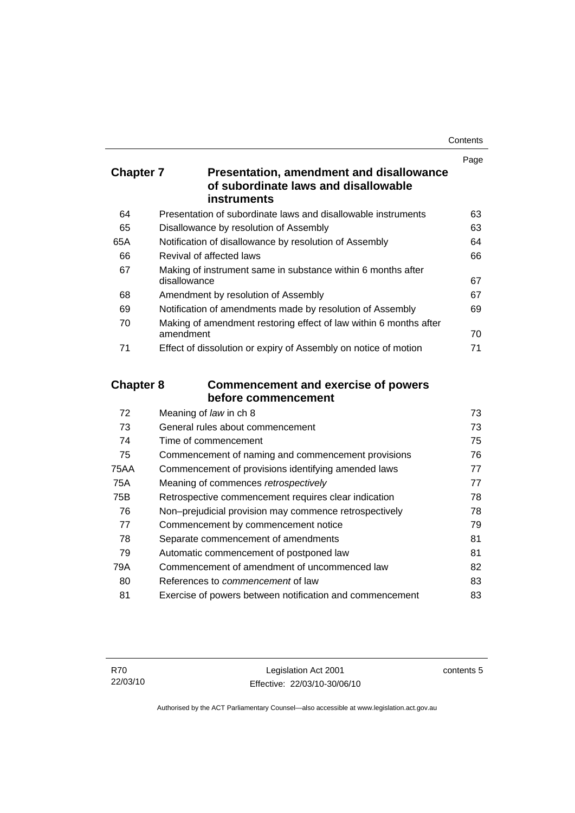| Contents |
|----------|
|----------|

|                  |                                                                                  | Page   |
|------------------|----------------------------------------------------------------------------------|--------|
| <b>Chapter 7</b> | Presentation, amendment and disallowance<br>of subordinate laws and disallowable |        |
|                  | <b>instruments</b>                                                               |        |
| 64               | Presentation of subordinate laws and disallowable instruments                    | 63     |
| 65               | Disallowance by resolution of Assembly                                           | 63     |
| 65A              | Notification of disallowance by resolution of Assembly                           | 64     |
| 66               | Revival of affected laws                                                         | 66     |
| 67               | Making of instrument same in substance within 6 months after<br>disallowance     | 67     |
| 68               | Amendment by resolution of Assembly                                              | 67     |
| 69               | Notification of amendments made by resolution of Assembly                        | 69     |
| 70               | Making of amendment restoring effect of law within 6 months after<br>amendment   | 70     |
| 71               | Effect of dissolution or expiry of Assembly on notice of motion                  | 71     |
| <b>Chapter 8</b> | <b>Commencement and exercise of powers</b>                                       |        |
|                  | before commencement                                                              |        |
| 72               | Meaning of law in ch 8                                                           | 73     |
| 73               | General rules about commencement                                                 | 73     |
| 74               | Time of commencement                                                             | 75     |
| 75               | Commencement of naming and commencement provisions                               | 76     |
| <b>75AA</b>      | Commencement of provisions identifying amended laws                              | 77     |
| <b>75A</b>       | Meaning of commences retrospectively                                             | 77     |
| 75B              | Retrospective commencement requires clear indication                             | 78     |
| 76               | Non-prejudicial provision may commence retrospectively                           | 78     |
| 77               | Commencement by commencement notice                                              | 79     |
| 78               | Separate commencement of amendments                                              | 81     |
| 79               | Automatic commencement of postponed law                                          | 81     |
| 79A              | Commencement of amendment of uncommenced law                                     | 82     |
| nn.              |                                                                                  | $\sim$ |

80 References to *commencement* of law [83](#page-98-0) 81 Exercise of powers between notification and commencement [83](#page-98-0)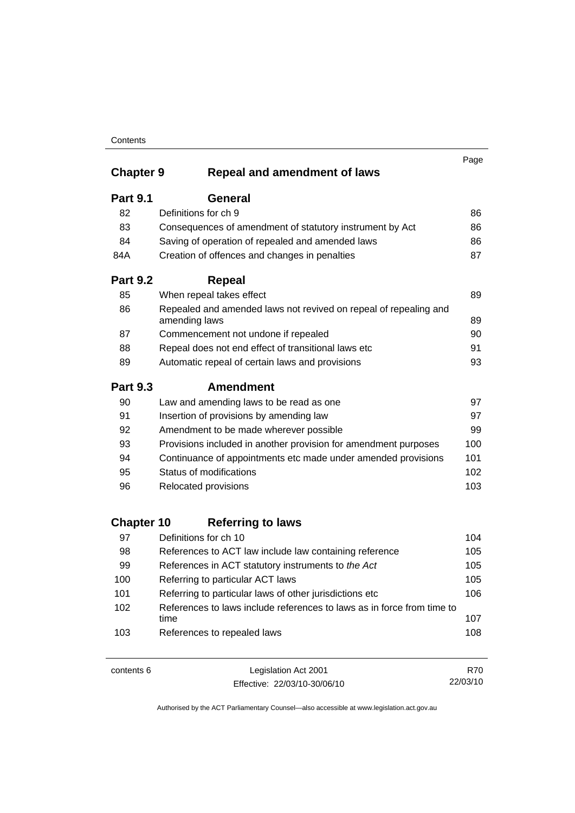### **Contents**

|                   |                                                                                   | Page |
|-------------------|-----------------------------------------------------------------------------------|------|
| <b>Chapter 9</b>  | <b>Repeal and amendment of laws</b>                                               |      |
| <b>Part 9.1</b>   | General                                                                           |      |
| 82                | Definitions for ch 9                                                              | 86   |
| 83                | Consequences of amendment of statutory instrument by Act                          | 86   |
| 84                | Saving of operation of repealed and amended laws                                  | 86   |
| 84A               | Creation of offences and changes in penalties                                     | 87   |
| <b>Part 9.2</b>   | <b>Repeal</b>                                                                     |      |
| 85                | When repeal takes effect                                                          | 89   |
| 86                | Repealed and amended laws not revived on repeal of repealing and<br>amending laws | 89   |
| 87                | Commencement not undone if repealed                                               | 90   |
| 88                | Repeal does not end effect of transitional laws etc                               | 91   |
| 89                | Automatic repeal of certain laws and provisions                                   | 93   |
| <b>Part 9.3</b>   | <b>Amendment</b>                                                                  |      |
| 90                | Law and amending laws to be read as one                                           | 97   |
| 91                | Insertion of provisions by amending law                                           | 97   |
| 92                | Amendment to be made wherever possible                                            | 99   |
| 93                | Provisions included in another provision for amendment purposes                   | 100  |
| 94                | Continuance of appointments etc made under amended provisions                     | 101  |
| 95                | Status of modifications                                                           | 102  |
| 96                | Relocated provisions                                                              | 103  |
| <b>Chapter 10</b> | <b>Referring to laws</b>                                                          |      |
| 97                | Definitions for ch 10                                                             | 104  |
| 98                | References to ACT law include law containing reference                            | 105  |
| 99                | References in ACT statutory instruments to the Act                                | 105  |
| 100               | Referring to particular ACT laws                                                  | 105  |
| 101               | Referring to particular laws of other jurisdictions etc                           | 106  |
| 102               | References to laws include references to laws as in force from time to<br>time    | 107  |
| 103               | References to repealed laws                                                       | 108  |

contents 6 Legislation Act 2001 Effective: 22/03/10-30/06/10

R70 22/03/10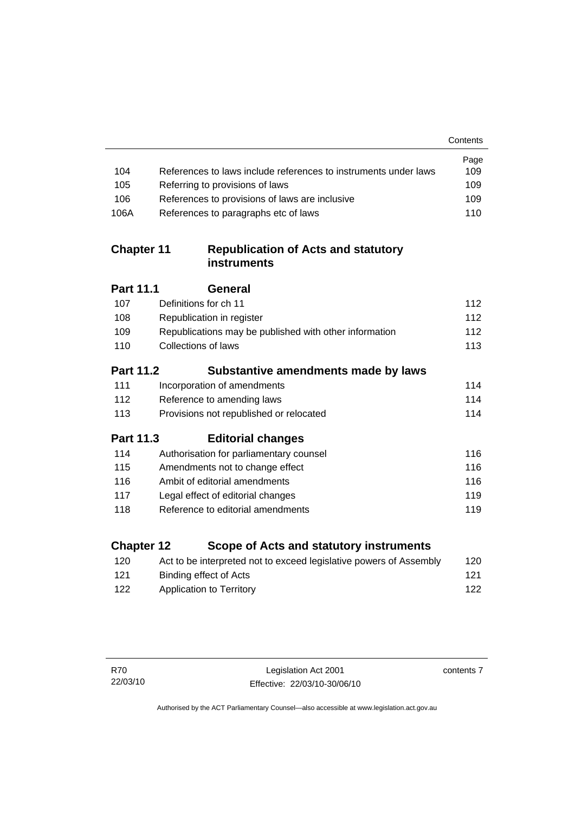|                   |                                                                    | Contents |
|-------------------|--------------------------------------------------------------------|----------|
|                   |                                                                    | Page     |
| 104               | References to laws include references to instruments under laws    | 109      |
| 105               | Referring to provisions of laws                                    | 109      |
| 106               | References to provisions of laws are inclusive                     | 109      |
| 106A              | References to paragraphs etc of laws                               | 110      |
| <b>Chapter 11</b> | <b>Republication of Acts and statutory</b><br><b>instruments</b>   |          |
| <b>Part 11.1</b>  | General                                                            |          |
| 107               | Definitions for ch 11                                              | 112      |
| 108               | Republication in register                                          | 112      |
| 109               | Republications may be published with other information             | 112      |
| 110               | <b>Collections of laws</b>                                         | 113      |
| <b>Part 11.2</b>  | Substantive amendments made by laws                                |          |
| 111               | Incorporation of amendments                                        | 114      |
| 112               | Reference to amending laws                                         | 114      |
| 113               | Provisions not republished or relocated                            | 114      |
| Part 11.3         | <b>Editorial changes</b>                                           |          |
| 114               | Authorisation for parliamentary counsel                            | 116      |
| 115               | Amendments not to change effect                                    | 116      |
| 116               | Ambit of editorial amendments                                      | 116      |
| 117               | Legal effect of editorial changes                                  | 119      |
| 118               | Reference to editorial amendments                                  | 119      |
| <b>Chapter 12</b> | Scope of Acts and statutory instruments                            |          |
| 120               | Act to be interpreted not to exceed legislative powers of Assembly | 120      |

| -120 | Act to be interpreted not to exceed legislative powers of Assembly | 12U |
|------|--------------------------------------------------------------------|-----|
| 121  | Binding effect of Acts                                             | 121 |
| 122  | Application to Territory                                           | 122 |

contents 7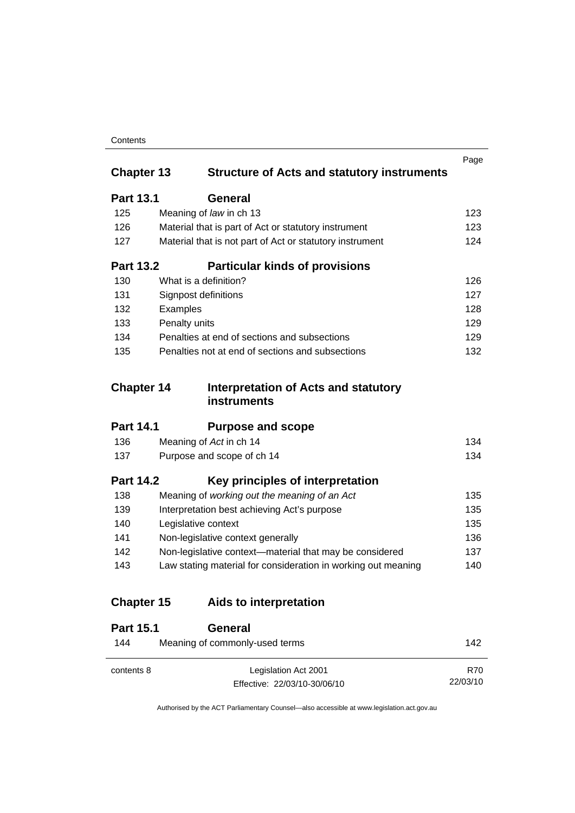### **Contents**

|                   |                                                               | Page |
|-------------------|---------------------------------------------------------------|------|
| <b>Chapter 13</b> | <b>Structure of Acts and statutory instruments</b>            |      |
| <b>Part 13.1</b>  | <b>General</b>                                                |      |
| 125               | Meaning of law in ch 13                                       | 123  |
| 126               | Material that is part of Act or statutory instrument          | 123  |
| 127               | Material that is not part of Act or statutory instrument      | 124  |
| <b>Part 13.2</b>  | <b>Particular kinds of provisions</b>                         |      |
| 130               | What is a definition?                                         | 126  |
| 131               | <b>Signpost definitions</b>                                   | 127  |
| 132               | Examples                                                      | 128  |
| 133               | Penalty units                                                 | 129  |
| 134               | Penalties at end of sections and subsections                  | 129  |
| 135               | Penalties not at end of sections and subsections              | 132  |
| <b>Chapter 14</b> | <b>Interpretation of Acts and statutory</b>                   |      |
|                   | instruments                                                   |      |
| <b>Part 14.1</b>  | <b>Purpose and scope</b>                                      |      |
| 136               | Meaning of Act in ch 14                                       | 134  |
| 137               | Purpose and scope of ch 14                                    | 134  |
| <b>Part 14.2</b>  | Key principles of interpretation                              |      |
| 138               | Meaning of working out the meaning of an Act                  | 135  |
| 139               | Interpretation best achieving Act's purpose                   | 135  |
| 140               | Legislative context                                           | 135  |
| 141               | Non-legislative context generally                             | 136  |
| 142               | Non-legislative context-material that may be considered       | 137  |
| 143               | Law stating material for consideration in working out meaning | 140  |
| <b>Chapter 15</b> | Aids to interpretation                                        |      |
| <b>Part 15.1</b>  | General                                                       |      |
| 144               | Meaning of commonly-used terms                                | 142  |

Authorised by the ACT Parliamentary Counsel—also accessible at www.legislation.act.gov.au

R70 22/03/10

Effective: 22/03/10-30/06/10

contents 8 Legislation Act 2001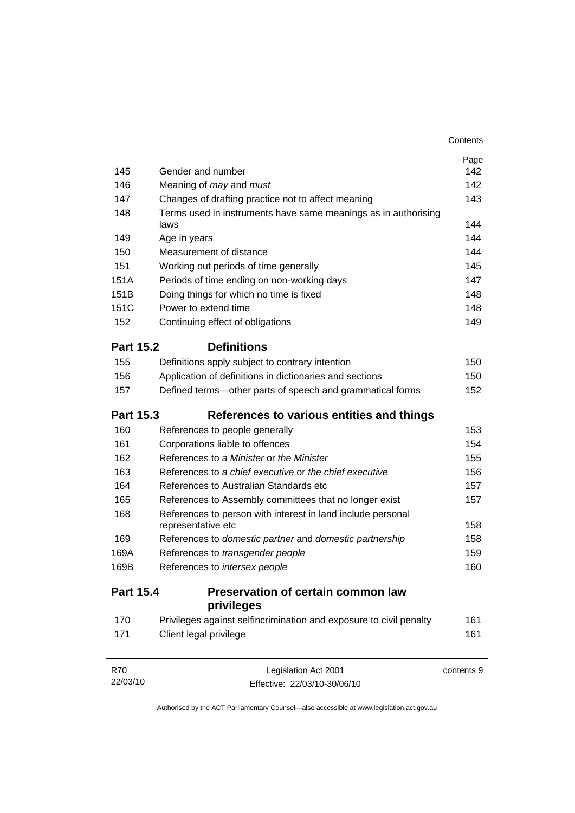|                  |                                                                        | Contents   |
|------------------|------------------------------------------------------------------------|------------|
|                  |                                                                        | Page       |
| 145              | Gender and number                                                      | 142        |
| 146              | Meaning of <i>may</i> and <i>must</i>                                  | 142        |
| 147              | Changes of drafting practice not to affect meaning                     | 143        |
| 148              | Terms used in instruments have same meanings as in authorising<br>laws | 144        |
| 149              | Age in years                                                           | 144        |
| 150              | Measurement of distance                                                | 144        |
| 151              | Working out periods of time generally                                  | 145        |
| 151A             | Periods of time ending on non-working days                             | 147        |
| 151B             | Doing things for which no time is fixed                                | 148        |
| 151C             | Power to extend time                                                   | 148        |
| 152              | Continuing effect of obligations                                       | 149        |
| <b>Part 15.2</b> | <b>Definitions</b>                                                     |            |
| 155              | Definitions apply subject to contrary intention                        | 150        |
| 156              | Application of definitions in dictionaries and sections                | 150        |
| 157              | Defined terms-other parts of speech and grammatical forms              | 152        |
| <b>Part 15.3</b> | References to various entities and things                              |            |
| 160              | References to people generally                                         | 153        |
| 161              | Corporations liable to offences                                        | 154        |
| 162              | References to a Minister or the Minister                               | 155        |
| 163              | References to a chief executive or the chief executive                 | 156        |
| 164              | References to Australian Standards etc                                 | 157        |
| 165              | References to Assembly committees that no longer exist                 | 157        |
| 168              | References to person with interest in land include personal            |            |
|                  | representative etc                                                     | 158        |
| 169              | References to domestic partner and domestic partnership                | 158        |
| 169A             | References to transgender people                                       | 159        |
| 169B             | References to intersex people                                          | 160        |
| <b>Part 15.4</b> | <b>Preservation of certain common law</b><br>privileges                |            |
| 170              | Privileges against selfincrimination and exposure to civil penalty     | 161        |
| 171              | Client legal privilege                                                 | 161        |
| R70              | Legislation Act 2001                                                   | contents 9 |

Authorised by the ACT Parliamentary Counsel—also accessible at www.legislation.act.gov.au

Effective: 22/03/10-30/06/10

22/03/10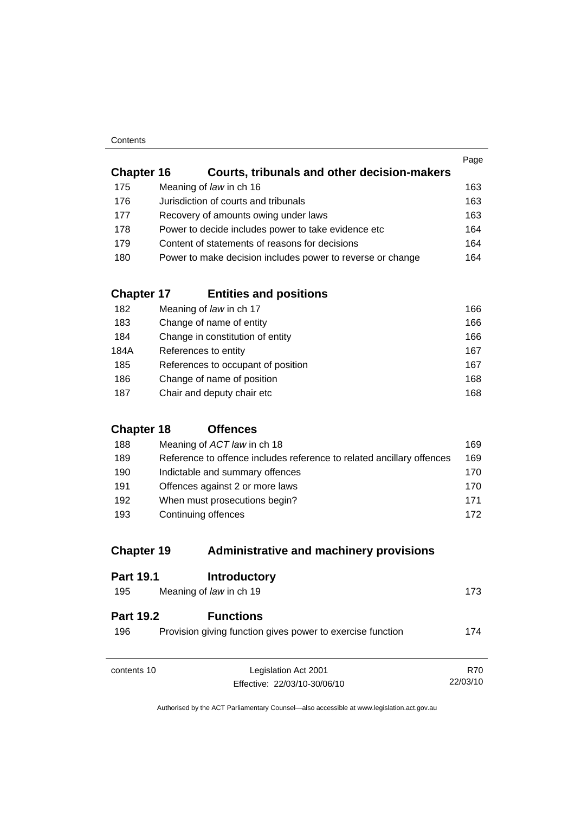#### **Contents**

|                   |                                                            | Page |
|-------------------|------------------------------------------------------------|------|
| <b>Chapter 16</b> | Courts, tribunals and other decision-makers                |      |
| 175               | Meaning of law in ch 16                                    | 163  |
| 176               | Jurisdiction of courts and tribunals                       | 163  |
| 177               | Recovery of amounts owing under laws                       | 163  |
| 178               | Power to decide includes power to take evidence etc        | 164  |
| 179               | Content of statements of reasons for decisions             | 164  |
| 180               | Power to make decision includes power to reverse or change | 164  |
|                   |                                                            |      |

## **Chapter 17 Entities and positions**

| 182  | Meaning of law in ch 17            | 166 |
|------|------------------------------------|-----|
| 183  | Change of name of entity           | 166 |
| 184  | Change in constitution of entity   | 166 |
| 184A | References to entity               | 167 |
| 185  | References to occupant of position | 167 |
| 186  | Change of name of position         | 168 |
| 187  | Chair and deputy chair etc         | 168 |

## **Chapter 18 Offences**

| 188 | Meaning of ACT law in ch 18                                           | 169. |
|-----|-----------------------------------------------------------------------|------|
| 189 | Reference to offence includes reference to related ancillary offences | 169  |
| 190 | Indictable and summary offences                                       | 170. |
| 191 | Offences against 2 or more laws                                       | 170. |
| 192 | When must prosecutions begin?                                         | 171  |
| 193 | Continuing offences                                                   | 172  |

## **Chapter 19 Administrative and machinery provisions**

| <b>Part 19.1</b>        | <b>Introductory</b>                                                            |          |
|-------------------------|--------------------------------------------------------------------------------|----------|
| 195                     | Meaning of law in ch 19                                                        | 173      |
| <b>Part 19.2</b><br>196 | <b>Functions</b><br>Provision giving function gives power to exercise function | 174      |
| contents 10             | Legislation Act 2001                                                           | R70      |
|                         | Effective: 22/03/10-30/06/10                                                   | 22/03/10 |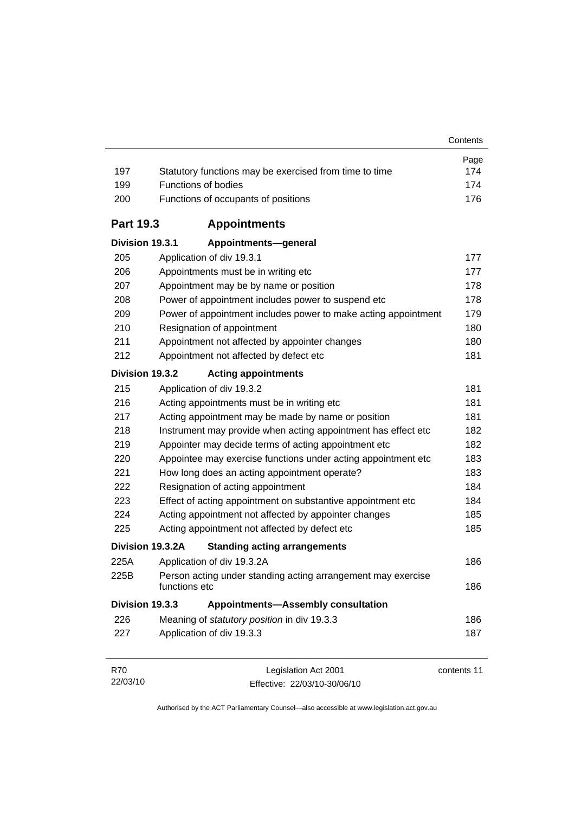| 197              | Statutory functions may be exercised from time to time                        | Page<br>174 |
|------------------|-------------------------------------------------------------------------------|-------------|
| 199              | Functions of bodies                                                           | 174         |
| 200              | Functions of occupants of positions                                           | 176         |
| <b>Part 19.3</b> | <b>Appointments</b>                                                           |             |
| Division 19.3.1  | Appointments-general                                                          |             |
| 205              | Application of div 19.3.1                                                     | 177         |
| 206              | Appointments must be in writing etc                                           | 177         |
| 207              | Appointment may be by name or position                                        | 178         |
| 208              | Power of appointment includes power to suspend etc                            | 178         |
| 209              | Power of appointment includes power to make acting appointment                | 179         |
| 210              | Resignation of appointment                                                    | 180         |
| 211              | Appointment not affected by appointer changes                                 | 180         |
| 212              | Appointment not affected by defect etc                                        | 181         |
| Division 19.3.2  | <b>Acting appointments</b>                                                    |             |
| 215              | Application of div 19.3.2                                                     | 181         |
| 216              | Acting appointments must be in writing etc                                    | 181         |
| 217              | Acting appointment may be made by name or position                            | 181         |
| 218              | Instrument may provide when acting appointment has effect etc                 | 182         |
| 219              | Appointer may decide terms of acting appointment etc                          | 182         |
| 220              | Appointee may exercise functions under acting appointment etc                 | 183         |
| 221              | How long does an acting appointment operate?                                  | 183         |
| 222              | Resignation of acting appointment                                             | 184         |
| 223              | Effect of acting appointment on substantive appointment etc                   | 184         |
| 224              | Acting appointment not affected by appointer changes                          | 185         |
| 225              | Acting appointment not affected by defect etc                                 | 185         |
|                  | Division 19.3.2A<br><b>Standing acting arrangements</b>                       |             |
| 225A             | Application of div 19.3.2A                                                    | 186         |
| 225B             | Person acting under standing acting arrangement may exercise<br>functions etc | 186         |
| Division 19.3.3  | <b>Appointments-Assembly consultation</b>                                     |             |
| 226              | Meaning of statutory position in div 19.3.3                                   | 186         |
| 227              | Application of div 19.3.3                                                     | 187         |
| R70              | Legislation Act 2001                                                          | contents 11 |

Effective: 22/03/10-30/06/10

22/03/10

contents 11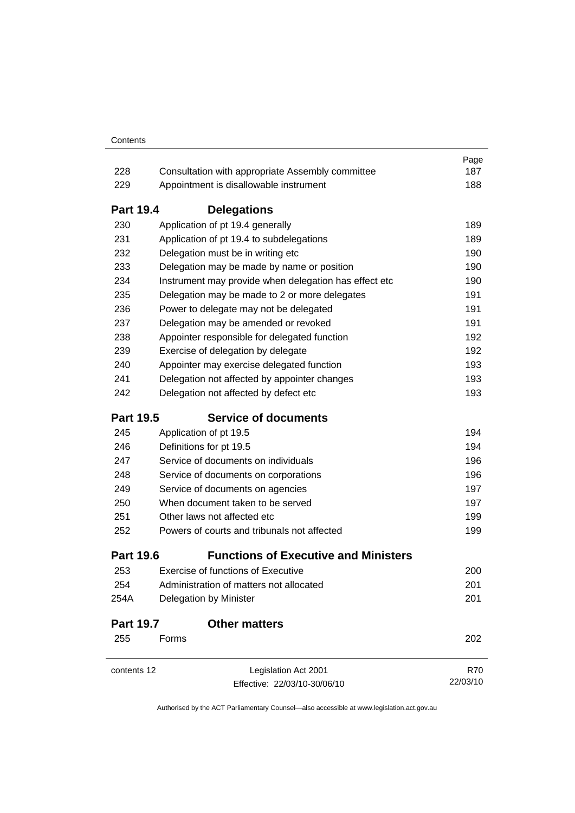|                  |                                                                                                                                                                                                                                                                                                                                                                                                                                                            | Page                                                               |
|------------------|------------------------------------------------------------------------------------------------------------------------------------------------------------------------------------------------------------------------------------------------------------------------------------------------------------------------------------------------------------------------------------------------------------------------------------------------------------|--------------------------------------------------------------------|
| 228              | Consultation with appropriate Assembly committee                                                                                                                                                                                                                                                                                                                                                                                                           | 187                                                                |
| 229              | Appointment is disallowable instrument                                                                                                                                                                                                                                                                                                                                                                                                                     | 188                                                                |
| <b>Part 19.4</b> | <b>Delegations</b>                                                                                                                                                                                                                                                                                                                                                                                                                                         |                                                                    |
| 230              | Application of pt 19.4 generally                                                                                                                                                                                                                                                                                                                                                                                                                           | 189                                                                |
| 231              | Application of pt 19.4 to subdelegations<br>Delegation must be in writing etc<br>Delegation may be made by name or position<br>Instrument may provide when delegation has effect etc<br>Delegation may be made to 2 or more delegates<br>Power to delegate may not be delegated<br>Delegation may be amended or revoked<br>Appointer responsible for delegated function<br>Exercise of delegation by delegate<br>Appointer may exercise delegated function | 189<br>190<br>190<br>190<br>191<br>191<br>191<br>192<br>192<br>193 |
| 232              |                                                                                                                                                                                                                                                                                                                                                                                                                                                            |                                                                    |
| 233              |                                                                                                                                                                                                                                                                                                                                                                                                                                                            |                                                                    |
| 234              |                                                                                                                                                                                                                                                                                                                                                                                                                                                            |                                                                    |
| 235              |                                                                                                                                                                                                                                                                                                                                                                                                                                                            |                                                                    |
| 236              |                                                                                                                                                                                                                                                                                                                                                                                                                                                            |                                                                    |
| 237              |                                                                                                                                                                                                                                                                                                                                                                                                                                                            |                                                                    |
| 238              |                                                                                                                                                                                                                                                                                                                                                                                                                                                            |                                                                    |
| 239              |                                                                                                                                                                                                                                                                                                                                                                                                                                                            |                                                                    |
| 240              |                                                                                                                                                                                                                                                                                                                                                                                                                                                            |                                                                    |
| 241              | Delegation not affected by appointer changes                                                                                                                                                                                                                                                                                                                                                                                                               | 193                                                                |
| 242              | Delegation not affected by defect etc                                                                                                                                                                                                                                                                                                                                                                                                                      | 193                                                                |
| <b>Part 19.5</b> | <b>Service of documents</b>                                                                                                                                                                                                                                                                                                                                                                                                                                |                                                                    |
| 245              | Application of pt 19.5                                                                                                                                                                                                                                                                                                                                                                                                                                     | 194                                                                |
| 246              | Definitions for pt 19.5<br>Service of documents on individuals<br>Service of documents on corporations<br>Service of documents on agencies<br>When document taken to be served<br>Other laws not affected etc                                                                                                                                                                                                                                              | 194                                                                |
| 247              |                                                                                                                                                                                                                                                                                                                                                                                                                                                            | 196                                                                |
| 248              |                                                                                                                                                                                                                                                                                                                                                                                                                                                            | 196<br>197<br>197<br>199                                           |
| 249              |                                                                                                                                                                                                                                                                                                                                                                                                                                                            |                                                                    |
| 250              |                                                                                                                                                                                                                                                                                                                                                                                                                                                            |                                                                    |
| 251              |                                                                                                                                                                                                                                                                                                                                                                                                                                                            |                                                                    |
| 252              | Powers of courts and tribunals not affected                                                                                                                                                                                                                                                                                                                                                                                                                | 199                                                                |
| <b>Part 19.6</b> | <b>Functions of Executive and Ministers</b>                                                                                                                                                                                                                                                                                                                                                                                                                |                                                                    |
| 253              | <b>Exercise of functions of Executive</b>                                                                                                                                                                                                                                                                                                                                                                                                                  | 200                                                                |
| 254              | Administration of matters not allocated                                                                                                                                                                                                                                                                                                                                                                                                                    | 201                                                                |
| 254A             | <b>Delegation by Minister</b>                                                                                                                                                                                                                                                                                                                                                                                                                              | 201                                                                |
| <b>Part 19.7</b> | <b>Other matters</b>                                                                                                                                                                                                                                                                                                                                                                                                                                       |                                                                    |
| 255              | Forms                                                                                                                                                                                                                                                                                                                                                                                                                                                      | 202                                                                |
| contents 12      | Legislation Act 2001                                                                                                                                                                                                                                                                                                                                                                                                                                       | <b>R70</b>                                                         |
|                  | Effective: 22/03/10-30/06/10                                                                                                                                                                                                                                                                                                                                                                                                                               | 22/03/10                                                           |
|                  |                                                                                                                                                                                                                                                                                                                                                                                                                                                            |                                                                    |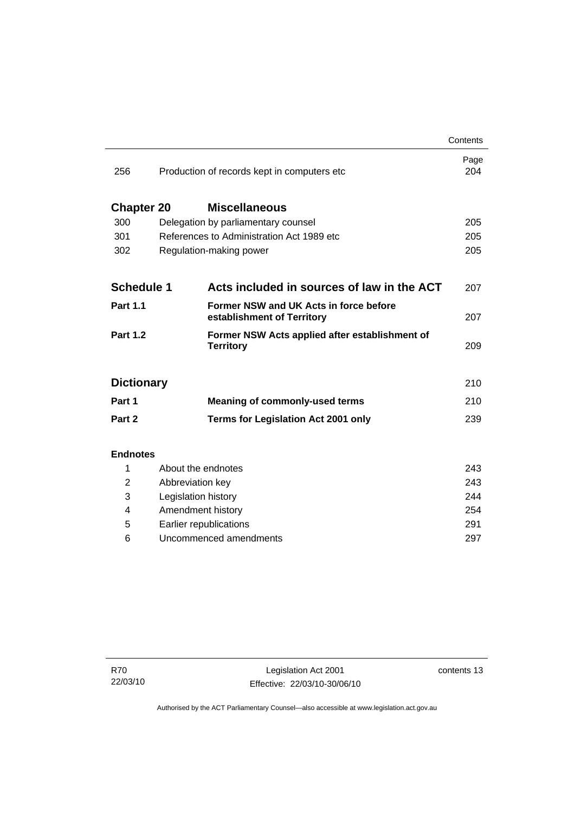|                   |                                                                      | Contents    |
|-------------------|----------------------------------------------------------------------|-------------|
| 256               | Production of records kept in computers etc                          | Page<br>204 |
| <b>Chapter 20</b> | <b>Miscellaneous</b>                                                 |             |
| 300               | Delegation by parliamentary counsel                                  | 205         |
| 301               | References to Administration Act 1989 etc                            | 205         |
| 302               | Regulation-making power                                              |             |
|                   |                                                                      |             |
| <b>Schedule 1</b> | Acts included in sources of law in the ACT                           | 207         |
| <b>Part 1.1</b>   | Former NSW and UK Acts in force before<br>establishment of Territory | 207         |
| <b>Part 1.2</b>   | Former NSW Acts applied after establishment of<br><b>Territory</b>   | 209         |
| <b>Dictionary</b> |                                                                      | 210         |
| Part 1            | <b>Meaning of commonly-used terms</b>                                | 210         |
| Part 2            | <b>Terms for Legislation Act 2001 only</b>                           | 239         |
|                   |                                                                      |             |
| <b>Endnotes</b>   |                                                                      |             |
| 1                 | About the endnotes                                                   | 243         |
| $\overline{2}$    | Abbreviation key                                                     | 243         |
| 3                 | Legislation history                                                  | 244         |
| 4                 | Amendment history                                                    | 254         |
| 5                 | Earlier republications                                               | 291         |

6 Uncommenced amendments [297](#page-312-0)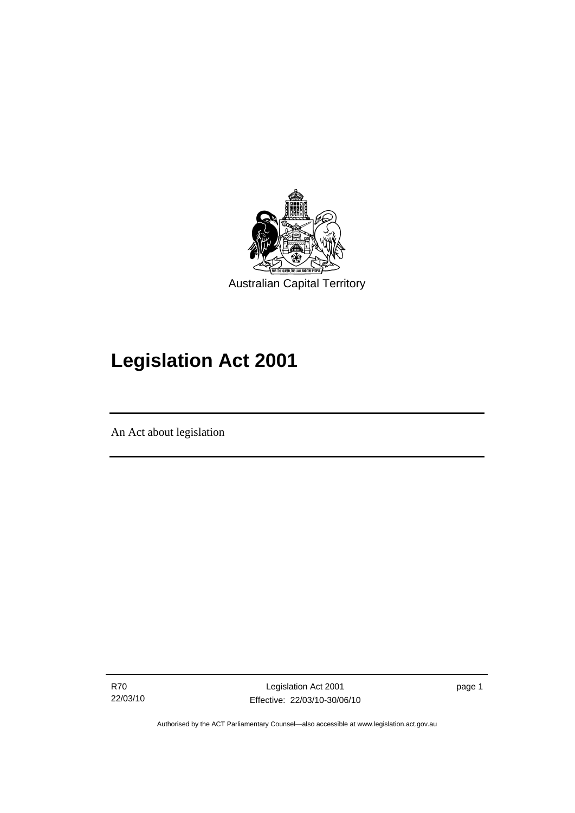<span id="page-16-0"></span>

# **Legislation Act 2001**

An Act about legislation

I

R70 22/03/10

Legislation Act 2001 Effective: 22/03/10-30/06/10 page 1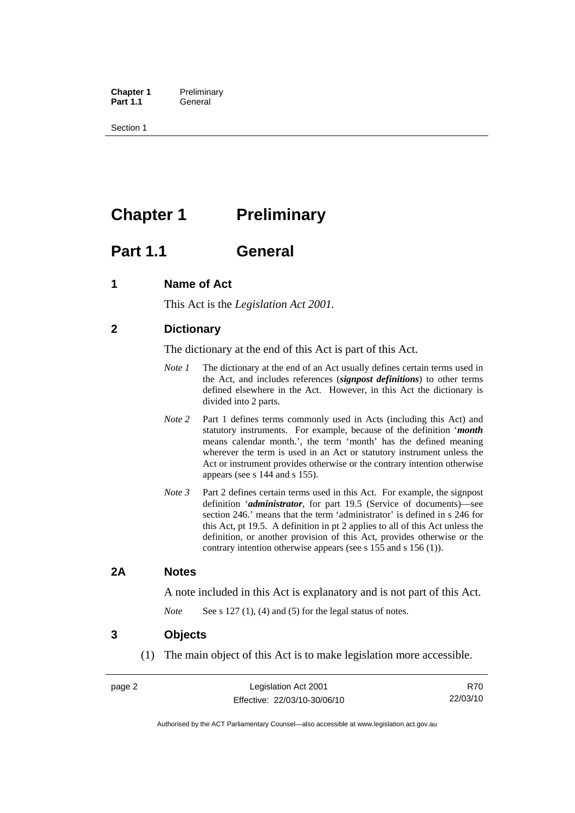<span id="page-17-0"></span>**Chapter 1** Preliminary<br>**Part 1.1** General General

Section 1

## **Chapter 1** Preliminary

## **Part 1.1 General**

## **1 Name of Act**

This Act is the *Legislation Act 2001.* 

## **2 Dictionary**

The dictionary at the end of this Act is part of this Act.

- *Note 1* The dictionary at the end of an Act usually defines certain terms used in the Act, and includes references (*signpost definitions*) to other terms defined elsewhere in the Act. However, in this Act the dictionary is divided into 2 parts.
- *Note* 2 Part 1 defines terms commonly used in Acts (including this Act) and statutory instruments. For example, because of the definition '*month* means calendar month.', the term 'month' has the defined meaning wherever the term is used in an Act or statutory instrument unless the Act or instrument provides otherwise or the contrary intention otherwise appears (see s 144 and s 155).
- *Note 3* Part 2 defines certain terms used in this Act. For example, the signpost definition '*administrator*, for part 19.5 (Service of documents)—see section 246.' means that the term 'administrator' is defined in s 246 for this Act, pt 19.5. A definition in pt 2 applies to all of this Act unless the definition, or another provision of this Act, provides otherwise or the contrary intention otherwise appears (see s 155 and s 156 (1)).

### **2A Notes**

A note included in this Act is explanatory and is not part of this Act.

*Note* See s 127 (1), (4) and (5) for the legal status of notes.

### **3 Objects**

(1) The main object of this Act is to make legislation more accessible.

R70 22/03/10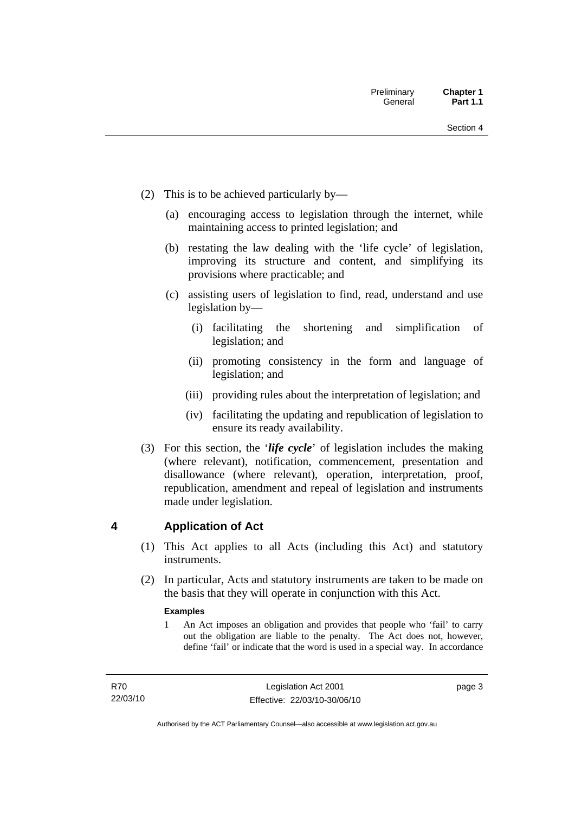- <span id="page-18-0"></span> (2) This is to be achieved particularly by—
	- (a) encouraging access to legislation through the internet, while maintaining access to printed legislation; and
	- (b) restating the law dealing with the 'life cycle' of legislation, improving its structure and content, and simplifying its provisions where practicable; and
	- (c) assisting users of legislation to find, read, understand and use legislation by—
		- (i) facilitating the shortening and simplification of legislation; and
		- (ii) promoting consistency in the form and language of legislation; and
		- (iii) providing rules about the interpretation of legislation; and
		- (iv) facilitating the updating and republication of legislation to ensure its ready availability.
- (3) For this section, the '*life cycle*' of legislation includes the making (where relevant), notification, commencement, presentation and disallowance (where relevant), operation, interpretation, proof, republication, amendment and repeal of legislation and instruments made under legislation.

## **4 Application of Act**

- (1) This Act applies to all Acts (including this Act) and statutory **instruments**
- (2) In particular, Acts and statutory instruments are taken to be made on the basis that they will operate in conjunction with this Act.

#### **Examples**

1 An Act imposes an obligation and provides that people who 'fail' to carry out the obligation are liable to the penalty. The Act does not, however, define 'fail' or indicate that the word is used in a special way. In accordance

page 3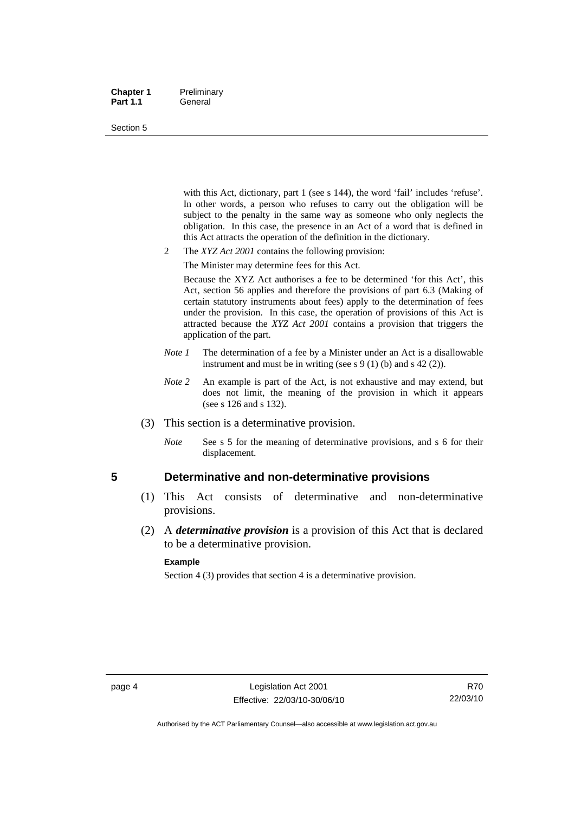#### <span id="page-19-0"></span>**Chapter 1** Preliminary Part 1.1 **General**

#### Section 5

with this Act, dictionary, part 1 (see s 144), the word 'fail' includes 'refuse'. In other words, a person who refuses to carry out the obligation will be subject to the penalty in the same way as someone who only neglects the obligation. In this case, the presence in an Act of a word that is defined in this Act attracts the operation of the definition in the dictionary.

- 2 The *XYZ Act 2001* contains the following provision:
	- The Minister may determine fees for this Act.

Because the XYZ Act authorises a fee to be determined 'for this Act', this Act, section 56 applies and therefore the provisions of part 6.3 (Making of certain statutory instruments about fees) apply to the determination of fees under the provision. In this case, the operation of provisions of this Act is attracted because the *XYZ Act 2001* contains a provision that triggers the application of the part.

- *Note 1* The determination of a fee by a Minister under an Act is a disallowable instrument and must be in writing (see s 9 (1) (b) and s 42 (2)).
- *Note* 2 An example is part of the Act, is not exhaustive and may extend, but does not limit, the meaning of the provision in which it appears (see s 126 and s 132).
- (3) This section is a determinative provision.
	- *Note* See s 5 for the meaning of determinative provisions, and s 6 for their displacement.

### **5 Determinative and non-determinative provisions**

- (1) This Act consists of determinative and non-determinative provisions.
- (2) A *determinative provision* is a provision of this Act that is declared to be a determinative provision.

#### **Example**

Section 4 (3) provides that section 4 is a determinative provision.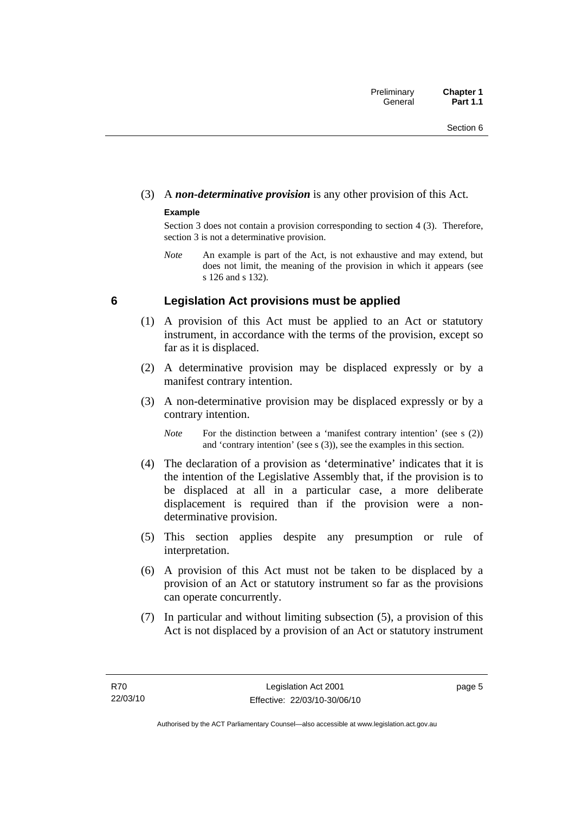## <span id="page-20-0"></span>(3) A *non-determinative provision* is any other provision of this Act.

### **Example**

Section 3 does not contain a provision corresponding to section 4 (3). Therefore, section 3 is not a determinative provision.

*Note* An example is part of the Act, is not exhaustive and may extend, but does not limit, the meaning of the provision in which it appears (see s 126 and s 132).

## **6 Legislation Act provisions must be applied**

- (1) A provision of this Act must be applied to an Act or statutory instrument, in accordance with the terms of the provision, except so far as it is displaced.
- (2) A determinative provision may be displaced expressly or by a manifest contrary intention.
- (3) A non-determinative provision may be displaced expressly or by a contrary intention.

*Note* For the distinction between a 'manifest contrary intention' (see s (2)) and 'contrary intention' (see s (3)), see the examples in this section.

- (4) The declaration of a provision as 'determinative' indicates that it is the intention of the Legislative Assembly that, if the provision is to be displaced at all in a particular case, a more deliberate displacement is required than if the provision were a nondeterminative provision.
- (5) This section applies despite any presumption or rule of interpretation.
- (6) A provision of this Act must not be taken to be displaced by a provision of an Act or statutory instrument so far as the provisions can operate concurrently.
- (7) In particular and without limiting subsection (5), a provision of this Act is not displaced by a provision of an Act or statutory instrument

page 5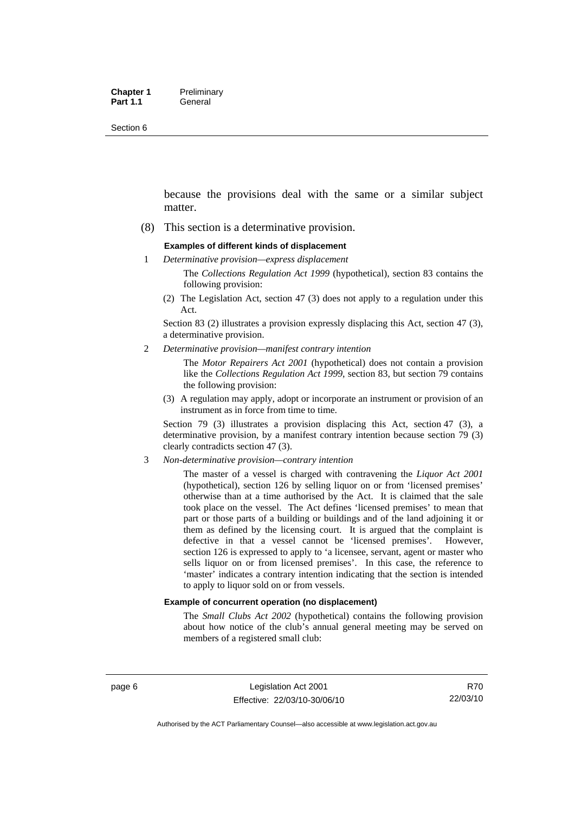Section 6

because the provisions deal with the same or a similar subject matter.

(8) This section is a determinative provision.

#### **Examples of different kinds of displacement**

1 *Determinative provision—express displacement*

The *Collections Regulation Act 1999* (hypothetical), section 83 contains the following provision:

(2) The Legislation Act, section 47 (3) does not apply to a regulation under this Act.

Section 83 (2) illustrates a provision expressly displacing this Act, section 47 (3), a determinative provision.

2 *Determinative provision—manifest contrary intention*

The *Motor Repairers Act 2001* (hypothetical) does not contain a provision like the *Collections Regulation Act 1999*, section 83, but section 79 contains the following provision:

(3) A regulation may apply, adopt or incorporate an instrument or provision of an instrument as in force from time to time.

Section 79 (3) illustrates a provision displacing this Act, section 47 (3), a determinative provision, by a manifest contrary intention because section 79 (3) clearly contradicts section 47 (3).

3 *Non-determinative provision—contrary intention*

The master of a vessel is charged with contravening the *Liquor Act 2001* (hypothetical), section 126 by selling liquor on or from 'licensed premises' otherwise than at a time authorised by the Act. It is claimed that the sale took place on the vessel. The Act defines 'licensed premises' to mean that part or those parts of a building or buildings and of the land adjoining it or them as defined by the licensing court. It is argued that the complaint is defective in that a vessel cannot be 'licensed premises'. However, section 126 is expressed to apply to 'a licensee, servant, agent or master who sells liquor on or from licensed premises'. In this case, the reference to 'master' indicates a contrary intention indicating that the section is intended to apply to liquor sold on or from vessels.

#### **Example of concurrent operation (no displacement)**

The *Small Clubs Act 2002* (hypothetical) contains the following provision about how notice of the club's annual general meeting may be served on members of a registered small club: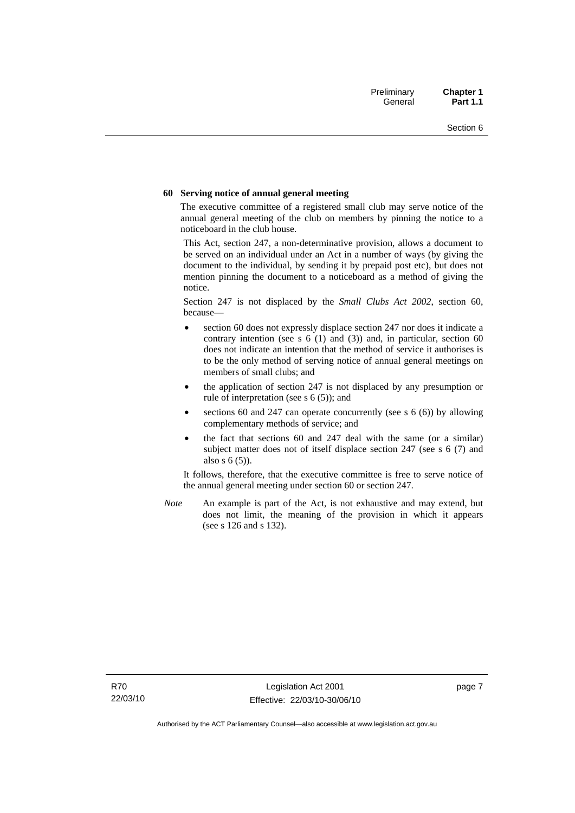#### **60 Serving notice of annual general meeting**

The executive committee of a registered small club may serve notice of the annual general meeting of the club on members by pinning the notice to a noticeboard in the club house.

This Act, section 247, a non-determinative provision, allows a document to be served on an individual under an Act in a number of ways (by giving the document to the individual, by sending it by prepaid post etc), but does not mention pinning the document to a noticeboard as a method of giving the notice.

Section 247 is not displaced by the *Small Clubs Act 2002*, section 60, because—

- section 60 does not expressly displace section 247 nor does it indicate a contrary intention (see s  $6(1)$  and  $(3)$ ) and, in particular, section  $60$ does not indicate an intention that the method of service it authorises is to be the only method of serving notice of annual general meetings on members of small clubs; and
- the application of section 247 is not displaced by any presumption or rule of interpretation (see s 6 (5)); and
- sections 60 and 247 can operate concurrently (see s  $6(6)$ ) by allowing complementary methods of service; and
- the fact that sections 60 and 247 deal with the same (or a similar) subject matter does not of itself displace section 247 (see s 6 (7) and also s 6 (5)).

It follows, therefore, that the executive committee is free to serve notice of the annual general meeting under section 60 or section 247.

*Note* An example is part of the Act, is not exhaustive and may extend, but does not limit, the meaning of the provision in which it appears (see s 126 and s 132).

page 7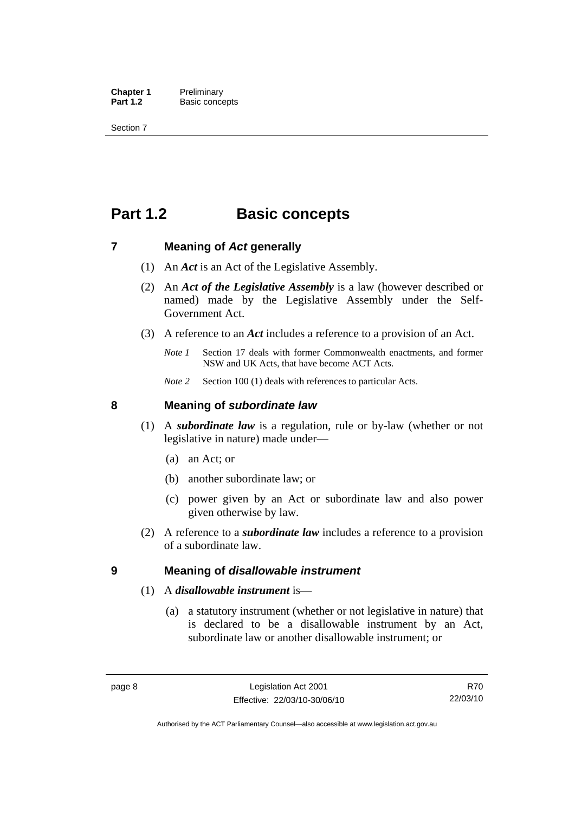<span id="page-23-0"></span>**Chapter 1** Preliminary<br>**Part 1.2** Basic conce **Basic concepts** 

Section 7

## **Part 1.2 Basic concepts**

### **7 Meaning of** *Act* **generally**

- (1) An *Act* is an Act of the Legislative Assembly.
- (2) An *Act of the Legislative Assembly* is a law (however described or named) made by the Legislative Assembly under the Self-Government Act.
- (3) A reference to an *Act* includes a reference to a provision of an Act.
	- *Note 1* Section 17 deals with former Commonwealth enactments, and former NSW and UK Acts, that have become ACT Acts.
	- *Note 2* Section 100 (1) deals with references to particular Acts.

### **8 Meaning of** *subordinate law*

- (1) A *subordinate law* is a regulation, rule or by-law (whether or not legislative in nature) made under—
	- (a) an Act; or
	- (b) another subordinate law; or
	- (c) power given by an Act or subordinate law and also power given otherwise by law.
- (2) A reference to a *subordinate law* includes a reference to a provision of a subordinate law.

### **9 Meaning of** *disallowable instrument*

### (1) A *disallowable instrument* is—

 (a) a statutory instrument (whether or not legislative in nature) that is declared to be a disallowable instrument by an Act, subordinate law or another disallowable instrument; or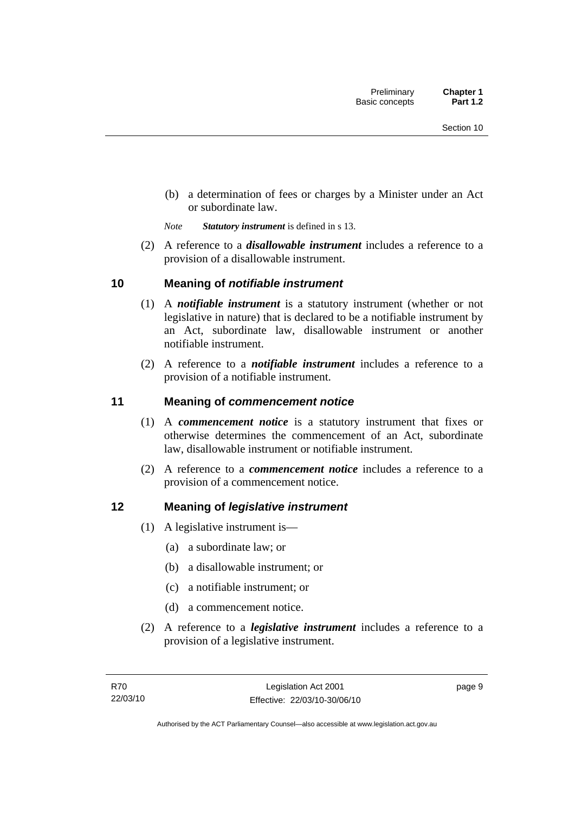<span id="page-24-0"></span> (b) a determination of fees or charges by a Minister under an Act or subordinate law.

*Note Statutory instrument* is defined in s 13.

 (2) A reference to a *disallowable instrument* includes a reference to a provision of a disallowable instrument.

## **10 Meaning of** *notifiable instrument*

- (1) A *notifiable instrument* is a statutory instrument (whether or not legislative in nature) that is declared to be a notifiable instrument by an Act, subordinate law, disallowable instrument or another notifiable instrument.
- (2) A reference to a *notifiable instrument* includes a reference to a provision of a notifiable instrument.

## **11 Meaning of** *commencement notice*

- (1) A *commencement notice* is a statutory instrument that fixes or otherwise determines the commencement of an Act, subordinate law, disallowable instrument or notifiable instrument.
- (2) A reference to a *commencement notice* includes a reference to a provision of a commencement notice.

## **12 Meaning of** *legislative instrument*

- (1) A legislative instrument is—
	- (a) a subordinate law; or
	- (b) a disallowable instrument; or
	- (c) a notifiable instrument; or
	- (d) a commencement notice.
- (2) A reference to a *legislative instrument* includes a reference to a provision of a legislative instrument.

page 9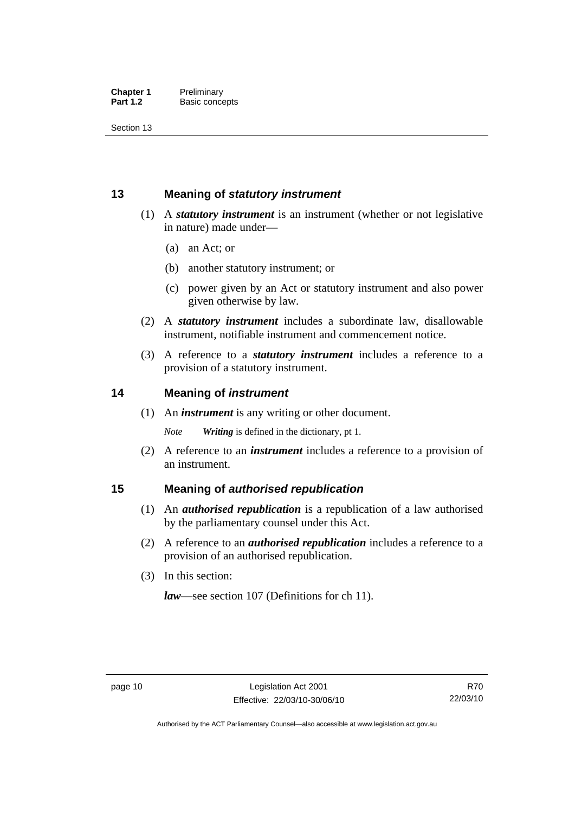<span id="page-25-0"></span>Section 13

## **13 Meaning of** *statutory instrument*

- (1) A *statutory instrument* is an instrument (whether or not legislative in nature) made under—
	- (a) an Act; or
	- (b) another statutory instrument; or
	- (c) power given by an Act or statutory instrument and also power given otherwise by law.
- (2) A *statutory instrument* includes a subordinate law, disallowable instrument, notifiable instrument and commencement notice.
- (3) A reference to a *statutory instrument* includes a reference to a provision of a statutory instrument.

## **14 Meaning of** *instrument*

(1) An *instrument* is any writing or other document.

*Note Writing* is defined in the dictionary, pt 1.

 (2) A reference to an *instrument* includes a reference to a provision of an instrument.

## **15 Meaning of** *authorised republication*

- (1) An *authorised republication* is a republication of a law authorised by the parliamentary counsel under this Act.
- (2) A reference to an *authorised republication* includes a reference to a provision of an authorised republication.
- (3) In this section:

*law*—see section 107 (Definitions for ch 11).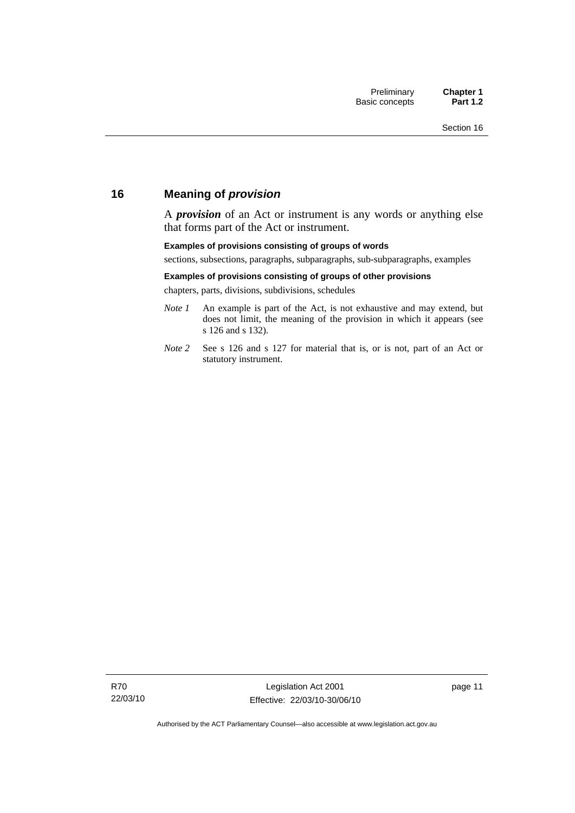## <span id="page-26-0"></span>**16 Meaning of** *provision*

A *provision* of an Act or instrument is any words or anything else that forms part of the Act or instrument.

#### **Examples of provisions consisting of groups of words**

sections, subsections, paragraphs, subparagraphs, sub-subparagraphs, examples

#### **Examples of provisions consisting of groups of other provisions**

chapters, parts, divisions, subdivisions, schedules

- *Note 1* An example is part of the Act, is not exhaustive and may extend, but does not limit, the meaning of the provision in which it appears (see s 126 and s 132).
- *Note 2* See s 126 and s 127 for material that is, or is not, part of an Act or statutory instrument.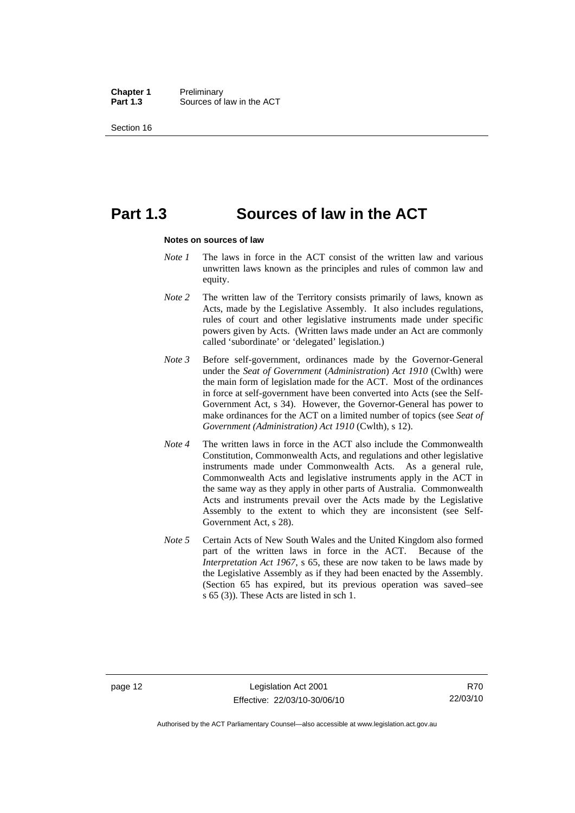**Chapter 1** Preliminary<br>**Part 1.3** Sources of Sources of law in the ACT

Section 16

## **Part 1.3 Sources of law in the ACT**

#### **Notes on sources of law**

- *Note 1* The laws in force in the ACT consist of the written law and various unwritten laws known as the principles and rules of common law and equity.
- *Note* 2 The written law of the Territory consists primarily of laws, known as Acts, made by the Legislative Assembly. It also includes regulations, rules of court and other legislative instruments made under specific powers given by Acts. (Written laws made under an Act are commonly called 'subordinate' or 'delegated' legislation.)
- *Note 3* Before self-government, ordinances made by the Governor-General under the *Seat of Government* (*Administration*) *Act 1910* (Cwlth) were the main form of legislation made for the ACT. Most of the ordinances in force at self-government have been converted into Acts (see the Self-Government Act, s 34). However, the Governor-General has power to make ordinances for the ACT on a limited number of topics (see *Seat of Government (Administration) Act 1910* (Cwlth), s 12).
- *Note 4* The written laws in force in the ACT also include the Commonwealth Constitution, Commonwealth Acts, and regulations and other legislative instruments made under Commonwealth Acts. As a general rule, Commonwealth Acts and legislative instruments apply in the ACT in the same way as they apply in other parts of Australia. Commonwealth Acts and instruments prevail over the Acts made by the Legislative Assembly to the extent to which they are inconsistent (see Self-Government Act, s 28).
- *Note 5* Certain Acts of New South Wales and the United Kingdom also formed part of the written laws in force in the ACT. Because of the *Interpretation Act 1967*, s 65, these are now taken to be laws made by the Legislative Assembly as if they had been enacted by the Assembly. (Section 65 has expired, but its previous operation was saved–see s 65 (3)). These Acts are listed in sch 1.

Authorised by the ACT Parliamentary Counsel—also accessible at www.legislation.act.gov.au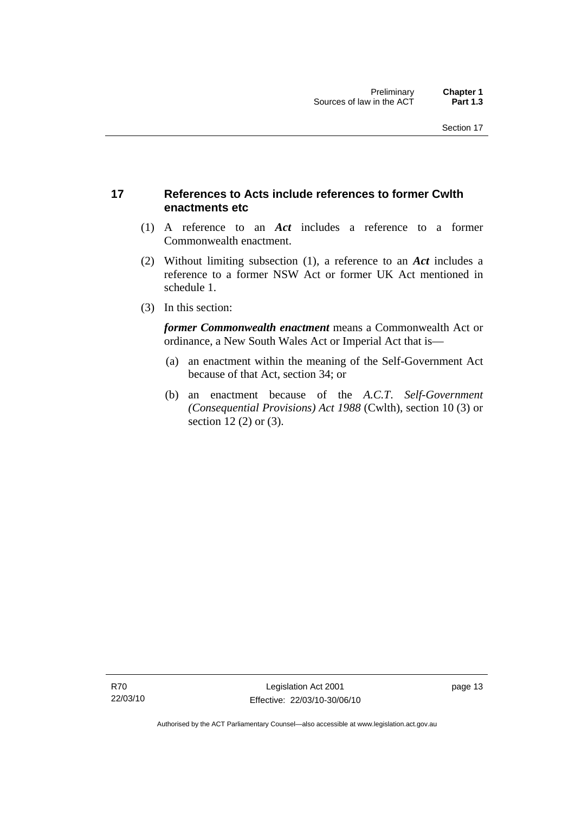## <span id="page-28-0"></span>**17 References to Acts include references to former Cwlth enactments etc**

- (1) A reference to an *Act* includes a reference to a former Commonwealth enactment.
- (2) Without limiting subsection (1), a reference to an *Act* includes a reference to a former NSW Act or former UK Act mentioned in schedule 1.
- (3) In this section:

*former Commonwealth enactment* means a Commonwealth Act or ordinance, a New South Wales Act or Imperial Act that is—

- (a) an enactment within the meaning of the Self-Government Act because of that Act, section 34; or
- (b) an enactment because of the *A.C.T*. *Self-Government (Consequential Provisions) Act 1988* (Cwlth), section 10 (3) or section 12 (2) or (3).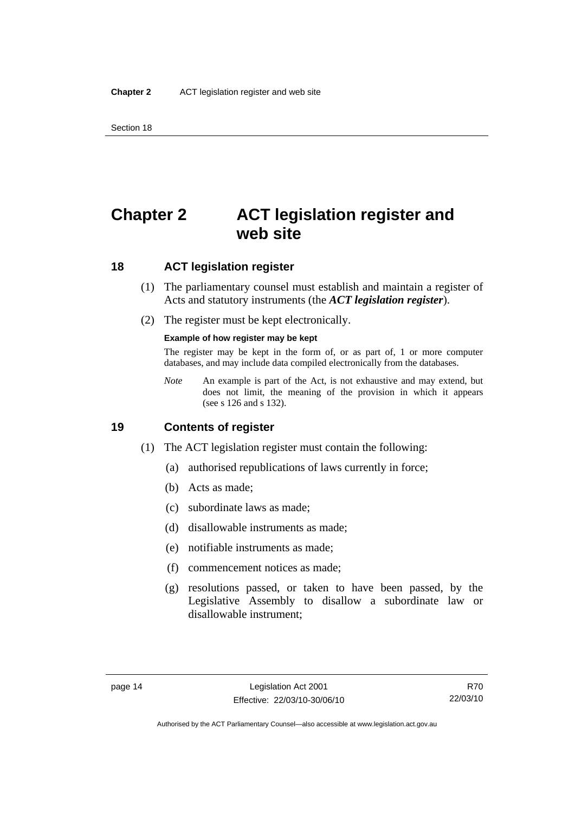## <span id="page-29-0"></span>**Chapter 2 ACT legislation register and web site**

## **18 ACT legislation register**

- (1) The parliamentary counsel must establish and maintain a register of Acts and statutory instruments (the *ACT legislation register*).
- (2) The register must be kept electronically.

#### **Example of how register may be kept**

The register may be kept in the form of, or as part of, 1 or more computer databases, and may include data compiled electronically from the databases.

*Note* An example is part of the Act, is not exhaustive and may extend, but does not limit, the meaning of the provision in which it appears (see s 126 and s 132).

### **19 Contents of register**

- (1) The ACT legislation register must contain the following:
	- (a) authorised republications of laws currently in force;
	- (b) Acts as made;
	- (c) subordinate laws as made;
	- (d) disallowable instruments as made;
	- (e) notifiable instruments as made;
	- (f) commencement notices as made;
	- (g) resolutions passed, or taken to have been passed, by the Legislative Assembly to disallow a subordinate law or disallowable instrument;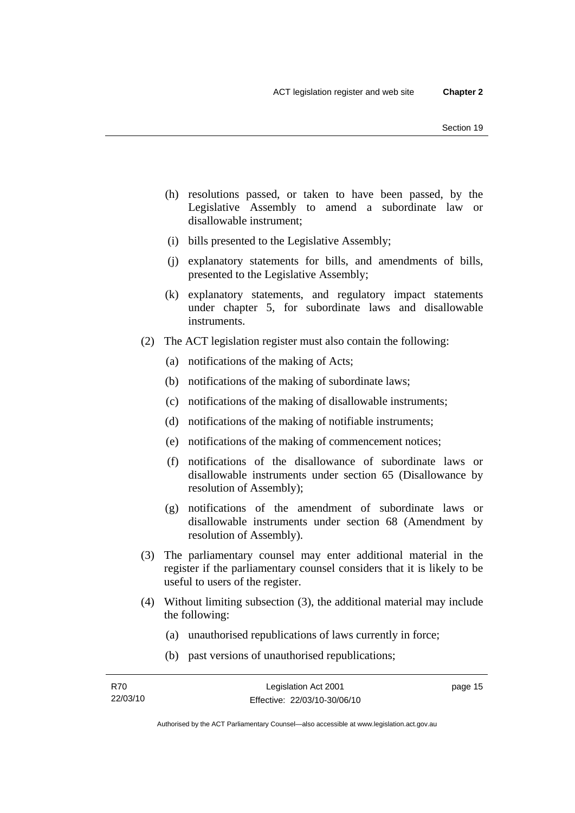- (h) resolutions passed, or taken to have been passed, by the Legislative Assembly to amend a subordinate law or disallowable instrument;
- (i) bills presented to the Legislative Assembly;
- (j) explanatory statements for bills, and amendments of bills, presented to the Legislative Assembly;
- (k) explanatory statements, and regulatory impact statements under chapter 5, for subordinate laws and disallowable instruments.
- (2) The ACT legislation register must also contain the following:
	- (a) notifications of the making of Acts;
	- (b) notifications of the making of subordinate laws;
	- (c) notifications of the making of disallowable instruments;
	- (d) notifications of the making of notifiable instruments;
	- (e) notifications of the making of commencement notices;
	- (f) notifications of the disallowance of subordinate laws or disallowable instruments under section 65 (Disallowance by resolution of Assembly);
	- (g) notifications of the amendment of subordinate laws or disallowable instruments under section 68 (Amendment by resolution of Assembly).
- (3) The parliamentary counsel may enter additional material in the register if the parliamentary counsel considers that it is likely to be useful to users of the register.
- (4) Without limiting subsection (3), the additional material may include the following:
	- (a) unauthorised republications of laws currently in force;
	- (b) past versions of unauthorised republications;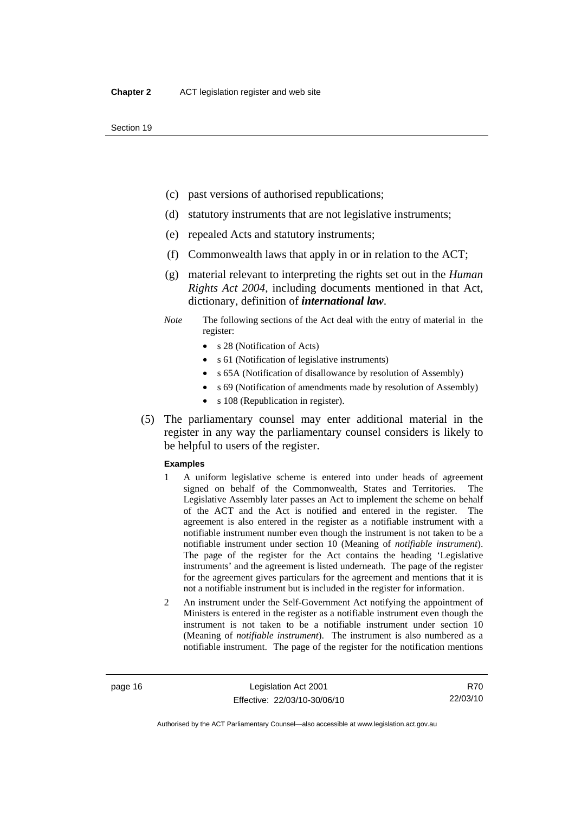- (c) past versions of authorised republications;
- (d) statutory instruments that are not legislative instruments;
- (e) repealed Acts and statutory instruments;
- (f) Commonwealth laws that apply in or in relation to the ACT;
- (g) material relevant to interpreting the rights set out in the *Human Rights Act 2004*, including documents mentioned in that Act, dictionary, definition of *international law*.
- *Note* The following sections of the Act deal with the entry of material in the register:
	- s 28 (Notification of Acts)
	- s 61 (Notification of legislative instruments)
	- s 65A (Notification of disallowance by resolution of Assembly)
	- s 69 (Notification of amendments made by resolution of Assembly)
	- s 108 (Republication in register).
- (5) The parliamentary counsel may enter additional material in the register in any way the parliamentary counsel considers is likely to be helpful to users of the register.

#### **Examples**

- 1 A uniform legislative scheme is entered into under heads of agreement signed on behalf of the Commonwealth, States and Territories. The Legislative Assembly later passes an Act to implement the scheme on behalf of the ACT and the Act is notified and entered in the register. The agreement is also entered in the register as a notifiable instrument with a notifiable instrument number even though the instrument is not taken to be a notifiable instrument under section 10 (Meaning of *notifiable instrument*). The page of the register for the Act contains the heading 'Legislative instruments' and the agreement is listed underneath. The page of the register for the agreement gives particulars for the agreement and mentions that it is not a notifiable instrument but is included in the register for information.
- 2 An instrument under the Self-Government Act notifying the appointment of Ministers is entered in the register as a notifiable instrument even though the instrument is not taken to be a notifiable instrument under section 10 (Meaning of *notifiable instrument*). The instrument is also numbered as a notifiable instrument. The page of the register for the notification mentions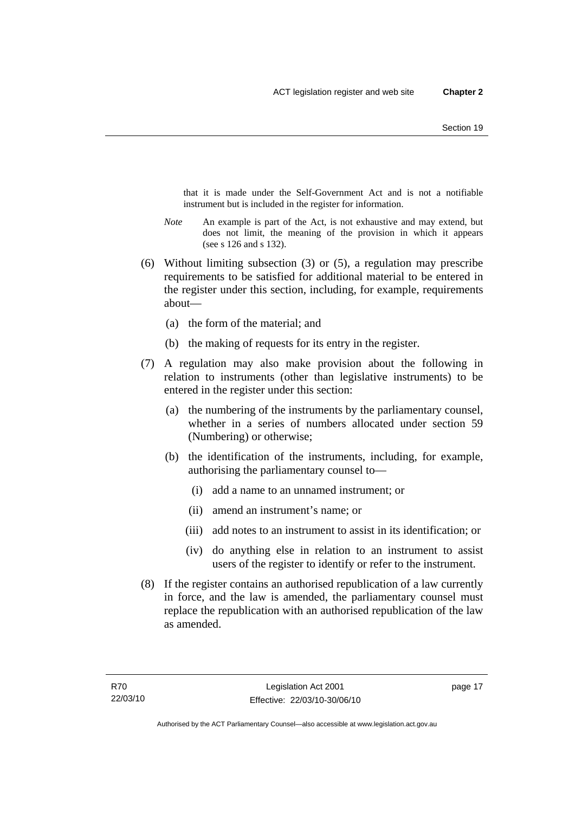that it is made under the Self-Government Act and is not a notifiable instrument but is included in the register for information.

- *Note* An example is part of the Act, is not exhaustive and may extend, but does not limit, the meaning of the provision in which it appears (see s 126 and s 132).
- (6) Without limiting subsection (3) or (5), a regulation may prescribe requirements to be satisfied for additional material to be entered in the register under this section, including, for example, requirements about—
	- (a) the form of the material; and
	- (b) the making of requests for its entry in the register.
- (7) A regulation may also make provision about the following in relation to instruments (other than legislative instruments) to be entered in the register under this section:
	- (a) the numbering of the instruments by the parliamentary counsel, whether in a series of numbers allocated under section 59 (Numbering) or otherwise;
	- (b) the identification of the instruments, including, for example, authorising the parliamentary counsel to—
		- (i) add a name to an unnamed instrument; or
		- (ii) amend an instrument's name; or
		- (iii) add notes to an instrument to assist in its identification; or
		- (iv) do anything else in relation to an instrument to assist users of the register to identify or refer to the instrument.
- (8) If the register contains an authorised republication of a law currently in force, and the law is amended, the parliamentary counsel must replace the republication with an authorised republication of the law as amended.

page 17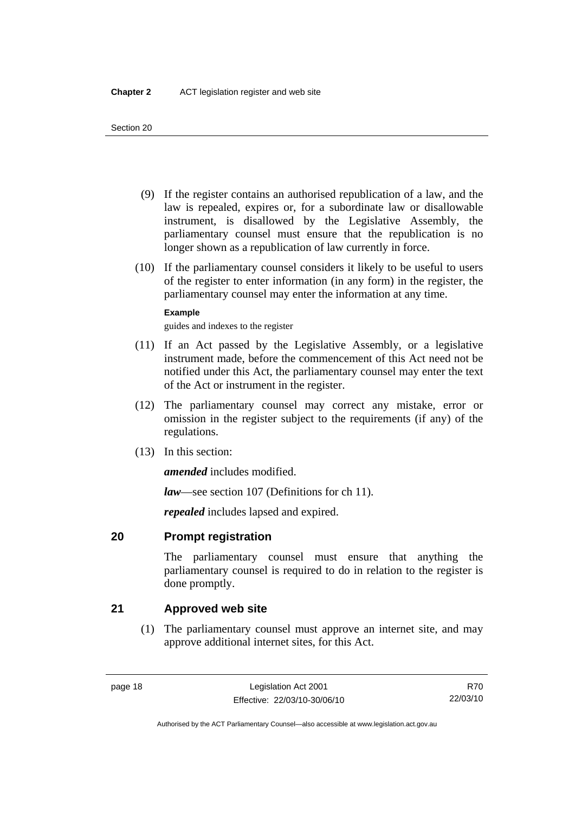- <span id="page-33-0"></span> (9) If the register contains an authorised republication of a law, and the law is repealed, expires or, for a subordinate law or disallowable instrument, is disallowed by the Legislative Assembly, the parliamentary counsel must ensure that the republication is no longer shown as a republication of law currently in force.
- (10) If the parliamentary counsel considers it likely to be useful to users of the register to enter information (in any form) in the register, the parliamentary counsel may enter the information at any time.

### **Example**

guides and indexes to the register

- (11) If an Act passed by the Legislative Assembly, or a legislative instrument made, before the commencement of this Act need not be notified under this Act, the parliamentary counsel may enter the text of the Act or instrument in the register.
- (12) The parliamentary counsel may correct any mistake, error or omission in the register subject to the requirements (if any) of the regulations.
- (13) In this section:

*amended* includes modified.

*law*—see section 107 (Definitions for ch 11).

*repealed* includes lapsed and expired.

## **20 Prompt registration**

The parliamentary counsel must ensure that anything the parliamentary counsel is required to do in relation to the register is done promptly.

## **21 Approved web site**

 (1) The parliamentary counsel must approve an internet site, and may approve additional internet sites, for this Act.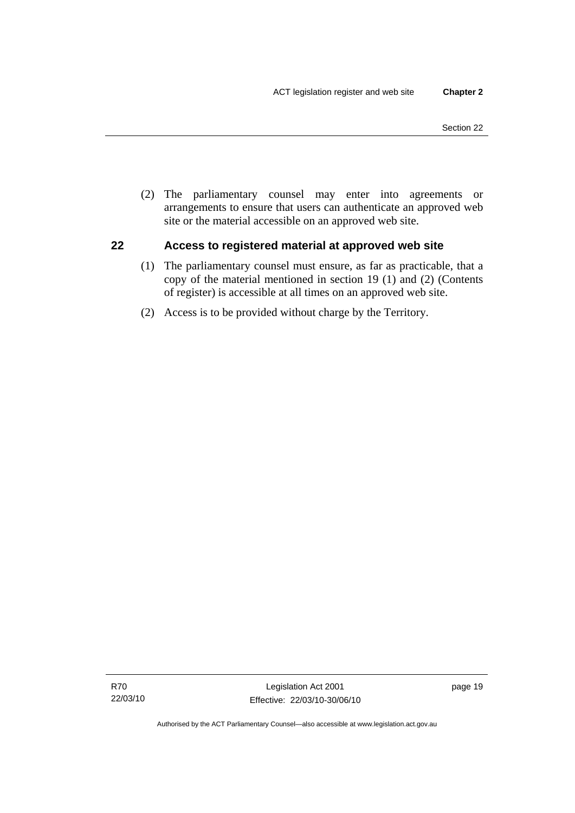<span id="page-34-0"></span> (2) The parliamentary counsel may enter into agreements or arrangements to ensure that users can authenticate an approved web site or the material accessible on an approved web site.

## **22 Access to registered material at approved web site**

- (1) The parliamentary counsel must ensure, as far as practicable, that a copy of the material mentioned in section 19 (1) and (2) (Contents of register) is accessible at all times on an approved web site.
- (2) Access is to be provided without charge by the Territory.

page 19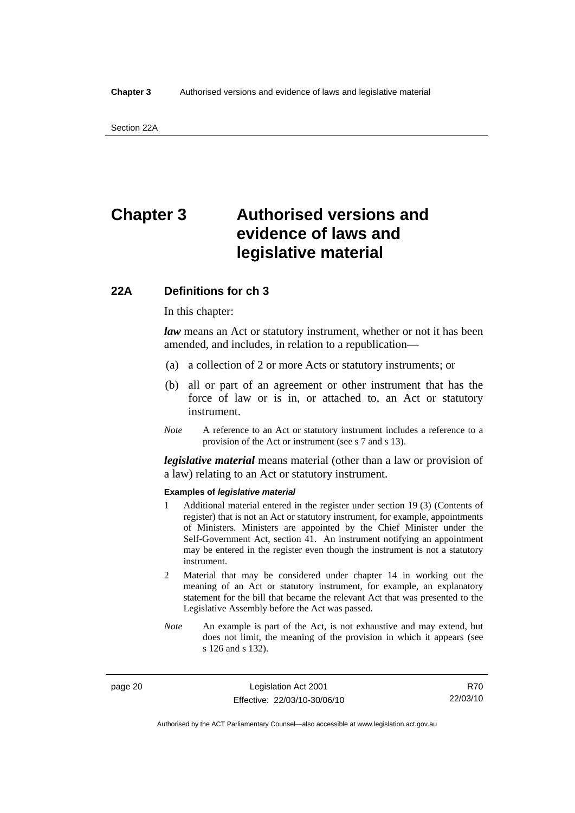## <span id="page-35-0"></span>**Chapter 3 Authorised versions and evidence of laws and legislative material**

## **22A Definitions for ch 3**

In this chapter:

*law* means an Act or statutory instrument, whether or not it has been amended, and includes, in relation to a republication—

- (a) a collection of 2 or more Acts or statutory instruments; or
- (b) all or part of an agreement or other instrument that has the force of law or is in, or attached to, an Act or statutory instrument.
- *Note* A reference to an Act or statutory instrument includes a reference to a provision of the Act or instrument (see s 7 and s 13).

*legislative material* means material (other than a law or provision of a law) relating to an Act or statutory instrument.

#### **Examples of** *legislative material*

- 1 Additional material entered in the register under section 19 (3) (Contents of register) that is not an Act or statutory instrument, for example, appointments of Ministers. Ministers are appointed by the Chief Minister under the Self-Government Act, section 41. An instrument notifying an appointment may be entered in the register even though the instrument is not a statutory instrument.
- 2 Material that may be considered under chapter 14 in working out the meaning of an Act or statutory instrument, for example, an explanatory statement for the bill that became the relevant Act that was presented to the Legislative Assembly before the Act was passed.
- *Note* An example is part of the Act, is not exhaustive and may extend, but does not limit, the meaning of the provision in which it appears (see s 126 and s 132).

page 20 Legislation Act 2001 Effective: 22/03/10-30/06/10

R70 22/03/10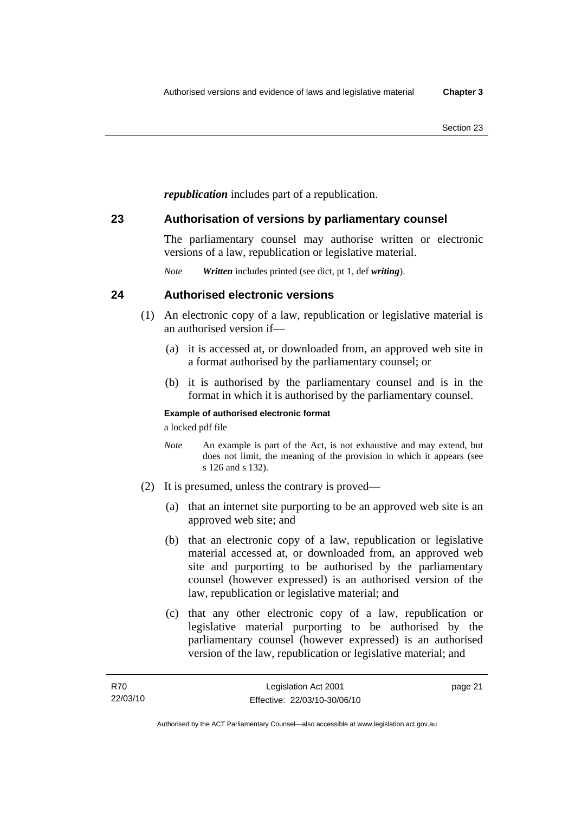*republication* includes part of a republication.

## **23 Authorisation of versions by parliamentary counsel**

The parliamentary counsel may authorise written or electronic versions of a law, republication or legislative material.

*Note Written* includes printed (see dict, pt 1, def *writing*).

## **24 Authorised electronic versions**

- (1) An electronic copy of a law, republication or legislative material is an authorised version if—
	- (a) it is accessed at, or downloaded from, an approved web site in a format authorised by the parliamentary counsel; or
	- (b) it is authorised by the parliamentary counsel and is in the format in which it is authorised by the parliamentary counsel.

## **Example of authorised electronic format**

a locked pdf file

- *Note* An example is part of the Act, is not exhaustive and may extend, but does not limit, the meaning of the provision in which it appears (see s 126 and s 132).
- (2) It is presumed, unless the contrary is proved—
	- (a) that an internet site purporting to be an approved web site is an approved web site; and
	- (b) that an electronic copy of a law, republication or legislative material accessed at, or downloaded from, an approved web site and purporting to be authorised by the parliamentary counsel (however expressed) is an authorised version of the law, republication or legislative material; and
	- (c) that any other electronic copy of a law, republication or legislative material purporting to be authorised by the parliamentary counsel (however expressed) is an authorised version of the law, republication or legislative material; and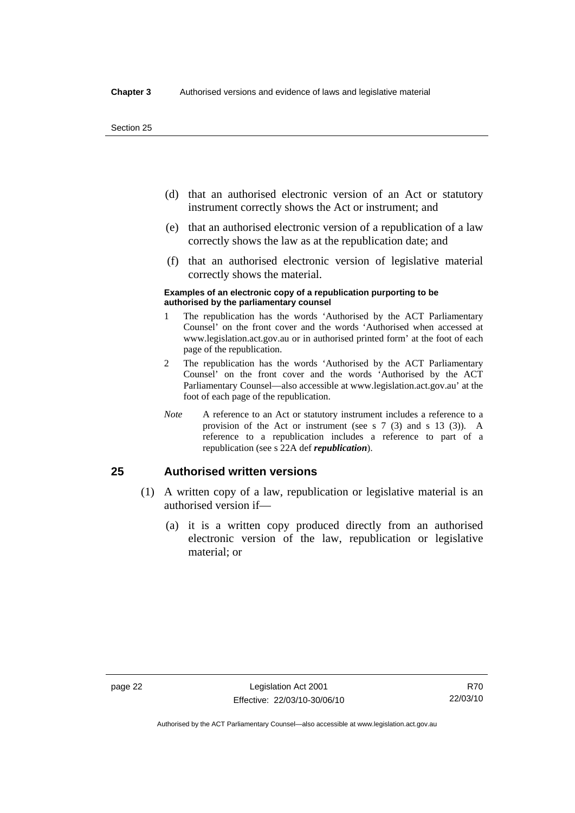- (d) that an authorised electronic version of an Act or statutory instrument correctly shows the Act or instrument; and
- (e) that an authorised electronic version of a republication of a law correctly shows the law as at the republication date; and
- (f) that an authorised electronic version of legislative material correctly shows the material.

#### **Examples of an electronic copy of a republication purporting to be authorised by the parliamentary counsel**

- 1 The republication has the words 'Authorised by the ACT Parliamentary Counsel' on the front cover and the words 'Authorised when accessed at www.legislation.act.gov.au or in authorised printed form' at the foot of each page of the republication.
- 2 The republication has the words 'Authorised by the ACT Parliamentary Counsel' on the front cover and the words 'Authorised by the ACT Parliamentary Counsel—also accessible at www.legislation.act.gov.au' at the foot of each page of the republication.
- *Note* A reference to an Act or statutory instrument includes a reference to a provision of the Act or instrument (see s 7 (3) and s 13 (3)). A reference to a republication includes a reference to part of a republication (see s 22A def *republication*).

## **25 Authorised written versions**

- (1) A written copy of a law, republication or legislative material is an authorised version if—
	- (a) it is a written copy produced directly from an authorised electronic version of the law, republication or legislative material; or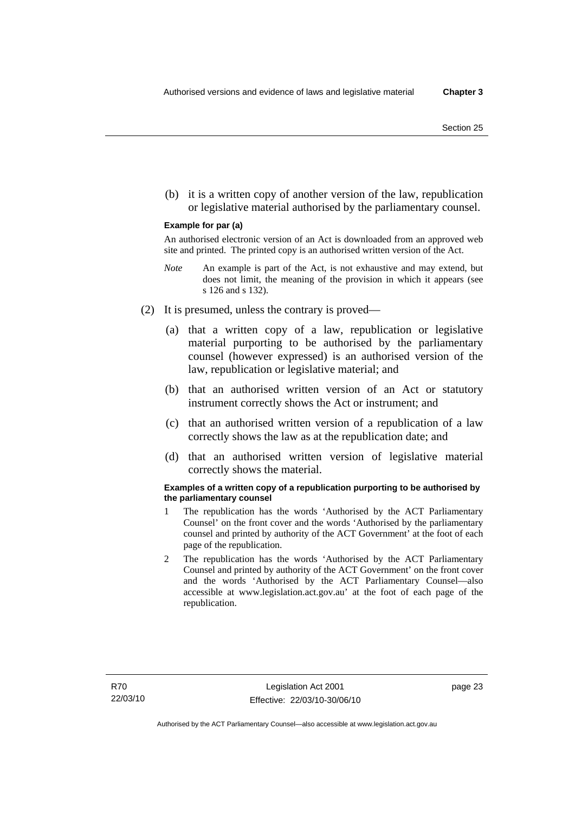(b) it is a written copy of another version of the law, republication or legislative material authorised by the parliamentary counsel.

#### **Example for par (a)**

An authorised electronic version of an Act is downloaded from an approved web site and printed. The printed copy is an authorised written version of the Act.

- *Note* An example is part of the Act, is not exhaustive and may extend, but does not limit, the meaning of the provision in which it appears (see s 126 and s 132).
- (2) It is presumed, unless the contrary is proved—
	- (a) that a written copy of a law, republication or legislative material purporting to be authorised by the parliamentary counsel (however expressed) is an authorised version of the law, republication or legislative material; and
	- (b) that an authorised written version of an Act or statutory instrument correctly shows the Act or instrument; and
	- (c) that an authorised written version of a republication of a law correctly shows the law as at the republication date; and
	- (d) that an authorised written version of legislative material correctly shows the material.

#### **Examples of a written copy of a republication purporting to be authorised by the parliamentary counsel**

- 1 The republication has the words 'Authorised by the ACT Parliamentary Counsel' on the front cover and the words 'Authorised by the parliamentary counsel and printed by authority of the ACT Government' at the foot of each page of the republication.
- 2 The republication has the words 'Authorised by the ACT Parliamentary Counsel and printed by authority of the ACT Government' on the front cover and the words 'Authorised by the ACT Parliamentary Counsel—also accessible at www.legislation.act.gov.au' at the foot of each page of the republication.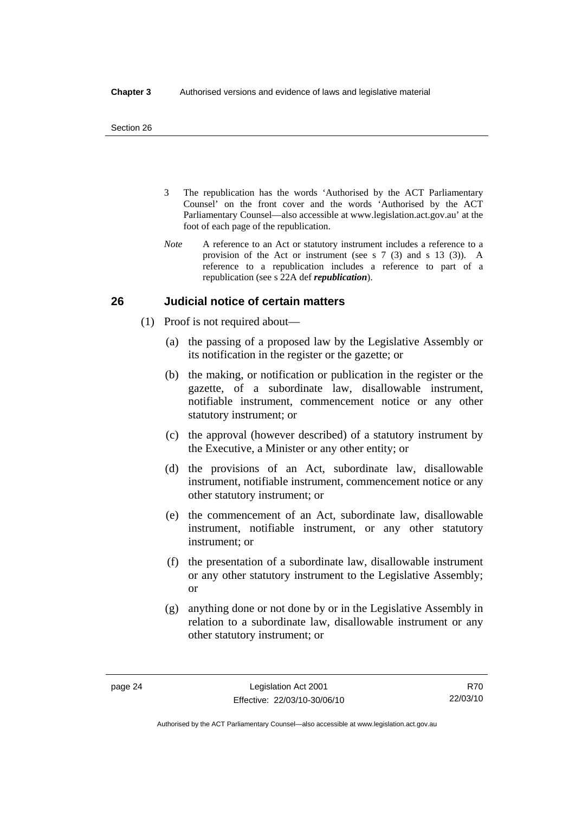- 3 The republication has the words 'Authorised by the ACT Parliamentary Counsel' on the front cover and the words 'Authorised by the ACT Parliamentary Counsel—also accessible at www.legislation.act.gov.au' at the foot of each page of the republication.
- *Note* A reference to an Act or statutory instrument includes a reference to a provision of the Act or instrument (see s 7 (3) and s 13 (3)). A reference to a republication includes a reference to part of a republication (see s 22A def *republication*).

## **26 Judicial notice of certain matters**

- (1) Proof is not required about—
	- (a) the passing of a proposed law by the Legislative Assembly or its notification in the register or the gazette; or
	- (b) the making, or notification or publication in the register or the gazette, of a subordinate law, disallowable instrument, notifiable instrument, commencement notice or any other statutory instrument; or
	- (c) the approval (however described) of a statutory instrument by the Executive, a Minister or any other entity; or
	- (d) the provisions of an Act, subordinate law, disallowable instrument, notifiable instrument, commencement notice or any other statutory instrument; or
	- (e) the commencement of an Act, subordinate law, disallowable instrument, notifiable instrument, or any other statutory instrument; or
	- (f) the presentation of a subordinate law, disallowable instrument or any other statutory instrument to the Legislative Assembly; or
	- (g) anything done or not done by or in the Legislative Assembly in relation to a subordinate law, disallowable instrument or any other statutory instrument; or

R70 22/03/10

Authorised by the ACT Parliamentary Counsel—also accessible at www.legislation.act.gov.au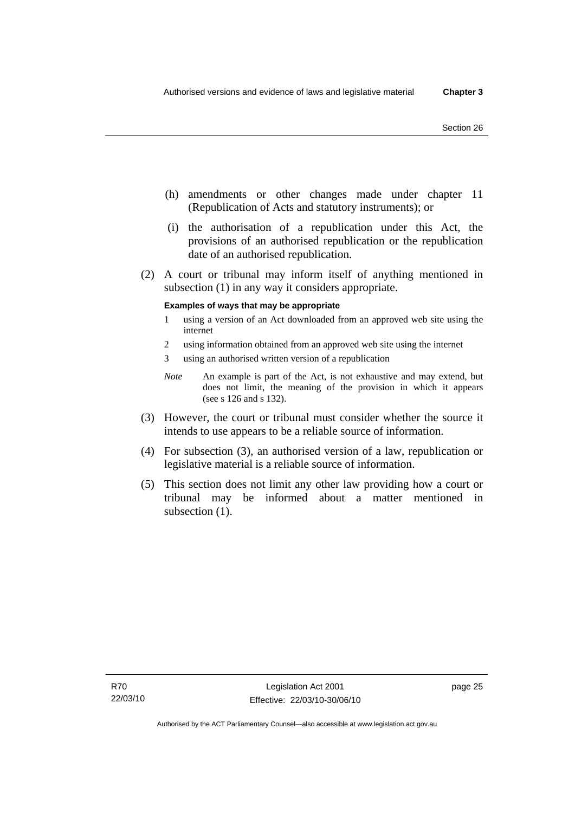- (h) amendments or other changes made under chapter 11 (Republication of Acts and statutory instruments); or
- (i) the authorisation of a republication under this Act, the provisions of an authorised republication or the republication date of an authorised republication.
- (2) A court or tribunal may inform itself of anything mentioned in subsection (1) in any way it considers appropriate.

### **Examples of ways that may be appropriate**

- 1 using a version of an Act downloaded from an approved web site using the internet
- 2 using information obtained from an approved web site using the internet
- 3 using an authorised written version of a republication
- *Note* An example is part of the Act, is not exhaustive and may extend, but does not limit, the meaning of the provision in which it appears (see s 126 and s 132).
- (3) However, the court or tribunal must consider whether the source it intends to use appears to be a reliable source of information.
- (4) For subsection (3), an authorised version of a law, republication or legislative material is a reliable source of information.
- (5) This section does not limit any other law providing how a court or tribunal may be informed about a matter mentioned in subsection  $(1)$ .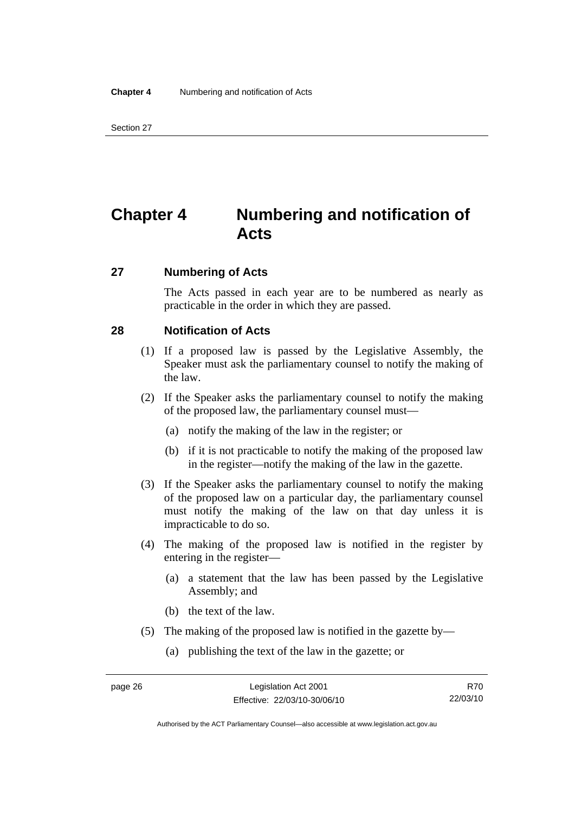## **Chapter 4 Numbering and notification of Acts**

## **27 Numbering of Acts**

The Acts passed in each year are to be numbered as nearly as practicable in the order in which they are passed.

## **28 Notification of Acts**

- (1) If a proposed law is passed by the Legislative Assembly, the Speaker must ask the parliamentary counsel to notify the making of the law.
- (2) If the Speaker asks the parliamentary counsel to notify the making of the proposed law, the parliamentary counsel must—
	- (a) notify the making of the law in the register; or
	- (b) if it is not practicable to notify the making of the proposed law in the register—notify the making of the law in the gazette.
- (3) If the Speaker asks the parliamentary counsel to notify the making of the proposed law on a particular day, the parliamentary counsel must notify the making of the law on that day unless it is impracticable to do so.
- (4) The making of the proposed law is notified in the register by entering in the register—
	- (a) a statement that the law has been passed by the Legislative Assembly; and
	- (b) the text of the law.
- (5) The making of the proposed law is notified in the gazette by—
	- (a) publishing the text of the law in the gazette; or

R70 22/03/10

Authorised by the ACT Parliamentary Counsel—also accessible at www.legislation.act.gov.au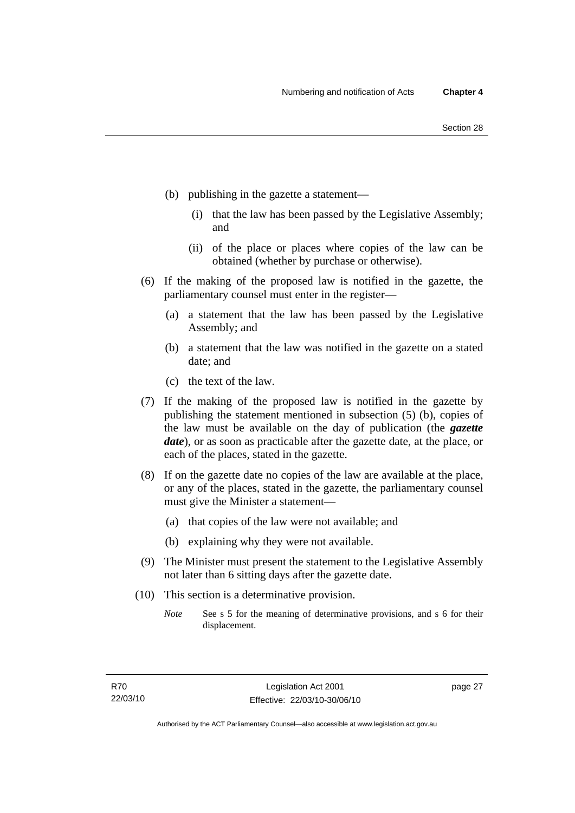- (b) publishing in the gazette a statement—
	- (i) that the law has been passed by the Legislative Assembly; and
	- (ii) of the place or places where copies of the law can be obtained (whether by purchase or otherwise).
- (6) If the making of the proposed law is notified in the gazette, the parliamentary counsel must enter in the register—
	- (a) a statement that the law has been passed by the Legislative Assembly; and
	- (b) a statement that the law was notified in the gazette on a stated date; and
	- (c) the text of the law.
- (7) If the making of the proposed law is notified in the gazette by publishing the statement mentioned in subsection (5) (b), copies of the law must be available on the day of publication (the *gazette date*), or as soon as practicable after the gazette date, at the place, or each of the places, stated in the gazette.
- (8) If on the gazette date no copies of the law are available at the place, or any of the places, stated in the gazette, the parliamentary counsel must give the Minister a statement—
	- (a) that copies of the law were not available; and
	- (b) explaining why they were not available.
- (9) The Minister must present the statement to the Legislative Assembly not later than 6 sitting days after the gazette date.
- (10) This section is a determinative provision.
	- *Note* See s 5 for the meaning of determinative provisions, and s 6 for their displacement.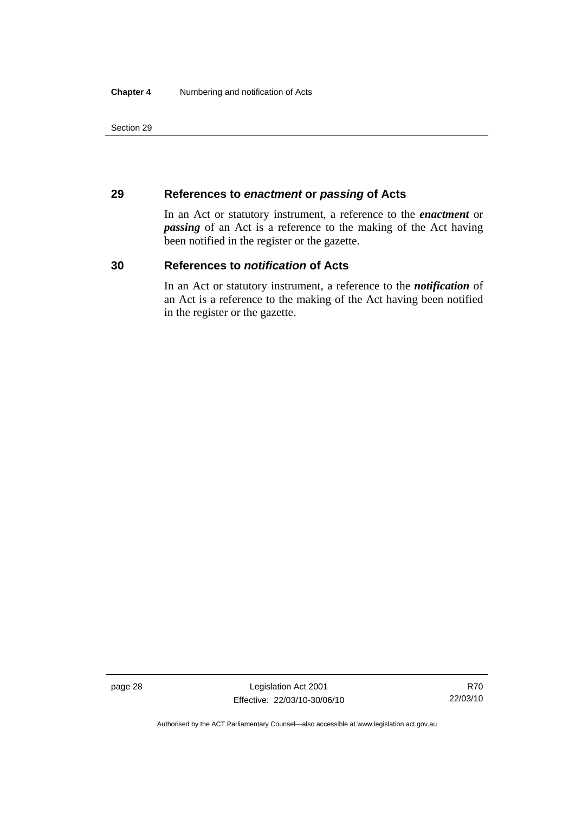## **29 References to** *enactment* **or** *passing* **of Acts**

In an Act or statutory instrument, a reference to the *enactment* or *passing* of an Act is a reference to the making of the Act having been notified in the register or the gazette.

## **30 References to** *notification* **of Acts**

In an Act or statutory instrument, a reference to the *notification* of an Act is a reference to the making of the Act having been notified in the register or the gazette.

page 28 Legislation Act 2001 Effective: 22/03/10-30/06/10

Authorised by the ACT Parliamentary Counsel—also accessible at www.legislation.act.gov.au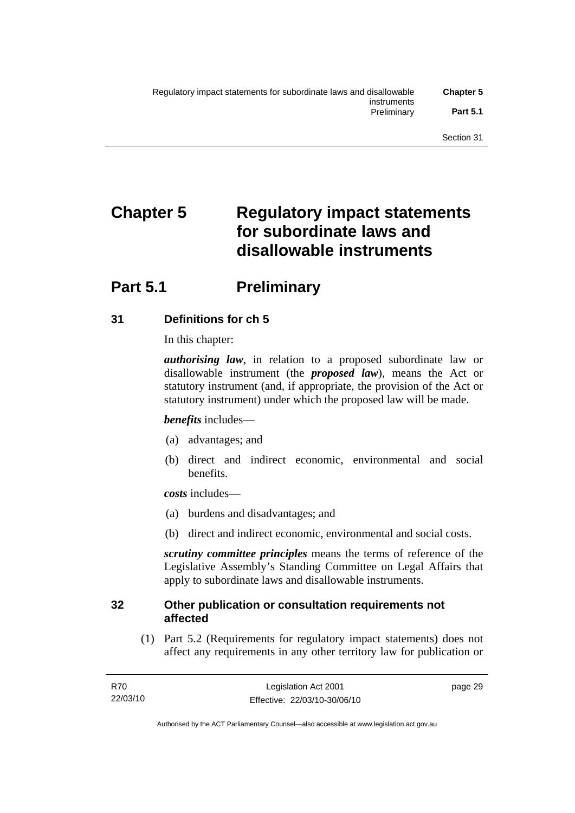# **Chapter 5 Regulatory impact statements for subordinate laws and disallowable instruments**

## **Part 5.1** Preliminary

## **31 Definitions for ch 5**

In this chapter:

*authorising law*, in relation to a proposed subordinate law or disallowable instrument (the *proposed law*), means the Act or statutory instrument (and, if appropriate, the provision of the Act or statutory instrument) under which the proposed law will be made.

## *benefits* includes—

- (a) advantages; and
- (b) direct and indirect economic, environmental and social benefits.

*costs* includes—

- (a) burdens and disadvantages; and
- (b) direct and indirect economic, environmental and social costs.

*scrutiny committee principles* means the terms of reference of the Legislative Assembly's Standing Committee on Legal Affairs that apply to subordinate laws and disallowable instruments.

## **32 Other publication or consultation requirements not affected**

 (1) Part 5.2 (Requirements for regulatory impact statements) does not affect any requirements in any other territory law for publication or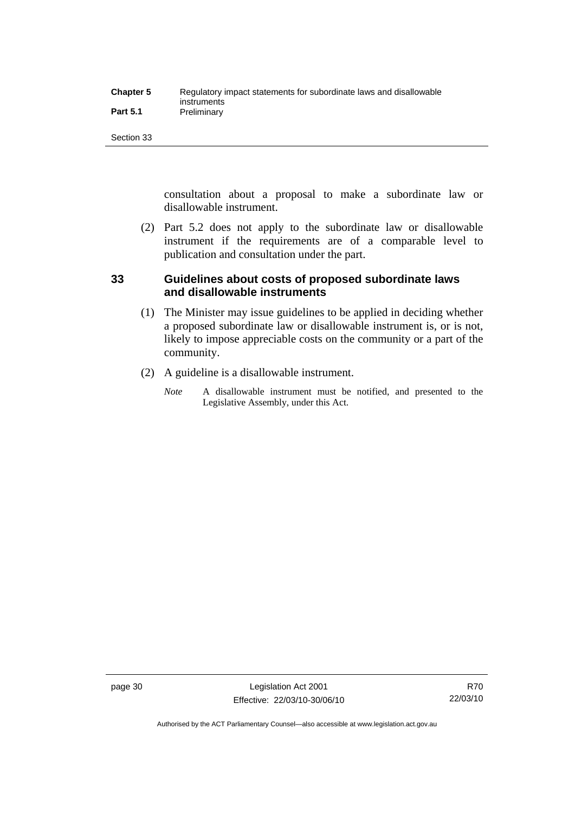| <b>Chapter 5</b> | Regulatory impact statements for subordinate laws and disallowable |
|------------------|--------------------------------------------------------------------|
|                  | instruments                                                        |
| <b>Part 5.1</b>  | Preliminary                                                        |

consultation about a proposal to make a subordinate law or disallowable instrument.

 (2) Part 5.2 does not apply to the subordinate law or disallowable instrument if the requirements are of a comparable level to publication and consultation under the part.

## **33 Guidelines about costs of proposed subordinate laws and disallowable instruments**

- (1) The Minister may issue guidelines to be applied in deciding whether a proposed subordinate law or disallowable instrument is, or is not, likely to impose appreciable costs on the community or a part of the community.
- (2) A guideline is a disallowable instrument.
	- *Note* A disallowable instrument must be notified, and presented to the Legislative Assembly, under this Act.

Authorised by the ACT Parliamentary Counsel—also accessible at www.legislation.act.gov.au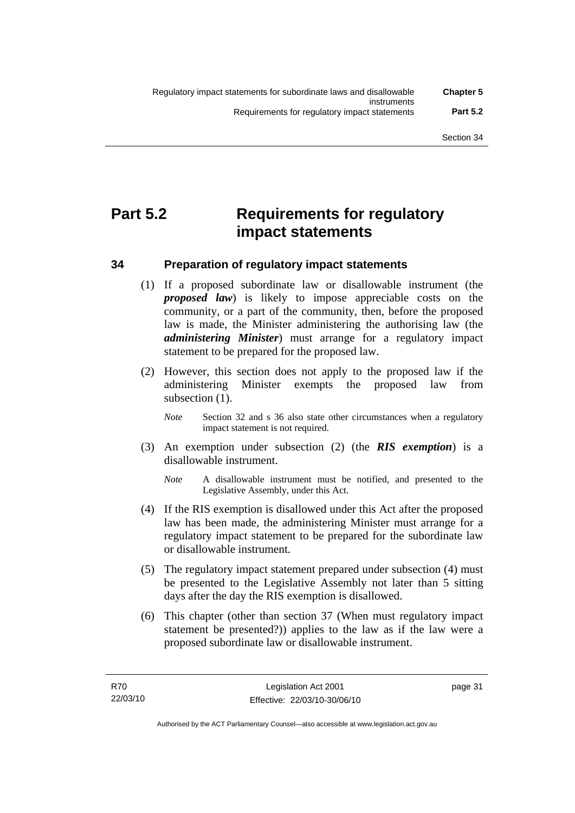## **Part 5.2 Requirements for regulatory impact statements**

## **34 Preparation of regulatory impact statements**

- (1) If a proposed subordinate law or disallowable instrument (the *proposed law*) is likely to impose appreciable costs on the community, or a part of the community, then, before the proposed law is made, the Minister administering the authorising law (the *administering Minister*) must arrange for a regulatory impact statement to be prepared for the proposed law.
- (2) However, this section does not apply to the proposed law if the administering Minister exempts the proposed law from subsection (1).
	- *Note* Section 32 and s 36 also state other circumstances when a regulatory impact statement is not required.
- (3) An exemption under subsection (2) (the *RIS exemption*) is a disallowable instrument.
	- *Note* A disallowable instrument must be notified, and presented to the Legislative Assembly, under this Act.
- (4) If the RIS exemption is disallowed under this Act after the proposed law has been made, the administering Minister must arrange for a regulatory impact statement to be prepared for the subordinate law or disallowable instrument.
- (5) The regulatory impact statement prepared under subsection (4) must be presented to the Legislative Assembly not later than 5 sitting days after the day the RIS exemption is disallowed.
- (6) This chapter (other than section 37 (When must regulatory impact statement be presented?)) applies to the law as if the law were a proposed subordinate law or disallowable instrument.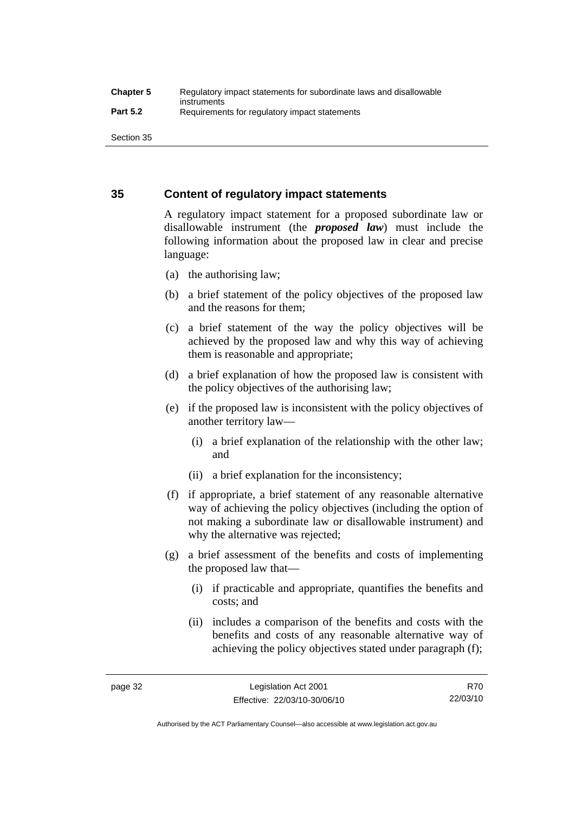## **35 Content of regulatory impact statements**

A regulatory impact statement for a proposed subordinate law or disallowable instrument (the *proposed law*) must include the following information about the proposed law in clear and precise language:

- (a) the authorising law;
- (b) a brief statement of the policy objectives of the proposed law and the reasons for them;
- (c) a brief statement of the way the policy objectives will be achieved by the proposed law and why this way of achieving them is reasonable and appropriate;
- (d) a brief explanation of how the proposed law is consistent with the policy objectives of the authorising law;
- (e) if the proposed law is inconsistent with the policy objectives of another territory law—
	- (i) a brief explanation of the relationship with the other law; and
	- (ii) a brief explanation for the inconsistency;
- (f) if appropriate, a brief statement of any reasonable alternative way of achieving the policy objectives (including the option of not making a subordinate law or disallowable instrument) and why the alternative was rejected;
- (g) a brief assessment of the benefits and costs of implementing the proposed law that—
	- (i) if practicable and appropriate, quantifies the benefits and costs; and
	- (ii) includes a comparison of the benefits and costs with the benefits and costs of any reasonable alternative way of achieving the policy objectives stated under paragraph (f);

Authorised by the ACT Parliamentary Counsel—also accessible at www.legislation.act.gov.au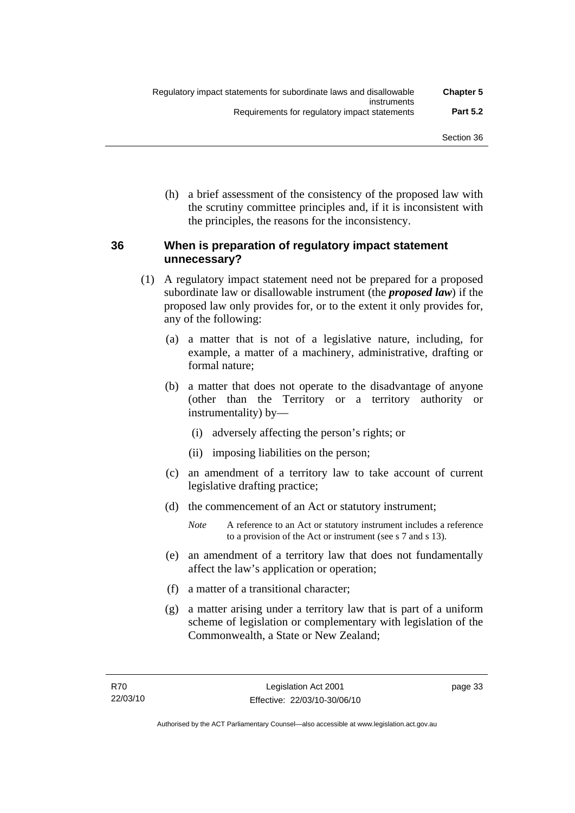(h) a brief assessment of the consistency of the proposed law with the scrutiny committee principles and, if it is inconsistent with the principles, the reasons for the inconsistency.

## **36 When is preparation of regulatory impact statement unnecessary?**

- (1) A regulatory impact statement need not be prepared for a proposed subordinate law or disallowable instrument (the *proposed law*) if the proposed law only provides for, or to the extent it only provides for, any of the following:
	- (a) a matter that is not of a legislative nature, including, for example, a matter of a machinery, administrative, drafting or formal nature;
	- (b) a matter that does not operate to the disadvantage of anyone (other than the Territory or a territory authority or instrumentality) by—
		- (i) adversely affecting the person's rights; or
		- (ii) imposing liabilities on the person;
	- (c) an amendment of a territory law to take account of current legislative drafting practice;
	- (d) the commencement of an Act or statutory instrument;
		- *Note* A reference to an Act or statutory instrument includes a reference to a provision of the Act or instrument (see s 7 and s 13).
	- (e) an amendment of a territory law that does not fundamentally affect the law's application or operation;
	- (f) a matter of a transitional character;
	- (g) a matter arising under a territory law that is part of a uniform scheme of legislation or complementary with legislation of the Commonwealth, a State or New Zealand;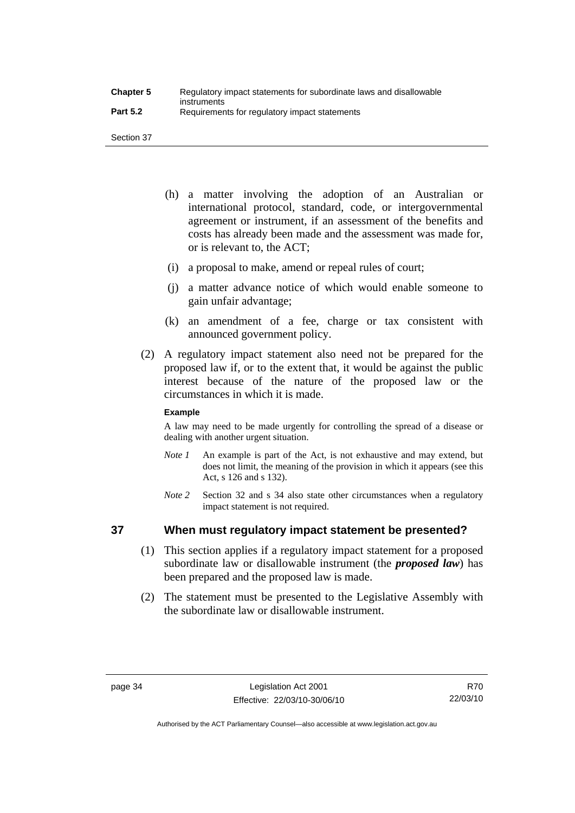- (h) a matter involving the adoption of an Australian or international protocol, standard, code, or intergovernmental agreement or instrument, if an assessment of the benefits and costs has already been made and the assessment was made for, or is relevant to, the ACT;
- (i) a proposal to make, amend or repeal rules of court;
- (j) a matter advance notice of which would enable someone to gain unfair advantage;
- (k) an amendment of a fee, charge or tax consistent with announced government policy.
- (2) A regulatory impact statement also need not be prepared for the proposed law if, or to the extent that, it would be against the public interest because of the nature of the proposed law or the circumstances in which it is made.

## **Example**

A law may need to be made urgently for controlling the spread of a disease or dealing with another urgent situation.

- *Note 1* An example is part of the Act, is not exhaustive and may extend, but does not limit, the meaning of the provision in which it appears (see this Act, s 126 and s 132).
- *Note* 2 Section 32 and s 34 also state other circumstances when a regulatory impact statement is not required.

## **37 When must regulatory impact statement be presented?**

- (1) This section applies if a regulatory impact statement for a proposed subordinate law or disallowable instrument (the *proposed law*) has been prepared and the proposed law is made.
- (2) The statement must be presented to the Legislative Assembly with the subordinate law or disallowable instrument.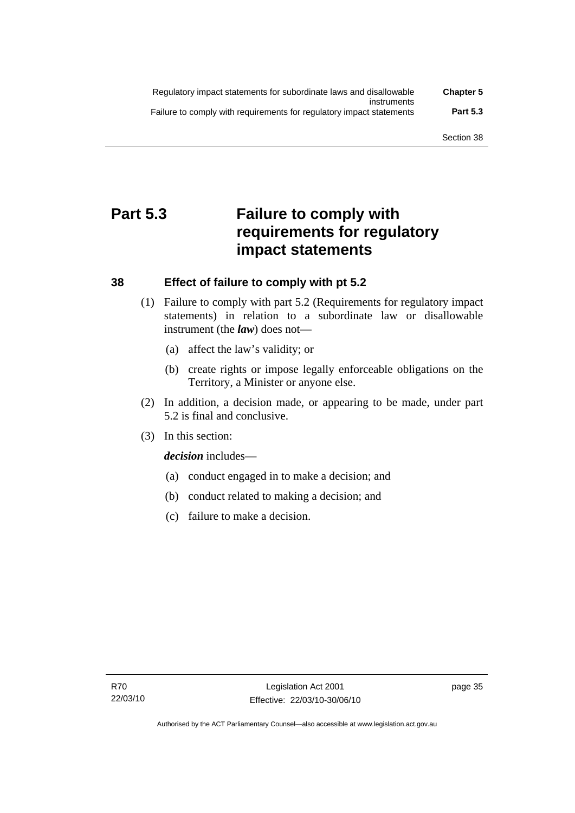| Regulatory impact statements for subordinate laws and disallowable   | <b>Chapter 5</b> |
|----------------------------------------------------------------------|------------------|
| instruments                                                          |                  |
| Failure to comply with requirements for regulatory impact statements | <b>Part 5.3</b>  |

## **Part 5.3 Failure to comply with requirements for regulatory impact statements**

## **38 Effect of failure to comply with pt 5.2**

- (1) Failure to comply with part 5.2 (Requirements for regulatory impact statements) in relation to a subordinate law or disallowable instrument (the *law*) does not—
	- (a) affect the law's validity; or
	- (b) create rights or impose legally enforceable obligations on the Territory, a Minister or anyone else.
- (2) In addition, a decision made, or appearing to be made, under part 5.2 is final and conclusive.
- (3) In this section:

*decision* includes—

- (a) conduct engaged in to make a decision; and
- (b) conduct related to making a decision; and
- (c) failure to make a decision.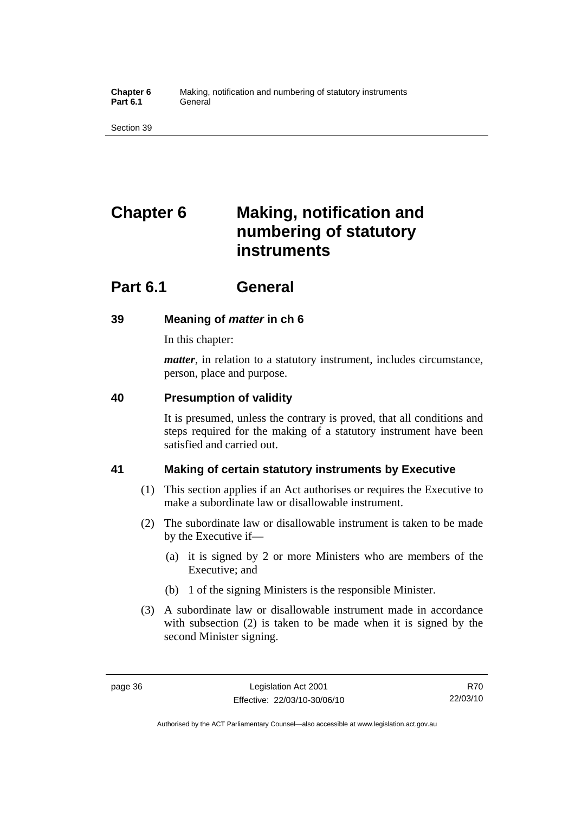**Chapter 6** Making, notification and numbering of statutory instruments Part 6.1 **General** 

Section 39

# **Chapter 6 Making, notification and numbering of statutory instruments**

## **Part 6.1 General**

## **39 Meaning of** *matter* **in ch 6**

In this chapter:

*matter*, in relation to a statutory instrument, includes circumstance, person, place and purpose.

## **40 Presumption of validity**

It is presumed, unless the contrary is proved, that all conditions and steps required for the making of a statutory instrument have been satisfied and carried out.

## **41 Making of certain statutory instruments by Executive**

- (1) This section applies if an Act authorises or requires the Executive to make a subordinate law or disallowable instrument.
- (2) The subordinate law or disallowable instrument is taken to be made by the Executive if—
	- (a) it is signed by 2 or more Ministers who are members of the Executive; and
	- (b) 1 of the signing Ministers is the responsible Minister.
- (3) A subordinate law or disallowable instrument made in accordance with subsection (2) is taken to be made when it is signed by the second Minister signing.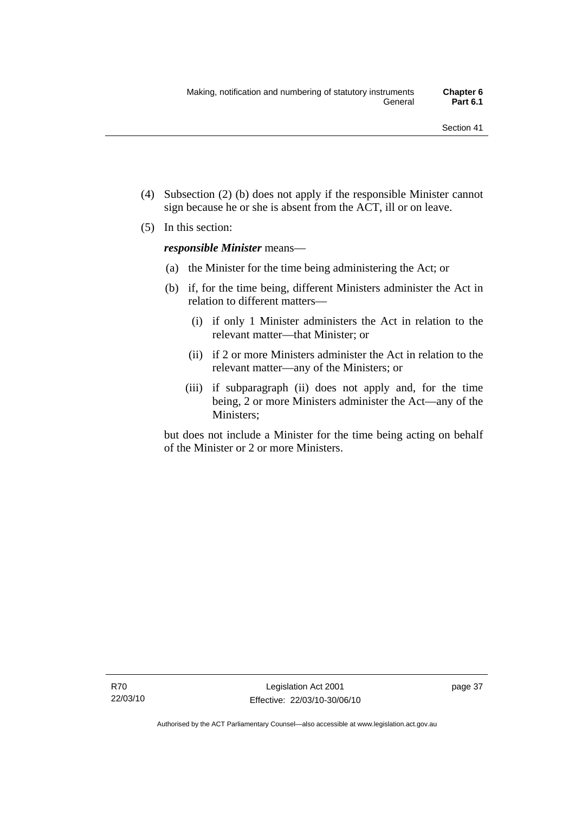- (4) Subsection (2) (b) does not apply if the responsible Minister cannot sign because he or she is absent from the ACT, ill or on leave.
- (5) In this section:

*responsible Minister* means—

- (a) the Minister for the time being administering the Act; or
- (b) if, for the time being, different Ministers administer the Act in relation to different matters—
	- (i) if only 1 Minister administers the Act in relation to the relevant matter—that Minister; or
	- (ii) if 2 or more Ministers administer the Act in relation to the relevant matter—any of the Ministers; or
	- (iii) if subparagraph (ii) does not apply and, for the time being, 2 or more Ministers administer the Act—any of the Ministers;

but does not include a Minister for the time being acting on behalf of the Minister or 2 or more Ministers.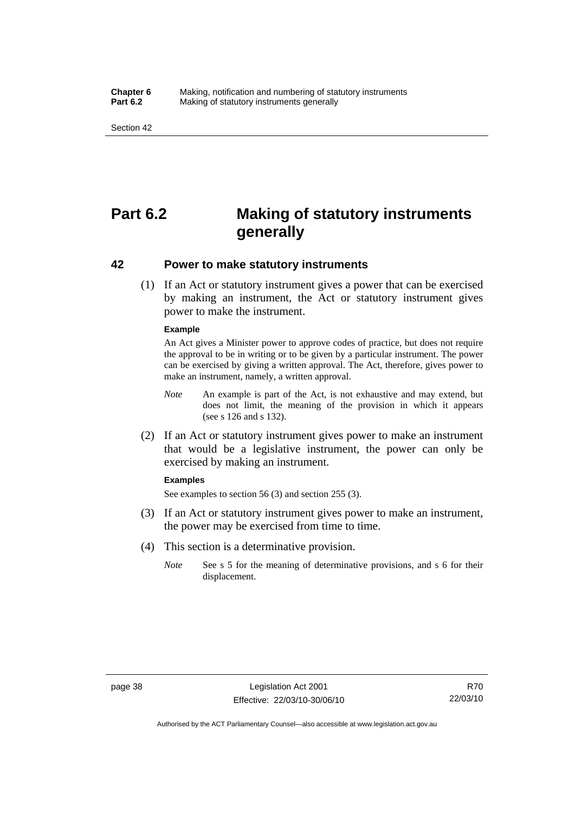#### **Chapter 6** Making, notification and numbering of statutory instruments<br>**Part 6.2** Making of statutory instruments generally **Making of statutory instruments generally**

Section 42

## **Part 6.2 Making of statutory instruments generally**

## **42 Power to make statutory instruments**

 (1) If an Act or statutory instrument gives a power that can be exercised by making an instrument, the Act or statutory instrument gives power to make the instrument.

#### **Example**

An Act gives a Minister power to approve codes of practice, but does not require the approval to be in writing or to be given by a particular instrument. The power can be exercised by giving a written approval. The Act, therefore, gives power to make an instrument, namely, a written approval.

- *Note* An example is part of the Act, is not exhaustive and may extend, but does not limit, the meaning of the provision in which it appears (see s 126 and s 132).
- (2) If an Act or statutory instrument gives power to make an instrument that would be a legislative instrument, the power can only be exercised by making an instrument.

#### **Examples**

See examples to section 56 (3) and section 255 (3).

- (3) If an Act or statutory instrument gives power to make an instrument, the power may be exercised from time to time.
- (4) This section is a determinative provision.
	- *Note* See s 5 for the meaning of determinative provisions, and s 6 for their displacement.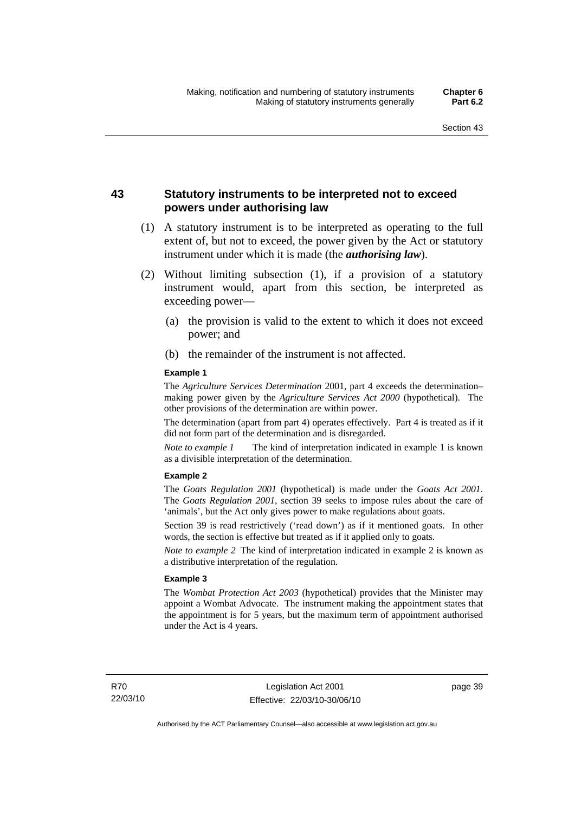## **43 Statutory instruments to be interpreted not to exceed powers under authorising law**

- (1) A statutory instrument is to be interpreted as operating to the full extent of, but not to exceed, the power given by the Act or statutory instrument under which it is made (the *authorising law*).
- (2) Without limiting subsection (1), if a provision of a statutory instrument would, apart from this section, be interpreted as exceeding power—
	- (a) the provision is valid to the extent to which it does not exceed power; and
	- (b) the remainder of the instrument is not affected.

#### **Example 1**

The *Agriculture Services Determination* 2001, part 4 exceeds the determination– making power given by the *Agriculture Services Act 2000* (hypothetical). The other provisions of the determination are within power.

The determination (apart from part 4) operates effectively. Part 4 is treated as if it did not form part of the determination and is disregarded.

*Note to example 1* The kind of interpretation indicated in example 1 is known as a divisible interpretation of the determination.

#### **Example 2**

The *Goats Regulation 2001* (hypothetical) is made under the *Goats Act 2001*. The *Goats Regulation 2001*, section 39 seeks to impose rules about the care of 'animals', but the Act only gives power to make regulations about goats.

Section 39 is read restrictively ('read down') as if it mentioned goats. In other words, the section is effective but treated as if it applied only to goats.

*Note to example 2* The kind of interpretation indicated in example 2 is known as a distributive interpretation of the regulation.

#### **Example 3**

The *Wombat Protection Act 2003* (hypothetical) provides that the Minister may appoint a Wombat Advocate. The instrument making the appointment states that the appointment is for 5 years, but the maximum term of appointment authorised under the Act is 4 years.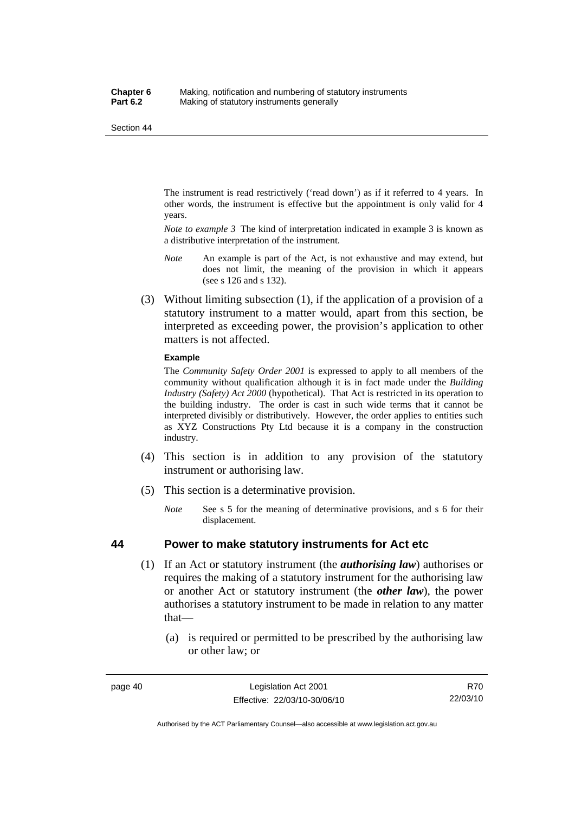The instrument is read restrictively ('read down') as if it referred to 4 years. In other words, the instrument is effective but the appointment is only valid for 4 years.

*Note to example 3* The kind of interpretation indicated in example 3 is known as a distributive interpretation of the instrument.

- *Note* An example is part of the Act, is not exhaustive and may extend, but does not limit, the meaning of the provision in which it appears (see s 126 and s 132).
- (3) Without limiting subsection (1), if the application of a provision of a statutory instrument to a matter would, apart from this section, be interpreted as exceeding power, the provision's application to other matters is not affected.

#### **Example**

The *Community Safety Order 2001* is expressed to apply to all members of the community without qualification although it is in fact made under the *Building Industry (Safety) Act 2000* (hypothetical). That Act is restricted in its operation to the building industry. The order is cast in such wide terms that it cannot be interpreted divisibly or distributively. However, the order applies to entities such as XYZ Constructions Pty Ltd because it is a company in the construction industry.

- (4) This section is in addition to any provision of the statutory instrument or authorising law.
- (5) This section is a determinative provision.
	- *Note* See s 5 for the meaning of determinative provisions, and s 6 for their displacement.

## **44 Power to make statutory instruments for Act etc**

- (1) If an Act or statutory instrument (the *authorising law*) authorises or requires the making of a statutory instrument for the authorising law or another Act or statutory instrument (the *other law*), the power authorises a statutory instrument to be made in relation to any matter that—
	- (a) is required or permitted to be prescribed by the authorising law or other law; or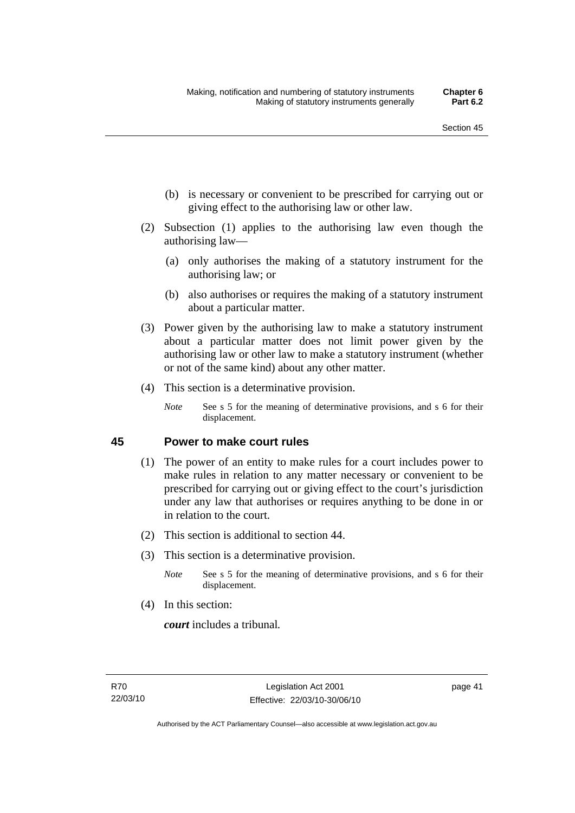- (b) is necessary or convenient to be prescribed for carrying out or giving effect to the authorising law or other law.
- (2) Subsection (1) applies to the authorising law even though the authorising law—
	- (a) only authorises the making of a statutory instrument for the authorising law; or
	- (b) also authorises or requires the making of a statutory instrument about a particular matter.
- (3) Power given by the authorising law to make a statutory instrument about a particular matter does not limit power given by the authorising law or other law to make a statutory instrument (whether or not of the same kind) about any other matter.
- (4) This section is a determinative provision.
	- *Note* See s 5 for the meaning of determinative provisions, and s 6 for their displacement.

## **45 Power to make court rules**

- (1) The power of an entity to make rules for a court includes power to make rules in relation to any matter necessary or convenient to be prescribed for carrying out or giving effect to the court's jurisdiction under any law that authorises or requires anything to be done in or in relation to the court.
- (2) This section is additional to section 44.
- (3) This section is a determinative provision.
	- *Note* See s 5 for the meaning of determinative provisions, and s 6 for their displacement.
- (4) In this section:

*court* includes a tribunal*.*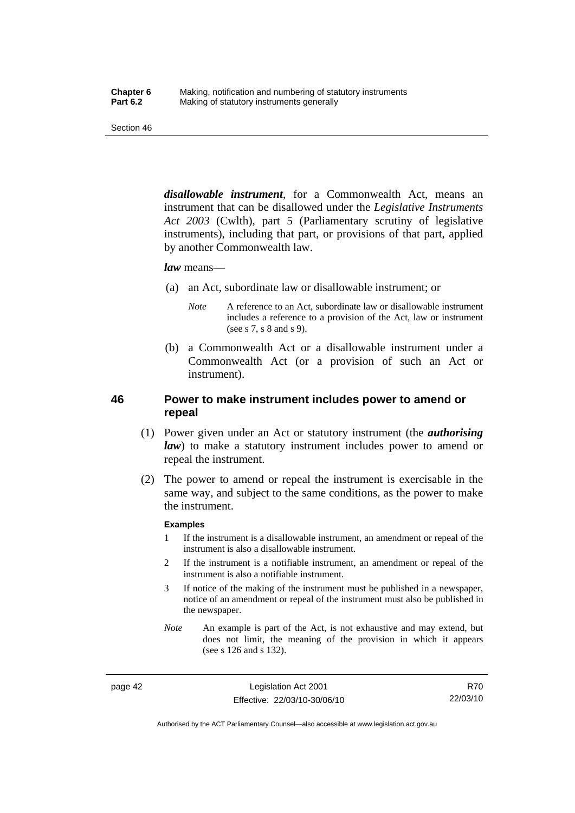*disallowable instrument*, for a Commonwealth Act, means an instrument that can be disallowed under the *Legislative Instruments Act 2003* (Cwlth), part 5 (Parliamentary scrutiny of legislative instruments), including that part, or provisions of that part, applied by another Commonwealth law.

#### *law* means—

- (a) an Act, subordinate law or disallowable instrument; or
	- *Note* A reference to an Act, subordinate law or disallowable instrument includes a reference to a provision of the Act, law or instrument (see s 7, s 8 and s 9).
- (b) a Commonwealth Act or a disallowable instrument under a Commonwealth Act (or a provision of such an Act or instrument).

## **46 Power to make instrument includes power to amend or repeal**

- (1) Power given under an Act or statutory instrument (the *authorising law*) to make a statutory instrument includes power to amend or repeal the instrument.
- (2) The power to amend or repeal the instrument is exercisable in the same way, and subject to the same conditions, as the power to make the instrument.

#### **Examples**

- 1 If the instrument is a disallowable instrument, an amendment or repeal of the instrument is also a disallowable instrument.
- 2 If the instrument is a notifiable instrument, an amendment or repeal of the instrument is also a notifiable instrument.
- 3 If notice of the making of the instrument must be published in a newspaper, notice of an amendment or repeal of the instrument must also be published in the newspaper.
- *Note* An example is part of the Act, is not exhaustive and may extend, but does not limit, the meaning of the provision in which it appears (see s 126 and s 132).

page 42 Legislation Act 2001 Effective: 22/03/10-30/06/10

R70 22/03/10

Authorised by the ACT Parliamentary Counsel—also accessible at www.legislation.act.gov.au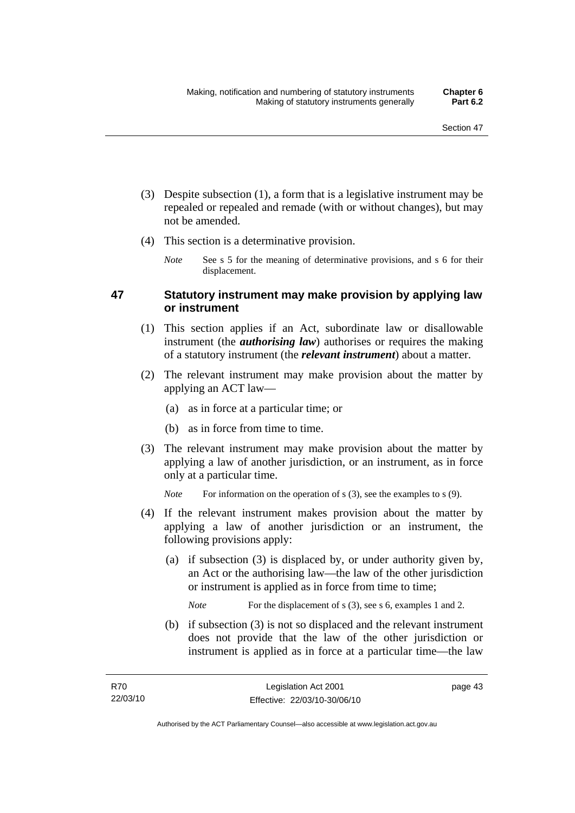- (3) Despite subsection (1), a form that is a legislative instrument may be repealed or repealed and remade (with or without changes), but may not be amended.
- (4) This section is a determinative provision.
	- *Note* See s 5 for the meaning of determinative provisions, and s 6 for their displacement.

## **47 Statutory instrument may make provision by applying law or instrument**

- (1) This section applies if an Act, subordinate law or disallowable instrument (the *authorising law*) authorises or requires the making of a statutory instrument (the *relevant instrument*) about a matter.
- (2) The relevant instrument may make provision about the matter by applying an ACT law—
	- (a) as in force at a particular time; or
	- (b) as in force from time to time.
- (3) The relevant instrument may make provision about the matter by applying a law of another jurisdiction, or an instrument, as in force only at a particular time.

*Note* For information on the operation of s (3), see the examples to s (9).

- (4) If the relevant instrument makes provision about the matter by applying a law of another jurisdiction or an instrument, the following provisions apply:
	- (a) if subsection (3) is displaced by, or under authority given by, an Act or the authorising law—the law of the other jurisdiction or instrument is applied as in force from time to time;

*Note* For the displacement of s (3), see s 6, examples 1 and 2.

 (b) if subsection (3) is not so displaced and the relevant instrument does not provide that the law of the other jurisdiction or instrument is applied as in force at a particular time—the law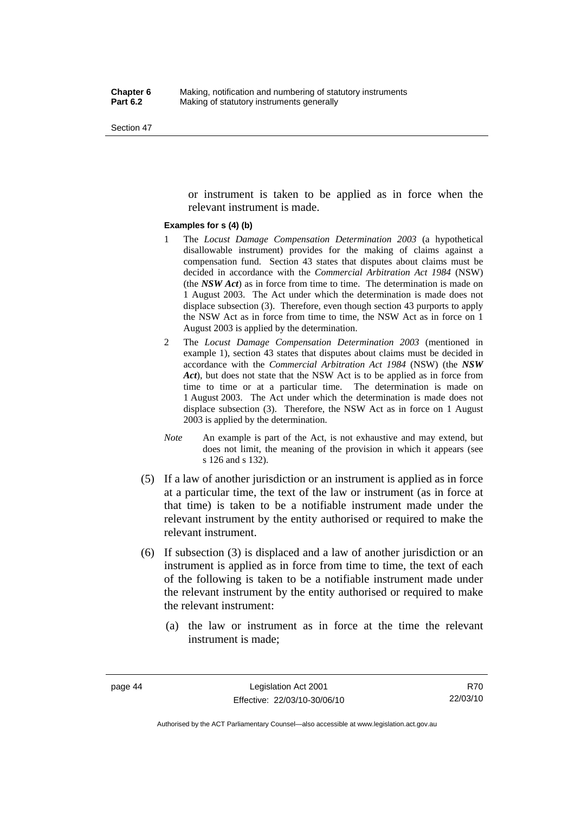or instrument is taken to be applied as in force when the relevant instrument is made.

#### **Examples for s (4) (b)**

- 1 The *Locust Damage Compensation Determination 2003* (a hypothetical disallowable instrument) provides for the making of claims against a compensation fund. Section 43 states that disputes about claims must be decided in accordance with the *Commercial Arbitration Act 1984* (NSW) (the *NSW Act*) as in force from time to time. The determination is made on 1 August 2003. The Act under which the determination is made does not displace subsection (3). Therefore, even though section 43 purports to apply the NSW Act as in force from time to time, the NSW Act as in force on 1 August 2003 is applied by the determination.
- 2 The *Locust Damage Compensation Determination 2003* (mentioned in example 1), section 43 states that disputes about claims must be decided in accordance with the *Commercial Arbitration Act 1984* (NSW) (the *NSW Act*), but does not state that the NSW Act is to be applied as in force from time to time or at a particular time. The determination is made on 1 August 2003. The Act under which the determination is made does not displace subsection (3). Therefore, the NSW Act as in force on 1 August 2003 is applied by the determination.
- *Note* An example is part of the Act, is not exhaustive and may extend, but does not limit, the meaning of the provision in which it appears (see s 126 and s 132).
- (5) If a law of another jurisdiction or an instrument is applied as in force at a particular time, the text of the law or instrument (as in force at that time) is taken to be a notifiable instrument made under the relevant instrument by the entity authorised or required to make the relevant instrument.
- (6) If subsection (3) is displaced and a law of another jurisdiction or an instrument is applied as in force from time to time, the text of each of the following is taken to be a notifiable instrument made under the relevant instrument by the entity authorised or required to make the relevant instrument:
	- (a) the law or instrument as in force at the time the relevant instrument is made;

R70 22/03/10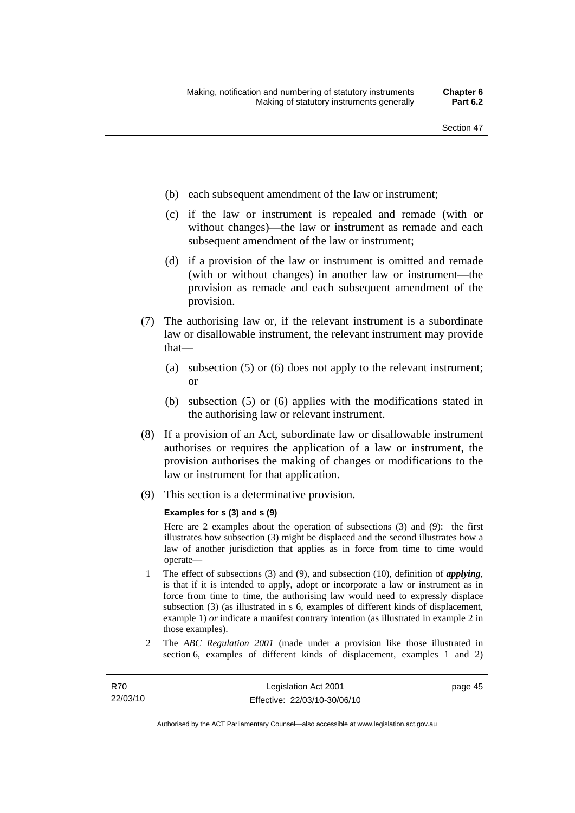- (b) each subsequent amendment of the law or instrument;
- (c) if the law or instrument is repealed and remade (with or without changes)—the law or instrument as remade and each subsequent amendment of the law or instrument;
- (d) if a provision of the law or instrument is omitted and remade (with or without changes) in another law or instrument—the provision as remade and each subsequent amendment of the provision.
- (7) The authorising law or, if the relevant instrument is a subordinate law or disallowable instrument, the relevant instrument may provide that—
	- (a) subsection (5) or (6) does not apply to the relevant instrument; or
	- (b) subsection (5) or (6) applies with the modifications stated in the authorising law or relevant instrument.
- (8) If a provision of an Act, subordinate law or disallowable instrument authorises or requires the application of a law or instrument, the provision authorises the making of changes or modifications to the law or instrument for that application.
- (9) This section is a determinative provision.

#### **Examples for s (3) and s (9)**

Here are 2 examples about the operation of subsections (3) and (9): the first illustrates how subsection (3) might be displaced and the second illustrates how a law of another jurisdiction that applies as in force from time to time would operate—

- 1 The effect of subsections (3) and (9), and subsection (10), definition of *applying*, is that if it is intended to apply, adopt or incorporate a law or instrument as in force from time to time, the authorising law would need to expressly displace subsection (3) (as illustrated in s 6, examples of different kinds of displacement, example 1) *or* indicate a manifest contrary intention (as illustrated in example 2 in those examples).
- 2 The *ABC Regulation 2001* (made under a provision like those illustrated in section 6, examples of different kinds of displacement, examples 1 and 2)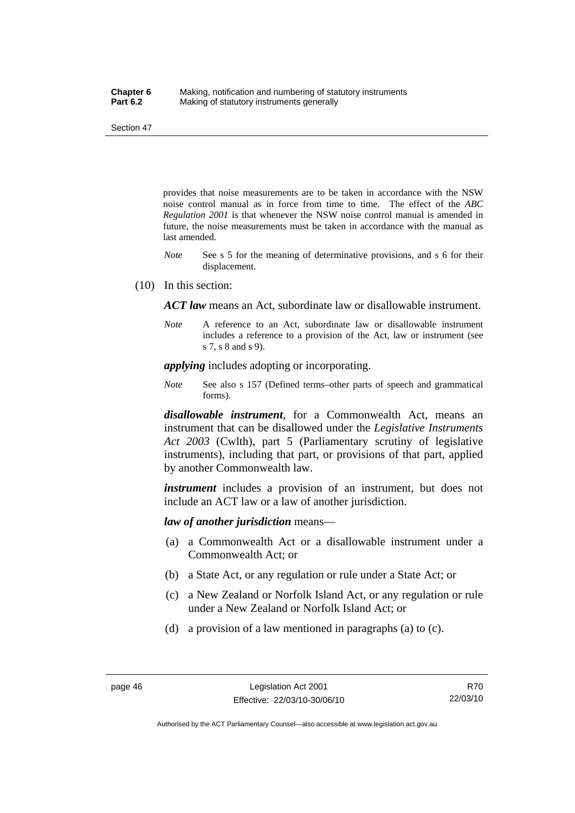provides that noise measurements are to be taken in accordance with the NSW noise control manual as in force from time to time. The effect of the *ABC Regulation 2001* is that whenever the NSW noise control manual is amended in future, the noise measurements must be taken in accordance with the manual as last amended.

- *Note* See s 5 for the meaning of determinative provisions, and s 6 for their displacement.
- (10) In this section:

*ACT law* means an Act, subordinate law or disallowable instrument.

*Note* A reference to an Act, subordinate law or disallowable instrument includes a reference to a provision of the Act, law or instrument (see s 7, s 8 and s 9).

*applying* includes adopting or incorporating.

*Note* See also s 157 (Defined terms–other parts of speech and grammatical forms).

*disallowable instrument*, for a Commonwealth Act, means an instrument that can be disallowed under the *Legislative Instruments Act 2003* (Cwlth), part 5 (Parliamentary scrutiny of legislative instruments), including that part, or provisions of that part, applied by another Commonwealth law.

*instrument* includes a provision of an instrument, but does not include an ACT law or a law of another jurisdiction.

*law of another jurisdiction* means—

- (a) a Commonwealth Act or a disallowable instrument under a Commonwealth Act; or
- (b) a State Act, or any regulation or rule under a State Act; or
- (c) a New Zealand or Norfolk Island Act, or any regulation or rule under a New Zealand or Norfolk Island Act; or
- (d) a provision of a law mentioned in paragraphs (a) to (c).

Authorised by the ACT Parliamentary Counsel—also accessible at www.legislation.act.gov.au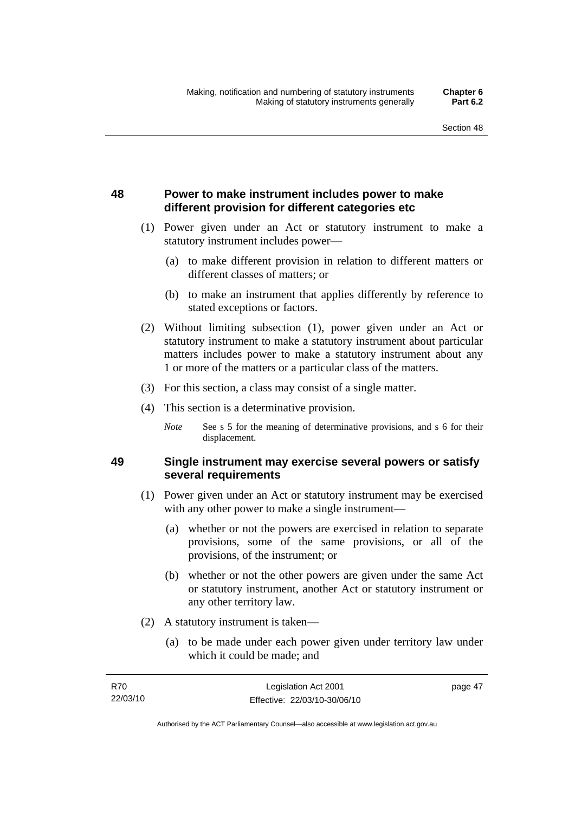page 47

## **48 Power to make instrument includes power to make different provision for different categories etc**

- (1) Power given under an Act or statutory instrument to make a statutory instrument includes power—
	- (a) to make different provision in relation to different matters or different classes of matters; or
	- (b) to make an instrument that applies differently by reference to stated exceptions or factors.
- (2) Without limiting subsection (1), power given under an Act or statutory instrument to make a statutory instrument about particular matters includes power to make a statutory instrument about any 1 or more of the matters or a particular class of the matters.
- (3) For this section, a class may consist of a single matter.
- (4) This section is a determinative provision.
	- *Note* See s 5 for the meaning of determinative provisions, and s 6 for their displacement.

## **49 Single instrument may exercise several powers or satisfy several requirements**

- (1) Power given under an Act or statutory instrument may be exercised with any other power to make a single instrument—
	- (a) whether or not the powers are exercised in relation to separate provisions, some of the same provisions, or all of the provisions, of the instrument; or
	- (b) whether or not the other powers are given under the same Act or statutory instrument, another Act or statutory instrument or any other territory law.
- (2) A statutory instrument is taken—
	- (a) to be made under each power given under territory law under which it could be made; and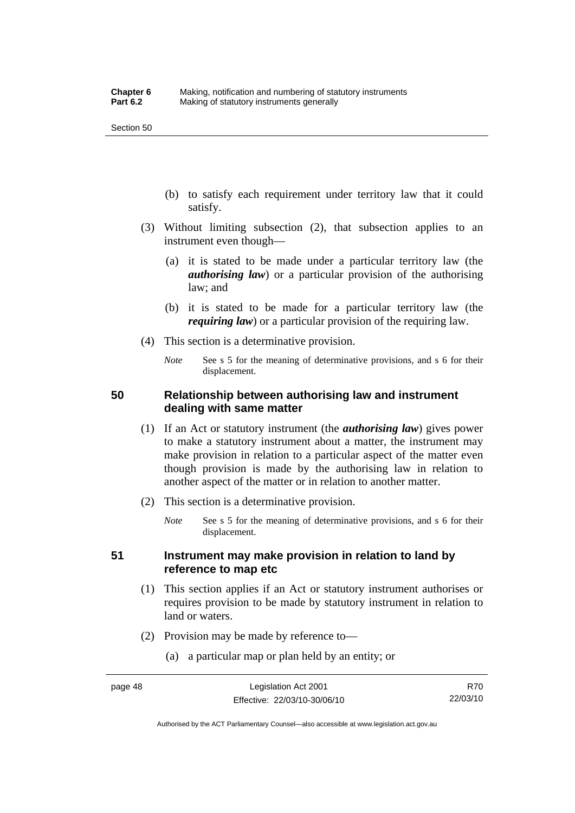- (b) to satisfy each requirement under territory law that it could satisfy.
- (3) Without limiting subsection (2), that subsection applies to an instrument even though—
	- (a) it is stated to be made under a particular territory law (the *authorising law*) or a particular provision of the authorising law; and
	- (b) it is stated to be made for a particular territory law (the *requiring law*) or a particular provision of the requiring law.
- (4) This section is a determinative provision.
	- *Note* See s 5 for the meaning of determinative provisions, and s 6 for their displacement.

## **50 Relationship between authorising law and instrument dealing with same matter**

- (1) If an Act or statutory instrument (the *authorising law*) gives power to make a statutory instrument about a matter, the instrument may make provision in relation to a particular aspect of the matter even though provision is made by the authorising law in relation to another aspect of the matter or in relation to another matter.
- (2) This section is a determinative provision.
	- *Note* See s 5 for the meaning of determinative provisions, and s 6 for their displacement.

## **51 Instrument may make provision in relation to land by reference to map etc**

- (1) This section applies if an Act or statutory instrument authorises or requires provision to be made by statutory instrument in relation to land or waters.
- (2) Provision may be made by reference to—
	- (a) a particular map or plan held by an entity; or

Authorised by the ACT Parliamentary Counsel—also accessible at www.legislation.act.gov.au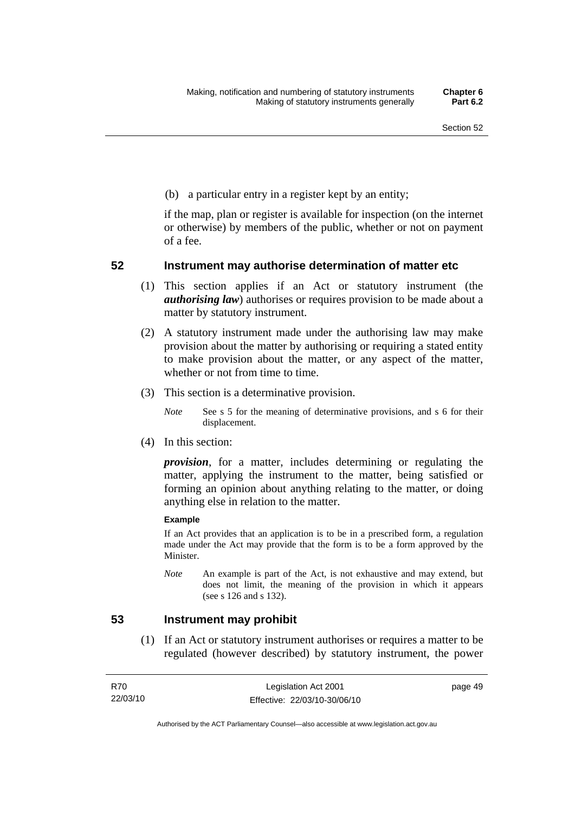(b) a particular entry in a register kept by an entity;

if the map, plan or register is available for inspection (on the internet or otherwise) by members of the public, whether or not on payment of a fee.

## **52 Instrument may authorise determination of matter etc**

- (1) This section applies if an Act or statutory instrument (the *authorising law*) authorises or requires provision to be made about a matter by statutory instrument.
- (2) A statutory instrument made under the authorising law may make provision about the matter by authorising or requiring a stated entity to make provision about the matter, or any aspect of the matter, whether or not from time to time.
- (3) This section is a determinative provision.
	- *Note* See s 5 for the meaning of determinative provisions, and s 6 for their displacement.
- (4) In this section:

*provision*, for a matter, includes determining or regulating the matter, applying the instrument to the matter, being satisfied or forming an opinion about anything relating to the matter, or doing anything else in relation to the matter.

#### **Example**

If an Act provides that an application is to be in a prescribed form, a regulation made under the Act may provide that the form is to be a form approved by the Minister.

*Note* An example is part of the Act, is not exhaustive and may extend, but does not limit, the meaning of the provision in which it appears (see s 126 and s 132).

## **53 Instrument may prohibit**

 (1) If an Act or statutory instrument authorises or requires a matter to be regulated (however described) by statutory instrument, the power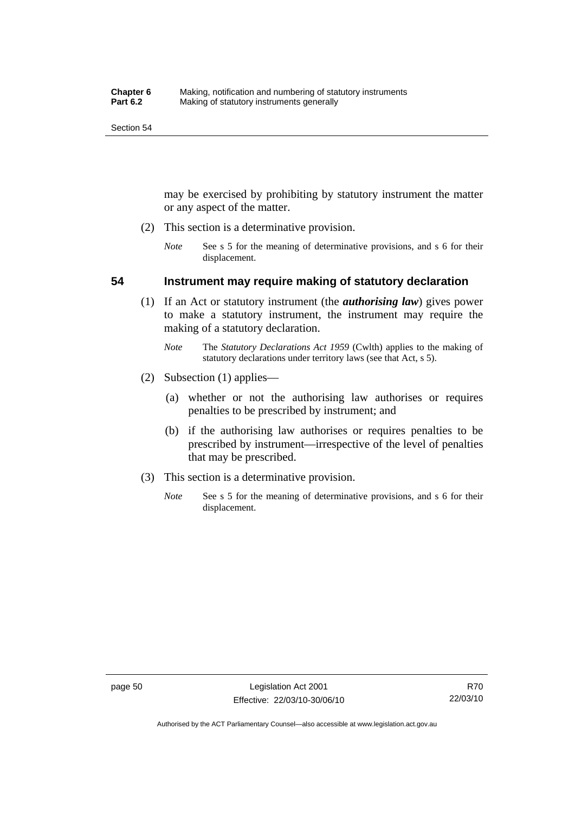may be exercised by prohibiting by statutory instrument the matter or any aspect of the matter.

- (2) This section is a determinative provision.
	- *Note* See s 5 for the meaning of determinative provisions, and s 6 for their displacement.

## **54 Instrument may require making of statutory declaration**

- (1) If an Act or statutory instrument (the *authorising law*) gives power to make a statutory instrument, the instrument may require the making of a statutory declaration.
	- *Note* The *Statutory Declarations Act 1959* (Cwlth) applies to the making of statutory declarations under territory laws (see that Act, s 5).
- (2) Subsection (1) applies—
	- (a) whether or not the authorising law authorises or requires penalties to be prescribed by instrument; and
	- (b) if the authorising law authorises or requires penalties to be prescribed by instrument—irrespective of the level of penalties that may be prescribed.
- (3) This section is a determinative provision.
	- *Note* See s 5 for the meaning of determinative provisions, and s 6 for their displacement.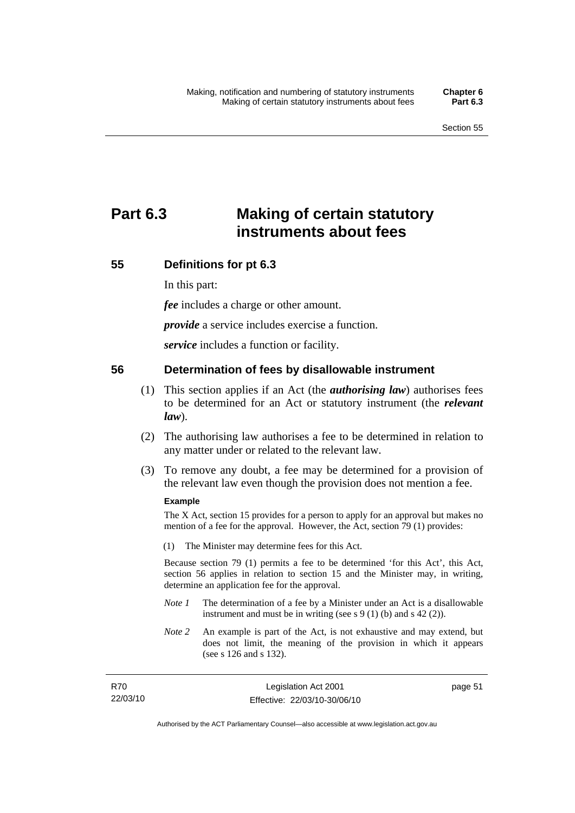# **Part 6.3 Making of certain statutory instruments about fees**

## **55 Definitions for pt 6.3**

In this part:

*fee* includes a charge or other amount.

*provide* a service includes exercise a function.

*service* includes a function or facility.

## **56 Determination of fees by disallowable instrument**

- (1) This section applies if an Act (the *authorising law*) authorises fees to be determined for an Act or statutory instrument (the *relevant law*).
- (2) The authorising law authorises a fee to be determined in relation to any matter under or related to the relevant law.
- (3) To remove any doubt, a fee may be determined for a provision of the relevant law even though the provision does not mention a fee.

## **Example**

The X Act, section 15 provides for a person to apply for an approval but makes no mention of a fee for the approval. However, the Act, section 79 (1) provides:

(1) The Minister may determine fees for this Act.

Because section 79 (1) permits a fee to be determined 'for this Act', this Act, section 56 applies in relation to section 15 and the Minister may, in writing, determine an application fee for the approval.

- *Note 1* The determination of a fee by a Minister under an Act is a disallowable instrument and must be in writing (see s 9 (1) (b) and s 42 (2)).
- *Note 2* An example is part of the Act, is not exhaustive and may extend, but does not limit, the meaning of the provision in which it appears (see s 126 and s 132).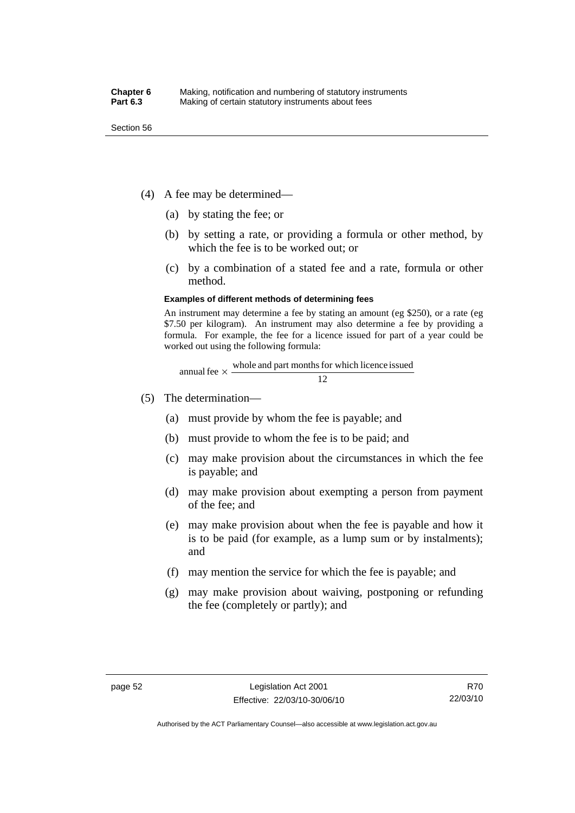- (4) A fee may be determined—
	- (a) by stating the fee; or
	- (b) by setting a rate, or providing a formula or other method, by which the fee is to be worked out; or
	- (c) by a combination of a stated fee and a rate, formula or other method.

#### **Examples of different methods of determining fees**

An instrument may determine a fee by stating an amount (eg \$250), or a rate (eg \$7.50 per kilogram). An instrument may also determine a fee by providing a formula. For example, the fee for a licence issued for part of a year could be worked out using the following formula:

annual fee 
$$
\times
$$
  $\frac{\text{whole and part months for which licence issued}}{12}$ 

- (5) The determination—
	- (a) must provide by whom the fee is payable; and
	- (b) must provide to whom the fee is to be paid; and
	- (c) may make provision about the circumstances in which the fee is payable; and
	- (d) may make provision about exempting a person from payment of the fee; and
	- (e) may make provision about when the fee is payable and how it is to be paid (for example, as a lump sum or by instalments); and
	- (f) may mention the service for which the fee is payable; and
	- (g) may make provision about waiving, postponing or refunding the fee (completely or partly); and

Authorised by the ACT Parliamentary Counsel—also accessible at www.legislation.act.gov.au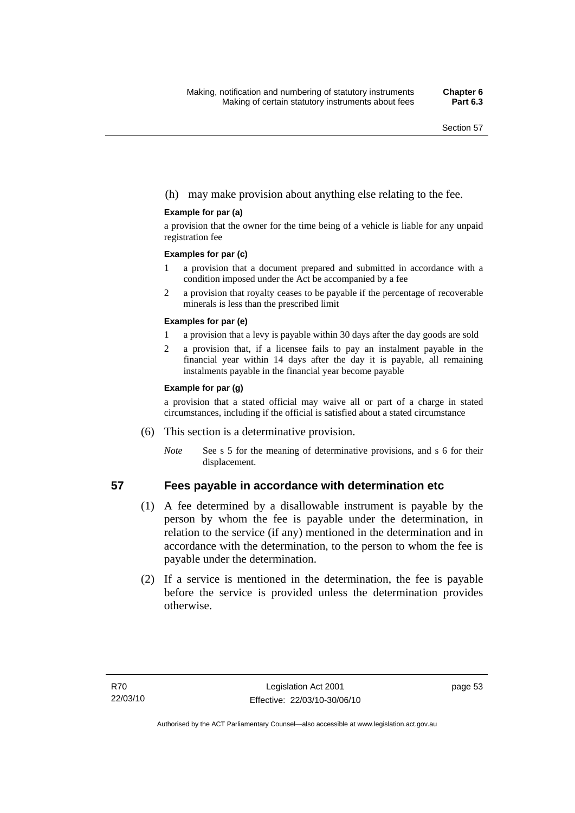## (h) may make provision about anything else relating to the fee.

#### **Example for par (a)**

a provision that the owner for the time being of a vehicle is liable for any unpaid registration fee

#### **Examples for par (c)**

- 1 a provision that a document prepared and submitted in accordance with a condition imposed under the Act be accompanied by a fee
- 2 a provision that royalty ceases to be payable if the percentage of recoverable minerals is less than the prescribed limit

#### **Examples for par (e)**

- 1 a provision that a levy is payable within 30 days after the day goods are sold
- 2 a provision that, if a licensee fails to pay an instalment payable in the financial year within 14 days after the day it is payable, all remaining instalments payable in the financial year become payable

#### **Example for par (g)**

a provision that a stated official may waive all or part of a charge in stated circumstances, including if the official is satisfied about a stated circumstance

- (6) This section is a determinative provision.
	- *Note* See s 5 for the meaning of determinative provisions, and s 6 for their displacement.

## **57 Fees payable in accordance with determination etc**

- (1) A fee determined by a disallowable instrument is payable by the person by whom the fee is payable under the determination, in relation to the service (if any) mentioned in the determination and in accordance with the determination, to the person to whom the fee is payable under the determination.
- (2) If a service is mentioned in the determination, the fee is payable before the service is provided unless the determination provides otherwise.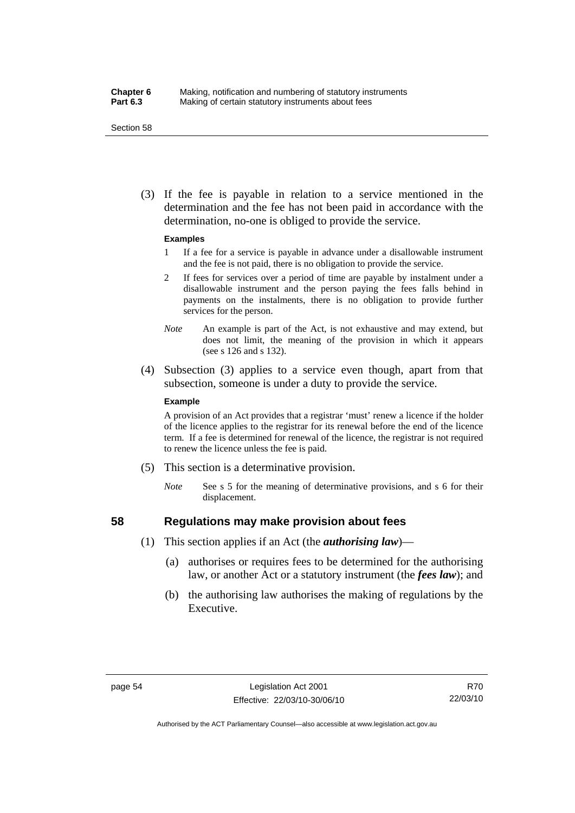### **Chapter 6** Making, notification and numbering of statutory instruments<br>**Part 6.3** Making of certain statutory instruments about fees Making of certain statutory instruments about fees

Section 58

 (3) If the fee is payable in relation to a service mentioned in the determination and the fee has not been paid in accordance with the determination, no-one is obliged to provide the service.

#### **Examples**

- 1 If a fee for a service is payable in advance under a disallowable instrument and the fee is not paid, there is no obligation to provide the service.
- 2 If fees for services over a period of time are payable by instalment under a disallowable instrument and the person paying the fees falls behind in payments on the instalments, there is no obligation to provide further services for the person.
- *Note* An example is part of the Act, is not exhaustive and may extend, but does not limit, the meaning of the provision in which it appears (see s 126 and s 132).
- (4) Subsection (3) applies to a service even though, apart from that subsection, someone is under a duty to provide the service.

#### **Example**

A provision of an Act provides that a registrar 'must' renew a licence if the holder of the licence applies to the registrar for its renewal before the end of the licence term. If a fee is determined for renewal of the licence, the registrar is not required to renew the licence unless the fee is paid.

- (5) This section is a determinative provision.
	- *Note* See s 5 for the meaning of determinative provisions, and s 6 for their displacement.

## **58 Regulations may make provision about fees**

- (1) This section applies if an Act (the *authorising law*)—
	- (a) authorises or requires fees to be determined for the authorising law, or another Act or a statutory instrument (the *fees law*); and
	- (b) the authorising law authorises the making of regulations by the Executive.

R70 22/03/10

Authorised by the ACT Parliamentary Counsel—also accessible at www.legislation.act.gov.au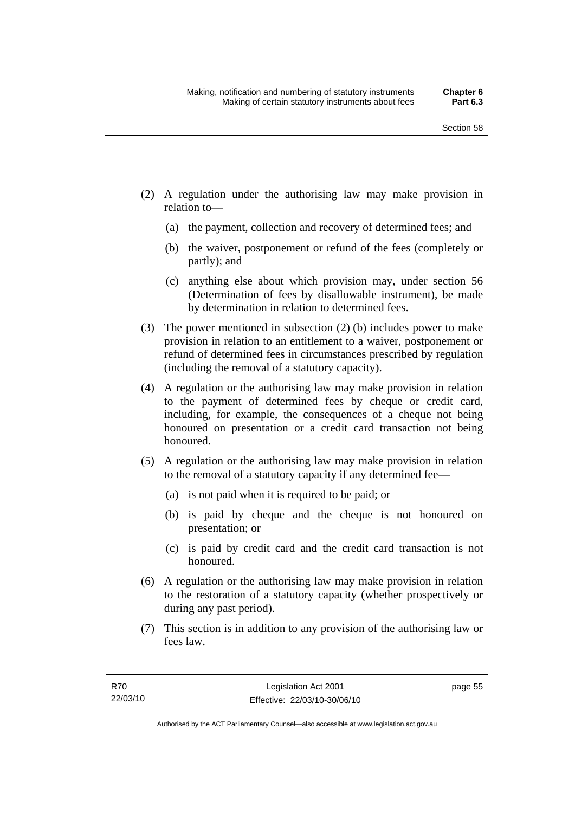- (2) A regulation under the authorising law may make provision in relation to—
	- (a) the payment, collection and recovery of determined fees; and
	- (b) the waiver, postponement or refund of the fees (completely or partly); and
	- (c) anything else about which provision may, under section 56 (Determination of fees by disallowable instrument), be made by determination in relation to determined fees.
- (3) The power mentioned in subsection (2) (b) includes power to make provision in relation to an entitlement to a waiver, postponement or refund of determined fees in circumstances prescribed by regulation (including the removal of a statutory capacity).
- (4) A regulation or the authorising law may make provision in relation to the payment of determined fees by cheque or credit card, including, for example, the consequences of a cheque not being honoured on presentation or a credit card transaction not being honoured.
- (5) A regulation or the authorising law may make provision in relation to the removal of a statutory capacity if any determined fee—
	- (a) is not paid when it is required to be paid; or
	- (b) is paid by cheque and the cheque is not honoured on presentation; or
	- (c) is paid by credit card and the credit card transaction is not honoured.
- (6) A regulation or the authorising law may make provision in relation to the restoration of a statutory capacity (whether prospectively or during any past period).
- (7) This section is in addition to any provision of the authorising law or fees law.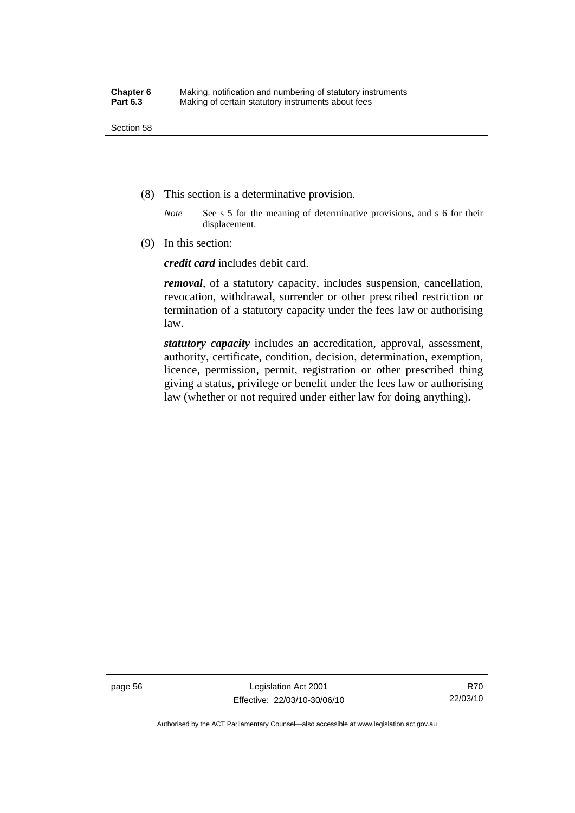- (8) This section is a determinative provision.
	- *Note* See s 5 for the meaning of determinative provisions, and s 6 for their displacement.
- (9) In this section:

*credit card* includes debit card.

*removal*, of a statutory capacity, includes suspension, cancellation, revocation, withdrawal, surrender or other prescribed restriction or termination of a statutory capacity under the fees law or authorising law.

*statutory capacity* includes an accreditation, approval, assessment, authority, certificate, condition, decision, determination, exemption, licence, permission, permit, registration or other prescribed thing giving a status, privilege or benefit under the fees law or authorising law (whether or not required under either law for doing anything).

page 56 Legislation Act 2001 Effective: 22/03/10-30/06/10

Authorised by the ACT Parliamentary Counsel—also accessible at www.legislation.act.gov.au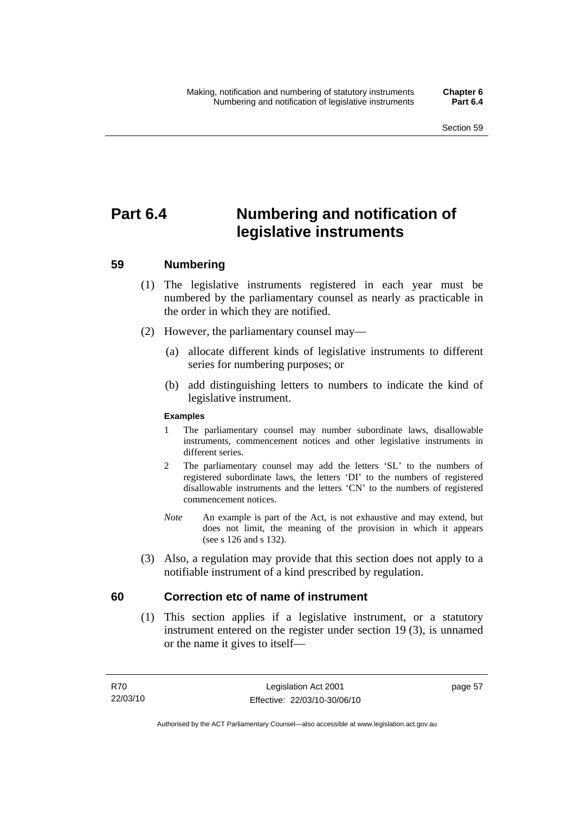# **Part 6.4 Numbering and notification of legislative instruments**

## **59 Numbering**

- (1) The legislative instruments registered in each year must be numbered by the parliamentary counsel as nearly as practicable in the order in which they are notified.
- (2) However, the parliamentary counsel may—
	- (a) allocate different kinds of legislative instruments to different series for numbering purposes; or
	- (b) add distinguishing letters to numbers to indicate the kind of legislative instrument.

## **Examples**

- 1 The parliamentary counsel may number subordinate laws, disallowable instruments, commencement notices and other legislative instruments in different series.
- 2 The parliamentary counsel may add the letters 'SL' to the numbers of registered subordinate laws, the letters 'DI' to the numbers of registered disallowable instruments and the letters 'CN' to the numbers of registered commencement notices.
- *Note* An example is part of the Act, is not exhaustive and may extend, but does not limit, the meaning of the provision in which it appears (see s 126 and s 132).
- (3) Also, a regulation may provide that this section does not apply to a notifiable instrument of a kind prescribed by regulation.

## **60 Correction etc of name of instrument**

 (1) This section applies if a legislative instrument, or a statutory instrument entered on the register under section 19 (3), is unnamed or the name it gives to itself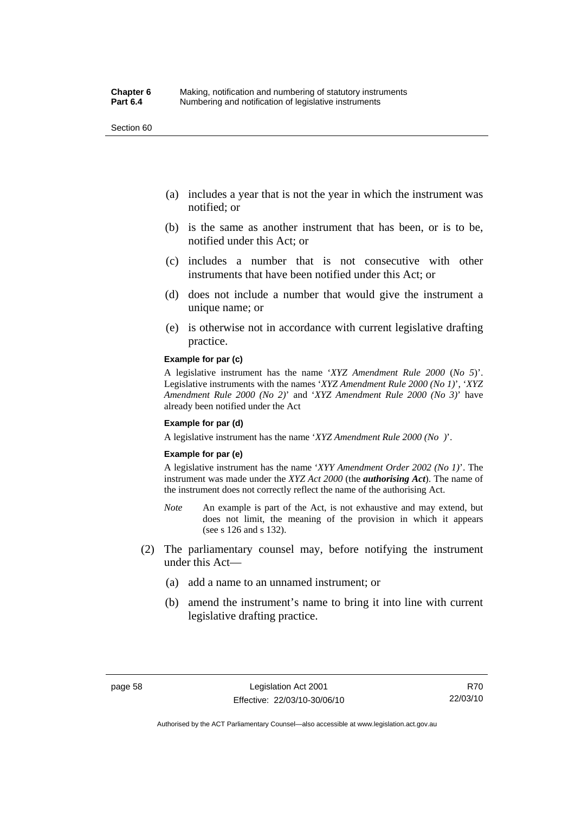Section 60

- (a) includes a year that is not the year in which the instrument was notified; or
- (b) is the same as another instrument that has been, or is to be, notified under this Act; or
- (c) includes a number that is not consecutive with other instruments that have been notified under this Act; or
- (d) does not include a number that would give the instrument a unique name; or
- (e) is otherwise not in accordance with current legislative drafting practice.

#### **Example for par (c)**

A legislative instrument has the name '*XYZ Amendment Rule 2000* (*No 5*)'. Legislative instruments with the names '*XYZ Amendment Rule 2000 (No 1)*', '*XYZ Amendment Rule 2000 (No 2)*' and '*XYZ Amendment Rule 2000 (No 3)*' have already been notified under the Act

#### **Example for par (d)**

A legislative instrument has the name '*XYZ Amendment Rule 2000 (No )*'.

#### **Example for par (e)**

A legislative instrument has the name '*XYY Amendment Order 2002 (No 1)*'. The instrument was made under the *XYZ Act 2000* (the *authorising Act*). The name of the instrument does not correctly reflect the name of the authorising Act.

- *Note* An example is part of the Act, is not exhaustive and may extend, but does not limit, the meaning of the provision in which it appears (see s 126 and s 132).
- (2) The parliamentary counsel may, before notifying the instrument under this Act—
	- (a) add a name to an unnamed instrument; or
	- (b) amend the instrument's name to bring it into line with current legislative drafting practice.

R70 22/03/10

Authorised by the ACT Parliamentary Counsel—also accessible at www.legislation.act.gov.au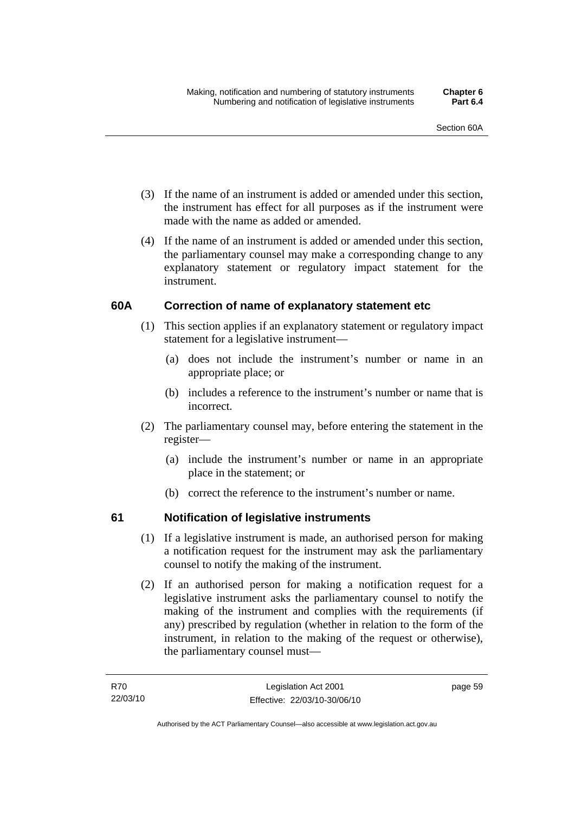- (3) If the name of an instrument is added or amended under this section, the instrument has effect for all purposes as if the instrument were made with the name as added or amended.
- (4) If the name of an instrument is added or amended under this section, the parliamentary counsel may make a corresponding change to any explanatory statement or regulatory impact statement for the instrument.

## **60A Correction of name of explanatory statement etc**

- (1) This section applies if an explanatory statement or regulatory impact statement for a legislative instrument—
	- (a) does not include the instrument's number or name in an appropriate place; or
	- (b) includes a reference to the instrument's number or name that is incorrect.
- (2) The parliamentary counsel may, before entering the statement in the register—
	- (a) include the instrument's number or name in an appropriate place in the statement; or
	- (b) correct the reference to the instrument's number or name.

## **61 Notification of legislative instruments**

- (1) If a legislative instrument is made, an authorised person for making a notification request for the instrument may ask the parliamentary counsel to notify the making of the instrument.
- (2) If an authorised person for making a notification request for a legislative instrument asks the parliamentary counsel to notify the making of the instrument and complies with the requirements (if any) prescribed by regulation (whether in relation to the form of the instrument, in relation to the making of the request or otherwise), the parliamentary counsel must—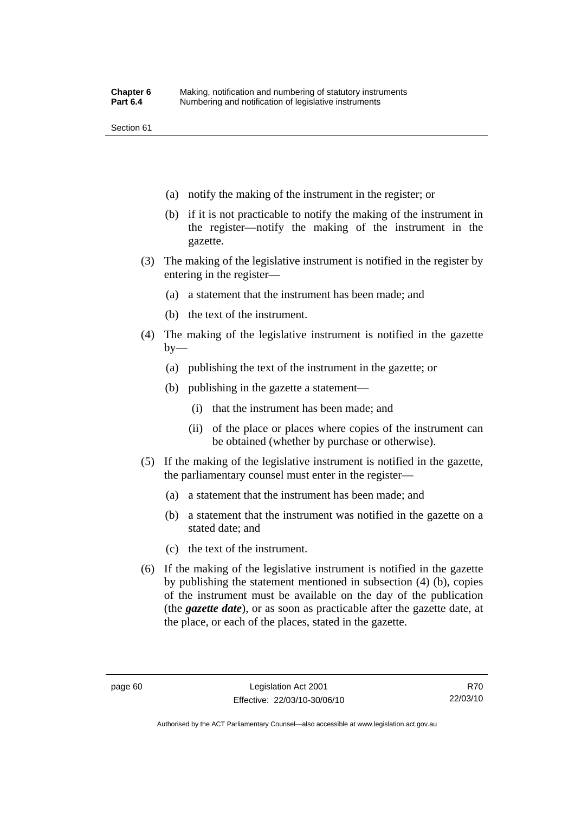Section 61

- (a) notify the making of the instrument in the register; or
- (b) if it is not practicable to notify the making of the instrument in the register—notify the making of the instrument in the gazette.
- (3) The making of the legislative instrument is notified in the register by entering in the register—
	- (a) a statement that the instrument has been made; and
	- (b) the text of the instrument.
- (4) The making of the legislative instrument is notified in the gazette  $by-$ 
	- (a) publishing the text of the instrument in the gazette; or
	- (b) publishing in the gazette a statement—
		- (i) that the instrument has been made; and
		- (ii) of the place or places where copies of the instrument can be obtained (whether by purchase or otherwise).
- (5) If the making of the legislative instrument is notified in the gazette, the parliamentary counsel must enter in the register—
	- (a) a statement that the instrument has been made; and
	- (b) a statement that the instrument was notified in the gazette on a stated date; and
	- (c) the text of the instrument.
- (6) If the making of the legislative instrument is notified in the gazette by publishing the statement mentioned in subsection (4) (b), copies of the instrument must be available on the day of the publication (the *gazette date*), or as soon as practicable after the gazette date, at the place, or each of the places, stated in the gazette.

R70 22/03/10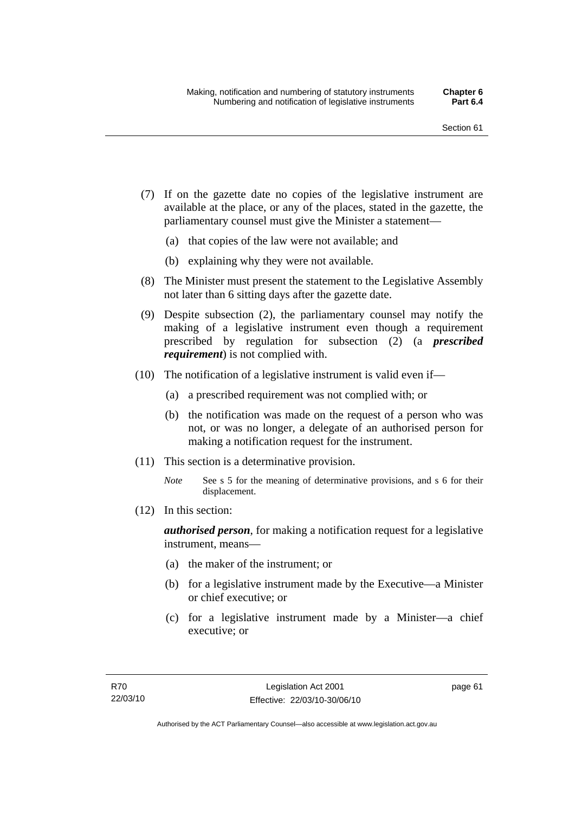- (7) If on the gazette date no copies of the legislative instrument are available at the place, or any of the places, stated in the gazette, the parliamentary counsel must give the Minister a statement—
	- (a) that copies of the law were not available; and
	- (b) explaining why they were not available.
- (8) The Minister must present the statement to the Legislative Assembly not later than 6 sitting days after the gazette date.
- (9) Despite subsection (2), the parliamentary counsel may notify the making of a legislative instrument even though a requirement prescribed by regulation for subsection (2) (a *prescribed requirement*) is not complied with.
- (10) The notification of a legislative instrument is valid even if—
	- (a) a prescribed requirement was not complied with; or
	- (b) the notification was made on the request of a person who was not, or was no longer, a delegate of an authorised person for making a notification request for the instrument.
- (11) This section is a determinative provision.
	- *Note* See s 5 for the meaning of determinative provisions, and s 6 for their displacement.
- (12) In this section:

*authorised person*, for making a notification request for a legislative instrument, means—

- (a) the maker of the instrument; or
- (b) for a legislative instrument made by the Executive—a Minister or chief executive; or
- (c) for a legislative instrument made by a Minister—a chief executive; or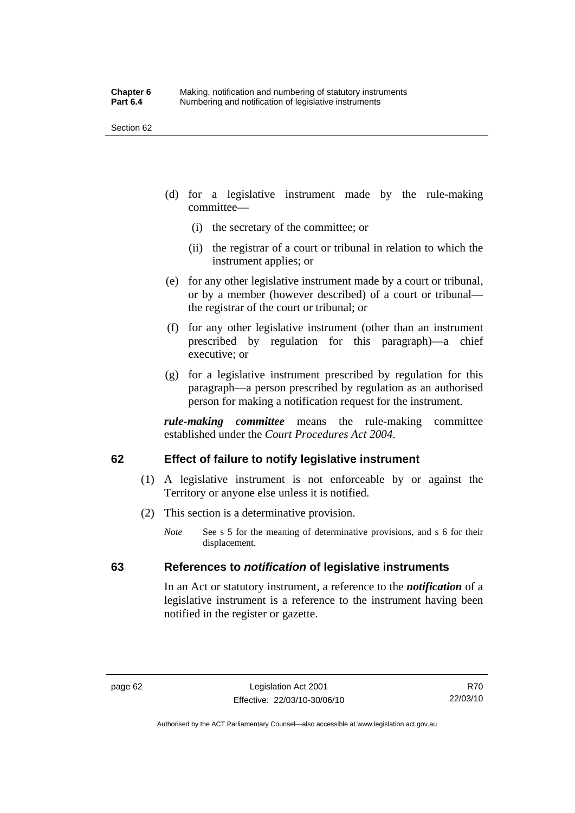Section 62

- (d) for a legislative instrument made by the rule-making committee—
	- (i) the secretary of the committee; or
	- (ii) the registrar of a court or tribunal in relation to which the instrument applies; or
- (e) for any other legislative instrument made by a court or tribunal, or by a member (however described) of a court or tribunal the registrar of the court or tribunal; or
- (f) for any other legislative instrument (other than an instrument prescribed by regulation for this paragraph)—a chief executive; or
- (g) for a legislative instrument prescribed by regulation for this paragraph—a person prescribed by regulation as an authorised person for making a notification request for the instrument.

*rule-making committee* means the rule-making committee established under the *Court Procedures Act 2004*.

## **62 Effect of failure to notify legislative instrument**

- (1) A legislative instrument is not enforceable by or against the Territory or anyone else unless it is notified.
- (2) This section is a determinative provision.
	- *Note* See s 5 for the meaning of determinative provisions, and s 6 for their displacement.

## **63 References to** *notification* **of legislative instruments**

In an Act or statutory instrument, a reference to the *notification* of a legislative instrument is a reference to the instrument having been notified in the register or gazette.

R70 22/03/10

Authorised by the ACT Parliamentary Counsel—also accessible at www.legislation.act.gov.au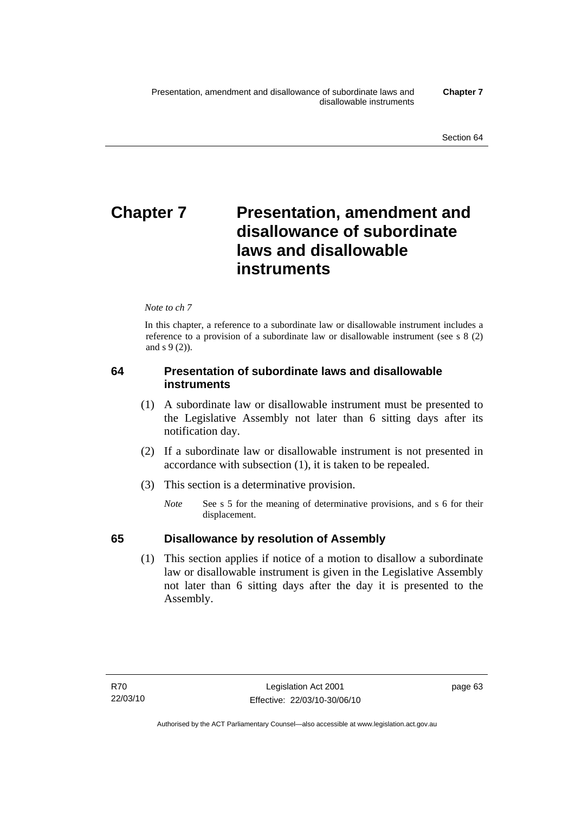# **Chapter 7** Presentation, amendment and **disallowance of subordinate laws and disallowable instruments**

## *Note to ch 7*

In this chapter, a reference to a subordinate law or disallowable instrument includes a reference to a provision of a subordinate law or disallowable instrument (see s 8 (2) and s 9 (2)).

## **64 Presentation of subordinate laws and disallowable instruments**

- (1) A subordinate law or disallowable instrument must be presented to the Legislative Assembly not later than 6 sitting days after its notification day.
- (2) If a subordinate law or disallowable instrument is not presented in accordance with subsection (1), it is taken to be repealed.
- (3) This section is a determinative provision.
	- *Note* See s 5 for the meaning of determinative provisions, and s 6 for their displacement.

## **65 Disallowance by resolution of Assembly**

 (1) This section applies if notice of a motion to disallow a subordinate law or disallowable instrument is given in the Legislative Assembly not later than 6 sitting days after the day it is presented to the Assembly.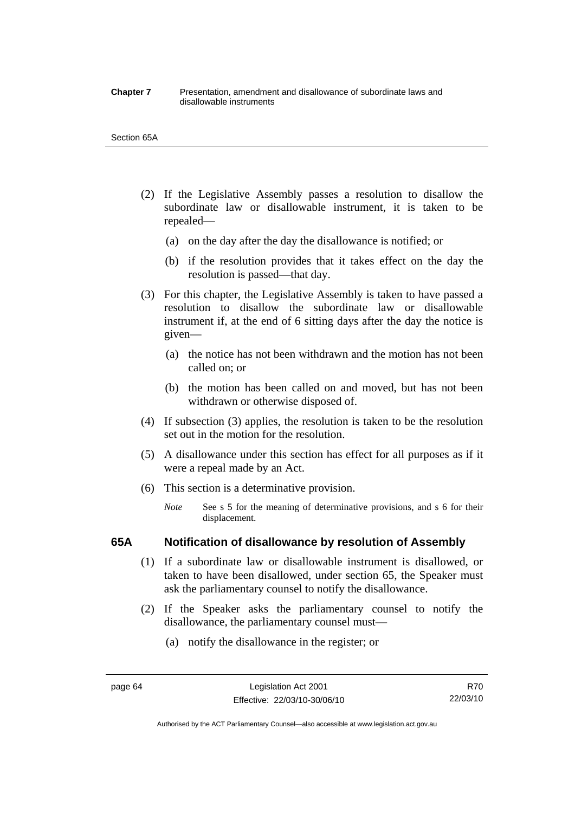#### **Chapter 7** Presentation, amendment and disallowance of subordinate laws and disallowable instruments

#### Section 65A

- (2) If the Legislative Assembly passes a resolution to disallow the subordinate law or disallowable instrument, it is taken to be repealed—
	- (a) on the day after the day the disallowance is notified; or
	- (b) if the resolution provides that it takes effect on the day the resolution is passed—that day.
- (3) For this chapter, the Legislative Assembly is taken to have passed a resolution to disallow the subordinate law or disallowable instrument if, at the end of 6 sitting days after the day the notice is given—
	- (a) the notice has not been withdrawn and the motion has not been called on; or
	- (b) the motion has been called on and moved, but has not been withdrawn or otherwise disposed of.
- (4) If subsection (3) applies, the resolution is taken to be the resolution set out in the motion for the resolution.
- (5) A disallowance under this section has effect for all purposes as if it were a repeal made by an Act.
- (6) This section is a determinative provision.
	- *Note* See s 5 for the meaning of determinative provisions, and s 6 for their displacement.

## **65A Notification of disallowance by resolution of Assembly**

- (1) If a subordinate law or disallowable instrument is disallowed, or taken to have been disallowed, under section 65, the Speaker must ask the parliamentary counsel to notify the disallowance.
- (2) If the Speaker asks the parliamentary counsel to notify the disallowance, the parliamentary counsel must—
	- (a) notify the disallowance in the register; or

Authorised by the ACT Parliamentary Counsel—also accessible at www.legislation.act.gov.au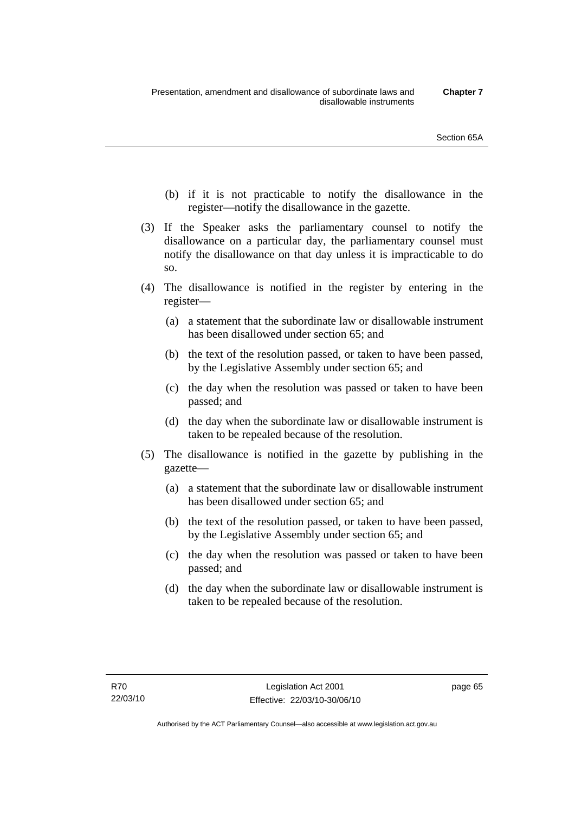- (b) if it is not practicable to notify the disallowance in the register—notify the disallowance in the gazette.
- (3) If the Speaker asks the parliamentary counsel to notify the disallowance on a particular day, the parliamentary counsel must notify the disallowance on that day unless it is impracticable to do so.
- (4) The disallowance is notified in the register by entering in the register—
	- (a) a statement that the subordinate law or disallowable instrument has been disallowed under section 65; and
	- (b) the text of the resolution passed, or taken to have been passed, by the Legislative Assembly under section 65; and
	- (c) the day when the resolution was passed or taken to have been passed; and
	- (d) the day when the subordinate law or disallowable instrument is taken to be repealed because of the resolution.
- (5) The disallowance is notified in the gazette by publishing in the gazette—
	- (a) a statement that the subordinate law or disallowable instrument has been disallowed under section 65; and
	- (b) the text of the resolution passed, or taken to have been passed, by the Legislative Assembly under section 65; and
	- (c) the day when the resolution was passed or taken to have been passed; and
	- (d) the day when the subordinate law or disallowable instrument is taken to be repealed because of the resolution.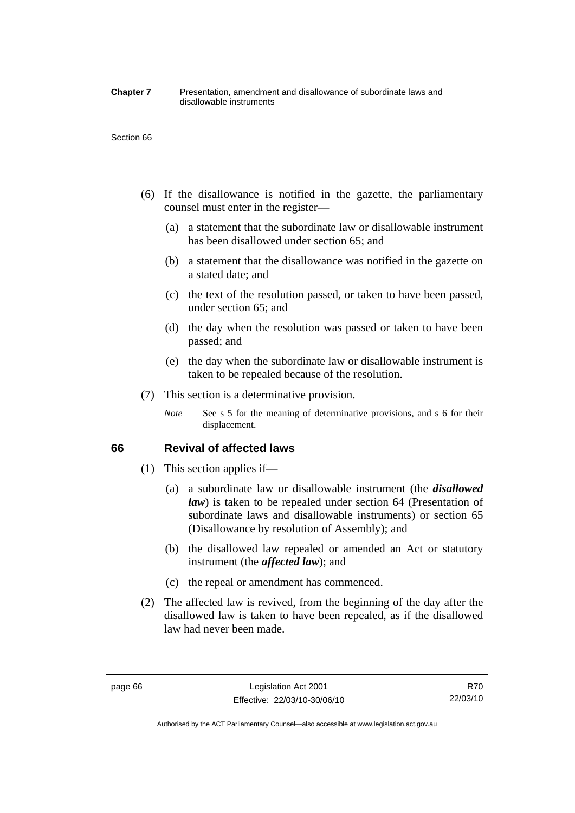#### **Chapter 7** Presentation, amendment and disallowance of subordinate laws and disallowable instruments

#### Section 66

- (6) If the disallowance is notified in the gazette, the parliamentary counsel must enter in the register—
	- (a) a statement that the subordinate law or disallowable instrument has been disallowed under section 65; and
	- (b) a statement that the disallowance was notified in the gazette on a stated date; and
	- (c) the text of the resolution passed, or taken to have been passed, under section 65; and
	- (d) the day when the resolution was passed or taken to have been passed; and
	- (e) the day when the subordinate law or disallowable instrument is taken to be repealed because of the resolution.
- (7) This section is a determinative provision.
	- *Note* See s 5 for the meaning of determinative provisions, and s 6 for their displacement.

## **66 Revival of affected laws**

- (1) This section applies if—
	- (a) a subordinate law or disallowable instrument (the *disallowed law*) is taken to be repealed under section 64 (Presentation of subordinate laws and disallowable instruments) or section 65 (Disallowance by resolution of Assembly); and
	- (b) the disallowed law repealed or amended an Act or statutory instrument (the *affected law*); and
	- (c) the repeal or amendment has commenced.
- (2) The affected law is revived, from the beginning of the day after the disallowed law is taken to have been repealed, as if the disallowed law had never been made.

R70 22/03/10

Authorised by the ACT Parliamentary Counsel—also accessible at www.legislation.act.gov.au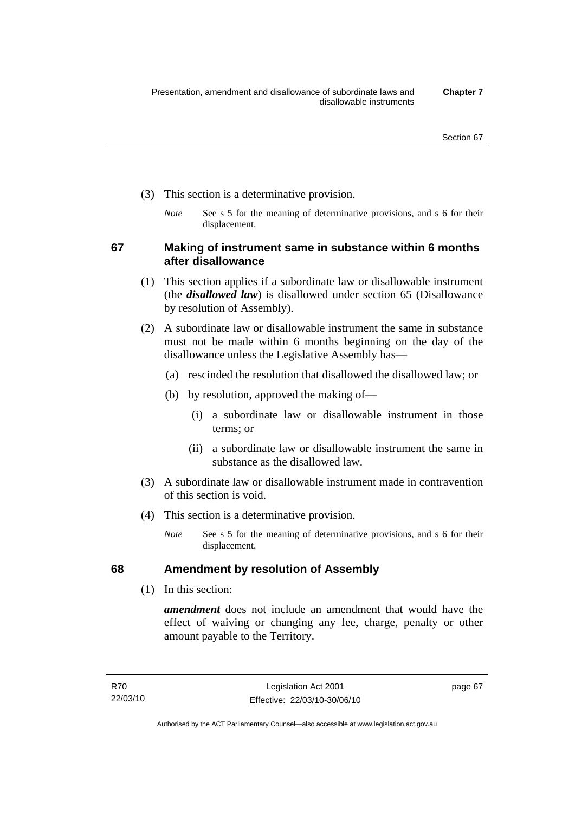- (3) This section is a determinative provision.
	- *Note* See s 5 for the meaning of determinative provisions, and s 6 for their displacement.

**67 Making of instrument same in substance within 6 months after disallowance** 

- (1) This section applies if a subordinate law or disallowable instrument (the *disallowed law*) is disallowed under section 65 (Disallowance by resolution of Assembly).
- (2) A subordinate law or disallowable instrument the same in substance must not be made within 6 months beginning on the day of the disallowance unless the Legislative Assembly has—
	- (a) rescinded the resolution that disallowed the disallowed law; or
	- (b) by resolution, approved the making of—
		- (i) a subordinate law or disallowable instrument in those terms; or
		- (ii) a subordinate law or disallowable instrument the same in substance as the disallowed law.
- (3) A subordinate law or disallowable instrument made in contravention of this section is void.
- (4) This section is a determinative provision.
	- *Note* See s 5 for the meaning of determinative provisions, and s 6 for their displacement.

## **68 Amendment by resolution of Assembly**

(1) In this section:

*amendment* does not include an amendment that would have the effect of waiving or changing any fee, charge, penalty or other amount payable to the Territory.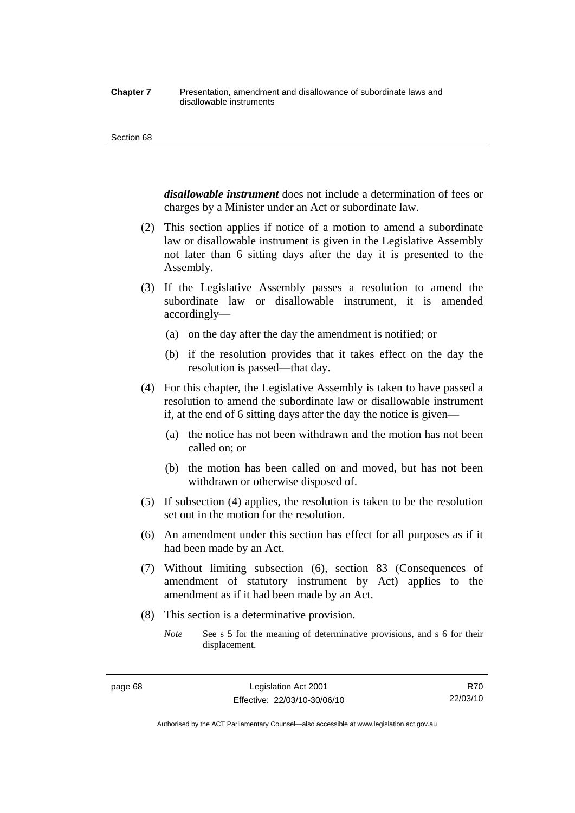#### **Chapter 7** Presentation, amendment and disallowance of subordinate laws and disallowable instruments

#### Section 68

*disallowable instrument* does not include a determination of fees or charges by a Minister under an Act or subordinate law.

- (2) This section applies if notice of a motion to amend a subordinate law or disallowable instrument is given in the Legislative Assembly not later than 6 sitting days after the day it is presented to the Assembly.
- (3) If the Legislative Assembly passes a resolution to amend the subordinate law or disallowable instrument, it is amended accordingly—
	- (a) on the day after the day the amendment is notified; or
	- (b) if the resolution provides that it takes effect on the day the resolution is passed—that day.
- (4) For this chapter, the Legislative Assembly is taken to have passed a resolution to amend the subordinate law or disallowable instrument if, at the end of 6 sitting days after the day the notice is given—
	- (a) the notice has not been withdrawn and the motion has not been called on; or
	- (b) the motion has been called on and moved, but has not been withdrawn or otherwise disposed of.
- (5) If subsection (4) applies, the resolution is taken to be the resolution set out in the motion for the resolution.
- (6) An amendment under this section has effect for all purposes as if it had been made by an Act.
- (7) Without limiting subsection (6), section 83 (Consequences of amendment of statutory instrument by Act) applies to the amendment as if it had been made by an Act.
- (8) This section is a determinative provision.
	- *Note* See s 5 for the meaning of determinative provisions, and s 6 for their displacement.

R70 22/03/10

Authorised by the ACT Parliamentary Counsel—also accessible at www.legislation.act.gov.au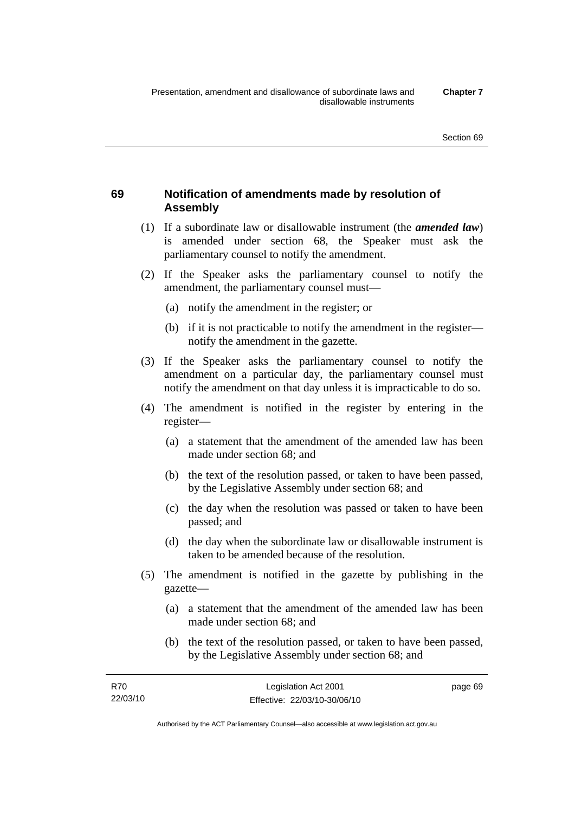## **69 Notification of amendments made by resolution of Assembly**

- (1) If a subordinate law or disallowable instrument (the *amended law*) is amended under section 68, the Speaker must ask the parliamentary counsel to notify the amendment.
- (2) If the Speaker asks the parliamentary counsel to notify the amendment, the parliamentary counsel must—
	- (a) notify the amendment in the register; or
	- (b) if it is not practicable to notify the amendment in the register notify the amendment in the gazette.
- (3) If the Speaker asks the parliamentary counsel to notify the amendment on a particular day, the parliamentary counsel must notify the amendment on that day unless it is impracticable to do so.
- (4) The amendment is notified in the register by entering in the register—
	- (a) a statement that the amendment of the amended law has been made under section 68; and
	- (b) the text of the resolution passed, or taken to have been passed, by the Legislative Assembly under section 68; and
	- (c) the day when the resolution was passed or taken to have been passed; and
	- (d) the day when the subordinate law or disallowable instrument is taken to be amended because of the resolution.
- (5) The amendment is notified in the gazette by publishing in the gazette—
	- (a) a statement that the amendment of the amended law has been made under section 68; and
	- (b) the text of the resolution passed, or taken to have been passed, by the Legislative Assembly under section 68; and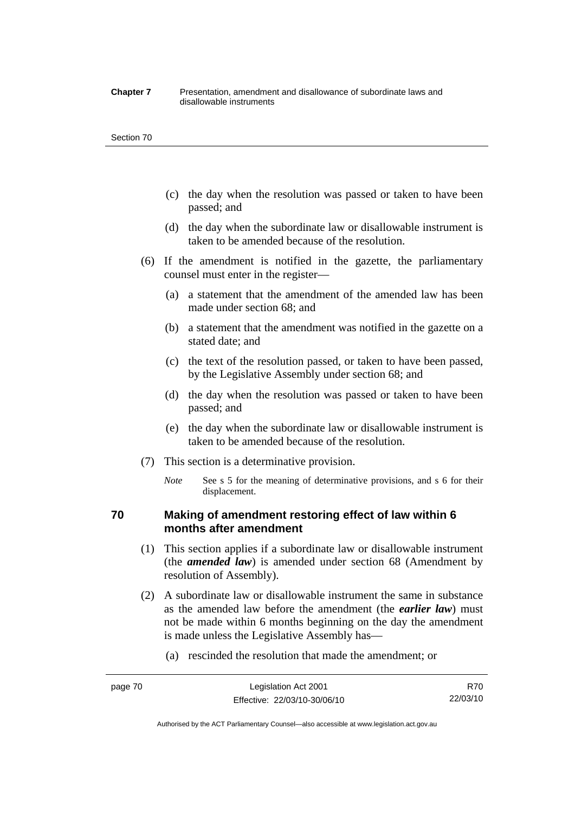#### **Chapter 7** Presentation, amendment and disallowance of subordinate laws and disallowable instruments

#### Section 70

- (c) the day when the resolution was passed or taken to have been passed; and
- (d) the day when the subordinate law or disallowable instrument is taken to be amended because of the resolution.
- (6) If the amendment is notified in the gazette, the parliamentary counsel must enter in the register—
	- (a) a statement that the amendment of the amended law has been made under section 68; and
	- (b) a statement that the amendment was notified in the gazette on a stated date; and
	- (c) the text of the resolution passed, or taken to have been passed, by the Legislative Assembly under section 68; and
	- (d) the day when the resolution was passed or taken to have been passed; and
	- (e) the day when the subordinate law or disallowable instrument is taken to be amended because of the resolution.
- (7) This section is a determinative provision.
	- *Note* See s 5 for the meaning of determinative provisions, and s 6 for their displacement.

## **70 Making of amendment restoring effect of law within 6 months after amendment**

- (1) This section applies if a subordinate law or disallowable instrument (the *amended law*) is amended under section 68 (Amendment by resolution of Assembly).
- (2) A subordinate law or disallowable instrument the same in substance as the amended law before the amendment (the *earlier law*) must not be made within 6 months beginning on the day the amendment is made unless the Legislative Assembly has—
	- (a) rescinded the resolution that made the amendment; or

Authorised by the ACT Parliamentary Counsel—also accessible at www.legislation.act.gov.au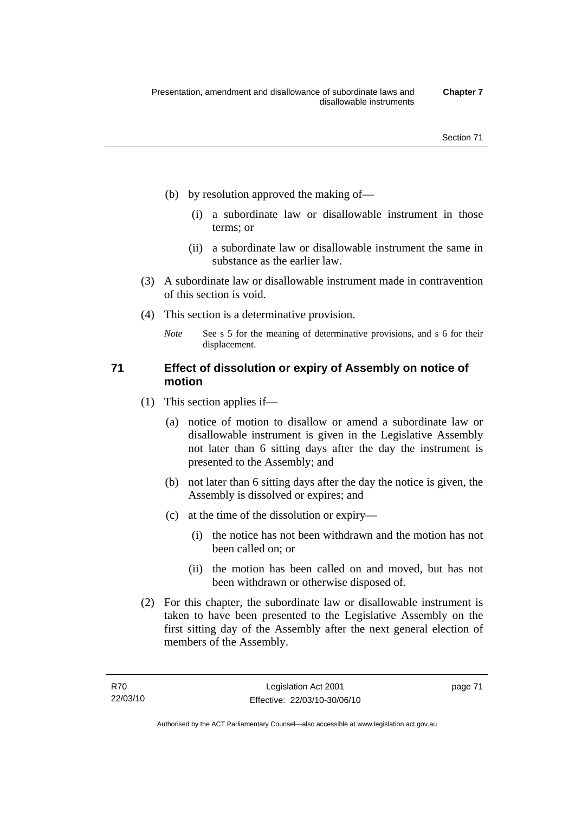- (b) by resolution approved the making of—
	- (i) a subordinate law or disallowable instrument in those terms; or
	- (ii) a subordinate law or disallowable instrument the same in substance as the earlier law.
- (3) A subordinate law or disallowable instrument made in contravention of this section is void.
- (4) This section is a determinative provision.
	- *Note* See s 5 for the meaning of determinative provisions, and s 6 for their displacement.

## **71 Effect of dissolution or expiry of Assembly on notice of motion**

- (1) This section applies if—
	- (a) notice of motion to disallow or amend a subordinate law or disallowable instrument is given in the Legislative Assembly not later than 6 sitting days after the day the instrument is presented to the Assembly; and
	- (b) not later than 6 sitting days after the day the notice is given, the Assembly is dissolved or expires; and
	- (c) at the time of the dissolution or expiry—
		- (i) the notice has not been withdrawn and the motion has not been called on; or
		- (ii) the motion has been called on and moved, but has not been withdrawn or otherwise disposed of.
- (2) For this chapter, the subordinate law or disallowable instrument is taken to have been presented to the Legislative Assembly on the first sitting day of the Assembly after the next general election of members of the Assembly.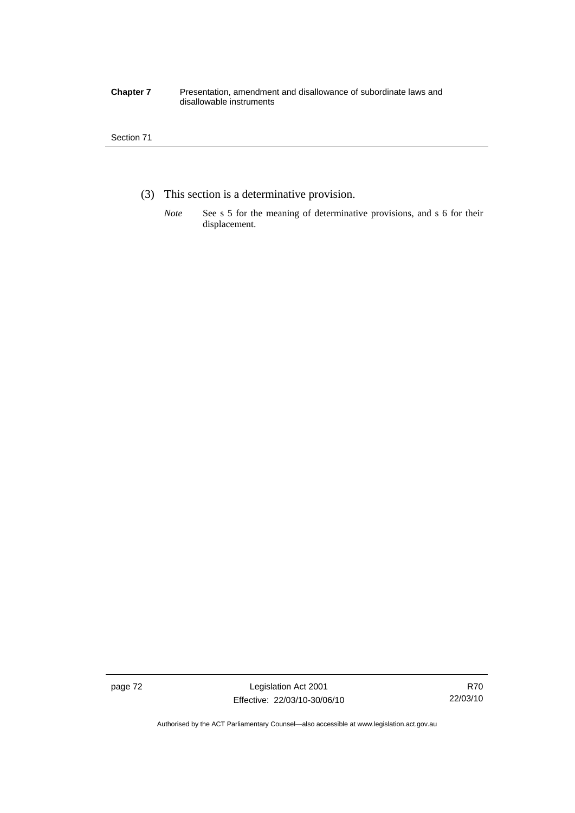#### **Chapter 7** Presentation, amendment and disallowance of subordinate laws and disallowable instruments

## Section 71

- (3) This section is a determinative provision.
	- *Note* See s 5 for the meaning of determinative provisions, and s 6 for their displacement.

page 72 Legislation Act 2001 Effective: 22/03/10-30/06/10

Authorised by the ACT Parliamentary Counsel—also accessible at www.legislation.act.gov.au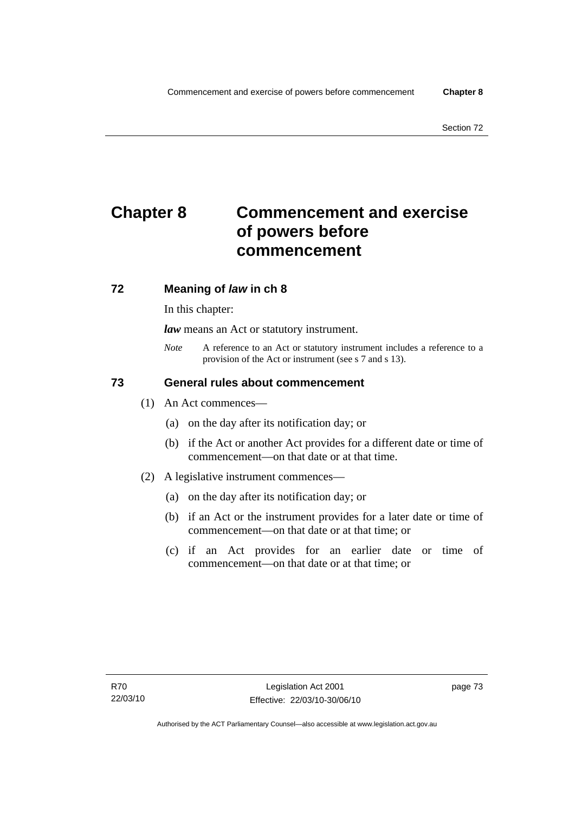# **Chapter 8 Commencement and exercise of powers before commencement**

## **72 Meaning of** *law* **in ch 8**

In this chapter:

*law* means an Act or statutory instrument.

*Note* A reference to an Act or statutory instrument includes a reference to a provision of the Act or instrument (see s 7 and s 13).

## **73 General rules about commencement**

- (1) An Act commences—
	- (a) on the day after its notification day; or
	- (b) if the Act or another Act provides for a different date or time of commencement—on that date or at that time.
- (2) A legislative instrument commences—
	- (a) on the day after its notification day; or
	- (b) if an Act or the instrument provides for a later date or time of commencement—on that date or at that time; or
	- (c) if an Act provides for an earlier date or time of commencement—on that date or at that time; or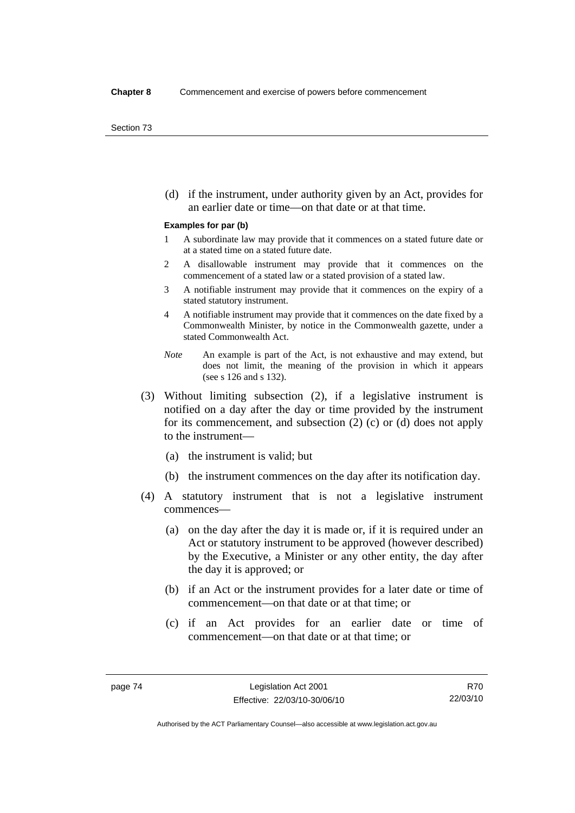(d) if the instrument, under authority given by an Act, provides for an earlier date or time—on that date or at that time.

#### **Examples for par (b)**

- 1 A subordinate law may provide that it commences on a stated future date or at a stated time on a stated future date.
- 2 A disallowable instrument may provide that it commences on the commencement of a stated law or a stated provision of a stated law.
- 3 A notifiable instrument may provide that it commences on the expiry of a stated statutory instrument.
- 4 A notifiable instrument may provide that it commences on the date fixed by a Commonwealth Minister, by notice in the Commonwealth gazette, under a stated Commonwealth Act.
- *Note* An example is part of the Act, is not exhaustive and may extend, but does not limit, the meaning of the provision in which it appears (see s 126 and s 132).
- (3) Without limiting subsection (2), if a legislative instrument is notified on a day after the day or time provided by the instrument for its commencement, and subsection (2) (c) or (d) does not apply to the instrument—
	- (a) the instrument is valid; but
	- (b) the instrument commences on the day after its notification day.
- (4) A statutory instrument that is not a legislative instrument commences—
	- (a) on the day after the day it is made or, if it is required under an Act or statutory instrument to be approved (however described) by the Executive, a Minister or any other entity, the day after the day it is approved; or
	- (b) if an Act or the instrument provides for a later date or time of commencement—on that date or at that time; or
	- (c) if an Act provides for an earlier date or time of commencement—on that date or at that time; or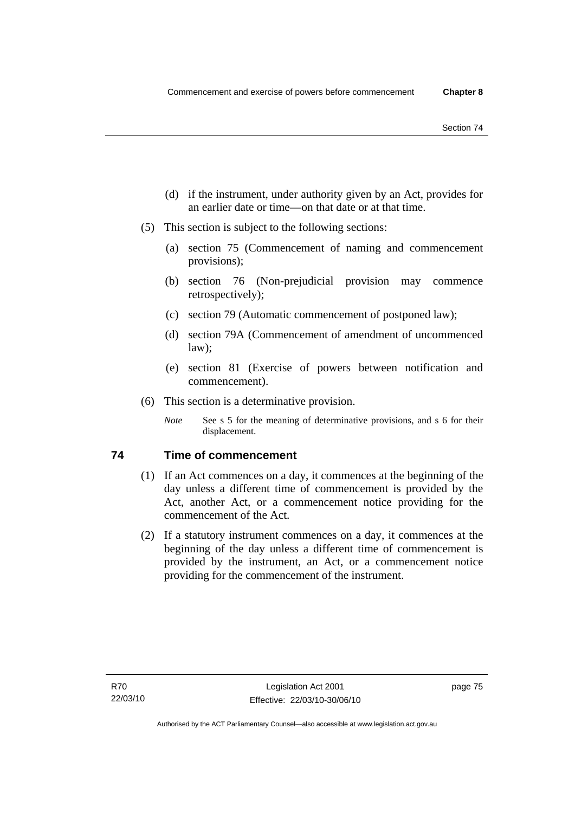- (d) if the instrument, under authority given by an Act, provides for an earlier date or time—on that date or at that time.
- (5) This section is subject to the following sections:
	- (a) section 75 (Commencement of naming and commencement provisions);
	- (b) section 76 (Non-prejudicial provision may commence retrospectively);
	- (c) section 79 (Automatic commencement of postponed law);
	- (d) section 79A (Commencement of amendment of uncommenced law);
	- (e) section 81 (Exercise of powers between notification and commencement).
- (6) This section is a determinative provision.
	- *Note* See s 5 for the meaning of determinative provisions, and s 6 for their displacement.

## **74 Time of commencement**

- (1) If an Act commences on a day, it commences at the beginning of the day unless a different time of commencement is provided by the Act, another Act, or a commencement notice providing for the commencement of the Act.
- (2) If a statutory instrument commences on a day, it commences at the beginning of the day unless a different time of commencement is provided by the instrument, an Act, or a commencement notice providing for the commencement of the instrument.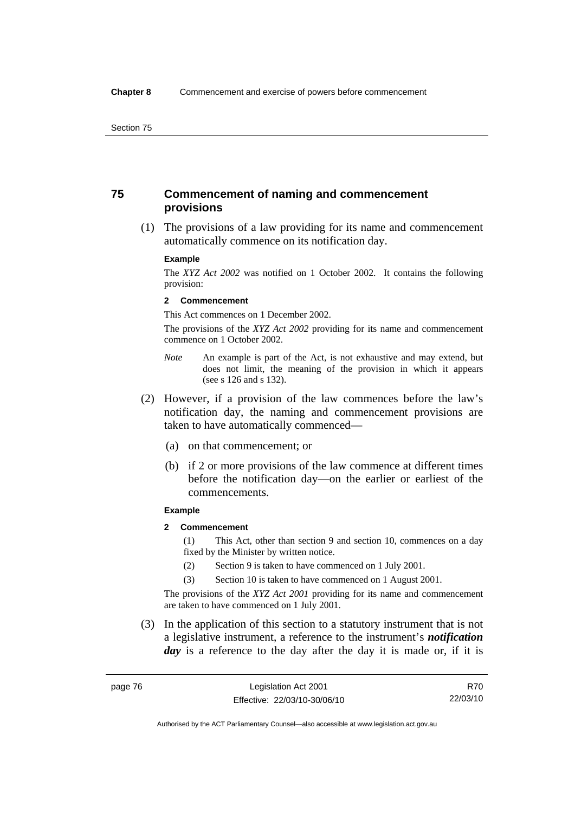## **75 Commencement of naming and commencement provisions**

 (1) The provisions of a law providing for its name and commencement automatically commence on its notification day.

#### **Example**

The *XYZ Act 2002* was notified on 1 October 2002. It contains the following provision:

#### **2 Commencement**

This Act commences on 1 December 2002.

The provisions of the *XYZ Act 2002* providing for its name and commencement commence on 1 October 2002.

- *Note* An example is part of the Act, is not exhaustive and may extend, but does not limit, the meaning of the provision in which it appears (see s 126 and s 132).
- (2) However, if a provision of the law commences before the law's notification day, the naming and commencement provisions are taken to have automatically commenced—
	- (a) on that commencement; or
	- (b) if 2 or more provisions of the law commence at different times before the notification day—on the earlier or earliest of the commencements.

#### **Example**

## **2 Commencement**

(1) This Act, other than section 9 and section 10, commences on a day fixed by the Minister by written notice.

- (2) Section 9 is taken to have commenced on 1 July 2001.
- (3) Section 10 is taken to have commenced on 1 August 2001.

The provisions of the *XYZ Act 2001* providing for its name and commencement are taken to have commenced on 1 July 2001.

 (3) In the application of this section to a statutory instrument that is not a legislative instrument, a reference to the instrument's *notification*  day is a reference to the day after the day it is made or, if it is

Authorised by the ACT Parliamentary Counsel—also accessible at www.legislation.act.gov.au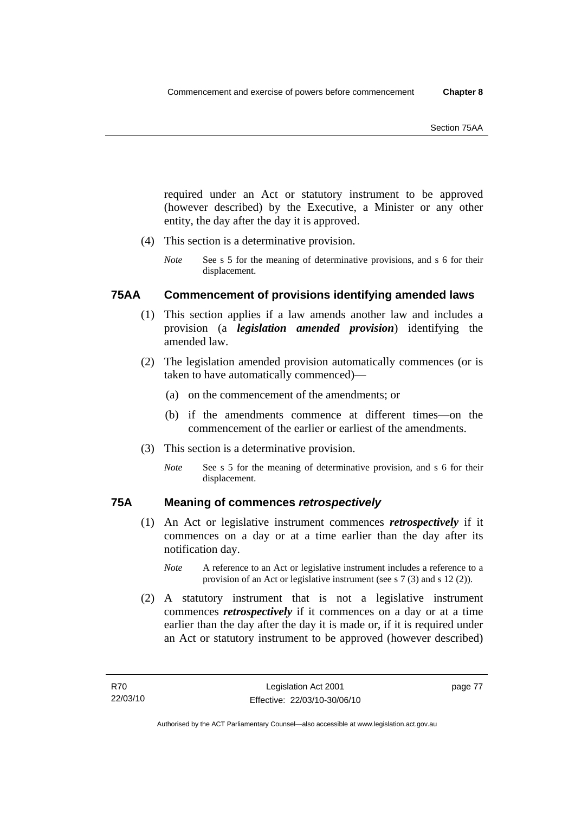required under an Act or statutory instrument to be approved (however described) by the Executive, a Minister or any other entity, the day after the day it is approved.

- (4) This section is a determinative provision.
	- *Note* See s 5 for the meaning of determinative provisions, and s 6 for their displacement.

## **75AA Commencement of provisions identifying amended laws**

- (1) This section applies if a law amends another law and includes a provision (a *legislation amended provision*) identifying the amended law.
- (2) The legislation amended provision automatically commences (or is taken to have automatically commenced)—
	- (a) on the commencement of the amendments; or
	- (b) if the amendments commence at different times—on the commencement of the earlier or earliest of the amendments.
- (3) This section is a determinative provision.
	- *Note* See s 5 for the meaning of determinative provision, and s 6 for their displacement.

## **75A Meaning of commences** *retrospectively*

- (1) An Act or legislative instrument commences *retrospectively* if it commences on a day or at a time earlier than the day after its notification day.
	- *Note* A reference to an Act or legislative instrument includes a reference to a provision of an Act or legislative instrument (see s 7 (3) and s 12 (2)).
- (2) A statutory instrument that is not a legislative instrument commences *retrospectively* if it commences on a day or at a time earlier than the day after the day it is made or, if it is required under an Act or statutory instrument to be approved (however described)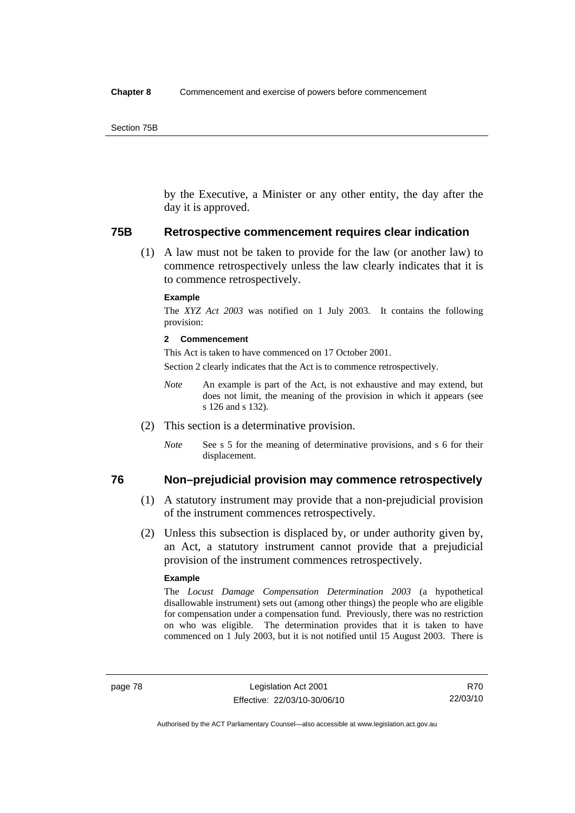by the Executive, a Minister or any other entity, the day after the day it is approved.

#### **75B Retrospective commencement requires clear indication**

 (1) A law must not be taken to provide for the law (or another law) to commence retrospectively unless the law clearly indicates that it is to commence retrospectively.

#### **Example**

The *XYZ Act 2003* was notified on 1 July 2003. It contains the following provision:

#### **2 Commencement**

This Act is taken to have commenced on 17 October 2001.

Section 2 clearly indicates that the Act is to commence retrospectively.

- *Note* An example is part of the Act, is not exhaustive and may extend, but does not limit, the meaning of the provision in which it appears (see s 126 and s 132).
- (2) This section is a determinative provision.
	- *Note* See s 5 for the meaning of determinative provisions, and s 6 for their displacement.

## **76 Non–prejudicial provision may commence retrospectively**

- (1) A statutory instrument may provide that a non-prejudicial provision of the instrument commences retrospectively.
- (2) Unless this subsection is displaced by, or under authority given by, an Act, a statutory instrument cannot provide that a prejudicial provision of the instrument commences retrospectively.

#### **Example**

The *Locust Damage Compensation Determination 2003* (a hypothetical disallowable instrument) sets out (among other things) the people who are eligible for compensation under a compensation fund. Previously, there was no restriction on who was eligible. The determination provides that it is taken to have commenced on 1 July 2003, but it is not notified until 15 August 2003. There is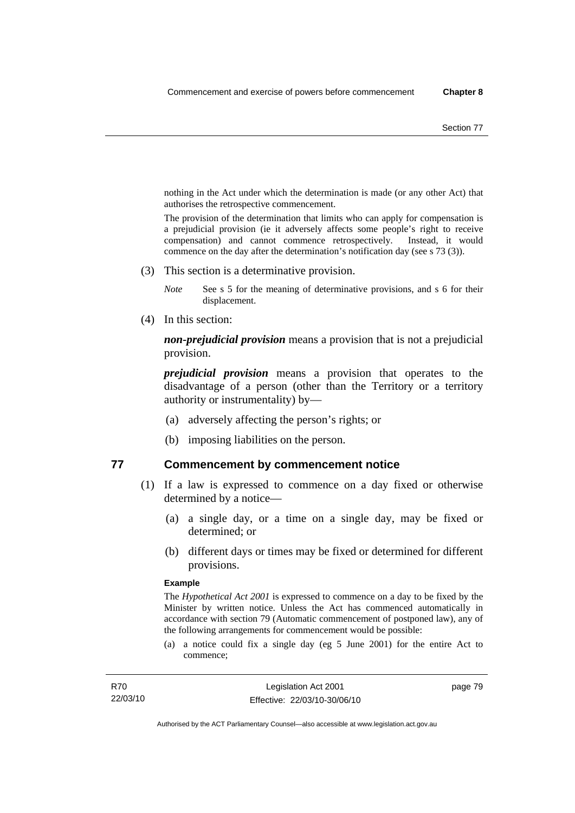nothing in the Act under which the determination is made (or any other Act) that authorises the retrospective commencement.

The provision of the determination that limits who can apply for compensation is a prejudicial provision (ie it adversely affects some people's right to receive compensation) and cannot commence retrospectively. Instead, it would commence on the day after the determination's notification day (see s 73 (3)).

(3) This section is a determinative provision.

*Note* See s 5 for the meaning of determinative provisions, and s 6 for their displacement.

(4) In this section:

*non-prejudicial provision* means a provision that is not a prejudicial provision.

*prejudicial provision* means a provision that operates to the disadvantage of a person (other than the Territory or a territory authority or instrumentality) by—

- (a) adversely affecting the person's rights; or
- (b) imposing liabilities on the person.

## **77 Commencement by commencement notice**

- (1) If a law is expressed to commence on a day fixed or otherwise determined by a notice—
	- (a) a single day, or a time on a single day, may be fixed or determined; or
	- (b) different days or times may be fixed or determined for different provisions.

#### **Example**

The *Hypothetical Act 2001* is expressed to commence on a day to be fixed by the Minister by written notice. Unless the Act has commenced automatically in accordance with section 79 (Automatic commencement of postponed law), any of the following arrangements for commencement would be possible:

(a) a notice could fix a single day (eg 5 June 2001) for the entire Act to commence;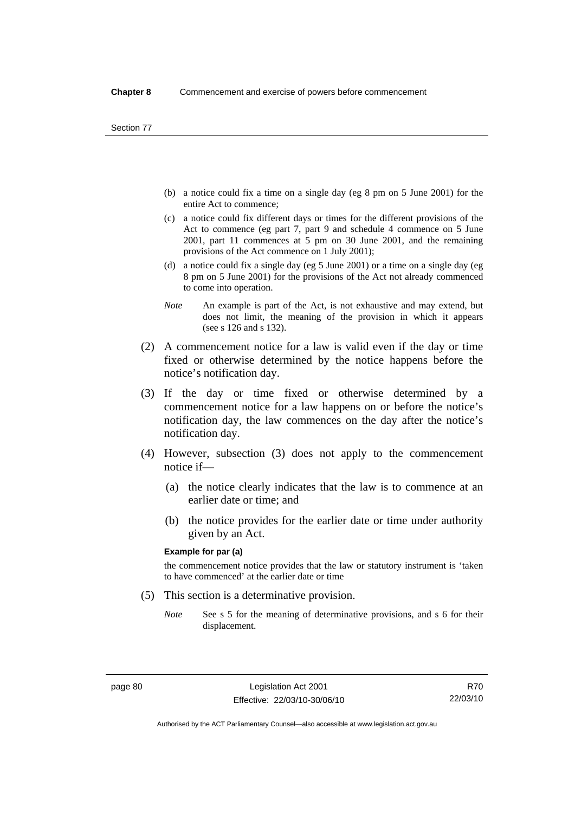- (b) a notice could fix a time on a single day (eg 8 pm on 5 June 2001) for the entire Act to commence;
- (c) a notice could fix different days or times for the different provisions of the Act to commence (eg part 7, part 9 and schedule 4 commence on 5 June 2001, part 11 commences at 5 pm on 30 June 2001, and the remaining provisions of the Act commence on 1 July 2001);
- (d) a notice could fix a single day (eg 5 June 2001) or a time on a single day (eg 8 pm on 5 June 2001) for the provisions of the Act not already commenced to come into operation.
- *Note* An example is part of the Act, is not exhaustive and may extend, but does not limit, the meaning of the provision in which it appears (see s 126 and s 132).
- (2) A commencement notice for a law is valid even if the day or time fixed or otherwise determined by the notice happens before the notice's notification day.
- (3) If the day or time fixed or otherwise determined by a commencement notice for a law happens on or before the notice's notification day, the law commences on the day after the notice's notification day.
- (4) However, subsection (3) does not apply to the commencement notice if—
	- (a) the notice clearly indicates that the law is to commence at an earlier date or time; and
	- (b) the notice provides for the earlier date or time under authority given by an Act.

#### **Example for par (a)**

the commencement notice provides that the law or statutory instrument is 'taken to have commenced' at the earlier date or time

- (5) This section is a determinative provision.
	- *Note* See s 5 for the meaning of determinative provisions, and s 6 for their displacement.

R70 22/03/10

Authorised by the ACT Parliamentary Counsel—also accessible at www.legislation.act.gov.au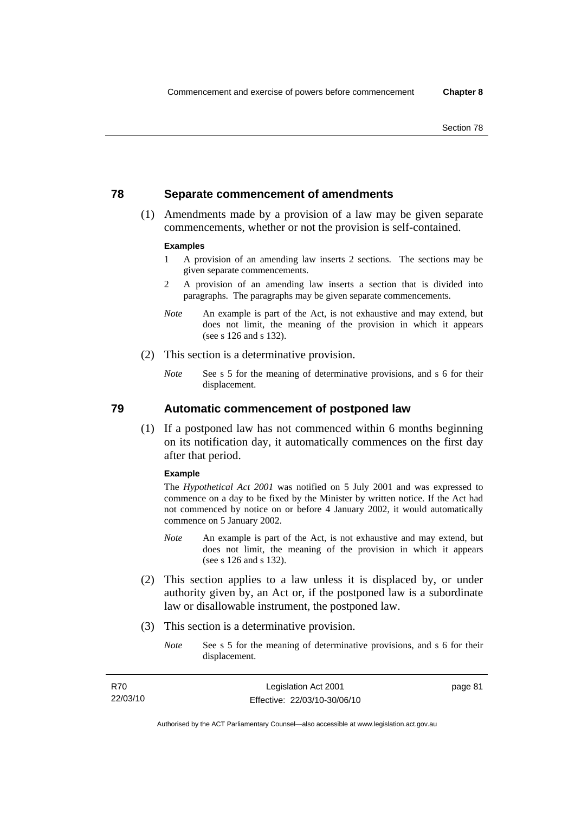## **78 Separate commencement of amendments**

 (1) Amendments made by a provision of a law may be given separate commencements, whether or not the provision is self-contained.

#### **Examples**

- 1 A provision of an amending law inserts 2 sections. The sections may be given separate commencements.
- 2 A provision of an amending law inserts a section that is divided into paragraphs. The paragraphs may be given separate commencements.
- *Note* An example is part of the Act, is not exhaustive and may extend, but does not limit, the meaning of the provision in which it appears (see s 126 and s 132).
- (2) This section is a determinative provision.
	- *Note* See s 5 for the meaning of determinative provisions, and s 6 for their displacement.

**79 Automatic commencement of postponed law** 

 (1) If a postponed law has not commenced within 6 months beginning on its notification day, it automatically commences on the first day after that period.

#### **Example**

The *Hypothetical Act 2001* was notified on 5 July 2001 and was expressed to commence on a day to be fixed by the Minister by written notice. If the Act had not commenced by notice on or before 4 January 2002, it would automatically commence on 5 January 2002.

- *Note* An example is part of the Act, is not exhaustive and may extend, but does not limit, the meaning of the provision in which it appears (see s 126 and s 132).
- (2) This section applies to a law unless it is displaced by, or under authority given by, an Act or, if the postponed law is a subordinate law or disallowable instrument, the postponed law.
- (3) This section is a determinative provision.
	- *Note* See s 5 for the meaning of determinative provisions, and s 6 for their displacement.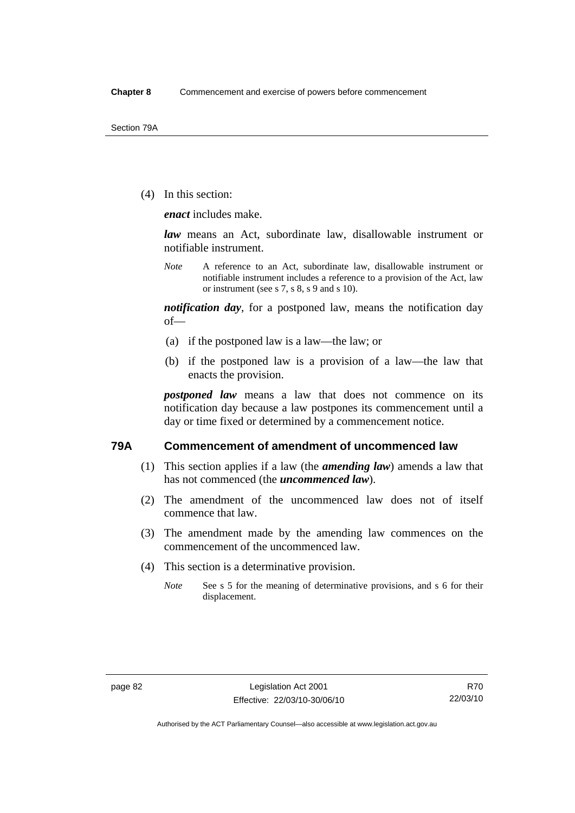(4) In this section:

*enact* includes make.

*law* means an Act, subordinate law, disallowable instrument or notifiable instrument.

*Note* A reference to an Act, subordinate law, disallowable instrument or notifiable instrument includes a reference to a provision of the Act, law or instrument (see s 7, s 8, s 9 and s 10).

*notification day*, for a postponed law, means the notification day of—

- (a) if the postponed law is a law—the law; or
- (b) if the postponed law is a provision of a law—the law that enacts the provision.

*postponed law* means a law that does not commence on its notification day because a law postpones its commencement until a day or time fixed or determined by a commencement notice.

## **79A Commencement of amendment of uncommenced law**

- (1) This section applies if a law (the *amending law*) amends a law that has not commenced (the *uncommenced law*).
- (2) The amendment of the uncommenced law does not of itself commence that law.
- (3) The amendment made by the amending law commences on the commencement of the uncommenced law.
- (4) This section is a determinative provision.
	- *Note* See s 5 for the meaning of determinative provisions, and s 6 for their displacement.

Authorised by the ACT Parliamentary Counsel—also accessible at www.legislation.act.gov.au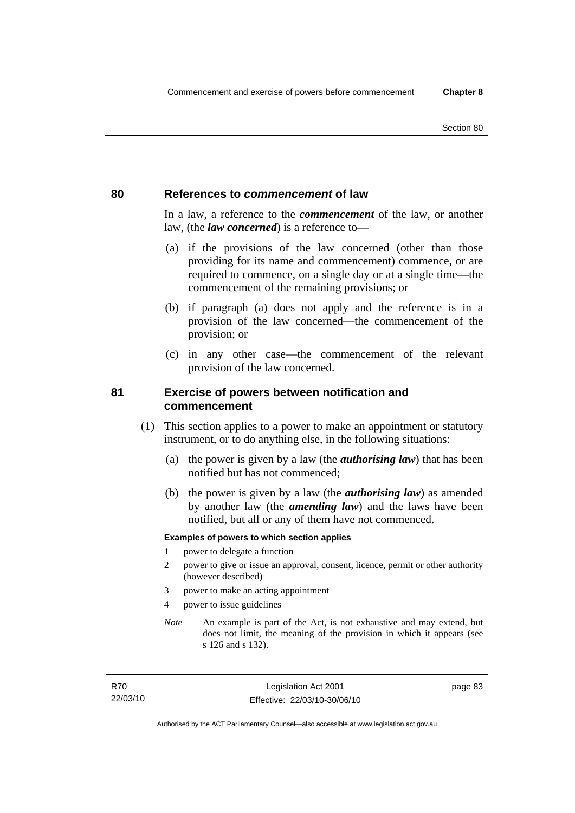## **80 References to** *commencement* **of law**

In a law, a reference to the *commencement* of the law, or another law, (the *law concerned*) is a reference to—

- (a) if the provisions of the law concerned (other than those providing for its name and commencement) commence, or are required to commence, on a single day or at a single time—the commencement of the remaining provisions; or
- (b) if paragraph (a) does not apply and the reference is in a provision of the law concerned—the commencement of the provision; or
- (c) in any other case—the commencement of the relevant provision of the law concerned.

## **81 Exercise of powers between notification and commencement**

- (1) This section applies to a power to make an appointment or statutory instrument, or to do anything else, in the following situations:
	- (a) the power is given by a law (the *authorising law*) that has been notified but has not commenced;
	- (b) the power is given by a law (the *authorising law*) as amended by another law (the *amending law*) and the laws have been notified, but all or any of them have not commenced.

#### **Examples of powers to which section applies**

- 1 power to delegate a function
- 2 power to give or issue an approval, consent, licence, permit or other authority (however described)
- 3 power to make an acting appointment
- 4 power to issue guidelines
- *Note* An example is part of the Act, is not exhaustive and may extend, but does not limit, the meaning of the provision in which it appears (see s 126 and s 132).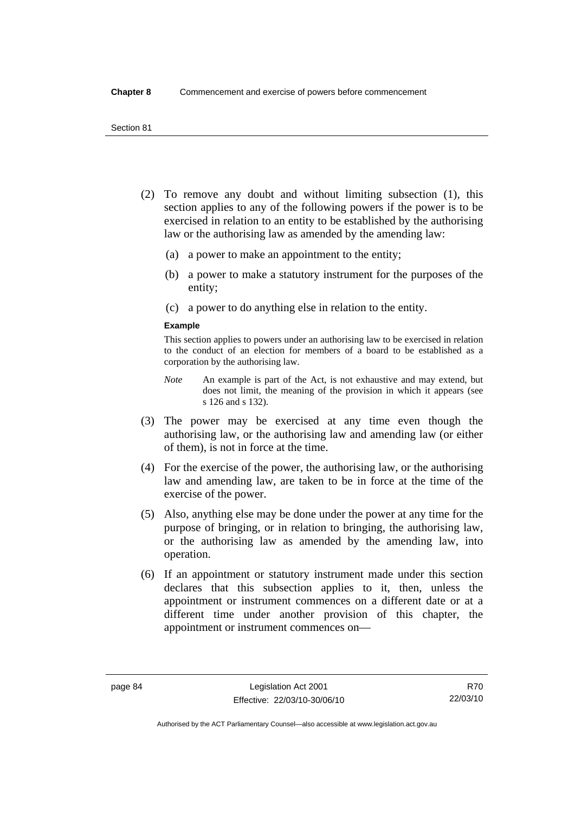- (2) To remove any doubt and without limiting subsection (1), this section applies to any of the following powers if the power is to be exercised in relation to an entity to be established by the authorising law or the authorising law as amended by the amending law:
	- (a) a power to make an appointment to the entity;
	- (b) a power to make a statutory instrument for the purposes of the entity;
	- (c) a power to do anything else in relation to the entity.

#### **Example**

This section applies to powers under an authorising law to be exercised in relation to the conduct of an election for members of a board to be established as a corporation by the authorising law.

- *Note* An example is part of the Act, is not exhaustive and may extend, but does not limit, the meaning of the provision in which it appears (see s 126 and s 132).
- (3) The power may be exercised at any time even though the authorising law, or the authorising law and amending law (or either of them), is not in force at the time.
- (4) For the exercise of the power, the authorising law, or the authorising law and amending law, are taken to be in force at the time of the exercise of the power.
- (5) Also, anything else may be done under the power at any time for the purpose of bringing, or in relation to bringing, the authorising law, or the authorising law as amended by the amending law, into operation.
- (6) If an appointment or statutory instrument made under this section declares that this subsection applies to it, then, unless the appointment or instrument commences on a different date or at a different time under another provision of this chapter, the appointment or instrument commences on—

Authorised by the ACT Parliamentary Counsel—also accessible at www.legislation.act.gov.au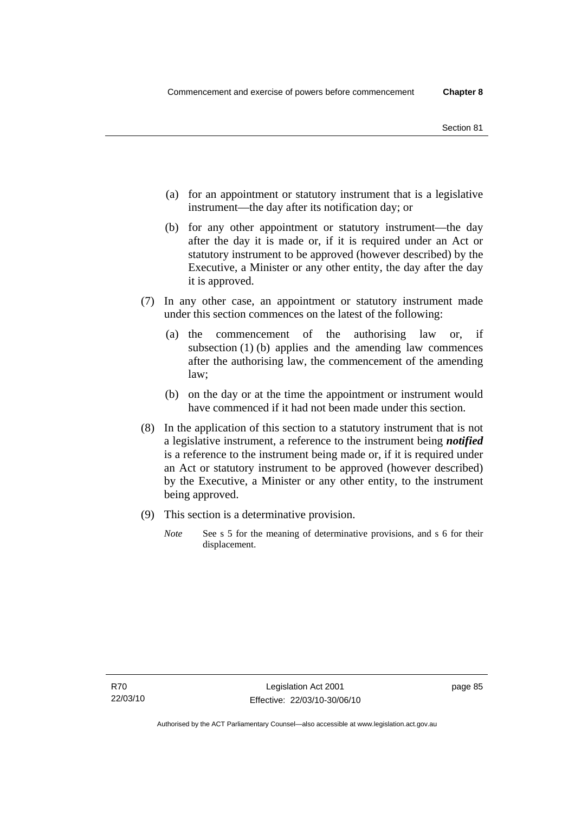- (a) for an appointment or statutory instrument that is a legislative instrument—the day after its notification day; or
- (b) for any other appointment or statutory instrument—the day after the day it is made or, if it is required under an Act or statutory instrument to be approved (however described) by the Executive, a Minister or any other entity, the day after the day it is approved.
- (7) In any other case, an appointment or statutory instrument made under this section commences on the latest of the following:
	- (a) the commencement of the authorising law or, if subsection (1) (b) applies and the amending law commences after the authorising law, the commencement of the amending law;
	- (b) on the day or at the time the appointment or instrument would have commenced if it had not been made under this section.
- (8) In the application of this section to a statutory instrument that is not a legislative instrument, a reference to the instrument being *notified*  is a reference to the instrument being made or, if it is required under an Act or statutory instrument to be approved (however described) by the Executive, a Minister or any other entity, to the instrument being approved.
- (9) This section is a determinative provision.
	- *Note* See s 5 for the meaning of determinative provisions, and s 6 for their displacement.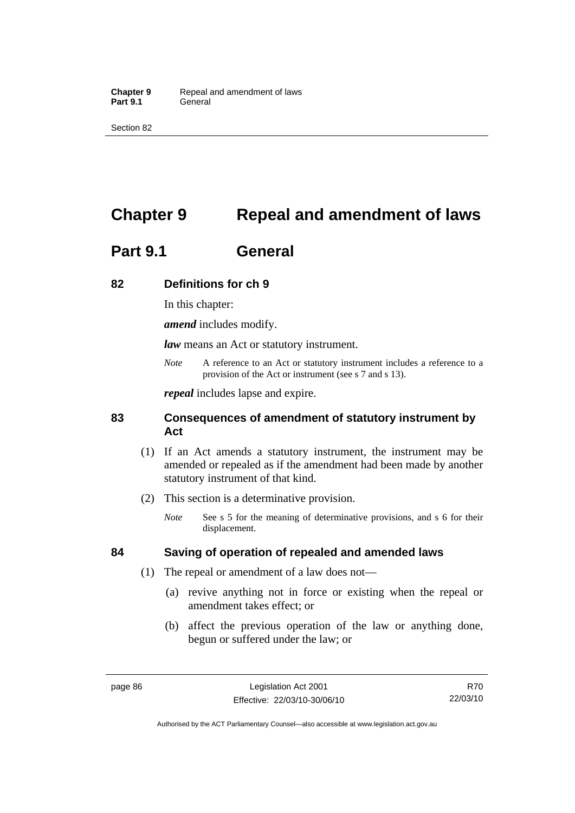Section 82

# **Chapter 9 Repeal and amendment of laws**

# **Part 9.1 General**

## **82 Definitions for ch 9**

In this chapter:

*amend* includes modify.

*law* means an Act or statutory instrument.

*Note* A reference to an Act or statutory instrument includes a reference to a provision of the Act or instrument (see s 7 and s 13).

*repeal* includes lapse and expire.

## **83 Consequences of amendment of statutory instrument by Act**

- (1) If an Act amends a statutory instrument, the instrument may be amended or repealed as if the amendment had been made by another statutory instrument of that kind.
- (2) This section is a determinative provision.
	- *Note* See s 5 for the meaning of determinative provisions, and s 6 for their displacement.

## **84 Saving of operation of repealed and amended laws**

- (1) The repeal or amendment of a law does not—
	- (a) revive anything not in force or existing when the repeal or amendment takes effect; or
	- (b) affect the previous operation of the law or anything done, begun or suffered under the law; or

R70 22/03/10

Authorised by the ACT Parliamentary Counsel—also accessible at www.legislation.act.gov.au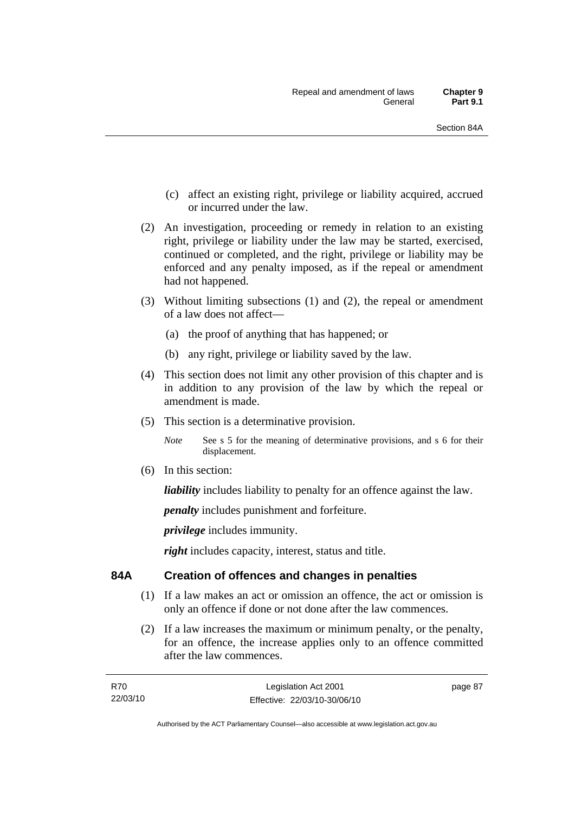- (c) affect an existing right, privilege or liability acquired, accrued or incurred under the law.
- (2) An investigation, proceeding or remedy in relation to an existing right, privilege or liability under the law may be started, exercised, continued or completed, and the right, privilege or liability may be enforced and any penalty imposed, as if the repeal or amendment had not happened.
- (3) Without limiting subsections (1) and (2), the repeal or amendment of a law does not affect—
	- (a) the proof of anything that has happened; or
	- (b) any right, privilege or liability saved by the law.
- (4) This section does not limit any other provision of this chapter and is in addition to any provision of the law by which the repeal or amendment is made.
- (5) This section is a determinative provision.

*Note* See s 5 for the meaning of determinative provisions, and s 6 for their displacement.

(6) In this section:

*liability* includes liability to penalty for an offence against the law.

*penalty* includes punishment and forfeiture.

*privilege* includes immunity.

*right* includes capacity, interest, status and title.

## **84A Creation of offences and changes in penalties**

- (1) If a law makes an act or omission an offence, the act or omission is only an offence if done or not done after the law commences.
- (2) If a law increases the maximum or minimum penalty, or the penalty, for an offence, the increase applies only to an offence committed after the law commences.

| R70      | Legislation Act 2001         |
|----------|------------------------------|
| 22/03/10 | Effective: 22/03/10-30/06/10 |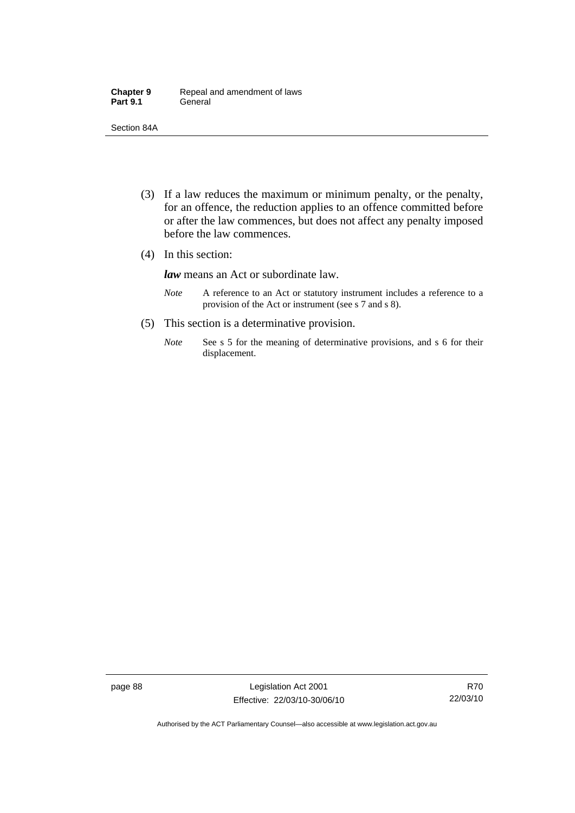| <b>Chapter 9</b> | Repeal and amendment of laws |
|------------------|------------------------------|
| <b>Part 9.1</b>  | General                      |

Section 84A

- (3) If a law reduces the maximum or minimum penalty, or the penalty, for an offence, the reduction applies to an offence committed before or after the law commences, but does not affect any penalty imposed before the law commences.
- (4) In this section:

*law* means an Act or subordinate law.

- *Note* A reference to an Act or statutory instrument includes a reference to a provision of the Act or instrument (see s 7 and s 8).
- (5) This section is a determinative provision.
	- *Note* See s 5 for the meaning of determinative provisions, and s 6 for their displacement.

page 88 Legislation Act 2001 Effective: 22/03/10-30/06/10

R70 22/03/10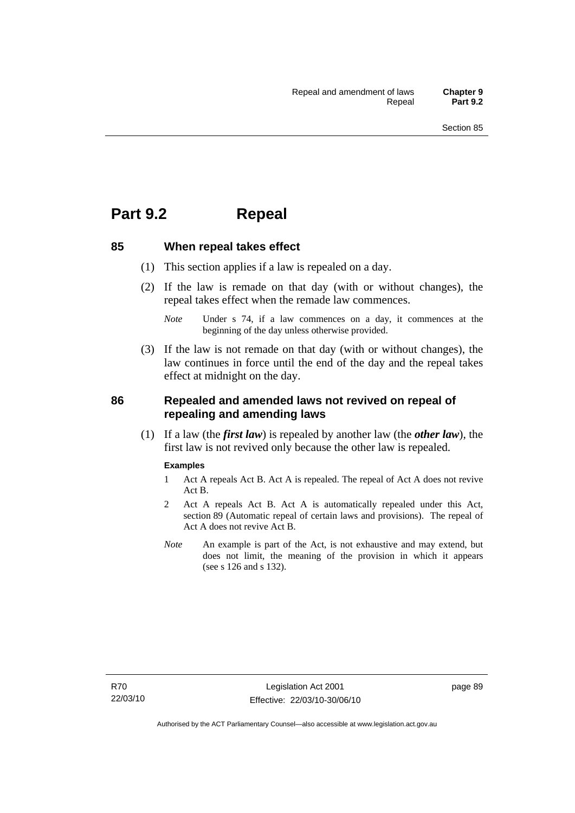# **Part 9.2 Repeal**

#### **85 When repeal takes effect**

- (1) This section applies if a law is repealed on a day.
- (2) If the law is remade on that day (with or without changes), the repeal takes effect when the remade law commences.

 (3) If the law is not remade on that day (with or without changes), the law continues in force until the end of the day and the repeal takes effect at midnight on the day.

## **86 Repealed and amended laws not revived on repeal of repealing and amending laws**

 (1) If a law (the *first law*) is repealed by another law (the *other law*), the first law is not revived only because the other law is repealed.

#### **Examples**

- 1 Act A repeals Act B. Act A is repealed. The repeal of Act A does not revive Act B.
- 2 Act A repeals Act B. Act A is automatically repealed under this Act, section 89 (Automatic repeal of certain laws and provisions). The repeal of Act A does not revive Act B.
- *Note* An example is part of the Act, is not exhaustive and may extend, but does not limit, the meaning of the provision in which it appears (see s 126 and s 132).

*Note* Under s 74, if a law commences on a day, it commences at the beginning of the day unless otherwise provided.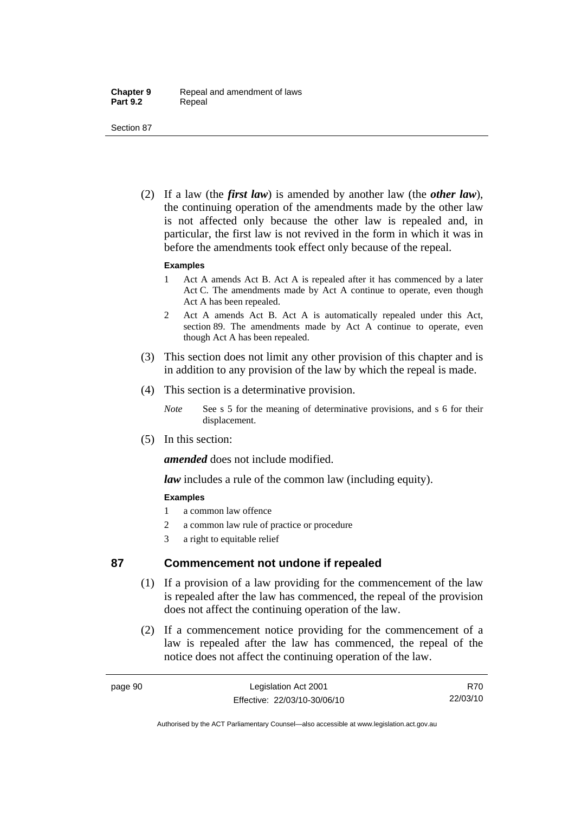Section 87

 (2) If a law (the *first law*) is amended by another law (the *other law*), the continuing operation of the amendments made by the other law is not affected only because the other law is repealed and, in particular, the first law is not revived in the form in which it was in before the amendments took effect only because of the repeal.

#### **Examples**

- 1 Act A amends Act B. Act A is repealed after it has commenced by a later Act C. The amendments made by Act A continue to operate, even though Act A has been repealed.
- 2 Act A amends Act B. Act A is automatically repealed under this Act, section 89. The amendments made by Act A continue to operate, even though Act A has been repealed.
- (3) This section does not limit any other provision of this chapter and is in addition to any provision of the law by which the repeal is made.
- (4) This section is a determinative provision.
	- *Note* See s 5 for the meaning of determinative provisions, and s 6 for their displacement.
- (5) In this section:

*amended* does not include modified.

*law* includes a rule of the common law (including equity).

## **Examples**

- 1 a common law offence
- 2 a common law rule of practice or procedure
- 3 a right to equitable relief

## **87 Commencement not undone if repealed**

- (1) If a provision of a law providing for the commencement of the law is repealed after the law has commenced, the repeal of the provision does not affect the continuing operation of the law.
- (2) If a commencement notice providing for the commencement of a law is repealed after the law has commenced, the repeal of the notice does not affect the continuing operation of the law.

R70 22/03/10

Authorised by the ACT Parliamentary Counsel—also accessible at www.legislation.act.gov.au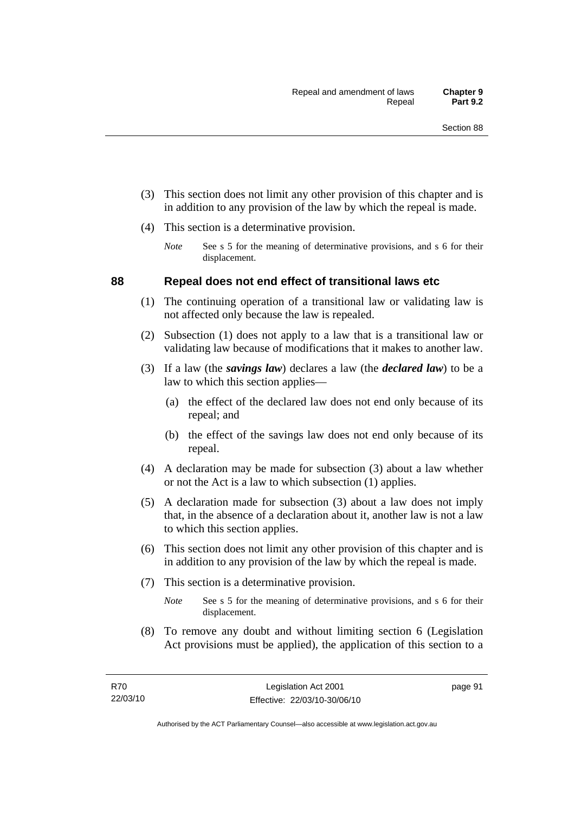- (3) This section does not limit any other provision of this chapter and is in addition to any provision of the law by which the repeal is made.
- (4) This section is a determinative provision.
	- *Note* See s 5 for the meaning of determinative provisions, and s 6 for their displacement.

## **88 Repeal does not end effect of transitional laws etc**

- (1) The continuing operation of a transitional law or validating law is not affected only because the law is repealed.
- (2) Subsection (1) does not apply to a law that is a transitional law or validating law because of modifications that it makes to another law.
- (3) If a law (the *savings law*) declares a law (the *declared law*) to be a law to which this section applies—
	- (a) the effect of the declared law does not end only because of its repeal; and
	- (b) the effect of the savings law does not end only because of its repeal.
- (4) A declaration may be made for subsection (3) about a law whether or not the Act is a law to which subsection (1) applies.
- (5) A declaration made for subsection (3) about a law does not imply that, in the absence of a declaration about it, another law is not a law to which this section applies.
- (6) This section does not limit any other provision of this chapter and is in addition to any provision of the law by which the repeal is made.
- (7) This section is a determinative provision.
	- *Note* See s 5 for the meaning of determinative provisions, and s 6 for their displacement.
- (8) To remove any doubt and without limiting section 6 (Legislation Act provisions must be applied), the application of this section to a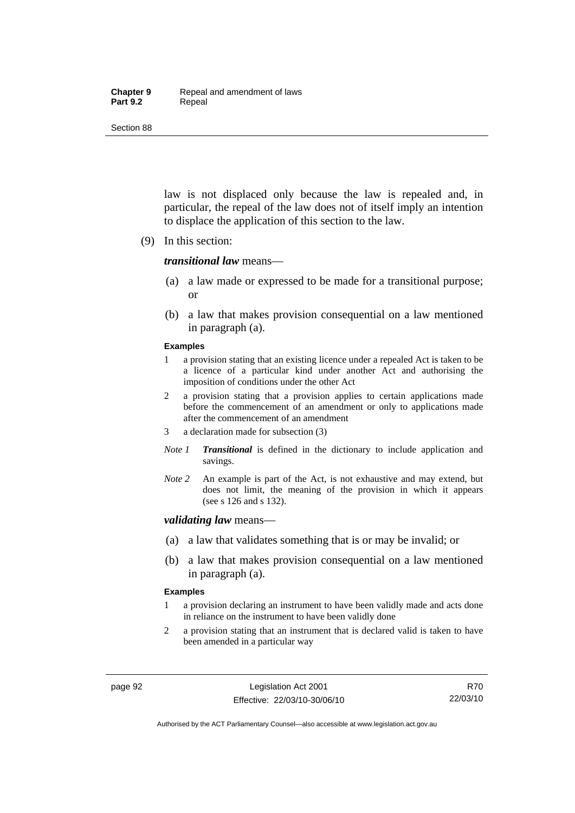#### **Chapter 9** Repeal and amendment of laws Part 9.2 **Repeal**

Section 88

law is not displaced only because the law is repealed and, in particular, the repeal of the law does not of itself imply an intention to displace the application of this section to the law.

(9) In this section:

#### *transitional law* means—

- (a) a law made or expressed to be made for a transitional purpose; or
- (b) a law that makes provision consequential on a law mentioned in paragraph (a).

#### **Examples**

- 1 a provision stating that an existing licence under a repealed Act is taken to be a licence of a particular kind under another Act and authorising the imposition of conditions under the other Act
- 2 a provision stating that a provision applies to certain applications made before the commencement of an amendment or only to applications made after the commencement of an amendment
- 3 a declaration made for subsection (3)
- *Note 1 Transitional* is defined in the dictionary to include application and savings.
- *Note 2* An example is part of the Act, is not exhaustive and may extend, but does not limit, the meaning of the provision in which it appears (see s 126 and s 132).

#### *validating law* means—

- (a) a law that validates something that is or may be invalid; or
- (b) a law that makes provision consequential on a law mentioned in paragraph (a).

#### **Examples**

- 1 a provision declaring an instrument to have been validly made and acts done in reliance on the instrument to have been validly done
- 2 a provision stating that an instrument that is declared valid is taken to have been amended in a particular way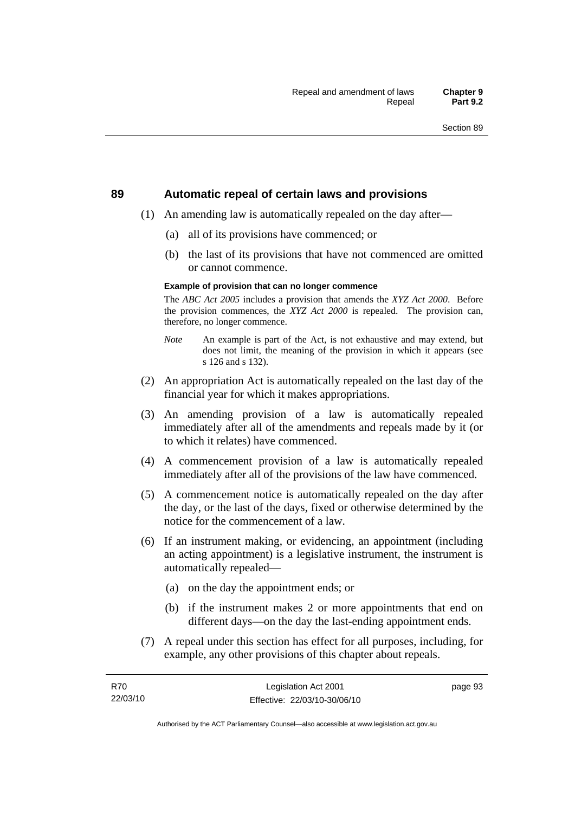#### **89 Automatic repeal of certain laws and provisions**

- (1) An amending law is automatically repealed on the day after—
	- (a) all of its provisions have commenced; or
	- (b) the last of its provisions that have not commenced are omitted or cannot commence.

#### **Example of provision that can no longer commence**

The *ABC Act 2005* includes a provision that amends the *XYZ Act 2000*. Before the provision commences, the *XYZ Act 2000* is repealed. The provision can, therefore, no longer commence.

- *Note* An example is part of the Act, is not exhaustive and may extend, but does not limit, the meaning of the provision in which it appears (see s 126 and s 132).
- (2) An appropriation Act is automatically repealed on the last day of the financial year for which it makes appropriations.
- (3) An amending provision of a law is automatically repealed immediately after all of the amendments and repeals made by it (or to which it relates) have commenced.
- (4) A commencement provision of a law is automatically repealed immediately after all of the provisions of the law have commenced.
- (5) A commencement notice is automatically repealed on the day after the day, or the last of the days, fixed or otherwise determined by the notice for the commencement of a law.
- (6) If an instrument making, or evidencing, an appointment (including an acting appointment) is a legislative instrument, the instrument is automatically repealed—
	- (a) on the day the appointment ends; or
	- (b) if the instrument makes 2 or more appointments that end on different days—on the day the last-ending appointment ends.
- (7) A repeal under this section has effect for all purposes, including, for example, any other provisions of this chapter about repeals.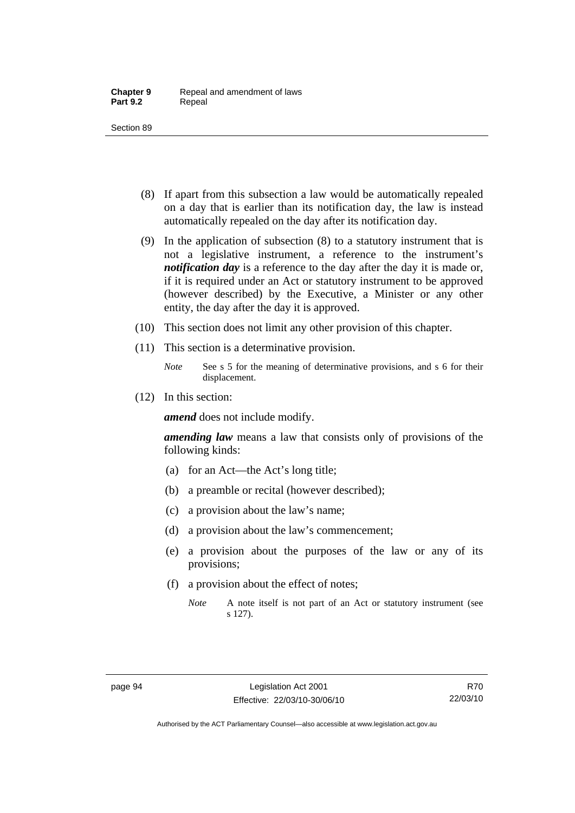- (8) If apart from this subsection a law would be automatically repealed on a day that is earlier than its notification day, the law is instead automatically repealed on the day after its notification day.
- (9) In the application of subsection (8) to a statutory instrument that is not a legislative instrument, a reference to the instrument's *notification day* is a reference to the day after the day it is made or, if it is required under an Act or statutory instrument to be approved (however described) by the Executive, a Minister or any other entity, the day after the day it is approved.
- (10) This section does not limit any other provision of this chapter.
- (11) This section is a determinative provision.
	- *Note* See s 5 for the meaning of determinative provisions, and s 6 for their displacement.
- (12) In this section:

*amend* does not include modify.

*amending law* means a law that consists only of provisions of the following kinds:

- (a) for an Act—the Act's long title;
- (b) a preamble or recital (however described);
- (c) a provision about the law's name;
- (d) a provision about the law's commencement;
- (e) a provision about the purposes of the law or any of its provisions;
- (f) a provision about the effect of notes;
	- *Note* A note itself is not part of an Act or statutory instrument (see s 127).

R70 22/03/10

Authorised by the ACT Parliamentary Counsel—also accessible at www.legislation.act.gov.au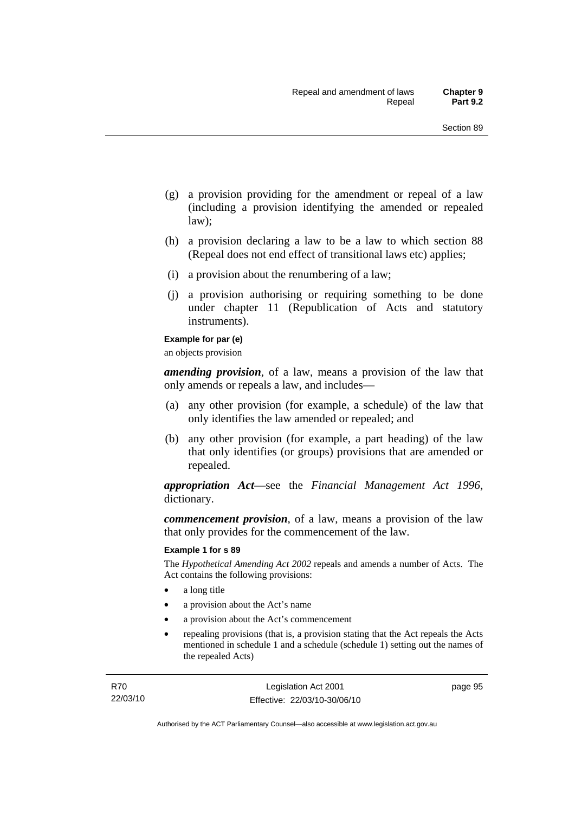- (g) a provision providing for the amendment or repeal of a law (including a provision identifying the amended or repealed law);
- (h) a provision declaring a law to be a law to which section 88 (Repeal does not end effect of transitional laws etc) applies;
- (i) a provision about the renumbering of a law;
- (j) a provision authorising or requiring something to be done under chapter 11 (Republication of Acts and statutory instruments).

#### **Example for par (e)**

an objects provision

*amending provision*, of a law, means a provision of the law that only amends or repeals a law, and includes—

- (a) any other provision (for example, a schedule) of the law that only identifies the law amended or repealed; and
- (b) any other provision (for example, a part heading) of the law that only identifies (or groups) provisions that are amended or repealed.

*appropriation Act*—see the *Financial Management Act 1996*, dictionary.

*commencement provision*, of a law, means a provision of the law that only provides for the commencement of the law.

#### **Example 1 for s 89**

The *Hypothetical Amending Act 2002* repeals and amends a number of Acts. The Act contains the following provisions:

- a long title
- a provision about the Act's name
- a provision about the Act's commencement
- repealing provisions (that is, a provision stating that the Act repeals the Acts mentioned in schedule 1 and a schedule (schedule 1) setting out the names of the repealed Acts)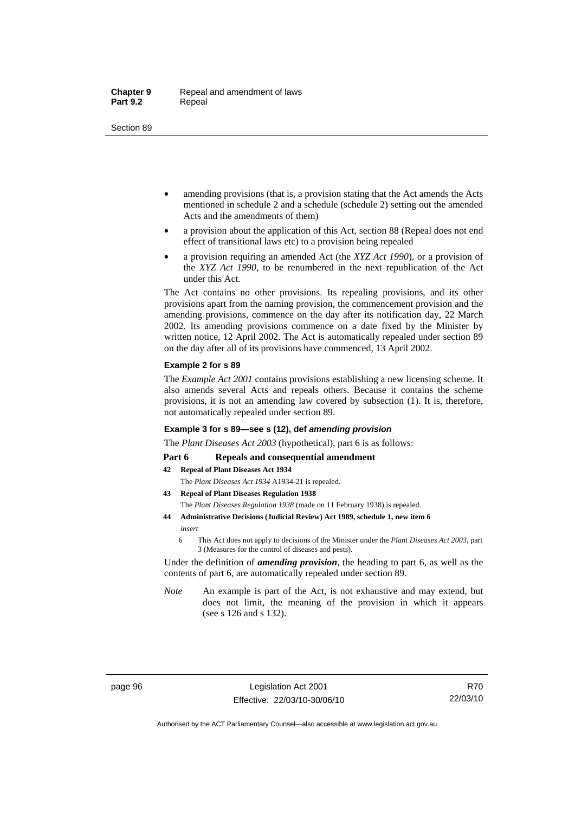- amending provisions (that is, a provision stating that the Act amends the Acts mentioned in schedule 2 and a schedule (schedule 2) setting out the amended Acts and the amendments of them)
- a provision about the application of this Act, section 88 (Repeal does not end effect of transitional laws etc) to a provision being repealed
- a provision requiring an amended Act (the *XYZ Act 1990*), or a provision of the *XYZ Act 1990*, to be renumbered in the next republication of the Act under this Act.

The Act contains no other provisions. Its repealing provisions, and its other provisions apart from the naming provision, the commencement provision and the amending provisions, commence on the day after its notification day, 22 March 2002. Its amending provisions commence on a date fixed by the Minister by written notice, 12 April 2002. The Act is automatically repealed under section 89 on the day after all of its provisions have commenced, 13 April 2002.

#### **Example 2 for s 89**

The *Example Act 2001* contains provisions establishing a new licensing scheme. It also amends several Acts and repeals others. Because it contains the scheme provisions, it is not an amending law covered by subsection (1). It is, therefore, not automatically repealed under section 89.

#### **Example 3 for s 89—see s (12), def** *amending provision*

The *Plant Diseases Act 2003* (hypothetical), part 6 is as follows:

#### Part 6 Repeals and consequential amendment

- **42 Repeal of Plant Diseases Act 1934**
	- The *Plant Diseases Act 1934* A1934-21 is repealed.
- **43 Repeal of Plant Diseases Regulation 1938** The *Plant Diseases Regulation 1938* (made on 11 February 1938) is repealed.
- **44 Administrative Decisions (Judicial Review) Act 1989, schedule 1, new item 6**  *insert* 
	- 6 This Act does not apply to decisions of the Minister under the *Plant Diseases Act 2003*, part 3 (Measures for the control of diseases and pests).

Under the definition of *amending provision*, the heading to part 6, as well as the contents of part 6, are automatically repealed under section 89.

*Note* An example is part of the Act, is not exhaustive and may extend, but does not limit, the meaning of the provision in which it appears (see s 126 and s 132).

Authorised by the ACT Parliamentary Counsel—also accessible at www.legislation.act.gov.au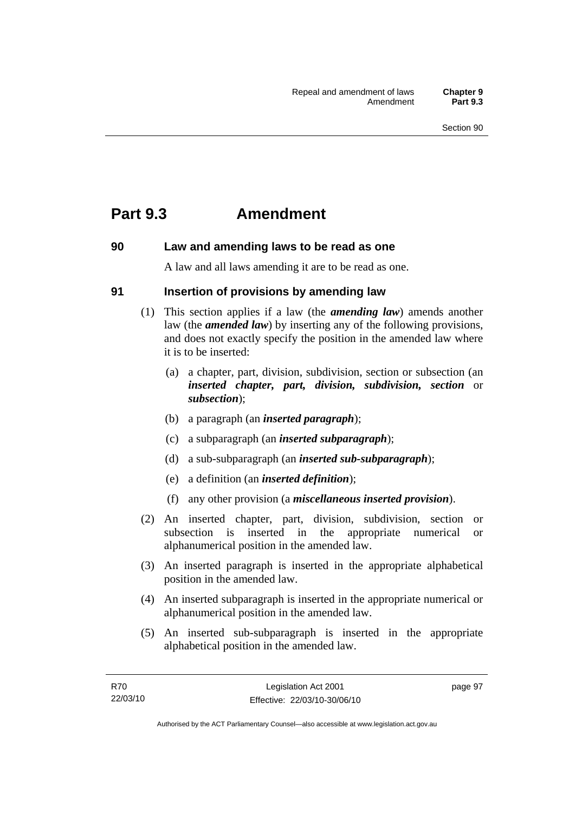## **Part 9.3 Amendment**

## **90 Law and amending laws to be read as one**

A law and all laws amending it are to be read as one.

## **91 Insertion of provisions by amending law**

- (1) This section applies if a law (the *amending law*) amends another law (the *amended law*) by inserting any of the following provisions, and does not exactly specify the position in the amended law where it is to be inserted:
	- (a) a chapter, part, division, subdivision, section or subsection (an *inserted chapter, part, division, subdivision, section* or *subsection*);
	- (b) a paragraph (an *inserted paragraph*);
	- (c) a subparagraph (an *inserted subparagraph*);
	- (d) a sub-subparagraph (an *inserted sub-subparagraph*);
	- (e) a definition (an *inserted definition*);
	- (f) any other provision (a *miscellaneous inserted provision*).
- (2) An inserted chapter, part, division, subdivision, section or subsection is inserted in the appropriate numerical or alphanumerical position in the amended law.
- (3) An inserted paragraph is inserted in the appropriate alphabetical position in the amended law.
- (4) An inserted subparagraph is inserted in the appropriate numerical or alphanumerical position in the amended law.
- (5) An inserted sub-subparagraph is inserted in the appropriate alphabetical position in the amended law.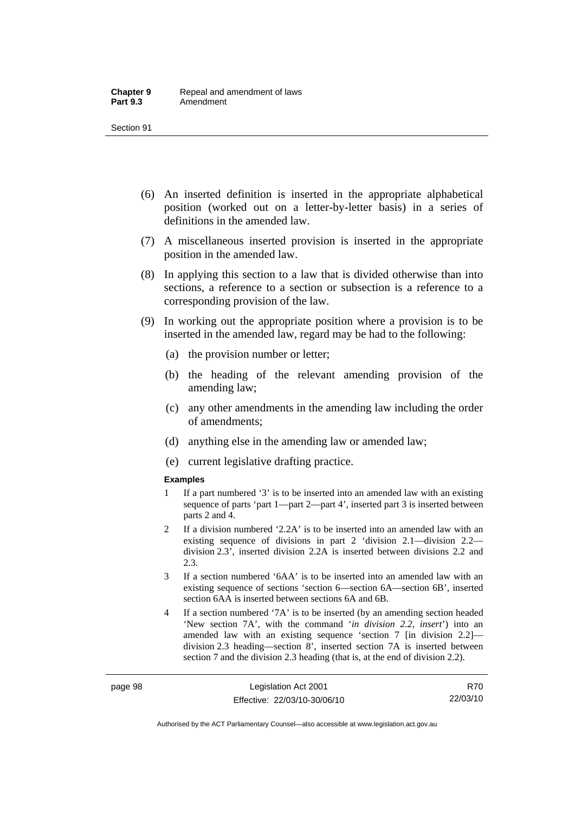- (6) An inserted definition is inserted in the appropriate alphabetical position (worked out on a letter-by-letter basis) in a series of definitions in the amended law.
- (7) A miscellaneous inserted provision is inserted in the appropriate position in the amended law.
- (8) In applying this section to a law that is divided otherwise than into sections, a reference to a section or subsection is a reference to a corresponding provision of the law.
- (9) In working out the appropriate position where a provision is to be inserted in the amended law, regard may be had to the following:
	- (a) the provision number or letter;
	- (b) the heading of the relevant amending provision of the amending law;
	- (c) any other amendments in the amending law including the order of amendments;
	- (d) anything else in the amending law or amended law;
	- (e) current legislative drafting practice.

#### **Examples**

- 1 If a part numbered '3' is to be inserted into an amended law with an existing sequence of parts 'part 1—part 2—part 4', inserted part 3 is inserted between parts 2 and 4.
- 2 If a division numbered '2.2A' is to be inserted into an amended law with an existing sequence of divisions in part 2 'division 2.1—division 2.2 division 2.3', inserted division 2.2A is inserted between divisions 2.2 and 2.3.
- 3 If a section numbered '6AA' is to be inserted into an amended law with an existing sequence of sections 'section 6—section 6A—section 6B', inserted section 6AA is inserted between sections 6A and 6B.
- 4 If a section numbered '7A' is to be inserted (by an amending section headed 'New section 7A', with the command '*in division 2.2, insert*') into an amended law with an existing sequence 'section 7 [in division 2.2] division 2.3 heading—section 8', inserted section 7A is inserted between section 7 and the division 2.3 heading (that is, at the end of division 2.2).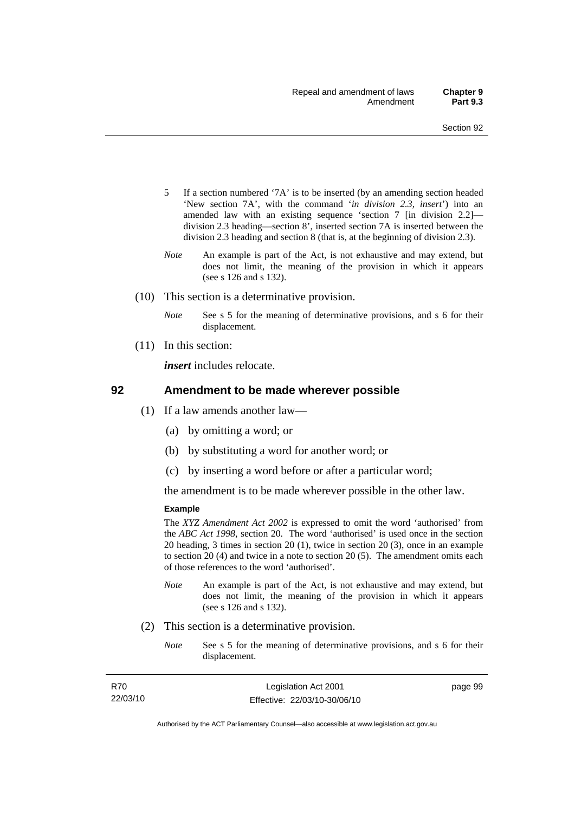- 5 If a section numbered '7A' is to be inserted (by an amending section headed 'New section 7A', with the command '*in division 2.3, insert*') into an amended law with an existing sequence 'section 7 [in division 2.2] division 2.3 heading—section 8', inserted section 7A is inserted between the division 2.3 heading and section 8 (that is, at the beginning of division 2.3).
- *Note* An example is part of the Act, is not exhaustive and may extend, but does not limit, the meaning of the provision in which it appears (see s 126 and s 132).
- (10) This section is a determinative provision.
	- *Note* See s 5 for the meaning of determinative provisions, and s 6 for their displacement.
- (11) In this section:

*insert* includes relocate.

#### **92 Amendment to be made wherever possible**

- (1) If a law amends another law—
	- (a) by omitting a word; or
	- (b) by substituting a word for another word; or
	- (c) by inserting a word before or after a particular word;

the amendment is to be made wherever possible in the other law.

#### **Example**

The *XYZ Amendment Act 2002* is expressed to omit the word 'authorised' from the *ABC Act 1998*, section 20. The word 'authorised' is used once in the section 20 heading, 3 times in section 20 (1), twice in section 20 (3), once in an example to section 20 (4) and twice in a note to section 20 (5). The amendment omits each of those references to the word 'authorised'.

- *Note* An example is part of the Act, is not exhaustive and may extend, but does not limit, the meaning of the provision in which it appears (see s 126 and s 132).
- (2) This section is a determinative provision.
	- *Note* See s 5 for the meaning of determinative provisions, and s 6 for their displacement.

| R70      |  |
|----------|--|
| 22/03/10 |  |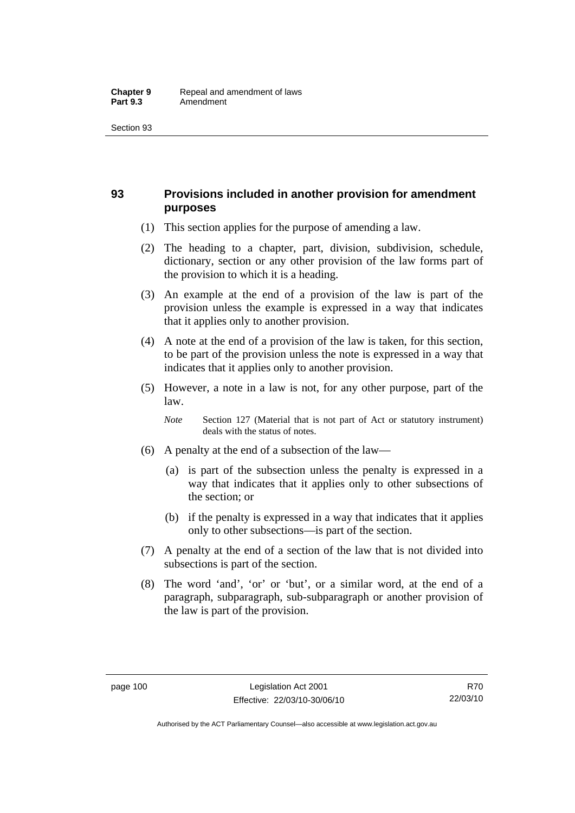## **93 Provisions included in another provision for amendment purposes**

- (1) This section applies for the purpose of amending a law.
- (2) The heading to a chapter, part, division, subdivision, schedule, dictionary, section or any other provision of the law forms part of the provision to which it is a heading.
- (3) An example at the end of a provision of the law is part of the provision unless the example is expressed in a way that indicates that it applies only to another provision.
- (4) A note at the end of a provision of the law is taken, for this section, to be part of the provision unless the note is expressed in a way that indicates that it applies only to another provision.
- (5) However, a note in a law is not, for any other purpose, part of the law.

*Note* Section 127 (Material that is not part of Act or statutory instrument) deals with the status of notes.

- (6) A penalty at the end of a subsection of the law—
	- (a) is part of the subsection unless the penalty is expressed in a way that indicates that it applies only to other subsections of the section; or
	- (b) if the penalty is expressed in a way that indicates that it applies only to other subsections—is part of the section.
- (7) A penalty at the end of a section of the law that is not divided into subsections is part of the section.
- (8) The word 'and', 'or' or 'but', or a similar word, at the end of a paragraph, subparagraph, sub-subparagraph or another provision of the law is part of the provision.

Authorised by the ACT Parliamentary Counsel—also accessible at www.legislation.act.gov.au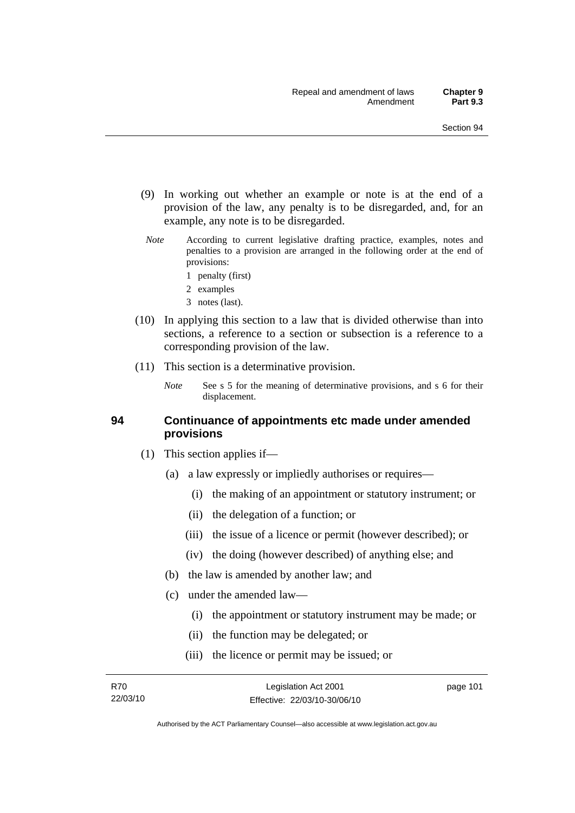- (9) In working out whether an example or note is at the end of a provision of the law, any penalty is to be disregarded, and, for an example, any note is to be disregarded.
- *Note* According to current legislative drafting practice, examples, notes and penalties to a provision are arranged in the following order at the end of provisions:
	- 1 penalty (first)
	- 2 examples
	- 3 notes (last).
- (10) In applying this section to a law that is divided otherwise than into sections, a reference to a section or subsection is a reference to a corresponding provision of the law.
- (11) This section is a determinative provision.
	- *Note* See s 5 for the meaning of determinative provisions, and s 6 for their displacement.

#### **94 Continuance of appointments etc made under amended provisions**

- (1) This section applies if—
	- (a) a law expressly or impliedly authorises or requires—
		- (i) the making of an appointment or statutory instrument; or
		- (ii) the delegation of a function; or
		- (iii) the issue of a licence or permit (however described); or
		- (iv) the doing (however described) of anything else; and
	- (b) the law is amended by another law; and
	- (c) under the amended law—
		- (i) the appointment or statutory instrument may be made; or
		- (ii) the function may be delegated; or
		- (iii) the licence or permit may be issued; or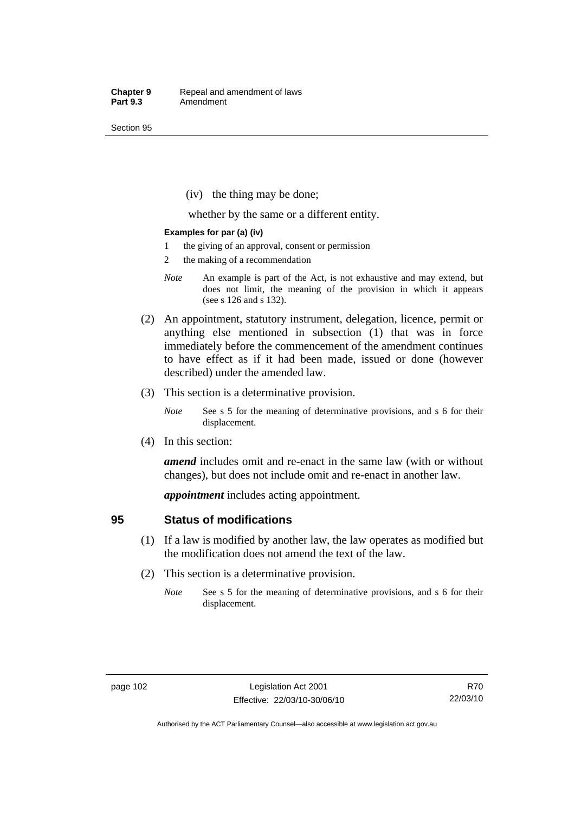(iv) the thing may be done;

whether by the same or a different entity.

#### **Examples for par (a) (iv)**

- 1 the giving of an approval, consent or permission
- 2 the making of a recommendation
- *Note* An example is part of the Act, is not exhaustive and may extend, but does not limit, the meaning of the provision in which it appears (see s 126 and s 132).
- (2) An appointment, statutory instrument, delegation, licence, permit or anything else mentioned in subsection (1) that was in force immediately before the commencement of the amendment continues to have effect as if it had been made, issued or done (however described) under the amended law.
- (3) This section is a determinative provision.
	- *Note* See s 5 for the meaning of determinative provisions, and s 6 for their displacement.
- (4) In this section:

*amend* includes omit and re-enact in the same law (with or without changes), but does not include omit and re-enact in another law.

*appointment* includes acting appointment.

#### **95 Status of modifications**

- (1) If a law is modified by another law, the law operates as modified but the modification does not amend the text of the law.
- (2) This section is a determinative provision.
	- *Note* See s 5 for the meaning of determinative provisions, and s 6 for their displacement.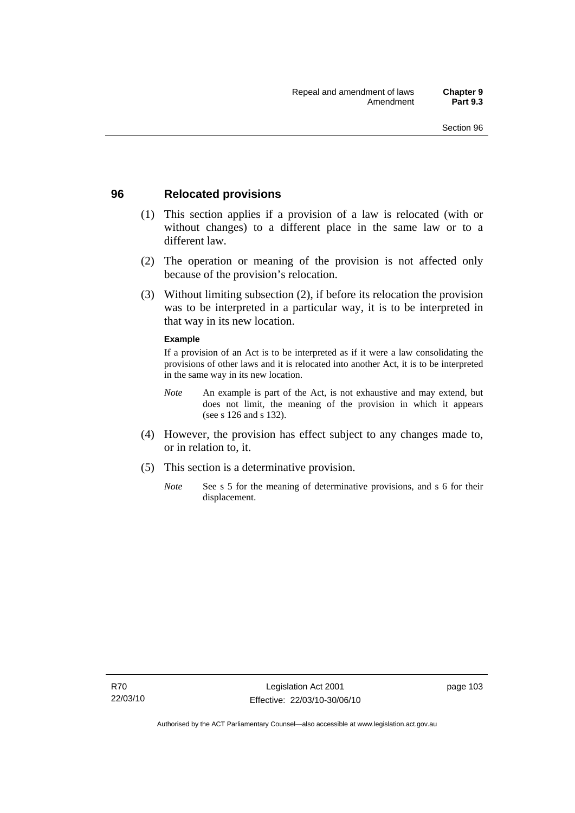### **96 Relocated provisions**

- (1) This section applies if a provision of a law is relocated (with or without changes) to a different place in the same law or to a different law.
- (2) The operation or meaning of the provision is not affected only because of the provision's relocation.
- (3) Without limiting subsection (2), if before its relocation the provision was to be interpreted in a particular way, it is to be interpreted in that way in its new location.

#### **Example**

If a provision of an Act is to be interpreted as if it were a law consolidating the provisions of other laws and it is relocated into another Act, it is to be interpreted in the same way in its new location.

- *Note* An example is part of the Act, is not exhaustive and may extend, but does not limit, the meaning of the provision in which it appears (see s 126 and s 132).
- (4) However, the provision has effect subject to any changes made to, or in relation to, it.
- (5) This section is a determinative provision.
	- *Note* See s 5 for the meaning of determinative provisions, and s 6 for their displacement.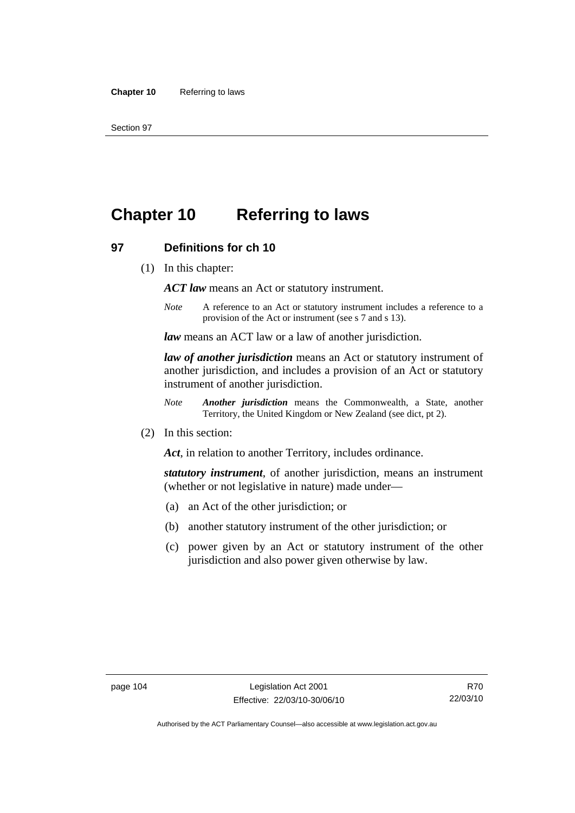# **Chapter 10 Referring to laws**

#### **97 Definitions for ch 10**

(1) In this chapter:

*ACT law* means an Act or statutory instrument.

*Note* A reference to an Act or statutory instrument includes a reference to a provision of the Act or instrument (see s 7 and s 13).

*law* means an ACT law or a law of another jurisdiction.

*law of another jurisdiction* means an Act or statutory instrument of another jurisdiction, and includes a provision of an Act or statutory instrument of another jurisdiction.

- *Note Another jurisdiction* means the Commonwealth, a State, another Territory, the United Kingdom or New Zealand (see dict, pt 2).
- (2) In this section:

*Act*, in relation to another Territory, includes ordinance.

*statutory instrument*, of another jurisdiction, means an instrument (whether or not legislative in nature) made under—

- (a) an Act of the other jurisdiction; or
- (b) another statutory instrument of the other jurisdiction; or
- (c) power given by an Act or statutory instrument of the other jurisdiction and also power given otherwise by law.

R70 22/03/10

Authorised by the ACT Parliamentary Counsel—also accessible at www.legislation.act.gov.au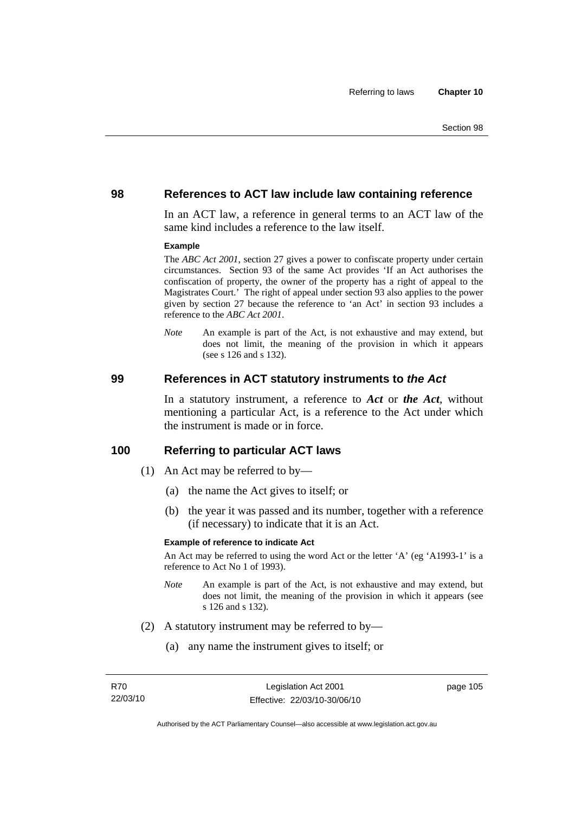#### **98 References to ACT law include law containing reference**

In an ACT law, a reference in general terms to an ACT law of the same kind includes a reference to the law itself.

#### **Example**

The *ABC Act 2001*, section 27 gives a power to confiscate property under certain circumstances. Section 93 of the same Act provides 'If an Act authorises the confiscation of property, the owner of the property has a right of appeal to the Magistrates Court.' The right of appeal under section 93 also applies to the power given by section 27 because the reference to 'an Act' in section 93 includes a reference to the *ABC Act 2001*.

*Note* An example is part of the Act, is not exhaustive and may extend, but does not limit, the meaning of the provision in which it appears (see s 126 and s 132).

#### **99 References in ACT statutory instruments to** *the Act*

In a statutory instrument, a reference to *Act* or *the Act*, without mentioning a particular Act, is a reference to the Act under which the instrument is made or in force.

#### **100 Referring to particular ACT laws**

- (1) An Act may be referred to by—
	- (a) the name the Act gives to itself; or
	- (b) the year it was passed and its number, together with a reference (if necessary) to indicate that it is an Act.

#### **Example of reference to indicate Act**

An Act may be referred to using the word Act or the letter 'A' (eg 'A1993-1' is a reference to Act No 1 of 1993).

- *Note* An example is part of the Act, is not exhaustive and may extend, but does not limit, the meaning of the provision in which it appears (see s 126 and s 132).
- (2) A statutory instrument may be referred to by—
	- (a) any name the instrument gives to itself; or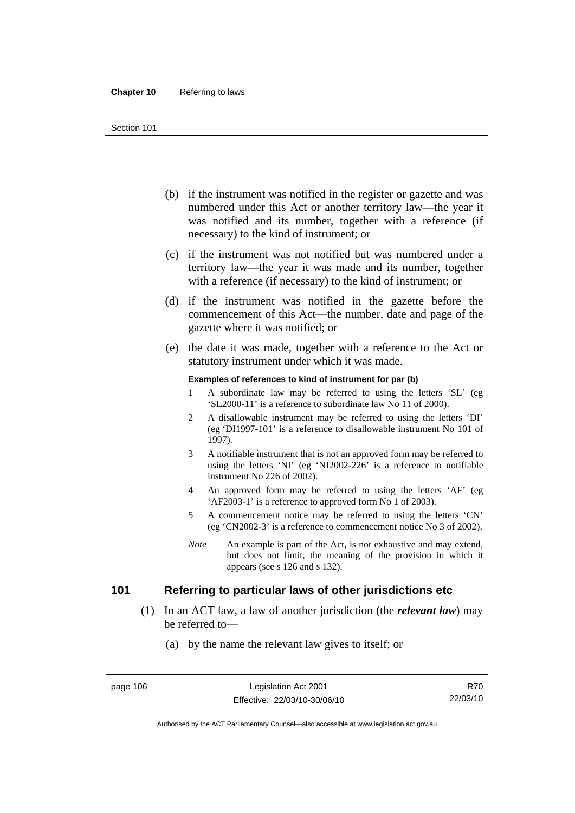- (b) if the instrument was notified in the register or gazette and was numbered under this Act or another territory law—the year it was notified and its number, together with a reference (if necessary) to the kind of instrument; or
- (c) if the instrument was not notified but was numbered under a territory law—the year it was made and its number, together with a reference (if necessary) to the kind of instrument; or
- (d) if the instrument was notified in the gazette before the commencement of this Act—the number, date and page of the gazette where it was notified; or
- (e) the date it was made, together with a reference to the Act or statutory instrument under which it was made.

#### **Examples of references to kind of instrument for par (b)**

- 1 A subordinate law may be referred to using the letters 'SL' (eg 'SL2000-11' is a reference to subordinate law No 11 of 2000).
- 2 A disallowable instrument may be referred to using the letters 'DI' (eg 'DI1997-101' is a reference to disallowable instrument No 101 of 1997).
- 3 A notifiable instrument that is not an approved form may be referred to using the letters 'NI' (eg 'NI2002-226' is a reference to notifiable instrument No 226 of 2002).
- 4 An approved form may be referred to using the letters 'AF' (eg 'AF2003-1' is a reference to approved form No 1 of 2003).
- 5 A commencement notice may be referred to using the letters 'CN' (eg 'CN2002-3' is a reference to commencement notice No 3 of 2002).
- *Note* An example is part of the Act, is not exhaustive and may extend, but does not limit, the meaning of the provision in which it appears (see s 126 and s 132).

## **101 Referring to particular laws of other jurisdictions etc**

- (1) In an ACT law, a law of another jurisdiction (the *relevant law*) may be referred to—
	- (a) by the name the relevant law gives to itself; or

Authorised by the ACT Parliamentary Counsel—also accessible at www.legislation.act.gov.au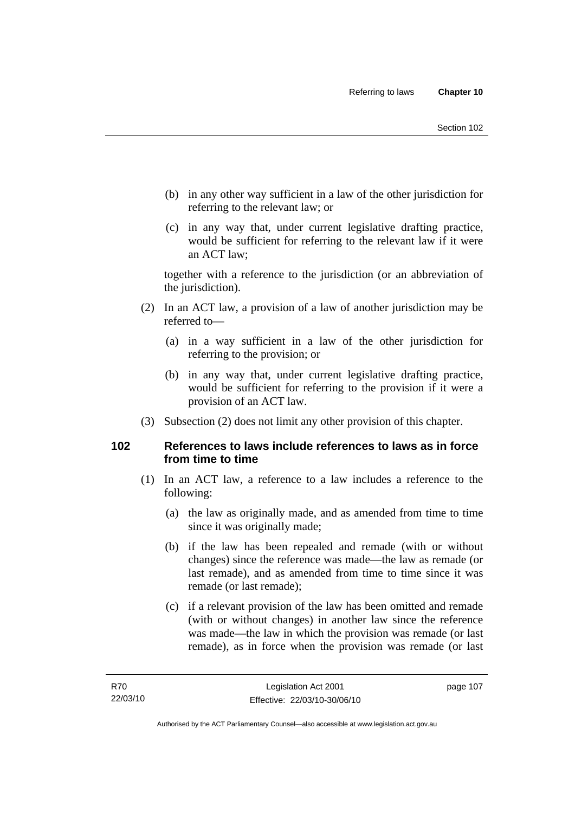- (b) in any other way sufficient in a law of the other jurisdiction for referring to the relevant law; or
- (c) in any way that, under current legislative drafting practice, would be sufficient for referring to the relevant law if it were an ACT law;

together with a reference to the jurisdiction (or an abbreviation of the jurisdiction).

- (2) In an ACT law, a provision of a law of another jurisdiction may be referred to—
	- (a) in a way sufficient in a law of the other jurisdiction for referring to the provision; or
	- (b) in any way that, under current legislative drafting practice, would be sufficient for referring to the provision if it were a provision of an ACT law.
- (3) Subsection (2) does not limit any other provision of this chapter.

## **102 References to laws include references to laws as in force from time to time**

- (1) In an ACT law, a reference to a law includes a reference to the following:
	- (a) the law as originally made, and as amended from time to time since it was originally made;
	- (b) if the law has been repealed and remade (with or without changes) since the reference was made—the law as remade (or last remade), and as amended from time to time since it was remade (or last remade);
	- (c) if a relevant provision of the law has been omitted and remade (with or without changes) in another law since the reference was made—the law in which the provision was remade (or last remade), as in force when the provision was remade (or last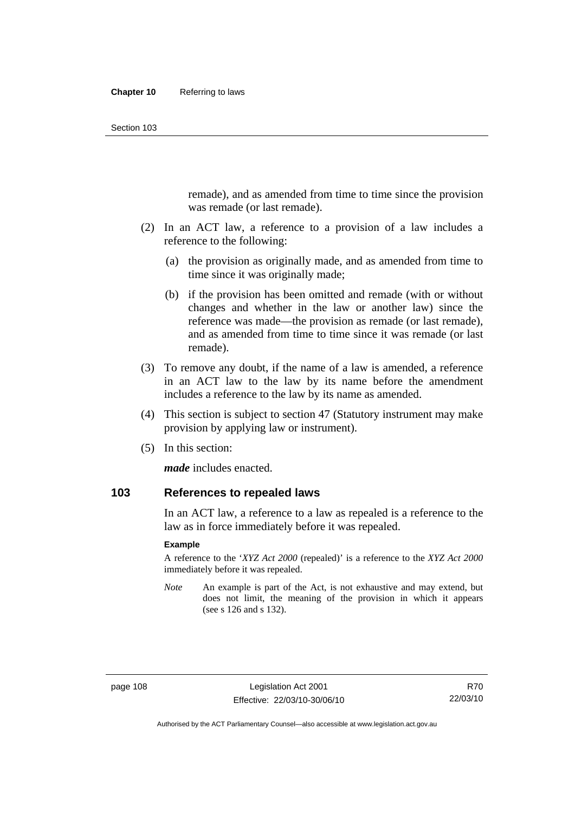remade), and as amended from time to time since the provision was remade (or last remade).

- (2) In an ACT law, a reference to a provision of a law includes a reference to the following:
	- (a) the provision as originally made, and as amended from time to time since it was originally made;
	- (b) if the provision has been omitted and remade (with or without changes and whether in the law or another law) since the reference was made—the provision as remade (or last remade), and as amended from time to time since it was remade (or last remade).
- (3) To remove any doubt, if the name of a law is amended, a reference in an ACT law to the law by its name before the amendment includes a reference to the law by its name as amended.
- (4) This section is subject to section 47 (Statutory instrument may make provision by applying law or instrument).
- (5) In this section:

*made* includes enacted.

### **103 References to repealed laws**

In an ACT law, a reference to a law as repealed is a reference to the law as in force immediately before it was repealed.

#### **Example**

A reference to the '*XYZ Act 2000* (repealed)' is a reference to the *XYZ Act 2000* immediately before it was repealed.

*Note* An example is part of the Act, is not exhaustive and may extend, but does not limit, the meaning of the provision in which it appears (see s 126 and s 132).

Authorised by the ACT Parliamentary Counsel—also accessible at www.legislation.act.gov.au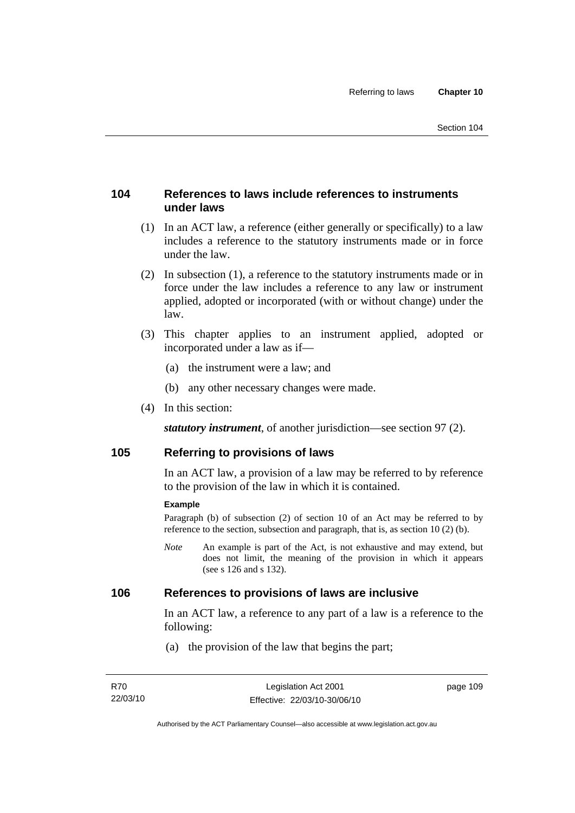## **104 References to laws include references to instruments under laws**

- (1) In an ACT law, a reference (either generally or specifically) to a law includes a reference to the statutory instruments made or in force under the law.
- (2) In subsection (1), a reference to the statutory instruments made or in force under the law includes a reference to any law or instrument applied, adopted or incorporated (with or without change) under the law.
- (3) This chapter applies to an instrument applied, adopted or incorporated under a law as if—
	- (a) the instrument were a law; and
	- (b) any other necessary changes were made.
- (4) In this section:

*statutory instrument*, of another jurisdiction—see section 97 (2).

## **105 Referring to provisions of laws**

In an ACT law, a provision of a law may be referred to by reference to the provision of the law in which it is contained.

#### **Example**

Paragraph (b) of subsection (2) of section 10 of an Act may be referred to by reference to the section, subsection and paragraph, that is, as section 10 (2) (b).

*Note* An example is part of the Act, is not exhaustive and may extend, but does not limit, the meaning of the provision in which it appears (see s 126 and s 132).

#### **106 References to provisions of laws are inclusive**

In an ACT law, a reference to any part of a law is a reference to the following:

(a) the provision of the law that begins the part;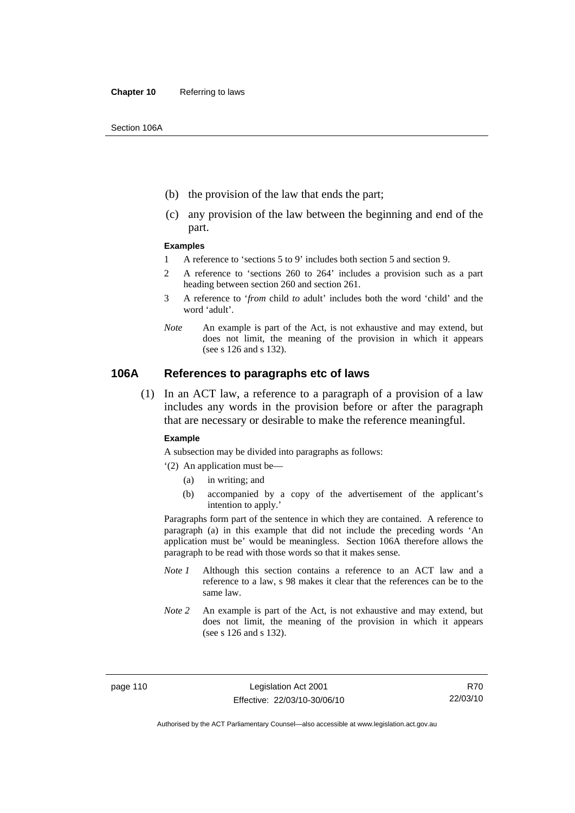- (b) the provision of the law that ends the part;
- (c) any provision of the law between the beginning and end of the part.

#### **Examples**

- 1 A reference to 'sections 5 to 9' includes both section 5 and section 9.
- 2 A reference to 'sections 260 to 264' includes a provision such as a part heading between section 260 and section 261.
- 3 A reference to '*from* child *to* adult' includes both the word 'child' and the word 'adult'.
- *Note* An example is part of the Act, is not exhaustive and may extend, but does not limit, the meaning of the provision in which it appears (see s 126 and s 132).

#### **106A References to paragraphs etc of laws**

 (1) In an ACT law, a reference to a paragraph of a provision of a law includes any words in the provision before or after the paragraph that are necessary or desirable to make the reference meaningful.

#### **Example**

A subsection may be divided into paragraphs as follows:

- '(2) An application must be—
	- (a) in writing; and
	- (b) accompanied by a copy of the advertisement of the applicant's intention to apply.'

Paragraphs form part of the sentence in which they are contained. A reference to paragraph (a) in this example that did not include the preceding words 'An application must be' would be meaningless. Section 106A therefore allows the paragraph to be read with those words so that it makes sense.

- *Note 1* Although this section contains a reference to an ACT law and a reference to a law, s 98 makes it clear that the references can be to the same law.
- *Note 2* An example is part of the Act, is not exhaustive and may extend, but does not limit, the meaning of the provision in which it appears (see s 126 and s 132).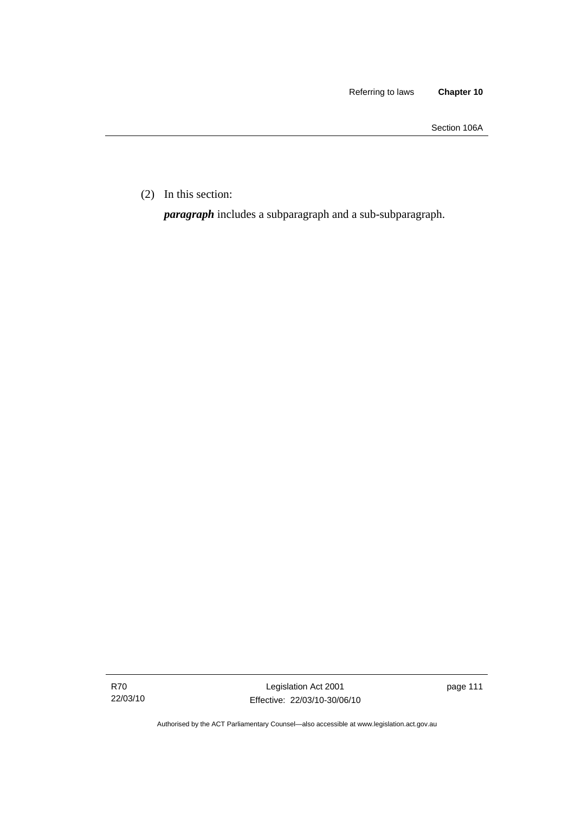Section 106A

(2) In this section:

*paragraph* includes a subparagraph and a sub-subparagraph.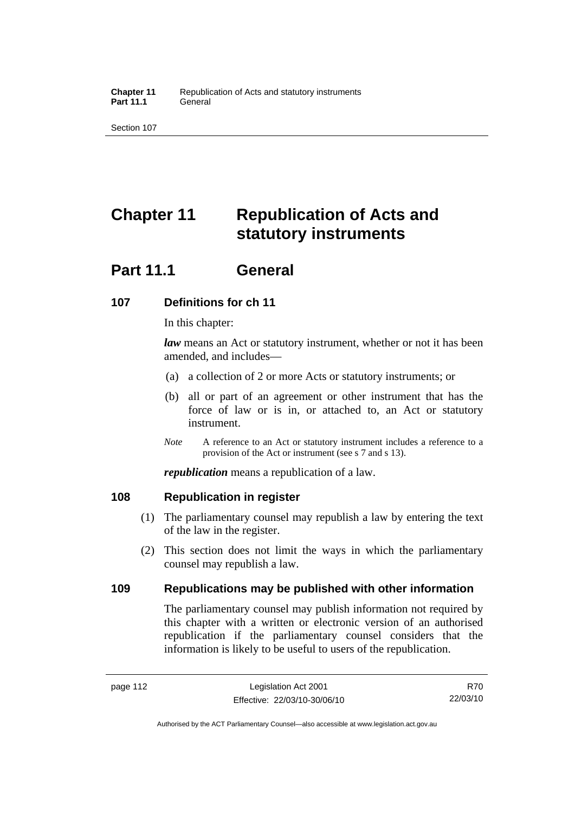# **Chapter 11 Republication of Acts and statutory instruments**

## **Part 11.1 General**

## **107 Definitions for ch 11**

In this chapter:

*law* means an Act or statutory instrument, whether or not it has been amended, and includes—

- (a) a collection of 2 or more Acts or statutory instruments; or
- (b) all or part of an agreement or other instrument that has the force of law or is in, or attached to, an Act or statutory instrument.
- *Note* A reference to an Act or statutory instrument includes a reference to a provision of the Act or instrument (see s 7 and s 13).

*republication* means a republication of a law.

## **108 Republication in register**

- (1) The parliamentary counsel may republish a law by entering the text of the law in the register.
- (2) This section does not limit the ways in which the parliamentary counsel may republish a law.

## **109 Republications may be published with other information**

The parliamentary counsel may publish information not required by this chapter with a written or electronic version of an authorised republication if the parliamentary counsel considers that the information is likely to be useful to users of the republication.

Authorised by the ACT Parliamentary Counsel—also accessible at www.legislation.act.gov.au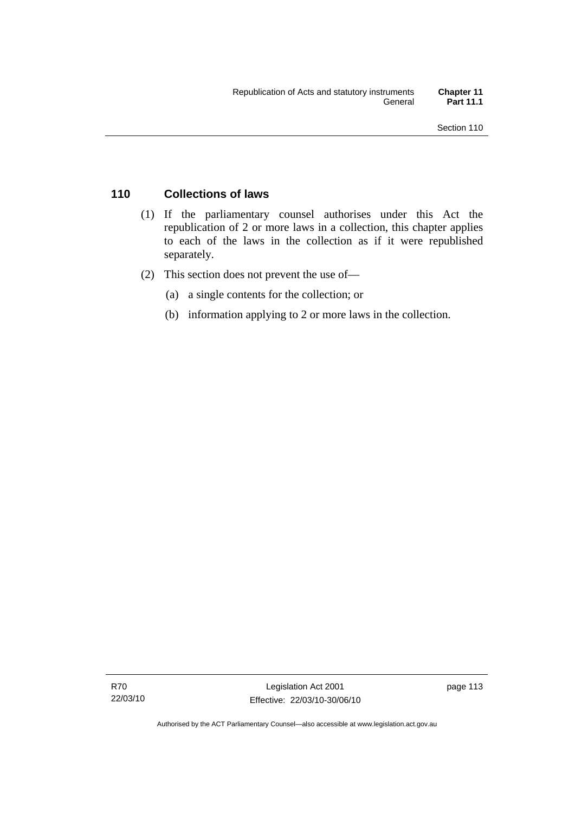## **110 Collections of laws**

- (1) If the parliamentary counsel authorises under this Act the republication of 2 or more laws in a collection, this chapter applies to each of the laws in the collection as if it were republished separately.
- (2) This section does not prevent the use of—
	- (a) a single contents for the collection; or
	- (b) information applying to 2 or more laws in the collection.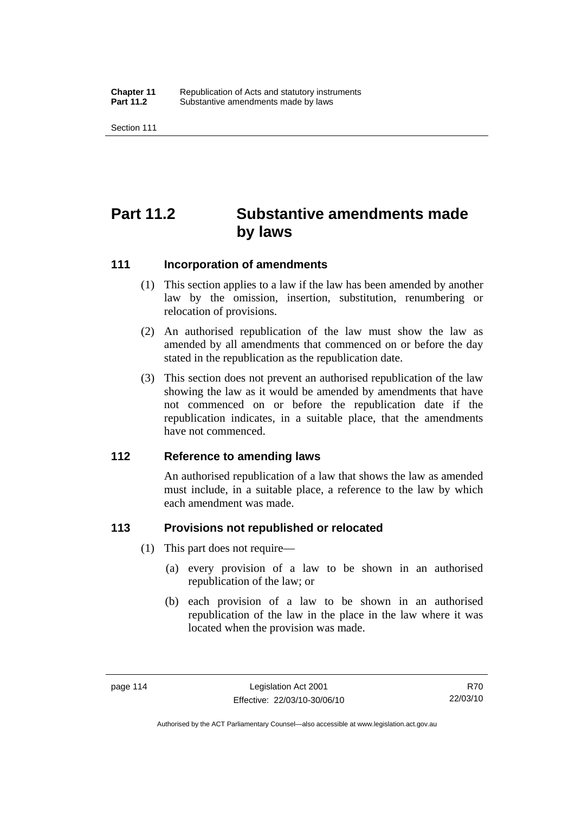# **Part 11.2 Substantive amendments made by laws**

#### **111 Incorporation of amendments**

- (1) This section applies to a law if the law has been amended by another law by the omission, insertion, substitution, renumbering or relocation of provisions.
- (2) An authorised republication of the law must show the law as amended by all amendments that commenced on or before the day stated in the republication as the republication date.
- (3) This section does not prevent an authorised republication of the law showing the law as it would be amended by amendments that have not commenced on or before the republication date if the republication indicates, in a suitable place, that the amendments have not commenced.

## **112 Reference to amending laws**

An authorised republication of a law that shows the law as amended must include, in a suitable place, a reference to the law by which each amendment was made.

## **113 Provisions not republished or relocated**

- (1) This part does not require—
	- (a) every provision of a law to be shown in an authorised republication of the law; or
	- (b) each provision of a law to be shown in an authorised republication of the law in the place in the law where it was located when the provision was made.

Authorised by the ACT Parliamentary Counsel—also accessible at www.legislation.act.gov.au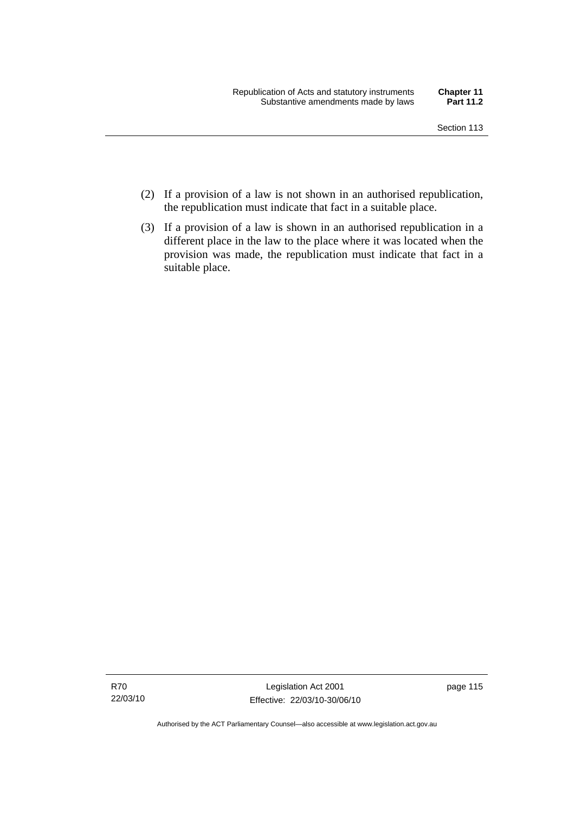- (2) If a provision of a law is not shown in an authorised republication, the republication must indicate that fact in a suitable place.
- (3) If a provision of a law is shown in an authorised republication in a different place in the law to the place where it was located when the provision was made, the republication must indicate that fact in a suitable place.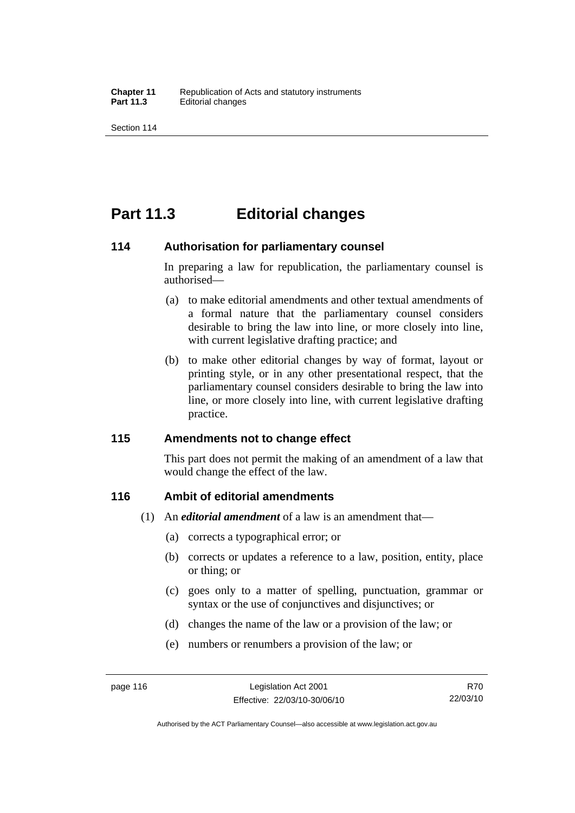## **Part 11.3 Editorial changes**

#### **114 Authorisation for parliamentary counsel**

In preparing a law for republication, the parliamentary counsel is authorised—

- (a) to make editorial amendments and other textual amendments of a formal nature that the parliamentary counsel considers desirable to bring the law into line, or more closely into line, with current legislative drafting practice; and
- (b) to make other editorial changes by way of format, layout or printing style, or in any other presentational respect, that the parliamentary counsel considers desirable to bring the law into line, or more closely into line, with current legislative drafting practice.

## **115 Amendments not to change effect**

This part does not permit the making of an amendment of a law that would change the effect of the law.

## **116 Ambit of editorial amendments**

- (1) An *editorial amendment* of a law is an amendment that—
	- (a) corrects a typographical error; or
	- (b) corrects or updates a reference to a law, position, entity, place or thing; or
	- (c) goes only to a matter of spelling, punctuation, grammar or syntax or the use of conjunctives and disjunctives; or
	- (d) changes the name of the law or a provision of the law; or
	- (e) numbers or renumbers a provision of the law; or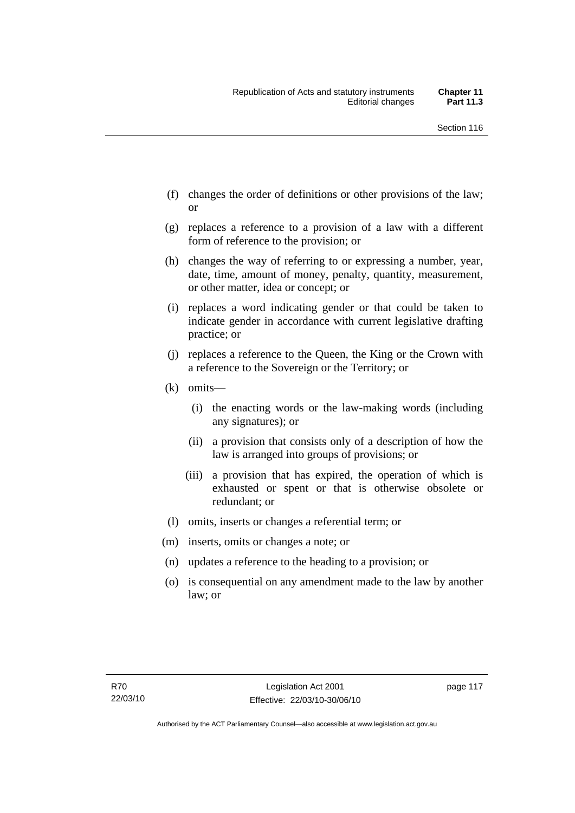- (f) changes the order of definitions or other provisions of the law; or
- (g) replaces a reference to a provision of a law with a different form of reference to the provision; or
- (h) changes the way of referring to or expressing a number, year, date, time, amount of money, penalty, quantity, measurement, or other matter, idea or concept; or
- (i) replaces a word indicating gender or that could be taken to indicate gender in accordance with current legislative drafting practice; or
- (j) replaces a reference to the Queen, the King or the Crown with a reference to the Sovereign or the Territory; or
- (k) omits—
	- (i) the enacting words or the law-making words (including any signatures); or
	- (ii) a provision that consists only of a description of how the law is arranged into groups of provisions; or
	- (iii) a provision that has expired, the operation of which is exhausted or spent or that is otherwise obsolete or redundant; or
- (l) omits, inserts or changes a referential term; or
- (m) inserts, omits or changes a note; or
- (n) updates a reference to the heading to a provision; or
- (o) is consequential on any amendment made to the law by another law; or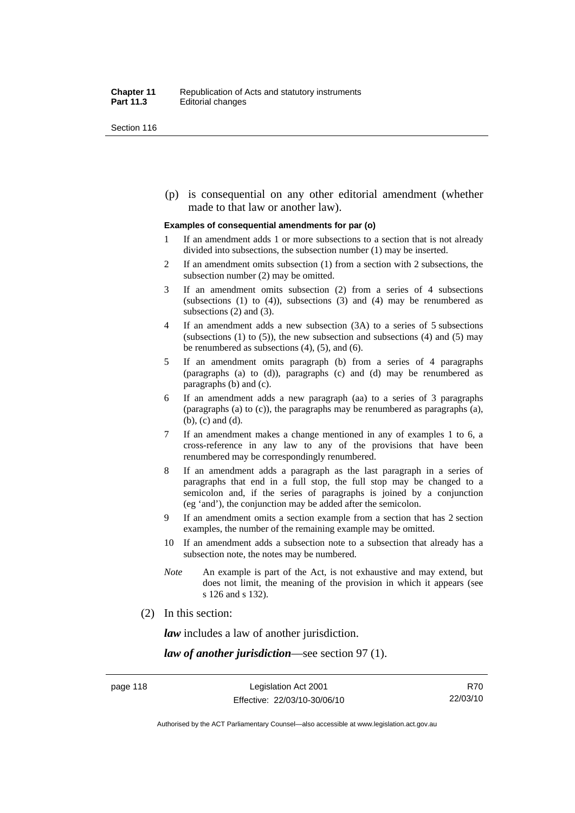(p) is consequential on any other editorial amendment (whether made to that law or another law).

#### **Examples of consequential amendments for par (o)**

- 1 If an amendment adds 1 or more subsections to a section that is not already divided into subsections, the subsection number (1) may be inserted.
- 2 If an amendment omits subsection (1) from a section with 2 subsections, the subsection number (2) may be omitted.
- 3 If an amendment omits subsection (2) from a series of 4 subsections (subsections  $(1)$  to  $(4)$ ), subsections  $(3)$  and  $(4)$  may be renumbered as subsections (2) and (3).
- 4 If an amendment adds a new subsection (3A) to a series of 5 subsections (subsections  $(1)$  to  $(5)$ ), the new subsection and subsections  $(4)$  and  $(5)$  may be renumbered as subsections (4), (5), and (6).
- 5 If an amendment omits paragraph (b) from a series of 4 paragraphs (paragraphs (a) to (d)), paragraphs (c) and (d) may be renumbered as paragraphs (b) and (c).
- 6 If an amendment adds a new paragraph (aa) to a series of 3 paragraphs (paragraphs (a) to (c)), the paragraphs may be renumbered as paragraphs (a), (b), (c) and (d).
- 7 If an amendment makes a change mentioned in any of examples 1 to 6, a cross-reference in any law to any of the provisions that have been renumbered may be correspondingly renumbered.
- 8 If an amendment adds a paragraph as the last paragraph in a series of paragraphs that end in a full stop, the full stop may be changed to a semicolon and, if the series of paragraphs is joined by a conjunction (eg 'and'), the conjunction may be added after the semicolon.
- 9 If an amendment omits a section example from a section that has 2 section examples, the number of the remaining example may be omitted.
- 10 If an amendment adds a subsection note to a subsection that already has a subsection note, the notes may be numbered.
- *Note* An example is part of the Act, is not exhaustive and may extend, but does not limit, the meaning of the provision in which it appears (see s 126 and s 132).
- (2) In this section:

*law* includes a law of another jurisdiction.

*law of another jurisdiction*—see section 97 (1).

Authorised by the ACT Parliamentary Counsel—also accessible at www.legislation.act.gov.au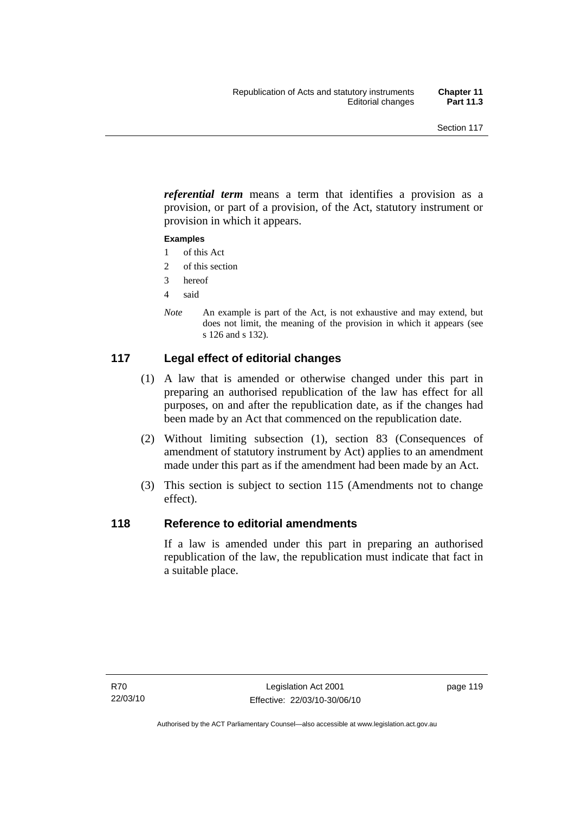*referential term* means a term that identifies a provision as a provision, or part of a provision, of the Act, statutory instrument or provision in which it appears.

#### **Examples**

- 1 of this Act
- 2 of this section
- 3 hereof
- 4 said
- *Note* An example is part of the Act, is not exhaustive and may extend, but does not limit, the meaning of the provision in which it appears (see s 126 and s 132).

## **117 Legal effect of editorial changes**

- (1) A law that is amended or otherwise changed under this part in preparing an authorised republication of the law has effect for all purposes, on and after the republication date, as if the changes had been made by an Act that commenced on the republication date.
- (2) Without limiting subsection (1), section 83 (Consequences of amendment of statutory instrument by Act) applies to an amendment made under this part as if the amendment had been made by an Act.
- (3) This section is subject to section 115 (Amendments not to change effect).

## **118 Reference to editorial amendments**

If a law is amended under this part in preparing an authorised republication of the law, the republication must indicate that fact in a suitable place.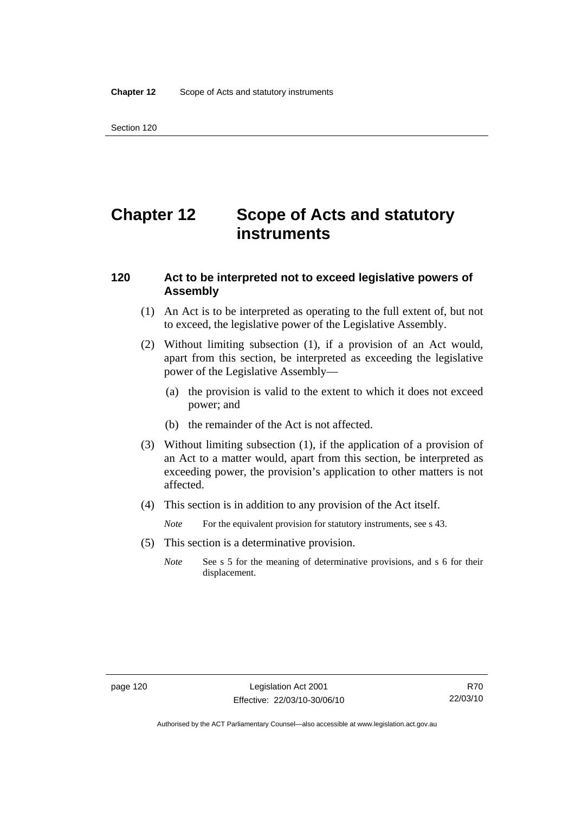# **Chapter 12 Scope of Acts and statutory instruments**

### **120 Act to be interpreted not to exceed legislative powers of Assembly**

- (1) An Act is to be interpreted as operating to the full extent of, but not to exceed, the legislative power of the Legislative Assembly.
- (2) Without limiting subsection (1), if a provision of an Act would, apart from this section, be interpreted as exceeding the legislative power of the Legislative Assembly—
	- (a) the provision is valid to the extent to which it does not exceed power; and
	- (b) the remainder of the Act is not affected.
- (3) Without limiting subsection (1), if the application of a provision of an Act to a matter would, apart from this section, be interpreted as exceeding power, the provision's application to other matters is not affected.
- (4) This section is in addition to any provision of the Act itself.
	- *Note* For the equivalent provision for statutory instruments, see s 43.
- (5) This section is a determinative provision.
	- *Note* See s 5 for the meaning of determinative provisions, and s 6 for their displacement.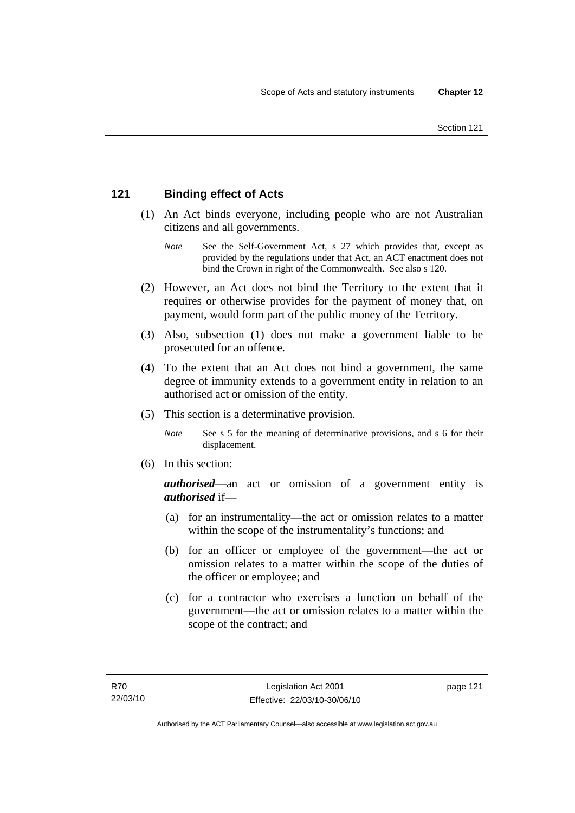## **121 Binding effect of Acts**

- (1) An Act binds everyone, including people who are not Australian citizens and all governments.
	- *Note* See the Self-Government Act, s 27 which provides that, except as provided by the regulations under that Act, an ACT enactment does not bind the Crown in right of the Commonwealth. See also s 120.
- (2) However, an Act does not bind the Territory to the extent that it requires or otherwise provides for the payment of money that, on payment, would form part of the public money of the Territory.
- (3) Also, subsection (1) does not make a government liable to be prosecuted for an offence.
- (4) To the extent that an Act does not bind a government, the same degree of immunity extends to a government entity in relation to an authorised act or omission of the entity.
- (5) This section is a determinative provision.
	- *Note* See s 5 for the meaning of determinative provisions, and s 6 for their displacement.
- (6) In this section:

*authorised*—an act or omission of a government entity is *authorised* if—

- (a) for an instrumentality—the act or omission relates to a matter within the scope of the instrumentality's functions; and
- (b) for an officer or employee of the government—the act or omission relates to a matter within the scope of the duties of the officer or employee; and
- (c) for a contractor who exercises a function on behalf of the government—the act or omission relates to a matter within the scope of the contract; and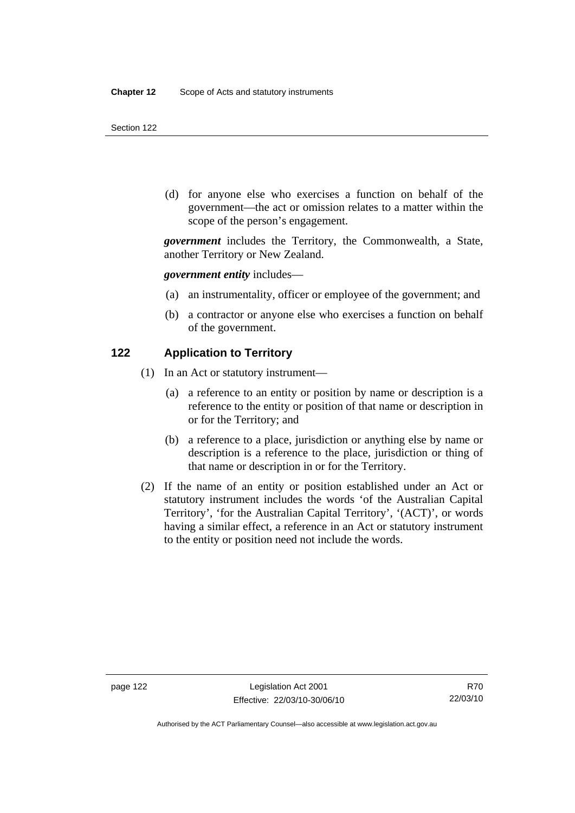(d) for anyone else who exercises a function on behalf of the government—the act or omission relates to a matter within the scope of the person's engagement.

*government* includes the Territory, the Commonwealth, a State, another Territory or New Zealand.

*government entity* includes—

- (a) an instrumentality, officer or employee of the government; and
- (b) a contractor or anyone else who exercises a function on behalf of the government.

#### **122 Application to Territory**

- (1) In an Act or statutory instrument—
	- (a) a reference to an entity or position by name or description is a reference to the entity or position of that name or description in or for the Territory; and
	- (b) a reference to a place, jurisdiction or anything else by name or description is a reference to the place, jurisdiction or thing of that name or description in or for the Territory.
- (2) If the name of an entity or position established under an Act or statutory instrument includes the words 'of the Australian Capital Territory', 'for the Australian Capital Territory', '(ACT)', or words having a similar effect, a reference in an Act or statutory instrument to the entity or position need not include the words.

Authorised by the ACT Parliamentary Counsel—also accessible at www.legislation.act.gov.au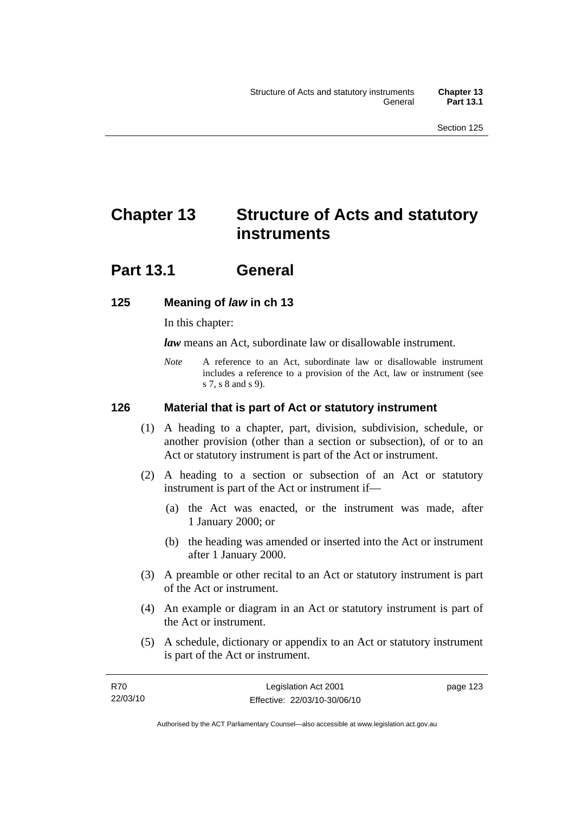# **Chapter 13 Structure of Acts and statutory instruments**

## **Part 13.1 General**

## **125 Meaning of** *law* **in ch 13**

In this chapter:

*law* means an Act, subordinate law or disallowable instrument.

*Note* A reference to an Act, subordinate law or disallowable instrument includes a reference to a provision of the Act, law or instrument (see s 7, s 8 and s 9).

## **126 Material that is part of Act or statutory instrument**

- (1) A heading to a chapter, part, division, subdivision, schedule, or another provision (other than a section or subsection), of or to an Act or statutory instrument is part of the Act or instrument.
- (2) A heading to a section or subsection of an Act or statutory instrument is part of the Act or instrument if—
	- (a) the Act was enacted, or the instrument was made, after 1 January 2000; or
	- (b) the heading was amended or inserted into the Act or instrument after 1 January 2000.
- (3) A preamble or other recital to an Act or statutory instrument is part of the Act or instrument.
- (4) An example or diagram in an Act or statutory instrument is part of the Act or instrument.
- (5) A schedule, dictionary or appendix to an Act or statutory instrument is part of the Act or instrument.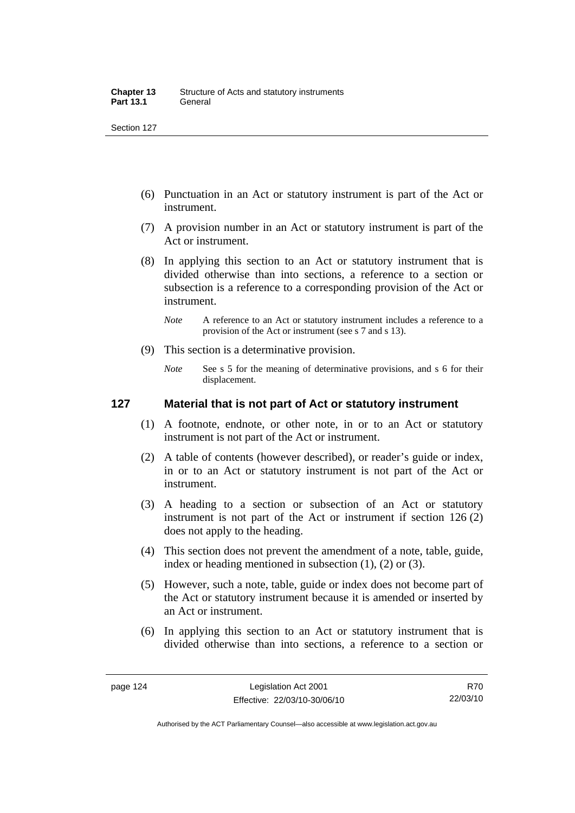- (6) Punctuation in an Act or statutory instrument is part of the Act or instrument.
- (7) A provision number in an Act or statutory instrument is part of the Act or instrument.
- (8) In applying this section to an Act or statutory instrument that is divided otherwise than into sections, a reference to a section or subsection is a reference to a corresponding provision of the Act or instrument.
	- *Note* A reference to an Act or statutory instrument includes a reference to a provision of the Act or instrument (see s 7 and s 13).
- (9) This section is a determinative provision.
	- *Note* See s 5 for the meaning of determinative provisions, and s 6 for their displacement.

### **127 Material that is not part of Act or statutory instrument**

- (1) A footnote, endnote, or other note, in or to an Act or statutory instrument is not part of the Act or instrument.
- (2) A table of contents (however described), or reader's guide or index, in or to an Act or statutory instrument is not part of the Act or instrument.
- (3) A heading to a section or subsection of an Act or statutory instrument is not part of the Act or instrument if section 126 (2) does not apply to the heading.
- (4) This section does not prevent the amendment of a note, table, guide, index or heading mentioned in subsection (1), (2) or (3).
- (5) However, such a note, table, guide or index does not become part of the Act or statutory instrument because it is amended or inserted by an Act or instrument.
- (6) In applying this section to an Act or statutory instrument that is divided otherwise than into sections, a reference to a section or

R70 22/03/10

Authorised by the ACT Parliamentary Counsel—also accessible at www.legislation.act.gov.au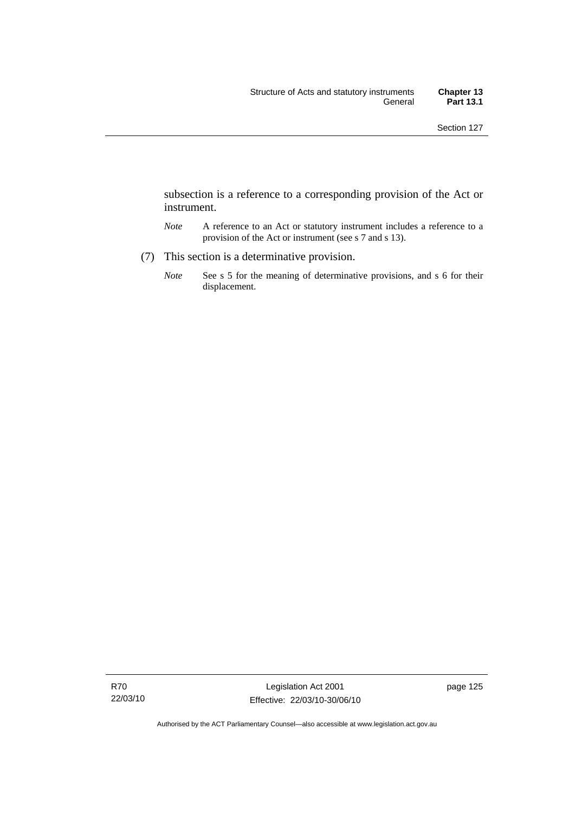subsection is a reference to a corresponding provision of the Act or instrument.

- *Note* A reference to an Act or statutory instrument includes a reference to a provision of the Act or instrument (see s 7 and s 13).
- (7) This section is a determinative provision.
	- *Note* See s 5 for the meaning of determinative provisions, and s 6 for their displacement.

Authorised by the ACT Parliamentary Counsel—also accessible at www.legislation.act.gov.au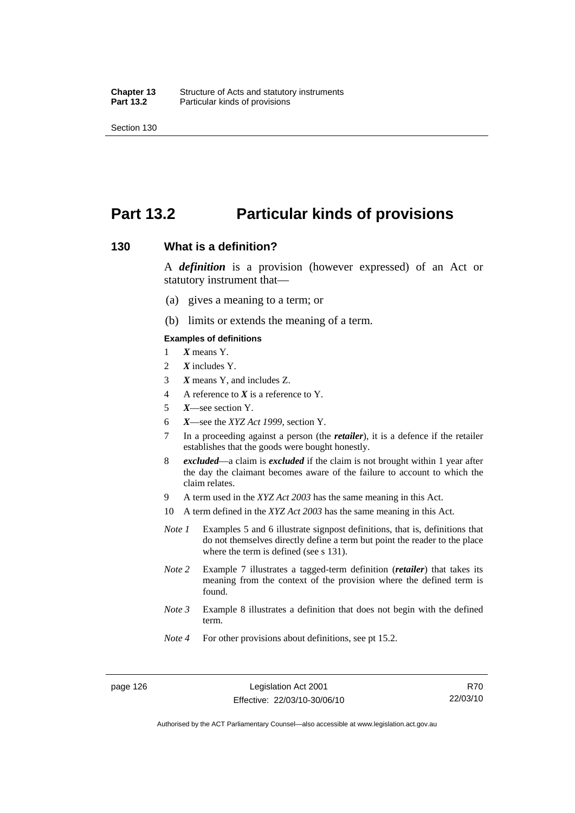## **Part 13.2 Particular kinds of provisions**

#### **130 What is a definition?**

A *definition* is a provision (however expressed) of an Act or statutory instrument that—

- (a) gives a meaning to a term; or
- (b) limits or extends the meaning of a term.

#### **Examples of definitions**

- 1 *X* means Y.
- 2 *X* includes Y.
- 3 *X* means Y, and includes Z.
- 4 A reference to *X* is a reference to Y.
- 5 *X*—see section Y.
- 6 *X*—see the *XYZ Act 1999*, section Y.
- 7 In a proceeding against a person (the *retailer*), it is a defence if the retailer establishes that the goods were bought honestly.
- 8 *excluded*—a claim is *excluded* if the claim is not brought within 1 year after the day the claimant becomes aware of the failure to account to which the claim relates.
- 9 A term used in the *XYZ Act 2003* has the same meaning in this Act.
- 10 A term defined in the *XYZ Act 2003* has the same meaning in this Act.
- *Note 1* Examples 5 and 6 illustrate signpost definitions, that is, definitions that do not themselves directly define a term but point the reader to the place where the term is defined (see s 131).
- *Note 2* Example 7 illustrates a tagged-term definition (*retailer*) that takes its meaning from the context of the provision where the defined term is found.
- *Note 3* Example 8 illustrates a definition that does not begin with the defined term.
- *Note 4* For other provisions about definitions, see pt 15.2.

Authorised by the ACT Parliamentary Counsel—also accessible at www.legislation.act.gov.au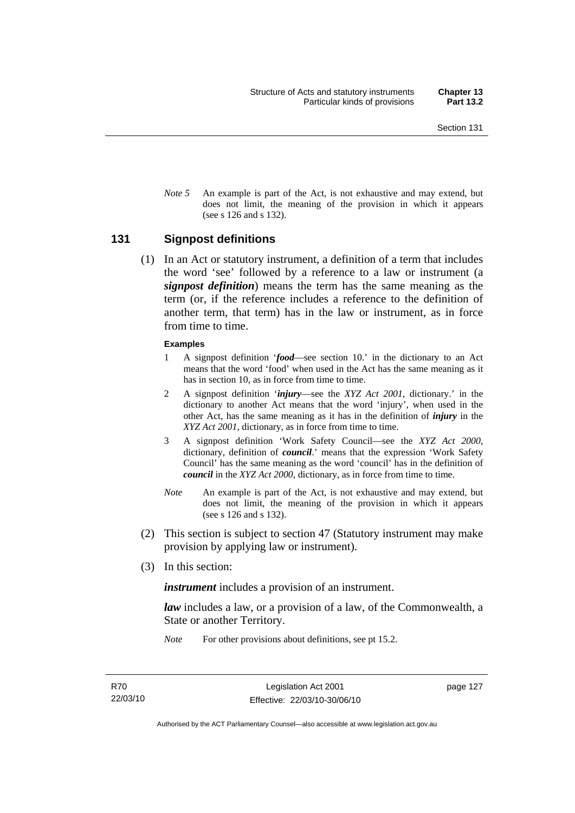*Note* 5 An example is part of the Act, is not exhaustive and may extend, but does not limit, the meaning of the provision in which it appears (see s 126 and s 132).

#### **131 Signpost definitions**

 (1) In an Act or statutory instrument, a definition of a term that includes the word 'see' followed by a reference to a law or instrument (a *signpost definition*) means the term has the same meaning as the term (or, if the reference includes a reference to the definition of another term, that term) has in the law or instrument, as in force from time to time.

#### **Examples**

- 1 A signpost definition '*food*—see section 10.' in the dictionary to an Act means that the word 'food' when used in the Act has the same meaning as it has in section 10, as in force from time to time.
- 2 A signpost definition '*injury*—see the *XYZ Act 2001*, dictionary.' in the dictionary to another Act means that the word 'injury', when used in the other Act, has the same meaning as it has in the definition of *injury* in the *XYZ Act 2001*, dictionary, as in force from time to time.
- 3 A signpost definition 'Work Safety Council—see the *XYZ Act 2000*, dictionary, definition of *council*.' means that the expression 'Work Safety Council' has the same meaning as the word 'council' has in the definition of *council* in the *XYZ Act 2000*, dictionary, as in force from time to time.
- *Note* An example is part of the Act, is not exhaustive and may extend, but does not limit, the meaning of the provision in which it appears (see s 126 and s 132).
- (2) This section is subject to section 47 (Statutory instrument may make provision by applying law or instrument).
- (3) In this section:

*instrument* includes a provision of an instrument.

*law* includes a law, or a provision of a law, of the Commonwealth, a State or another Territory.

*Note* For other provisions about definitions, see pt 15.2.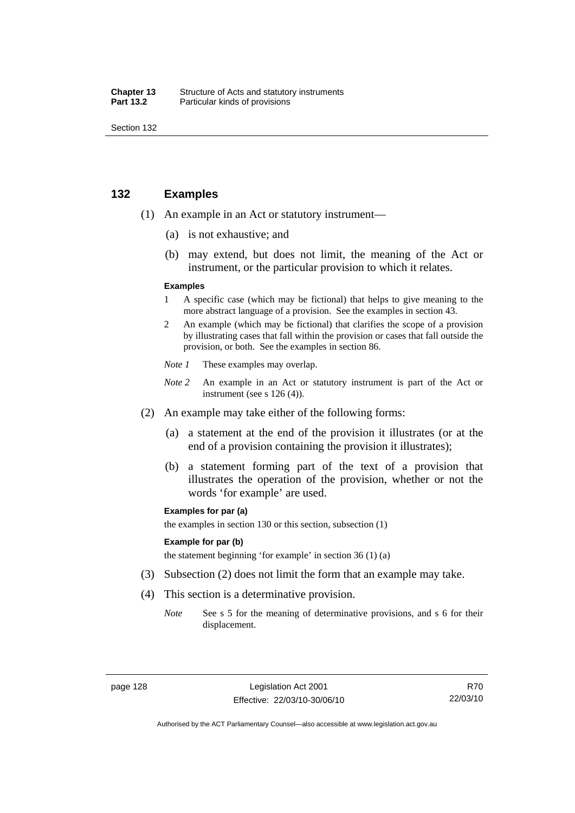| Chapter 13       | Structure of Acts and statutory instruments |
|------------------|---------------------------------------------|
| <b>Part 13.2</b> | Particular kinds of provisions              |

### **132 Examples**

- (1) An example in an Act or statutory instrument—
	- (a) is not exhaustive; and
	- (b) may extend, but does not limit, the meaning of the Act or instrument, or the particular provision to which it relates.

#### **Examples**

- 1 A specific case (which may be fictional) that helps to give meaning to the more abstract language of a provision. See the examples in section 43.
- 2 An example (which may be fictional) that clarifies the scope of a provision by illustrating cases that fall within the provision or cases that fall outside the provision, or both. See the examples in section 86.
- *Note 1* These examples may overlap.
- *Note* 2 An example in an Act or statutory instrument is part of the Act or instrument (see s 126 (4)).
- (2) An example may take either of the following forms:
	- (a) a statement at the end of the provision it illustrates (or at the end of a provision containing the provision it illustrates);
	- (b) a statement forming part of the text of a provision that illustrates the operation of the provision, whether or not the words 'for example' are used.

#### **Examples for par (a)**

the examples in section 130 or this section, subsection (1)

#### **Example for par (b)**

the statement beginning 'for example' in section 36 (1) (a)

- (3) Subsection (2) does not limit the form that an example may take.
- (4) This section is a determinative provision.
	- *Note* See s 5 for the meaning of determinative provisions, and s 6 for their displacement.

R70 22/03/10

Authorised by the ACT Parliamentary Counsel—also accessible at www.legislation.act.gov.au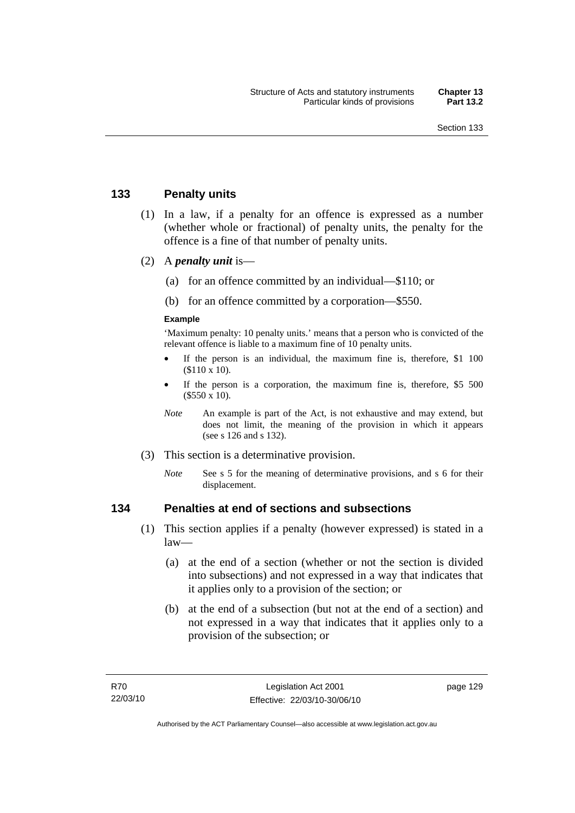## **133 Penalty units**

- (1) In a law, if a penalty for an offence is expressed as a number (whether whole or fractional) of penalty units, the penalty for the offence is a fine of that number of penalty units.
- (2) A *penalty unit* is—
	- (a) for an offence committed by an individual—\$110; or
	- (b) for an offence committed by a corporation—\$550.

### **Example**

'Maximum penalty: 10 penalty units.' means that a person who is convicted of the relevant offence is liable to a maximum fine of 10 penalty units.

- If the person is an individual, the maximum fine is, therefore, \$1 100 (\$110 x 10).
- If the person is a corporation, the maximum fine is, therefore, \$5 500 (\$550 x 10).
- *Note* An example is part of the Act, is not exhaustive and may extend, but does not limit, the meaning of the provision in which it appears (see s 126 and s 132).
- (3) This section is a determinative provision.
	- *Note* See s 5 for the meaning of determinative provisions, and s 6 for their displacement.

## **134 Penalties at end of sections and subsections**

- (1) This section applies if a penalty (however expressed) is stated in a law—
	- (a) at the end of a section (whether or not the section is divided into subsections) and not expressed in a way that indicates that it applies only to a provision of the section; or
	- (b) at the end of a subsection (but not at the end of a section) and not expressed in a way that indicates that it applies only to a provision of the subsection; or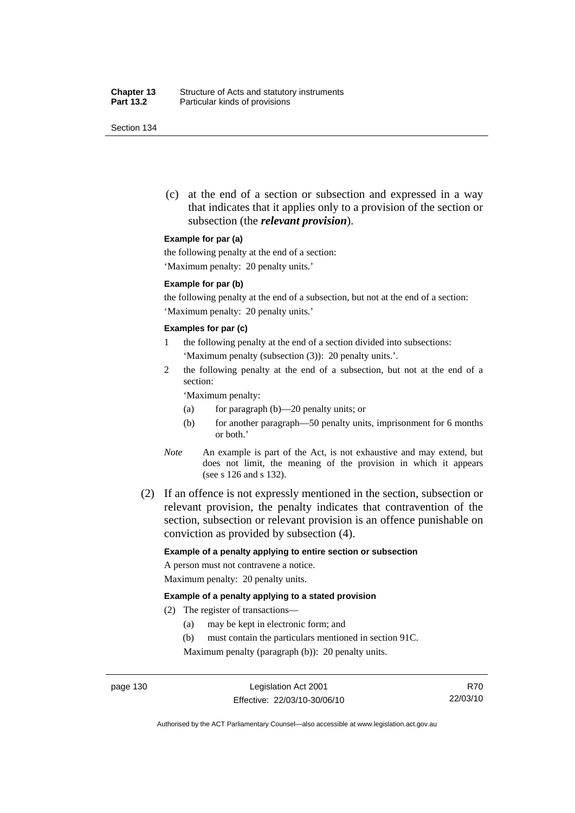(c) at the end of a section or subsection and expressed in a way that indicates that it applies only to a provision of the section or subsection (the *relevant provision*).

#### **Example for par (a)**

the following penalty at the end of a section:

'Maximum penalty: 20 penalty units.'

#### **Example for par (b)**

the following penalty at the end of a subsection, but not at the end of a section: 'Maximum penalty: 20 penalty units.'

#### **Examples for par (c)**

- 1 the following penalty at the end of a section divided into subsections: 'Maximum penalty (subsection (3)): 20 penalty units.'.
- 2 the following penalty at the end of a subsection, but not at the end of a section:

'Maximum penalty:

- (a) for paragraph (b)—20 penalty units; or
- (b) for another paragraph—50 penalty units, imprisonment for 6 months or both.'
- *Note* An example is part of the Act, is not exhaustive and may extend, but does not limit, the meaning of the provision in which it appears (see s 126 and s 132).
- (2) If an offence is not expressly mentioned in the section, subsection or relevant provision, the penalty indicates that contravention of the section, subsection or relevant provision is an offence punishable on conviction as provided by subsection (4).

#### **Example of a penalty applying to entire section or subsection**

A person must not contravene a notice. Maximum penalty: 20 penalty units.

#### **Example of a penalty applying to a stated provision**

- (2) The register of transactions—
	- (a) may be kept in electronic form; and
	- (b) must contain the particulars mentioned in section 91C.

Maximum penalty (paragraph (b)): 20 penalty units.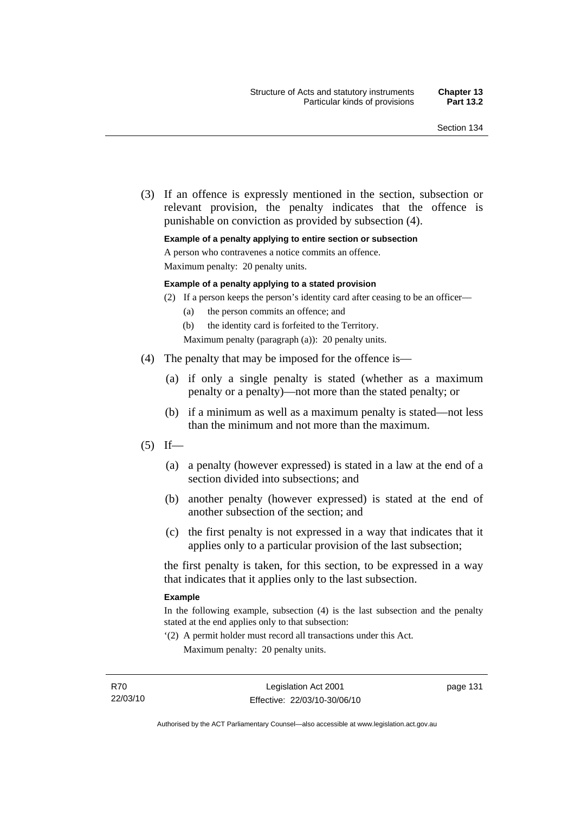(3) If an offence is expressly mentioned in the section, subsection or relevant provision, the penalty indicates that the offence is punishable on conviction as provided by subsection (4).

#### **Example of a penalty applying to entire section or subsection**

A person who contravenes a notice commits an offence.

Maximum penalty: 20 penalty units.

#### **Example of a penalty applying to a stated provision**

- (2) If a person keeps the person's identity card after ceasing to be an officer—
	- (a) the person commits an offence; and
	- (b) the identity card is forfeited to the Territory.

Maximum penalty (paragraph (a)): 20 penalty units.

- (4) The penalty that may be imposed for the offence is—
	- (a) if only a single penalty is stated (whether as a maximum penalty or a penalty)—not more than the stated penalty; or
	- (b) if a minimum as well as a maximum penalty is stated—not less than the minimum and not more than the maximum.
- $(5)$  If—
	- (a) a penalty (however expressed) is stated in a law at the end of a section divided into subsections; and
	- (b) another penalty (however expressed) is stated at the end of another subsection of the section; and
	- (c) the first penalty is not expressed in a way that indicates that it applies only to a particular provision of the last subsection;

the first penalty is taken, for this section, to be expressed in a way that indicates that it applies only to the last subsection.

#### **Example**

In the following example, subsection (4) is the last subsection and the penalty stated at the end applies only to that subsection:

'(2) A permit holder must record all transactions under this Act. Maximum penalty: 20 penalty units.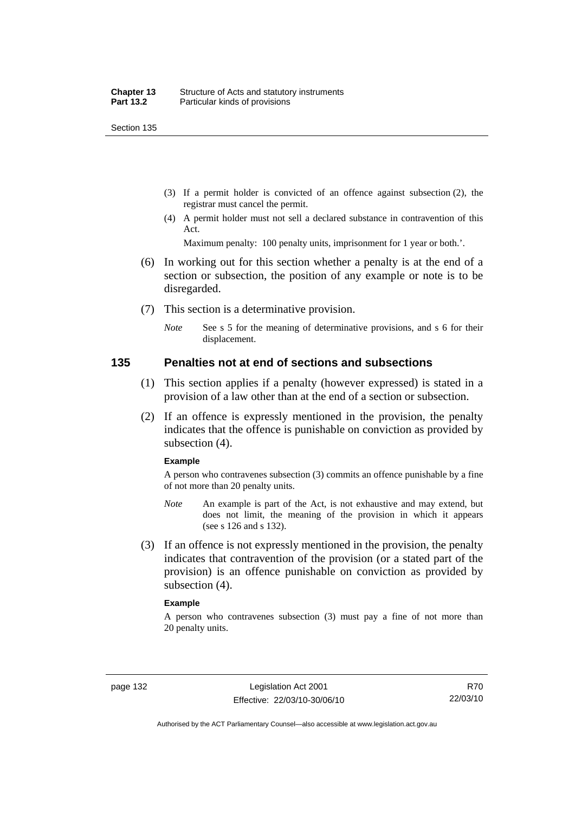- (3) If a permit holder is convicted of an offence against subsection (2), the registrar must cancel the permit.
- (4) A permit holder must not sell a declared substance in contravention of this Act.

Maximum penalty: 100 penalty units, imprisonment for 1 year or both.'.

- (6) In working out for this section whether a penalty is at the end of a section or subsection, the position of any example or note is to be disregarded.
- (7) This section is a determinative provision.
	- *Note* See s 5 for the meaning of determinative provisions, and s 6 for their displacement.

### **135 Penalties not at end of sections and subsections**

- (1) This section applies if a penalty (however expressed) is stated in a provision of a law other than at the end of a section or subsection.
- (2) If an offence is expressly mentioned in the provision, the penalty indicates that the offence is punishable on conviction as provided by subsection (4).

#### **Example**

A person who contravenes subsection (3) commits an offence punishable by a fine of not more than 20 penalty units.

- *Note* An example is part of the Act, is not exhaustive and may extend, but does not limit, the meaning of the provision in which it appears (see s 126 and s 132).
- (3) If an offence is not expressly mentioned in the provision, the penalty indicates that contravention of the provision (or a stated part of the provision) is an offence punishable on conviction as provided by subsection (4).

#### **Example**

A person who contravenes subsection (3) must pay a fine of not more than 20 penalty units.

R70 22/03/10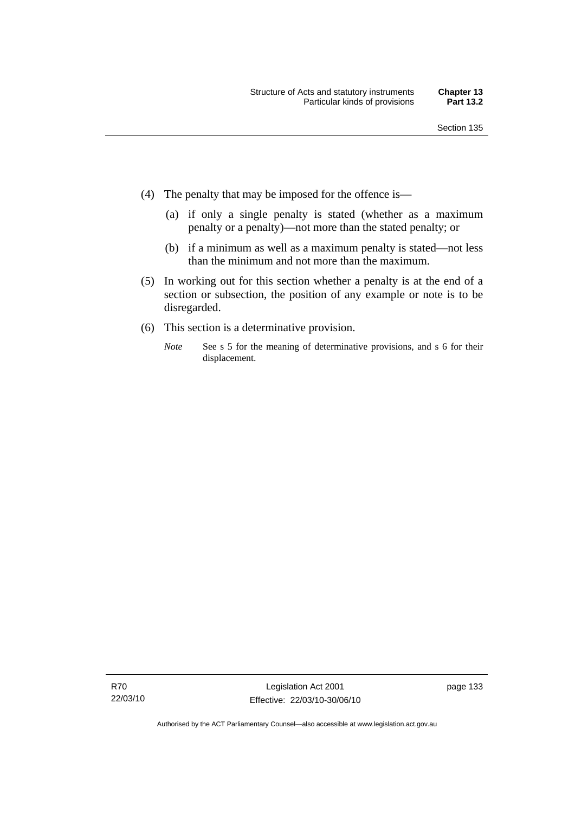- (4) The penalty that may be imposed for the offence is—
	- (a) if only a single penalty is stated (whether as a maximum penalty or a penalty)—not more than the stated penalty; or
	- (b) if a minimum as well as a maximum penalty is stated—not less than the minimum and not more than the maximum.
- (5) In working out for this section whether a penalty is at the end of a section or subsection, the position of any example or note is to be disregarded.
- (6) This section is a determinative provision.
	- *Note* See s 5 for the meaning of determinative provisions, and s 6 for their displacement.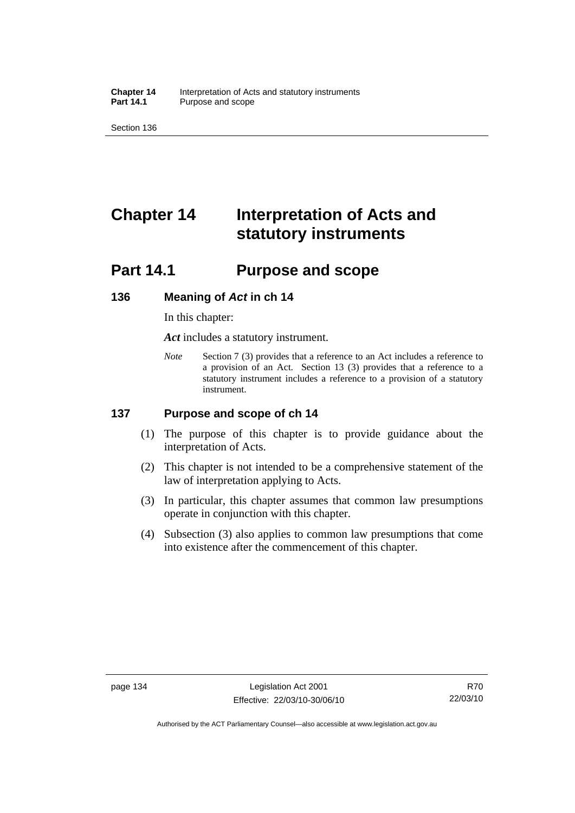**Chapter 14** Interpretation of Acts and statutory instruments<br>**Part 14.1** Purpose and scope Purpose and scope

Section 136

# **Chapter 14 Interpretation of Acts and statutory instruments**

# **Part 14.1 Purpose and scope**

## **136 Meaning of** *Act* **in ch 14**

In this chapter:

*Act* includes a statutory instrument.

*Note* Section 7 (3) provides that a reference to an Act includes a reference to a provision of an Act. Section 13 (3) provides that a reference to a statutory instrument includes a reference to a provision of a statutory instrument.

## **137 Purpose and scope of ch 14**

- (1) The purpose of this chapter is to provide guidance about the interpretation of Acts.
- (2) This chapter is not intended to be a comprehensive statement of the law of interpretation applying to Acts.
- (3) In particular, this chapter assumes that common law presumptions operate in conjunction with this chapter.
- (4) Subsection (3) also applies to common law presumptions that come into existence after the commencement of this chapter.

Authorised by the ACT Parliamentary Counsel—also accessible at www.legislation.act.gov.au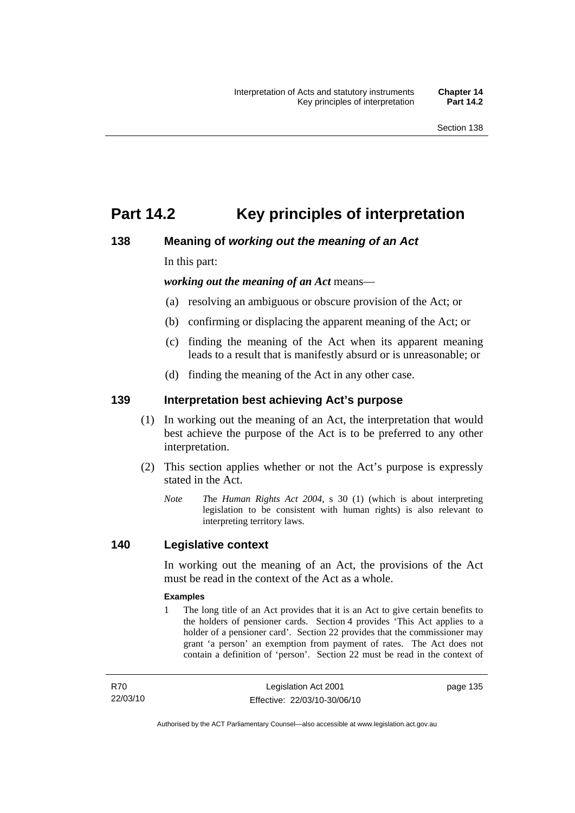# **Part 14.2 Key principles of interpretation**

# **138 Meaning of** *working out the meaning of an Act*

In this part:

*working out the meaning of an Act* means—

- (a) resolving an ambiguous or obscure provision of the Act; or
- (b) confirming or displacing the apparent meaning of the Act; or
- (c) finding the meaning of the Act when its apparent meaning leads to a result that is manifestly absurd or is unreasonable; or
- (d) finding the meaning of the Act in any other case.

## **139 Interpretation best achieving Act's purpose**

- (1) In working out the meaning of an Act, the interpretation that would best achieve the purpose of the Act is to be preferred to any other interpretation.
- (2) This section applies whether or not the Act's purpose is expressly stated in the Act.
	- *Note T*he *Human Rights Act 2004*, s 30 (1) (which is about interpreting legislation to be consistent with human rights) is also relevant to interpreting territory laws.

## **140 Legislative context**

In working out the meaning of an Act, the provisions of the Act must be read in the context of the Act as a whole.

### **Examples**

1 The long title of an Act provides that it is an Act to give certain benefits to the holders of pensioner cards. Section 4 provides 'This Act applies to a holder of a pensioner card'. Section 22 provides that the commissioner may grant 'a person' an exemption from payment of rates. The Act does not contain a definition of 'person'. Section 22 must be read in the context of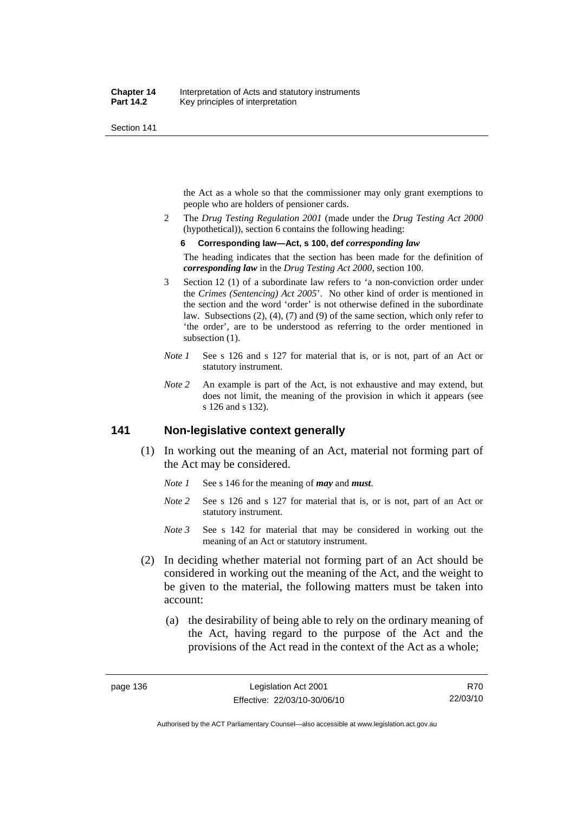the Act as a whole so that the commissioner may only grant exemptions to people who are holders of pensioner cards.

2 The *Drug Testing Regulation 2001* (made under the *Drug Testing Act 2000* (hypothetical)), section 6 contains the following heading:

#### **6 Corresponding law—Act, s 100, def** *corresponding law*

The heading indicates that the section has been made for the definition of *corresponding law* in the *Drug Testing Act 2000*, section 100.

- 3 Section 12 (1) of a subordinate law refers to 'a non-conviction order under the *Crimes (Sentencing) Act 2005*'. No other kind of order is mentioned in the section and the word 'order' is not otherwise defined in the subordinate law. Subsections (2), (4), (7) and (9) of the same section, which only refer to 'the order', are to be understood as referring to the order mentioned in subsection  $(1)$ .
- *Note 1* See s 126 and s 127 for material that is, or is not, part of an Act or statutory instrument.
- *Note 2* An example is part of the Act, is not exhaustive and may extend, but does not limit, the meaning of the provision in which it appears (see s 126 and s 132).

# **141 Non-legislative context generally**

- (1) In working out the meaning of an Act, material not forming part of the Act may be considered.
	- *Note 1* See s 146 for the meaning of *may* and *must*.
	- *Note* 2 See s 126 and s 127 for material that is, or is not, part of an Act or statutory instrument.
	- *Note 3* See s 142 for material that may be considered in working out the meaning of an Act or statutory instrument.
- (2) In deciding whether material not forming part of an Act should be considered in working out the meaning of the Act, and the weight to be given to the material, the following matters must be taken into account:
	- (a) the desirability of being able to rely on the ordinary meaning of the Act, having regard to the purpose of the Act and the provisions of the Act read in the context of the Act as a whole;

R70 22/03/10

Authorised by the ACT Parliamentary Counsel—also accessible at www.legislation.act.gov.au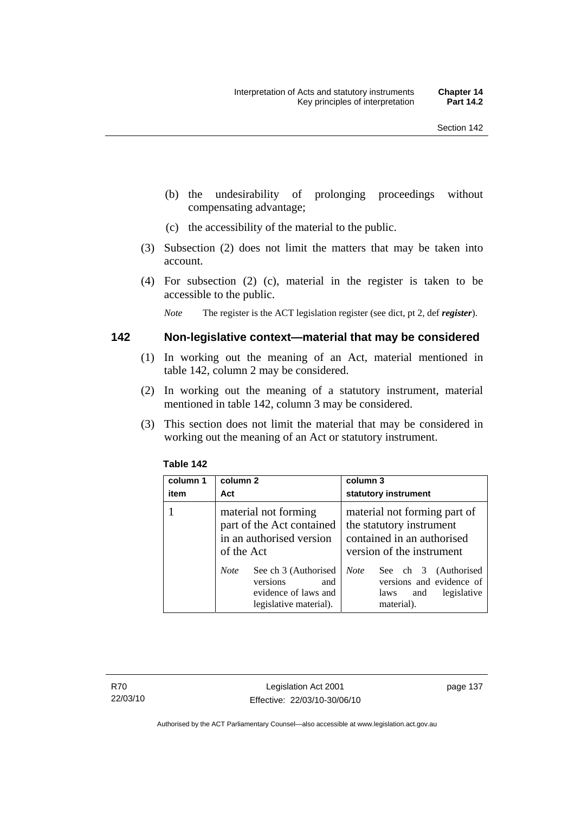- (b) the undesirability of prolonging proceedings without compensating advantage;
- (c) the accessibility of the material to the public.
- (3) Subsection (2) does not limit the matters that may be taken into account.
- (4) For subsection (2) (c), material in the register is taken to be accessible to the public.

*Note* The register is the ACT legislation register (see dict, pt 2, def *register*).

## **142 Non-legislative context—material that may be considered**

- (1) In working out the meaning of an Act, material mentioned in table 142, column 2 may be considered.
- (2) In working out the meaning of a statutory instrument, material mentioned in table 142, column 3 may be considered.
- (3) This section does not limit the material that may be considered in working out the meaning of an Act or statutory instrument.

| column 1<br>item | column 2<br>Act                                                                                          | column 3<br>statutory instrument                                                                                    |
|------------------|----------------------------------------------------------------------------------------------------------|---------------------------------------------------------------------------------------------------------------------|
|                  | material not forming<br>part of the Act contained<br>in an authorised version<br>of the Act              | material not forming part of<br>the statutory instrument<br>contained in an authorised<br>version of the instrument |
|                  | See ch 3 (Authorised<br><b>Note</b><br>versions<br>and<br>evidence of laws and<br>legislative material). | <b>Note</b><br>See ch 3 (Authorised<br>versions and evidence of<br>legislative<br>laws<br>and<br>material).         |

### **Table 142**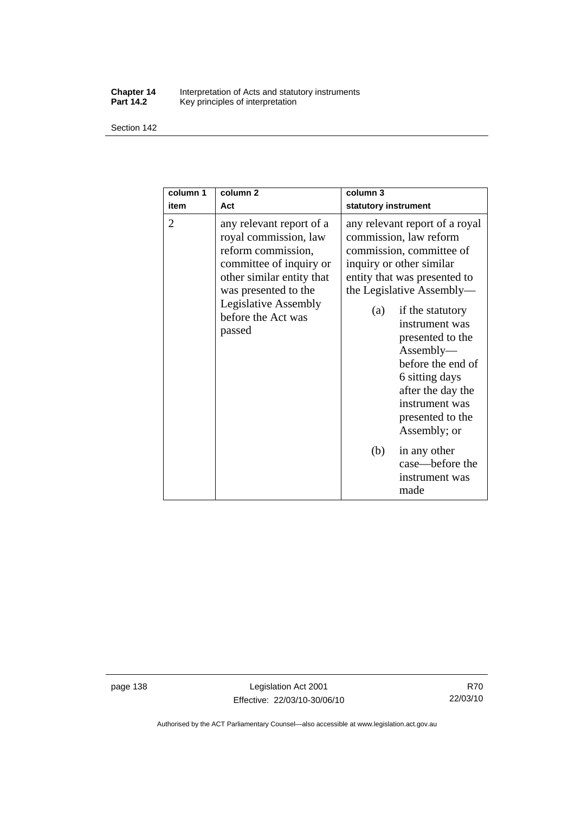#### **Chapter 14** Interpretation of Acts and statutory instruments **Part 14.2** Key principles of interpretation

Section 142

| column 1<br>item | column <sub>2</sub><br>Act                                                                                                                                                                                             | column <sub>3</sub><br>statutory instrument                                                                                                                                                                                                                                                                                                                                   |
|------------------|------------------------------------------------------------------------------------------------------------------------------------------------------------------------------------------------------------------------|-------------------------------------------------------------------------------------------------------------------------------------------------------------------------------------------------------------------------------------------------------------------------------------------------------------------------------------------------------------------------------|
| 2                | any relevant report of a<br>royal commission, law<br>reform commission,<br>committee of inquiry or<br>other similar entity that<br>was presented to the<br><b>Legislative Assembly</b><br>before the Act was<br>passed | any relevant report of a royal<br>commission, law reform<br>commission, committee of<br>inquiry or other similar<br>entity that was presented to<br>the Legislative Assembly—<br>if the statutory<br>(a)<br>instrument was<br>presented to the<br>Assently—<br>before the end of<br>6 sitting days<br>after the day the<br>instrument was<br>presented to the<br>Assembly; or |
|                  |                                                                                                                                                                                                                        | (b)<br>in any other<br>case—before the<br>instrument was<br>made                                                                                                                                                                                                                                                                                                              |

page 138 Legislation Act 2001 Effective: 22/03/10-30/06/10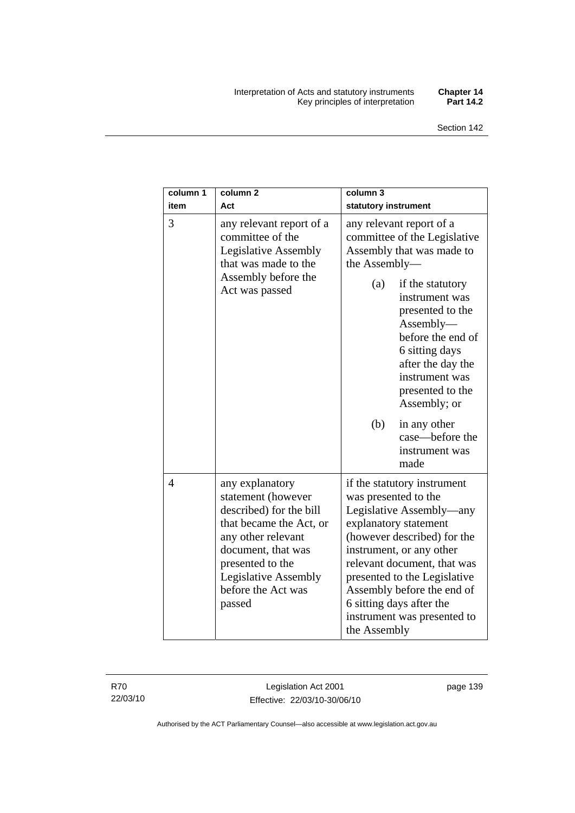#### Interpretation of Acts and statutory instruments **Chapter 14**  Key principles of interpretation **Part 14.2**

| column 1<br>item | column <sub>2</sub><br>Act                                                                                                                                                                                                 | column 3<br>statutory instrument                                                                                                                                                                                                                                                                                                            |
|------------------|----------------------------------------------------------------------------------------------------------------------------------------------------------------------------------------------------------------------------|---------------------------------------------------------------------------------------------------------------------------------------------------------------------------------------------------------------------------------------------------------------------------------------------------------------------------------------------|
| 3                | any relevant report of a<br>committee of the<br><b>Legislative Assembly</b><br>that was made to the<br>Assembly before the<br>Act was passed                                                                               | any relevant report of a<br>committee of the Legislative<br>Assembly that was made to<br>the Assembly-                                                                                                                                                                                                                                      |
|                  |                                                                                                                                                                                                                            | if the statutory<br>(a)<br>instrument was<br>presented to the<br>Assently—<br>before the end of<br>6 sitting days<br>after the day the<br>instrument was<br>presented to the<br>Assembly; or                                                                                                                                                |
|                  |                                                                                                                                                                                                                            | (b)<br>in any other<br>case—before the<br>instrument was<br>made                                                                                                                                                                                                                                                                            |
| 4                | any explanatory<br>statement (however<br>described) for the bill<br>that became the Act, or<br>any other relevant<br>document, that was<br>presented to the<br><b>Legislative Assembly</b><br>before the Act was<br>passed | if the statutory instrument<br>was presented to the<br>Legislative Assembly—any<br>explanatory statement<br>(however described) for the<br>instrument, or any other<br>relevant document, that was<br>presented to the Legislative<br>Assembly before the end of<br>6 sitting days after the<br>instrument was presented to<br>the Assembly |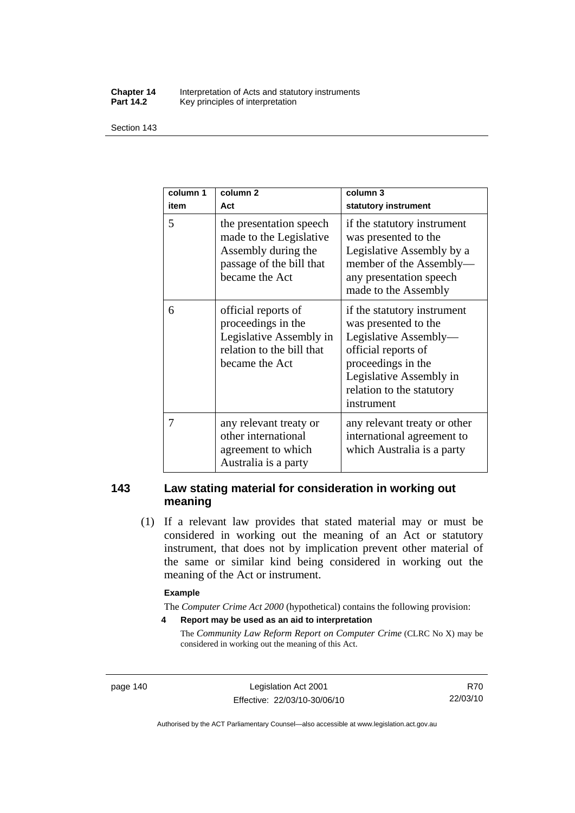#### **Chapter 14** Interpretation of Acts and statutory instruments<br>**Part 14.2** Key principles of interpretation Key principles of interpretation

Section 143

| column 1<br>item | column <sub>2</sub><br>Act                                                                                              | column 3<br>statutory instrument                                                                                                                                                                |
|------------------|-------------------------------------------------------------------------------------------------------------------------|-------------------------------------------------------------------------------------------------------------------------------------------------------------------------------------------------|
| 5                | the presentation speech<br>made to the Legislative<br>Assembly during the<br>passage of the bill that<br>became the Act | if the statutory instrument<br>was presented to the<br>Legislative Assembly by a<br>member of the Assembly-<br>any presentation speech<br>made to the Assembly                                  |
| 6                | official reports of<br>proceedings in the<br>Legislative Assembly in<br>relation to the bill that<br>became the Act     | if the statutory instrument<br>was presented to the<br>Legislative Assembly-<br>official reports of<br>proceedings in the<br>Legislative Assembly in<br>relation to the statutory<br>instrument |
| 7                | any relevant treaty or<br>other international<br>agreement to which<br>Australia is a party                             | any relevant treaty or other<br>international agreement to<br>which Australia is a party                                                                                                        |

## **143 Law stating material for consideration in working out meaning**

 (1) If a relevant law provides that stated material may or must be considered in working out the meaning of an Act or statutory instrument, that does not by implication prevent other material of the same or similar kind being considered in working out the meaning of the Act or instrument.

#### **Example**

The *Computer Crime Act 2000* (hypothetical) contains the following provision:

**4 Report may be used as an aid to interpretation** 

The *Community Law Reform Report on Computer Crime* (CLRC No X) may be considered in working out the meaning of this Act.

page 140 Legislation Act 2001 Effective: 22/03/10-30/06/10

R70 22/03/10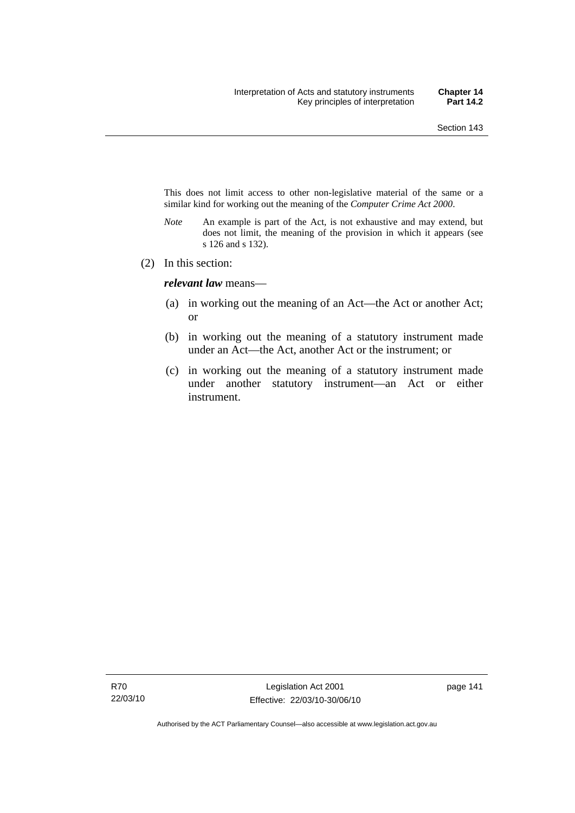This does not limit access to other non-legislative material of the same or a similar kind for working out the meaning of the *Computer Crime Act 2000*.

- *Note* An example is part of the Act, is not exhaustive and may extend, but does not limit, the meaning of the provision in which it appears (see s 126 and s 132).
- (2) In this section:

*relevant law* means—

- (a) in working out the meaning of an Act—the Act or another Act; or
- (b) in working out the meaning of a statutory instrument made under an Act—the Act, another Act or the instrument; or
- (c) in working out the meaning of a statutory instrument made under another statutory instrument—an Act or either instrument.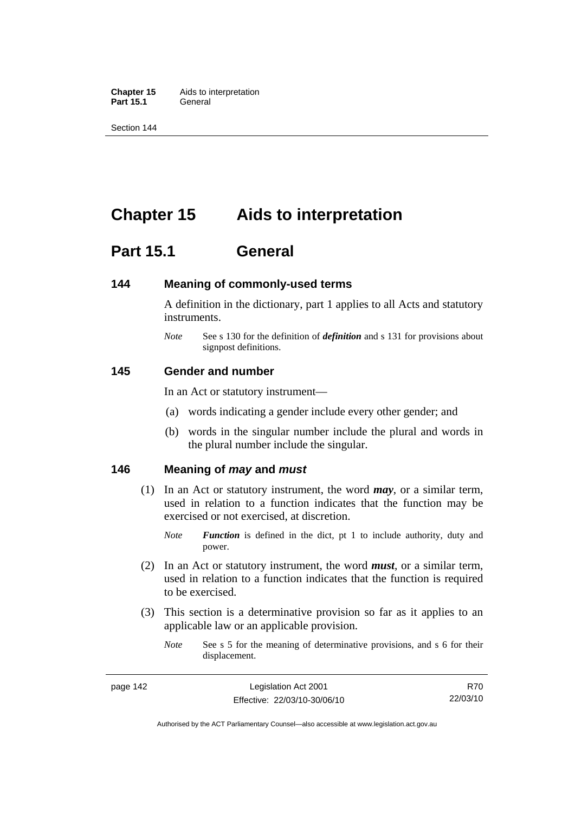**Chapter 15** Aids to interpretation **Part 15.1** General

Section 144

# **Chapter 15 Aids to interpretation**

# **Part 15.1 General**

### **144 Meaning of commonly-used terms**

A definition in the dictionary, part 1 applies to all Acts and statutory instruments.

*Note* See s 130 for the definition of *definition* and s 131 for provisions about signpost definitions.

## **145 Gender and number**

In an Act or statutory instrument—

- (a) words indicating a gender include every other gender; and
- (b) words in the singular number include the plural and words in the plural number include the singular.

## **146 Meaning of** *may* **and** *must*

- (1) In an Act or statutory instrument, the word *may*, or a similar term, used in relation to a function indicates that the function may be exercised or not exercised, at discretion.
	- *Note Function* is defined in the dict, pt 1 to include authority, duty and power.
- (2) In an Act or statutory instrument, the word *must*, or a similar term, used in relation to a function indicates that the function is required to be exercised.
- (3) This section is a determinative provision so far as it applies to an applicable law or an applicable provision.
	- *Note* See s 5 for the meaning of determinative provisions, and s 6 for their displacement.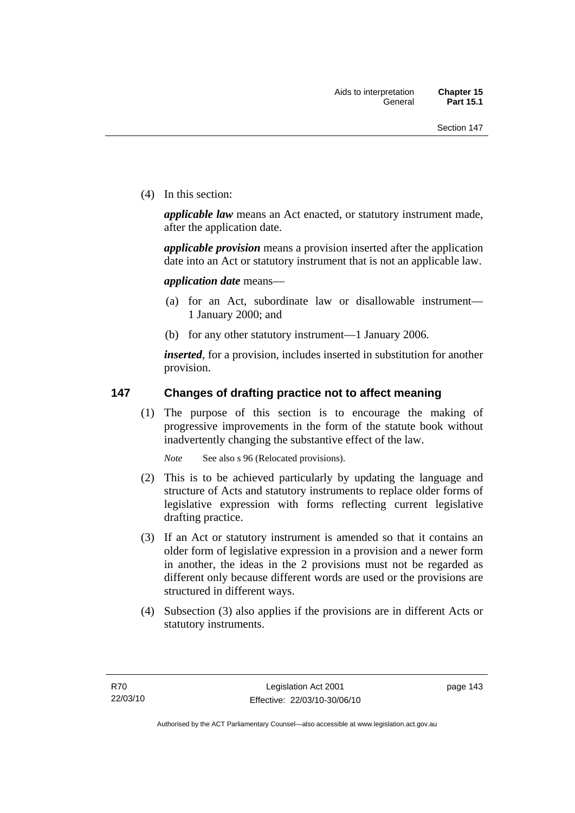(4) In this section:

*applicable law* means an Act enacted, or statutory instrument made, after the application date.

*applicable provision* means a provision inserted after the application date into an Act or statutory instrument that is not an applicable law.

*application date* means—

- (a) for an Act, subordinate law or disallowable instrument— 1 January 2000; and
- (b) for any other statutory instrument—1 January 2006.

*inserted*, for a provision, includes inserted in substitution for another provision.

## **147 Changes of drafting practice not to affect meaning**

 (1) The purpose of this section is to encourage the making of progressive improvements in the form of the statute book without inadvertently changing the substantive effect of the law.

*Note* See also s 96 (Relocated provisions).

- (2) This is to be achieved particularly by updating the language and structure of Acts and statutory instruments to replace older forms of legislative expression with forms reflecting current legislative drafting practice.
- (3) If an Act or statutory instrument is amended so that it contains an older form of legislative expression in a provision and a newer form in another, the ideas in the 2 provisions must not be regarded as different only because different words are used or the provisions are structured in different ways.
- (4) Subsection (3) also applies if the provisions are in different Acts or statutory instruments.

page 143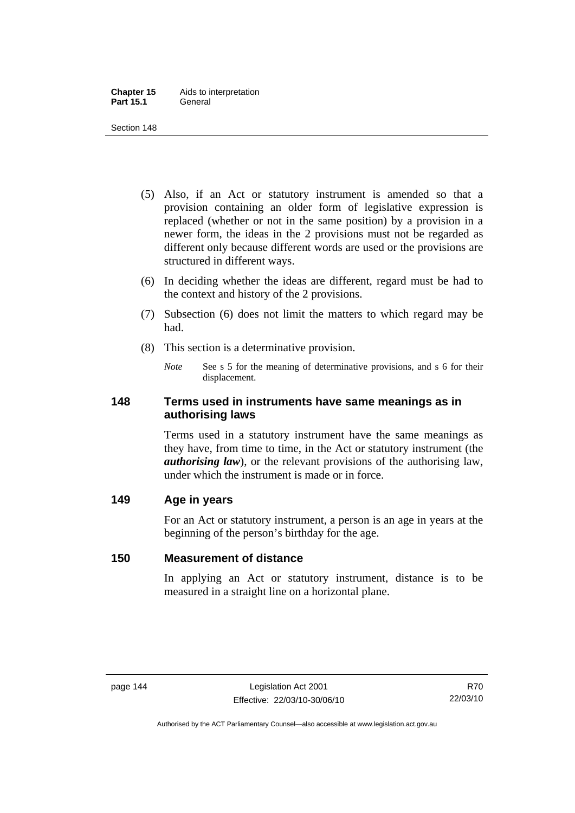- (5) Also, if an Act or statutory instrument is amended so that a provision containing an older form of legislative expression is replaced (whether or not in the same position) by a provision in a newer form, the ideas in the 2 provisions must not be regarded as different only because different words are used or the provisions are structured in different ways.
- (6) In deciding whether the ideas are different, regard must be had to the context and history of the 2 provisions.
- (7) Subsection (6) does not limit the matters to which regard may be had.
- (8) This section is a determinative provision.
	- *Note* See s 5 for the meaning of determinative provisions, and s 6 for their displacement.

## **148 Terms used in instruments have same meanings as in authorising laws**

Terms used in a statutory instrument have the same meanings as they have, from time to time, in the Act or statutory instrument (the *authorising law*), or the relevant provisions of the authorising law, under which the instrument is made or in force.

# **149 Age in years**

For an Act or statutory instrument, a person is an age in years at the beginning of the person's birthday for the age.

## **150 Measurement of distance**

In applying an Act or statutory instrument, distance is to be measured in a straight line on a horizontal plane.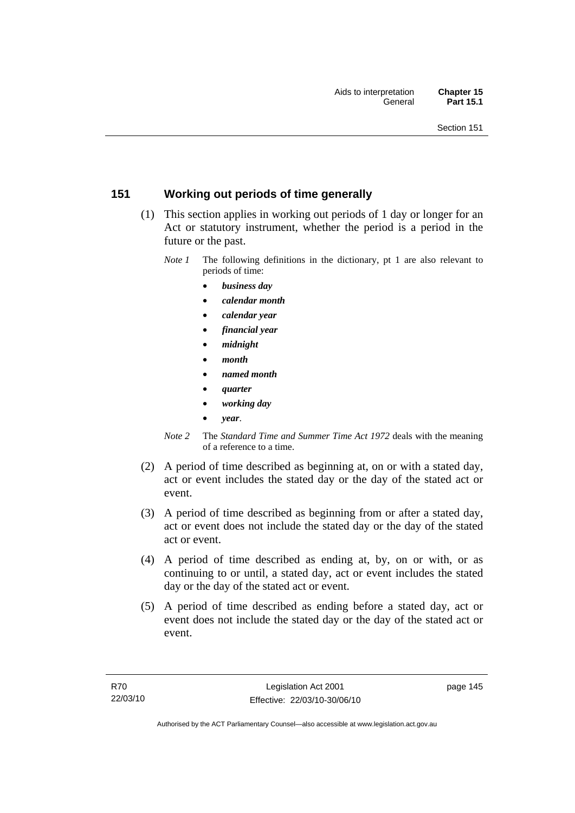# **151 Working out periods of time generally**

- (1) This section applies in working out periods of 1 day or longer for an Act or statutory instrument, whether the period is a period in the future or the past.
	- *Note 1* The following definitions in the dictionary, pt 1 are also relevant to periods of time:
		- *business day*
		- *calendar month*
		- *calendar year*
		- *financial year*
		- *midnight*
		- *month*
		- *named month*
		- *quarter*
		- *working day*
		- *year*.
	- *Note 2* The *Standard Time and Summer Time Act 1972* deals with the meaning of a reference to a time.
- (2) A period of time described as beginning at, on or with a stated day, act or event includes the stated day or the day of the stated act or event.
- (3) A period of time described as beginning from or after a stated day, act or event does not include the stated day or the day of the stated act or event.
- (4) A period of time described as ending at, by, on or with, or as continuing to or until, a stated day, act or event includes the stated day or the day of the stated act or event.
- (5) A period of time described as ending before a stated day, act or event does not include the stated day or the day of the stated act or event.

page 145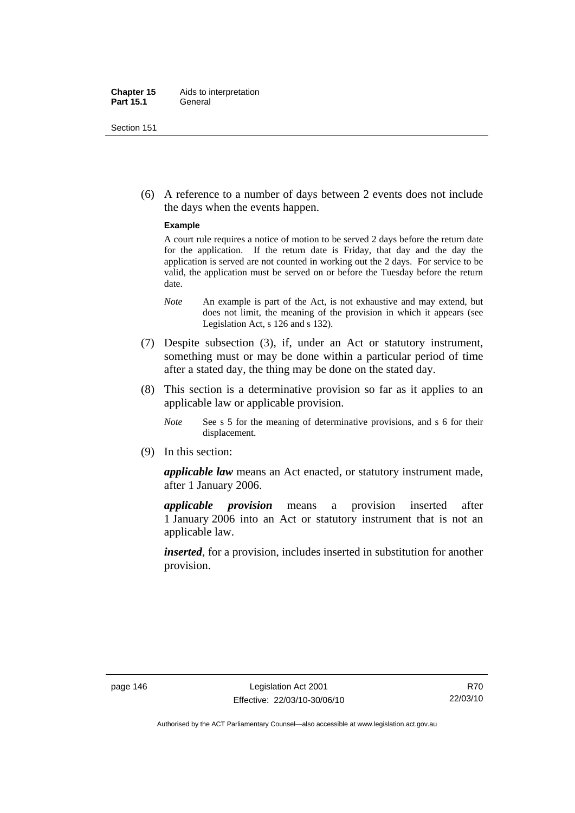#### **Chapter 15** Aids to interpretation **Part 15.1** General

Section 151

 (6) A reference to a number of days between 2 events does not include the days when the events happen.

#### **Example**

A court rule requires a notice of motion to be served 2 days before the return date for the application. If the return date is Friday, that day and the day the application is served are not counted in working out the 2 days. For service to be valid, the application must be served on or before the Tuesday before the return date.

- *Note* An example is part of the Act, is not exhaustive and may extend, but does not limit, the meaning of the provision in which it appears (see Legislation Act, s 126 and s 132).
- (7) Despite subsection (3), if, under an Act or statutory instrument, something must or may be done within a particular period of time after a stated day, the thing may be done on the stated day.
- (8) This section is a determinative provision so far as it applies to an applicable law or applicable provision.
	- *Note* See s 5 for the meaning of determinative provisions, and s 6 for their displacement.
- (9) In this section:

*applicable law* means an Act enacted, or statutory instrument made, after 1 January 2006.

*applicable provision* means a provision inserted after 1 January 2006 into an Act or statutory instrument that is not an applicable law.

*inserted*, for a provision, includes inserted in substitution for another provision.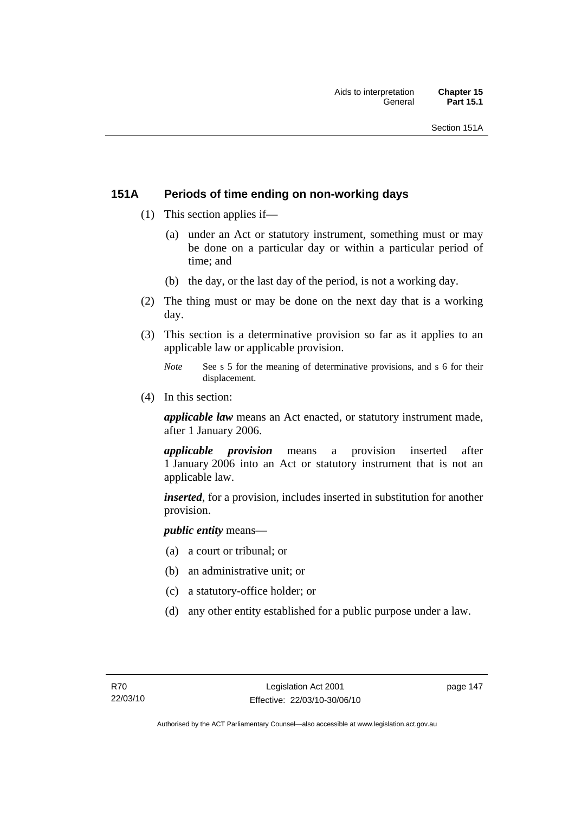# **151A Periods of time ending on non-working days**

- (1) This section applies if—
	- (a) under an Act or statutory instrument, something must or may be done on a particular day or within a particular period of time; and
	- (b) the day, or the last day of the period, is not a working day.
- (2) The thing must or may be done on the next day that is a working day.
- (3) This section is a determinative provision so far as it applies to an applicable law or applicable provision.
	- *Note* See s 5 for the meaning of determinative provisions, and s 6 for their displacement.
- (4) In this section:

*applicable law* means an Act enacted, or statutory instrument made, after 1 January 2006.

*applicable provision* means a provision inserted after 1 January 2006 into an Act or statutory instrument that is not an applicable law.

*inserted*, for a provision, includes inserted in substitution for another provision.

*public entity* means—

- (a) a court or tribunal; or
- (b) an administrative unit; or
- (c) a statutory-office holder; or
- (d) any other entity established for a public purpose under a law.

page 147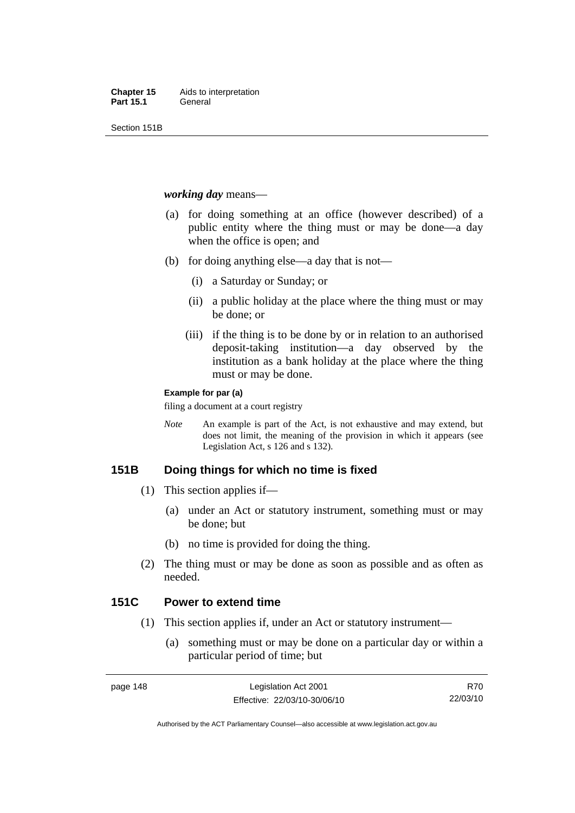Section 151B

### *working day* means—

- (a) for doing something at an office (however described) of a public entity where the thing must or may be done—a day when the office is open; and
- (b) for doing anything else—a day that is not—
	- (i) a Saturday or Sunday; or
	- (ii) a public holiday at the place where the thing must or may be done; or
	- (iii) if the thing is to be done by or in relation to an authorised deposit-taking institution—a day observed by the institution as a bank holiday at the place where the thing must or may be done.

#### **Example for par (a)**

filing a document at a court registry

*Note* An example is part of the Act, is not exhaustive and may extend, but does not limit, the meaning of the provision in which it appears (see Legislation Act, s 126 and s 132).

## **151B Doing things for which no time is fixed**

- (1) This section applies if—
	- (a) under an Act or statutory instrument, something must or may be done; but
	- (b) no time is provided for doing the thing.
- (2) The thing must or may be done as soon as possible and as often as needed.

## **151C Power to extend time**

- (1) This section applies if, under an Act or statutory instrument—
	- (a) something must or may be done on a particular day or within a particular period of time; but

R70 22/03/10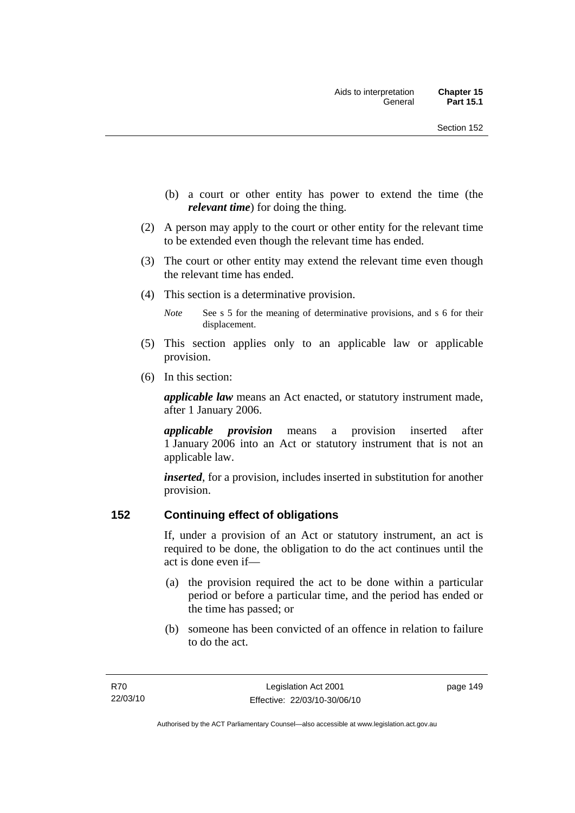- (b) a court or other entity has power to extend the time (the *relevant time*) for doing the thing.
- (2) A person may apply to the court or other entity for the relevant time to be extended even though the relevant time has ended.
- (3) The court or other entity may extend the relevant time even though the relevant time has ended.
- (4) This section is a determinative provision.
	- *Note* See s 5 for the meaning of determinative provisions, and s 6 for their displacement.
- (5) This section applies only to an applicable law or applicable provision.
- (6) In this section:

*applicable law* means an Act enacted, or statutory instrument made, after 1 January 2006.

*applicable provision* means a provision inserted after 1 January 2006 into an Act or statutory instrument that is not an applicable law.

*inserted*, for a provision, includes inserted in substitution for another provision.

## **152 Continuing effect of obligations**

If, under a provision of an Act or statutory instrument, an act is required to be done, the obligation to do the act continues until the act is done even if—

- (a) the provision required the act to be done within a particular period or before a particular time, and the period has ended or the time has passed; or
- (b) someone has been convicted of an offence in relation to failure to do the act.

page 149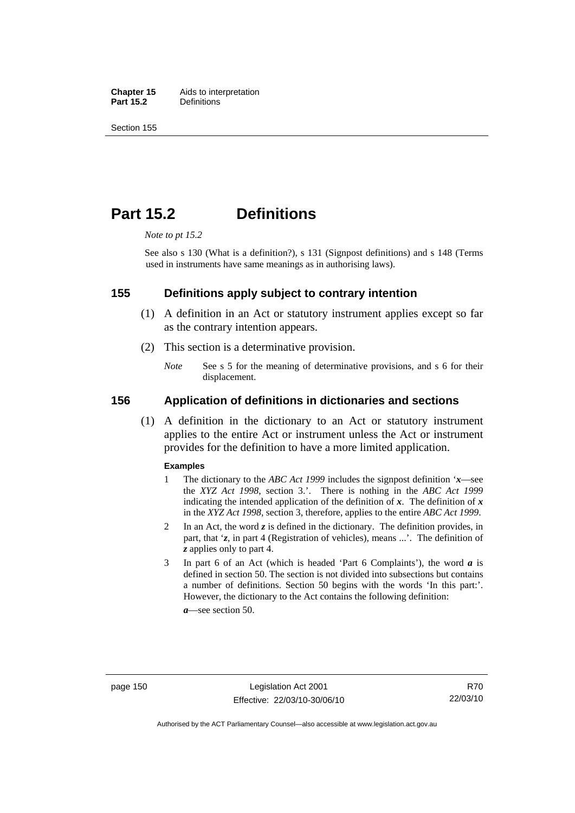**Chapter 15** Aids to interpretation<br>**Part 15.2** Definitions **Definitions** 

Section 155

# **Part 15.2 Definitions**

*Note to pt 15.2* 

See also s 130 (What is a definition?), s 131 (Signpost definitions) and s 148 (Terms used in instruments have same meanings as in authorising laws).

## **155 Definitions apply subject to contrary intention**

- (1) A definition in an Act or statutory instrument applies except so far as the contrary intention appears.
- (2) This section is a determinative provision.
	- *Note* See s 5 for the meaning of determinative provisions, and s 6 for their displacement.

### **156 Application of definitions in dictionaries and sections**

 (1) A definition in the dictionary to an Act or statutory instrument applies to the entire Act or instrument unless the Act or instrument provides for the definition to have a more limited application.

#### **Examples**

- 1 The dictionary to the *ABC Act 1999* includes the signpost definition '*x*—see the *XYZ Act 1998*, section 3.'. There is nothing in the *ABC Act 1999* indicating the intended application of the definition of  $x$ . The definition of  $x$ in the *XYZ Act 1998*, section 3, therefore, applies to the entire *ABC Act 1999*.
- 2 In an Act, the word *z* is defined in the dictionary. The definition provides, in part, that '*z*, in part 4 (Registration of vehicles), means ...'. The definition of *z* applies only to part 4.
- 3 In part 6 of an Act (which is headed 'Part 6 Complaints'), the word *a* is defined in section 50. The section is not divided into subsections but contains a number of definitions. Section 50 begins with the words 'In this part:'. However, the dictionary to the Act contains the following definition:

*a*—see section 50.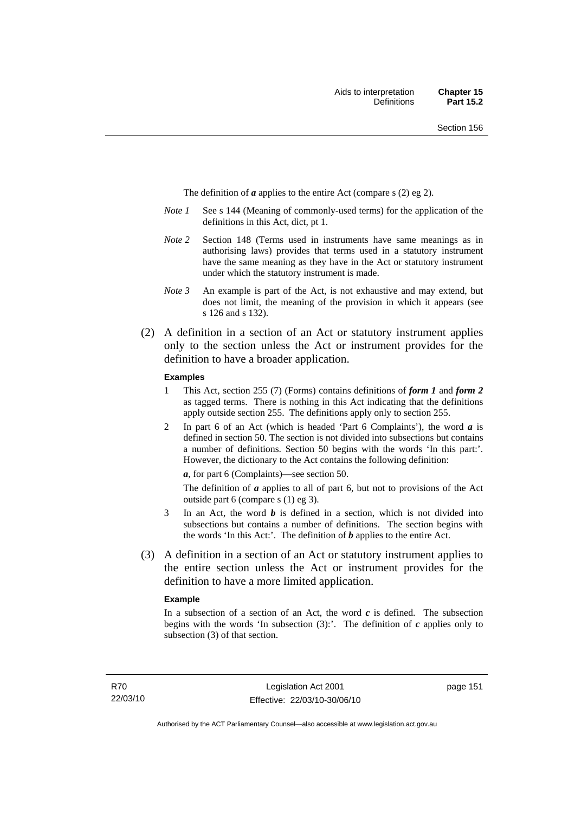The definition of *a* applies to the entire Act (compare s (2) eg 2).

- *Note 1* See s 144 (Meaning of commonly-used terms) for the application of the definitions in this Act, dict, pt 1.
- *Note 2* Section 148 (Terms used in instruments have same meanings as in authorising laws) provides that terms used in a statutory instrument have the same meaning as they have in the Act or statutory instrument under which the statutory instrument is made.
- *Note 3* An example is part of the Act, is not exhaustive and may extend, but does not limit, the meaning of the provision in which it appears (see s 126 and s 132).
- (2) A definition in a section of an Act or statutory instrument applies only to the section unless the Act or instrument provides for the definition to have a broader application.

#### **Examples**

- 1 This Act, section 255 (7) (Forms) contains definitions of *form 1* and *form 2* as tagged terms. There is nothing in this Act indicating that the definitions apply outside section 255. The definitions apply only to section 255.
- 2 In part 6 of an Act (which is headed 'Part 6 Complaints'), the word *a* is defined in section 50. The section is not divided into subsections but contains a number of definitions. Section 50 begins with the words 'In this part:'. However, the dictionary to the Act contains the following definition:

*a*, for part 6 (Complaints)—see section 50.

The definition of *a* applies to all of part 6, but not to provisions of the Act outside part 6 (compare s (1) eg 3).

- 3 In an Act, the word *b* is defined in a section, which is not divided into subsections but contains a number of definitions. The section begins with the words 'In this Act:'. The definition of *b* applies to the entire Act.
- (3) A definition in a section of an Act or statutory instrument applies to the entire section unless the Act or instrument provides for the definition to have a more limited application.

#### **Example**

In a subsection of a section of an Act, the word  $c$  is defined. The subsection begins with the words 'In subsection  $(3)$ :'. The definition of  $c$  applies only to subsection (3) of that section.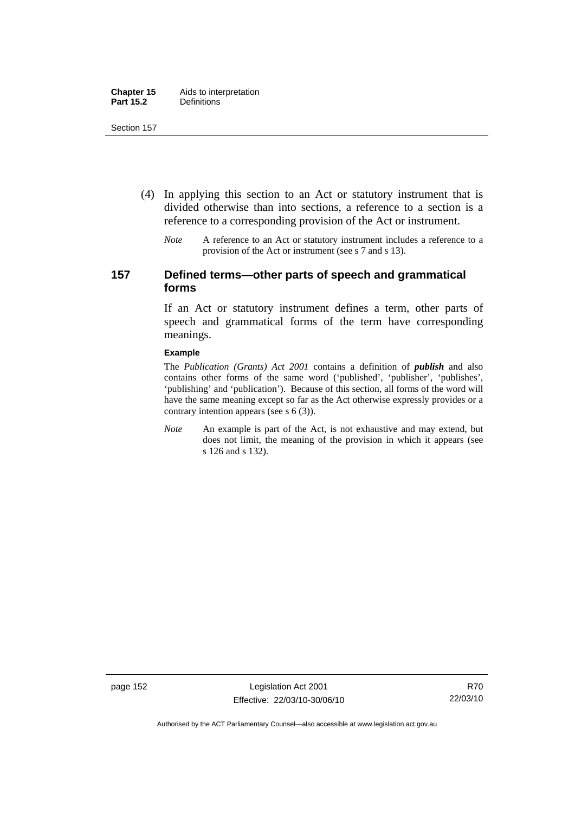- (4) In applying this section to an Act or statutory instrument that is divided otherwise than into sections, a reference to a section is a reference to a corresponding provision of the Act or instrument.
	- *Note* A reference to an Act or statutory instrument includes a reference to a provision of the Act or instrument (see s 7 and s 13).

## **157 Defined terms—other parts of speech and grammatical forms**

If an Act or statutory instrument defines a term, other parts of speech and grammatical forms of the term have corresponding meanings.

#### **Example**

The *Publication (Grants) Act 2001* contains a definition of *publish* and also contains other forms of the same word ('published', 'publisher', 'publishes', 'publishing' and 'publication'). Because of this section, all forms of the word will have the same meaning except so far as the Act otherwise expressly provides or a contrary intention appears (see s 6 (3)).

*Note* An example is part of the Act, is not exhaustive and may extend, but does not limit, the meaning of the provision in which it appears (see s 126 and s 132).

page 152 Legislation Act 2001 Effective: 22/03/10-30/06/10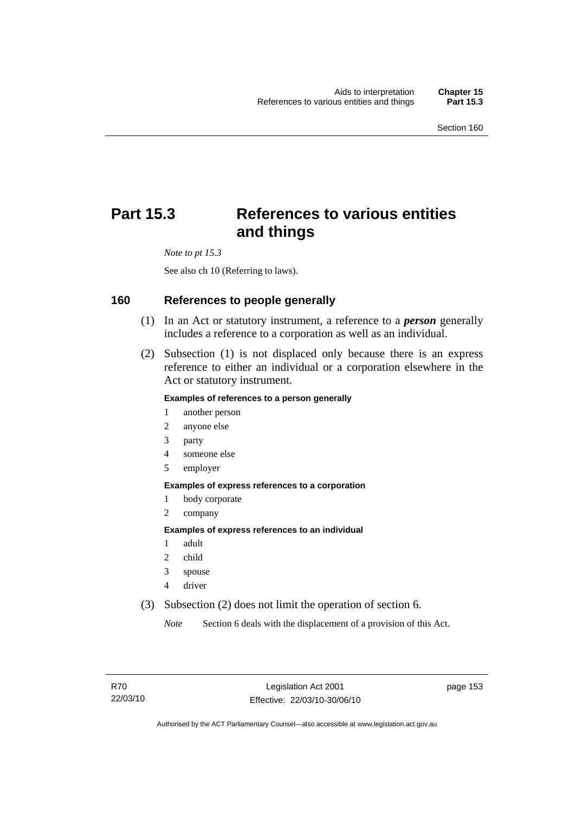# **Part 15.3 References to various entities and things**

*Note to pt 15.3* 

See also ch 10 (Referring to laws).

## **160 References to people generally**

- (1) In an Act or statutory instrument, a reference to a *person* generally includes a reference to a corporation as well as an individual.
- (2) Subsection (1) is not displaced only because there is an express reference to either an individual or a corporation elsewhere in the Act or statutory instrument.

#### **Examples of references to a person generally**

- 1 another person
- 2 anyone else
- 3 party
- 4 someone else
- 5 employer

#### **Examples of express references to a corporation**

- 1 body corporate
- 2 company

#### **Examples of express references to an individual**

- 1 adult
- 2 child
- 3 spouse
- 4 driver
- (3) Subsection (2) does not limit the operation of section 6.

*Note* Section 6 deals with the displacement of a provision of this Act.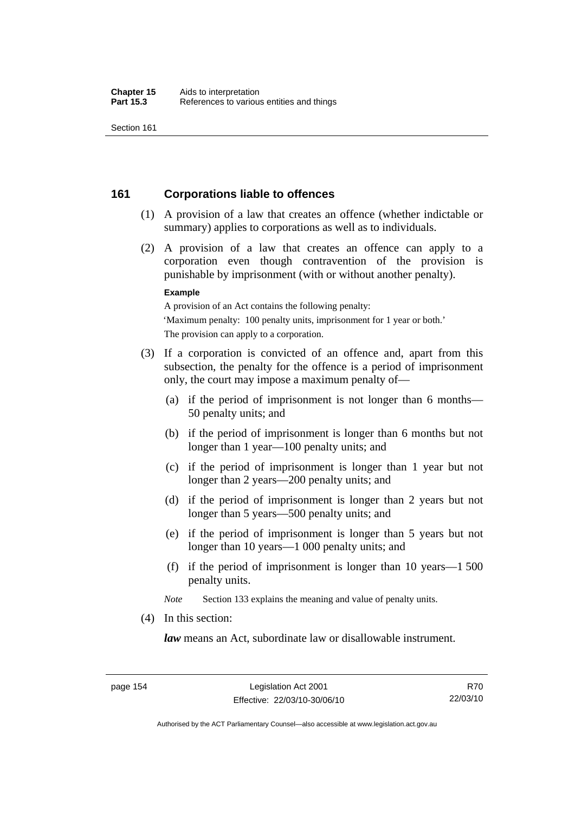## **161 Corporations liable to offences**

- (1) A provision of a law that creates an offence (whether indictable or summary) applies to corporations as well as to individuals.
- (2) A provision of a law that creates an offence can apply to a corporation even though contravention of the provision is punishable by imprisonment (with or without another penalty).

#### **Example**

A provision of an Act contains the following penalty: 'Maximum penalty: 100 penalty units, imprisonment for 1 year or both.' The provision can apply to a corporation.

- (3) If a corporation is convicted of an offence and, apart from this subsection, the penalty for the offence is a period of imprisonment only, the court may impose a maximum penalty of—
	- (a) if the period of imprisonment is not longer than 6 months— 50 penalty units; and
	- (b) if the period of imprisonment is longer than 6 months but not longer than 1 year—100 penalty units; and
	- (c) if the period of imprisonment is longer than 1 year but not longer than 2 years—200 penalty units; and
	- (d) if the period of imprisonment is longer than 2 years but not longer than 5 years—500 penalty units; and
	- (e) if the period of imprisonment is longer than 5 years but not longer than 10 years—1 000 penalty units; and
	- (f) if the period of imprisonment is longer than 10 years—1 500 penalty units.

*Note* Section 133 explains the meaning and value of penalty units.

(4) In this section:

*law* means an Act, subordinate law or disallowable instrument.

R70 22/03/10

Authorised by the ACT Parliamentary Counsel—also accessible at www.legislation.act.gov.au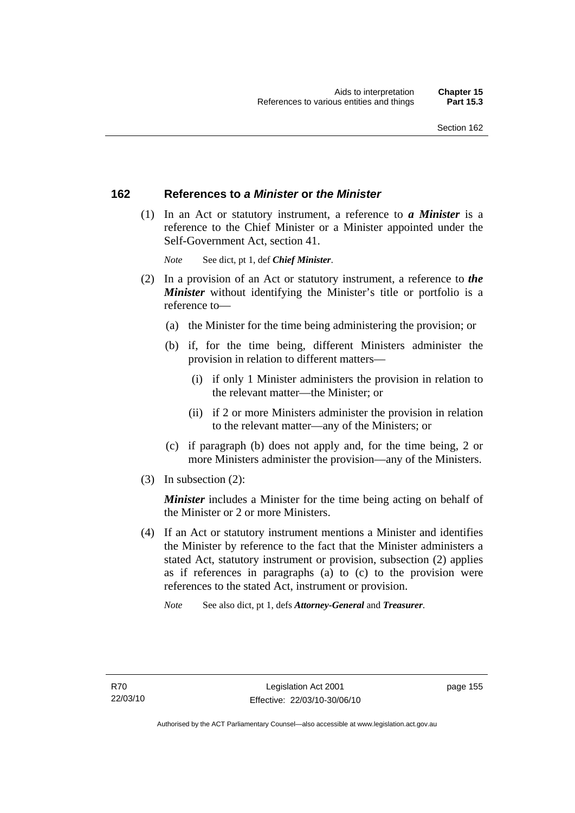## **162 References to** *a Minister* **or** *the Minister*

 (1) In an Act or statutory instrument, a reference to *a Minister* is a reference to the Chief Minister or a Minister appointed under the Self-Government Act, section 41.

*Note* See dict, pt 1, def *Chief Minister*.

- (2) In a provision of an Act or statutory instrument, a reference to *the Minister* without identifying the Minister's title or portfolio is a reference to—
	- (a) the Minister for the time being administering the provision; or
	- (b) if, for the time being, different Ministers administer the provision in relation to different matters—
		- (i) if only 1 Minister administers the provision in relation to the relevant matter—the Minister; or
		- (ii) if 2 or more Ministers administer the provision in relation to the relevant matter—any of the Ministers; or
	- (c) if paragraph (b) does not apply and, for the time being, 2 or more Ministers administer the provision—any of the Ministers.
- (3) In subsection (2):

*Minister* includes a Minister for the time being acting on behalf of the Minister or 2 or more Ministers.

 (4) If an Act or statutory instrument mentions a Minister and identifies the Minister by reference to the fact that the Minister administers a stated Act, statutory instrument or provision, subsection (2) applies as if references in paragraphs (a) to (c) to the provision were references to the stated Act, instrument or provision.

*Note* See also dict, pt 1, defs *Attorney-General* and *Treasurer*.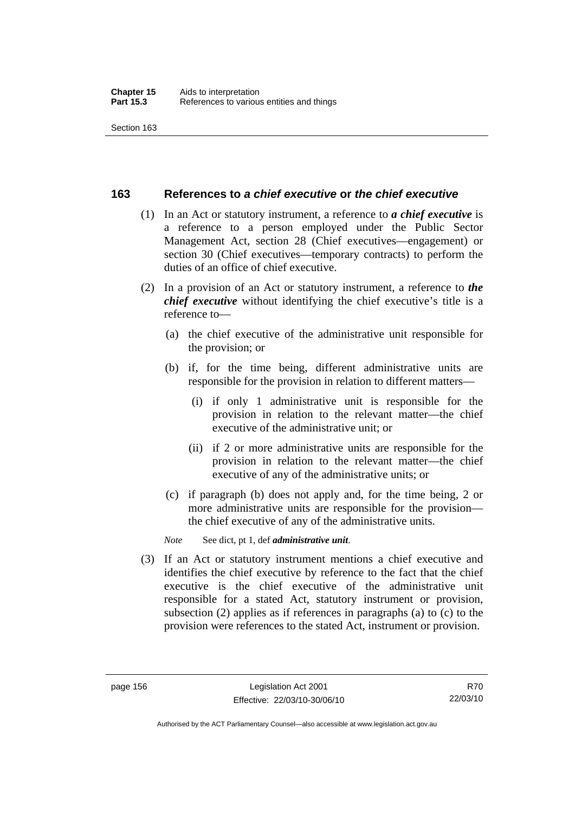## **163 References to** *a chief executive* **or** *the chief executive*

- (1) In an Act or statutory instrument, a reference to *a chief executive* is a reference to a person employed under the Public Sector Management Act, section 28 (Chief executives—engagement) or section 30 (Chief executives—temporary contracts) to perform the duties of an office of chief executive.
- (2) In a provision of an Act or statutory instrument, a reference to *the chief executive* without identifying the chief executive's title is a reference to—
	- (a) the chief executive of the administrative unit responsible for the provision; or
	- (b) if, for the time being, different administrative units are responsible for the provision in relation to different matters—
		- (i) if only 1 administrative unit is responsible for the provision in relation to the relevant matter—the chief executive of the administrative unit; or
		- (ii) if 2 or more administrative units are responsible for the provision in relation to the relevant matter—the chief executive of any of the administrative units; or
	- (c) if paragraph (b) does not apply and, for the time being, 2 or more administrative units are responsible for the provision the chief executive of any of the administrative units.

*Note* See dict, pt 1, def *administrative unit*.

 (3) If an Act or statutory instrument mentions a chief executive and identifies the chief executive by reference to the fact that the chief executive is the chief executive of the administrative unit responsible for a stated Act, statutory instrument or provision, subsection (2) applies as if references in paragraphs (a) to (c) to the provision were references to the stated Act, instrument or provision.

R70 22/03/10

Authorised by the ACT Parliamentary Counsel—also accessible at www.legislation.act.gov.au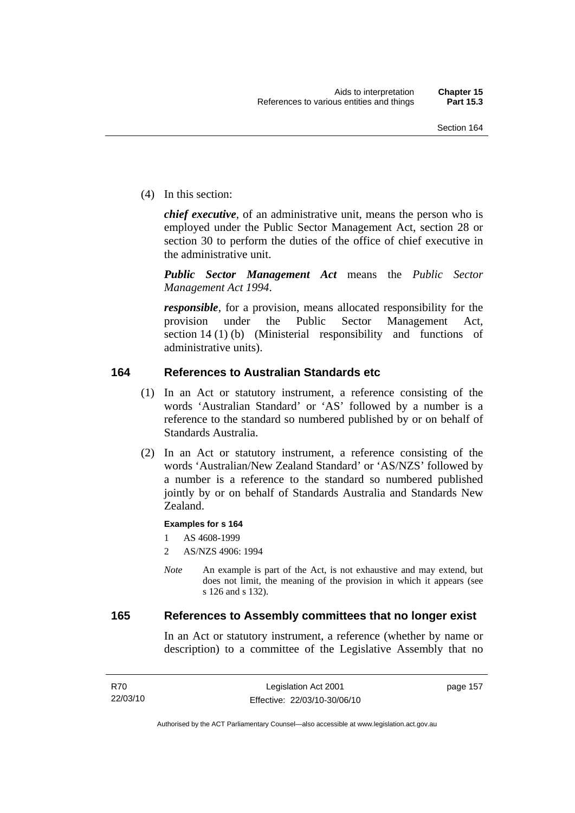(4) In this section:

*chief executive*, of an administrative unit, means the person who is employed under the Public Sector Management Act, section 28 or section 30 to perform the duties of the office of chief executive in the administrative unit.

*Public Sector Management Act* means the *Public Sector Management Act 1994*.

*responsible*, for a provision, means allocated responsibility for the provision under the Public Sector Management Act, section 14 (1) (b) (Ministerial responsibility and functions of administrative units).

## **164 References to Australian Standards etc**

- (1) In an Act or statutory instrument, a reference consisting of the words 'Australian Standard' or 'AS' followed by a number is a reference to the standard so numbered published by or on behalf of Standards Australia.
- (2) In an Act or statutory instrument, a reference consisting of the words 'Australian/New Zealand Standard' or 'AS/NZS' followed by a number is a reference to the standard so numbered published jointly by or on behalf of Standards Australia and Standards New Zealand.

### **Examples for s 164**

1 AS 4608-1999

- 2 AS/NZS 4906: 1994
- *Note* An example is part of the Act, is not exhaustive and may extend, but does not limit, the meaning of the provision in which it appears (see s 126 and s 132).

### **165 References to Assembly committees that no longer exist**

In an Act or statutory instrument, a reference (whether by name or description) to a committee of the Legislative Assembly that no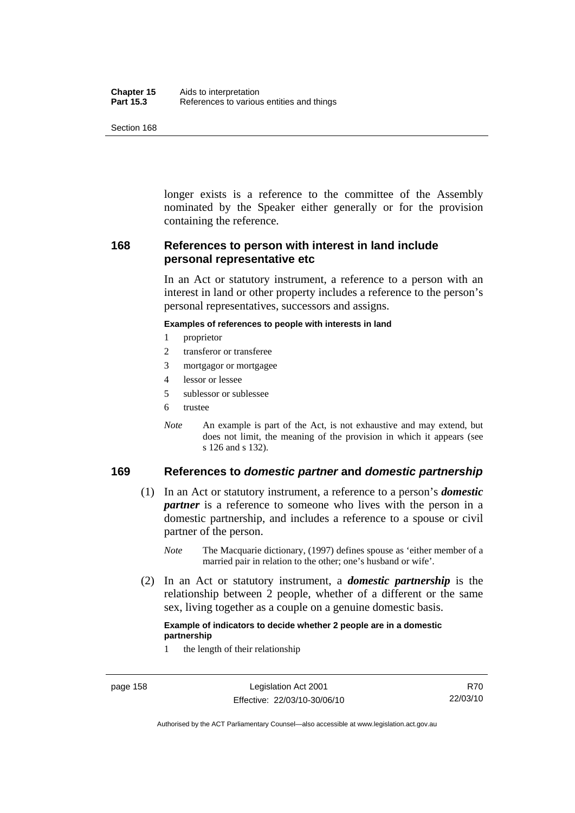| Chapter 15       | Aids to interpretation                    |
|------------------|-------------------------------------------|
| <b>Part 15.3</b> | References to various entities and things |

longer exists is a reference to the committee of the Assembly nominated by the Speaker either generally or for the provision containing the reference.

## **168 References to person with interest in land include personal representative etc**

In an Act or statutory instrument, a reference to a person with an interest in land or other property includes a reference to the person's personal representatives, successors and assigns.

#### **Examples of references to people with interests in land**

- 1 proprietor
- 2 transferor or transferee
- 3 mortgagor or mortgagee
- 4 lessor or lessee
- 5 sublessor or sublessee
- 6 trustee
- *Note* An example is part of the Act, is not exhaustive and may extend, but does not limit, the meaning of the provision in which it appears (see s 126 and s 132).

## **169 References to** *domestic partner* **and** *domestic partnership*

- (1) In an Act or statutory instrument, a reference to a person's *domestic partner* is a reference to someone who lives with the person in a domestic partnership, and includes a reference to a spouse or civil partner of the person.
	- *Note* The Macquarie dictionary, (1997) defines spouse as 'either member of a married pair in relation to the other; one's husband or wife'.
- (2) In an Act or statutory instrument, a *domestic partnership* is the relationship between 2 people, whether of a different or the same sex, living together as a couple on a genuine domestic basis.

#### **Example of indicators to decide whether 2 people are in a domestic partnership**

1 the length of their relationship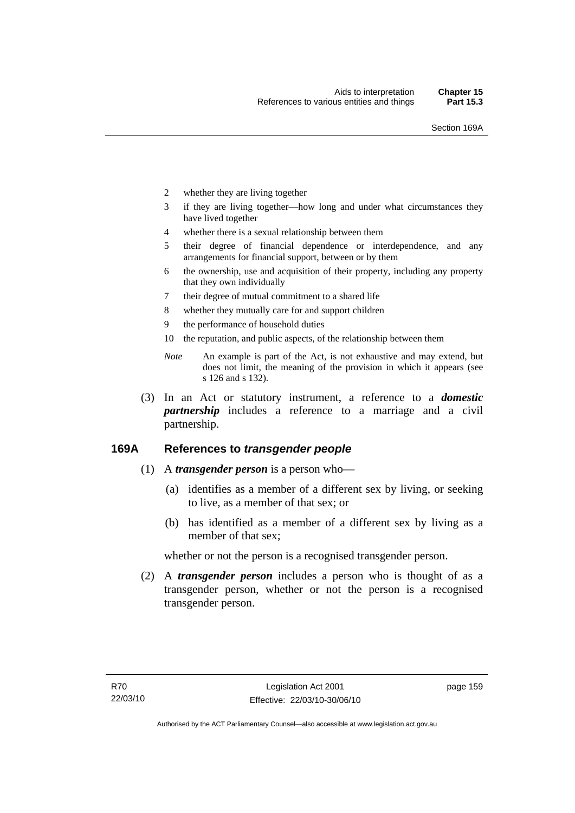- 2 whether they are living together
- 3 if they are living together—how long and under what circumstances they have lived together
- 4 whether there is a sexual relationship between them
- 5 their degree of financial dependence or interdependence, and any arrangements for financial support, between or by them
- 6 the ownership, use and acquisition of their property, including any property that they own individually
- 7 their degree of mutual commitment to a shared life
- 8 whether they mutually care for and support children
- 9 the performance of household duties
- 10 the reputation, and public aspects, of the relationship between them
- *Note* An example is part of the Act, is not exhaustive and may extend, but does not limit, the meaning of the provision in which it appears (see s 126 and s 132).
- (3) In an Act or statutory instrument, a reference to a *domestic partnership* includes a reference to a marriage and a civil partnership.

## **169A References to** *transgender people*

- (1) A *transgender person* is a person who—
	- (a) identifies as a member of a different sex by living, or seeking to live, as a member of that sex; or
	- (b) has identified as a member of a different sex by living as a member of that sex;

whether or not the person is a recognised transgender person.

 (2) A *transgender person* includes a person who is thought of as a transgender person, whether or not the person is a recognised transgender person.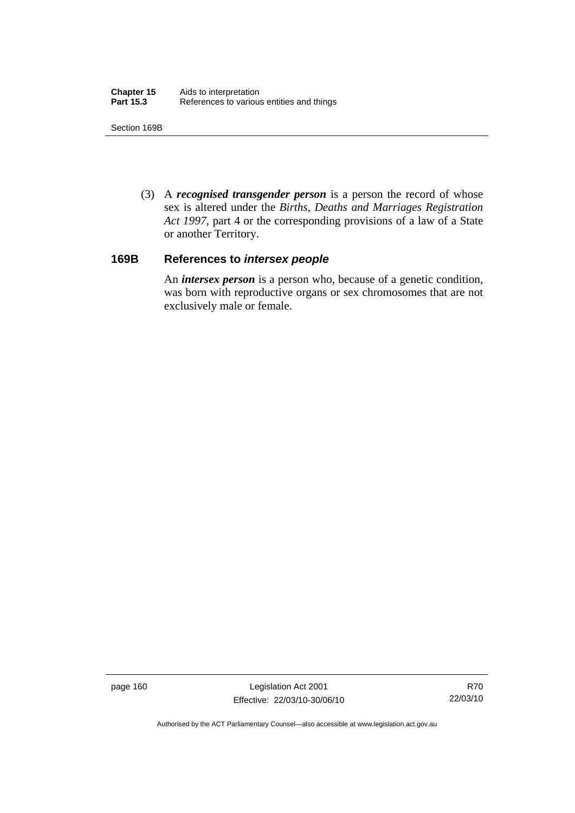Section 169B

 (3) A *recognised transgender person* is a person the record of whose sex is altered under the *Births, Deaths and Marriages Registration Act 1997*, part 4 or the corresponding provisions of a law of a State or another Territory.

## **169B References to** *intersex people*

An *intersex person* is a person who, because of a genetic condition, was born with reproductive organs or sex chromosomes that are not exclusively male or female.

page 160 Legislation Act 2001 Effective: 22/03/10-30/06/10

R70 22/03/10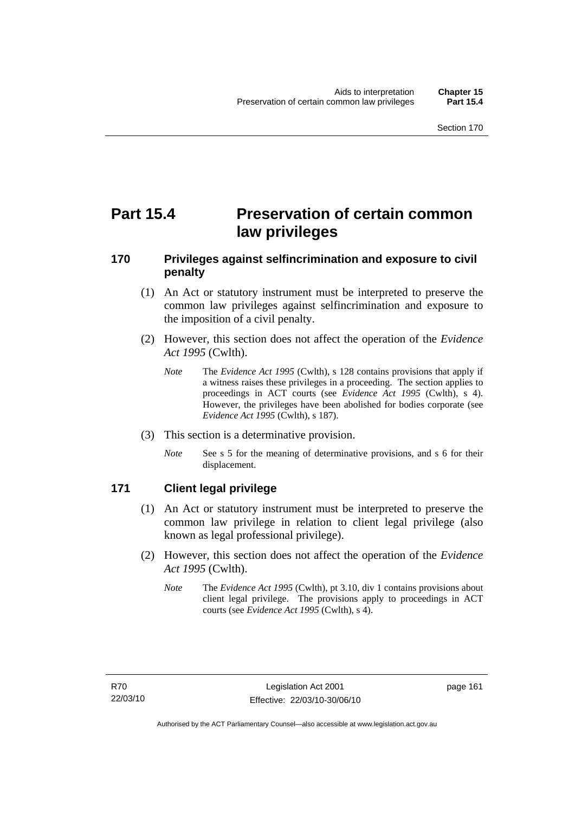# **Part 15.4 Preservation of certain common law privileges**

# **170 Privileges against selfincrimination and exposure to civil penalty**

- (1) An Act or statutory instrument must be interpreted to preserve the common law privileges against selfincrimination and exposure to the imposition of a civil penalty.
- (2) However, this section does not affect the operation of the *Evidence Act 1995* (Cwlth).
	- *Note* The *Evidence Act 1995* (Cwlth), s 128 contains provisions that apply if a witness raises these privileges in a proceeding. The section applies to proceedings in ACT courts (see *Evidence Act 1995* (Cwlth), s 4). However, the privileges have been abolished for bodies corporate (see *Evidence Act 1995* (Cwlth), s 187).
- (3) This section is a determinative provision.
	- *Note* See s 5 for the meaning of determinative provisions, and s 6 for their displacement.

# **171 Client legal privilege**

- (1) An Act or statutory instrument must be interpreted to preserve the common law privilege in relation to client legal privilege (also known as legal professional privilege).
- (2) However, this section does not affect the operation of the *Evidence Act 1995* (Cwlth).
	- *Note* The *Evidence Act 1995* (Cwlth), pt 3.10, div 1 contains provisions about client legal privilege. The provisions apply to proceedings in ACT courts (see *Evidence Act 1995* (Cwlth), s 4).

page 161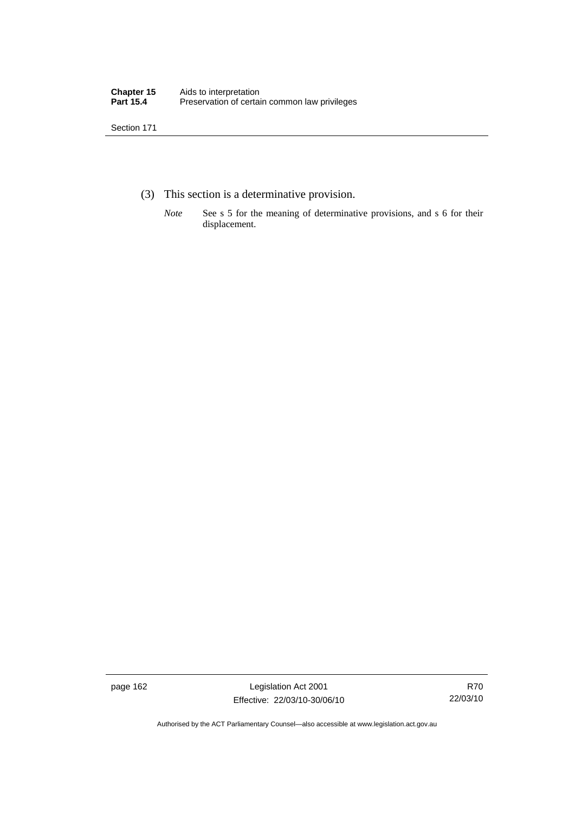- (3) This section is a determinative provision.
	- *Note* See s 5 for the meaning of determinative provisions, and s 6 for their displacement.

page 162 Legislation Act 2001 Effective: 22/03/10-30/06/10

R70 22/03/10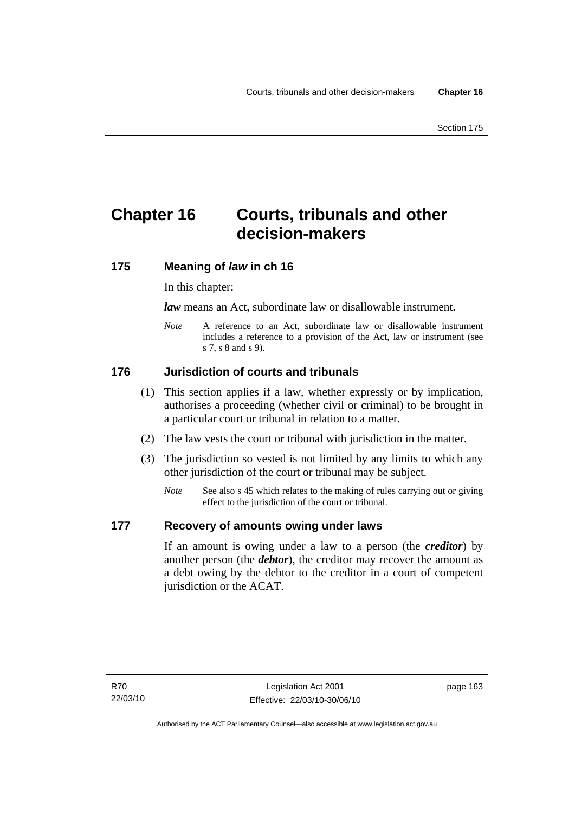# **Chapter 16 Courts, tribunals and other decision-makers**

# **175 Meaning of** *law* **in ch 16**

In this chapter:

*law* means an Act, subordinate law or disallowable instrument.

*Note* A reference to an Act, subordinate law or disallowable instrument includes a reference to a provision of the Act, law or instrument (see s 7, s 8 and s 9).

# **176 Jurisdiction of courts and tribunals**

- (1) This section applies if a law, whether expressly or by implication, authorises a proceeding (whether civil or criminal) to be brought in a particular court or tribunal in relation to a matter.
- (2) The law vests the court or tribunal with jurisdiction in the matter.
- (3) The jurisdiction so vested is not limited by any limits to which any other jurisdiction of the court or tribunal may be subject.
	- *Note* See also s 45 which relates to the making of rules carrying out or giving effect to the jurisdiction of the court or tribunal.

## **177 Recovery of amounts owing under laws**

If an amount is owing under a law to a person (the *creditor*) by another person (the *debtor*), the creditor may recover the amount as a debt owing by the debtor to the creditor in a court of competent jurisdiction or the ACAT.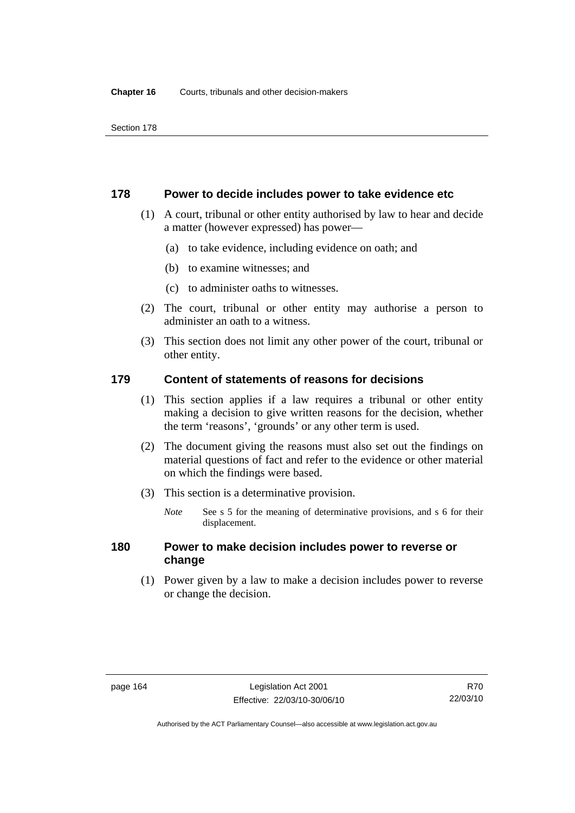## **178 Power to decide includes power to take evidence etc**

- (1) A court, tribunal or other entity authorised by law to hear and decide a matter (however expressed) has power—
	- (a) to take evidence, including evidence on oath; and
	- (b) to examine witnesses; and
	- (c) to administer oaths to witnesses.
- (2) The court, tribunal or other entity may authorise a person to administer an oath to a witness.
- (3) This section does not limit any other power of the court, tribunal or other entity.

## **179 Content of statements of reasons for decisions**

- (1) This section applies if a law requires a tribunal or other entity making a decision to give written reasons for the decision, whether the term 'reasons', 'grounds' or any other term is used.
- (2) The document giving the reasons must also set out the findings on material questions of fact and refer to the evidence or other material on which the findings were based.
- (3) This section is a determinative provision.
	- *Note* See s 5 for the meaning of determinative provisions, and s 6 for their displacement.

## **180 Power to make decision includes power to reverse or change**

 (1) Power given by a law to make a decision includes power to reverse or change the decision.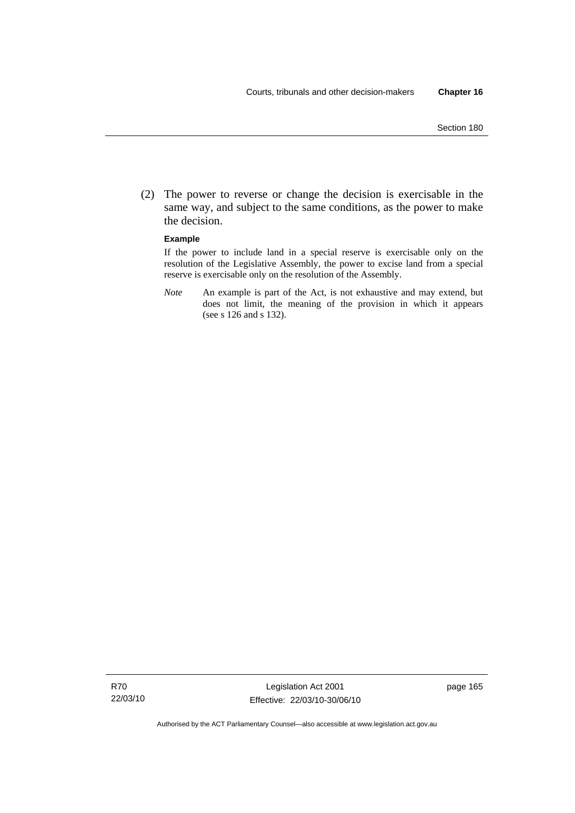(2) The power to reverse or change the decision is exercisable in the same way, and subject to the same conditions, as the power to make the decision.

#### **Example**

If the power to include land in a special reserve is exercisable only on the resolution of the Legislative Assembly, the power to excise land from a special reserve is exercisable only on the resolution of the Assembly.

*Note* An example is part of the Act, is not exhaustive and may extend, but does not limit, the meaning of the provision in which it appears (see s 126 and s 132).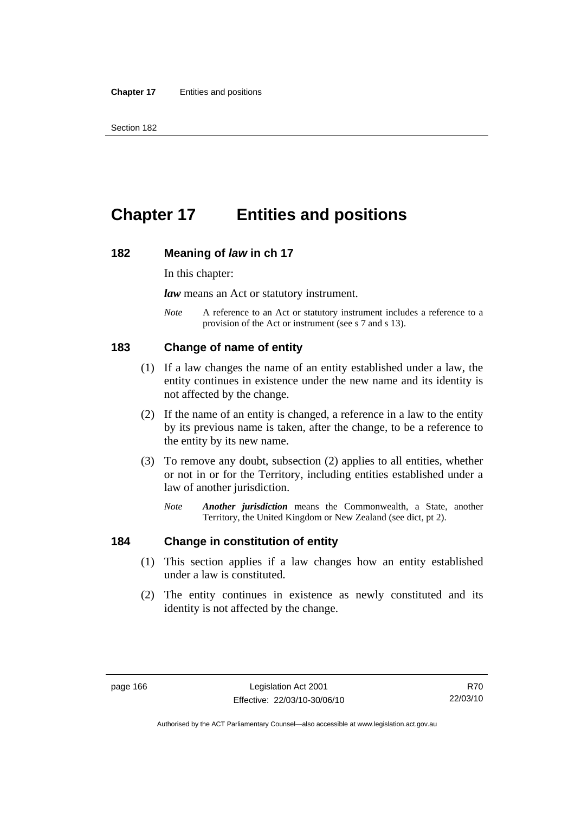# **Chapter 17 Entities and positions**

#### **182 Meaning of** *law* **in ch 17**

In this chapter:

*law* means an Act or statutory instrument.

*Note* A reference to an Act or statutory instrument includes a reference to a provision of the Act or instrument (see s 7 and s 13).

## **183 Change of name of entity**

- (1) If a law changes the name of an entity established under a law, the entity continues in existence under the new name and its identity is not affected by the change.
- (2) If the name of an entity is changed, a reference in a law to the entity by its previous name is taken, after the change, to be a reference to the entity by its new name.
- (3) To remove any doubt, subsection (2) applies to all entities, whether or not in or for the Territory, including entities established under a law of another jurisdiction.
	- *Note Another jurisdiction* means the Commonwealth, a State, another Territory, the United Kingdom or New Zealand (see dict, pt 2).

#### **184 Change in constitution of entity**

- (1) This section applies if a law changes how an entity established under a law is constituted.
- (2) The entity continues in existence as newly constituted and its identity is not affected by the change.

R70 22/03/10

Authorised by the ACT Parliamentary Counsel—also accessible at www.legislation.act.gov.au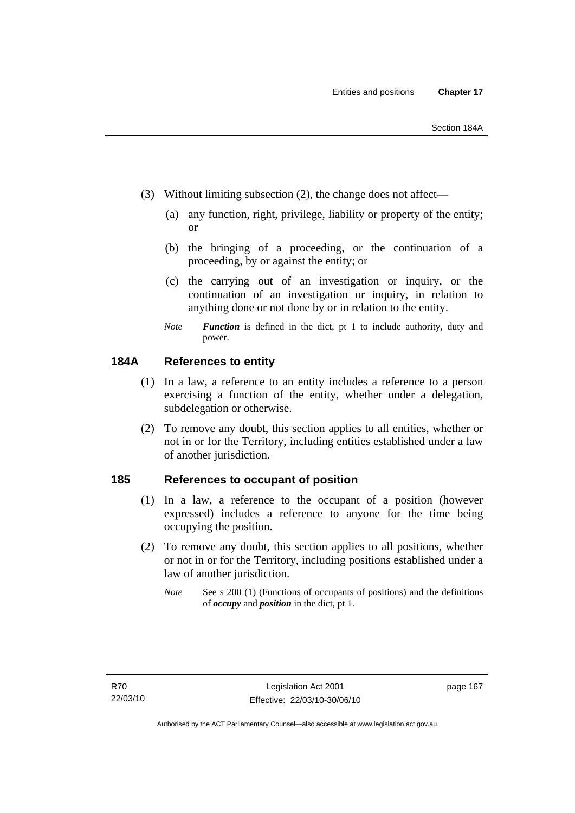- (3) Without limiting subsection (2), the change does not affect—
	- (a) any function, right, privilege, liability or property of the entity; or
	- (b) the bringing of a proceeding, or the continuation of a proceeding, by or against the entity; or
	- (c) the carrying out of an investigation or inquiry, or the continuation of an investigation or inquiry, in relation to anything done or not done by or in relation to the entity.
	- *Note Function* is defined in the dict, pt 1 to include authority, duty and power.

## **184A References to entity**

- (1) In a law, a reference to an entity includes a reference to a person exercising a function of the entity, whether under a delegation, subdelegation or otherwise.
- (2) To remove any doubt, this section applies to all entities, whether or not in or for the Territory, including entities established under a law of another jurisdiction.

## **185 References to occupant of position**

- (1) In a law, a reference to the occupant of a position (however expressed) includes a reference to anyone for the time being occupying the position.
- (2) To remove any doubt, this section applies to all positions, whether or not in or for the Territory, including positions established under a law of another jurisdiction.
	- *Note* See s 200 (1) (Functions of occupants of positions) and the definitions of *occupy* and *position* in the dict, pt 1.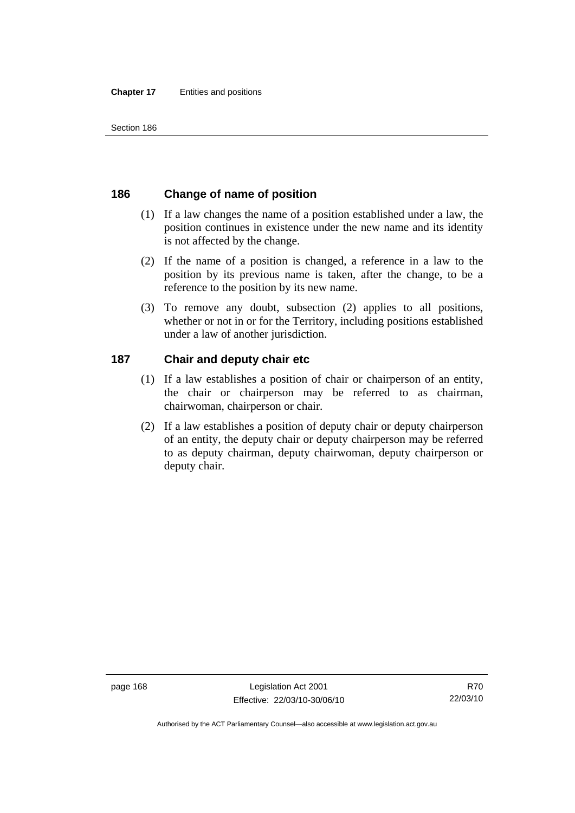# **186 Change of name of position**

- (1) If a law changes the name of a position established under a law, the position continues in existence under the new name and its identity is not affected by the change.
- (2) If the name of a position is changed, a reference in a law to the position by its previous name is taken, after the change, to be a reference to the position by its new name.
- (3) To remove any doubt, subsection (2) applies to all positions, whether or not in or for the Territory, including positions established under a law of another jurisdiction.

# **187 Chair and deputy chair etc**

- (1) If a law establishes a position of chair or chairperson of an entity, the chair or chairperson may be referred to as chairman, chairwoman, chairperson or chair.
- (2) If a law establishes a position of deputy chair or deputy chairperson of an entity, the deputy chair or deputy chairperson may be referred to as deputy chairman, deputy chairwoman, deputy chairperson or deputy chair.

Authorised by the ACT Parliamentary Counsel—also accessible at www.legislation.act.gov.au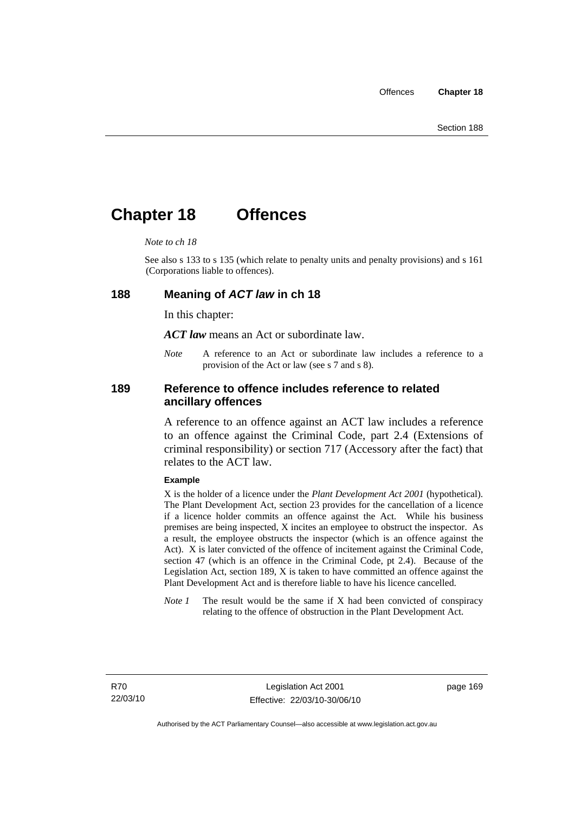# **Chapter 18 Offences**

#### *Note to ch 18*

See also s 133 to s 135 (which relate to penalty units and penalty provisions) and s 161 (Corporations liable to offences).

#### **188 Meaning of** *ACT law* **in ch 18**

In this chapter:

*ACT law* means an Act or subordinate law.

*Note* A reference to an Act or subordinate law includes a reference to a provision of the Act or law (see s 7 and s 8).

## **189 Reference to offence includes reference to related ancillary offences**

A reference to an offence against an ACT law includes a reference to an offence against the Criminal Code, part 2.4 (Extensions of criminal responsibility) or section 717 (Accessory after the fact) that relates to the ACT law.

#### **Example**

X is the holder of a licence under the *Plant Development Act 2001* (hypothetical). The Plant Development Act, section 23 provides for the cancellation of a licence if a licence holder commits an offence against the Act. While his business premises are being inspected, X incites an employee to obstruct the inspector. As a result, the employee obstructs the inspector (which is an offence against the Act). X is later convicted of the offence of incitement against the Criminal Code, section 47 (which is an offence in the Criminal Code, pt 2.4). Because of the Legislation Act, section 189, X is taken to have committed an offence against the Plant Development Act and is therefore liable to have his licence cancelled.

*Note 1* The result would be the same if X had been convicted of conspiracy relating to the offence of obstruction in the Plant Development Act.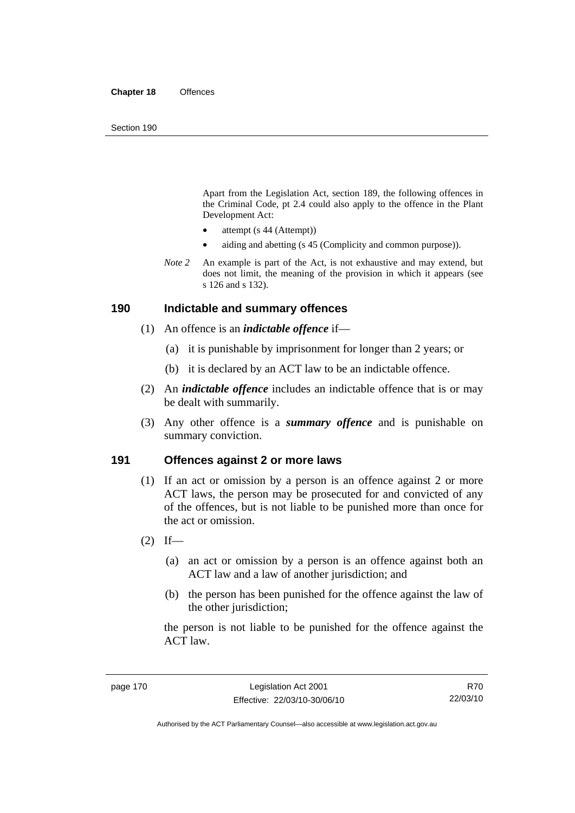Apart from the Legislation Act, section 189, the following offences in the Criminal Code*,* pt 2.4 could also apply to the offence in the Plant Development Act:

- attempt (s 44 (Attempt))
- aiding and abetting (s 45 (Complicity and common purpose)).
- *Note* 2 An example is part of the Act, is not exhaustive and may extend, but does not limit, the meaning of the provision in which it appears (see s 126 and s 132).

#### **190 Indictable and summary offences**

- (1) An offence is an *indictable offence* if—
	- (a) it is punishable by imprisonment for longer than 2 years; or
	- (b) it is declared by an ACT law to be an indictable offence.
- (2) An *indictable offence* includes an indictable offence that is or may be dealt with summarily.
- (3) Any other offence is a *summary offence* and is punishable on summary conviction.

## **191 Offences against 2 or more laws**

- (1) If an act or omission by a person is an offence against 2 or more ACT laws, the person may be prosecuted for and convicted of any of the offences, but is not liable to be punished more than once for the act or omission.
- $(2)$  If—
	- (a) an act or omission by a person is an offence against both an ACT law and a law of another jurisdiction; and
	- (b) the person has been punished for the offence against the law of the other jurisdiction:

the person is not liable to be punished for the offence against the ACT law.

R70 22/03/10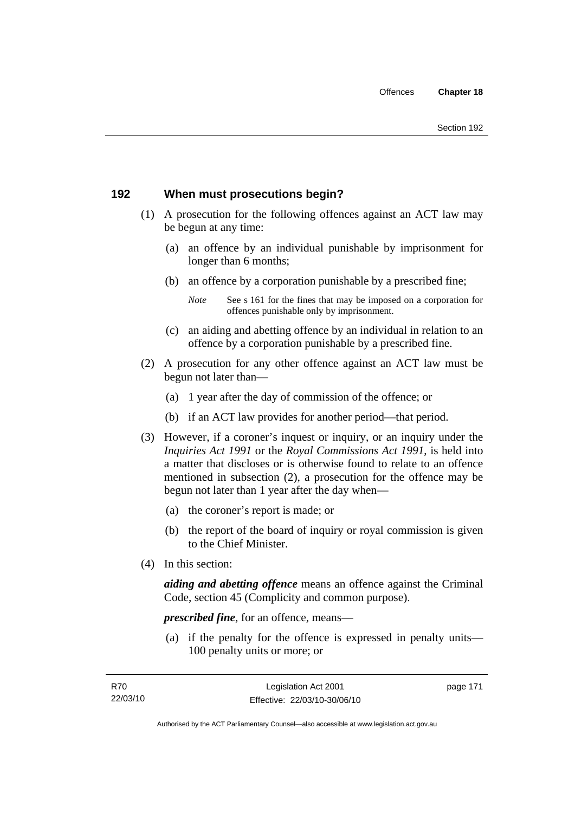# **192 When must prosecutions begin?**

- (1) A prosecution for the following offences against an ACT law may be begun at any time:
	- (a) an offence by an individual punishable by imprisonment for longer than 6 months;
	- (b) an offence by a corporation punishable by a prescribed fine;
		- *Note* See s 161 for the fines that may be imposed on a corporation for offences punishable only by imprisonment.
	- (c) an aiding and abetting offence by an individual in relation to an offence by a corporation punishable by a prescribed fine.
- (2) A prosecution for any other offence against an ACT law must be begun not later than—
	- (a) 1 year after the day of commission of the offence; or
	- (b) if an ACT law provides for another period—that period.
- (3) However, if a coroner's inquest or inquiry, or an inquiry under the *Inquiries Act 1991* or the *Royal Commissions Act 1991*, is held into a matter that discloses or is otherwise found to relate to an offence mentioned in subsection (2), a prosecution for the offence may be begun not later than 1 year after the day when—
	- (a) the coroner's report is made; or
	- (b) the report of the board of inquiry or royal commission is given to the Chief Minister.
- (4) In this section:

*aiding and abetting offence* means an offence against the Criminal Code, section 45 (Complicity and common purpose).

*prescribed fine*, for an offence, means—

 (a) if the penalty for the offence is expressed in penalty units— 100 penalty units or more; or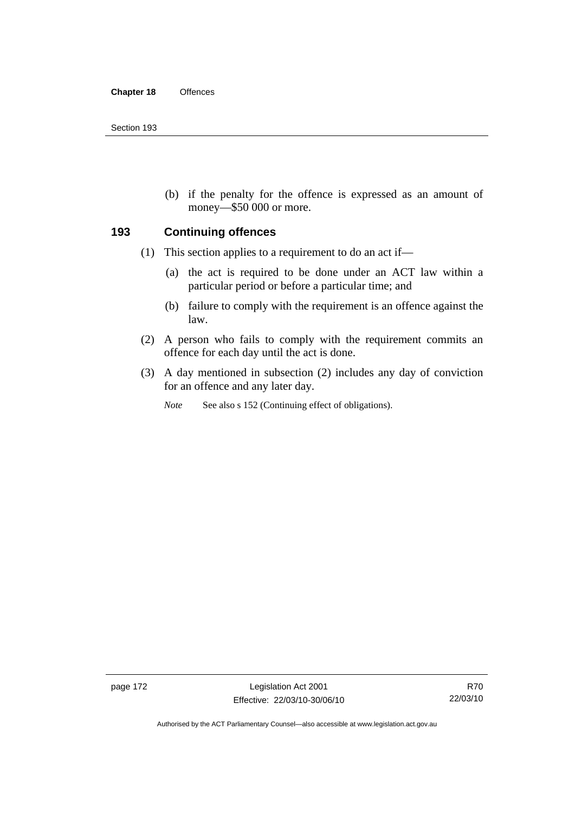(b) if the penalty for the offence is expressed as an amount of money—\$50 000 or more.

## **193 Continuing offences**

- (1) This section applies to a requirement to do an act if—
	- (a) the act is required to be done under an ACT law within a particular period or before a particular time; and
	- (b) failure to comply with the requirement is an offence against the law.
- (2) A person who fails to comply with the requirement commits an offence for each day until the act is done.
- (3) A day mentioned in subsection (2) includes any day of conviction for an offence and any later day.

*Note* See also s 152 (Continuing effect of obligations).

page 172 Legislation Act 2001 Effective: 22/03/10-30/06/10

Authorised by the ACT Parliamentary Counsel—also accessible at www.legislation.act.gov.au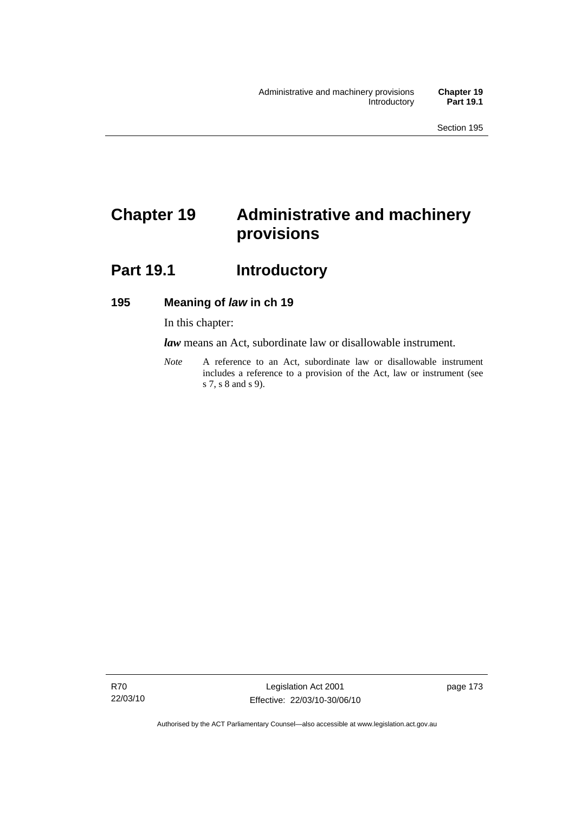# **Chapter 19 Administrative and machinery provisions**

# Part 19.1 **Introductory**

## **195 Meaning of** *law* **in ch 19**

In this chapter:

*law* means an Act, subordinate law or disallowable instrument.

*Note* A reference to an Act, subordinate law or disallowable instrument includes a reference to a provision of the Act, law or instrument (see s 7, s 8 and s 9).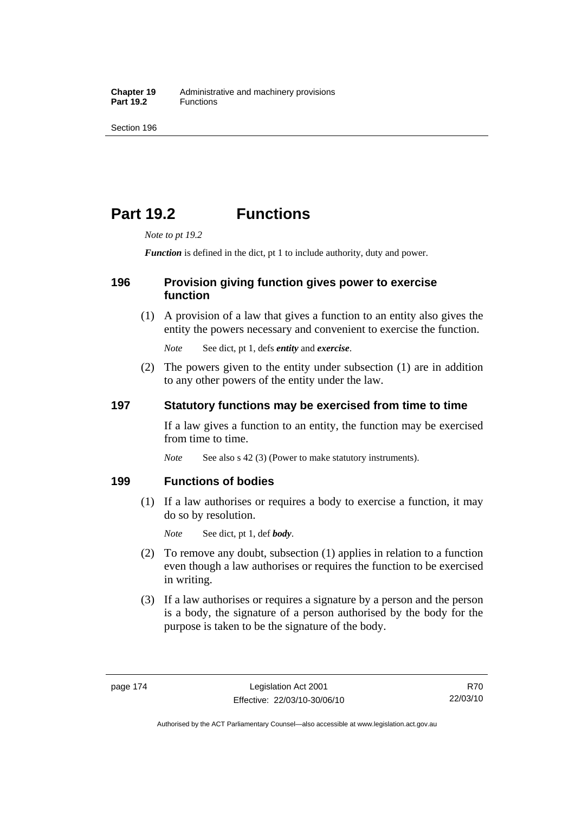# **Part 19.2 Functions**

*Note to pt 19.2* 

*Function* is defined in the dict, pt 1 to include authority, duty and power.

## **196 Provision giving function gives power to exercise function**

 (1) A provision of a law that gives a function to an entity also gives the entity the powers necessary and convenient to exercise the function.

*Note* See dict, pt 1, defs *entity* and *exercise*.

 (2) The powers given to the entity under subsection (1) are in addition to any other powers of the entity under the law.

## **197 Statutory functions may be exercised from time to time**

If a law gives a function to an entity, the function may be exercised from time to time.

*Note* See also s 42 (3) (Power to make statutory instruments).

## **199 Functions of bodies**

 (1) If a law authorises or requires a body to exercise a function, it may do so by resolution.

*Note* See dict, pt 1, def *body*.

- (2) To remove any doubt, subsection (1) applies in relation to a function even though a law authorises or requires the function to be exercised in writing.
- (3) If a law authorises or requires a signature by a person and the person is a body, the signature of a person authorised by the body for the purpose is taken to be the signature of the body.

R70 22/03/10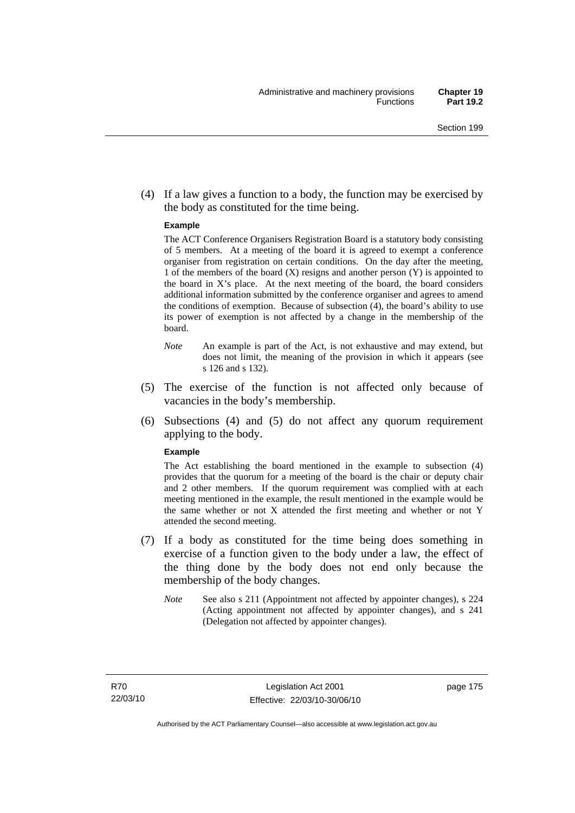(4) If a law gives a function to a body, the function may be exercised by the body as constituted for the time being.

#### **Example**

The ACT Conference Organisers Registration Board is a statutory body consisting of 5 members. At a meeting of the board it is agreed to exempt a conference organiser from registration on certain conditions. On the day after the meeting, 1 of the members of the board (X) resigns and another person (Y) is appointed to the board in  $X$ 's place. At the next meeting of the board, the board considers additional information submitted by the conference organiser and agrees to amend the conditions of exemption. Because of subsection (4), the board's ability to use its power of exemption is not affected by a change in the membership of the board.

- *Note* An example is part of the Act, is not exhaustive and may extend, but does not limit, the meaning of the provision in which it appears (see s 126 and s 132).
- (5) The exercise of the function is not affected only because of vacancies in the body's membership.
- (6) Subsections (4) and (5) do not affect any quorum requirement applying to the body.

#### **Example**

The Act establishing the board mentioned in the example to subsection (4) provides that the quorum for a meeting of the board is the chair or deputy chair and 2 other members. If the quorum requirement was complied with at each meeting mentioned in the example, the result mentioned in the example would be the same whether or not X attended the first meeting and whether or not Y attended the second meeting.

- (7) If a body as constituted for the time being does something in exercise of a function given to the body under a law, the effect of the thing done by the body does not end only because the membership of the body changes.
	- *Note* See also s 211 (Appointment not affected by appointer changes), s 224 (Acting appointment not affected by appointer changes), and s 241 (Delegation not affected by appointer changes).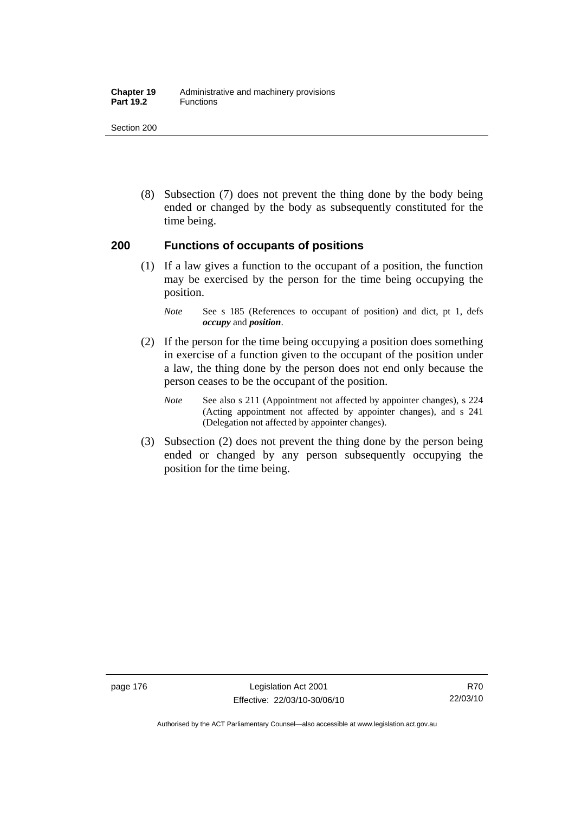#### **Chapter 19** Administrative and machinery provisions Part 19.2 **Functions**

Section 200

 (8) Subsection (7) does not prevent the thing done by the body being ended or changed by the body as subsequently constituted for the time being.

## **200 Functions of occupants of positions**

 (1) If a law gives a function to the occupant of a position, the function may be exercised by the person for the time being occupying the position.

- (2) If the person for the time being occupying a position does something in exercise of a function given to the occupant of the position under a law, the thing done by the person does not end only because the person ceases to be the occupant of the position.
	- *Note* See also s 211 (Appointment not affected by appointer changes), s 224 (Acting appointment not affected by appointer changes), and s 241 (Delegation not affected by appointer changes).
- (3) Subsection (2) does not prevent the thing done by the person being ended or changed by any person subsequently occupying the position for the time being.

*Note* See s 185 (References to occupant of position) and dict, pt 1, defs *occupy* and *position*.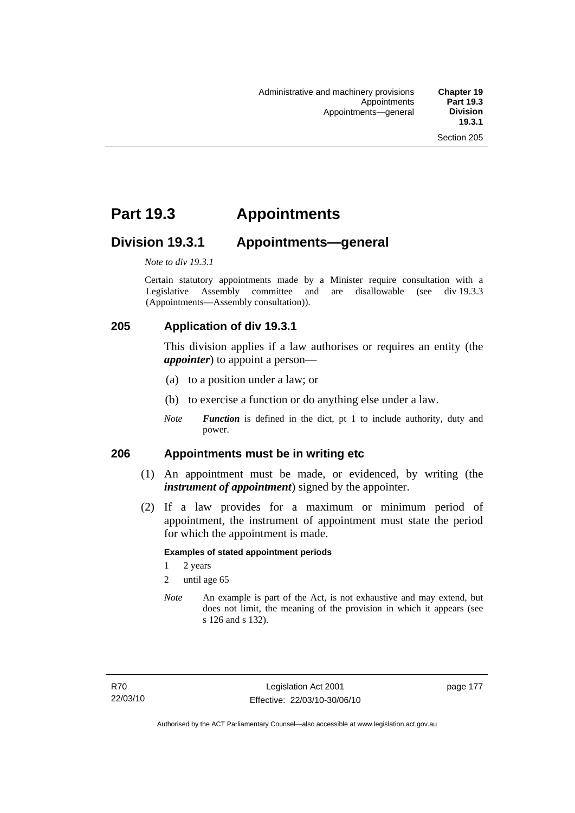# **Part 19.3 Appointments**

# **Division 19.3.1 Appointments—general**

*Note to div 19.3.1* 

Certain statutory appointments made by a Minister require consultation with a Legislative Assembly committee and are disallowable (see div 19.3.3) (Appointments—Assembly consultation)).

# **205 Application of div 19.3.1**

This division applies if a law authorises or requires an entity (the *appointer*) to appoint a person—

- (a) to a position under a law; or
- (b) to exercise a function or do anything else under a law.
- *Note Function* is defined in the dict, pt 1 to include authority, duty and power.

## **206 Appointments must be in writing etc**

- (1) An appointment must be made, or evidenced, by writing (the *instrument of appointment*) signed by the appointer.
- (2) If a law provides for a maximum or minimum period of appointment, the instrument of appointment must state the period for which the appointment is made.

#### **Examples of stated appointment periods**

- 1 2 years
- 2 until age 65
- *Note* An example is part of the Act, is not exhaustive and may extend, but does not limit, the meaning of the provision in which it appears (see s 126 and s 132).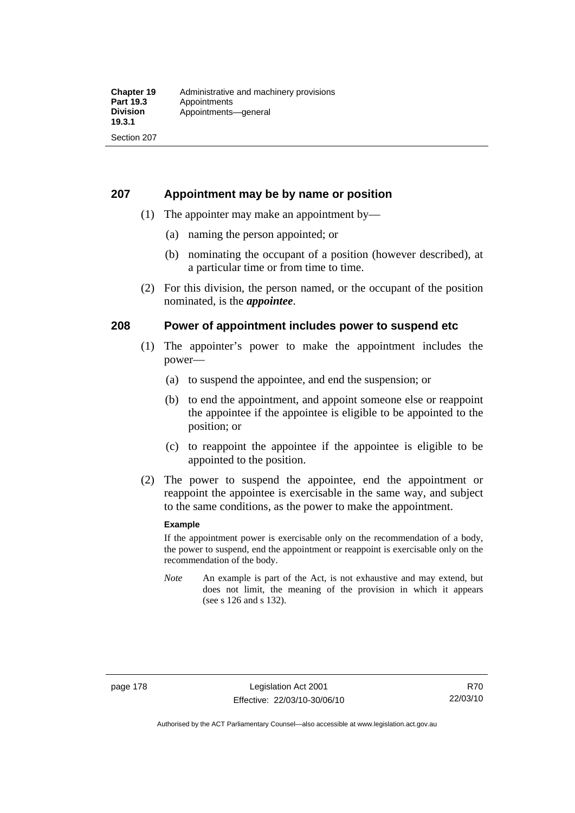## **207 Appointment may be by name or position**

- (1) The appointer may make an appointment by—
	- (a) naming the person appointed; or
	- (b) nominating the occupant of a position (however described), at a particular time or from time to time.
- (2) For this division, the person named, or the occupant of the position nominated, is the *appointee*.

## **208 Power of appointment includes power to suspend etc**

- (1) The appointer's power to make the appointment includes the power—
	- (a) to suspend the appointee, and end the suspension; or
	- (b) to end the appointment, and appoint someone else or reappoint the appointee if the appointee is eligible to be appointed to the position; or
	- (c) to reappoint the appointee if the appointee is eligible to be appointed to the position.
- (2) The power to suspend the appointee, end the appointment or reappoint the appointee is exercisable in the same way, and subject to the same conditions, as the power to make the appointment.

#### **Example**

If the appointment power is exercisable only on the recommendation of a body, the power to suspend, end the appointment or reappoint is exercisable only on the recommendation of the body.

*Note* An example is part of the Act, is not exhaustive and may extend, but does not limit, the meaning of the provision in which it appears (see s 126 and s 132).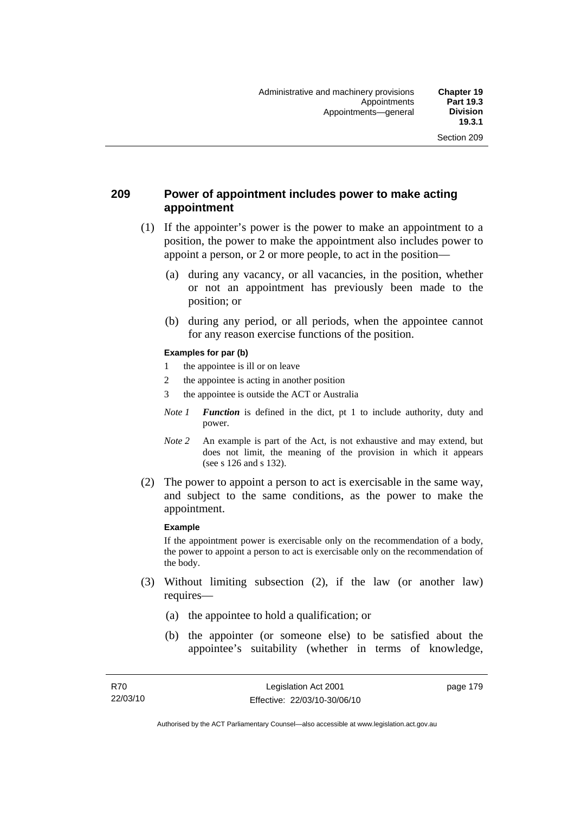## **209 Power of appointment includes power to make acting appointment**

- (1) If the appointer's power is the power to make an appointment to a position, the power to make the appointment also includes power to appoint a person, or 2 or more people, to act in the position—
	- (a) during any vacancy, or all vacancies, in the position, whether or not an appointment has previously been made to the position; or
	- (b) during any period, or all periods, when the appointee cannot for any reason exercise functions of the position.

#### **Examples for par (b)**

- 1 the appointee is ill or on leave
- 2 the appointee is acting in another position
- 3 the appointee is outside the ACT or Australia
- *Note 1 Function* is defined in the dict, pt 1 to include authority, duty and power.
- *Note* 2 An example is part of the Act, is not exhaustive and may extend, but does not limit, the meaning of the provision in which it appears (see s 126 and s 132).
- (2) The power to appoint a person to act is exercisable in the same way, and subject to the same conditions, as the power to make the appointment.

#### **Example**

If the appointment power is exercisable only on the recommendation of a body, the power to appoint a person to act is exercisable only on the recommendation of the body.

- (3) Without limiting subsection (2), if the law (or another law) requires—
	- (a) the appointee to hold a qualification; or
	- (b) the appointer (or someone else) to be satisfied about the appointee's suitability (whether in terms of knowledge,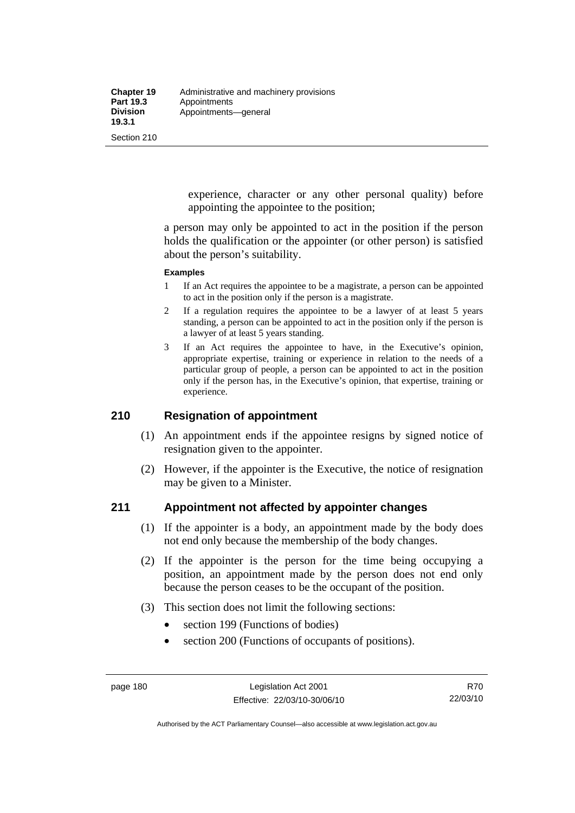experience, character or any other personal quality) before appointing the appointee to the position;

a person may only be appointed to act in the position if the person holds the qualification or the appointer (or other person) is satisfied about the person's suitability.

#### **Examples**

- 1 If an Act requires the appointee to be a magistrate, a person can be appointed to act in the position only if the person is a magistrate.
- 2 If a regulation requires the appointee to be a lawyer of at least 5 years standing, a person can be appointed to act in the position only if the person is a lawyer of at least 5 years standing.
- 3 If an Act requires the appointee to have, in the Executive's opinion, appropriate expertise, training or experience in relation to the needs of a particular group of people, a person can be appointed to act in the position only if the person has, in the Executive's opinion, that expertise, training or experience.

## **210 Resignation of appointment**

- (1) An appointment ends if the appointee resigns by signed notice of resignation given to the appointer.
- (2) However, if the appointer is the Executive, the notice of resignation may be given to a Minister.

## **211 Appointment not affected by appointer changes**

- (1) If the appointer is a body, an appointment made by the body does not end only because the membership of the body changes.
- (2) If the appointer is the person for the time being occupying a position, an appointment made by the person does not end only because the person ceases to be the occupant of the position.
- (3) This section does not limit the following sections:
	- section 199 (Functions of bodies)
	- section 200 (Functions of occupants of positions).

Authorised by the ACT Parliamentary Counsel—also accessible at www.legislation.act.gov.au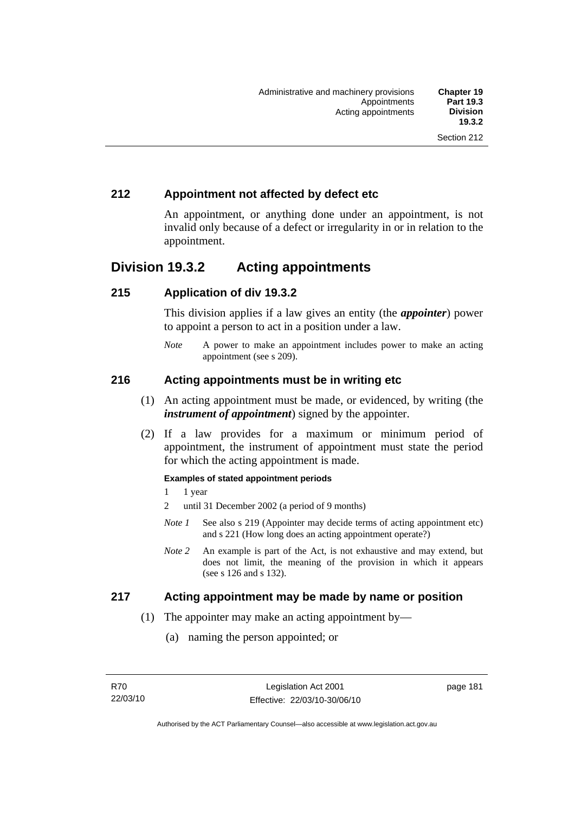# **212 Appointment not affected by defect etc**

An appointment, or anything done under an appointment, is not invalid only because of a defect or irregularity in or in relation to the appointment.

# **Division 19.3.2 Acting appointments**

## **215 Application of div 19.3.2**

This division applies if a law gives an entity (the *appointer*) power to appoint a person to act in a position under a law.

*Note* A power to make an appointment includes power to make an acting appointment (see s 209).

## **216 Acting appointments must be in writing etc**

- (1) An acting appointment must be made, or evidenced, by writing (the *instrument of appointment*) signed by the appointer.
- (2) If a law provides for a maximum or minimum period of appointment, the instrument of appointment must state the period for which the acting appointment is made.

#### **Examples of stated appointment periods**

- 1 1 year
- 2 until 31 December 2002 (a period of 9 months)
- *Note 1* See also s 219 (Appointer may decide terms of acting appointment etc) and s 221 (How long does an acting appointment operate?)
- *Note 2* An example is part of the Act, is not exhaustive and may extend, but does not limit, the meaning of the provision in which it appears (see s 126 and s 132).

## **217 Acting appointment may be made by name or position**

- (1) The appointer may make an acting appointment by—
	- (a) naming the person appointed; or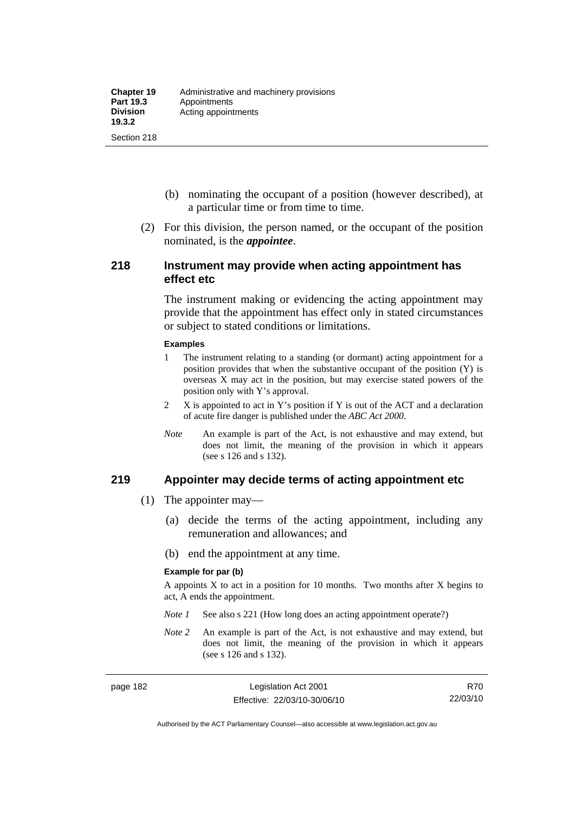- (b) nominating the occupant of a position (however described), at a particular time or from time to time.
- (2) For this division, the person named, or the occupant of the position nominated, is the *appointee*.

#### **218 Instrument may provide when acting appointment has effect etc**

The instrument making or evidencing the acting appointment may provide that the appointment has effect only in stated circumstances or subject to stated conditions or limitations.

#### **Examples**

- 1 The instrument relating to a standing (or dormant) acting appointment for a position provides that when the substantive occupant of the position (Y) is overseas X may act in the position, but may exercise stated powers of the position only with Y's approval.
- 2 X is appointed to act in Y's position if Y is out of the ACT and a declaration of acute fire danger is published under the *ABC Act 2000*.
- *Note* An example is part of the Act, is not exhaustive and may extend, but does not limit, the meaning of the provision in which it appears (see s 126 and s 132).

#### **219 Appointer may decide terms of acting appointment etc**

- (1) The appointer may—
	- (a) decide the terms of the acting appointment, including any remuneration and allowances; and
	- (b) end the appointment at any time.

#### **Example for par (b)**

A appoints  $X$  to act in a position for 10 months. Two months after  $X$  begins to act, A ends the appointment.

- *Note 1* See also s 221 (How long does an acting appointment operate?)
- *Note 2* An example is part of the Act, is not exhaustive and may extend, but does not limit, the meaning of the provision in which it appears (see s 126 and s 132).

R70 22/03/10

Authorised by the ACT Parliamentary Counsel—also accessible at www.legislation.act.gov.au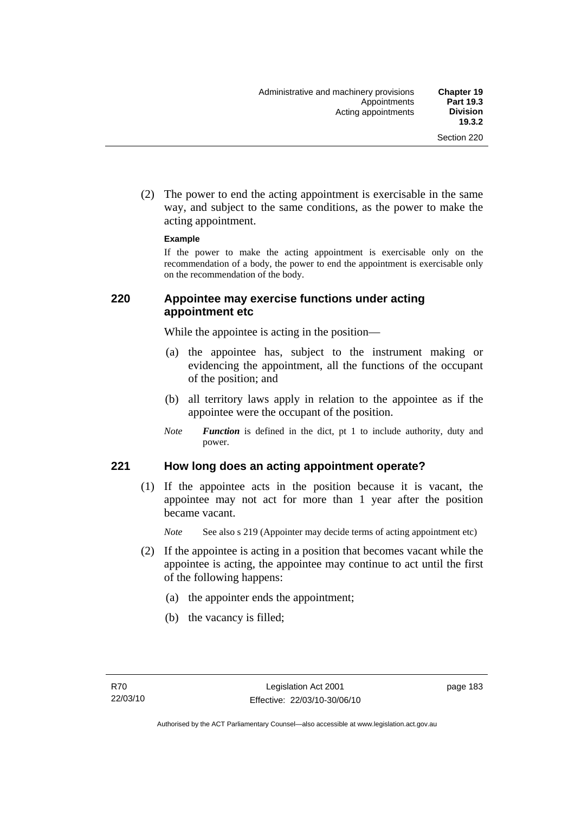(2) The power to end the acting appointment is exercisable in the same way, and subject to the same conditions, as the power to make the acting appointment.

#### **Example**

If the power to make the acting appointment is exercisable only on the recommendation of a body, the power to end the appointment is exercisable only on the recommendation of the body.

#### **220 Appointee may exercise functions under acting appointment etc**

While the appointee is acting in the position—

- (a) the appointee has, subject to the instrument making or evidencing the appointment, all the functions of the occupant of the position; and
- (b) all territory laws apply in relation to the appointee as if the appointee were the occupant of the position.
- *Note Function* is defined in the dict, pt 1 to include authority, duty and power.

#### **221 How long does an acting appointment operate?**

 (1) If the appointee acts in the position because it is vacant, the appointee may not act for more than 1 year after the position became vacant.

*Note* See also s 219 (Appointer may decide terms of acting appointment etc)

- (2) If the appointee is acting in a position that becomes vacant while the appointee is acting, the appointee may continue to act until the first of the following happens:
	- (a) the appointer ends the appointment;
	- (b) the vacancy is filled;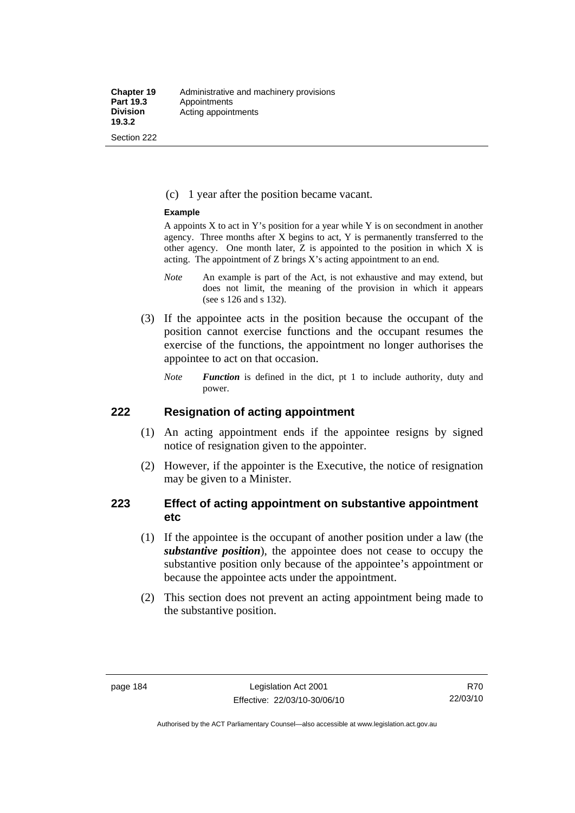#### (c) 1 year after the position became vacant.

#### **Example**

A appoints  $X$  to act in Y's position for a year while Y is on secondment in another agency. Three months after X begins to act, Y is permanently transferred to the other agency. One month later, Z is appointed to the position in which X is acting. The appointment of Z brings X's acting appointment to an end.

- *Note* An example is part of the Act, is not exhaustive and may extend, but does not limit, the meaning of the provision in which it appears (see s 126 and s 132).
- (3) If the appointee acts in the position because the occupant of the position cannot exercise functions and the occupant resumes the exercise of the functions, the appointment no longer authorises the appointee to act on that occasion.
	- *Note Function* is defined in the dict, pt 1 to include authority, duty and power.

#### **222 Resignation of acting appointment**

- (1) An acting appointment ends if the appointee resigns by signed notice of resignation given to the appointer.
- (2) However, if the appointer is the Executive, the notice of resignation may be given to a Minister.

## **223 Effect of acting appointment on substantive appointment etc**

- (1) If the appointee is the occupant of another position under a law (the *substantive position*), the appointee does not cease to occupy the substantive position only because of the appointee's appointment or because the appointee acts under the appointment.
- (2) This section does not prevent an acting appointment being made to the substantive position.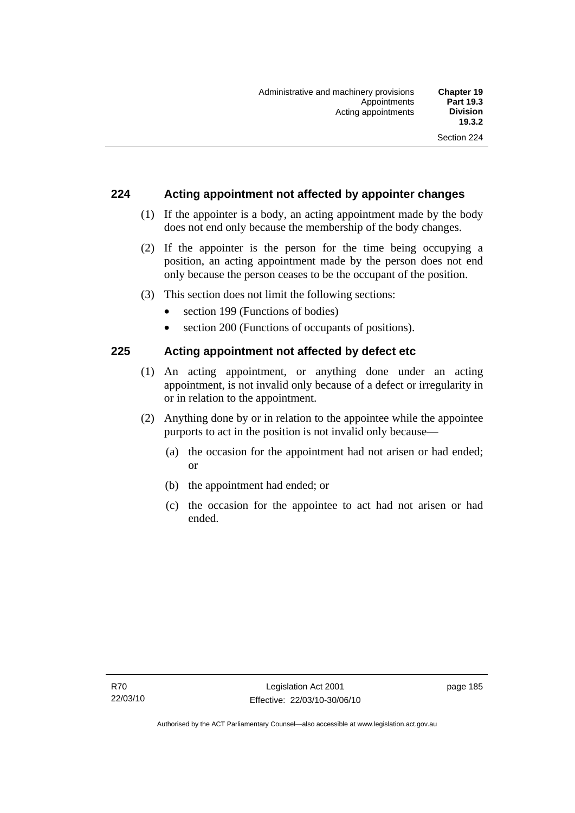## **224 Acting appointment not affected by appointer changes**

- (1) If the appointer is a body, an acting appointment made by the body does not end only because the membership of the body changes.
- (2) If the appointer is the person for the time being occupying a position, an acting appointment made by the person does not end only because the person ceases to be the occupant of the position.
- (3) This section does not limit the following sections:
	- section 199 (Functions of bodies)
	- section 200 (Functions of occupants of positions).

## **225 Acting appointment not affected by defect etc**

- (1) An acting appointment, or anything done under an acting appointment, is not invalid only because of a defect or irregularity in or in relation to the appointment.
- (2) Anything done by or in relation to the appointee while the appointee purports to act in the position is not invalid only because—
	- (a) the occasion for the appointment had not arisen or had ended; or
	- (b) the appointment had ended; or
	- (c) the occasion for the appointee to act had not arisen or had ended.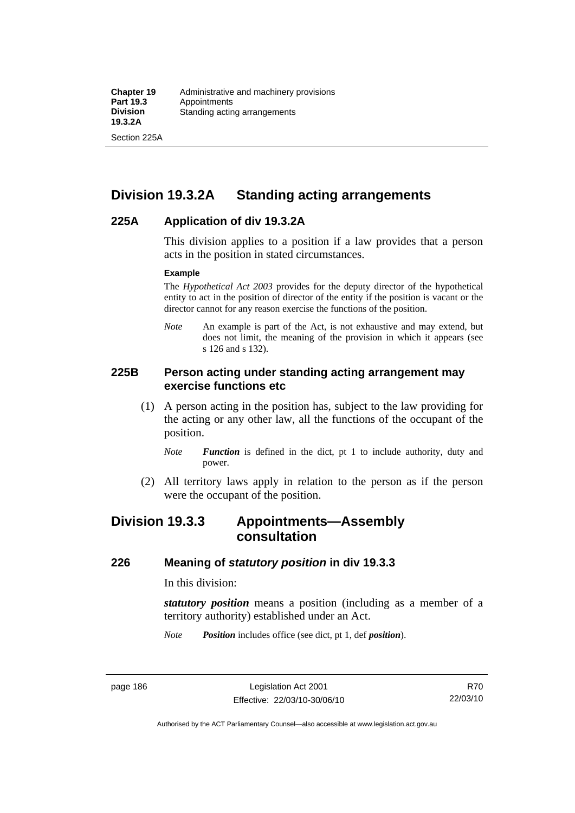Section 225A

# **Division 19.3.2A Standing acting arrangements**

## **225A Application of div 19.3.2A**

This division applies to a position if a law provides that a person acts in the position in stated circumstances.

#### **Example**

The *Hypothetical Act 2003* provides for the deputy director of the hypothetical entity to act in the position of director of the entity if the position is vacant or the director cannot for any reason exercise the functions of the position.

*Note* An example is part of the Act, is not exhaustive and may extend, but does not limit, the meaning of the provision in which it appears (see s 126 and s 132).

## **225B Person acting under standing acting arrangement may exercise functions etc**

- (1) A person acting in the position has, subject to the law providing for the acting or any other law, all the functions of the occupant of the position.
	- *Note Function* is defined in the dict, pt 1 to include authority, duty and power.
- (2) All territory laws apply in relation to the person as if the person were the occupant of the position.

# **Division 19.3.3 Appointments—Assembly consultation**

## **226 Meaning of** *statutory position* **in div 19.3.3**

In this division:

*statutory position* means a position (including as a member of a territory authority) established under an Act.

*Note Position* includes office (see dict, pt 1, def *position*).

R70 22/03/10

Authorised by the ACT Parliamentary Counsel—also accessible at www.legislation.act.gov.au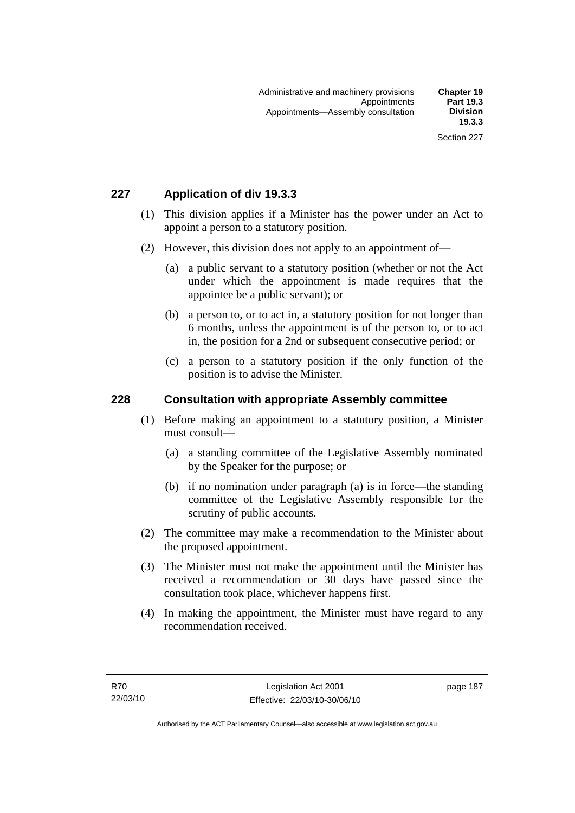# **227 Application of div 19.3.3**

- (1) This division applies if a Minister has the power under an Act to appoint a person to a statutory position.
- (2) However, this division does not apply to an appointment of—
	- (a) a public servant to a statutory position (whether or not the Act under which the appointment is made requires that the appointee be a public servant); or
	- (b) a person to, or to act in, a statutory position for not longer than 6 months, unless the appointment is of the person to, or to act in, the position for a 2nd or subsequent consecutive period; or
	- (c) a person to a statutory position if the only function of the position is to advise the Minister.

## **228 Consultation with appropriate Assembly committee**

- (1) Before making an appointment to a statutory position, a Minister must consult—
	- (a) a standing committee of the Legislative Assembly nominated by the Speaker for the purpose; or
	- (b) if no nomination under paragraph (a) is in force—the standing committee of the Legislative Assembly responsible for the scrutiny of public accounts.
- (2) The committee may make a recommendation to the Minister about the proposed appointment.
- (3) The Minister must not make the appointment until the Minister has received a recommendation or 30 days have passed since the consultation took place, whichever happens first.
- (4) In making the appointment, the Minister must have regard to any recommendation received.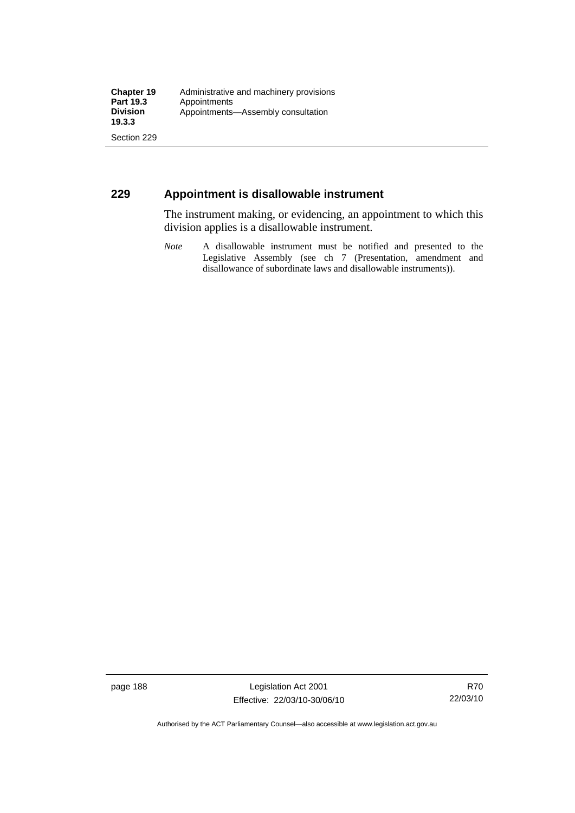# **229 Appointment is disallowable instrument**

The instrument making, or evidencing, an appointment to which this division applies is a disallowable instrument.

*Note* A disallowable instrument must be notified and presented to the Legislative Assembly (see ch 7 (Presentation, amendment and disallowance of subordinate laws and disallowable instruments)).

page 188 Legislation Act 2001 Effective: 22/03/10-30/06/10

Authorised by the ACT Parliamentary Counsel—also accessible at www.legislation.act.gov.au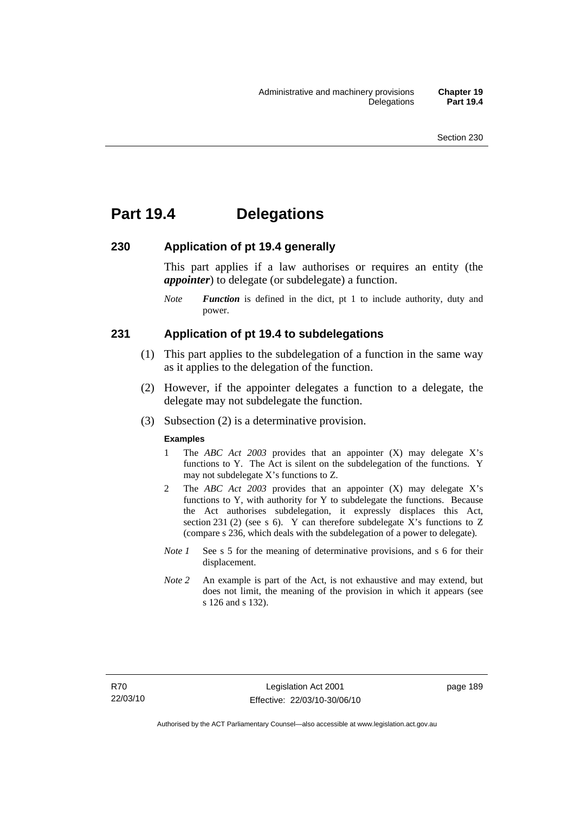# **Part 19.4 Delegations**

#### **230 Application of pt 19.4 generally**

This part applies if a law authorises or requires an entity (the *appointer*) to delegate (or subdelegate) a function.

*Note Function* is defined in the dict, pt 1 to include authority, duty and power.

#### **231 Application of pt 19.4 to subdelegations**

- (1) This part applies to the subdelegation of a function in the same way as it applies to the delegation of the function.
- (2) However, if the appointer delegates a function to a delegate, the delegate may not subdelegate the function.
- (3) Subsection (2) is a determinative provision.

#### **Examples**

- 1 The *ABC Act 2003* provides that an appointer (X) may delegate X's functions to Y. The Act is silent on the subdelegation of the functions. Y may not subdelegate X's functions to Z.
- 2 The *ABC Act 2003* provides that an appointer (X) may delegate X's functions to Y, with authority for Y to subdelegate the functions. Because the Act authorises subdelegation, it expressly displaces this Act, section 231 (2) (see s 6). Y can therefore subdelegate X's functions to  $Z$ (compare s 236, which deals with the subdelegation of a power to delegate)*.*
- *Note 1* See s 5 for the meaning of determinative provisions, and s 6 for their displacement.
- *Note* 2 An example is part of the Act, is not exhaustive and may extend, but does not limit, the meaning of the provision in which it appears (see s 126 and s 132).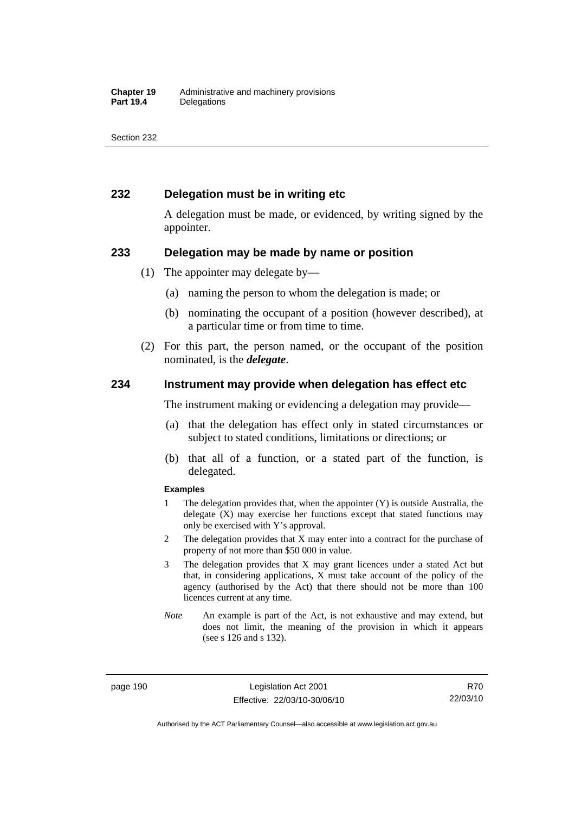## **232 Delegation must be in writing etc**

A delegation must be made, or evidenced, by writing signed by the appointer.

#### **233 Delegation may be made by name or position**

- (1) The appointer may delegate by—
	- (a) naming the person to whom the delegation is made; or
	- (b) nominating the occupant of a position (however described), at a particular time or from time to time.
- (2) For this part, the person named, or the occupant of the position nominated, is the *delegate*.

#### **234 Instrument may provide when delegation has effect etc**

The instrument making or evidencing a delegation may provide—

- (a) that the delegation has effect only in stated circumstances or subject to stated conditions, limitations or directions; or
- (b) that all of a function, or a stated part of the function, is delegated.

#### **Examples**

- 1 The delegation provides that, when the appointer (Y) is outside Australia, the delegate (X) may exercise her functions except that stated functions may only be exercised with Y's approval.
- 2 The delegation provides that X may enter into a contract for the purchase of property of not more than \$50 000 in value.
- 3 The delegation provides that X may grant licences under a stated Act but that, in considering applications, X must take account of the policy of the agency (authorised by the Act) that there should not be more than 100 licences current at any time.
- *Note* An example is part of the Act, is not exhaustive and may extend, but does not limit, the meaning of the provision in which it appears (see s 126 and s 132).

page 190 Legislation Act 2001 Effective: 22/03/10-30/06/10

R70 22/03/10

Authorised by the ACT Parliamentary Counsel—also accessible at www.legislation.act.gov.au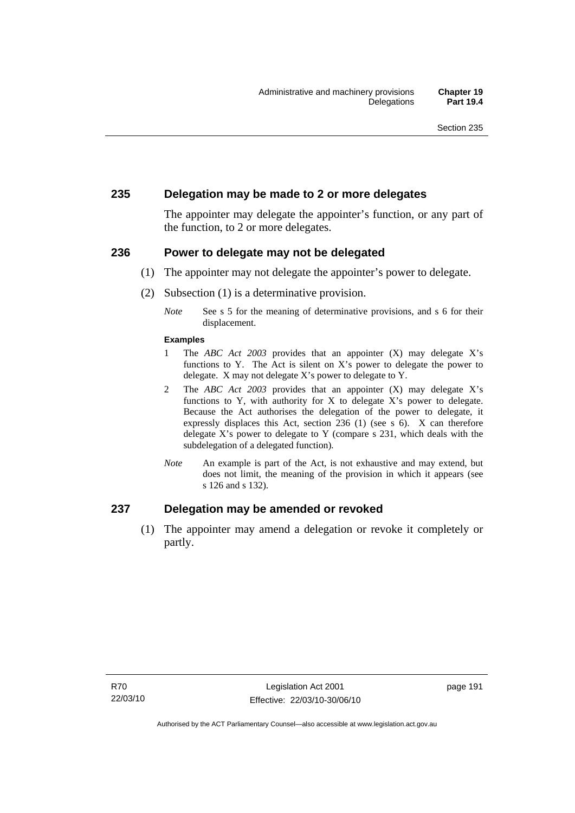## **235 Delegation may be made to 2 or more delegates**

The appointer may delegate the appointer's function, or any part of the function, to 2 or more delegates.

#### **236 Power to delegate may not be delegated**

- (1) The appointer may not delegate the appointer's power to delegate.
- (2) Subsection (1) is a determinative provision.
	- *Note* See s 5 for the meaning of determinative provisions, and s 6 for their displacement.

#### **Examples**

- 1 The *ABC Act 2003* provides that an appointer (X) may delegate X's functions to Y. The Act is silent on X's power to delegate the power to delegate. X may not delegate X's power to delegate to Y.
- 2 The *ABC Act 2003* provides that an appointer (X) may delegate X's functions to Y, with authority for X to delegate  $X$ 's power to delegate. Because the Act authorises the delegation of the power to delegate, it expressly displaces this Act, section 236 (1) (see s 6). X can therefore delegate X's power to delegate to Y (compare s 231, which deals with the subdelegation of a delegated function)*.*
- *Note* An example is part of the Act, is not exhaustive and may extend, but does not limit, the meaning of the provision in which it appears (see s 126 and s 132).

## **237 Delegation may be amended or revoked**

 (1) The appointer may amend a delegation or revoke it completely or partly.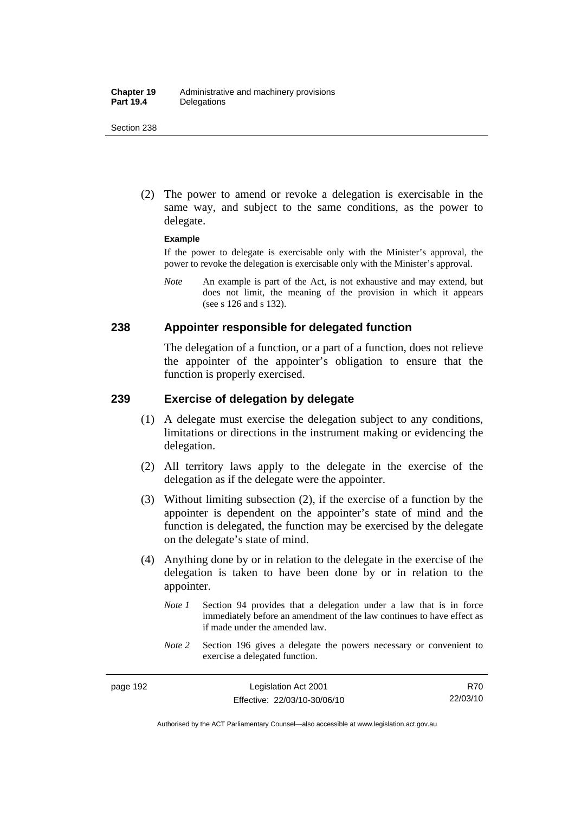(2) The power to amend or revoke a delegation is exercisable in the same way, and subject to the same conditions, as the power to delegate.

#### **Example**

If the power to delegate is exercisable only with the Minister's approval, the power to revoke the delegation is exercisable only with the Minister's approval.

*Note* An example is part of the Act, is not exhaustive and may extend, but does not limit, the meaning of the provision in which it appears (see s 126 and s 132).

#### **238 Appointer responsible for delegated function**

The delegation of a function, or a part of a function, does not relieve the appointer of the appointer's obligation to ensure that the function is properly exercised.

## **239 Exercise of delegation by delegate**

- (1) A delegate must exercise the delegation subject to any conditions, limitations or directions in the instrument making or evidencing the delegation.
- (2) All territory laws apply to the delegate in the exercise of the delegation as if the delegate were the appointer.
- (3) Without limiting subsection (2), if the exercise of a function by the appointer is dependent on the appointer's state of mind and the function is delegated, the function may be exercised by the delegate on the delegate's state of mind.
- (4) Anything done by or in relation to the delegate in the exercise of the delegation is taken to have been done by or in relation to the appointer.
	- *Note 1* Section 94 provides that a delegation under a law that is in force immediately before an amendment of the law continues to have effect as if made under the amended law.
	- *Note* 2 Section 196 gives a delegate the powers necessary or convenient to exercise a delegated function.

Authorised by the ACT Parliamentary Counsel—also accessible at www.legislation.act.gov.au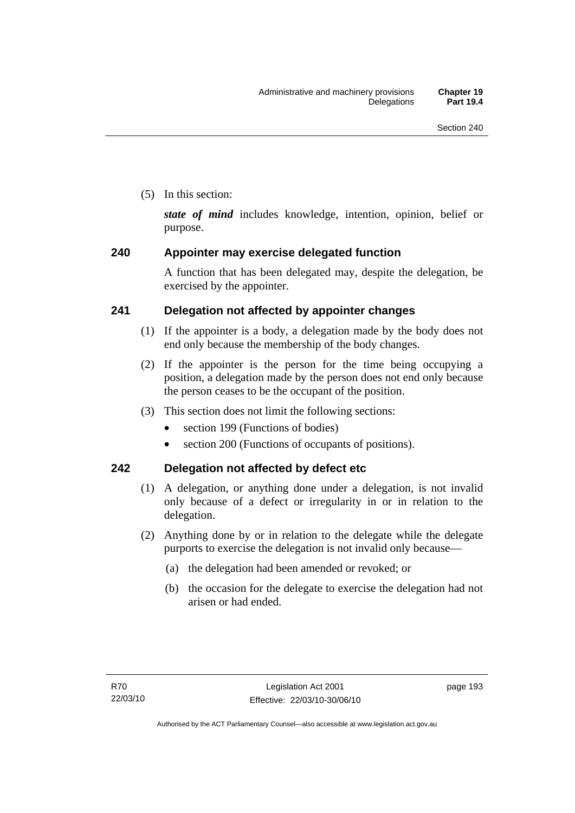(5) In this section:

*state of mind* includes knowledge, intention, opinion, belief or purpose.

# **240 Appointer may exercise delegated function**

A function that has been delegated may, despite the delegation, be exercised by the appointer.

# **241 Delegation not affected by appointer changes**

- (1) If the appointer is a body, a delegation made by the body does not end only because the membership of the body changes.
- (2) If the appointer is the person for the time being occupying a position, a delegation made by the person does not end only because the person ceases to be the occupant of the position.
- (3) This section does not limit the following sections:
	- section 199 (Functions of bodies)
	- section 200 (Functions of occupants of positions).

# **242 Delegation not affected by defect etc**

- (1) A delegation, or anything done under a delegation, is not invalid only because of a defect or irregularity in or in relation to the delegation.
- (2) Anything done by or in relation to the delegate while the delegate purports to exercise the delegation is not invalid only because—
	- (a) the delegation had been amended or revoked; or
	- (b) the occasion for the delegate to exercise the delegation had not arisen or had ended.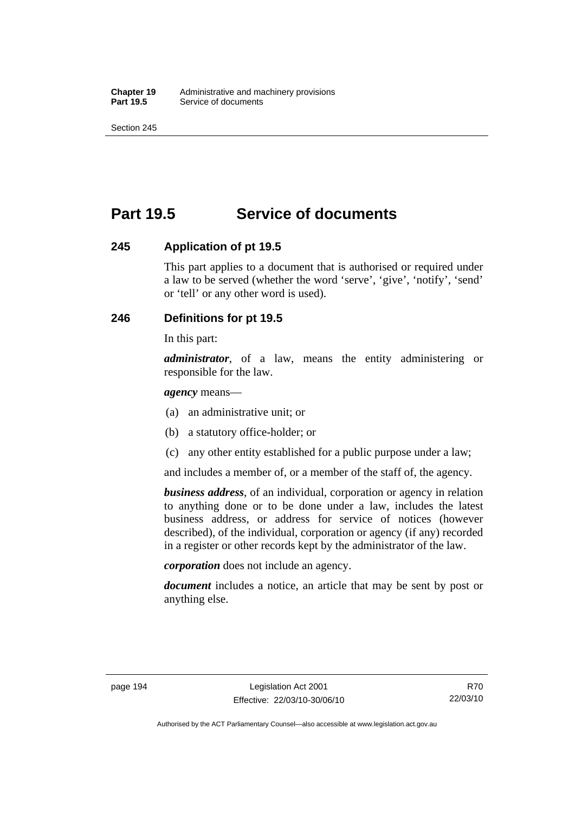# **Part 19.5 Service of documents**

## **245 Application of pt 19.5**

This part applies to a document that is authorised or required under a law to be served (whether the word 'serve', 'give', 'notify', 'send' or 'tell' or any other word is used).

# **246 Definitions for pt 19.5**

In this part:

*administrator*, of a law, means the entity administering or responsible for the law.

#### *agency* means—

- (a) an administrative unit; or
- (b) a statutory office-holder; or
- (c) any other entity established for a public purpose under a law;

and includes a member of, or a member of the staff of, the agency.

*business address*, of an individual, corporation or agency in relation to anything done or to be done under a law, includes the latest business address, or address for service of notices (however described), of the individual, corporation or agency (if any) recorded in a register or other records kept by the administrator of the law.

*corporation* does not include an agency.

*document* includes a notice, an article that may be sent by post or anything else.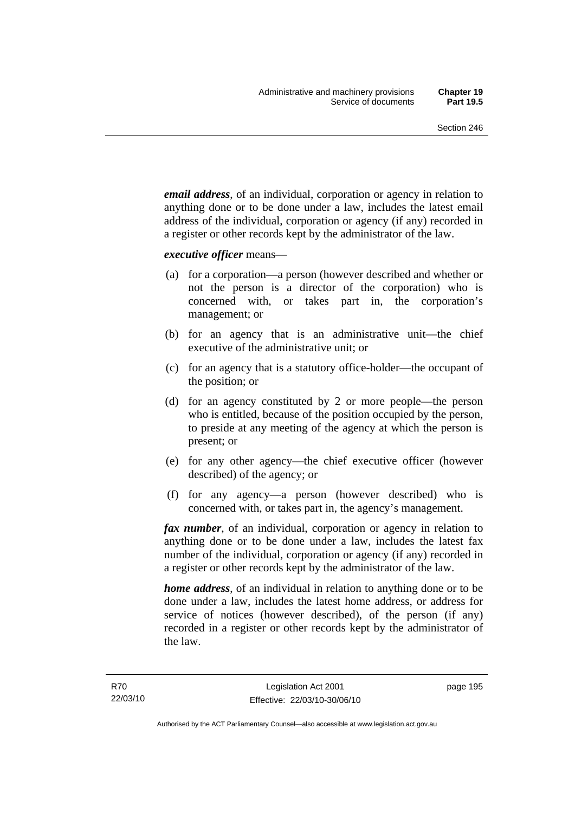*email address*, of an individual, corporation or agency in relation to anything done or to be done under a law, includes the latest email address of the individual, corporation or agency (if any) recorded in a register or other records kept by the administrator of the law.

*executive officer* means—

- (a) for a corporation—a person (however described and whether or not the person is a director of the corporation) who is concerned with, or takes part in, the corporation's management; or
- (b) for an agency that is an administrative unit—the chief executive of the administrative unit; or
- (c) for an agency that is a statutory office-holder—the occupant of the position; or
- (d) for an agency constituted by 2 or more people—the person who is entitled, because of the position occupied by the person, to preside at any meeting of the agency at which the person is present; or
- (e) for any other agency—the chief executive officer (however described) of the agency; or
- (f) for any agency—a person (however described) who is concerned with, or takes part in, the agency's management.

*fax number*, of an individual, corporation or agency in relation to anything done or to be done under a law, includes the latest fax number of the individual, corporation or agency (if any) recorded in a register or other records kept by the administrator of the law.

*home address*, of an individual in relation to anything done or to be done under a law, includes the latest home address, or address for service of notices (however described), of the person (if any) recorded in a register or other records kept by the administrator of the law.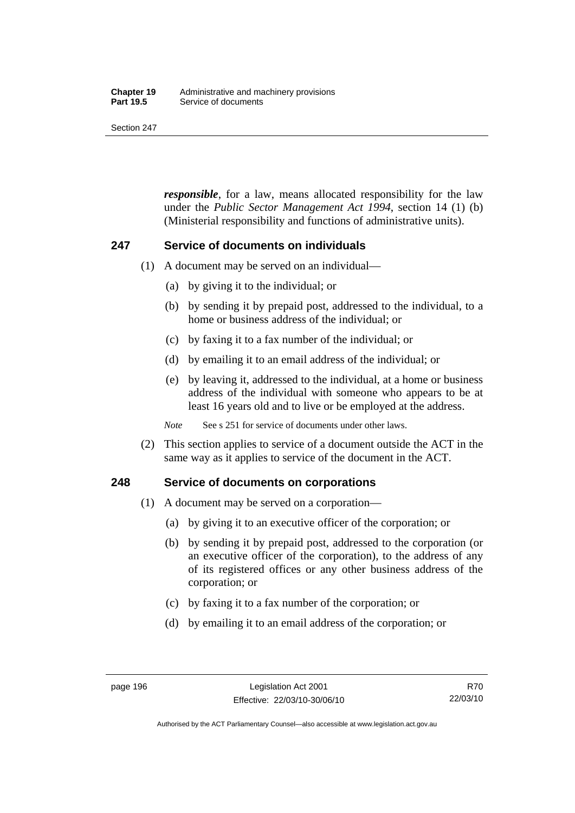#### **Chapter 19** Administrative and machinery provisions<br>**Part 19.5** Service of documents **Service of documents**

Section 247

*responsible*, for a law, means allocated responsibility for the law under the *Public Sector Management Act 1994*, section 14 (1) (b) (Ministerial responsibility and functions of administrative units).

## **247 Service of documents on individuals**

- (1) A document may be served on an individual—
	- (a) by giving it to the individual; or
	- (b) by sending it by prepaid post, addressed to the individual, to a home or business address of the individual; or
	- (c) by faxing it to a fax number of the individual; or
	- (d) by emailing it to an email address of the individual; or
	- (e) by leaving it, addressed to the individual, at a home or business address of the individual with someone who appears to be at least 16 years old and to live or be employed at the address.

*Note* See s 251 for service of documents under other laws.

 (2) This section applies to service of a document outside the ACT in the same way as it applies to service of the document in the ACT.

## **248 Service of documents on corporations**

- (1) A document may be served on a corporation—
	- (a) by giving it to an executive officer of the corporation; or
	- (b) by sending it by prepaid post, addressed to the corporation (or an executive officer of the corporation), to the address of any of its registered offices or any other business address of the corporation; or
	- (c) by faxing it to a fax number of the corporation; or
	- (d) by emailing it to an email address of the corporation; or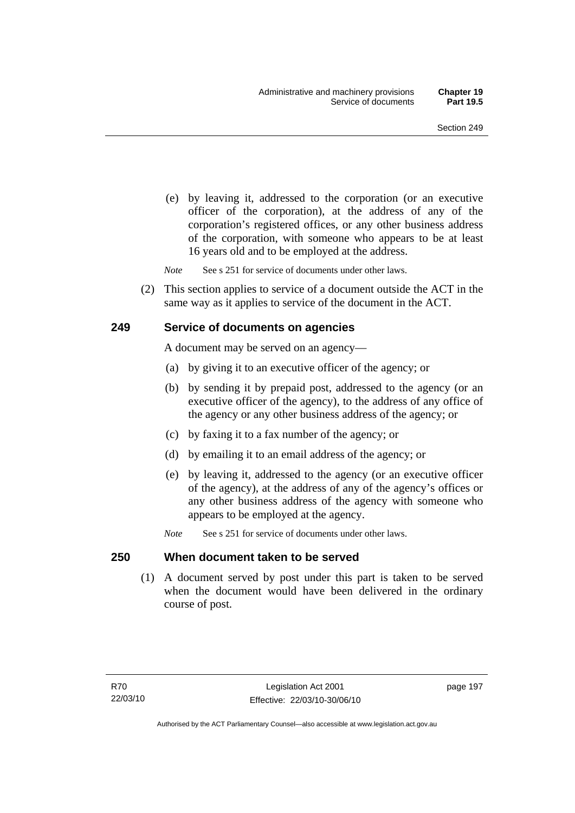(e) by leaving it, addressed to the corporation (or an executive officer of the corporation), at the address of any of the corporation's registered offices, or any other business address of the corporation, with someone who appears to be at least 16 years old and to be employed at the address.

*Note* See s 251 for service of documents under other laws.

 (2) This section applies to service of a document outside the ACT in the same way as it applies to service of the document in the ACT.

#### **249 Service of documents on agencies**

A document may be served on an agency—

- (a) by giving it to an executive officer of the agency; or
- (b) by sending it by prepaid post, addressed to the agency (or an executive officer of the agency), to the address of any office of the agency or any other business address of the agency; or
- (c) by faxing it to a fax number of the agency; or
- (d) by emailing it to an email address of the agency; or
- (e) by leaving it, addressed to the agency (or an executive officer of the agency), at the address of any of the agency's offices or any other business address of the agency with someone who appears to be employed at the agency.
- *Note* See s 251 for service of documents under other laws.

#### **250 When document taken to be served**

 (1) A document served by post under this part is taken to be served when the document would have been delivered in the ordinary course of post.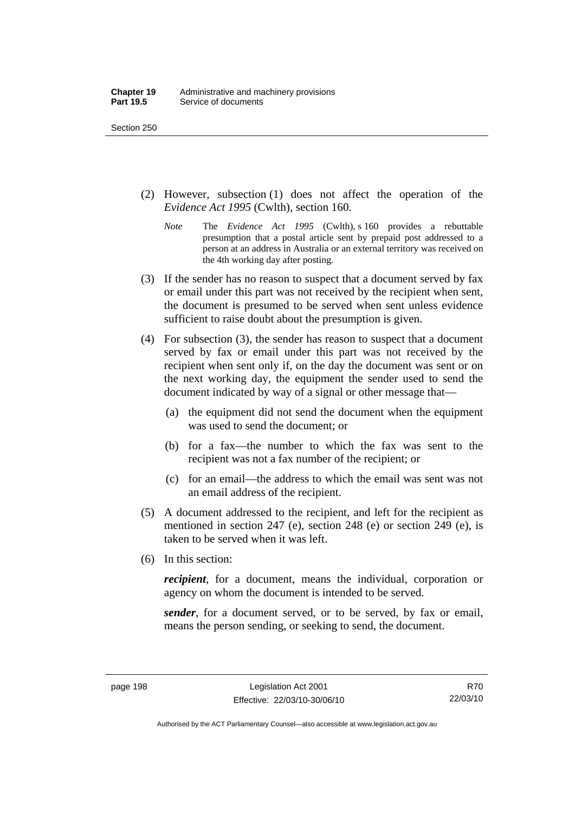- (2) However, subsection (1) does not affect the operation of the *Evidence Act 1995* (Cwlth), section 160.
	- *Note* The *Evidence Act 1995* (Cwlth), s 160 provides a rebuttable presumption that a postal article sent by prepaid post addressed to a person at an address in Australia or an external territory was received on the 4th working day after posting.
- (3) If the sender has no reason to suspect that a document served by fax or email under this part was not received by the recipient when sent, the document is presumed to be served when sent unless evidence sufficient to raise doubt about the presumption is given.
- (4) For subsection (3), the sender has reason to suspect that a document served by fax or email under this part was not received by the recipient when sent only if, on the day the document was sent or on the next working day, the equipment the sender used to send the document indicated by way of a signal or other message that—
	- (a) the equipment did not send the document when the equipment was used to send the document; or
	- (b) for a fax—the number to which the fax was sent to the recipient was not a fax number of the recipient; or
	- (c) for an email—the address to which the email was sent was not an email address of the recipient.
- (5) A document addressed to the recipient, and left for the recipient as mentioned in section 247 (e), section 248 (e) or section 249 (e), is taken to be served when it was left.
- (6) In this section:

*recipient*, for a document, means the individual, corporation or agency on whom the document is intended to be served.

*sender*, for a document served, or to be served, by fax or email, means the person sending, or seeking to send, the document.

Authorised by the ACT Parliamentary Counsel—also accessible at www.legislation.act.gov.au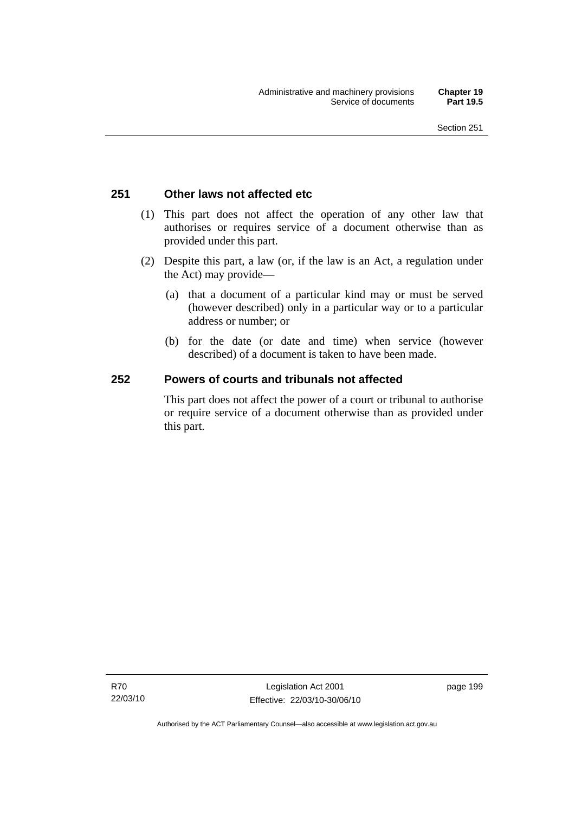## **251 Other laws not affected etc**

- (1) This part does not affect the operation of any other law that authorises or requires service of a document otherwise than as provided under this part.
- (2) Despite this part, a law (or, if the law is an Act, a regulation under the Act) may provide—
	- (a) that a document of a particular kind may or must be served (however described) only in a particular way or to a particular address or number; or
	- (b) for the date (or date and time) when service (however described) of a document is taken to have been made.

## **252 Powers of courts and tribunals not affected**

This part does not affect the power of a court or tribunal to authorise or require service of a document otherwise than as provided under this part.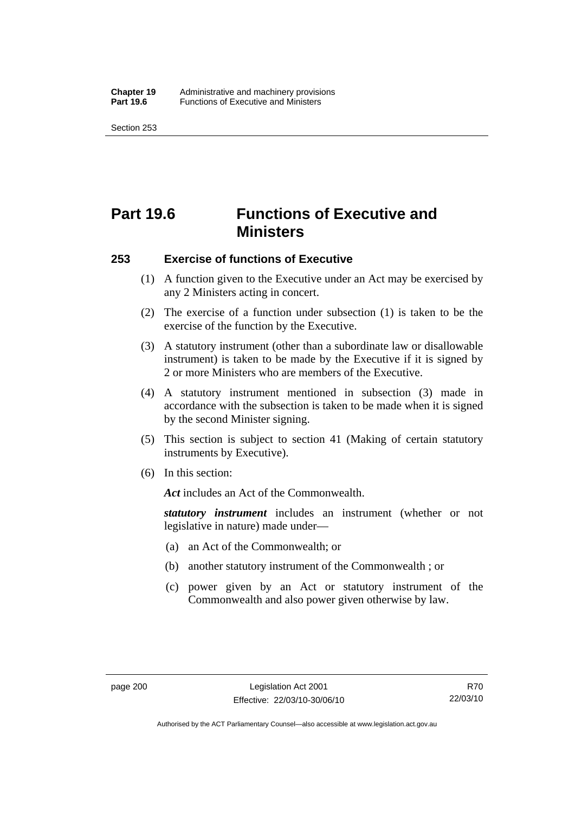# **Part 19.6 Functions of Executive and Ministers**

#### **253 Exercise of functions of Executive**

- (1) A function given to the Executive under an Act may be exercised by any 2 Ministers acting in concert.
- (2) The exercise of a function under subsection (1) is taken to be the exercise of the function by the Executive.
- (3) A statutory instrument (other than a subordinate law or disallowable instrument) is taken to be made by the Executive if it is signed by 2 or more Ministers who are members of the Executive.
- (4) A statutory instrument mentioned in subsection (3) made in accordance with the subsection is taken to be made when it is signed by the second Minister signing.
- (5) This section is subject to section 41 (Making of certain statutory instruments by Executive).
- (6) In this section:

*Act* includes an Act of the Commonwealth.

*statutory instrument* includes an instrument (whether or not legislative in nature) made under—

- (a) an Act of the Commonwealth; or
- (b) another statutory instrument of the Commonwealth ; or
- (c) power given by an Act or statutory instrument of the Commonwealth and also power given otherwise by law.

Authorised by the ACT Parliamentary Counsel—also accessible at www.legislation.act.gov.au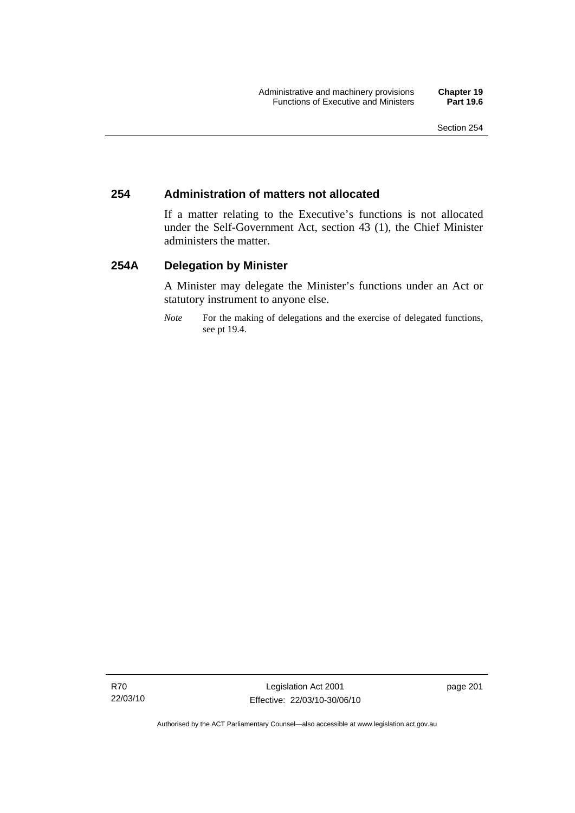## **254 Administration of matters not allocated**

If a matter relating to the Executive's functions is not allocated under the Self-Government Act, section 43 (1), the Chief Minister administers the matter.

### **254A Delegation by Minister**

A Minister may delegate the Minister's functions under an Act or statutory instrument to anyone else.

*Note* For the making of delegations and the exercise of delegated functions, see pt 19.4.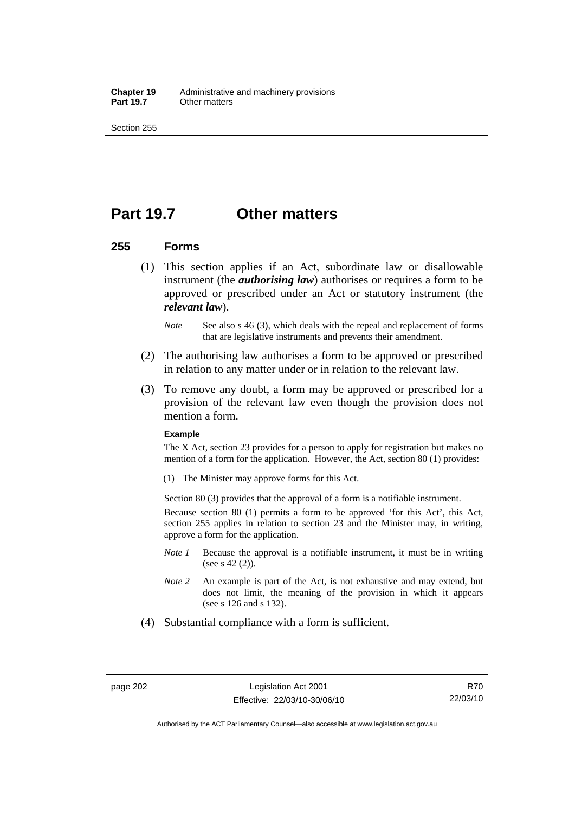**Chapter 19** Administrative and machinery provisions<br>**Part 19.7** Other matters **Other matters** 

Section 255

## **Part 19.7 Other matters**

### **255 Forms**

- (1) This section applies if an Act, subordinate law or disallowable instrument (the *authorising law*) authorises or requires a form to be approved or prescribed under an Act or statutory instrument (the *relevant law*).
	- *Note* See also s 46 (3), which deals with the repeal and replacement of forms that are legislative instruments and prevents their amendment.
- (2) The authorising law authorises a form to be approved or prescribed in relation to any matter under or in relation to the relevant law.
- (3) To remove any doubt, a form may be approved or prescribed for a provision of the relevant law even though the provision does not mention a form.

#### **Example**

The X Act, section 23 provides for a person to apply for registration but makes no mention of a form for the application. However, the Act, section 80 (1) provides:

(1) The Minister may approve forms for this Act.

Section 80 (3) provides that the approval of a form is a notifiable instrument.

Because section 80 (1) permits a form to be approved 'for this Act', this Act, section 255 applies in relation to section 23 and the Minister may, in writing, approve a form for the application.

- *Note 1* Because the approval is a notifiable instrument, it must be in writing (see s 42 (2)).
- *Note 2* An example is part of the Act, is not exhaustive and may extend, but does not limit, the meaning of the provision in which it appears (see s 126 and s 132).
- (4) Substantial compliance with a form is sufficient.

Authorised by the ACT Parliamentary Counsel—also accessible at www.legislation.act.gov.au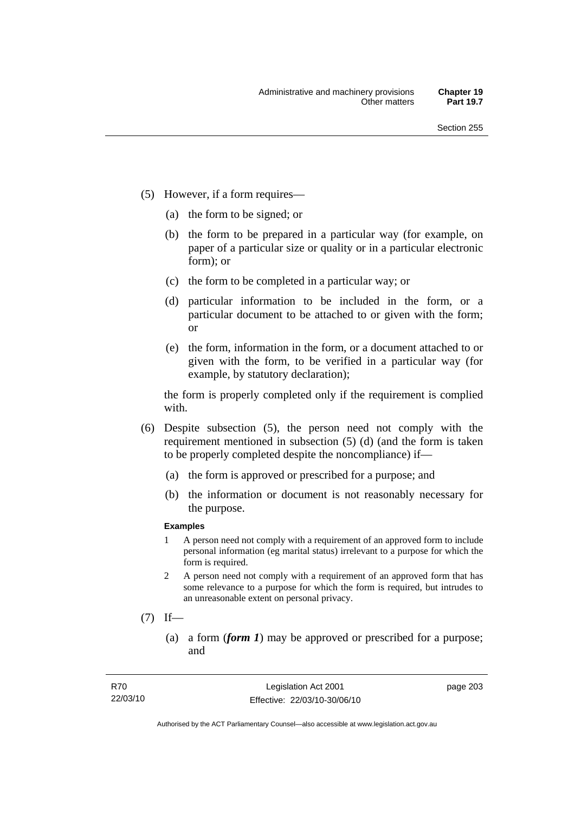- (5) However, if a form requires—
	- (a) the form to be signed; or
	- (b) the form to be prepared in a particular way (for example, on paper of a particular size or quality or in a particular electronic form); or
	- (c) the form to be completed in a particular way; or
	- (d) particular information to be included in the form, or a particular document to be attached to or given with the form; or
	- (e) the form, information in the form, or a document attached to or given with the form, to be verified in a particular way (for example, by statutory declaration);

the form is properly completed only if the requirement is complied with.

- (6) Despite subsection (5), the person need not comply with the requirement mentioned in subsection (5) (d) (and the form is taken to be properly completed despite the noncompliance) if—
	- (a) the form is approved or prescribed for a purpose; and
	- (b) the information or document is not reasonably necessary for the purpose.

### **Examples**

- 1 A person need not comply with a requirement of an approved form to include personal information (eg marital status) irrelevant to a purpose for which the form is required.
- 2 A person need not comply with a requirement of an approved form that has some relevance to a purpose for which the form is required, but intrudes to an unreasonable extent on personal privacy.
- $(7)$  If—
	- (a) a form (*form 1*) may be approved or prescribed for a purpose; and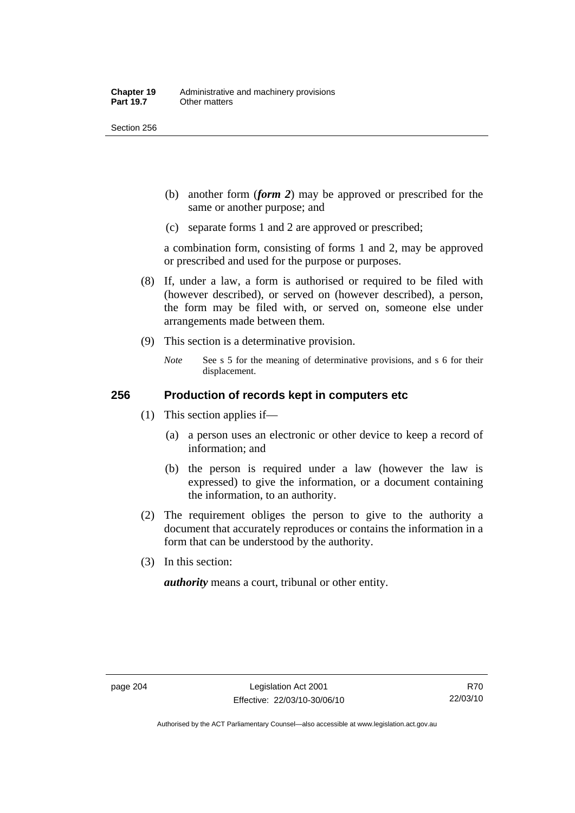Section 256

- (b) another form (*form 2*) may be approved or prescribed for the same or another purpose; and
- (c) separate forms 1 and 2 are approved or prescribed;

a combination form, consisting of forms 1 and 2, may be approved or prescribed and used for the purpose or purposes.

- (8) If, under a law, a form is authorised or required to be filed with (however described), or served on (however described), a person, the form may be filed with, or served on, someone else under arrangements made between them.
- (9) This section is a determinative provision.
	- *Note* See s 5 for the meaning of determinative provisions, and s 6 for their displacement.

### **256 Production of records kept in computers etc**

- (1) This section applies if—
	- (a) a person uses an electronic or other device to keep a record of information; and
	- (b) the person is required under a law (however the law is expressed) to give the information, or a document containing the information, to an authority.
- (2) The requirement obliges the person to give to the authority a document that accurately reproduces or contains the information in a form that can be understood by the authority.
- (3) In this section:

*authority* means a court, tribunal or other entity.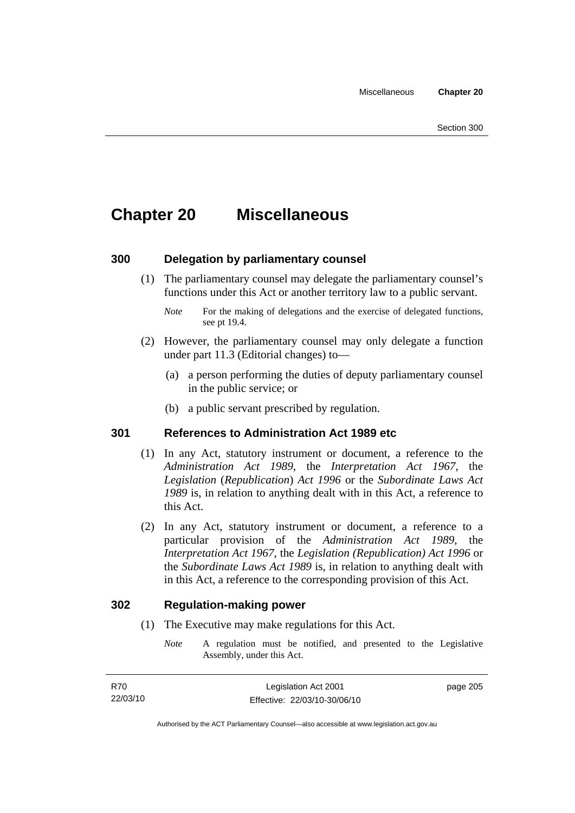## **Chapter 20 Miscellaneous**

### **300 Delegation by parliamentary counsel**

 (1) The parliamentary counsel may delegate the parliamentary counsel's functions under this Act or another territory law to a public servant.

- (2) However, the parliamentary counsel may only delegate a function under part 11.3 (Editorial changes) to—
	- (a) a person performing the duties of deputy parliamentary counsel in the public service; or
	- (b) a public servant prescribed by regulation.

### **301 References to Administration Act 1989 etc**

- (1) In any Act, statutory instrument or document, a reference to the *Administration Act 1989*, the *Interpretation Act 1967*, the *Legislation* (*Republication*) *Act 1996* or the *Subordinate Laws Act 1989* is, in relation to anything dealt with in this Act, a reference to this Act.
- (2) In any Act, statutory instrument or document, a reference to a particular provision of the *Administration Act 1989*, the *Interpretation Act 1967*, the *Legislation (Republication) Act 1996* or the *Subordinate Laws Act 1989* is, in relation to anything dealt with in this Act, a reference to the corresponding provision of this Act.

### **302 Regulation-making power**

- (1) The Executive may make regulations for this Act.
	- *Note* A regulation must be notified, and presented to the Legislative Assembly, under this Act.

*Note* For the making of delegations and the exercise of delegated functions, see pt 19.4.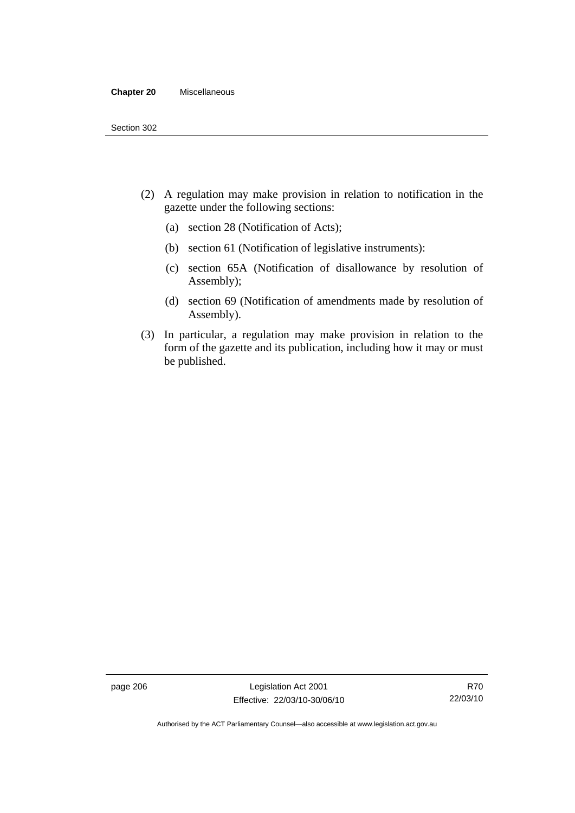#### **Chapter 20** Miscellaneous

- (2) A regulation may make provision in relation to notification in the gazette under the following sections:
	- (a) section 28 (Notification of Acts);
	- (b) section 61 (Notification of legislative instruments):
	- (c) section 65A (Notification of disallowance by resolution of Assembly);
	- (d) section 69 (Notification of amendments made by resolution of Assembly).
- (3) In particular, a regulation may make provision in relation to the form of the gazette and its publication, including how it may or must be published.

page 206 Legislation Act 2001 Effective: 22/03/10-30/06/10

Authorised by the ACT Parliamentary Counsel—also accessible at www.legislation.act.gov.au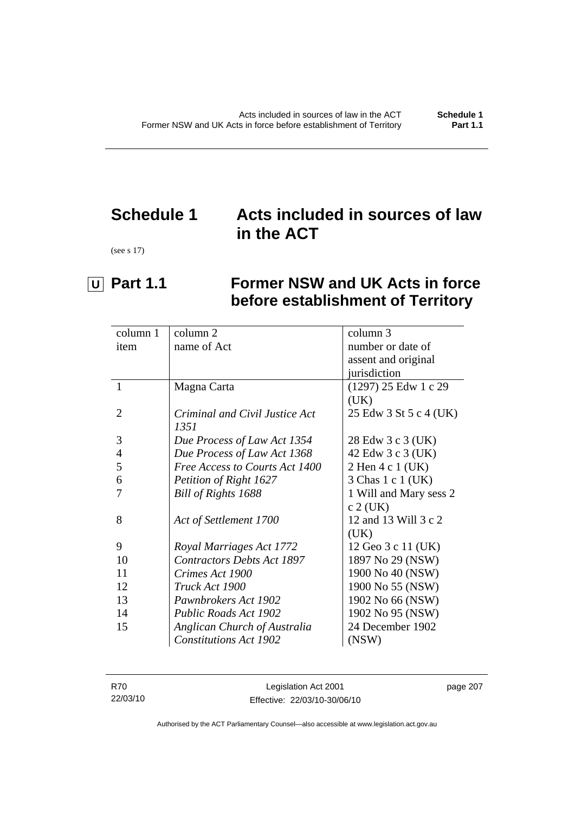## **Schedule 1 Acts included in sources of law in the ACT**

(see s 17)

# **U** Part 1.1 Former NSW and UK Acts in force **before establishment of Territory**

| column 1       | column 2                          | column 3               |
|----------------|-----------------------------------|------------------------|
| item           | name of Act                       | number or date of      |
|                |                                   | assent and original    |
|                |                                   | jurisdiction           |
| $\mathbf{1}$   | Magna Carta                       | (1297) 25 Edw 1 c 29   |
|                |                                   | (UK)                   |
| $\overline{2}$ | Criminal and Civil Justice Act    | 25 Edw 3 St 5 c 4 (UK) |
|                | 1351                              |                        |
| 3              | Due Process of Law Act 1354       | 28 Edw 3 c 3 (UK)      |
| $\overline{4}$ | Due Process of Law Act 1368       | 42 Edw 3 c 3 (UK)      |
| 5              | Free Access to Courts Act 1400    | 2 Hen 4 c 1 (UK)       |
| 6              | Petition of Right 1627            | 3 Chas 1 c 1 (UK)      |
|                | Bill of Rights 1688               | 1 Will and Mary sess 2 |
|                |                                   | $c$ 2 (UK)             |
| 8              | Act of Settlement 1700            | 12 and 13 Will 3 c 2   |
|                |                                   | (UK)                   |
| 9              | Royal Marriages Act 1772          | 12 Geo 3 c 11 (UK)     |
| 10             | <b>Contractors Debts Act 1897</b> | 1897 No 29 (NSW)       |
| 11             | Crimes Act 1900                   | 1900 No 40 (NSW)       |
| 12             | Truck Act 1900                    | 1900 No 55 (NSW)       |
| 13             | Pawnbrokers Act 1902              | 1902 No 66 (NSW)       |
| 14             | Public Roads Act 1902             | 1902 No 95 (NSW)       |
| 15             | Anglican Church of Australia      | 24 December 1902       |
|                | <b>Constitutions Act 1902</b>     | (NSW)                  |
|                |                                   |                        |

| R70      | Legislation Act 2001         | page 207 |
|----------|------------------------------|----------|
| 22/03/10 | Effective: 22/03/10-30/06/10 |          |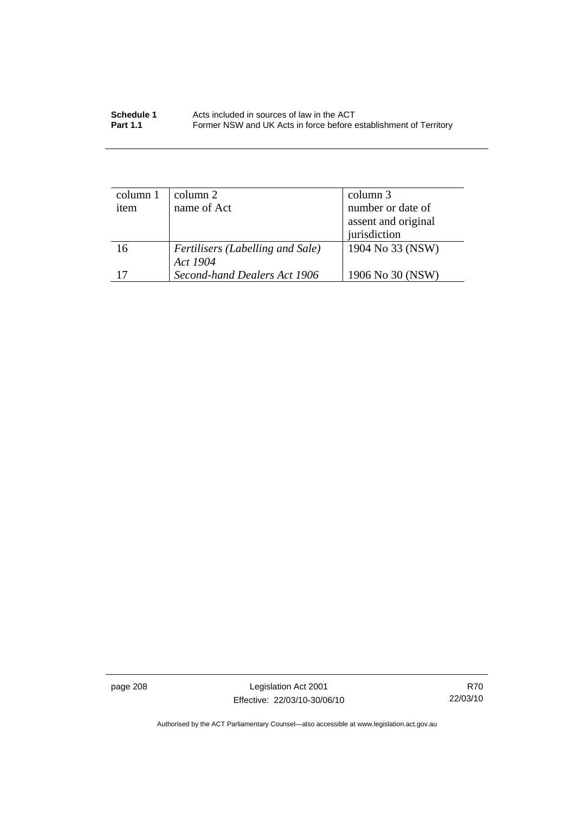| Schedule 1      | Acts included in sources of law in the ACT                        |
|-----------------|-------------------------------------------------------------------|
| <b>Part 1.1</b> | Former NSW and UK Acts in force before establishment of Territory |

| column 1 | column 2                         | column 3            |  |
|----------|----------------------------------|---------------------|--|
| item     | name of Act                      | number or date of   |  |
|          |                                  | assent and original |  |
|          |                                  | jurisdiction        |  |
| 16       | Fertilisers (Labelling and Sale) | 1904 No 33 (NSW)    |  |
|          | Act 1904                         |                     |  |
|          | Second-hand Dealers Act 1906     | 1906 No 30 (NSW)    |  |

page 208 Legislation Act 2001 Effective: 22/03/10-30/06/10

R70 22/03/10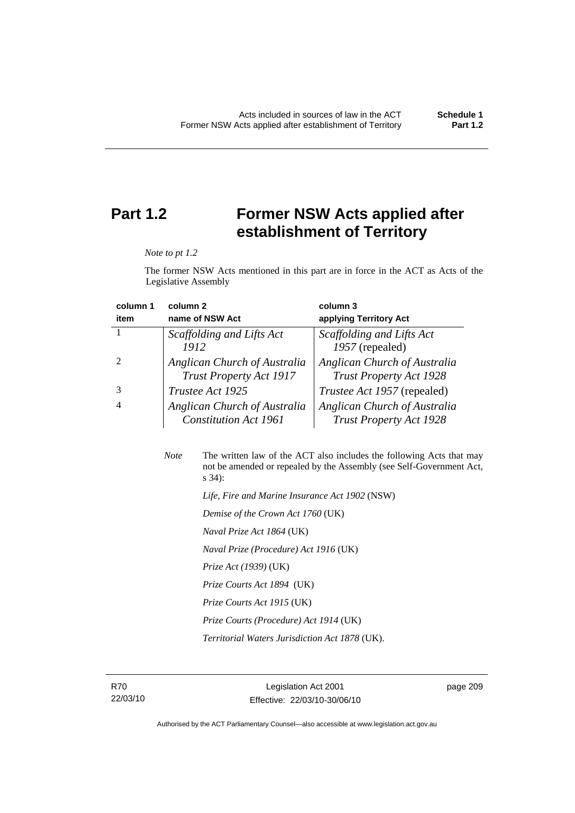## **Part 1.2 Former NSW Acts applied after establishment of Territory**

*Note to pt 1.2* 

The former NSW Acts mentioned in this part are in force in the ACT as Acts of the Legislative Assembly

| column 1 | column <sub>2</sub>                                            | column 3                                                       |
|----------|----------------------------------------------------------------|----------------------------------------------------------------|
| item     | name of NSW Act                                                | applying Territory Act                                         |
|          | Scaffolding and Lifts Act                                      | Scaffolding and Lifts Act                                      |
|          | 1912                                                           | 1957 (repealed)                                                |
|          | Anglican Church of Australia<br><b>Trust Property Act 1917</b> | Anglican Church of Australia<br><b>Trust Property Act 1928</b> |
|          | Trustee Act 1925                                               | <i>Trustee Act 1957</i> (repealed)                             |
| 4        | Anglican Church of Australia<br><b>Constitution Act 1961</b>   | Anglican Church of Australia<br><b>Trust Property Act 1928</b> |

| <b>Note</b> | The written law of the ACT also includes the following Acts that may<br>not be amended or repealed by the Assembly (see Self-Government Act,<br>$s\,34$ : |
|-------------|-----------------------------------------------------------------------------------------------------------------------------------------------------------|
|             | Life, Fire and Marine Insurance Act 1902 (NSW)                                                                                                            |
|             | Demise of the Crown Act 1760 (UK)                                                                                                                         |
|             | <i>Naval Prize Act 1864</i> (UK)                                                                                                                          |
|             | Naval Prize (Procedure) Act 1916 (UK)                                                                                                                     |
|             | <i>Prize Act (1939)</i> (UK)                                                                                                                              |

 *Prize Courts Act 1894* (UK)

- *Prize Courts Act 1915* (UK)
- *Prize Courts (Procedure) Act 1914* (UK)

 *Territorial Waters Jurisdiction Act 1878* (UK).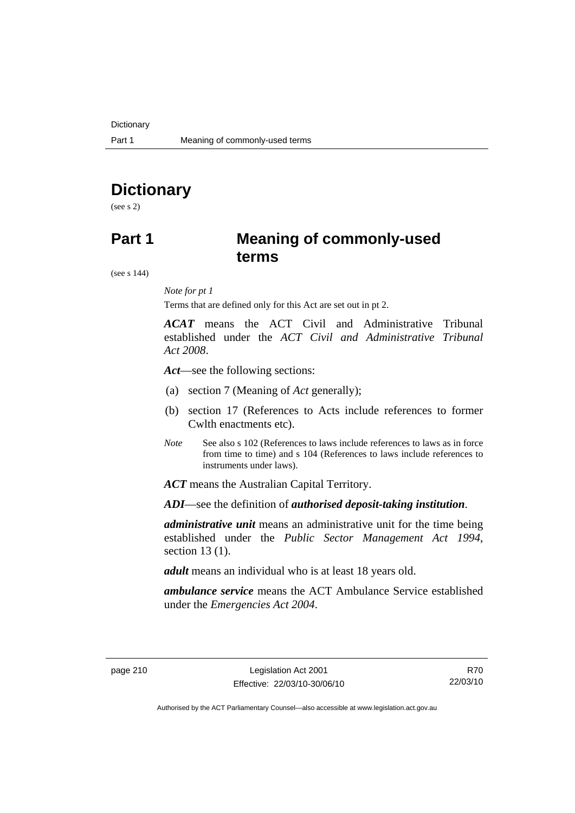## **Dictionary**

(see s 2)

## **Part 1 Meaning of commonly-used terms**

(see s 144)

### *Note for pt 1*

Terms that are defined only for this Act are set out in pt 2.

*ACAT* means the ACT Civil and Administrative Tribunal established under the *ACT Civil and Administrative Tribunal Act 2008*.

*Act*—see the following sections:

- (a) section 7 (Meaning of *Act* generally);
- (b) section 17 (References to Acts include references to former Cwlth enactments etc).
- *Note* See also s 102 (References to laws include references to laws as in force from time to time) and s 104 (References to laws include references to instruments under laws).

*ACT* means the Australian Capital Territory.

*ADI*—see the definition of *authorised deposit-taking institution*.

*administrative unit* means an administrative unit for the time being established under the *Public Sector Management Act 1994*, section 13 (1).

*adult* means an individual who is at least 18 years old.

*ambulance service* means the ACT Ambulance Service established under the *Emergencies Act 2004*.

R70 22/03/10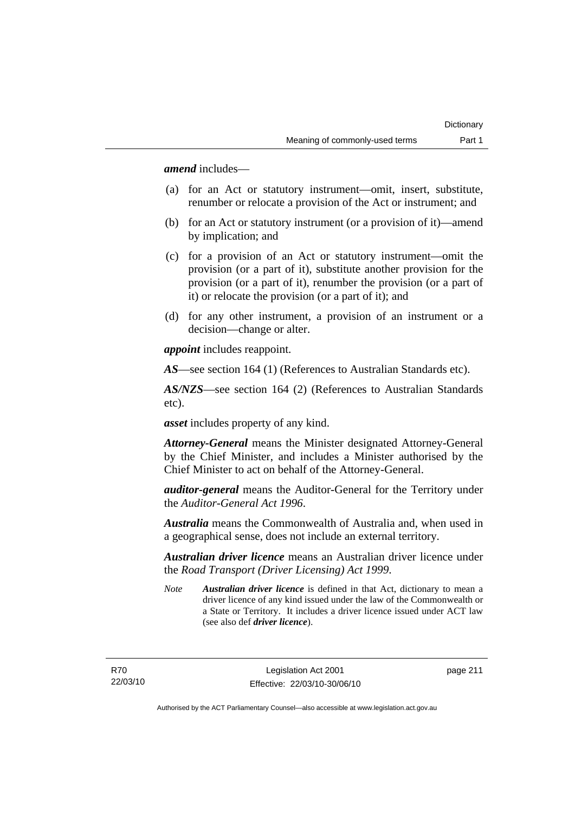*amend* includes—

- (a) for an Act or statutory instrument—omit, insert, substitute, renumber or relocate a provision of the Act or instrument; and
- (b) for an Act or statutory instrument (or a provision of it)—amend by implication; and
- (c) for a provision of an Act or statutory instrument—omit the provision (or a part of it), substitute another provision for the provision (or a part of it), renumber the provision (or a part of it) or relocate the provision (or a part of it); and
- (d) for any other instrument, a provision of an instrument or a decision—change or alter.

*appoint* includes reappoint.

*AS*—see section 164 (1) (References to Australian Standards etc).

*AS/NZS*—see section 164 (2) (References to Australian Standards etc).

*asset* includes property of any kind.

*Attorney-General* means the Minister designated Attorney-General by the Chief Minister, and includes a Minister authorised by the Chief Minister to act on behalf of the Attorney-General.

*auditor-general* means the Auditor-General for the Territory under the *Auditor-General Act 1996*.

*Australia* means the Commonwealth of Australia and, when used in a geographical sense, does not include an external territory.

*Australian driver licence* means an Australian driver licence under the *Road Transport (Driver Licensing) Act 1999*.

*Note Australian driver licence* is defined in that Act, dictionary to mean a driver licence of any kind issued under the law of the Commonwealth or a State or Territory. It includes a driver licence issued under ACT law (see also def *driver licence*).

R70 22/03/10 page 211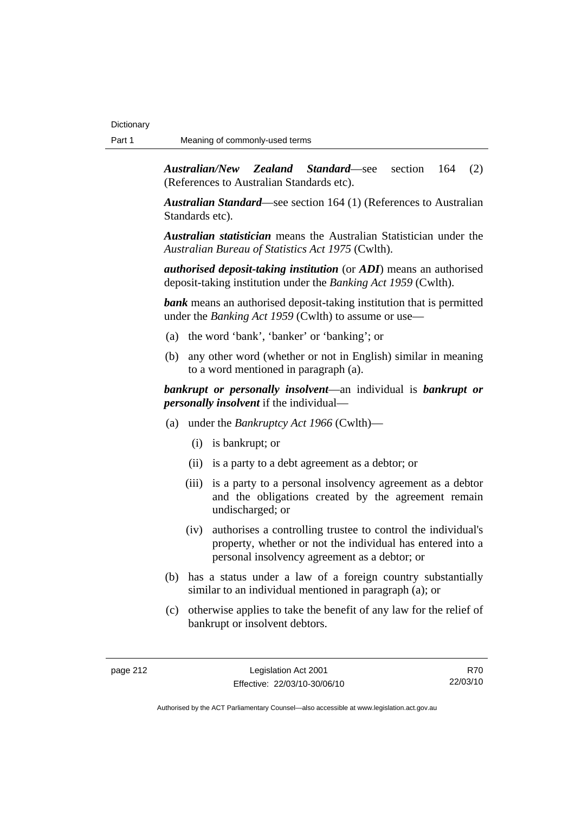*Australian/New Zealand Standard*—see section 164 (2) (References to Australian Standards etc).

*Australian Standard*—see section 164 (1) (References to Australian Standards etc).

*Australian statistician* means the Australian Statistician under the *Australian Bureau of Statistics Act 1975* (Cwlth).

*authorised deposit-taking institution* (or *ADI*) means an authorised deposit-taking institution under the *Banking Act 1959* (Cwlth).

*bank* means an authorised deposit-taking institution that is permitted under the *Banking Act 1959* (Cwlth) to assume or use—

- (a) the word 'bank', 'banker' or 'banking'; or
- (b) any other word (whether or not in English) similar in meaning to a word mentioned in paragraph (a).

*bankrupt or personally insolvent*—an individual is *bankrupt or personally insolvent* if the individual—

- (a) under the *Bankruptcy Act 1966* (Cwlth)—
	- (i) is bankrupt; or
	- (ii) is a party to a debt agreement as a debtor; or
	- (iii) is a party to a personal insolvency agreement as a debtor and the obligations created by the agreement remain undischarged; or
	- (iv) authorises a controlling trustee to control the individual's property, whether or not the individual has entered into a personal insolvency agreement as a debtor; or
- (b) has a status under a law of a foreign country substantially similar to an individual mentioned in paragraph (a); or
- (c) otherwise applies to take the benefit of any law for the relief of bankrupt or insolvent debtors.

R70 22/03/10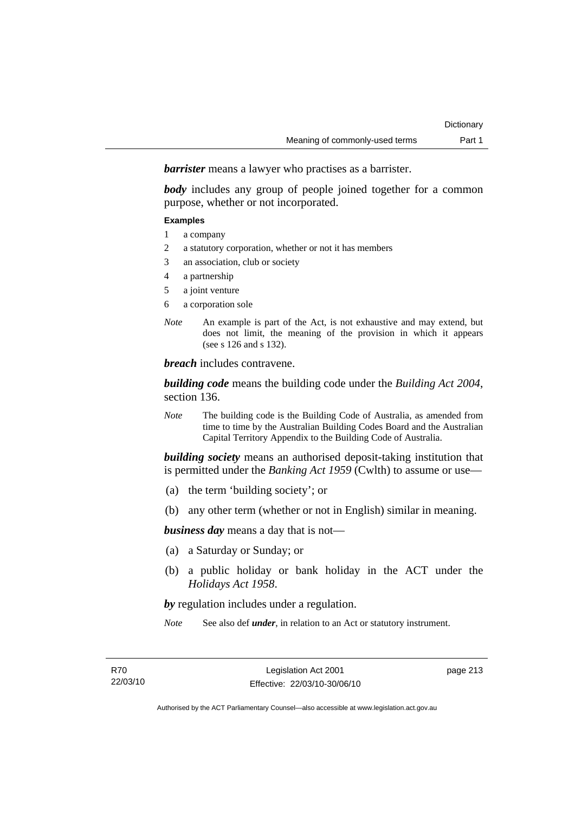*barrister* means a lawyer who practises as a barrister.

*body* includes any group of people joined together for a common purpose, whether or not incorporated.

#### **Examples**

- 1 a company
- 2 a statutory corporation, whether or not it has members
- 3 an association, club or society
- 4 a partnership
- 5 a joint venture
- 6 a corporation sole
- *Note* An example is part of the Act, is not exhaustive and may extend, but does not limit, the meaning of the provision in which it appears (see s 126 and s 132).

*breach* includes contravene.

*building code* means the building code under the *Building Act 2004*, section 136.

*Note* The building code is the Building Code of Australia, as amended from time to time by the Australian Building Codes Board and the Australian Capital Territory Appendix to the Building Code of Australia.

*building society* means an authorised deposit-taking institution that is permitted under the *Banking Act 1959* (Cwlth) to assume or use—

- (a) the term 'building society'; or
- (b) any other term (whether or not in English) similar in meaning.

*business day* means a day that is not—

- (a) a Saturday or Sunday; or
- (b) a public holiday or bank holiday in the ACT under the *Holidays Act 1958*.

*by* regulation includes under a regulation.

*Note* See also def *under*, in relation to an Act or statutory instrument.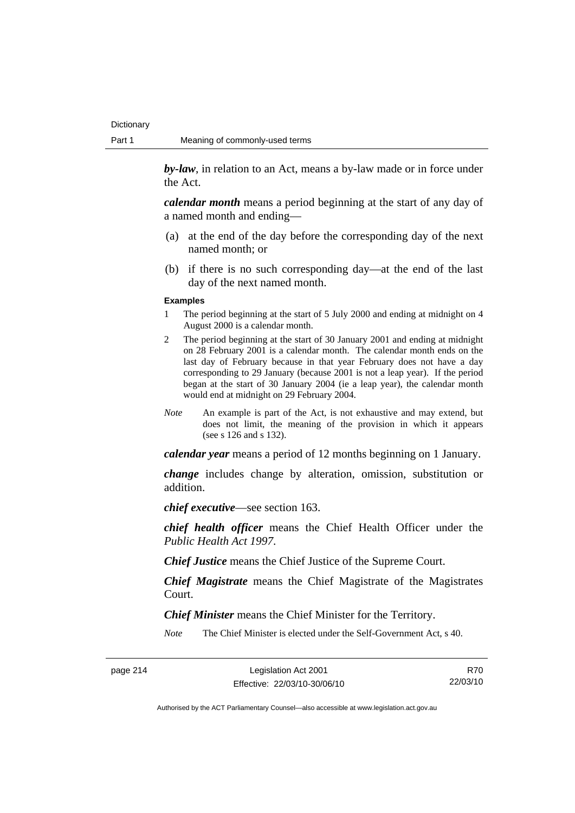*by-law*, in relation to an Act, means a by-law made or in force under the Act.

*calendar month* means a period beginning at the start of any day of a named month and ending—

- (a) at the end of the day before the corresponding day of the next named month; or
- (b) if there is no such corresponding day—at the end of the last day of the next named month.

#### **Examples**

- 1 The period beginning at the start of 5 July 2000 and ending at midnight on 4 August 2000 is a calendar month.
- 2 The period beginning at the start of 30 January 2001 and ending at midnight on 28 February 2001 is a calendar month. The calendar month ends on the last day of February because in that year February does not have a day corresponding to 29 January (because 2001 is not a leap year). If the period began at the start of 30 January 2004 (ie a leap year), the calendar month would end at midnight on 29 February 2004.
- *Note* An example is part of the Act, is not exhaustive and may extend, but does not limit, the meaning of the provision in which it appears (see s 126 and s 132).

*calendar year* means a period of 12 months beginning on 1 January.

*change* includes change by alteration, omission, substitution or addition.

*chief executive*—see section 163.

*chief health officer* means the Chief Health Officer under the *Public Health Act 1997*.

*Chief Justice* means the Chief Justice of the Supreme Court.

*Chief Magistrate* means the Chief Magistrate of the Magistrates Court.

*Chief Minister* means the Chief Minister for the Territory.

*Note* The Chief Minister is elected under the Self-Government Act, s 40.

page 214 Legislation Act 2001 Effective: 22/03/10-30/06/10

R70 22/03/10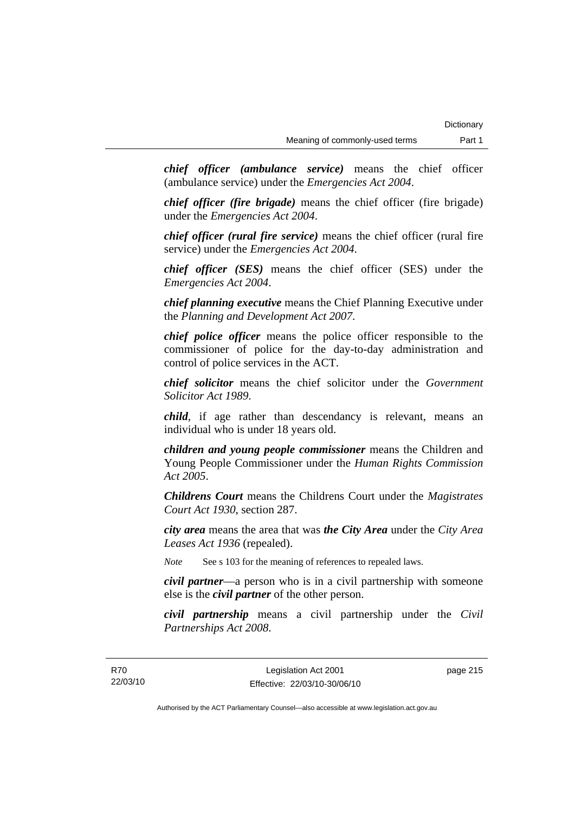*chief officer (ambulance service)* means the chief officer (ambulance service) under the *Emergencies Act 2004*.

*chief officer (fire brigade)* means the chief officer (fire brigade) under the *Emergencies Act 2004*.

*chief officer (rural fire service)* means the chief officer (rural fire service) under the *Emergencies Act 2004*.

*chief officer (SES)* means the chief officer (SES) under the *Emergencies Act 2004*.

*chief planning executive* means the Chief Planning Executive under the *Planning and Development Act 2007*.

*chief police officer* means the police officer responsible to the commissioner of police for the day-to-day administration and control of police services in the ACT.

*chief solicitor* means the chief solicitor under the *Government Solicitor Act 1989*.

*child*, if age rather than descendancy is relevant, means an individual who is under 18 years old.

*children and young people commissioner* means the Children and Young People Commissioner under the *Human Rights Commission Act 2005*.

*Childrens Court* means the Childrens Court under the *Magistrates Court Act 1930*, section 287.

*city area* means the area that was *the City Area* under the *City Area Leases Act 1936* (repealed).

*Note* See s 103 for the meaning of references to repealed laws.

*civil partner*—a person who is in a civil partnership with someone else is the *civil partner* of the other person.

*civil partnership* means a civil partnership under the *Civil Partnerships Act 2008*.

page 215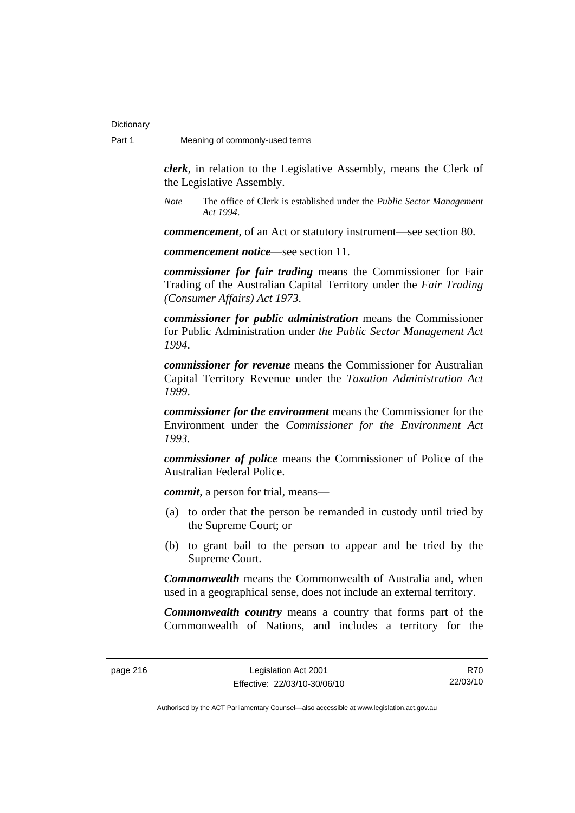*clerk*, in relation to the Legislative Assembly, means the Clerk of the Legislative Assembly.

*Note* The office of Clerk is established under the *Public Sector Management Act 1994*.

*commencement*, of an Act or statutory instrument—see section 80.

*commencement notice*—see section 11.

*commissioner for fair trading* means the Commissioner for Fair Trading of the Australian Capital Territory under the *Fair Trading (Consumer Affairs) Act 1973*.

*commissioner for public administration* means the Commissioner for Public Administration under *the Public Sector Management Act 1994*.

*commissioner for revenue* means the Commissioner for Australian Capital Territory Revenue under the *Taxation Administration Act 1999*.

*commissioner for the environment* means the Commissioner for the Environment under the *Commissioner for the Environment Act 1993.* 

*commissioner of police* means the Commissioner of Police of the Australian Federal Police.

*commit*, a person for trial, means—

- (a) to order that the person be remanded in custody until tried by the Supreme Court; or
- (b) to grant bail to the person to appear and be tried by the Supreme Court.

*Commonwealth* means the Commonwealth of Australia and, when used in a geographical sense, does not include an external territory.

*Commonwealth country* means a country that forms part of the Commonwealth of Nations, and includes a territory for the

R70 22/03/10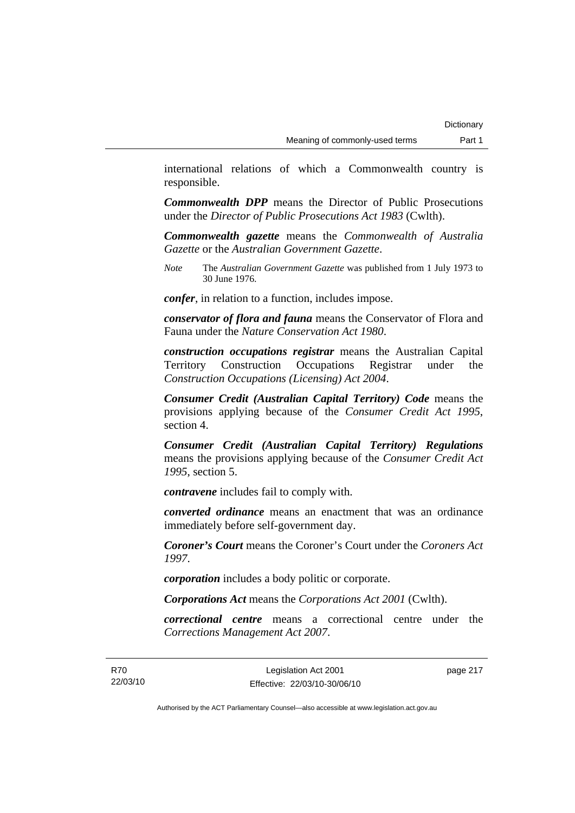international relations of which a Commonwealth country is responsible.

*Commonwealth DPP* means the Director of Public Prosecutions under the *Director of Public Prosecutions Act 1983* (Cwlth).

*Commonwealth gazette* means the *Commonwealth of Australia Gazette* or the *Australian Government Gazette*.

*Note* The *Australian Government Gazette* was published from 1 July 1973 to 30 June 1976.

*confer*, in relation to a function, includes impose.

*conservator of flora and fauna* means the Conservator of Flora and Fauna under the *Nature Conservation Act 1980*.

*construction occupations registrar* means the Australian Capital Territory Construction Occupations Registrar under the *Construction Occupations (Licensing) Act 2004*.

*Consumer Credit (Australian Capital Territory) Code* means the provisions applying because of the *Consumer Credit Act 1995*, section 4.

*Consumer Credit (Australian Capital Territory) Regulations* means the provisions applying because of the *Consumer Credit Act 1995*, section 5.

*contravene* includes fail to comply with.

*converted ordinance* means an enactment that was an ordinance immediately before self-government day.

*Coroner's Court* means the Coroner's Court under the *Coroners Act 1997*.

*corporation* includes a body politic or corporate.

*Corporations Act* means the *Corporations Act 2001* (Cwlth).

*correctional centre* means a correctional centre under the *Corrections Management Act 2007*.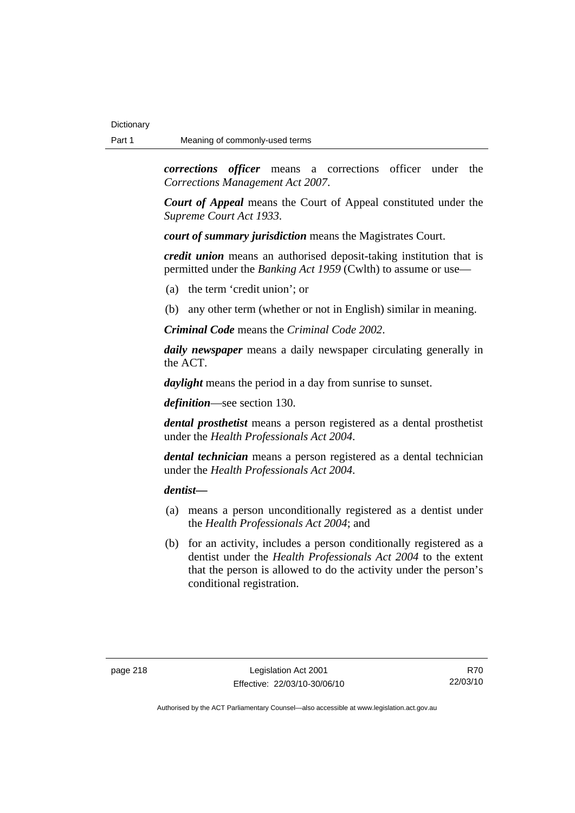*corrections officer* means a corrections officer under the *Corrections Management Act 2007*.

*Court of Appeal* means the Court of Appeal constituted under the *Supreme Court Act 1933*.

*court of summary jurisdiction* means the Magistrates Court.

*credit union* means an authorised deposit-taking institution that is permitted under the *Banking Act 1959* (Cwlth) to assume or use—

- (a) the term 'credit union'; or
- (b) any other term (whether or not in English) similar in meaning.

*Criminal Code* means the *Criminal Code 2002*.

*daily newspaper* means a daily newspaper circulating generally in the ACT.

*daylight* means the period in a day from sunrise to sunset.

*definition*—see section 130.

*dental prosthetist* means a person registered as a dental prosthetist under the *Health Professionals Act 2004*.

*dental technician* means a person registered as a dental technician under the *Health Professionals Act 2004*.

*dentist***—**

- (a) means a person unconditionally registered as a dentist under the *Health Professionals Act 2004*; and
- (b) for an activity, includes a person conditionally registered as a dentist under the *Health Professionals Act 2004* to the extent that the person is allowed to do the activity under the person's conditional registration.

R70 22/03/10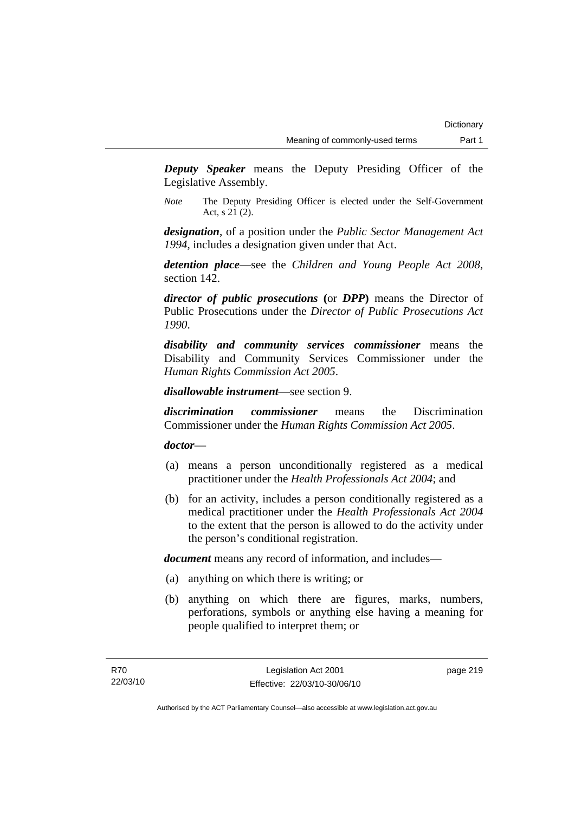*Deputy Speaker* means the Deputy Presiding Officer of the Legislative Assembly.

*Note* The Deputy Presiding Officer is elected under the Self-Government Act, s 21 (2).

*designation*, of a position under the *Public Sector Management Act 1994*, includes a designation given under that Act.

*detention place*—see the *Children and Young People Act 2008*, section 142.

*director of public prosecutions* **(**or *DPP***)** means the Director of Public Prosecutions under the *Director of Public Prosecutions Act 1990*.

*disability and community services commissioner* means the Disability and Community Services Commissioner under the *Human Rights Commission Act 2005*.

*disallowable instrument*—see section 9.

*discrimination commissioner* means the Discrimination Commissioner under the *Human Rights Commission Act 2005*.

*doctor*—

- (a) means a person unconditionally registered as a medical practitioner under the *Health Professionals Act 2004*; and
- (b) for an activity, includes a person conditionally registered as a medical practitioner under the *Health Professionals Act 2004*  to the extent that the person is allowed to do the activity under the person's conditional registration.

*document* means any record of information, and includes—

- (a) anything on which there is writing; or
- (b) anything on which there are figures, marks, numbers, perforations, symbols or anything else having a meaning for people qualified to interpret them; or

page 219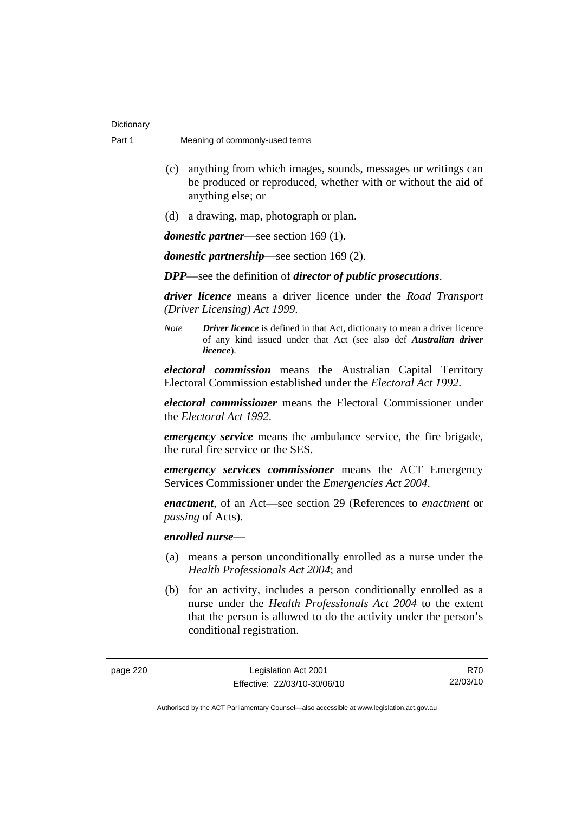- (c) anything from which images, sounds, messages or writings can be produced or reproduced, whether with or without the aid of anything else; or
- (d) a drawing, map, photograph or plan.

*domestic partner*—see section 169 (1).

*domestic partnership*—see section 169 (2).

*DPP*—see the definition of *director of public prosecutions*.

*driver licence* means a driver licence under the *Road Transport (Driver Licensing) Act 1999*.

*Note Driver licence* is defined in that Act, dictionary to mean a driver licence of any kind issued under that Act (see also def *Australian driver licence*).

*electoral commission* means the Australian Capital Territory Electoral Commission established under the *Electoral Act 1992*.

*electoral commissioner* means the Electoral Commissioner under the *Electoral Act 1992*.

*emergency service* means the ambulance service, the fire brigade, the rural fire service or the SES.

*emergency services commissioner* means the ACT Emergency Services Commissioner under the *Emergencies Act 2004*.

*enactment*, of an Act—see section 29 (References to *enactment* or *passing* of Acts).

### *enrolled nurse*—

- (a) means a person unconditionally enrolled as a nurse under the *Health Professionals Act 2004*; and
- (b) for an activity, includes a person conditionally enrolled as a nurse under the *Health Professionals Act 2004* to the extent that the person is allowed to do the activity under the person's conditional registration.

R70 22/03/10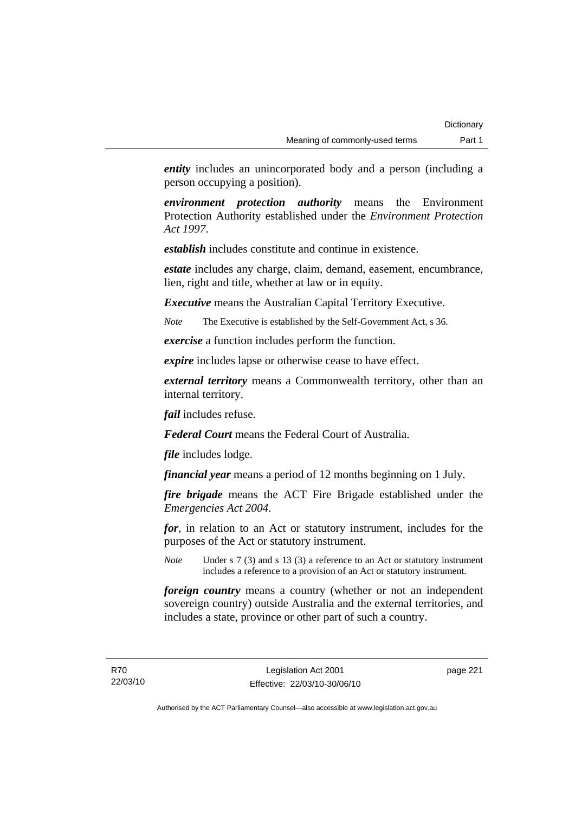*entity* includes an unincorporated body and a person (including a person occupying a position).

*environment protection authority* means the Environment Protection Authority established under the *Environment Protection Act 1997*.

*establish* includes constitute and continue in existence.

*estate* includes any charge, claim, demand, easement, encumbrance, lien, right and title, whether at law or in equity.

*Executive* means the Australian Capital Territory Executive.

*Note* The Executive is established by the Self-Government Act, s 36.

*exercise* a function includes perform the function.

*expire* includes lapse or otherwise cease to have effect.

*external territory* means a Commonwealth territory, other than an internal territory.

*fail* includes refuse.

*Federal Court* means the Federal Court of Australia.

*file* includes lodge.

*financial year* means a period of 12 months beginning on 1 July.

*fire brigade* means the ACT Fire Brigade established under the *Emergencies Act 2004*.

*for*, in relation to an Act or statutory instrument, includes for the purposes of the Act or statutory instrument.

*Note* Under s 7 (3) and s 13 (3) a reference to an Act or statutory instrument includes a reference to a provision of an Act or statutory instrument.

*foreign country* means a country (whether or not an independent sovereign country) outside Australia and the external territories, and includes a state, province or other part of such a country.

R70 22/03/10 page 221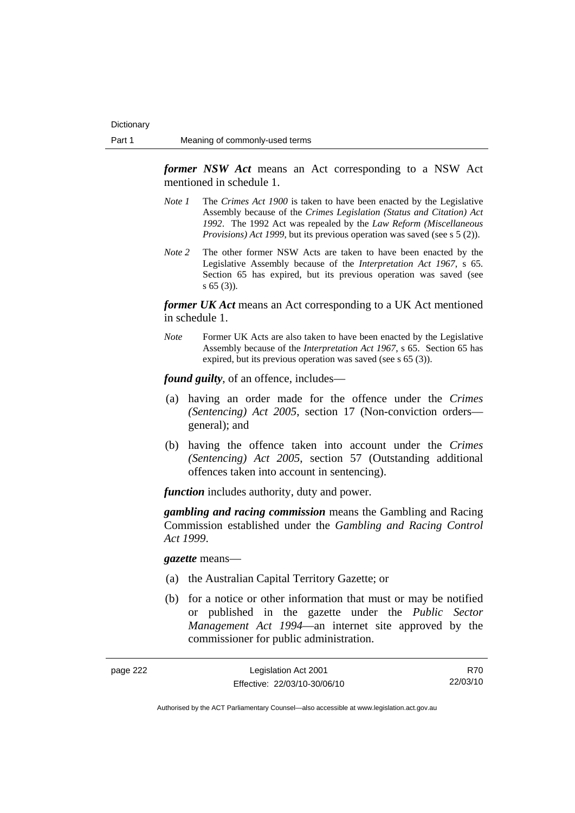*former NSW Act* means an Act corresponding to a NSW Act mentioned in schedule 1.

- *Note 1* The *Crimes Act 1900* is taken to have been enacted by the Legislative Assembly because of the *Crimes Legislation (Status and Citation) Act 1992*. The 1992 Act was repealed by the *Law Reform (Miscellaneous Provisions) Act 1999*, but its previous operation was saved (see s 5 (2)).
- *Note 2* The other former NSW Acts are taken to have been enacted by the Legislative Assembly because of the *Interpretation Act 1967*, s 65. Section 65 has expired, but its previous operation was saved (see s 65 (3)).

*former UK Act* means an Act corresponding to a UK Act mentioned in schedule 1.

*Note* Former UK Acts are also taken to have been enacted by the Legislative Assembly because of the *Interpretation Act 1967*, s 65. Section 65 has expired, but its previous operation was saved (see s 65 (3)).

*found guilty*, of an offence, includes—

- (a) having an order made for the offence under the *Crimes (Sentencing) Act 2005*, section 17 (Non-conviction orders general); and
- (b) having the offence taken into account under the *Crimes (Sentencing) Act 2005*, section 57 (Outstanding additional offences taken into account in sentencing).

*function* includes authority, duty and power.

*gambling and racing commission* means the Gambling and Racing Commission established under the *Gambling and Racing Control Act 1999*.

*gazette* means—

- (a) the Australian Capital Territory Gazette; or
- (b) for a notice or other information that must or may be notified or published in the gazette under the *Public Sector Management Act 1994*—an internet site approved by the commissioner for public administration.

| page 222 | Legislation Act 2001         | R70      |
|----------|------------------------------|----------|
|          | Effective: 22/03/10-30/06/10 | 22/03/10 |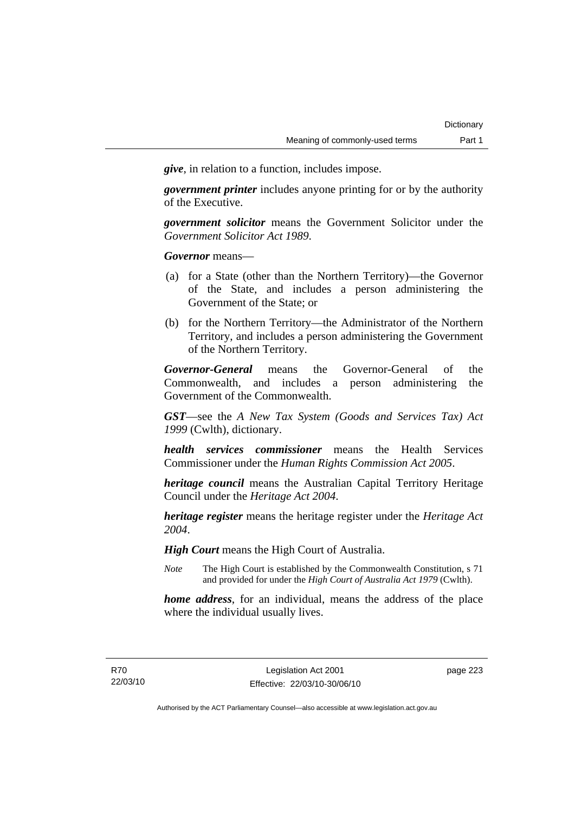*give*, in relation to a function, includes impose.

*government printer* includes anyone printing for or by the authority of the Executive.

*government solicitor* means the Government Solicitor under the *Government Solicitor Act 1989*.

*Governor* means—

- (a) for a State (other than the Northern Territory)—the Governor of the State, and includes a person administering the Government of the State; or
- (b) for the Northern Territory—the Administrator of the Northern Territory, and includes a person administering the Government of the Northern Territory.

*Governor-General* means the Governor-General of the Commonwealth, and includes a person administering the Government of the Commonwealth.

*GST*—see the *A New Tax System (Goods and Services Tax) Act 1999* (Cwlth), dictionary.

*health services commissioner* means the Health Services Commissioner under the *Human Rights Commission Act 2005*.

*heritage council* means the Australian Capital Territory Heritage Council under the *Heritage Act 2004*.

*heritage register* means the heritage register under the *Heritage Act 2004*.

*High Court* means the High Court of Australia.

*Note* The High Court is established by the Commonwealth Constitution, s 71 and provided for under the *High Court of Australia Act 1979* (Cwlth).

*home address*, for an individual, means the address of the place where the individual usually lives.

page 223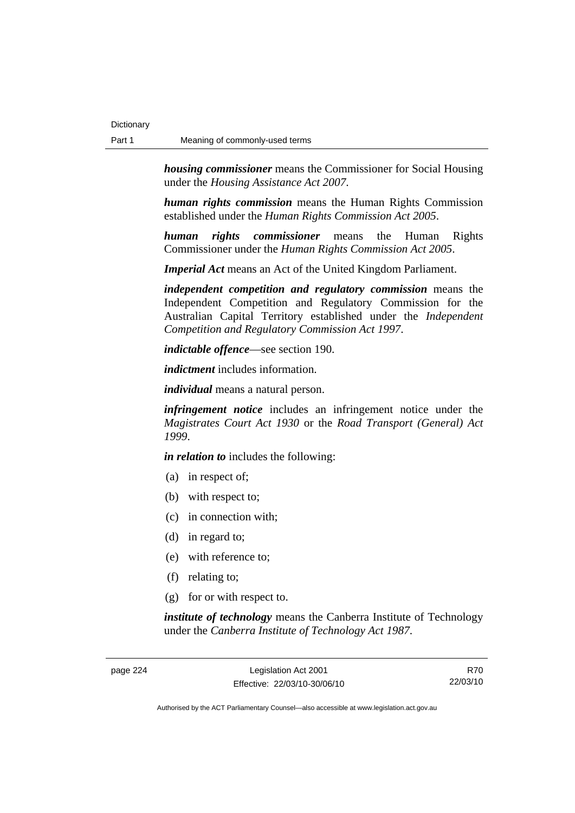*housing commissioner* means the Commissioner for Social Housing under the *Housing Assistance Act 2007*.

*human rights commission* means the Human Rights Commission established under the *Human Rights Commission Act 2005*.

*human rights commissioner* means the Human Rights Commissioner under the *Human Rights Commission Act 2005*.

*Imperial Act* means an Act of the United Kingdom Parliament.

*independent competition and regulatory commission* means the Independent Competition and Regulatory Commission for the Australian Capital Territory established under the *Independent Competition and Regulatory Commission Act 1997*.

*indictable offence*—see section 190.

*indictment* includes information.

*individual* means a natural person.

*infringement notice* includes an infringement notice under the *Magistrates Court Act 1930* or the *Road Transport (General) Act 1999*.

*in relation to* includes the following:

- (a) in respect of;
- (b) with respect to;
- (c) in connection with;
- (d) in regard to;
- (e) with reference to;
- (f) relating to;
- (g) for or with respect to.

*institute of technology* means the Canberra Institute of Technology under the *Canberra Institute of Technology Act 1987*.

page 224 Legislation Act 2001 Effective: 22/03/10-30/06/10

R70 22/03/10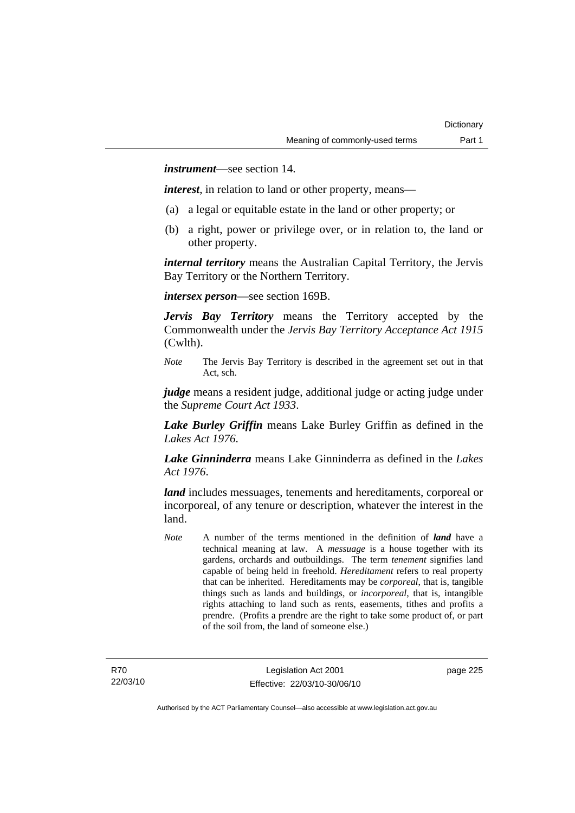*instrument*—see section 14.

*interest*, in relation to land or other property, means—

- (a) a legal or equitable estate in the land or other property; or
- (b) a right, power or privilege over, or in relation to, the land or other property.

*internal territory* means the Australian Capital Territory, the Jervis Bay Territory or the Northern Territory.

*intersex person*—see section 169B.

*Jervis Bay Territory* means the Territory accepted by the Commonwealth under the *Jervis Bay Territory Acceptance Act 1915* (Cwlth).

*Note* The Jervis Bay Territory is described in the agreement set out in that Act, sch.

*judge* means a resident judge, additional judge or acting judge under the *Supreme Court Act 1933*.

*Lake Burley Griffin* means Lake Burley Griffin as defined in the *Lakes Act 1976*.

*Lake Ginninderra* means Lake Ginninderra as defined in the *Lakes Act 1976*.

*land* includes messuages, tenements and hereditaments, corporeal or incorporeal, of any tenure or description, whatever the interest in the land.

*Note* A number of the terms mentioned in the definition of *land* have a technical meaning at law. A *messuage* is a house together with its gardens, orchards and outbuildings. The term *tenement* signifies land capable of being held in freehold. *Hereditament* refers to real property that can be inherited. Hereditaments may be *corporeal*, that is, tangible things such as lands and buildings, or *incorporeal*, that is, intangible rights attaching to land such as rents, easements, tithes and profits a prendre. (Profits a prendre are the right to take some product of, or part of the soil from, the land of someone else.)

page 225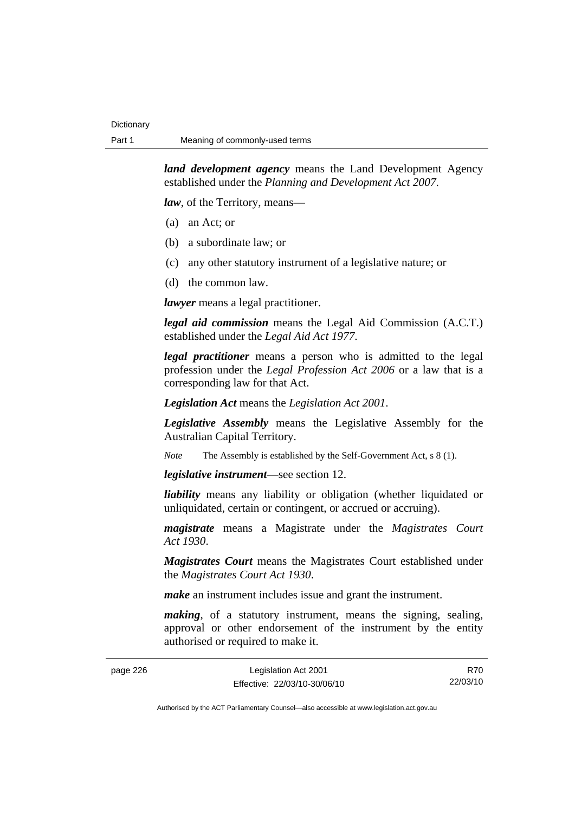*land development agency* means the Land Development Agency established under the *Planning and Development Act 2007*.

*law*, of the Territory, means—

- (a) an Act; or
- (b) a subordinate law; or
- (c) any other statutory instrument of a legislative nature; or
- (d) the common law.

*lawyer* means a legal practitioner.

*legal aid commission* means the Legal Aid Commission (A.C.T.) established under the *Legal Aid Act 1977*.

*legal practitioner* means a person who is admitted to the legal profession under the *Legal Profession Act 2006* or a law that is a corresponding law for that Act.

*Legislation Act* means the *Legislation Act 2001*.

*Legislative Assembly* means the Legislative Assembly for the Australian Capital Territory.

*Note* The Assembly is established by the Self-Government Act, s 8 (1).

*legislative instrument*—see section 12.

*liability* means any liability or obligation (whether liquidated or unliquidated, certain or contingent, or accrued or accruing).

*magistrate* means a Magistrate under the *Magistrates Court Act 1930*.

*Magistrates Court* means the Magistrates Court established under the *Magistrates Court Act 1930*.

*make* an instrument includes issue and grant the instrument.

*making*, of a statutory instrument, means the signing, sealing, approval or other endorsement of the instrument by the entity authorised or required to make it.

| page 226 | Legislation Act 2001         | R70      |
|----------|------------------------------|----------|
|          | Effective: 22/03/10-30/06/10 | 22/03/10 |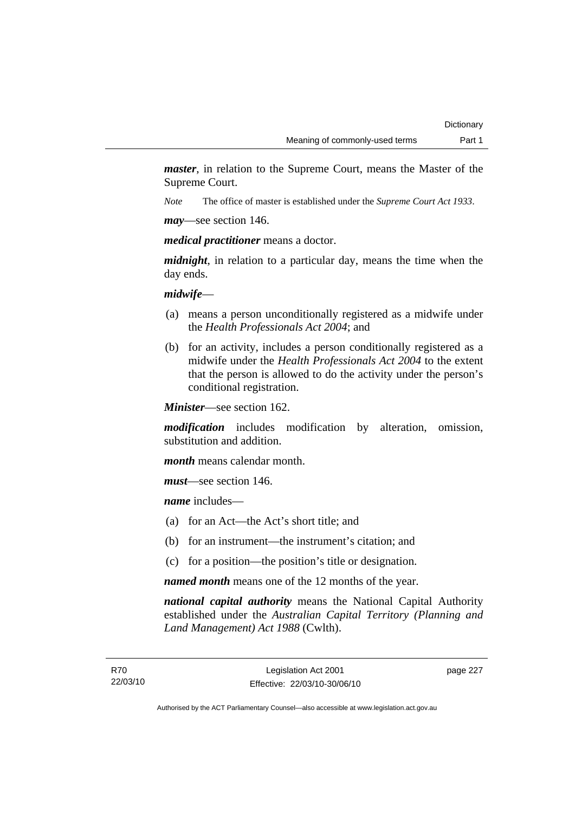*master*, in relation to the Supreme Court, means the Master of the Supreme Court.

*Note* The office of master is established under the *Supreme Court Act 1933*.

*may*—see section 146.

*medical practitioner* means a doctor.

*midnight*, in relation to a particular day, means the time when the day ends.

*midwife*—

- (a) means a person unconditionally registered as a midwife under the *Health Professionals Act 2004*; and
- (b) for an activity, includes a person conditionally registered as a midwife under the *Health Professionals Act 2004* to the extent that the person is allowed to do the activity under the person's conditional registration.

*Minister*—see section 162.

*modification* includes modification by alteration, omission, substitution and addition.

*month* means calendar month.

*must*—see section 146.

*name* includes—

- (a) for an Act—the Act's short title; and
- (b) for an instrument—the instrument's citation; and
- (c) for a position—the position's title or designation.

*named month* means one of the 12 months of the year.

*national capital authority* means the National Capital Authority established under the *Australian Capital Territory (Planning and Land Management) Act 1988* (Cwlth).

page 227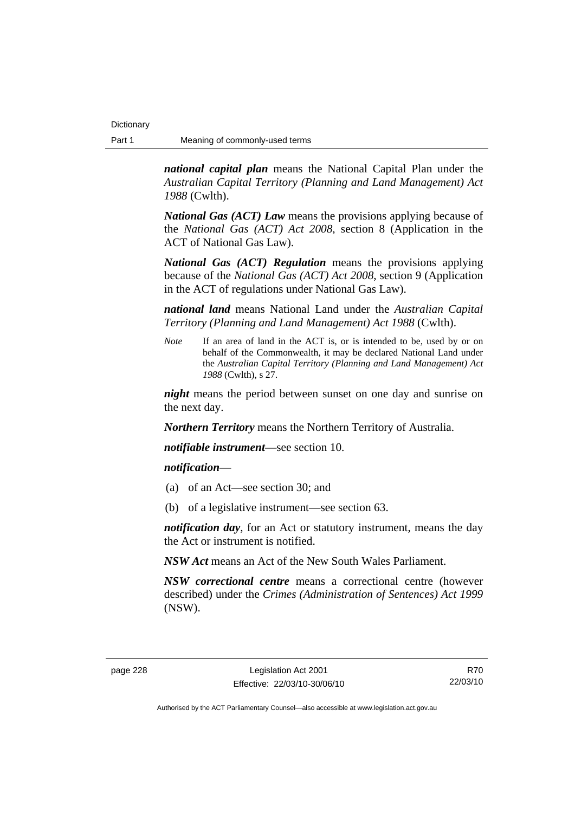*national capital plan* means the National Capital Plan under the *Australian Capital Territory (Planning and Land Management) Act 1988* (Cwlth).

*National Gas (ACT) Law* means the provisions applying because of the *National Gas (ACT) Act 2008*, section 8 (Application in the ACT of National Gas Law).

*National Gas (ACT) Regulation* means the provisions applying because of the *National Gas (ACT) Act 2008*, section 9 (Application in the ACT of regulations under National Gas Law).

*national land* means National Land under the *Australian Capital Territory (Planning and Land Management) Act 1988* (Cwlth).

*Note* If an area of land in the ACT is, or is intended to be, used by or on behalf of the Commonwealth, it may be declared National Land under the *Australian Capital Territory (Planning and Land Management) Act 1988* (Cwlth), s 27.

*night* means the period between sunset on one day and sunrise on the next day.

*Northern Territory* means the Northern Territory of Australia.

*notifiable instrument*—see section 10.

### *notification*—

- (a) of an Act—see section 30; and
- (b) of a legislative instrument—see section 63.

*notification day*, for an Act or statutory instrument, means the day the Act or instrument is notified.

*NSW Act* means an Act of the New South Wales Parliament.

*NSW correctional centre* means a correctional centre (however described) under the *Crimes (Administration of Sentences) Act 1999* (NSW).

R70 22/03/10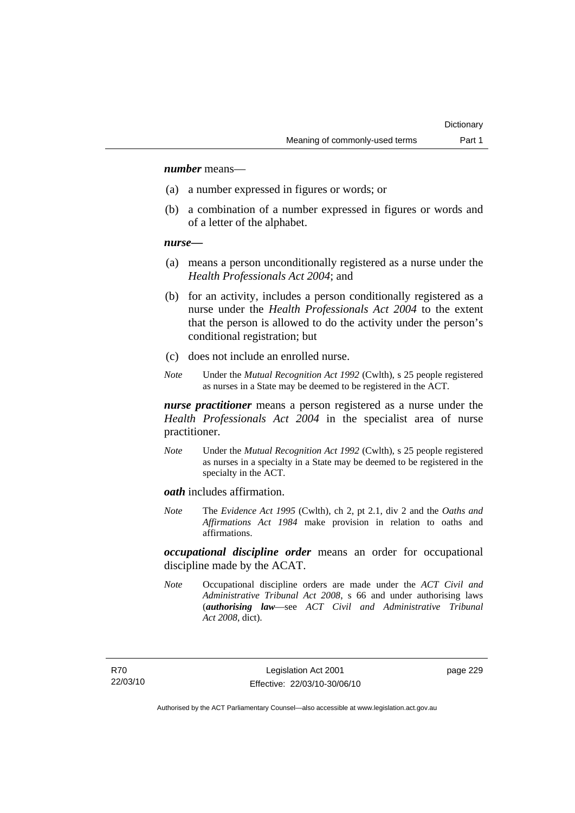### *number* means—

- (a) a number expressed in figures or words; or
- (b) a combination of a number expressed in figures or words and of a letter of the alphabet.

### *nurse***—**

- (a) means a person unconditionally registered as a nurse under the *Health Professionals Act 2004*; and
- (b) for an activity, includes a person conditionally registered as a nurse under the *Health Professionals Act 2004* to the extent that the person is allowed to do the activity under the person's conditional registration; but
- (c) does not include an enrolled nurse.
- *Note* Under the *Mutual Recognition Act 1992* (Cwlth), s 25 people registered as nurses in a State may be deemed to be registered in the ACT.

*nurse practitioner* means a person registered as a nurse under the *Health Professionals Act 2004* in the specialist area of nurse practitioner.

*Note* Under the *Mutual Recognition Act 1992* (Cwlth), s 25 people registered as nurses in a specialty in a State may be deemed to be registered in the specialty in the ACT.

*oath* includes affirmation.

*Note* The *Evidence Act 1995* (Cwlth), ch 2, pt 2.1, div 2 and the *Oaths and Affirmations Act 1984* make provision in relation to oaths and affirmations.

*occupational discipline order* means an order for occupational discipline made by the ACAT.

*Note* Occupational discipline orders are made under the *ACT Civil and Administrative Tribunal Act 2008*, s 66 and under authorising laws (*authorising law*—see *ACT Civil and Administrative Tribunal Act 2008*, dict).

page 229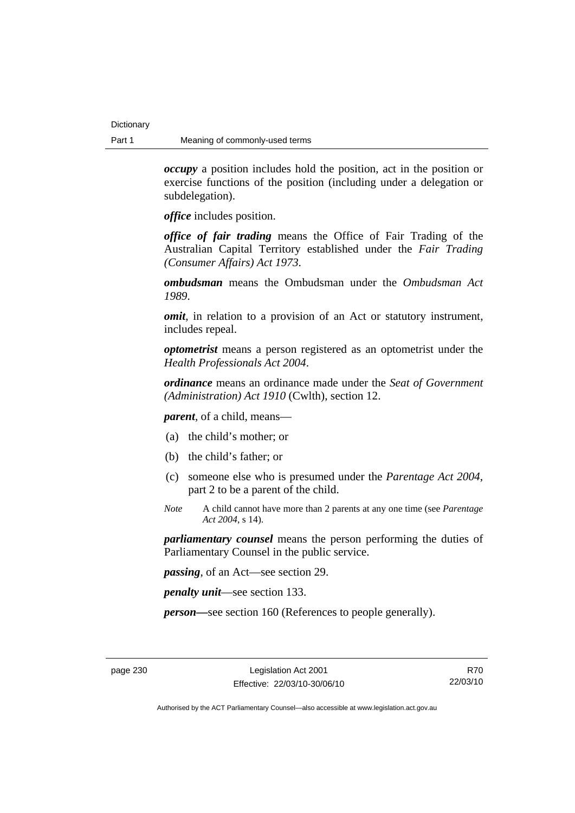*occupy* a position includes hold the position, act in the position or exercise functions of the position (including under a delegation or subdelegation).

*office* includes position.

*office of fair trading* means the Office of Fair Trading of the Australian Capital Territory established under the *Fair Trading (Consumer Affairs) Act 1973*.

*ombudsman* means the Ombudsman under the *Ombudsman Act 1989*.

*omit*, in relation to a provision of an Act or statutory instrument, includes repeal.

*optometrist* means a person registered as an optometrist under the *Health Professionals Act 2004*.

*ordinance* means an ordinance made under the *Seat of Government (Administration) Act 1910* (Cwlth), section 12.

*parent*, of a child, means—

- (a) the child's mother; or
- (b) the child's father; or
- (c) someone else who is presumed under the *Parentage Act 2004*, part 2 to be a parent of the child.
- *Note* A child cannot have more than 2 parents at any one time (see *Parentage Act 2004*, s 14).

*parliamentary counsel* means the person performing the duties of Parliamentary Counsel in the public service.

*passing*, of an Act—see section 29.

*penalty unit*—see section 133.

*person—*see section 160 (References to people generally).

R70 22/03/10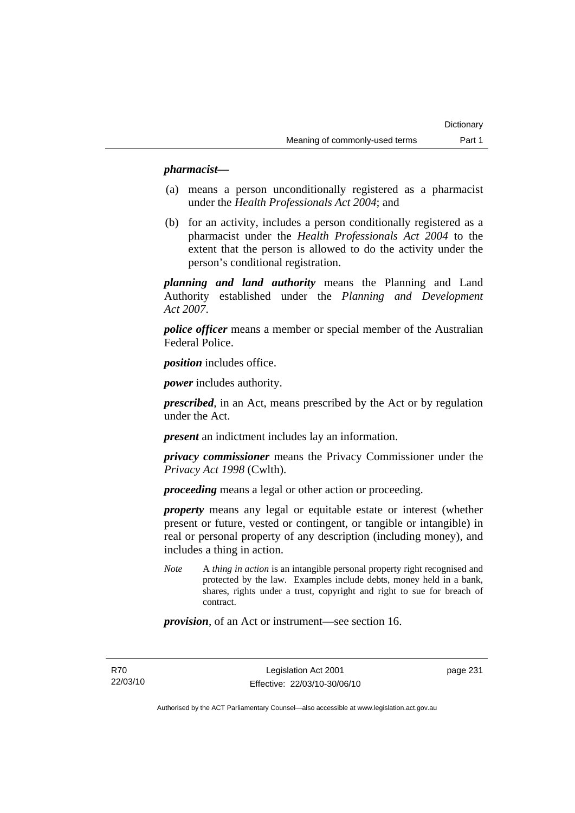### *pharmacist***—**

- (a) means a person unconditionally registered as a pharmacist under the *Health Professionals Act 2004*; and
- (b) for an activity, includes a person conditionally registered as a pharmacist under the *Health Professionals Act 2004* to the extent that the person is allowed to do the activity under the person's conditional registration.

*planning and land authority* means the Planning and Land Authority established under the *Planning and Development Act 2007*.

*police officer* means a member or special member of the Australian Federal Police.

*position* includes office.

*power* includes authority.

*prescribed*, in an Act, means prescribed by the Act or by regulation under the Act.

*present* an indictment includes lay an information.

*privacy commissioner* means the Privacy Commissioner under the *Privacy Act 1998* (Cwlth).

*proceeding* means a legal or other action or proceeding.

*property* means any legal or equitable estate or interest (whether present or future, vested or contingent, or tangible or intangible) in real or personal property of any description (including money), and includes a thing in action.

*Note* A *thing in action* is an intangible personal property right recognised and protected by the law. Examples include debts, money held in a bank, shares, rights under a trust, copyright and right to sue for breach of contract.

*provision*, of an Act or instrument—see section 16.

R70 22/03/10 page 231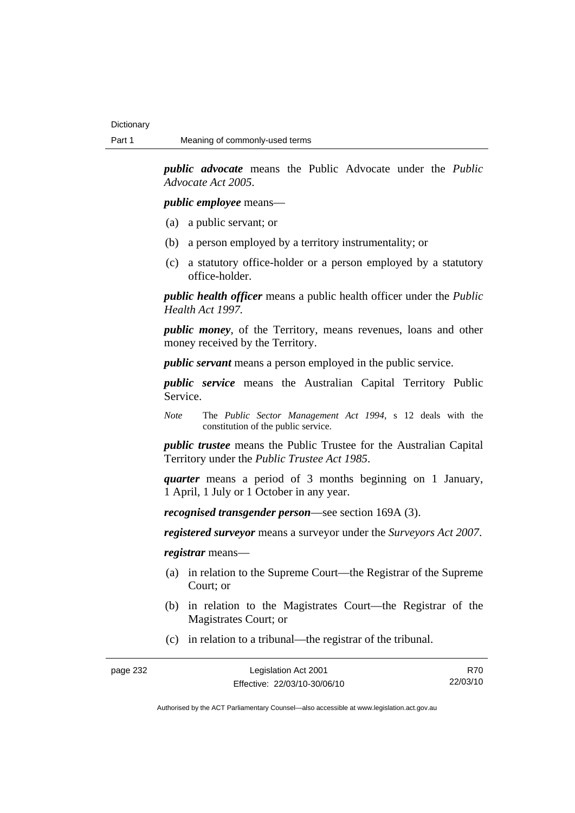*public advocate* means the Public Advocate under the *Public Advocate Act 2005*.

*public employee* means—

- (a) a public servant; or
- (b) a person employed by a territory instrumentality; or
- (c) a statutory office-holder or a person employed by a statutory office-holder.

*public health officer* means a public health officer under the *Public Health Act 1997.*

*public money*, of the Territory, means revenues, loans and other money received by the Territory.

*public servant* means a person employed in the public service.

*public service* means the Australian Capital Territory Public Service.

*Note* The *Public Sector Management Act 1994*, s 12 deals with the constitution of the public service.

*public trustee* means the Public Trustee for the Australian Capital Territory under the *Public Trustee Act 1985*.

*quarter* means a period of 3 months beginning on 1 January, 1 April, 1 July or 1 October in any year.

*recognised transgender person*—see section 169A (3).

*registered surveyor* means a surveyor under the *Surveyors Act 2007*.

*registrar* means—

- (a) in relation to the Supreme Court—the Registrar of the Supreme Court; or
- (b) in relation to the Magistrates Court—the Registrar of the Magistrates Court; or
- (c) in relation to a tribunal—the registrar of the tribunal.

page 232 Legislation Act 2001

R70 22/03/10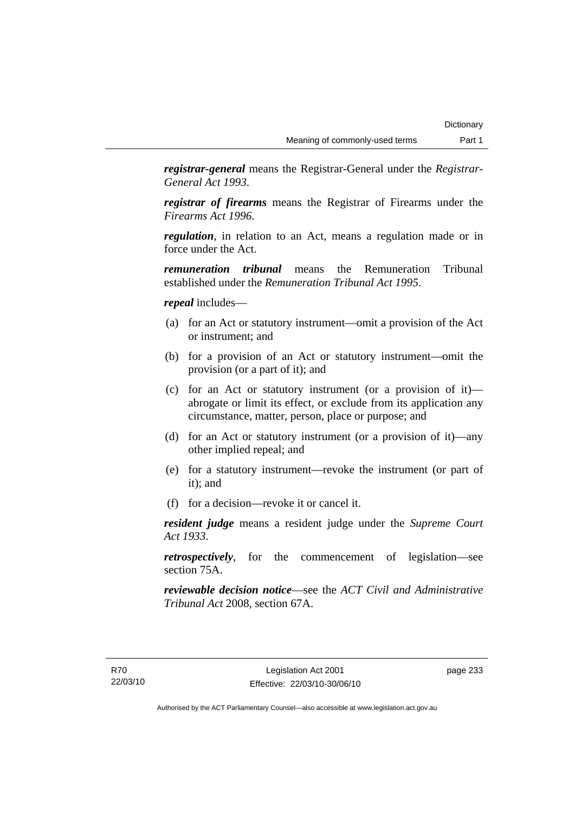*registrar-general* means the Registrar-General under the *Registrar-General Act 1993*.

*registrar of firearms* means the Registrar of Firearms under the *Firearms Act 1996*.

*regulation*, in relation to an Act, means a regulation made or in force under the Act.

*remuneration tribunal* means the Remuneration Tribunal established under the *Remuneration Tribunal Act 1995*.

### *repeal* includes—

- (a) for an Act or statutory instrument—omit a provision of the Act or instrument; and
- (b) for a provision of an Act or statutory instrument—omit the provision (or a part of it); and
- (c) for an Act or statutory instrument (or a provision of it) abrogate or limit its effect, or exclude from its application any circumstance, matter, person, place or purpose; and
- (d) for an Act or statutory instrument (or a provision of it)—any other implied repeal; and
- (e) for a statutory instrument—revoke the instrument (or part of it); and
- (f) for a decision—revoke it or cancel it.

*resident judge* means a resident judge under the *Supreme Court Act 1933*.

*retrospectively*, for the commencement of legislation—see section 75A.

*reviewable decision notice*—see the *ACT Civil and Administrative Tribunal Act* 2008, section 67A.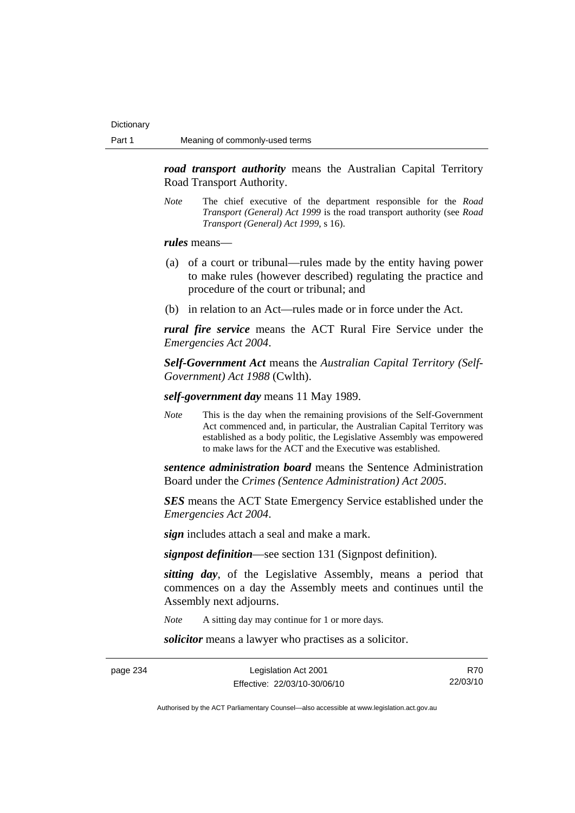*road transport authority* means the Australian Capital Territory Road Transport Authority.

*Note* The chief executive of the department responsible for the *Road Transport (General) Act 1999* is the road transport authority (see *Road Transport (General) Act 1999*, s 16).

*rules* means—

- (a) of a court or tribunal—rules made by the entity having power to make rules (however described) regulating the practice and procedure of the court or tribunal; and
- (b) in relation to an Act—rules made or in force under the Act.

*rural fire service* means the ACT Rural Fire Service under the *Emergencies Act 2004*.

*Self-Government Act* means the *Australian Capital Territory (Self-Government) Act 1988* (Cwlth).

*self-government day* means 11 May 1989.

*Note* This is the day when the remaining provisions of the Self-Government Act commenced and, in particular, the Australian Capital Territory was established as a body politic, the Legislative Assembly was empowered to make laws for the ACT and the Executive was established.

*sentence administration board* means the Sentence Administration Board under the *Crimes (Sentence Administration) Act 2005*.

*SES* means the ACT State Emergency Service established under the *Emergencies Act 2004*.

*sign* includes attach a seal and make a mark.

*signpost definition*—see section 131 (Signpost definition).

*sitting day*, of the Legislative Assembly, means a period that commences on a day the Assembly meets and continues until the Assembly next adjourns.

*Note* A sitting day may continue for 1 or more days.

*solicitor* means a lawyer who practises as a solicitor.

page 234 Legislation Act 2001 Effective: 22/03/10-30/06/10

R70 22/03/10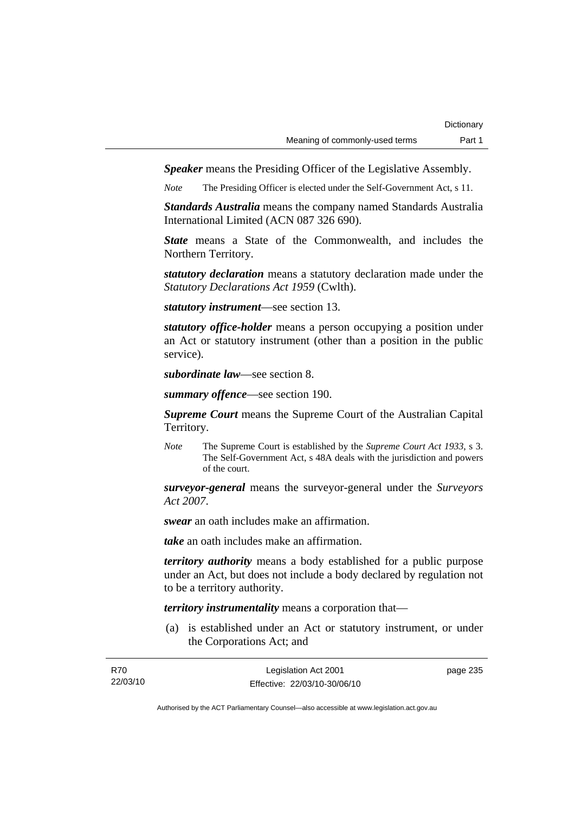*Speaker* means the Presiding Officer of the Legislative Assembly.

*Note* The Presiding Officer is elected under the Self-Government Act, s 11.

*Standards Australia* means the company named Standards Australia International Limited (ACN 087 326 690).

*State* means a State of the Commonwealth, and includes the Northern Territory.

*statutory declaration* means a statutory declaration made under the *Statutory Declarations Act 1959* (Cwlth).

*statutory instrument*—see section 13.

*statutory office-holder* means a person occupying a position under an Act or statutory instrument (other than a position in the public service).

*subordinate law*—see section 8.

*summary offence*—see section 190.

*Supreme Court* means the Supreme Court of the Australian Capital Territory.

*Note* The Supreme Court is established by the *Supreme Court Act 1933*, s 3. The Self-Government Act, s 48A deals with the jurisdiction and powers of the court.

*surveyor-general* means the surveyor-general under the *Surveyors Act 2007*.

*swear* an oath includes make an affirmation.

*take* an oath includes make an affirmation.

*territory authority* means a body established for a public purpose under an Act, but does not include a body declared by regulation not to be a territory authority.

*territory instrumentality* means a corporation that—

 (a) is established under an Act or statutory instrument, or under the Corporations Act; and

| R70      | Legislation Act 2001         | page 235 |
|----------|------------------------------|----------|
| 22/03/10 | Effective: 22/03/10-30/06/10 |          |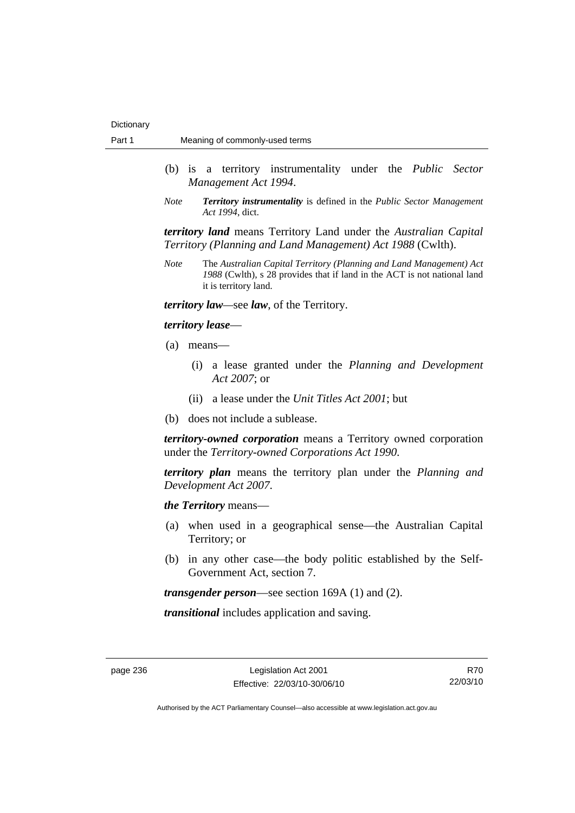- (b) is a territory instrumentality under the *Public Sector Management Act 1994*.
- *Note Territory instrumentality* is defined in the *Public Sector Management Act 1994*, dict.

*territory land* means Territory Land under the *Australian Capital Territory (Planning and Land Management) Act 1988* (Cwlth).

*Note* The *Australian Capital Territory (Planning and Land Management) Act 1988* (Cwlth), s 28 provides that if land in the ACT is not national land it is territory land.

*territory law—*see *law*, of the Territory.

#### *territory lease*—

- (a) means—
	- (i) a lease granted under the *Planning and Development Act 2007*; or
	- (ii) a lease under the *Unit Titles Act 2001*; but
- (b) does not include a sublease.

*territory-owned corporation* means a Territory owned corporation under the *Territory-owned Corporations Act 1990*.

*territory plan* means the territory plan under the *Planning and Development Act 2007*.

*the Territory* means—

- (a) when used in a geographical sense—the Australian Capital Territory; or
- (b) in any other case—the body politic established by the Self-Government Act, section 7.

*transgender person*—see section 169A (1) and (2).

*transitional* includes application and saving.

R70 22/03/10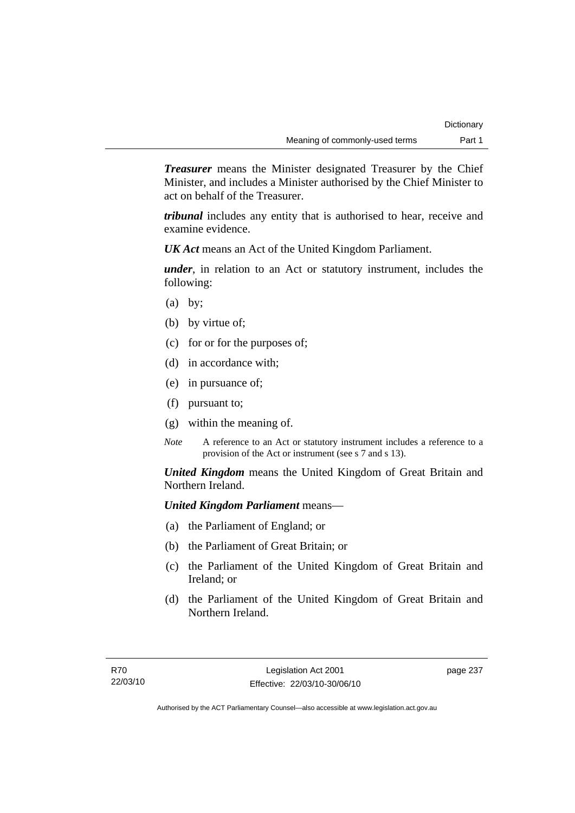*Treasurer* means the Minister designated Treasurer by the Chief Minister, and includes a Minister authorised by the Chief Minister to act on behalf of the Treasurer.

*tribunal* includes any entity that is authorised to hear, receive and examine evidence.

*UK Act* means an Act of the United Kingdom Parliament.

*under*, in relation to an Act or statutory instrument, includes the following:

- $(a)$  by;
- (b) by virtue of;
- (c) for or for the purposes of;
- (d) in accordance with;
- (e) in pursuance of;
- (f) pursuant to;
- (g) within the meaning of.
- *Note* A reference to an Act or statutory instrument includes a reference to a provision of the Act or instrument (see s 7 and s 13).

*United Kingdom* means the United Kingdom of Great Britain and Northern Ireland.

### *United Kingdom Parliament* means—

- (a) the Parliament of England; or
- (b) the Parliament of Great Britain; or
- (c) the Parliament of the United Kingdom of Great Britain and Ireland; or
- (d) the Parliament of the United Kingdom of Great Britain and Northern Ireland.

page 237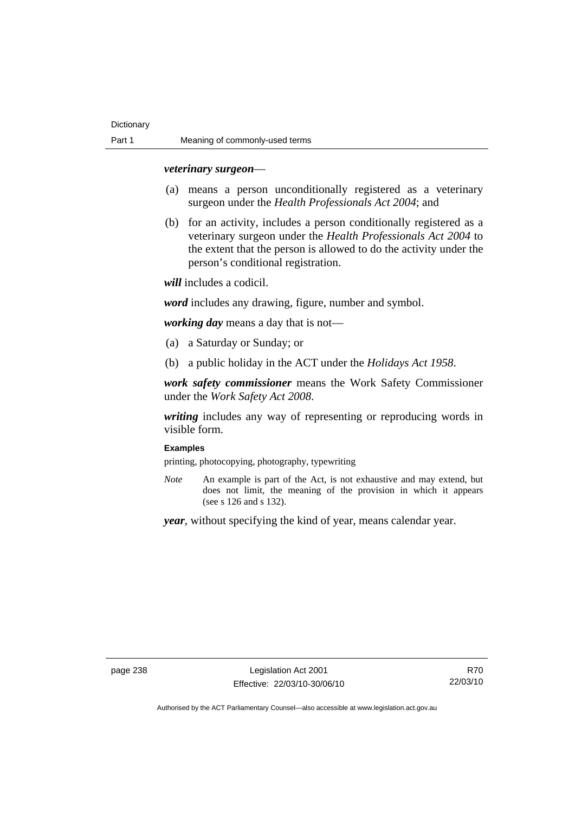#### *veterinary surgeon*—

- (a) means a person unconditionally registered as a veterinary surgeon under the *Health Professionals Act 2004*; and
- (b) for an activity, includes a person conditionally registered as a veterinary surgeon under the *Health Professionals Act 2004* to the extent that the person is allowed to do the activity under the person's conditional registration.

*will* includes a codicil.

*word* includes any drawing, figure, number and symbol.

*working day* means a day that is not—

- (a) a Saturday or Sunday; or
- (b) a public holiday in the ACT under the *Holidays Act 1958*.

*work safety commissioner* means the Work Safety Commissioner under the *Work Safety Act 2008*.

*writing* includes any way of representing or reproducing words in visible form.

#### **Examples**

printing, photocopying, photography, typewriting

*Note* An example is part of the Act, is not exhaustive and may extend, but does not limit, the meaning of the provision in which it appears (see s 126 and s 132).

*year*, without specifying the kind of year, means calendar year.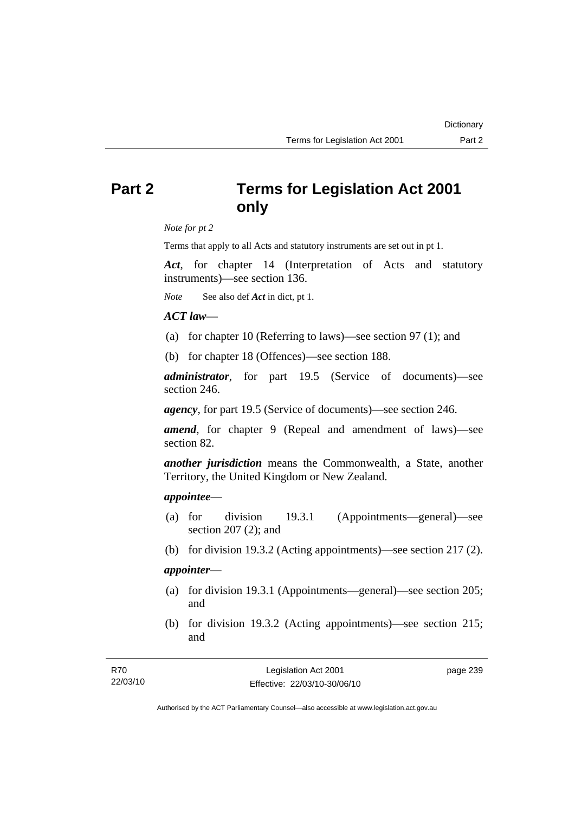## **Part 2 Terms for Legislation Act 2001 only**

*Note for pt 2* 

Terms that apply to all Acts and statutory instruments are set out in pt 1.

*Act*, for chapter 14 (Interpretation of Acts and statutory instruments)—see section 136.

*Note* See also def *Act* in dict, pt 1.

### *ACT law*—

- (a) for chapter 10 (Referring to laws)—see section 97 (1); and
- (b) for chapter 18 (Offences)—see section 188.

*administrator*, for part 19.5 (Service of documents)—see section 246.

*agency*, for part 19.5 (Service of documents)—see section 246.

*amend*, for chapter 9 (Repeal and amendment of laws)—see section 82.

*another jurisdiction* means the Commonwealth, a State, another Territory, the United Kingdom or New Zealand.

### *appointee*—

- (a) for division 19.3.1 (Appointments—general)—see section 207 (2); and
- (b) for division 19.3.2 (Acting appointments)—see section 217 (2).

### *appointer*—

- (a) for division 19.3.1 (Appointments—general)—see section 205; and
- (b) for division 19.3.2 (Acting appointments)—see section 215; and

| R70      | Legislation Act 2001         | page 239 |
|----------|------------------------------|----------|
| 22/03/10 | Effective: 22/03/10-30/06/10 |          |

Authorised by the ACT Parliamentary Counsel—also accessible at www.legislation.act.gov.au

**Dictionary**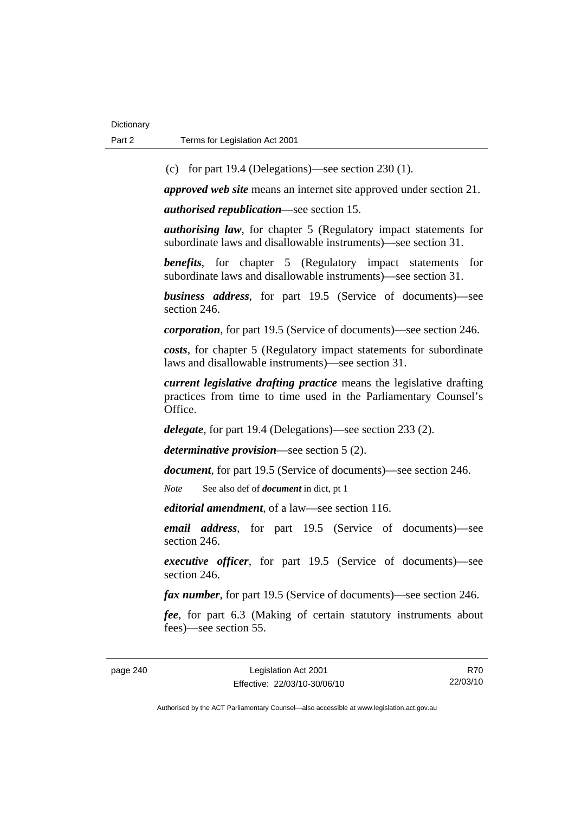(c) for part 19.4 (Delegations)—see section 230 (1).

*approved web site* means an internet site approved under section 21.

*authorised republication*—see section 15.

*authorising law*, for chapter 5 (Regulatory impact statements for subordinate laws and disallowable instruments)—see section 31.

*benefits*, for chapter 5 (Regulatory impact statements for subordinate laws and disallowable instruments)—see section 31.

*business address*, for part 19.5 (Service of documents)—see section 246.

*corporation*, for part 19.5 (Service of documents)—see section 246.

*costs*, for chapter 5 (Regulatory impact statements for subordinate laws and disallowable instruments)—see section 31.

*current legislative drafting practice* means the legislative drafting practices from time to time used in the Parliamentary Counsel's Office.

*delegate*, for part 19.4 (Delegations)—see section 233 (2).

*determinative provision*—see section 5 (2).

*document*, for part 19.5 (Service of documents)—see section 246.

*Note* See also def of *document* in dict, pt 1

*editorial amendment*, of a law—see section 116.

*email address*, for part 19.5 (Service of documents)—see section 246.

*executive officer*, for part 19.5 (Service of documents)—see section 246.

*fax number*, for part 19.5 (Service of documents)—see section 246.

*fee*, for part 6.3 (Making of certain statutory instruments about fees)—see section 55.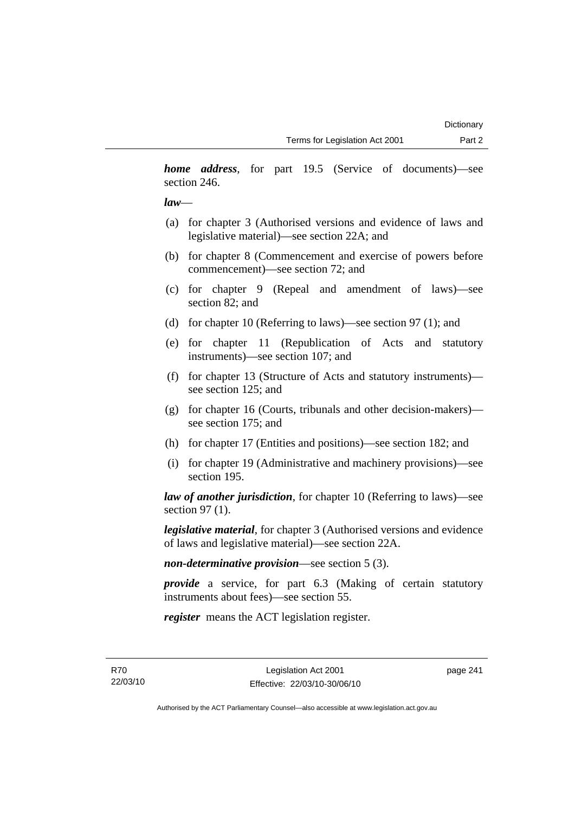*home address*, for part 19.5 (Service of documents)—see section 246.

### *law*—

- (a) for chapter 3 (Authorised versions and evidence of laws and legislative material)—see section 22A; and
- (b) for chapter 8 (Commencement and exercise of powers before commencement)—see section 72; and
- (c) for chapter 9 (Repeal and amendment of laws)—see section 82; and
- (d) for chapter 10 (Referring to laws)—see section 97 (1); and
- (e) for chapter 11 (Republication of Acts and statutory instruments)—see section 107; and
- (f) for chapter 13 (Structure of Acts and statutory instruments) see section 125; and
- (g) for chapter 16 (Courts, tribunals and other decision-makers) see section 175; and
- (h) for chapter 17 (Entities and positions)—see section 182; and
- (i) for chapter 19 (Administrative and machinery provisions)—see section 195.

*law of another jurisdiction*, for chapter 10 (Referring to laws)—see section 97 (1).

*legislative material*, for chapter 3 (Authorised versions and evidence of laws and legislative material)—see section 22A.

*non-determinative provision*—see section 5 (3).

*provide* a service, for part 6.3 (Making of certain statutory instruments about fees)—see section 55.

*register* means the ACT legislation register.

page 241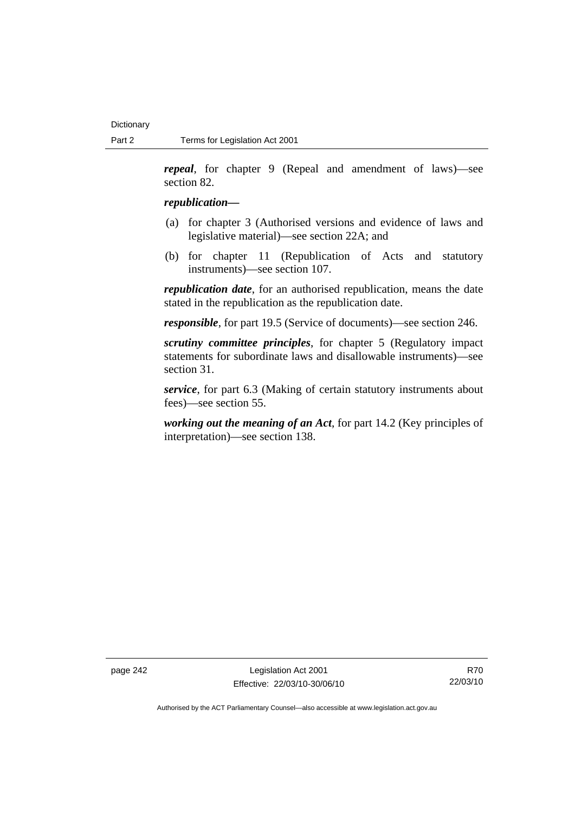*repeal*, for chapter 9 (Repeal and amendment of laws)—see section 82.

### *republication—*

- (a) for chapter 3 (Authorised versions and evidence of laws and legislative material)—see section 22A; and
- (b) for chapter 11 (Republication of Acts and statutory instruments)—see section 107.

*republication date*, for an authorised republication, means the date stated in the republication as the republication date.

*responsible*, for part 19.5 (Service of documents)—see section 246.

*scrutiny committee principles*, for chapter 5 (Regulatory impact statements for subordinate laws and disallowable instruments)—see section 31.

*service*, for part 6.3 (Making of certain statutory instruments about fees)—see section 55.

*working out the meaning of an Act*, for part 14.2 (Key principles of interpretation)—see section 138.

page 242 Legislation Act 2001 Effective: 22/03/10-30/06/10

R70 22/03/10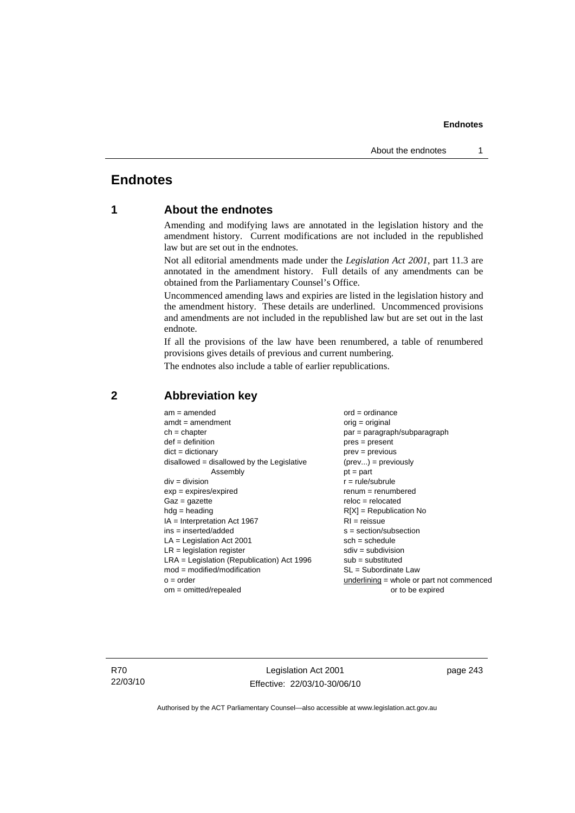## **Endnotes**

### **1 About the endnotes**

Amending and modifying laws are annotated in the legislation history and the amendment history. Current modifications are not included in the republished law but are set out in the endnotes.

Not all editorial amendments made under the *Legislation Act 2001*, part 11.3 are annotated in the amendment history. Full details of any amendments can be obtained from the Parliamentary Counsel's Office.

Uncommenced amending laws and expiries are listed in the legislation history and the amendment history. These details are underlined. Uncommenced provisions and amendments are not included in the republished law but are set out in the last endnote.

If all the provisions of the law have been renumbered, a table of renumbered provisions gives details of previous and current numbering.

The endnotes also include a table of earlier republications.

| $am = amended$                               | $ord = ordinance$                         |
|----------------------------------------------|-------------------------------------------|
| $amdt = amendment$                           | $orig = original$                         |
| $ch = chapter$                               | par = paragraph/subparagraph              |
| $def = definition$                           | $pres = present$                          |
| $dict = dictionary$                          | $prev = previous$                         |
| $disallowed = disallowed by the Legislative$ | $(\text{prev}) = \text{previously}$       |
| Assembly                                     | $pt = part$                               |
| $div = division$                             | $r = rule/subrule$                        |
| $exp = expires/expired$                      | $renum = renumbered$                      |
| $Gaz = gazette$                              | $reloc = relocated$                       |
| $hdg =$ heading                              | $R[X]$ = Republication No                 |
| $IA = Interpretation Act 1967$               | $RI = reissue$                            |
| $ins = inserted/added$                       | $s = section/subsection$                  |
| $LA =$ Legislation Act 2001                  | $sch = schedule$                          |
| $LR =$ legislation register                  | $sdiv = subdivision$                      |
| $LRA =$ Legislation (Republication) Act 1996 | $sub =$ substituted                       |
| $mod = modified/modification$                | SL = Subordinate Law                      |
| $o = order$                                  | underlining = whole or part not commenced |
| $om = omitted/report$                        | or to be expired                          |
|                                              |                                           |

### **2 Abbreviation key**

R70 22/03/10

Legislation Act 2001 Effective: 22/03/10-30/06/10 page 243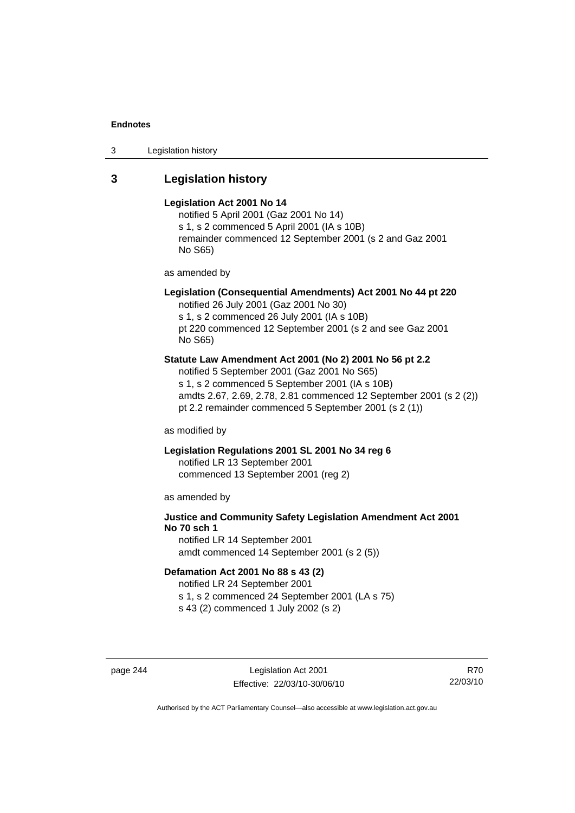3 Legislation history

### **3 Legislation history**

#### **Legislation Act 2001 No 14**

notified 5 April 2001 (Gaz 2001 No 14) s 1, s 2 commenced 5 April 2001 (IA s 10B) remainder commenced 12 September 2001 (s 2 and Gaz 2001 No S65)

as amended by

### **Legislation (Consequential Amendments) Act 2001 No 44 pt 220**

notified 26 July 2001 (Gaz 2001 No 30) s 1, s 2 commenced 26 July 2001 (IA s 10B) pt 220 commenced 12 September 2001 (s 2 and see Gaz 2001 No S65)

### **Statute Law Amendment Act 2001 (No 2) 2001 No 56 pt 2.2**

notified 5 September 2001 (Gaz 2001 No S65) s 1, s 2 commenced 5 September 2001 (IA s 10B) amdts 2.67, 2.69, 2.78, 2.81 commenced 12 September 2001 (s 2 (2)) pt 2.2 remainder commenced 5 September 2001 (s 2 (1))

as modified by

### **Legislation Regulations 2001 SL 2001 No 34 reg 6**

notified LR 13 September 2001 commenced 13 September 2001 (reg 2)

as amended by

### **Justice and Community Safety Legislation Amendment Act 2001 No 70 sch 1**

notified LR 14 September 2001 amdt commenced 14 September 2001 (s 2 (5))

### **Defamation Act 2001 No 88 s 43 (2)**

notified LR 24 September 2001 s 1, s 2 commenced 24 September 2001 (LA s 75)

s 43 (2) commenced 1 July 2002 (s 2)

page 244 Legislation Act 2001 Effective: 22/03/10-30/06/10

R70 22/03/10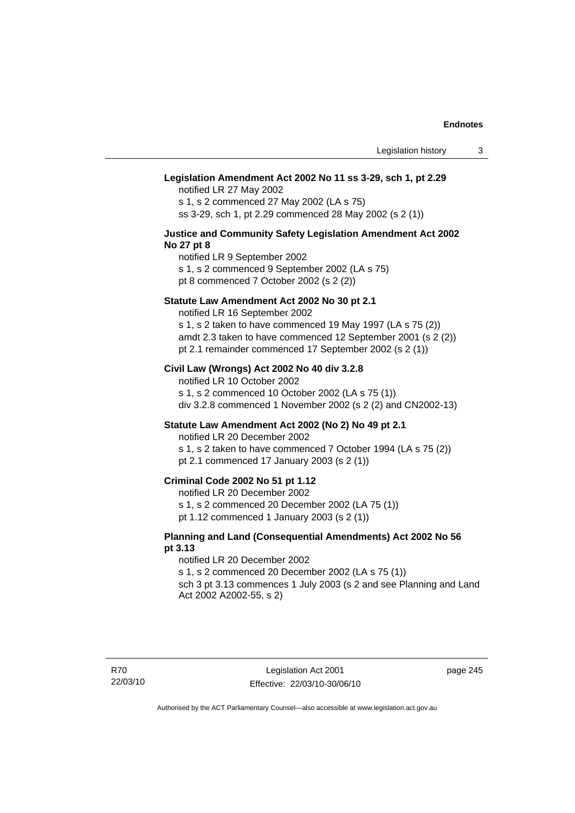#### **Legislation Amendment Act 2002 No 11 ss 3-29, sch 1, pt 2.29**

notified LR 27 May 2002 s 1, s 2 commenced 27 May 2002 (LA s 75) ss 3-29, sch 1, pt 2.29 commenced 28 May 2002 (s 2 (1))

#### **Justice and Community Safety Legislation Amendment Act 2002 No 27 pt 8**

notified LR 9 September 2002 s 1, s 2 commenced 9 September 2002 (LA s 75)

pt 8 commenced 7 October 2002 (s 2 (2))

### **Statute Law Amendment Act 2002 No 30 pt 2.1**

notified LR 16 September 2002 s 1, s 2 taken to have commenced 19 May 1997 (LA s 75 (2)) amdt 2.3 taken to have commenced 12 September 2001 (s 2 (2))

pt 2.1 remainder commenced 17 September 2002 (s 2 (1))

### **Civil Law (Wrongs) Act 2002 No 40 div 3.2.8**

notified LR 10 October 2002 s 1, s 2 commenced 10 October 2002 (LA s 75 (1)) div 3.2.8 commenced 1 November 2002 (s 2 (2) and CN2002-13)

### **Statute Law Amendment Act 2002 (No 2) No 49 pt 2.1**

notified LR 20 December 2002

s 1, s 2 taken to have commenced 7 October 1994 (LA s 75 (2)) pt 2.1 commenced 17 January 2003 (s 2 (1))

### **Criminal Code 2002 No 51 pt 1.12**

notified LR 20 December 2002

s 1, s 2 commenced 20 December 2002 (LA 75 (1))

pt 1.12 commenced 1 January 2003 (s 2 (1))

### **Planning and Land (Consequential Amendments) Act 2002 No 56 pt 3.13**

#### notified LR 20 December 2002

s 1, s 2 commenced 20 December 2002 (LA s 75 (1)) sch 3 pt 3.13 commences 1 July 2003 (s 2 and see Planning and Land

Act 2002 A2002-55, s 2)

page 245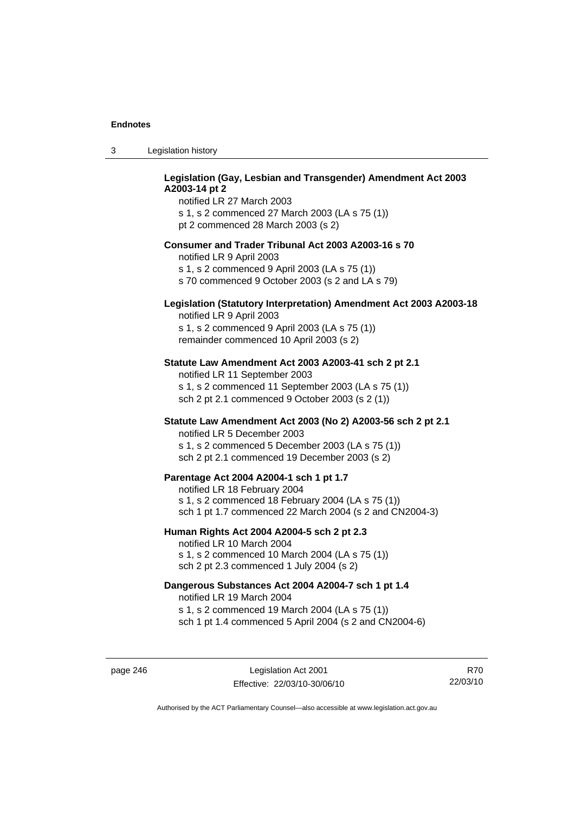| -3 | Legislation history |
|----|---------------------|
|----|---------------------|

### **Legislation (Gay, Lesbian and Transgender) Amendment Act 2003 A2003-14 pt 2**

notified LR 27 March 2003 s 1, s 2 commenced 27 March 2003 (LA s 75 (1)) pt 2 commenced 28 March 2003 (s 2)

#### **Consumer and Trader Tribunal Act 2003 A2003-16 s 70**

notified LR 9 April 2003

s 1, s 2 commenced 9 April 2003 (LA s 75 (1))

s 70 commenced 9 October 2003 (s 2 and LA s 79)

### **Legislation (Statutory Interpretation) Amendment Act 2003 A2003-18**

notified LR 9 April 2003 s 1, s 2 commenced 9 April 2003 (LA s 75 (1)) remainder commenced 10 April 2003 (s 2)

#### **Statute Law Amendment Act 2003 A2003-41 sch 2 pt 2.1**

notified LR 11 September 2003 s 1, s 2 commenced 11 September 2003 (LA s 75 (1)) sch 2 pt 2.1 commenced 9 October 2003 (s 2 (1))

### **Statute Law Amendment Act 2003 (No 2) A2003-56 sch 2 pt 2.1**

notified LR 5 December 2003 s 1, s 2 commenced 5 December 2003 (LA s 75 (1)) sch 2 pt 2.1 commenced 19 December 2003 (s 2)

#### **Parentage Act 2004 A2004-1 sch 1 pt 1.7**

notified LR 18 February 2004 s 1, s 2 commenced 18 February 2004 (LA s 75 (1)) sch 1 pt 1.7 commenced 22 March 2004 (s 2 and CN2004-3)

#### **Human Rights Act 2004 A2004-5 sch 2 pt 2.3**

notified LR 10 March 2004 s 1, s 2 commenced 10 March 2004 (LA s 75 (1)) sch 2 pt 2.3 commenced 1 July 2004 (s 2)

#### **Dangerous Substances Act 2004 A2004-7 sch 1 pt 1.4**

notified LR 19 March 2004 s 1, s 2 commenced 19 March 2004 (LA s 75 (1)) sch 1 pt 1.4 commenced 5 April 2004 (s 2 and CN2004-6)

page 246 Legislation Act 2001 Effective: 22/03/10-30/06/10

R70 22/03/10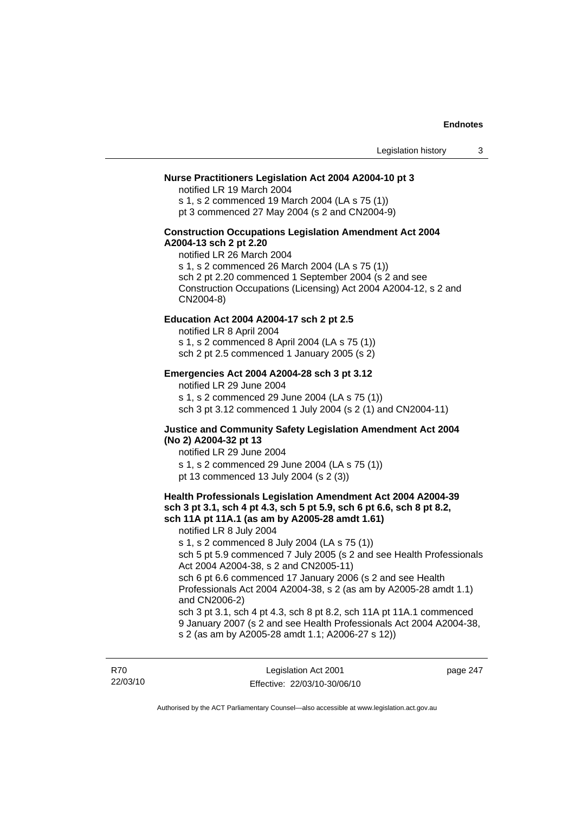### **Nurse Practitioners Legislation Act 2004 A2004-10 pt 3**

notified LR 19 March 2004 s 1, s 2 commenced 19 March 2004 (LA s 75 (1)) pt 3 commenced 27 May 2004 (s 2 and CN2004-9)

#### **Construction Occupations Legislation Amendment Act 2004 A2004-13 sch 2 pt 2.20**

notified LR 26 March 2004 s 1, s 2 commenced 26 March 2004 (LA s 75 (1)) sch 2 pt 2.20 commenced 1 September 2004 (s 2 and see Construction Occupations (Licensing) Act 2004 A2004-12, s 2 and CN2004-8)

#### **Education Act 2004 A2004-17 sch 2 pt 2.5**

notified LR 8 April 2004 s 1, s 2 commenced 8 April 2004 (LA s 75 (1)) sch 2 pt 2.5 commenced 1 January 2005 (s 2)

#### **Emergencies Act 2004 A2004-28 sch 3 pt 3.12**

notified LR 29 June 2004

s 1, s 2 commenced 29 June 2004 (LA s 75 (1)) sch 3 pt 3.12 commenced 1 July 2004 (s 2 (1) and CN2004-11)

#### **Justice and Community Safety Legislation Amendment Act 2004 (No 2) A2004-32 pt 13**

notified LR 29 June 2004 s 1, s 2 commenced 29 June 2004 (LA s 75 (1)) pt 13 commenced 13 July 2004 (s 2 (3))

#### **Health Professionals Legislation Amendment Act 2004 A2004-39 sch 3 pt 3.1, sch 4 pt 4.3, sch 5 pt 5.9, sch 6 pt 6.6, sch 8 pt 8.2, sch 11A pt 11A.1 (as am by A2005-28 amdt 1.61)**

notified LR 8 July 2004 s 1, s 2 commenced 8 July 2004 (LA s 75 (1)) sch 5 pt 5.9 commenced 7 July 2005 (s 2 and see Health Professionals Act 2004 A2004-38, s 2 and CN2005-11) sch 6 pt 6.6 commenced 17 January 2006 (s 2 and see Health Professionals Act 2004 A2004-38, s 2 (as am by A2005-28 amdt 1.1) and CN2006-2) sch 3 pt 3.1, sch 4 pt 4.3, sch 8 pt 8.2, sch 11A pt 11A.1 commenced 9 January 2007 (s 2 and see Health Professionals Act 2004 A2004-38,

s 2 (as am by A2005-28 amdt 1.1; A2006-27 s 12))

R70 22/03/10 page 247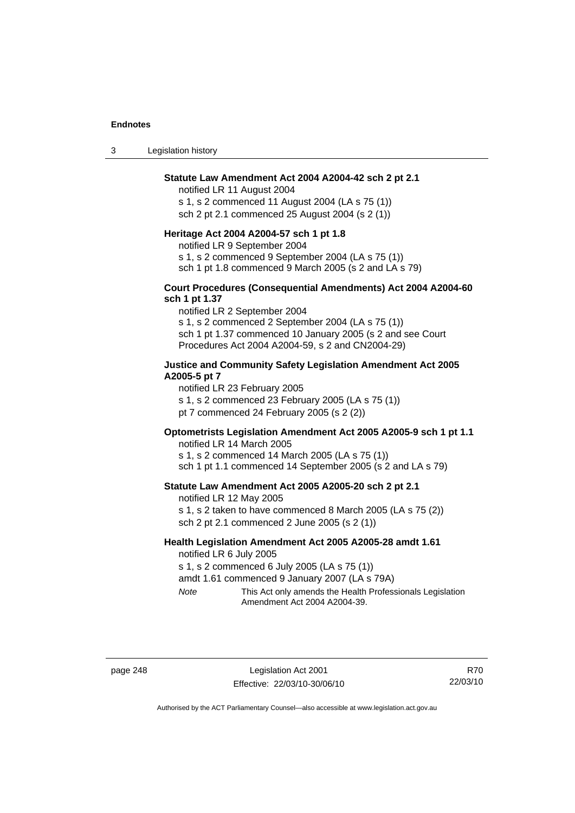3 Legislation history

### **Statute Law Amendment Act 2004 A2004-42 sch 2 pt 2.1**

notified LR 11 August 2004 s 1, s 2 commenced 11 August 2004 (LA s 75 (1)) sch 2 pt 2.1 commenced 25 August 2004 (s 2 (1))

#### **Heritage Act 2004 A2004-57 sch 1 pt 1.8**

notified LR 9 September 2004

s 1, s 2 commenced 9 September 2004 (LA s 75 (1))

sch 1 pt 1.8 commenced 9 March 2005 (s 2 and LA s 79)

### **Court Procedures (Consequential Amendments) Act 2004 A2004-60 sch 1 pt 1.37**

notified LR 2 September 2004 s 1, s 2 commenced 2 September 2004 (LA s 75 (1)) sch 1 pt 1.37 commenced 10 January 2005 (s 2 and see Court Procedures Act 2004 A2004-59, s 2 and CN2004-29)

### **Justice and Community Safety Legislation Amendment Act 2005 A2005-5 pt 7**

notified LR 23 February 2005

s 1, s 2 commenced 23 February 2005 (LA s 75 (1))

pt 7 commenced 24 February 2005 (s 2 (2))

### **Optometrists Legislation Amendment Act 2005 A2005-9 sch 1 pt 1.1**

notified LR 14 March 2005 s 1, s 2 commenced 14 March 2005 (LA s 75 (1)) sch 1 pt 1.1 commenced 14 September 2005 (s 2 and LA s 79)

#### **Statute Law Amendment Act 2005 A2005-20 sch 2 pt 2.1**

notified LR 12 May 2005 s 1, s 2 taken to have commenced 8 March 2005 (LA s 75 (2)) sch 2 pt 2.1 commenced 2 June 2005 (s 2 (1))

#### **Health Legislation Amendment Act 2005 A2005-28 amdt 1.61**  notified LR 6 July 2005

s 1, s 2 commenced 6 July 2005 (LA s 75 (1))

amdt 1.61 commenced 9 January 2007 (LA s 79A)

*Note* This Act only amends the Health Professionals Legislation Amendment Act 2004 A2004-39.

page 248 Legislation Act 2001 Effective: 22/03/10-30/06/10

R70 22/03/10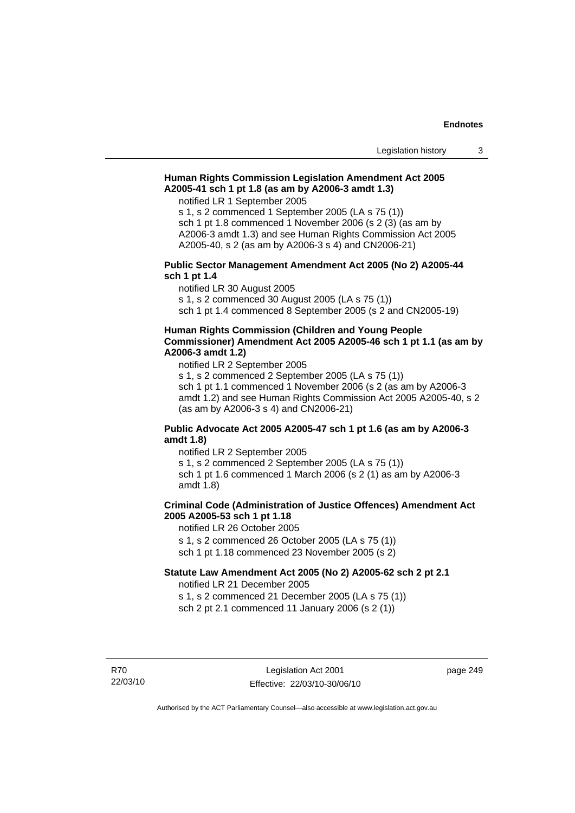### **Human Rights Commission Legislation Amendment Act 2005 A2005-41 sch 1 pt 1.8 (as am by A2006-3 amdt 1.3)**

notified LR 1 September 2005

s 1, s 2 commenced 1 September 2005 (LA s 75 (1)) sch 1 pt 1.8 commenced 1 November 2006 (s 2 (3) (as am by A2006-3 amdt 1.3) and see Human Rights Commission Act 2005 A2005-40, s 2 (as am by A2006-3 s 4) and CN2006-21)

#### **Public Sector Management Amendment Act 2005 (No 2) A2005-44 sch 1 pt 1.4**

notified LR 30 August 2005

s 1, s 2 commenced 30 August 2005 (LA s 75 (1))

sch 1 pt 1.4 commenced 8 September 2005 (s 2 and CN2005-19)

### **Human Rights Commission (Children and Young People Commissioner) Amendment Act 2005 A2005-46 sch 1 pt 1.1 (as am by A2006-3 amdt 1.2)**

notified LR 2 September 2005

s 1, s 2 commenced 2 September 2005 (LA s 75 (1)) sch 1 pt 1.1 commenced 1 November 2006 (s 2 (as am by A2006-3 amdt 1.2) and see Human Rights Commission Act 2005 A2005-40, s 2 (as am by A2006-3 s 4) and CN2006-21)

### **Public Advocate Act 2005 A2005-47 sch 1 pt 1.6 (as am by A2006-3 amdt 1.8)**

notified LR 2 September 2005 s 1, s 2 commenced 2 September 2005 (LA s 75 (1)) sch 1 pt 1.6 commenced 1 March 2006 (s 2 (1) as am by A2006-3 amdt 1.8)

### **Criminal Code (Administration of Justice Offences) Amendment Act 2005 A2005-53 sch 1 pt 1.18**

notified LR 26 October 2005 s 1, s 2 commenced 26 October 2005 (LA s 75 (1)) sch 1 pt 1.18 commenced 23 November 2005 (s 2)

**Statute Law Amendment Act 2005 (No 2) A2005-62 sch 2 pt 2.1**  notified LR 21 December 2005

s 1, s 2 commenced 21 December 2005 (LA s 75 (1)) sch 2 pt 2.1 commenced 11 January 2006 (s 2 (1))

R70 22/03/10 page 249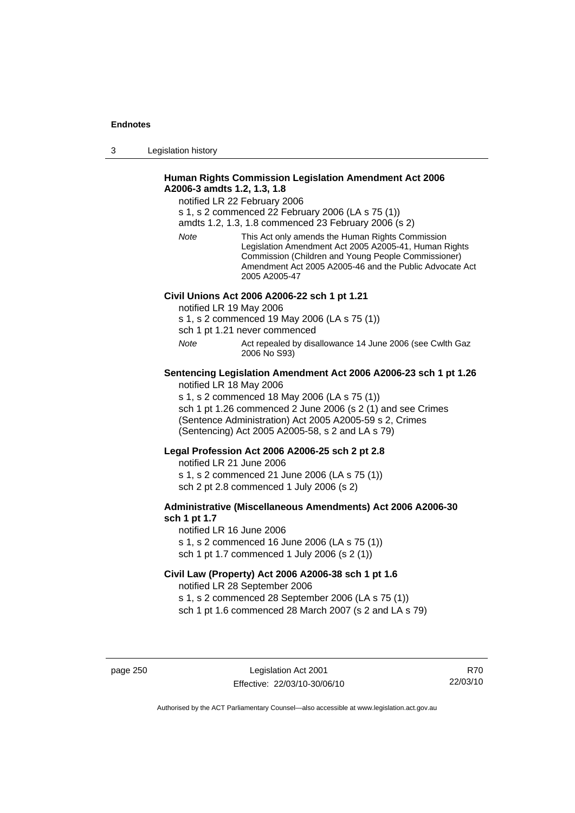3 Legislation history

### **Human Rights Commission Legislation Amendment Act 2006 A2006-3 amdts 1.2, 1.3, 1.8**

notified LR 22 February 2006

s 1, s 2 commenced 22 February 2006 (LA s 75 (1))

amdts 1.2, 1.3, 1.8 commenced 23 February 2006 (s 2)

*Note* This Act only amends the Human Rights Commission Legislation Amendment Act 2005 A2005-41, Human Rights Commission (Children and Young People Commissioner) Amendment Act 2005 A2005-46 and the Public Advocate Act 2005 A2005-47

### **Civil Unions Act 2006 A2006-22 sch 1 pt 1.21**

notified LR 19 May 2006

s 1, s 2 commenced 19 May 2006 (LA s 75 (1))

sch 1 pt 1.21 never commenced

*Note* Act repealed by disallowance 14 June 2006 (see Cwlth Gaz 2006 No S93)

#### **Sentencing Legislation Amendment Act 2006 A2006-23 sch 1 pt 1.26**  notified LR 18 May 2006

s 1, s 2 commenced 18 May 2006 (LA s 75 (1))

sch 1 pt 1.26 commenced 2 June 2006 (s 2 (1) and see Crimes (Sentence Administration) Act 2005 A2005-59 s 2, Crimes (Sentencing) Act 2005 A2005-58, s 2 and LA s 79)

### **Legal Profession Act 2006 A2006-25 sch 2 pt 2.8**

notified LR 21 June 2006 s 1, s 2 commenced 21 June 2006 (LA s 75 (1)) sch 2 pt 2.8 commenced 1 July 2006 (s 2)

### **Administrative (Miscellaneous Amendments) Act 2006 A2006-30 sch 1 pt 1.7**

notified LR 16 June 2006 s 1, s 2 commenced 16 June 2006 (LA s 75 (1)) sch 1 pt 1.7 commenced 1 July 2006 (s 2 (1))

### **Civil Law (Property) Act 2006 A2006-38 sch 1 pt 1.6**  notified LR 28 September 2006

s 1, s 2 commenced 28 September 2006 (LA s 75 (1)) sch 1 pt 1.6 commenced 28 March 2007 (s 2 and LA s 79)

page 250 Legislation Act 2001 Effective: 22/03/10-30/06/10

R70 22/03/10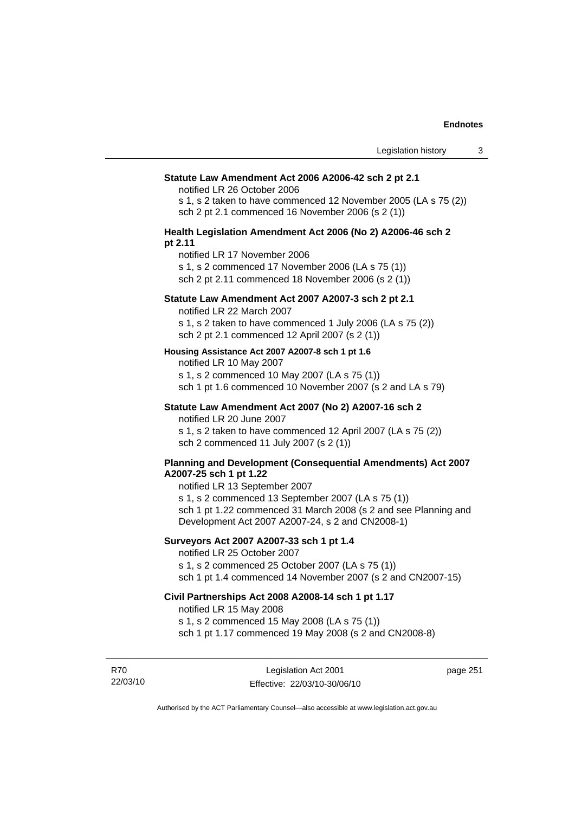#### **Statute Law Amendment Act 2006 A2006-42 sch 2 pt 2.1**

notified LR 26 October 2006

s 1, s 2 taken to have commenced 12 November 2005 (LA s 75 (2)) sch 2 pt 2.1 commenced 16 November 2006 (s 2 (1))

#### **Health Legislation Amendment Act 2006 (No 2) A2006-46 sch 2 pt 2.11**

notified LR 17 November 2006

s 1, s 2 commenced 17 November 2006 (LA s 75 (1))

sch 2 pt 2.11 commenced 18 November 2006 (s 2 (1))

### **Statute Law Amendment Act 2007 A2007-3 sch 2 pt 2.1**

notified LR 22 March 2007

s 1, s 2 taken to have commenced 1 July 2006 (LA s 75 (2)) sch 2 pt 2.1 commenced 12 April 2007 (s 2 (1))

#### **Housing Assistance Act 2007 A2007-8 sch 1 pt 1.6**

notified LR 10 May 2007

s 1, s 2 commenced 10 May 2007 (LA s 75 (1)) sch 1 pt 1.6 commenced 10 November 2007 (s 2 and LA s 79)

### **Statute Law Amendment Act 2007 (No 2) A2007-16 sch 2**

notified LR 20 June 2007

s 1, s 2 taken to have commenced 12 April 2007 (LA s 75 (2)) sch 2 commenced 11 July 2007 (s 2 (1))

#### **Planning and Development (Consequential Amendments) Act 2007 A2007-25 sch 1 pt 1.22**

notified LR 13 September 2007

s 1, s 2 commenced 13 September 2007 (LA s 75 (1)) sch 1 pt 1.22 commenced 31 March 2008 (s 2 and see Planning and Development Act 2007 A2007-24, s 2 and CN2008-1)

### **Surveyors Act 2007 A2007-33 sch 1 pt 1.4**

notified LR 25 October 2007

s 1, s 2 commenced 25 October 2007 (LA s 75 (1))

sch 1 pt 1.4 commenced 14 November 2007 (s 2 and CN2007-15)

### **Civil Partnerships Act 2008 A2008-14 sch 1 pt 1.17**

notified LR 15 May 2008

s 1, s 2 commenced 15 May 2008 (LA s 75 (1))

sch 1 pt 1.17 commenced 19 May 2008 (s 2 and CN2008-8)

R70 22/03/10

Legislation Act 2001 Effective: 22/03/10-30/06/10 page 251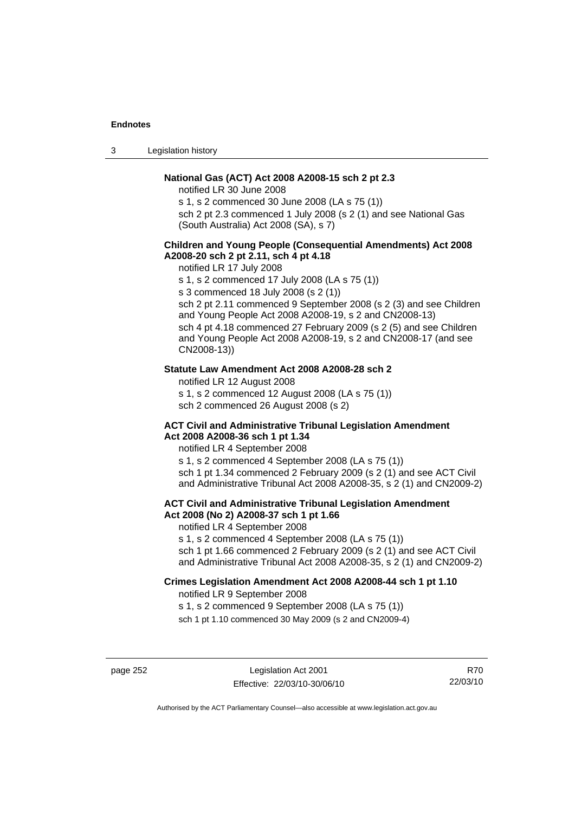3 Legislation history

### **National Gas (ACT) Act 2008 A2008-15 sch 2 pt 2.3**

notified LR 30 June 2008

s 1, s 2 commenced 30 June 2008 (LA s 75 (1))

sch 2 pt 2.3 commenced 1 July 2008 (s 2 (1) and see National Gas (South Australia) Act 2008 (SA), s 7)

### **Children and Young People (Consequential Amendments) Act 2008 A2008-20 sch 2 pt 2.11, sch 4 pt 4.18**

notified LR 17 July 2008

s 1, s 2 commenced 17 July 2008 (LA s 75 (1))

s 3 commenced 18 July 2008 (s 2 (1))

sch 2 pt 2.11 commenced 9 September 2008 (s 2 (3) and see Children and Young People Act 2008 A2008-19, s 2 and CN2008-13) sch 4 pt 4.18 commenced 27 February 2009 (s 2 (5) and see Children and Young People Act 2008 A2008-19, s 2 and CN2008-17 (and see CN2008-13))

### **Statute Law Amendment Act 2008 A2008-28 sch 2**

notified LR 12 August 2008 s 1, s 2 commenced 12 August 2008 (LA s 75 (1)) sch 2 commenced 26 August 2008 (s 2)

#### **ACT Civil and Administrative Tribunal Legislation Amendment Act 2008 A2008-36 sch 1 pt 1.34**

notified LR 4 September 2008

s 1, s 2 commenced 4 September 2008 (LA s 75 (1)) sch 1 pt 1.34 commenced 2 February 2009 (s 2 (1) and see ACT Civil and Administrative Tribunal Act 2008 A2008-35, s 2 (1) and CN2009-2)

### **ACT Civil and Administrative Tribunal Legislation Amendment Act 2008 (No 2) A2008-37 sch 1 pt 1.66**

notified LR 4 September 2008

s 1, s 2 commenced 4 September 2008 (LA s 75 (1))

sch 1 pt 1.66 commenced 2 February 2009 (s 2 (1) and see ACT Civil and Administrative Tribunal Act 2008 A2008-35, s 2 (1) and CN2009-2)

## **Crimes Legislation Amendment Act 2008 A2008-44 sch 1 pt 1.10**

notified LR 9 September 2008

s 1, s 2 commenced 9 September 2008 (LA s 75 (1))

sch 1 pt 1.10 commenced 30 May 2009 (s 2 and CN2009-4)

page 252 Legislation Act 2001 Effective: 22/03/10-30/06/10

R70 22/03/10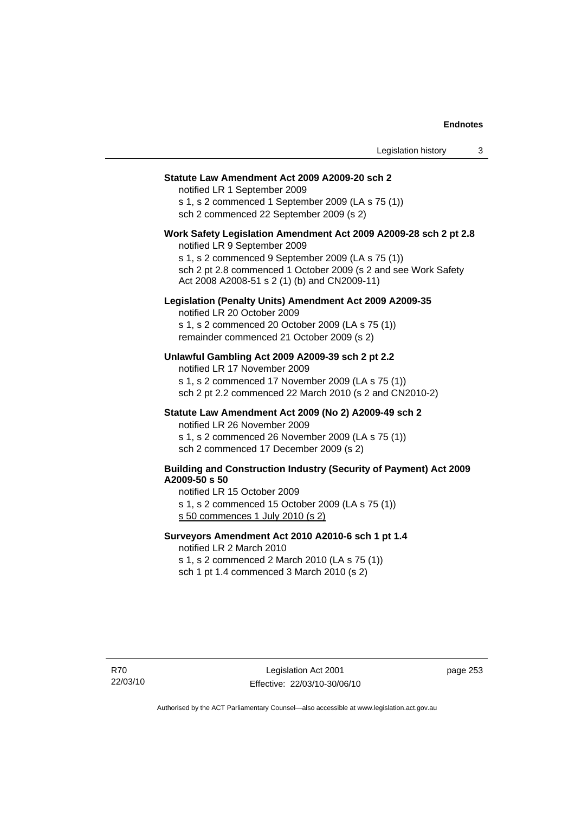#### **Statute Law Amendment Act 2009 A2009-20 sch 2**

notified LR 1 September 2009 s 1, s 2 commenced 1 September 2009 (LA s 75 (1)) sch 2 commenced 22 September 2009 (s 2)

## **Work Safety Legislation Amendment Act 2009 A2009-28 sch 2 pt 2.8**

notified LR 9 September 2009 s 1, s 2 commenced 9 September 2009 (LA s 75 (1)) sch 2 pt 2.8 commenced 1 October 2009 (s 2 and see Work Safety Act 2008 A2008-51 s 2 (1) (b) and CN2009-11)

### **Legislation (Penalty Units) Amendment Act 2009 A2009-35**

notified LR 20 October 2009 s 1, s 2 commenced 20 October 2009 (LA s 75 (1)) remainder commenced 21 October 2009 (s 2)

### **Unlawful Gambling Act 2009 A2009-39 sch 2 pt 2.2**

notified LR 17 November 2009 s 1, s 2 commenced 17 November 2009 (LA s 75 (1)) sch 2 pt 2.2 commenced 22 March 2010 (s 2 and CN2010-2)

### **Statute Law Amendment Act 2009 (No 2) A2009-49 sch 2**

notified LR 26 November 2009 s 1, s 2 commenced 26 November 2009 (LA s 75 (1)) sch 2 commenced 17 December 2009 (s 2)

#### **Building and Construction Industry (Security of Payment) Act 2009 A2009-50 s 50**

notified LR 15 October 2009

s 1, s 2 commenced 15 October 2009 (LA s 75 (1))

s 50 commences 1 July 2010 (s 2)

### **Surveyors Amendment Act 2010 A2010-6 sch 1 pt 1.4**

notified LR 2 March 2010

s 1, s 2 commenced 2 March 2010 (LA s 75 (1)) sch 1 pt 1.4 commenced 3 March 2010 (s 2)

page 253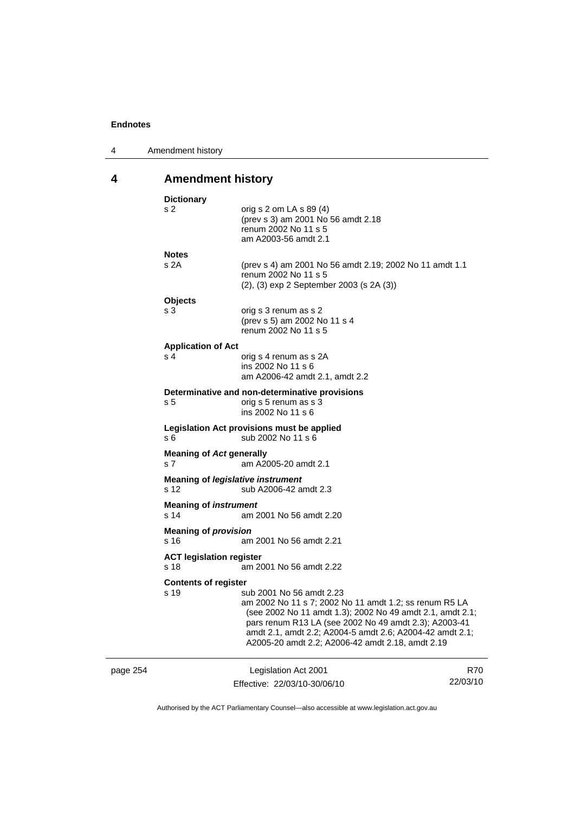| 4 | Amendment history |
|---|-------------------|
|---|-------------------|

## **4 Amendment history**

|          | <b>Dictionary</b>                                 |                                                                                                                                                                                                                                                                                                                          |          |
|----------|---------------------------------------------------|--------------------------------------------------------------------------------------------------------------------------------------------------------------------------------------------------------------------------------------------------------------------------------------------------------------------------|----------|
|          | s 2                                               | orig s 2 om LA s 89 (4)<br>(prev s 3) am 2001 No 56 amdt 2.18<br>renum 2002 No 11 s 5<br>am A2003-56 amdt 2.1                                                                                                                                                                                                            |          |
|          | <b>Notes</b>                                      |                                                                                                                                                                                                                                                                                                                          |          |
|          | s 2A                                              | (prev s 4) am 2001 No 56 amdt 2.19; 2002 No 11 amdt 1.1<br>renum 2002 No 11 s 5<br>(2), (3) exp 2 September 2003 (s 2A (3))                                                                                                                                                                                              |          |
|          | <b>Objects</b>                                    |                                                                                                                                                                                                                                                                                                                          |          |
|          | s 3                                               | orig s 3 renum as s 2<br>(prev s 5) am 2002 No 11 s 4<br>renum 2002 No 11 s 5                                                                                                                                                                                                                                            |          |
|          | <b>Application of Act</b>                         |                                                                                                                                                                                                                                                                                                                          |          |
|          | s 4                                               | orig s 4 renum as s 2A<br>ins 2002 No 11 s 6<br>am A2006-42 amdt 2.1, amdt 2.2                                                                                                                                                                                                                                           |          |
|          |                                                   | Determinative and non-determinative provisions                                                                                                                                                                                                                                                                           |          |
|          | s 5                                               | orig s 5 renum as s 3<br>ins 2002 No 11 s 6                                                                                                                                                                                                                                                                              |          |
|          | s 6                                               | Legislation Act provisions must be applied<br>sub 2002 No 11 s 6                                                                                                                                                                                                                                                         |          |
|          | <b>Meaning of Act generally</b><br>s <sub>7</sub> | am A2005-20 amdt 2.1                                                                                                                                                                                                                                                                                                     |          |
|          | s 12                                              | <b>Meaning of legislative instrument</b><br>sub A2006-42 amdt 2.3                                                                                                                                                                                                                                                        |          |
|          | <b>Meaning of instrument</b><br>s 14              | am 2001 No 56 amdt 2.20                                                                                                                                                                                                                                                                                                  |          |
|          | <b>Meaning of provision</b><br>s 16               | am 2001 No 56 amdt 2.21                                                                                                                                                                                                                                                                                                  |          |
|          |                                                   |                                                                                                                                                                                                                                                                                                                          |          |
|          | <b>ACT legislation register</b><br>s 18           | am 2001 No 56 amdt 2.22                                                                                                                                                                                                                                                                                                  |          |
|          | <b>Contents of register</b>                       |                                                                                                                                                                                                                                                                                                                          |          |
|          | s 19                                              | sub 2001 No 56 amdt 2.23<br>am 2002 No 11 s 7; 2002 No 11 amdt 1.2; ss renum R5 LA<br>(see 2002 No 11 amdt 1.3); 2002 No 49 amdt 2.1, amdt 2.1;<br>pars renum R13 LA (see 2002 No 49 amdt 2.3); A2003-41<br>amdt 2.1, amdt 2.2; A2004-5 amdt 2.6; A2004-42 amdt 2.1;<br>A2005-20 amdt 2.2; A2006-42 amdt 2.18, amdt 2.19 |          |
| page 254 |                                                   | Legislation Act 2001                                                                                                                                                                                                                                                                                                     | R70      |
|          |                                                   | Effective: 22/03/10-30/06/10                                                                                                                                                                                                                                                                                             | 22/03/10 |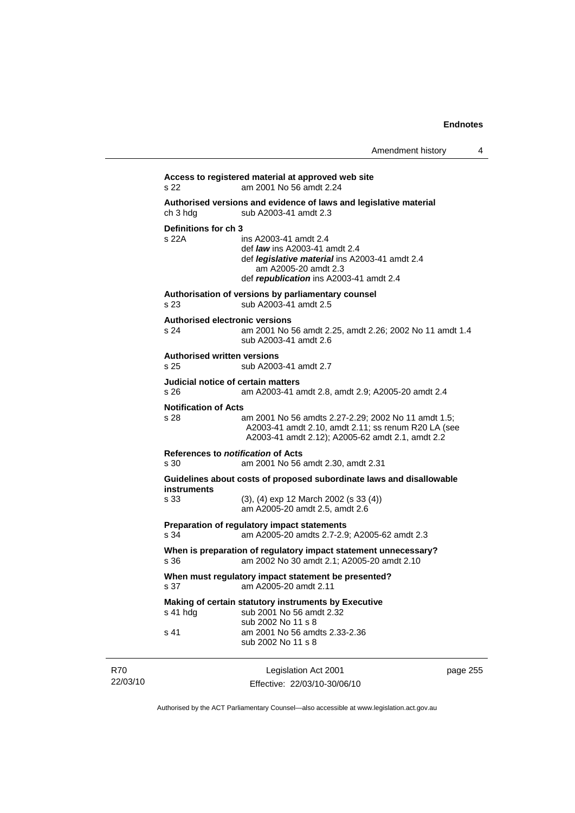|                 | s 22                                                  | Access to registered material at approved web site<br>am 2001 No 56 amdt 2.24                                                                                                             |          |
|-----------------|-------------------------------------------------------|-------------------------------------------------------------------------------------------------------------------------------------------------------------------------------------------|----------|
|                 | ch 3 hda                                              | Authorised versions and evidence of laws and legislative material<br>sub A2003-41 amdt 2.3                                                                                                |          |
|                 | Definitions for ch 3<br>s 22A                         | ins A2003-41 amdt 2.4<br>def <i>law</i> ins A2003-41 amdt 2.4<br>def <i>legislative material</i> ins A2003-41 amdt 2.4<br>am A2005-20 amdt 2.3<br>def republication ins A2003-41 amdt 2.4 |          |
|                 | s 23                                                  | Authorisation of versions by parliamentary counsel<br>sub A2003-41 amdt 2.5                                                                                                               |          |
|                 | <b>Authorised electronic versions</b><br>s 24         | am 2001 No 56 amdt 2.25, amdt 2.26; 2002 No 11 amdt 1.4<br>sub A2003-41 amdt 2.6                                                                                                          |          |
|                 | <b>Authorised written versions</b><br>s <sub>25</sub> | sub A2003-41 amdt 2.7                                                                                                                                                                     |          |
|                 | Judicial notice of certain matters<br>s 26            | am A2003-41 amdt 2.8, amdt 2.9; A2005-20 amdt 2.4                                                                                                                                         |          |
|                 | <b>Notification of Acts</b><br>s 28                   | am 2001 No 56 amdts 2.27-2.29; 2002 No 11 amdt 1.5;<br>A2003-41 amdt 2.10, amdt 2.11; ss renum R20 LA (see<br>A2003-41 amdt 2.12); A2005-62 amdt 2.1, amdt 2.2                            |          |
|                 | References to <i>notification</i> of Acts<br>s 30     | am 2001 No 56 amdt 2.30, amdt 2.31                                                                                                                                                        |          |
|                 | instruments<br>s 33                                   | Guidelines about costs of proposed subordinate laws and disallowable<br>$(3)$ , $(4)$ exp 12 March 2002 (s 33 $(4)$ )<br>am A2005-20 amdt 2.5, amdt 2.6                                   |          |
|                 | s 34                                                  | Preparation of regulatory impact statements<br>am A2005-20 amdts 2.7-2.9; A2005-62 amdt 2.3                                                                                               |          |
|                 | s 36                                                  | When is preparation of regulatory impact statement unnecessary?<br>am 2002 No 30 amdt 2.1; A2005-20 amdt 2.10                                                                             |          |
|                 | s 37                                                  | When must regulatory impact statement be presented?<br>am A2005-20 amdt 2.11                                                                                                              |          |
|                 | s 41 hdg                                              | Making of certain statutory instruments by Executive<br>sub 2001 No 56 amdt 2.32<br>sub 2002 No 11 s 8                                                                                    |          |
|                 | s 41                                                  | am 2001 No 56 amdts 2.33-2.36<br>sub 2002 No 11 s 8                                                                                                                                       |          |
| R70<br>22/03/10 |                                                       | Legislation Act 2001<br>Effective: 22/03/10-30/06/10                                                                                                                                      | page 255 |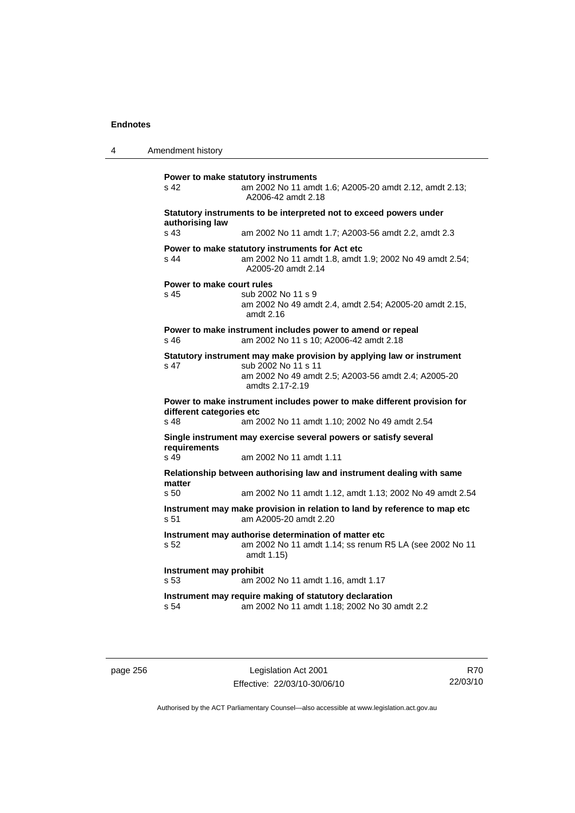4 Amendment history **Power to make statutory instruments**  s 42 am 2002 No 11 amdt 1.6; A2005-20 amdt 2.12, amdt 2.13; A2006-42 amdt 2.18 **Statutory instruments to be interpreted not to exceed powers under authorising law**  s 43 am 2002 No 11 amdt 1.7; A2003-56 amdt 2.2, amdt 2.3 **Power to make statutory instruments for Act etc**  s 44 am 2002 No 11 amdt 1.8, amdt 1.9; 2002 No 49 amdt 2.54; A2005-20 amdt 2.14 **Power to make court rules**  s 45 sub 2002 No 11 s 9 am 2002 No 49 amdt 2.4, amdt 2.54; A2005-20 amdt 2.15, amdt 2.16 **Power to make instrument includes power to amend or repeal**  s 46 am 2002 No 11 s 10; A2006-42 amdt 2.18 **Statutory instrument may make provision by applying law or instrument**  s 47 sub 2002 No 11 s 11 am 2002 No 49 amdt 2.5; A2003-56 amdt 2.4; A2005-20 amdts 2.17-2.19 **Power to make instrument includes power to make different provision for different categories etc**  s 48 am 2002 No 11 amdt 1.10; 2002 No 49 amdt 2.54 **Single instrument may exercise several powers or satisfy several requirements**  s 49 am 2002 No 11 amdt 1.11 **Relationship between authorising law and instrument dealing with same matter**  s 50 am 2002 No 11 amdt 1.12, amdt 1.13; 2002 No 49 amdt 2.54 **Instrument may make provision in relation to land by reference to map etc**  s 51 am A2005-20 amdt 2.20 **Instrument may authorise determination of matter etc**  s 52 am 2002 No 11 amdt 1.14; ss renum R5 LA (see 2002 No 11 amdt 1.15) **Instrument may prohibit**  s 53 am 2002 No 11 amdt 1.16, amdt 1.17 **Instrument may require making of statutory declaration**  s 54 am 2002 No 11 amdt 1.18; 2002 No 30 amdt 2.2

page 256 Legislation Act 2001 Effective: 22/03/10-30/06/10

R70 22/03/10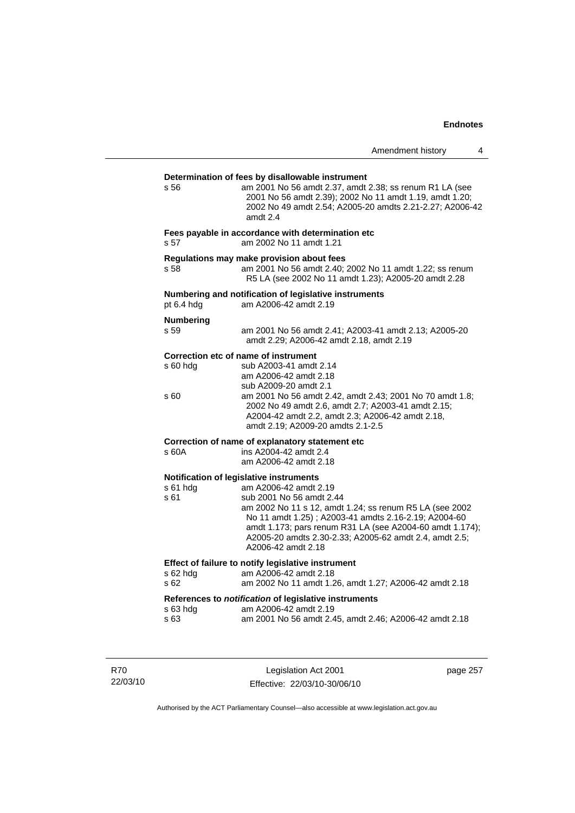### **Determination of fees by disallowable instrument**  s 56 am 2001 No 56 amdt 2.37, amdt 2.38; ss renum R1 LA (see 2001 No 56 amdt 2.39); 2002 No 11 amdt 1.19, amdt 1.20; 2002 No 49 amdt 2.54; A2005-20 amdts 2.21-2.27; A2006-42 amdt 2.4 **Fees payable in accordance with determination etc**  s 57 am 2002 No 11 amdt 1.21 **Regulations may make provision about fees**  s 58 am 2001 No 56 amdt 2.40; 2002 No 11 amdt 1.22; ss renum R5 LA (see 2002 No 11 amdt 1.23); A2005-20 amdt 2.28 **Numbering and notification of legislative instruments**  am A2006-42 amdt 2.19 **Numbering**  s 59 am 2001 No 56 amdt 2.41; A2003-41 amdt 2.13; A2005-20 amdt 2.29; A2006-42 amdt 2.18, amdt 2.19 **Correction etc of name of instrument**  s 60 hdg sub A2003-41 amdt 2.14 am A2006-42 amdt 2.18 sub A2009-20 amdt 2.1<br>S 60 am 2001 No 56 amdt 2. am 2001 No 56 amdt 2.42, amdt 2.43; 2001 No 70 amdt 1.8; 2002 No 49 amdt 2.6, amdt 2.7; A2003-41 amdt 2.15; A2004-42 amdt 2.2, amdt 2.3; A2006-42 amdt 2.18, amdt 2.19; A2009-20 amdts 2.1-2.5 **Correction of name of explanatory statement etc**  s 60A ins A2004-42 amdt 2.4 am A2006-42 amdt 2.18 **Notification of legislative instruments**  s 61 hdg am A2006-42 amdt 2.19 s 61 sub 2001 No 56 amdt 2.44 am 2002 No 11 s 12, amdt 1.24; ss renum R5 LA (see 2002 No 11 amdt 1.25) ; A2003-41 amdts 2.16-2.19; A2004-60 amdt 1.173; pars renum R31 LA (see A2004-60 amdt 1.174); A2005-20 amdts 2.30-2.33; A2005-62 amdt 2.4, amdt 2.5; A2006-42 amdt 2.18 **Effect of failure to notify legislative instrument**  s 62 hdg am A2006-42 amdt 2.18 s 62 am 2002 No 11 amdt 1.26, amdt 1.27; A2006-42 amdt 2.18 **References to** *notification* **of legislative instruments**  s 63 hdg am A2006-42 amdt 2.19 s 63 am 2001 No 56 amdt 2.45, amdt 2.46; A2006-42 amdt 2.18

R70 22/03/10

Legislation Act 2001 Effective: 22/03/10-30/06/10 page 257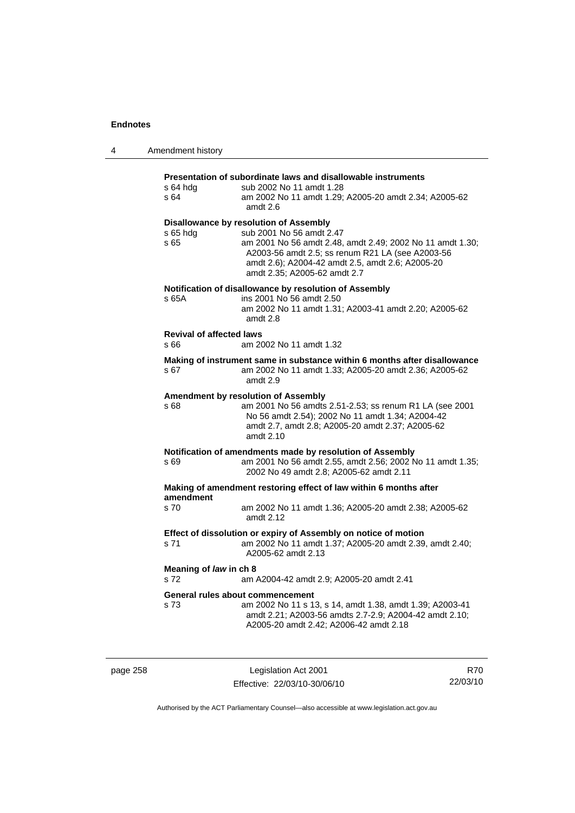| 4 | Amendment history                       |                                                                                                                                                                                                                                                                         |
|---|-----------------------------------------|-------------------------------------------------------------------------------------------------------------------------------------------------------------------------------------------------------------------------------------------------------------------------|
|   | s 64 hdg<br>s 64                        | Presentation of subordinate laws and disallowable instruments<br>sub 2002 No 11 amdt 1.28<br>am 2002 No 11 amdt 1.29; A2005-20 amdt 2.34; A2005-62<br>amdt 2.6                                                                                                          |
|   | $s$ 65 hdg<br>s 65                      | Disallowance by resolution of Assembly<br>sub 2001 No 56 amdt 2.47<br>am 2001 No 56 amdt 2.48, amdt 2.49; 2002 No 11 amdt 1.30;<br>A2003-56 amdt 2.5; ss renum R21 LA (see A2003-56<br>amdt 2.6); A2004-42 amdt 2.5, amdt 2.6; A2005-20<br>amdt 2.35; A2005-62 amdt 2.7 |
|   | s 65A                                   | Notification of disallowance by resolution of Assembly<br>ins 2001 No 56 amdt 2.50<br>am 2002 No 11 amdt 1.31; A2003-41 amdt 2.20; A2005-62<br>amdt 2.8                                                                                                                 |
|   | <b>Revival of affected laws</b><br>s 66 | am 2002 No 11 amdt 1.32                                                                                                                                                                                                                                                 |
|   | s 67                                    | Making of instrument same in substance within 6 months after disallowance<br>am 2002 No 11 amdt 1.33; A2005-20 amdt 2.36; A2005-62<br>amdt 2.9                                                                                                                          |
|   | s 68                                    | Amendment by resolution of Assembly<br>am 2001 No 56 amdts 2.51-2.53; ss renum R1 LA (see 2001<br>No 56 amdt 2.54); 2002 No 11 amdt 1.34; A2004-42<br>amdt 2.7, amdt 2.8; A2005-20 amdt 2.37; A2005-62<br>amdt 2.10                                                     |
|   | s 69                                    | Notification of amendments made by resolution of Assembly<br>am 2001 No 56 amdt 2.55, amdt 2.56; 2002 No 11 amdt 1.35;<br>2002 No 49 amdt 2.8; A2005-62 amdt 2.11                                                                                                       |
|   | amendment                               | Making of amendment restoring effect of law within 6 months after                                                                                                                                                                                                       |
|   | s 70                                    | am 2002 No 11 amdt 1.36; A2005-20 amdt 2.38; A2005-62<br>amdt 2.12                                                                                                                                                                                                      |
|   | s 71                                    | Effect of dissolution or expiry of Assembly on notice of motion<br>am 2002 No 11 amdt 1.37; A2005-20 amdt 2.39, amdt 2.40;<br>A2005-62 amdt 2.13                                                                                                                        |
|   | Meaning of law in ch 8<br>s 72          | am A2004-42 amdt 2.9; A2005-20 amdt 2.41                                                                                                                                                                                                                                |
|   | s 73                                    | General rules about commencement<br>am 2002 No 11 s 13, s 14, amdt 1.38, amdt 1.39; A2003-41<br>amdt 2.21; A2003-56 amdts 2.7-2.9; A2004-42 amdt 2.10;<br>A2005-20 amdt 2.42; A2006-42 amdt 2.18                                                                        |

| page | $\overline{E}$ |
|------|----------------|
|      |                |

Legislation Act 2001 Effective: 22/03/10-30/06/10

R70 22/03/10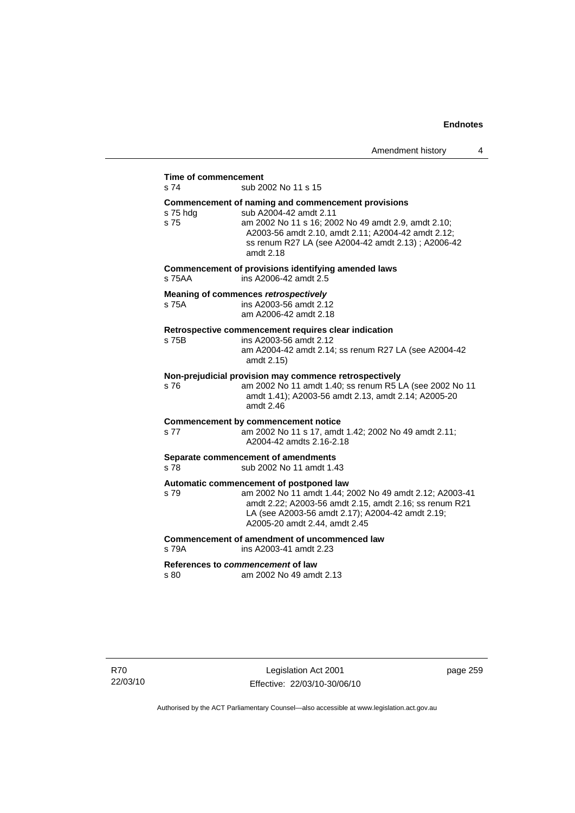## **Time of commencement**<br>s 74 sub 20

sub 2002 No 11 s 15

#### **Commencement of naming and commencement provisions**

s 75 hdg sub A2004-42 amdt 2.11 s 75 am 2002 No 11 s 16; 2002 No 49 amdt 2.9, amdt 2.10; A2003-56 amdt 2.10, amdt 2.11; A2004-42 amdt 2.12; ss renum R27 LA (see A2004-42 amdt 2.13) ; A2006-42 amdt 2.18 **Commencement of provisions identifying amended laws**  s 75AA ins A2006-42 amdt 2.5 **Meaning of commences** *retrospectively*  s 75A ins A2003-56 amdt 2.12 am A2006-42 amdt 2.18 **Retrospective commencement requires clear indication**  s 75B ins A2003-56 amdt 2.12 am A2004-42 amdt 2.14; ss renum R27 LA (see A2004-42 amdt 2.15) **Non-prejudicial provision may commence retrospectively**  s 76 am 2002 No 11 amdt 1.40; ss renum R5 LA (see 2002 No 11 amdt 1.41); A2003-56 amdt 2.13, amdt 2.14; A2005-20 amdt 2.46 **Commencement by commencement notice**  s 77 am 2002 No 11 s 17, amdt 1.42; 2002 No 49 amdt 2.11; A2004-42 amdts 2.16-2.18 **Separate commencement of amendments**  s 78 sub 2002 No 11 amdt 1.43 **Automatic commencement of postponed law**  s 79 am 2002 No 11 amdt 1.44; 2002 No 49 amdt 2.12; A2003-41 amdt 2.22; A2003-56 amdt 2.15, amdt 2.16; ss renum R21 LA (see A2003-56 amdt 2.17); A2004-42 amdt 2.19; A2005-20 amdt 2.44, amdt 2.45 **Commencement of amendment of uncommenced law**  s 79A ins A2003-41 amdt 2.23 **References to** *commencement* **of law** 

s 80 am 2002 No 49 amdt 2.13

page 259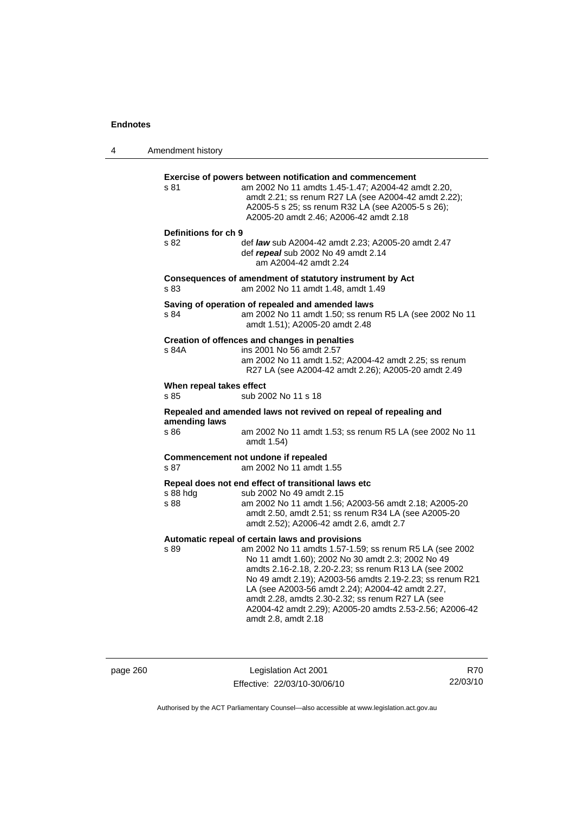4 Amendment history **Exercise of powers between notification and commencement**  s 81 am 2002 No 11 amdts 1.45-1.47; A2004-42 amdt 2.20, amdt 2.21; ss renum R27 LA (see A2004-42 amdt 2.22); A2005-5 s 25; ss renum R32 LA (see A2005-5 s 26); A2005-20 amdt 2.46; A2006-42 amdt 2.18 **Definitions for ch 9**  s 82 def *law* sub A2004-42 amdt 2.23; A2005-20 amdt 2.47 def *repeal* sub 2002 No 49 amdt 2.14 am A2004-42 amdt 2.24 **Consequences of amendment of statutory instrument by Act**  s 83 am 2002 No 11 amdt 1.48, amdt 1.49 **Saving of operation of repealed and amended laws**  s 84 am 2002 No 11 amdt 1.50; ss renum R5 LA (see 2002 No 11 amdt 1.51); A2005-20 amdt 2.48 **Creation of offences and changes in penalties**  s 84A ins 2001 No 56 amdt 2.57 am 2002 No 11 amdt 1.52; A2004-42 amdt 2.25; ss renum R27 LA (see A2004-42 amdt 2.26); A2005-20 amdt 2.49 **When repeal takes effect**  s 85 sub 2002 No 11 s 18 **Repealed and amended laws not revived on repeal of repealing and amending laws**  s 86 am 2002 No 11 amdt 1.53; ss renum R5 LA (see 2002 No 11 amdt 1.54) **Commencement not undone if repealed**  s 87 am 2002 No 11 amdt 1.55 **Repeal does not end effect of transitional laws etc**  s 88 hdg sub 2002 No 49 amdt 2.15 s 88 am 2002 No 11 amdt 1.56; A2003-56 amdt 2.18; A2005-20 amdt 2.50, amdt 2.51; ss renum R34 LA (see A2005-20 amdt 2.52); A2006-42 amdt 2.6, amdt 2.7 **Automatic repeal of certain laws and provisions**  s 89 am 2002 No 11 amdts 1.57-1.59; ss renum R5 LA (see 2002 No 11 amdt 1.60); 2002 No 30 amdt 2.3; 2002 No 49 amdts 2.16-2.18, 2.20-2.23; ss renum R13 LA (see 2002 No 49 amdt 2.19); A2003-56 amdts 2.19-2.23; ss renum R21 LA (see A2003-56 amdt 2.24); A2004-42 amdt 2.27, amdt 2.28, amdts 2.30-2.32; ss renum R27 LA (see A2004-42 amdt 2.29); A2005-20 amdts 2.53-2.56; A2006-42 amdt 2.8, amdt 2.18

page 260 Legislation Act 2001 Effective: 22/03/10-30/06/10

R70 22/03/10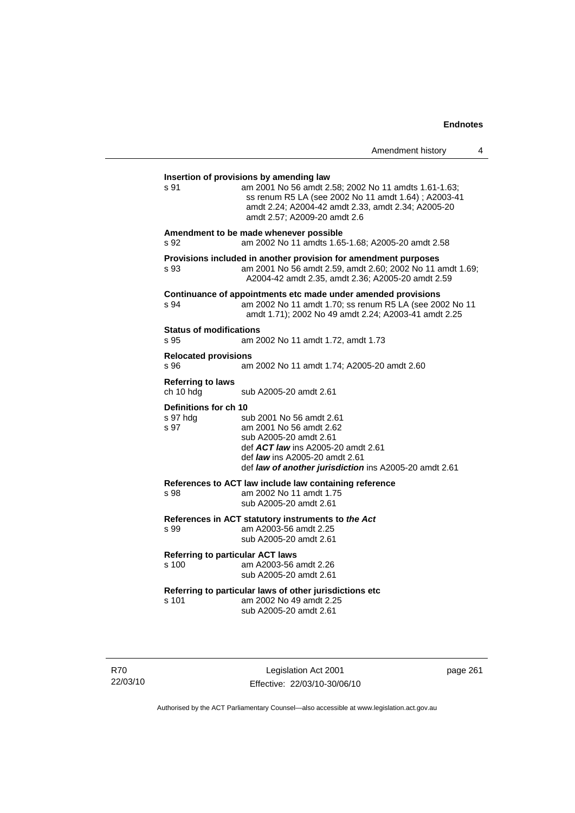| Amendment history |  |  |
|-------------------|--|--|
|-------------------|--|--|

| Insertion of provisions by amending law<br>s 91 | am 2001 No 56 amdt 2.58; 2002 No 11 amdts 1.61-1.63;<br>ss renum R5 LA (see 2002 No 11 amdt 1.64) ; A2003-41<br>amdt 2.24; A2004-42 amdt 2.33, amdt 2.34; A2005-20<br>amdt 2.57; A2009-20 amdt 2.6                     |
|-------------------------------------------------|------------------------------------------------------------------------------------------------------------------------------------------------------------------------------------------------------------------------|
| s 92                                            | Amendment to be made whenever possible<br>am 2002 No 11 amdts 1.65-1.68; A2005-20 amdt 2.58                                                                                                                            |
| s 93                                            | Provisions included in another provision for amendment purposes<br>am 2001 No 56 amdt 2.59, amdt 2.60; 2002 No 11 amdt 1.69;<br>A2004-42 amdt 2.35, amdt 2.36; A2005-20 amdt 2.59                                      |
| s 94                                            | Continuance of appointments etc made under amended provisions<br>am 2002 No 11 amdt 1.70; ss renum R5 LA (see 2002 No 11<br>amdt 1.71); 2002 No 49 amdt 2.24; A2003-41 amdt 2.25                                       |
| <b>Status of modifications</b><br>s 95          | am 2002 No 11 amdt 1.72, amdt 1.73                                                                                                                                                                                     |
| <b>Relocated provisions</b><br>s 96             | am 2002 No 11 amdt 1.74; A2005-20 amdt 2.60                                                                                                                                                                            |
| <b>Referring to laws</b><br>ch 10 hdg           | sub A2005-20 amdt 2.61                                                                                                                                                                                                 |
| Definitions for ch 10<br>s 97 hdg<br>s 97       | sub 2001 No 56 amdt 2.61<br>am 2001 No 56 amdt 2.62<br>sub A2005-20 amdt 2.61<br>def ACT law ins A2005-20 amdt 2.61<br>def <i>law</i> ins A2005-20 amdt 2.61<br>def law of another jurisdiction ins A2005-20 amdt 2.61 |
| s 98                                            | References to ACT law include law containing reference<br>am 2002 No 11 amdt 1.75<br>sub A2005-20 amdt 2.61                                                                                                            |
| s 99                                            | References in ACT statutory instruments to the Act<br>am A2003-56 amdt 2.25<br>sub A2005-20 amdt 2.61                                                                                                                  |
| s 100                                           | <b>Referring to particular ACT laws</b><br>am A2003-56 amdt 2.26<br>sub A2005-20 amdt 2.61                                                                                                                             |
| s 101                                           | Referring to particular laws of other jurisdictions etc<br>am 2002 No 49 amdt 2.25<br>sub A2005-20 amdt 2.61                                                                                                           |
|                                                 |                                                                                                                                                                                                                        |

R70 22/03/10

Legislation Act 2001 Effective: 22/03/10-30/06/10 page 261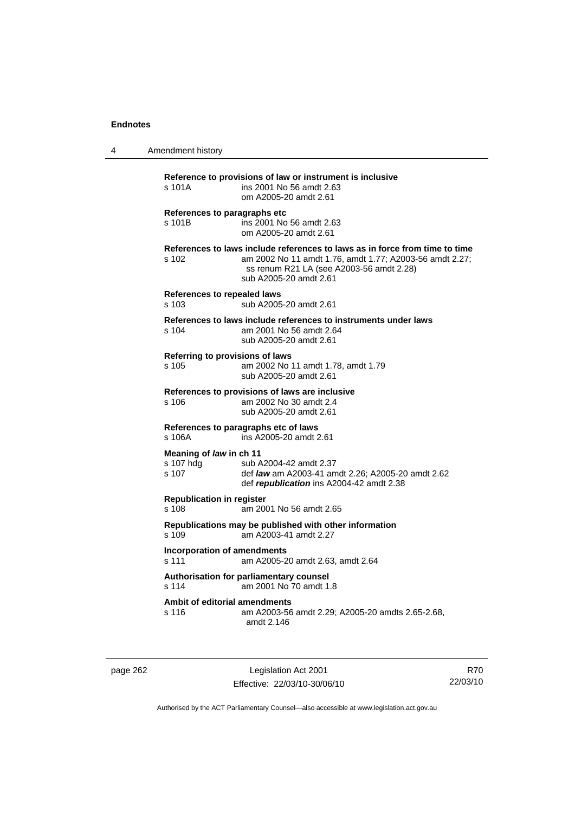| 4 | Amendment history                             |                                                                                                                                                                                                              |
|---|-----------------------------------------------|--------------------------------------------------------------------------------------------------------------------------------------------------------------------------------------------------------------|
|   | s 101A                                        | Reference to provisions of law or instrument is inclusive<br>ins 2001 No 56 amdt 2.63<br>om A2005-20 amdt 2.61                                                                                               |
|   | References to paragraphs etc<br>s 101B        | ins 2001 No 56 amdt 2.63<br>om A2005-20 amdt 2.61                                                                                                                                                            |
|   | s 102                                         | References to laws include references to laws as in force from time to time<br>am 2002 No 11 amdt 1.76, amdt 1.77; A2003-56 amdt 2.27;<br>ss renum R21 LA (see A2003-56 amdt 2.28)<br>sub A2005-20 amdt 2.61 |
|   | References to repealed laws<br>s 103          | sub A2005-20 amdt 2.61                                                                                                                                                                                       |
|   | s 104                                         | References to laws include references to instruments under laws<br>am 2001 No 56 amdt 2.64<br>sub A2005-20 amdt 2.61                                                                                         |
|   | Referring to provisions of laws<br>s 105      | am 2002 No 11 amdt 1.78, amdt 1.79<br>sub A2005-20 amdt 2.61                                                                                                                                                 |
|   | s 106                                         | References to provisions of laws are inclusive<br>am 2002 No 30 amdt 2.4<br>sub A2005-20 amdt 2.61                                                                                                           |
|   | s 106A                                        | References to paragraphs etc of laws<br>ins A2005-20 amdt 2.61                                                                                                                                               |
|   | Meaning of law in ch 11<br>s 107 hdg<br>s 107 | sub A2004-42 amdt 2.37<br>def <i>law</i> am A2003-41 amdt 2.26; A2005-20 amdt 2.62<br>def republication ins A2004-42 amdt 2.38                                                                               |
|   | <b>Republication in register</b><br>$s$ 108   | am 2001 No 56 amdt 2.65                                                                                                                                                                                      |
|   | s 109                                         | Republications may be published with other information<br>am A2003-41 amdt 2.27                                                                                                                              |
|   | <b>Incorporation of amendments</b><br>s 111   | am A2005-20 amdt 2.63, amdt 2.64                                                                                                                                                                             |
|   | s 114                                         | Authorisation for parliamentary counsel<br>am 2001 No 70 amdt 1.8                                                                                                                                            |
|   | Ambit of editorial amendments<br>s 116        | am A2003-56 amdt 2.29; A2005-20 amdts 2.65-2.68,<br>amdt 2.146                                                                                                                                               |

page 262 Legislation Act 2001 Effective: 22/03/10-30/06/10

R70 22/03/10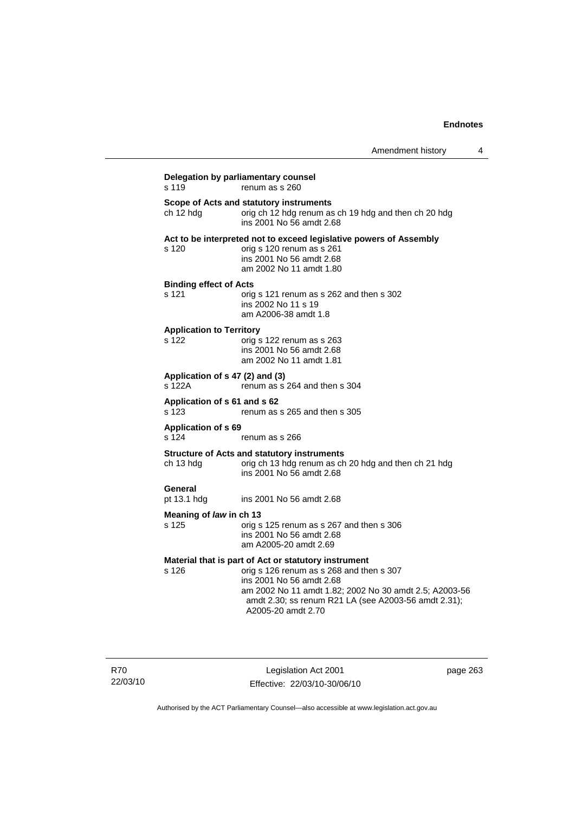| s 119                                     | renum as s 260                                                                                                                                                                                                                                                       |
|-------------------------------------------|----------------------------------------------------------------------------------------------------------------------------------------------------------------------------------------------------------------------------------------------------------------------|
| ch 12 hdg                                 | Scope of Acts and statutory instruments<br>orig ch 12 hdg renum as ch 19 hdg and then ch 20 hdg<br>ins 2001 No 56 amdt 2.68                                                                                                                                          |
| s 120                                     | Act to be interpreted not to exceed legislative powers of Assembly<br>orig s 120 renum as s 261<br>ins 2001 No 56 amdt 2.68<br>am 2002 No 11 amdt 1.80                                                                                                               |
| <b>Binding effect of Acts</b><br>s 121    | orig s 121 renum as s 262 and then s 302<br>ins 2002 No 11 s 19<br>am A2006-38 amdt 1.8                                                                                                                                                                              |
| <b>Application to Territory</b><br>s 122  | orig s 122 renum as s 263<br>ins 2001 No 56 amdt 2.68<br>am 2002 No 11 amdt 1.81                                                                                                                                                                                     |
| Application of s 47 (2) and (3)<br>s 122A | renum as s 264 and then s 304                                                                                                                                                                                                                                        |
| Application of s 61 and s 62<br>s 123     | renum as s 265 and then s 305                                                                                                                                                                                                                                        |
| <b>Application of s 69</b><br>s 124       | renum as s 266                                                                                                                                                                                                                                                       |
| ch 13 hdg                                 | <b>Structure of Acts and statutory instruments</b><br>orig ch 13 hdg renum as ch 20 hdg and then ch 21 hdg<br>ins 2001 No 56 amdt 2.68                                                                                                                               |
| General<br>pt 13.1 hdg                    | ins 2001 No 56 amdt 2.68                                                                                                                                                                                                                                             |
| Meaning of law in ch 13<br>s 125          | orig s 125 renum as s 267 and then s 306<br>ins 2001 No 56 amdt 2.68<br>am A2005-20 amdt 2.69                                                                                                                                                                        |
| s 126                                     | Material that is part of Act or statutory instrument<br>orig s 126 renum as s 268 and then s 307<br>ins 2001 No 56 amdt 2.68<br>am 2002 No 11 amdt 1.82; 2002 No 30 amdt 2.5; A2003-56<br>amdt 2.30; ss renum R21 LA (see A2003-56 amdt 2.31);<br>A2005-20 amdt 2.70 |

R70 22/03/10

Legislation Act 2001 Effective: 22/03/10-30/06/10 page 263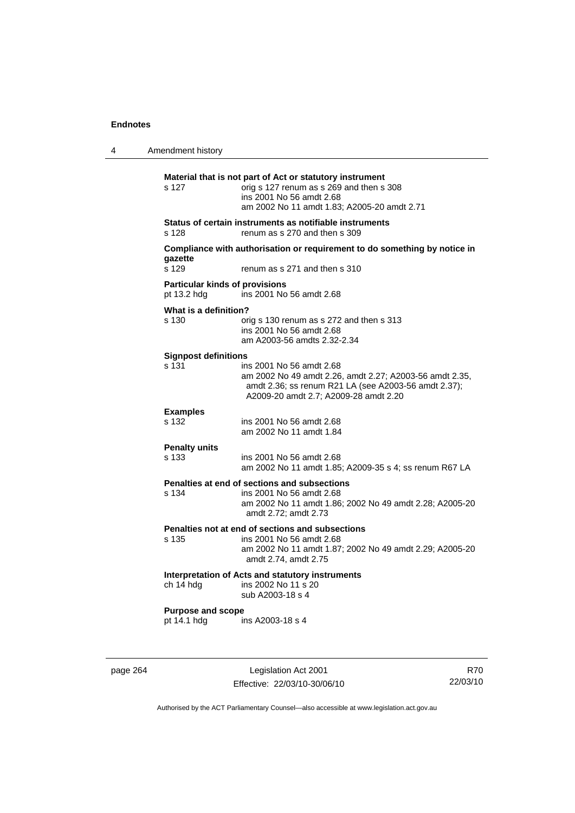| 4 | Amendment history                                    |                                                                                                                                                                                      |
|---|------------------------------------------------------|--------------------------------------------------------------------------------------------------------------------------------------------------------------------------------------|
|   | s 127                                                | Material that is not part of Act or statutory instrument<br>orig s 127 renum as s 269 and then s 308<br>ins 2001 No 56 amdt 2.68<br>am 2002 No 11 amdt 1.83; A2005-20 amdt 2.71      |
|   | s 128                                                | Status of certain instruments as notifiable instruments<br>renum as s 270 and then s 309                                                                                             |
|   | gazette<br>s 129                                     | Compliance with authorisation or requirement to do something by notice in<br>renum as s 271 and then s 310                                                                           |
|   | <b>Particular kinds of provisions</b><br>pt 13.2 hdg | ins 2001 No 56 amdt 2.68                                                                                                                                                             |
|   | What is a definition?<br>s 130                       | orig s 130 renum as s 272 and then s 313<br>ins 2001 No 56 amdt 2.68<br>am A2003-56 amdts 2.32-2.34                                                                                  |
|   | <b>Signpost definitions</b><br>s 131                 | ins 2001 No 56 amdt 2.68<br>am 2002 No 49 amdt 2.26, amdt 2.27; A2003-56 amdt 2.35,<br>amdt 2.36; ss renum R21 LA (see A2003-56 amdt 2.37);<br>A2009-20 amdt 2.7; A2009-28 amdt 2.20 |
|   | <b>Examples</b><br>s 132                             | ins 2001 No 56 amdt 2.68<br>am 2002 No 11 amdt 1.84                                                                                                                                  |
|   | <b>Penalty units</b><br>s 133                        | ins 2001 No 56 amdt 2.68<br>am 2002 No 11 amdt 1.85; A2009-35 s 4; ss renum R67 LA                                                                                                   |
|   | s 134                                                | Penalties at end of sections and subsections<br>ins 2001 No 56 amdt 2.68<br>am 2002 No 11 amdt 1.86; 2002 No 49 amdt 2.28; A2005-20<br>amdt 2.72; amdt 2.73                          |
|   | s 135                                                | Penalties not at end of sections and subsections<br>ins 2001 No 56 amdt 2.68<br>am 2002 No 11 amdt 1.87; 2002 No 49 amdt 2.29; A2005-20<br>amdt 2.74, amdt 2.75                      |
|   | ch 14 hdg                                            | Interpretation of Acts and statutory instruments<br>ins 2002 No 11 s 20<br>sub A2003-18 s 4                                                                                          |
|   | <b>Purpose and scope</b><br>pt 14.1 hdg              | ins A2003-18 s 4                                                                                                                                                                     |
|   |                                                      |                                                                                                                                                                                      |

page 264 Legislation Act 2001 Effective: 22/03/10-30/06/10

R70 22/03/10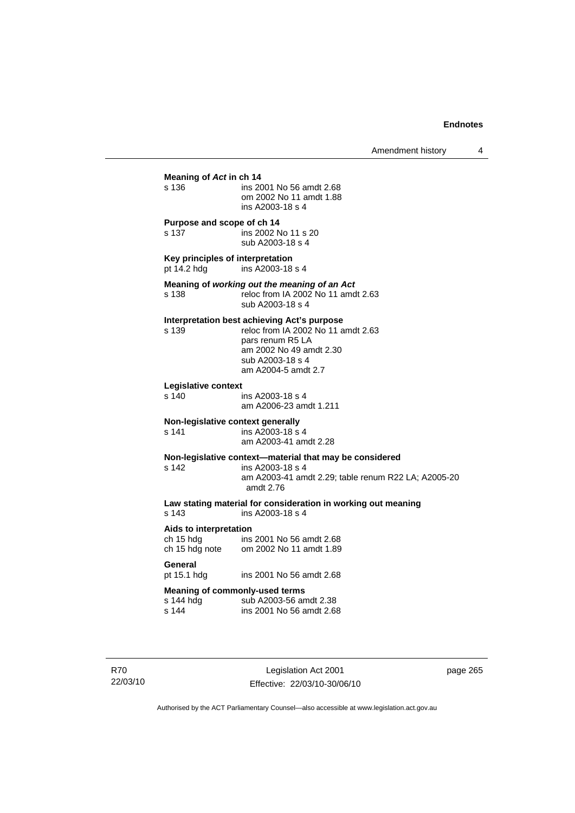| Meaning of Act in ch 14<br>s 136<br>Purpose and scope of ch 14<br>s 137<br>Key principles of interpretation<br>pt 14.2 hdg<br>s 138<br>s 139<br>Legislative context<br>$s$ 140<br>Non-legislative context generally<br>s 141 | ins 2001 No 56 amdt 2.68<br>om 2002 No 11 amdt 1.88<br>ins A2003-18 s 4<br>ins 2002 No 11 s 20<br>sub A2003-18 s 4<br>ins A2003-18 s 4<br>Meaning of working out the meaning of an Act<br>reloc from IA 2002 No 11 amdt 2.63<br>sub A2003-18 s 4<br>Interpretation best achieving Act's purpose<br>reloc from IA 2002 No 11 amdt 2.63 |
|------------------------------------------------------------------------------------------------------------------------------------------------------------------------------------------------------------------------------|---------------------------------------------------------------------------------------------------------------------------------------------------------------------------------------------------------------------------------------------------------------------------------------------------------------------------------------|
|                                                                                                                                                                                                                              |                                                                                                                                                                                                                                                                                                                                       |
|                                                                                                                                                                                                                              |                                                                                                                                                                                                                                                                                                                                       |
|                                                                                                                                                                                                                              |                                                                                                                                                                                                                                                                                                                                       |
|                                                                                                                                                                                                                              |                                                                                                                                                                                                                                                                                                                                       |
|                                                                                                                                                                                                                              |                                                                                                                                                                                                                                                                                                                                       |
|                                                                                                                                                                                                                              | pars renum R5 LA<br>am 2002 No 49 amdt 2.30<br>sub A2003-18 s 4<br>am A2004-5 amdt 2.7                                                                                                                                                                                                                                                |
|                                                                                                                                                                                                                              | ins A2003-18 s 4<br>am A2006-23 amdt 1.211                                                                                                                                                                                                                                                                                            |
|                                                                                                                                                                                                                              | ins A2003-18 s 4<br>am A2003-41 amdt 2.28                                                                                                                                                                                                                                                                                             |
| s 142                                                                                                                                                                                                                        | Non-legislative context-material that may be considered<br>ins A2003-18 s 4<br>am A2003-41 amdt 2.29; table renum R22 LA; A2005-20<br>amdt 2.76                                                                                                                                                                                       |
| s 143                                                                                                                                                                                                                        | Law stating material for consideration in working out meaning<br>ins A2003-18 s 4                                                                                                                                                                                                                                                     |
| Aids to interpretation<br>ch 15 hdg<br>ch 15 hdg<br>ch 15 hdg note                                                                                                                                                           | ins 2001 No 56 amdt 2.68<br>om 2002 No 11 amdt 1.89                                                                                                                                                                                                                                                                                   |
| General<br>pt 15.1 hdg                                                                                                                                                                                                       | ins 2001 No 56 amdt 2.68                                                                                                                                                                                                                                                                                                              |
| s 144 hda<br>s 144                                                                                                                                                                                                           | <b>Meaning of commonly-used terms</b><br>sub A2003-56 amdt 2.38                                                                                                                                                                                                                                                                       |

R70 22/03/10

Legislation Act 2001 Effective: 22/03/10-30/06/10 page 265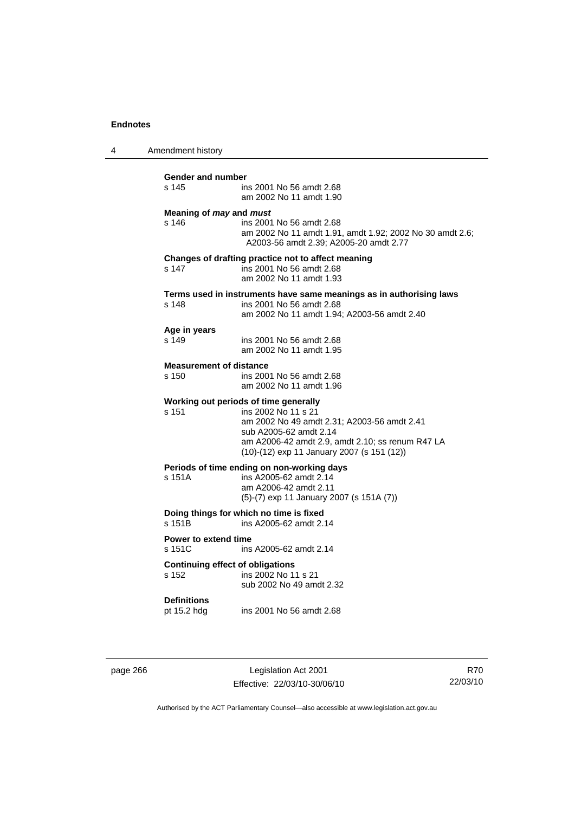4 Amendment history

| Gender and number<br>s 145<br>ins 2001 No 56 amdt 2.68<br>am 2002 No 11 amdt 1.90                                                                                                                                                                  |  |
|----------------------------------------------------------------------------------------------------------------------------------------------------------------------------------------------------------------------------------------------------|--|
| Meaning of may and must<br>s 146<br>ins 2001 No 56 amdt 2.68<br>am 2002 No 11 amdt 1.91, amdt 1.92; 2002 No 30 amdt 2.6;<br>A2003-56 amdt 2.39; A2005-20 amdt 2.77                                                                                 |  |
| Changes of drafting practice not to affect meaning<br>s 147<br>ins 2001 No 56 amdt 2.68<br>am 2002 No 11 amdt 1.93                                                                                                                                 |  |
| Terms used in instruments have same meanings as in authorising laws<br>s 148<br>ins 2001 No 56 amdt 2.68<br>am 2002 No 11 amdt 1.94; A2003-56 amdt 2.40                                                                                            |  |
| Age in years<br>s 149<br>ins 2001 No 56 amdt 2.68<br>am 2002 No 11 amdt 1.95                                                                                                                                                                       |  |
| <b>Measurement of distance</b><br>ins 2001 No 56 amdt 2.68<br>s 150<br>am 2002 No 11 amdt 1.96                                                                                                                                                     |  |
| Working out periods of time generally<br>$s$ 151<br>ins 2002 No 11 s 21<br>am 2002 No 49 amdt 2.31; A2003-56 amdt 2.41<br>sub A2005-62 amdt 2.14<br>am A2006-42 amdt 2.9, amdt 2.10; ss renum R47 LA<br>(10)-(12) exp 11 January 2007 (s 151 (12)) |  |
| Periods of time ending on non-working days<br>ins A2005-62 amdt 2.14<br>s 151A<br>am A2006-42 amdt 2.11<br>(5)-(7) exp 11 January 2007 (s 151A (7))                                                                                                |  |
| Doing things for which no time is fixed<br>s 151B<br>ins A2005-62 amdt 2.14                                                                                                                                                                        |  |
| Power to extend time<br>s 151C<br>ins A2005-62 amdt 2.14                                                                                                                                                                                           |  |
| <b>Continuing effect of obligations</b><br>ins 2002 No 11 s 21<br>s 152<br>sub 2002 No 49 amdt 2.32                                                                                                                                                |  |
| <b>Definitions</b><br>pt 15.2 hdg<br>ins 2001 No 56 amdt 2.68                                                                                                                                                                                      |  |

page 266 Legislation Act 2001 Effective: 22/03/10-30/06/10

R70 22/03/10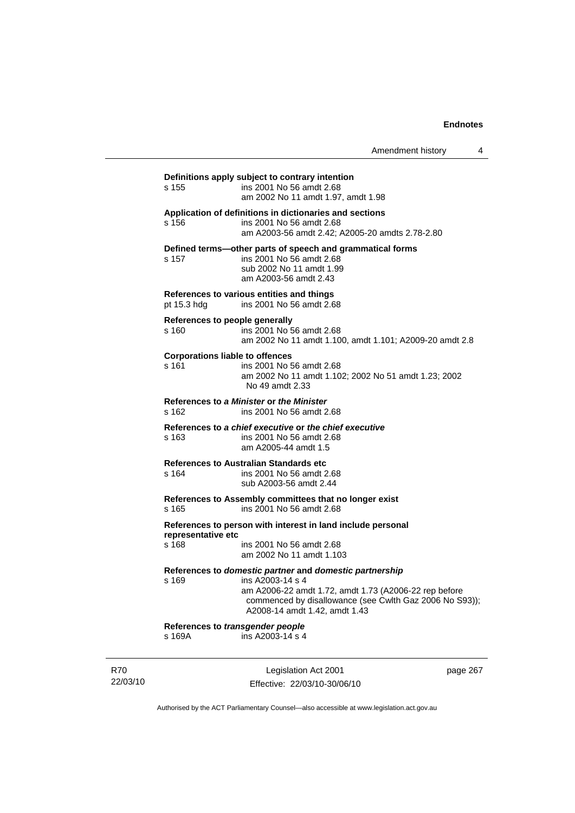Amendment history 4

### **Definitions apply subject to contrary intention**  s 155 ins 2001 No 56 amdt 2.68 am 2002 No 11 amdt 1.97, amdt 1.98 **Application of definitions in dictionaries and sections**  s 156 ins 2001 No 56 amdt 2.68 am A2003-56 amdt 2.42; A2005-20 amdts 2.78-2.80 **Defined terms—other parts of speech and grammatical forms**  s 157 ins 2001 No 56 amdt 2.68 sub 2002 No 11 amdt 1.99 am A2003-56 amdt 2.43 **References to various entities and things**  pt 15.3 hdg ins 2001 No 56 amdt 2.68 **References to people generally**  s 160 ins 2001 No 56 amdt 2.68 am 2002 No 11 amdt 1.100, amdt 1.101; A2009-20 amdt 2.8 **Corporations liable to offences**  s 161 ins 2001 No 56 amdt 2.68 am 2002 No 11 amdt 1.102; 2002 No 51 amdt 1.23; 2002 No 49 amdt 2.33 **References to** *a Minister* **or** *the Minister* s 162 ins 2001 No 56 amdt 2.68 **References to** *a chief executive* **or** *the chief executive* s 163 ins 2001 No 56 amdt 2.68 am A2005-44 amdt 1.5 **References to Australian Standards etc**  s 164 ins 2001 No 56 amdt 2.68 sub A2003-56 amdt 2.44 **References to Assembly committees that no longer exist**  s 165 ins 2001 No 56 amdt 2.68 **References to person with interest in land include personal representative etc**  ins 2001 No 56 amdt 2.68 am 2002 No 11 amdt 1.103 **References to** *domestic partner* **and** *domestic partnership*  s 169 ins A2003-14 s 4 am A2006-22 amdt 1.72, amdt 1.73 (A2006-22 rep before commenced by disallowance (see Cwlth Gaz 2006 No S93)); A2008-14 amdt 1.42, amdt 1.43 **References to** *transgender people*  s 169A ins A2003-14 s 4

R70 22/03/10

Legislation Act 2001 Effective: 22/03/10-30/06/10 page 267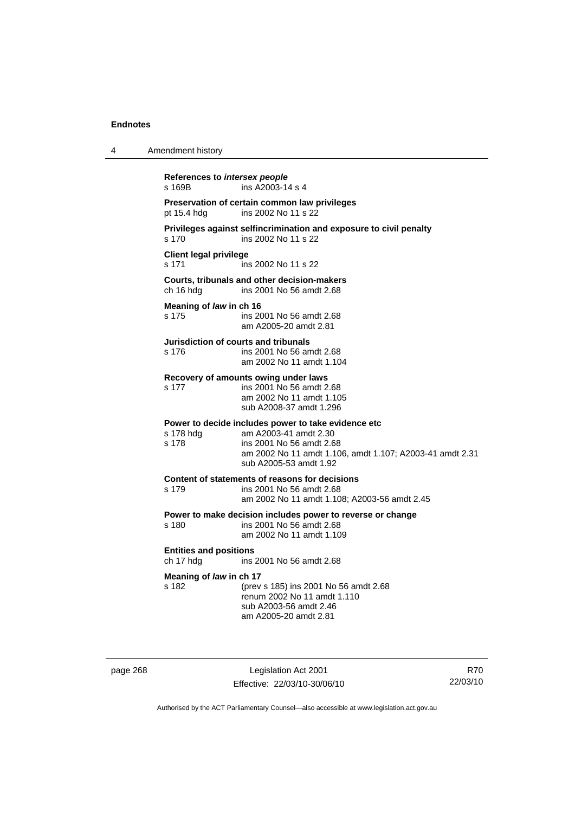| 4 | Amendment history                                                                                                                                                                                                    |
|---|----------------------------------------------------------------------------------------------------------------------------------------------------------------------------------------------------------------------|
|   | References to intersex people<br>ins A2003-14 s 4<br>s 169B                                                                                                                                                          |
|   | Preservation of certain common law privileges<br>ins 2002 No 11 s 22<br>pt 15.4 hdg                                                                                                                                  |
|   | Privileges against selfincrimination and exposure to civil penalty<br>s 170<br>ins 2002 No 11 s 22                                                                                                                   |
|   | <b>Client legal privilege</b><br>s 171<br>ins 2002 No 11 s 22                                                                                                                                                        |
|   | Courts, tribunals and other decision-makers<br>ch 16 hdg<br>ins 2001 No 56 amdt 2.68                                                                                                                                 |
|   | Meaning of law in ch 16<br>s 175<br>ins 2001 No 56 amdt 2.68<br>am A2005-20 amdt 2.81                                                                                                                                |
|   | Jurisdiction of courts and tribunals<br>s 176<br>ins 2001 No 56 amdt 2.68<br>am 2002 No 11 amdt 1.104                                                                                                                |
|   | Recovery of amounts owing under laws<br>s 177<br>ins 2001 No 56 amdt 2.68<br>am 2002 No 11 amdt 1.105<br>sub A2008-37 amdt 1.296                                                                                     |
|   | Power to decide includes power to take evidence etc<br>am A2003-41 amdt 2.30<br>s 178 hdg<br>s 178<br>ins 2001 No 56 amdt 2.68<br>am 2002 No 11 amdt 1.106, amdt 1.107; A2003-41 amdt 2.31<br>sub A2005-53 amdt 1.92 |
|   | Content of statements of reasons for decisions<br>s 179<br>ins 2001 No 56 amdt 2.68<br>am 2002 No 11 amdt 1.108; A2003-56 amdt 2.45                                                                                  |
|   | Power to make decision includes power to reverse or change<br>s 180<br>ins 2001 No 56 amdt 2.68<br>am 2002 No 11 amdt 1.109                                                                                          |
|   | <b>Entities and positions</b><br>ch 17 hdg<br>ins 2001 No 56 amdt 2.68                                                                                                                                               |
|   | Meaning of law in ch 17<br>s 182<br>(prev s 185) ins 2001 No 56 amdt 2.68<br>renum 2002 No 11 amdt 1.110<br>sub A2003-56 amdt 2.46<br>am A2005-20 amdt 2.81                                                          |

page 268 Legislation Act 2001 Effective: 22/03/10-30/06/10

R70 22/03/10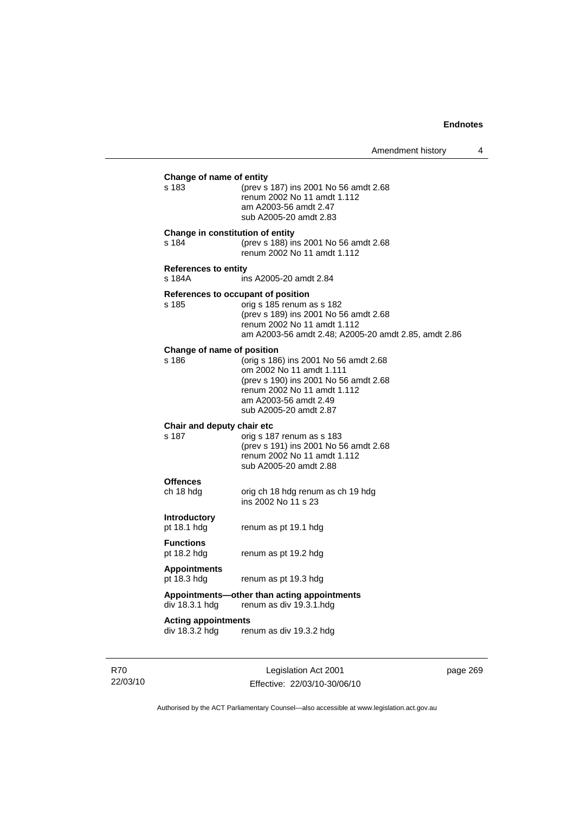| Change of name of entity<br>s 183            | (prev s 187) ins 2001 No 56 amdt 2.68                                                                                                                                                        |
|----------------------------------------------|----------------------------------------------------------------------------------------------------------------------------------------------------------------------------------------------|
|                                              | renum 2002 No 11 amdt 1.112<br>am A2003-56 amdt 2.47<br>sub A2005-20 amdt 2.83                                                                                                               |
| Change in constitution of entity<br>s 184    | (prev s 188) ins 2001 No 56 amdt 2.68<br>renum 2002 No 11 amdt 1.112                                                                                                                         |
| <b>References to entity</b><br>s 184A        | ins A2005-20 amdt 2.84                                                                                                                                                                       |
| References to occupant of position<br>s 185  | orig s 185 renum as s 182<br>(prev s 189) ins 2001 No 56 amdt 2.68<br>renum 2002 No 11 amdt 1.112<br>am A2003-56 amdt 2.48; A2005-20 amdt 2.85, amdt 2.86                                    |
| Change of name of position<br>s 186          | (orig s 186) ins 2001 No 56 amdt 2.68<br>om 2002 No 11 amdt 1.111<br>(prev s 190) ins 2001 No 56 amdt 2.68<br>renum 2002 No 11 amdt 1.112<br>am A2003-56 amdt 2.49<br>sub A2005-20 amdt 2.87 |
| Chair and deputy chair etc<br>s 187          | orig s 187 renum as s 183<br>(prev s 191) ins 2001 No 56 amdt 2.68<br>renum 2002 No 11 amdt 1.112<br>sub A2005-20 amdt 2.88                                                                  |
| <b>Offences</b><br>ch 18 hdg                 | orig ch 18 hdg renum as ch 19 hdg<br>ins 2002 No 11 s 23                                                                                                                                     |
| <b>Introductory</b><br>pt 18.1 hdg           | renum as pt 19.1 hdg                                                                                                                                                                         |
| <b>Functions</b><br>pt 18.2 hdg              | renum as pt 19.2 hdg                                                                                                                                                                         |
| <b>Appointments</b><br>pt 18.3 hdg           | renum as pt 19.3 hdg                                                                                                                                                                         |
| div 18.3.1 hdg                               | Appointments-other than acting appointments<br>renum as div 19.3.1.hdg                                                                                                                       |
| <b>Acting appointments</b><br>div 18.3.2 hdg | renum as div 19.3.2 hdg                                                                                                                                                                      |
|                                              |                                                                                                                                                                                              |

R70 22/03/10

Legislation Act 2001 Effective: 22/03/10-30/06/10 page 269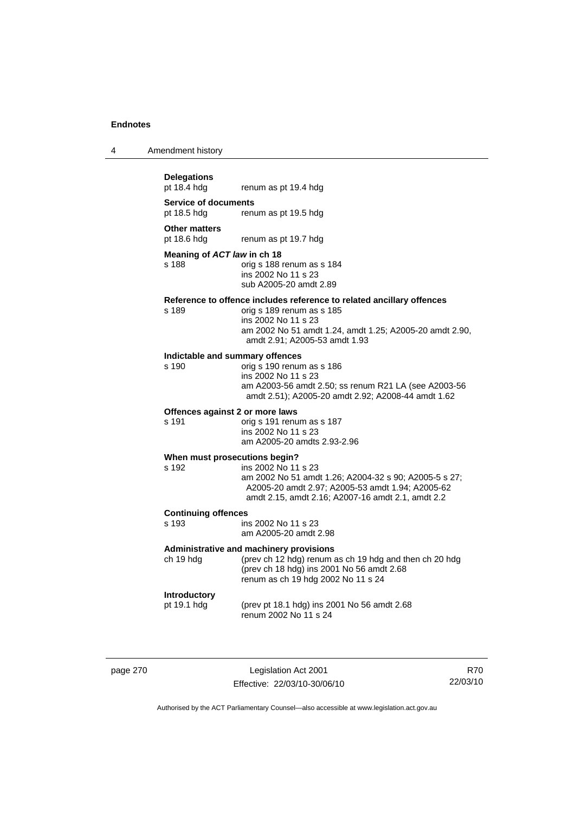| 4 | Amendment history |
|---|-------------------|
|---|-------------------|

# **Delegations**

**Service of documents** 

pt 18.5 hdg renum as pt 19.5 hdg

**Other matters** 

pt 18.6 hdg renum as pt 19.7 hdg

#### **Meaning of** *ACT law* **in ch 18**

s 188 orig s 188 renum as s 184 ins 2002 No 11 s 23 sub A2005-20 amdt 2.89

renum as pt 19.4 hdg

## **Reference to offence includes reference to related ancillary offences**

orig s 189 renum as s 185 ins 2002 No 11 s 23 am 2002 No 51 amdt 1.24, amdt 1.25; A2005-20 amdt 2.90, amdt 2.91; A2005-53 amdt 1.93

## **Indictable and summary offences**

orig s 190 renum as s 186 ins 2002 No 11 s 23 am A2003-56 amdt 2.50; ss renum R21 LA (see A2003-56 amdt 2.51); A2005-20 amdt 2.92; A2008-44 amdt 1.62

#### **Offences against 2 or more laws**

s 191 orig s 191 renum as s 187 ins 2002 No 11 s 23 am A2005-20 amdts 2.93-2.96

#### **When must prosecutions begin?**

s 192 ins 2002 No 11 s 23 am 2002 No 51 amdt 1.26; A2004-32 s 90; A2005-5 s 27; A2005-20 amdt 2.97; A2005-53 amdt 1.94; A2005-62 amdt 2.15, amdt 2.16; A2007-16 amdt 2.1, amdt 2.2

# **Continuing offences**

ins 2002 No 11 s 23 am A2005-20 amdt 2.98

#### **Administrative and machinery provisions**

ch 19 hdg (prev ch 12 hdg) renum as ch 19 hdg and then ch 20 hdg (prev ch 18 hdg) ins 2001 No 56 amdt 2.68 renum as ch 19 hdg 2002 No 11 s 24

### **Introductory**

pt 19.1 hdg (prev pt 18.1 hdg) ins 2001 No 56 amdt 2.68 renum 2002 No 11 s 24

page 270 Legislation Act 2001 Effective: 22/03/10-30/06/10

R70 22/03/10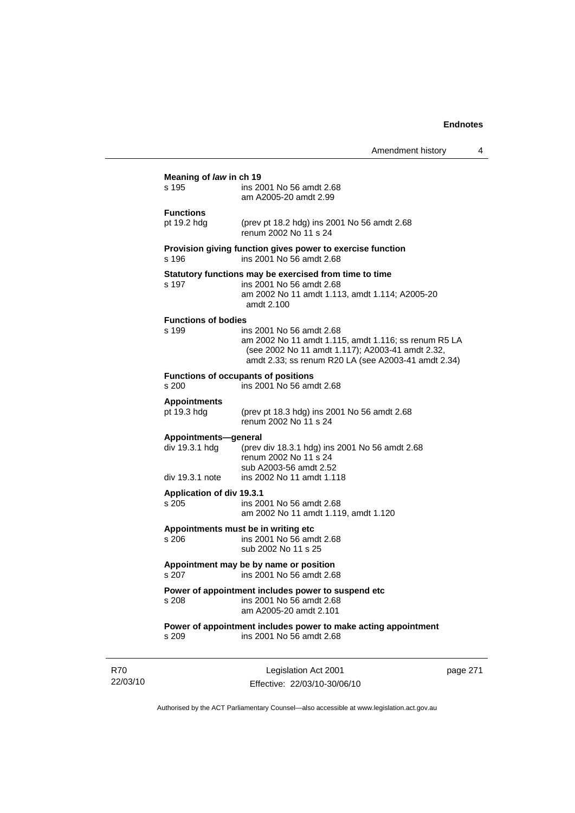|                                                           |                                                                                                                                                                                             | Amendment history | 4 |
|-----------------------------------------------------------|---------------------------------------------------------------------------------------------------------------------------------------------------------------------------------------------|-------------------|---|
| Meaning of law in ch 19<br>s 195                          | ins 2001 No 56 amdt 2.68<br>am A2005-20 amdt 2.99                                                                                                                                           |                   |   |
| <b>Functions</b><br>pt 19.2 hdg                           | (prev pt 18.2 hdg) ins 2001 No 56 amdt 2.68<br>renum 2002 No 11 s 24                                                                                                                        |                   |   |
| s 196                                                     | Provision giving function gives power to exercise function<br>ins 2001 No 56 amdt 2.68                                                                                                      |                   |   |
| s 197                                                     | Statutory functions may be exercised from time to time<br>ins 2001 No 56 amdt 2.68<br>am 2002 No 11 amdt 1.113, amdt 1.114; A2005-20<br>amdt 2.100                                          |                   |   |
| <b>Functions of bodies</b><br>s 199                       | ins 2001 No 56 amdt 2.68<br>am 2002 No 11 amdt 1.115, amdt 1.116; ss renum R5 LA<br>(see 2002 No 11 amdt 1.117); A2003-41 amdt 2.32,<br>amdt 2.33; ss renum R20 LA (see A2003-41 amdt 2.34) |                   |   |
| s 200                                                     | <b>Functions of occupants of positions</b><br>ins 2001 No 56 amdt 2.68                                                                                                                      |                   |   |
| <b>Appointments</b><br>pt 19.3 hdg                        | (prev pt 18.3 hdg) ins 2001 No 56 amdt 2.68<br>renum 2002 No 11 s 24                                                                                                                        |                   |   |
| Appointments-general<br>div 19.3.1 hdg<br>div 19.3.1 note | (prev div 18.3.1 hdg) ins 2001 No 56 amdt 2.68<br>renum 2002 No 11 s 24<br>sub A2003-56 amdt 2.52<br>ins 2002 No 11 amdt 1.118                                                              |                   |   |
| Application of div 19.3.1<br>s 205                        | ins 2001 No 56 amdt 2.68<br>am 2002 No 11 amdt 1.119, amdt 1.120                                                                                                                            |                   |   |
| s 206                                                     | Appointments must be in writing etc<br>ins 2001 No 56 amdt 2.68<br>sub 2002 No 11 s 25                                                                                                      |                   |   |
| s 207                                                     | Appointment may be by name or position<br>ins 2001 No 56 amdt 2.68                                                                                                                          |                   |   |
| s 208                                                     | Power of appointment includes power to suspend etc<br>ins 2001 No 56 amdt 2.68<br>am A2005-20 amdt 2.101                                                                                    |                   |   |
| s 209                                                     | Power of appointment includes power to make acting appointment<br>ins 2001 No 56 amdt 2.68                                                                                                  |                   |   |
|                                                           |                                                                                                                                                                                             |                   |   |

R70 22/03/10

Legislation Act 2001 Effective: 22/03/10-30/06/10 page 271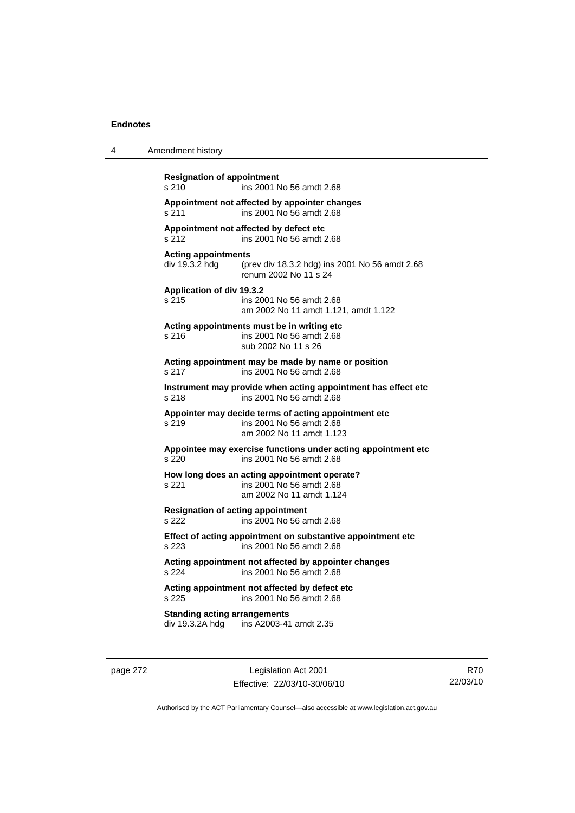| 4 | Amendment history                                                                                                       |
|---|-------------------------------------------------------------------------------------------------------------------------|
|   | <b>Resignation of appointment</b><br>s 210<br>ins 2001 No 56 amdt 2.68                                                  |
|   | Appointment not affected by appointer changes<br>ins 2001 No 56 amdt 2.68<br>s 211                                      |
|   | Appointment not affected by defect etc<br>ins 2001 No 56 amdt 2.68<br>s 212                                             |
|   | <b>Acting appointments</b><br>div 19.3.2 hdg<br>(prev div 18.3.2 hdg) ins 2001 No 56 amdt 2.68<br>renum 2002 No 11 s 24 |
|   | Application of div 19.3.2<br>s 215<br>ins 2001 No 56 amdt 2.68<br>am 2002 No 11 amdt 1.121, amdt 1.122                  |
|   | Acting appointments must be in writing etc<br>ins 2001 No 56 amdt 2.68<br>s <sub>216</sub><br>sub 2002 No 11 s 26       |
|   | Acting appointment may be made by name or position<br>s 217<br>ins 2001 No 56 amdt 2.68                                 |
|   | Instrument may provide when acting appointment has effect etc<br>ins 2001 No 56 amdt 2.68<br>s 218                      |
|   | Appointer may decide terms of acting appointment etc<br>s 219<br>ins 2001 No 56 amdt 2.68<br>am 2002 No 11 amdt 1.123   |
|   | Appointee may exercise functions under acting appointment etc<br>ins 2001 No 56 amdt 2.68<br>s 220                      |
|   | How long does an acting appointment operate?<br>ins 2001 No 56 amdt 2.68<br>s 221<br>am 2002 No 11 amdt 1.124           |
|   | <b>Resignation of acting appointment</b><br>s 222<br>ins 2001 No 56 amdt 2.68                                           |
|   | Effect of acting appointment on substantive appointment etc<br>s.223<br>ins 2001 No 56 amdt 2.68                        |
|   | Acting appointment not affected by appointer changes<br>s 224<br>ins 2001 No 56 amdt 2.68                               |
|   | Acting appointment not affected by defect etc<br>s 225<br>ins 2001 No 56 amdt 2.68                                      |
|   | <b>Standing acting arrangements</b><br>div 19.3.2A hdg<br>ins A2003-41 amdt 2.35                                        |

page 272 Legislation Act 2001 Effective: 22/03/10-30/06/10

R70 22/03/10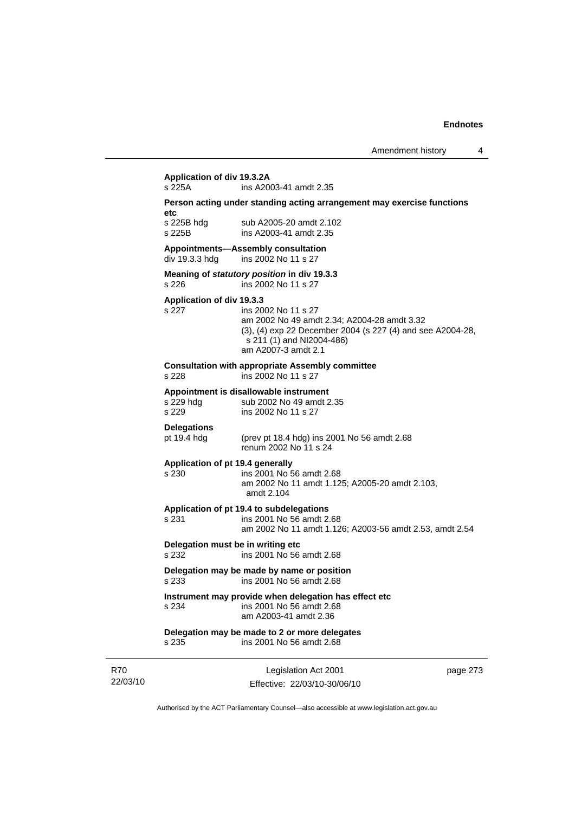# **Application of div 19.3.2A**

ins A2003-41 amdt 2.35

#### **Person acting under standing acting arrangement may exercise functions etc**

s 225B hdg sub A2005-20 amdt 2.102 s 225B ins A2003-41 amdt 2.35

#### **Appointments—Assembly consultation**

div 19.3.3 hdg ins 2002 No 11 s 27

#### **Meaning of** *statutory position* **in div 19.3.3**  s 226 ins 2002 No 11 s 27

#### **Application of div 19.3.3**

#### s 227 ins 2002 No 11 s 27 am 2002 No 49 amdt 2.34; A2004-28 amdt 3.32 (3), (4) exp 22 December 2004 (s 227 (4) and see A2004-28, s 211 (1) and NI2004-486) am A2007-3 amdt 2.1

#### **Consultation with appropriate Assembly committee**

s 228 ins 2002 No 11 s 27

#### **Appointment is disallowable instrument**

s 229 hdg sub 2002 No 49 amdt 2.35 s 229 ins 2002 No 11 s 27

# **Delegations**

pt 19.4 hdg (prev pt 18.4 hdg) ins 2001 No 56 amdt 2.68 renum 2002 No 11 s 24

#### **Application of pt 19.4 generally**

### s 230 ins 2001 No 56 amdt 2.68

 am 2002 No 11 amdt 1.125; A2005-20 amdt 2.103, amdt 2.104

#### **Application of pt 19.4 to subdelegations**

s 231 ins 2001 No 56 amdt 2.68 am 2002 No 11 amdt 1.126; A2003-56 amdt 2.53, amdt 2.54

### **Delegation must be in writing etc**

s 232 ins 2001 No 56 amdt 2.68

#### **Delegation may be made by name or position**  s 233 ins 2001 No 56 amdt 2.68

# **Instrument may provide when delegation has effect etc**

s 234 ins 2001 No 56 amdt 2.68 am A2003-41 amdt 2.36

# **Delegation may be made to 2 or more delegates**

s 235 ins 2001 No 56 amdt 2.68

R70 22/03/10

Legislation Act 2001 Effective: 22/03/10-30/06/10 page 273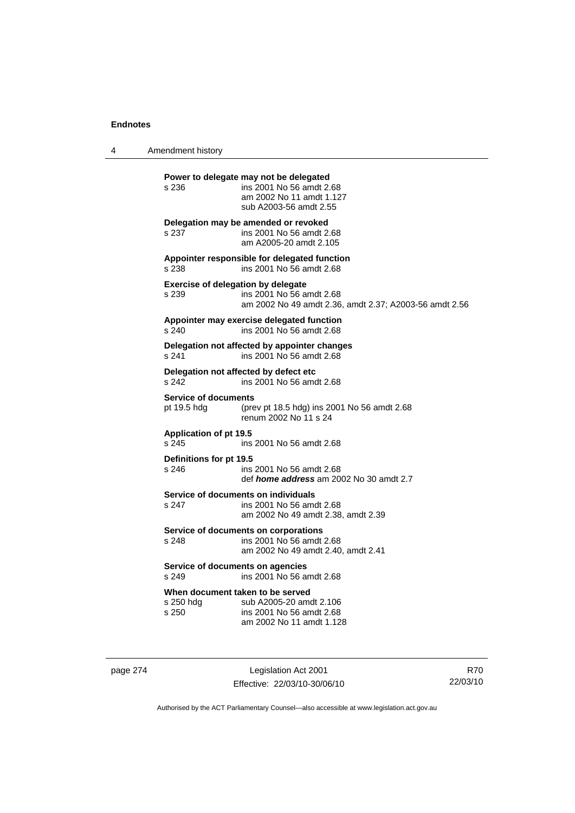4 Amendment history

**Power to delegate may not be delegated**  s 236 ins 2001 No 56 amdt 2.68 am 2002 No 11 amdt 1.127 sub A2003-56 amdt 2.55 **Delegation may be amended or revoked**  s 237 ins 2001 No 56 amdt 2.68 am A2005-20 amdt 2.105 **Appointer responsible for delegated function**  s 238 ins 2001 No 56 amdt 2.68 **Exercise of delegation by delegate**  s 239 ins 2001 No 56 amdt 2.68 am 2002 No 49 amdt 2.36, amdt 2.37; A2003-56 amdt 2.56 **Appointer may exercise delegated function**  s 240 ins 2001 No 56 amdt 2.68 **Delegation not affected by appointer changes**  s 241 ins 2001 No 56 amdt 2.68 **Delegation not affected by defect etc**  s 242 ins 2001 No 56 amdt 2.68 **Service of documents**<br>pt 19.5 hdg (pre (prev pt 18.5 hdg) ins 2001 No 56 amdt  $2.68$ renum 2002 No 11 s 24 **Application of pt 19.5**  s 245 ins 2001 No 56 amdt 2.68 **Definitions for pt 19.5**  ins 2001 No 56 amdt 2.68 def *home address* am 2002 No 30 amdt 2.7 **Service of documents on individuals**<br>s 247 **ins 2001 No 56 am** ins 2001 No 56 amdt 2.68 am 2002 No 49 amdt 2.38, amdt 2.39 **Service of documents on corporations**  s 248 ins 2001 No 56 amdt 2.68 am 2002 No 49 amdt 2.40, amdt 2.41 **Service of documents on agencies**  s 249 ins 2001 No 56 amdt 2.68 **When document taken to be served**  s 250 hdg sub A2005-20 amdt 2.106 s 250 ins 2001 No 56 amdt 2.68 am 2002 No 11 amdt 1.128

page 274 Legislation Act 2001 Effective: 22/03/10-30/06/10

R70 22/03/10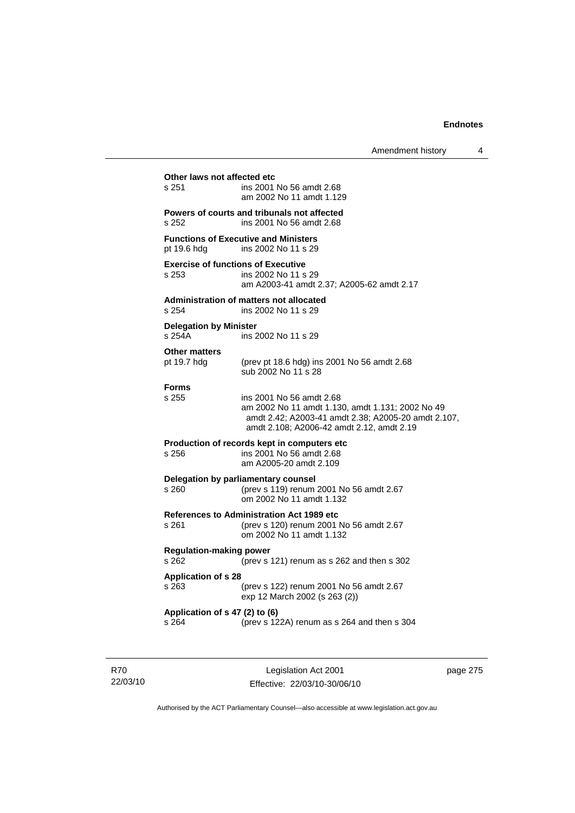# **Other laws not affected etc**<br>s 251 ins 2001 ins 2001 No 56 amdt 2.68 am 2002 No 11 amdt 1.129 **Powers of courts and tribunals not affected**  s 252 ins 2001 No 56 amdt 2.68 **Functions of Executive and Ministers**  pt 19.6 hdg ins 2002 No 11 s 29 **Exercise of functions of Executive**  s 253 ins 2002 No 11 s 29 am A2003-41 amdt 2.37; A2005-62 amdt 2.17 **Administration of matters not allocated**  s 254 ins 2002 No 11 s 29 **Delegation by Minister**  s 254A ins 2002 No 11 s 29 **Other matters**  pt 19.7 hdg (prev pt 18.6 hdg) ins 2001 No 56 amdt 2.68 sub 2002 No 11 s 28 **Forms**  s 255 ins 2001 No 56 amdt 2.68 am 2002 No 11 amdt 1.130, amdt 1.131; 2002 No 49 amdt 2.42; A2003-41 amdt 2.38; A2005-20 amdt 2.107, amdt 2.108; A2006-42 amdt 2.12, amdt 2.19 **Production of records kept in computers etc**  s 256 ins 2001 No 56 amdt 2.68 am A2005-20 amdt 2.109 **Delegation by parliamentary counsel**  s 260 (prev s 119) renum 2001 No 56 amdt 2.67 om 2002 No 11 amdt 1.132 **References to Administration Act 1989 etc**  s 261 (prev s 120) renum 2001 No 56 amdt 2.67 om 2002 No 11 amdt 1.132 **Regulation-making power**  s 262 (prev s 121) renum as s 262 and then s 302 **Application of s 28**  s 263 (prev s 122) renum 2001 No 56 amdt 2.67 exp 12 March 2002 (s 263 (2)) **Application of s 47 (2) to (6)**  s 264 (prev s 122A) renum as s 264 and then s 304

R70 22/03/10

Legislation Act 2001 Effective: 22/03/10-30/06/10 page 275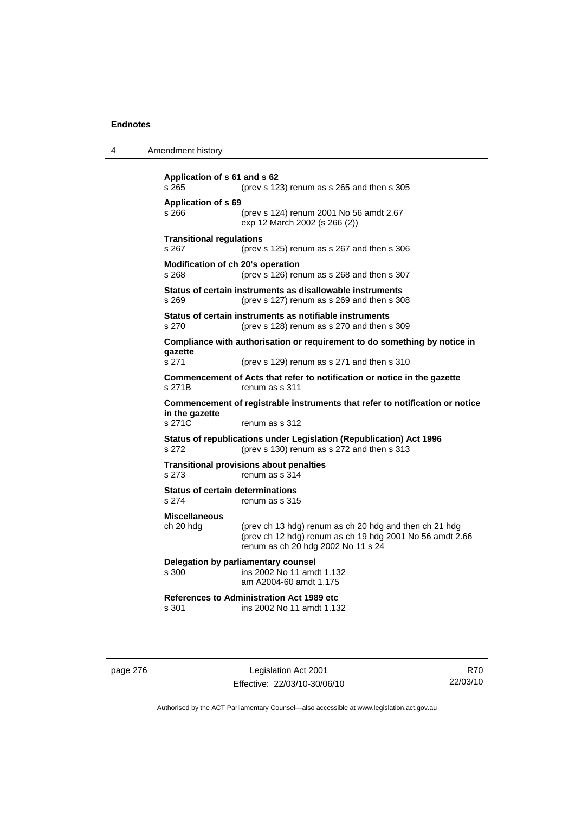| Amendment history<br>4 |  |
|------------------------|--|
|------------------------|--|

```
Application of s 61 and s 62 
s 265 (prev s 123) renum as s 265 and then s 305 
Application of s 69 
s 266 (prev s 124) renum 2001 No 56 amdt 2.67 
                  exp 12 March 2002 (s 266 (2)) 
Transitional regulations 
s 267 (prev s 125) renum as s 267 and then s 306 
Modification of ch 20's operation 
s 268 (prev s 126) renum as s 268 and then s 307 
Status of certain instruments as disallowable instruments 
s 269 (prev s 127) renum as s 269 and then s 308 
Status of certain instruments as notifiable instruments 
s 270 (prev s 128) renum as s 270 and then s 309 
Compliance with authorisation or requirement to do something by notice in 
gazette 
s 271 (prev s 129) renum as s 271 and then s 310 
Commencement of Acts that refer to notification or notice in the gazette 
s 271B renum as s 311
Commencement of registrable instruments that refer to notification or notice 
in the gazette 
s 271C renum as s 312
Status of republications under Legislation (Republication) Act 1996 
s 272 (prev s 130) renum as s 272 and then s 313 
Transitional provisions about penalties
s 273 renum as s 314 
Status of certain determinations 
s 274 renum as s 315
Miscellaneous 
ch 20 hdg (prev ch 13 hdg) renum as ch 20 hdg and then ch 21 hdg 
                  (prev ch 12 hdg) renum as ch 19 hdg 2001 No 56 amdt 2.66 
                  renum as ch 20 hdg 2002 No 11 s 24 
Delegation by parliamentary counsel 
s 300 ins 2002 No 11 amdt 1.132 
                  am A2004-60 amdt 1.175 
References to Administration Act 1989 etc 
                 ins 2002 No 11 amdt 1.132
```
page 276 Legislation Act 2001 Effective: 22/03/10-30/06/10

R70 22/03/10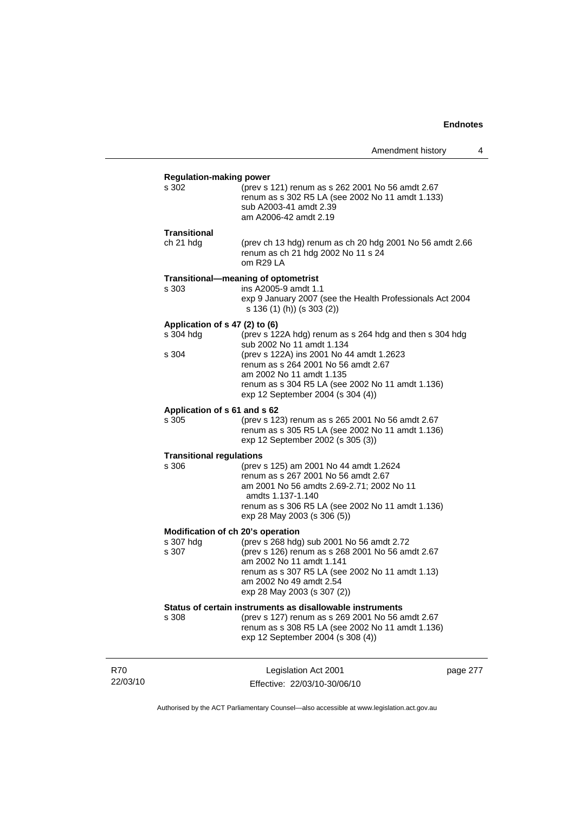|                                                         |                                                                                                                                                                                                                                                                                              | Amendment history | 4 |
|---------------------------------------------------------|----------------------------------------------------------------------------------------------------------------------------------------------------------------------------------------------------------------------------------------------------------------------------------------------|-------------------|---|
| <b>Regulation-making power</b><br>s 302                 | (prev s 121) renum as s 262 2001 No 56 amdt 2.67<br>renum as s 302 R5 LA (see 2002 No 11 amdt 1.133)<br>sub A2003-41 amdt 2.39<br>am A2006-42 amdt 2.19                                                                                                                                      |                   |   |
| Transitional<br>ch 21 hdg                               | (prev ch 13 hdg) renum as ch 20 hdg 2001 No 56 amdt 2.66<br>renum as ch 21 hdg 2002 No 11 s 24<br>om R29 LA                                                                                                                                                                                  |                   |   |
| s 303                                                   | Transitional-meaning of optometrist<br>ins A2005-9 amdt 1.1<br>exp 9 January 2007 (see the Health Professionals Act 2004<br>s 136 (1) (h)) (s 303 (2))                                                                                                                                       |                   |   |
| Application of s 47 (2) to (6)<br>s 304 hdg<br>s 304    | (prev s 122A hdg) renum as s 264 hdg and then s 304 hdg<br>sub 2002 No 11 amdt 1.134<br>(prev s 122A) ins 2001 No 44 amdt 1.2623<br>renum as s 264 2001 No 56 amdt 2.67<br>am 2002 No 11 amdt 1.135<br>renum as s 304 R5 LA (see 2002 No 11 amdt 1.136)<br>exp 12 September 2004 (s 304 (4)) |                   |   |
| Application of s 61 and s 62<br>s 305                   | (prev s 123) renum as s 265 2001 No 56 amdt 2.67<br>renum as s 305 R5 LA (see 2002 No 11 amdt 1.136)<br>exp 12 September 2002 (s 305 (3))                                                                                                                                                    |                   |   |
| <b>Transitional regulations</b><br>s 306                | (prev s 125) am 2001 No 44 amdt 1.2624<br>renum as s 267 2001 No 56 amdt 2.67<br>am 2001 No 56 amdts 2.69-2.71; 2002 No 11<br>amdts 1.137-1.140<br>renum as s 306 R5 LA (see 2002 No 11 amdt 1.136)<br>exp 28 May 2003 (s 306 (5))                                                           |                   |   |
| Modification of ch 20's operation<br>s 307 hdg<br>s 307 | (prev s 268 hdg) sub 2001 No 56 amdt 2.72<br>(prev s 126) renum as s 268 2001 No 56 amdt 2.67<br>am 2002 No 11 amdt 1.141<br>renum as s 307 R5 LA (see 2002 No 11 amdt 1.13)<br>am 2002 No 49 amdt 2.54<br>exp 28 May 2003 (s 307 (2))                                                       |                   |   |
| s 308                                                   | Status of certain instruments as disallowable instruments<br>(prev s 127) renum as s 269 2001 No 56 amdt 2.67<br>renum as s 308 R5 LA (see 2002 No 11 amdt 1.136)<br>exp 12 September 2004 (s 308 (4))                                                                                       |                   |   |

22/03/10

R70

Legislation Act 2001 Effective: 22/03/10-30/06/10 page 277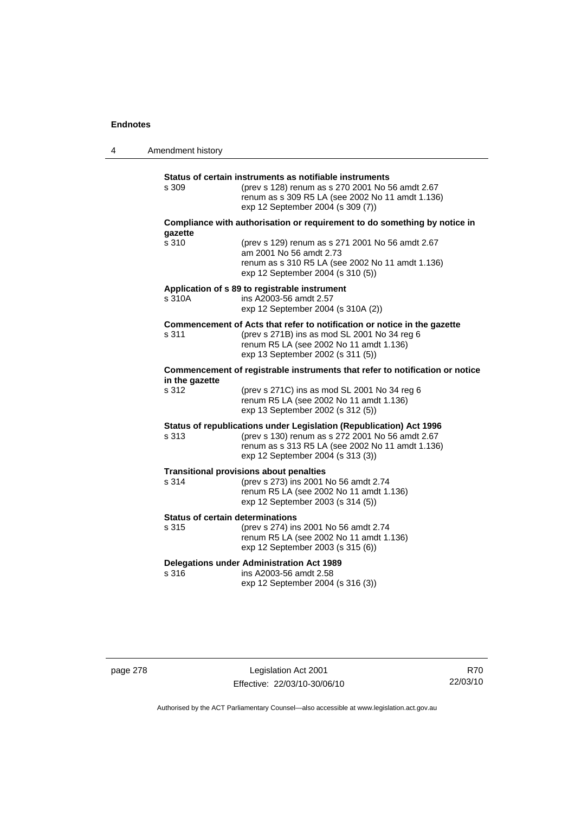| 4 | Amendment history |                                                                                                                                                                                                                  |
|---|-------------------|------------------------------------------------------------------------------------------------------------------------------------------------------------------------------------------------------------------|
|   | s 309             | Status of certain instruments as notifiable instruments<br>(prev s 128) renum as s 270 2001 No 56 amdt 2.67<br>renum as s 309 R5 LA (see 2002 No 11 amdt 1.136)<br>exp 12 September 2004 (s 309 (7))             |
|   |                   | Compliance with authorisation or requirement to do something by notice in                                                                                                                                        |
|   | qazette<br>s 310  | (prev s 129) renum as s 271 2001 No 56 amdt 2.67<br>am 2001 No 56 amdt 2.73<br>renum as s 310 R5 LA (see 2002 No 11 amdt 1.136)<br>exp 12 September 2004 (s 310 (5))                                             |
|   | s 310A            | Application of s 89 to registrable instrument<br>ins A2003-56 amdt 2.57<br>exp 12 September 2004 (s 310A (2))                                                                                                    |
|   | s 311             | Commencement of Acts that refer to notification or notice in the gazette<br>(prev s 271B) ins as mod SL 2001 No 34 reg 6<br>renum R5 LA (see 2002 No 11 amdt 1.136)<br>exp 13 September 2002 (s 311 (5))         |
|   | in the gazette    | Commencement of registrable instruments that refer to notification or notice                                                                                                                                     |
|   | s 312             | (prev s 271C) ins as mod SL 2001 No 34 reg 6<br>renum R5 LA (see 2002 No 11 amdt 1.136)<br>exp 13 September 2002 (s 312 (5))                                                                                     |
|   | s 313             | Status of republications under Legislation (Republication) Act 1996<br>(prev s 130) renum as s 272 2001 No 56 amdt 2.67<br>renum as s 313 R5 LA (see 2002 No 11 amdt 1.136)<br>exp 12 September 2004 (s 313 (3)) |
|   | s 314             | <b>Transitional provisions about penalties</b><br>(prev s 273) ins 2001 No 56 amdt 2.74<br>renum R5 LA (see 2002 No 11 amdt 1.136)<br>exp 12 September 2003 (s 314 (5))                                          |
|   | s 315             | <b>Status of certain determinations</b><br>(prev s 274) ins 2001 No 56 amdt 2.74<br>renum R5 LA (see 2002 No 11 amdt 1.136)<br>exp 12 September 2003 (s 315 (6))                                                 |
|   | s 316             | <b>Delegations under Administration Act 1989</b><br>ins A2003-56 amdt 2.58<br>exp 12 September 2004 (s 316 (3))                                                                                                  |

page 278 Legislation Act 2001 Effective: 22/03/10-30/06/10

R70 22/03/10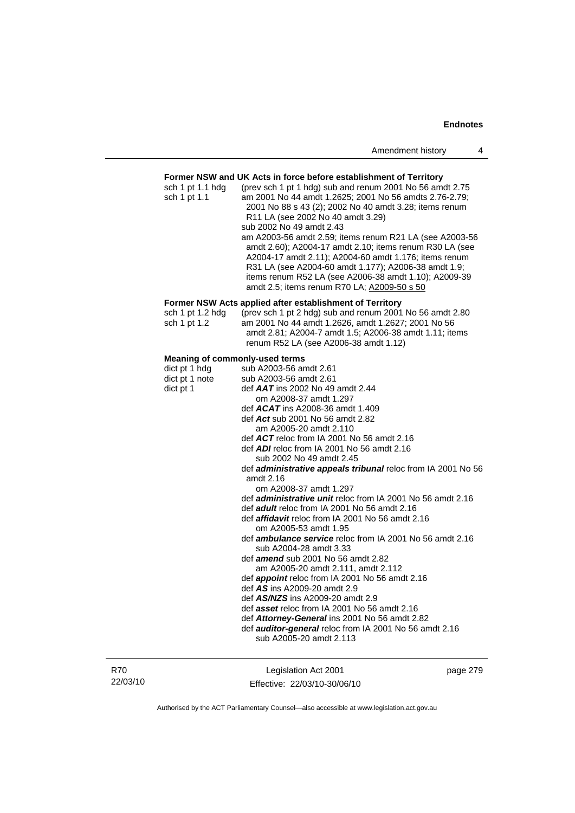## **Former NSW and UK Acts in force before establishment of Territory**

| sch 1 pt 1.1 hdg                      | Former NSW and UK ACts in force before establishment of Territory<br>(prev sch 1 pt 1 hdg) sub and renum 2001 No 56 amdt 2.75                                                                                                                                                                                                               |
|---------------------------------------|---------------------------------------------------------------------------------------------------------------------------------------------------------------------------------------------------------------------------------------------------------------------------------------------------------------------------------------------|
| sch 1 pt 1.1                          | am 2001 No 44 amdt 1.2625; 2001 No 56 amdts 2.76-2.79;<br>2001 No 88 s 43 (2); 2002 No 40 amdt 3.28; items renum<br>R <sub>11</sub> LA (see 2002 No 40 amdt 3.29)                                                                                                                                                                           |
|                                       | sub 2002 No 49 amdt 2.43                                                                                                                                                                                                                                                                                                                    |
|                                       | am A2003-56 amdt 2.59; items renum R21 LA (see A2003-56<br>amdt 2.60); A2004-17 amdt 2.10; items renum R30 LA (see<br>A2004-17 amdt 2.11); A2004-60 amdt 1.176; items renum<br>R31 LA (see A2004-60 amdt 1.177); A2006-38 amdt 1.9;<br>items renum R52 LA (see A2006-38 amdt 1.10); A2009-39<br>amdt 2.5; items renum R70 LA; A2009-50 s 50 |
|                                       | Former NSW Acts applied after establishment of Territory                                                                                                                                                                                                                                                                                    |
| sch 1 pt 1.2 hdg<br>sch 1 pt 1.2      | (prev sch 1 pt 2 hdg) sub and renum 2001 No 56 amdt 2.80<br>am 2001 No 44 amdt 1.2626, amdt 1.2627; 2001 No 56<br>amdt 2.81; A2004-7 amdt 1.5; A2006-38 amdt 1.11; items<br>renum R52 LA (see A2006-38 amdt 1.12)                                                                                                                           |
| <b>Meaning of commonly-used terms</b> |                                                                                                                                                                                                                                                                                                                                             |
| dict pt 1 hdg                         | sub A2003-56 amdt 2.61                                                                                                                                                                                                                                                                                                                      |
| dict pt 1 note                        | sub A2003-56 amdt 2.61                                                                                                                                                                                                                                                                                                                      |
| dict pt 1                             | def $AAT$ ins 2002 No 49 amdt 2.44                                                                                                                                                                                                                                                                                                          |
|                                       | om A2008-37 amdt 1.297                                                                                                                                                                                                                                                                                                                      |
|                                       | def $ACAT$ ins A2008-36 amdt 1.409                                                                                                                                                                                                                                                                                                          |
|                                       | def Act sub 2001 No 56 amdt 2.82                                                                                                                                                                                                                                                                                                            |
|                                       | am A2005-20 amdt 2.110                                                                                                                                                                                                                                                                                                                      |
|                                       | def $ACT$ reloc from IA 2001 No 56 amdt 2.16                                                                                                                                                                                                                                                                                                |
|                                       | def $ADI$ reloc from IA 2001 No 56 amdt 2.16<br>sub 2002 No 49 amdt 2.45                                                                                                                                                                                                                                                                    |
|                                       | def <i>administrative appeals tribunal</i> reloc from IA 2001 No 56                                                                                                                                                                                                                                                                         |
|                                       | amdt 2.16<br>om A2008-37 amdt 1.297                                                                                                                                                                                                                                                                                                         |
|                                       | def <i>administrative unit</i> reloc from IA 2001 No 56 amdt 2.16                                                                                                                                                                                                                                                                           |
|                                       | def <b>adult</b> reloc from IA 2001 No 56 amdt 2.16                                                                                                                                                                                                                                                                                         |
|                                       | def <b>affidavit</b> reloc from IA 2001 No 56 amdt 2.16                                                                                                                                                                                                                                                                                     |
|                                       | om A2005-53 amdt 1.95                                                                                                                                                                                                                                                                                                                       |
|                                       | def <b>ambulance service</b> reloc from IA 2001 No 56 amdt 2.16                                                                                                                                                                                                                                                                             |
|                                       | sub A2004-28 amdt 3.33                                                                                                                                                                                                                                                                                                                      |
|                                       |                                                                                                                                                                                                                                                                                                                                             |

- def *amend* sub 2001 No 56 amdt 2.82
- am A2005-20 amdt 2.111, amdt 2.112
- def *appoint* reloc from IA 2001 No 56 amdt 2.16
	- def *AS* ins A2009-20 amdt 2.9
	- def *AS/NZS* ins A2009-20 amdt 2.9
	- def *asset* reloc from IA 2001 No 56 amdt 2.16
	- def *Attorney-General* ins 2001 No 56 amdt 2.82
	- def *auditor-general* reloc from IA 2001 No 56 amdt 2.16 sub A2005-20 amdt 2.113

R70 22/03/10

Legislation Act 2001 Effective: 22/03/10-30/06/10 page 279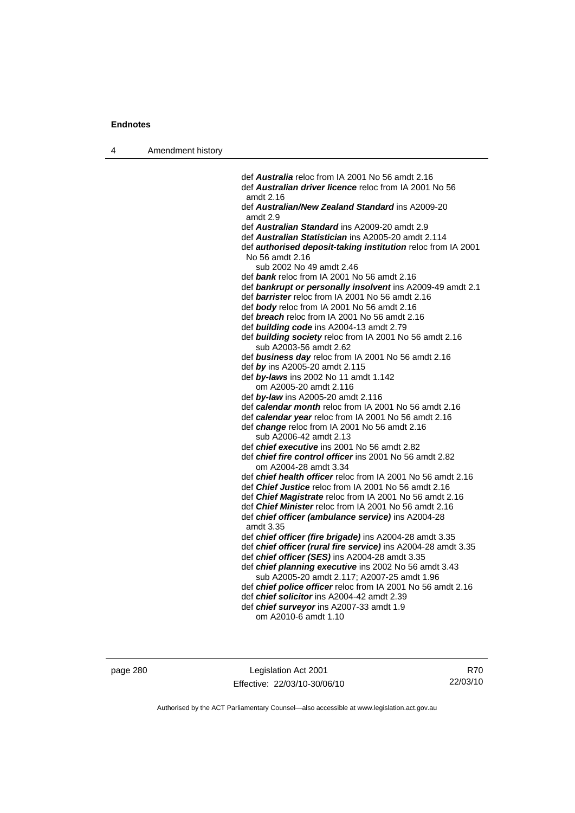4 Amendment history

 def *Australia* reloc from IA 2001 No 56 amdt 2.16 def *Australian driver licence* reloc from IA 2001 No 56 amdt 2.16 def *Australian/New Zealand Standard* ins A2009-20 amdt 2.9 def *Australian Standard* ins A2009-20 amdt 2.9 def *Australian Statistician* ins A2005-20 amdt 2.114 def *authorised deposit-taking institution* reloc from IA 2001 No 56 amdt 2.16 sub 2002 No 49 amdt 2.46 def *bank* reloc from IA 2001 No 56 amdt 2.16 def *bankrupt or personally insolvent* ins A2009-49 amdt 2.1 def *barrister* reloc from IA 2001 No 56 amdt 2.16 def *body* reloc from IA 2001 No 56 amdt 2.16 def *breach* reloc from IA 2001 No 56 amdt 2.16 def *building code* ins A2004-13 amdt 2.79 def *building society* reloc from IA 2001 No 56 amdt 2.16 sub A2003-56 amdt 2.62 def *business day* reloc from IA 2001 No 56 amdt 2.16 def *by* ins A2005-20 amdt 2.115 def *by-laws* ins 2002 No 11 amdt 1.142 om A2005-20 amdt 2.116 def *by-law* ins A2005-20 amdt 2.116 def *calendar month* reloc from IA 2001 No 56 amdt 2.16 def *calendar year* reloc from IA 2001 No 56 amdt 2.16 def *change* reloc from IA 2001 No 56 amdt 2.16 sub A2006-42 amdt 2.13 def *chief executive* ins 2001 No 56 amdt 2.82 def *chief fire control officer* ins 2001 No 56 amdt 2.82 om A2004-28 amdt 3.34 def *chief health officer* reloc from IA 2001 No 56 amdt 2.16 def *Chief Justice* reloc from IA 2001 No 56 amdt 2.16 def *Chief Magistrate* reloc from IA 2001 No 56 amdt 2.16 def *Chief Minister* reloc from IA 2001 No 56 amdt 2.16 def *chief officer (ambulance service)* ins A2004-28 amdt 3.35 def *chief officer (fire brigade)* ins A2004-28 amdt 3.35 def *chief officer (rural fire service)* ins A2004-28 amdt 3.35 def *chief officer (SES)* ins A2004-28 amdt 3.35 def *chief planning executive* ins 2002 No 56 amdt 3.43 sub A2005-20 amdt 2.117; A2007-25 amdt 1.96 def *chief police officer* reloc from IA 2001 No 56 amdt 2.16 def *chief solicitor* ins A2004-42 amdt 2.39 def *chief surveyor* ins A2007-33 amdt 1.9

om A2010-6 amdt 1.10

page 280 Legislation Act 2001 Effective: 22/03/10-30/06/10

R70 22/03/10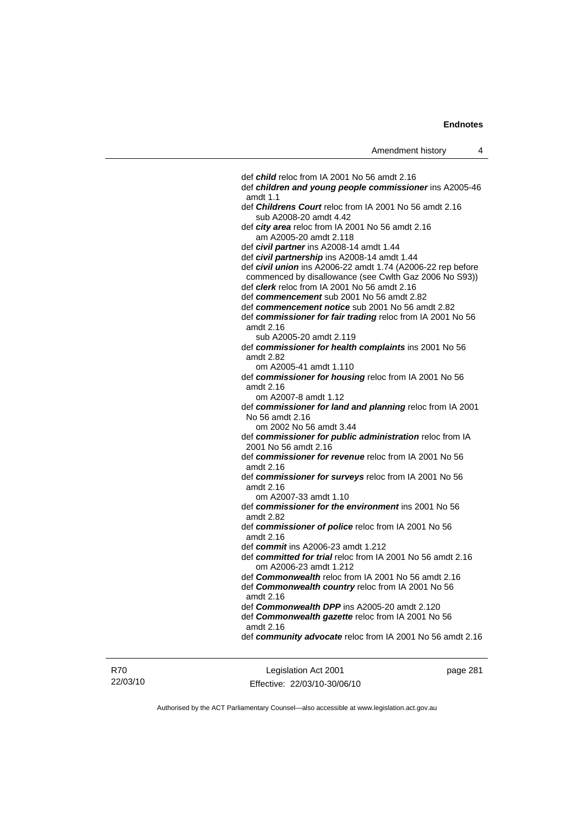def *child* reloc from IA 2001 No 56 amdt 2.16 def *children and young people commissioner* ins A2005-46 amdt 1.1 def *Childrens Court* reloc from IA 2001 No 56 amdt 2.16 sub A2008-20 amdt 4.42 def *city area* reloc from IA 2001 No 56 amdt 2.16 am A2005-20 amdt 2.118 def *civil partner* ins A2008-14 amdt 1.44 def *civil partnership* ins A2008-14 amdt 1.44 def *civil union* ins A2006-22 amdt 1.74 (A2006-22 rep before commenced by disallowance (see Cwlth Gaz 2006 No S93)) def *clerk* reloc from IA 2001 No 56 amdt 2.16 def *commencement* sub 2001 No 56 amdt 2.82 def *commencement notice* sub 2001 No 56 amdt 2.82 def *commissioner for fair trading* reloc from IA 2001 No 56 amdt 2.16 sub A2005-20 amdt 2.119 def *commissioner for health complaints* ins 2001 No 56 amdt 2.82 om A2005-41 amdt 1.110 def *commissioner for housing* reloc from IA 2001 No 56 amdt 2.16 om A2007-8 amdt 1.12 def *commissioner for land and planning* reloc from IA 2001 No 56 amdt 2.16 om 2002 No 56 amdt 3.44 def *commissioner for public administration* reloc from IA 2001 No 56 amdt 2.16 def *commissioner for revenue* reloc from IA 2001 No 56 amdt 2.16 def *commissioner for surveys* reloc from IA 2001 No 56 amdt 2.16 om A2007-33 amdt 1.10 def *commissioner for the environment* ins 2001 No 56 amdt 2.82 def *commissioner of police* reloc from IA 2001 No 56 amdt 2.16 def *commit* ins A2006-23 amdt 1.212 def *committed for trial* reloc from IA 2001 No 56 amdt 2.16 om A2006-23 amdt 1.212 def *Commonwealth* reloc from IA 2001 No 56 amdt 2.16 def *Commonwealth country* reloc from IA 2001 No 56 amdt 2.16 def *Commonwealth DPP* ins A2005-20 amdt 2.120 def *Commonwealth gazette* reloc from IA 2001 No 56 amdt 2.16 def *community advocate* reloc from IA 2001 No 56 amdt 2.16

R70 22/03/10

Legislation Act 2001 Effective: 22/03/10-30/06/10 page 281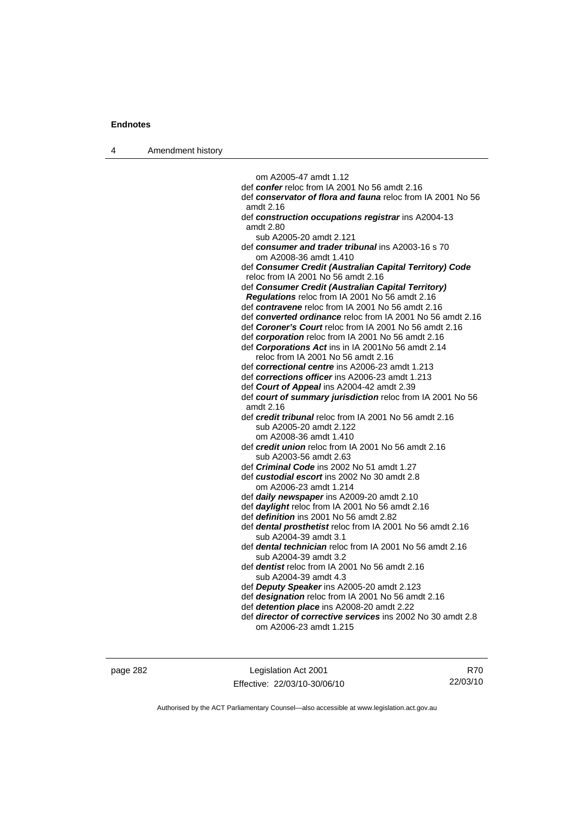4 Amendment history

 om A2005-47 amdt 1.12 def *confer* reloc from IA 2001 No 56 amdt 2.16 def *conservator of flora and fauna* reloc from IA 2001 No 56 amdt 2.16 def *construction occupations registrar* ins A2004-13 amdt 2.80 sub A2005-20 amdt 2.121 def *consumer and trader tribunal* ins A2003-16 s 70 om A2008-36 amdt 1.410 def *Consumer Credit (Australian Capital Territory) Code* reloc from IA 2001 No 56 amdt 2.16 def *Consumer Credit (Australian Capital Territory) Regulations* reloc from IA 2001 No 56 amdt 2.16 def *contravene* reloc from IA 2001 No 56 amdt 2.16 def *converted ordinance* reloc from IA 2001 No 56 amdt 2.16 def *Coroner's Court* reloc from IA 2001 No 56 amdt 2.16 def *corporation* reloc from IA 2001 No 56 amdt 2.16 def *Corporations Act* ins in IA 2001No 56 amdt 2.14 reloc from IA 2001 No 56 amdt 2.16 def *correctional centre* ins A2006-23 amdt 1.213 def *corrections officer* ins A2006-23 amdt 1.213 def *Court of Appeal* ins A2004-42 amdt 2.39 def *court of summary jurisdiction* reloc from IA 2001 No 56 amdt 2.16 def *credit tribunal* reloc from IA 2001 No 56 amdt 2.16 sub A2005-20 amdt 2.122 om A2008-36 amdt 1.410 def *credit union* reloc from IA 2001 No 56 amdt 2.16 sub A2003-56 amdt 2.63 def *Criminal Code* ins 2002 No 51 amdt 1.27 def *custodial escort* ins 2002 No 30 amdt 2.8 om A2006-23 amdt 1.214 def *daily newspaper* ins A2009-20 amdt 2.10 def *daylight* reloc from IA 2001 No 56 amdt 2.16 def *definition* ins 2001 No 56 amdt 2.82 def *dental prosthetist* reloc from IA 2001 No 56 amdt 2.16 sub A2004-39 amdt 3.1 def *dental technician* reloc from IA 2001 No 56 amdt 2.16 sub A2004-39 amdt 3.2 def *dentist* reloc from IA 2001 No 56 amdt 2.16 sub A2004-39 amdt 4.3 def *Deputy Speaker* ins A2005-20 amdt 2.123 def *designation* reloc from IA 2001 No 56 amdt 2.16 def *detention place* ins A2008-20 amdt 2.22 def *director of corrective services* ins 2002 No 30 amdt 2.8

page 282 Legislation Act 2001 Effective: 22/03/10-30/06/10

R70 22/03/10

Authorised by the ACT Parliamentary Counsel—also accessible at www.legislation.act.gov.au

om A2006-23 amdt 1.215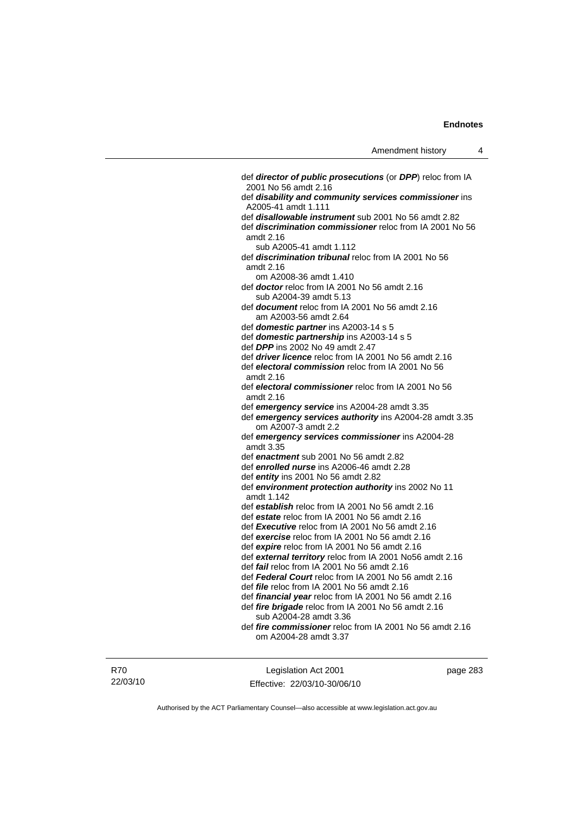def *director of public prosecutions* (or *DPP*) reloc from IA 2001 No 56 amdt 2.16 def *disability and community services commissioner* ins A2005-41 amdt 1.111 def *disallowable instrument* sub 2001 No 56 amdt 2.82 def *discrimination commissioner* reloc from IA 2001 No 56 amdt 2.16 sub A2005-41 amdt 1.112 def *discrimination tribunal* reloc from IA 2001 No 56 amdt 2.16 om A2008-36 amdt 1.410 def *doctor* reloc from IA 2001 No 56 amdt 2.16 sub A2004-39 amdt 5.13 def *document* reloc from IA 2001 No 56 amdt 2.16 am A2003-56 amdt 2.64 def *domestic partner* ins A2003-14 s 5 def *domestic partnership* ins A2003-14 s 5 def *DPP* ins 2002 No 49 amdt 2.47 def *driver licence* reloc from IA 2001 No 56 amdt 2.16 def *electoral commission* reloc from IA 2001 No 56 amdt 2.16 def *electoral commissioner* reloc from IA 2001 No 56 amdt 2.16 def *emergency service* ins A2004-28 amdt 3.35 def *emergency services authority* ins A2004-28 amdt 3.35 om A2007-3 amdt 2.2 def *emergency services commissioner* ins A2004-28 amdt 3.35 def *enactment* sub 2001 No 56 amdt 2.82 def *enrolled nurse* ins A2006-46 amdt 2.28 def *entity* ins 2001 No 56 amdt 2.82 def *environment protection authority* ins 2002 No 11 amdt 1.142 def *establish* reloc from IA 2001 No 56 amdt 2.16 def *estate* reloc from IA 2001 No 56 amdt 2.16 def *Executive* reloc from IA 2001 No 56 amdt 2.16 def *exercise* reloc from IA 2001 No 56 amdt 2.16 def *expire* reloc from IA 2001 No 56 amdt 2.16 def *external territory* reloc from IA 2001 No56 amdt 2.16 def *fail* reloc from IA 2001 No 56 amdt 2.16 def *Federal Court* reloc from IA 2001 No 56 amdt 2.16 def *file* reloc from IA 2001 No 56 amdt 2.16 def *financial year* reloc from IA 2001 No 56 amdt 2.16 def *fire brigade* reloc from IA 2001 No 56 amdt 2.16 sub A2004-28 amdt 3.36 def *fire commissioner* reloc from IA 2001 No 56 amdt 2.16 om A2004-28 amdt 3.37

R70 22/03/10

Legislation Act 2001 Effective: 22/03/10-30/06/10 page 283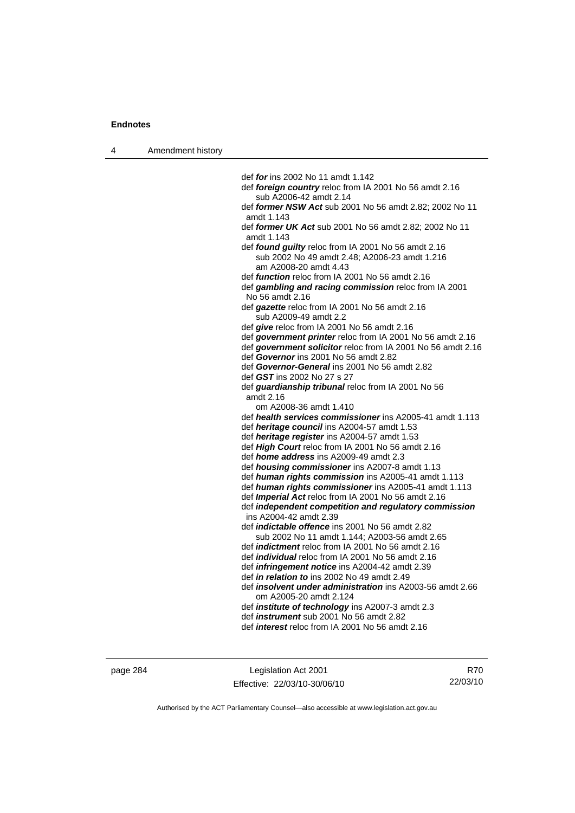4 Amendment history

 def *for* ins 2002 No 11 amdt 1.142 def *foreign country* reloc from IA 2001 No 56 amdt 2.16 sub A2006-42 amdt 2.14 def *former NSW Act* sub 2001 No 56 amdt 2.82; 2002 No 11 amdt 1.143 def *former UK Act* sub 2001 No 56 amdt 2.82; 2002 No 11 amdt 1.143 def *found guilty* reloc from IA 2001 No 56 amdt 2.16 sub 2002 No 49 amdt 2.48; A2006-23 amdt 1.216 am A2008-20 amdt 4.43 def *function* reloc from IA 2001 No 56 amdt 2.16 def *gambling and racing commission* reloc from IA 2001 No 56 amdt 2.16 def *gazette* reloc from IA 2001 No 56 amdt 2.16 sub A2009-49 amdt 2.2 def *give* reloc from IA 2001 No 56 amdt 2.16 def *government printer* reloc from IA 2001 No 56 amdt 2.16 def *government solicitor* reloc from IA 2001 No 56 amdt 2.16 def *Governor* ins 2001 No 56 amdt 2.82 def *Governor-General* ins 2001 No 56 amdt 2.82 def *GST* ins 2002 No 27 s 27 def *guardianship tribunal* reloc from IA 2001 No 56 amdt 2.16 om A2008-36 amdt 1.410 def *health services commissioner* ins A2005-41 amdt 1.113 def *heritage council* ins A2004-57 amdt 1.53 def *heritage register* ins A2004-57 amdt 1.53 def *High Court* reloc from IA 2001 No 56 amdt 2.16 def *home address* ins A2009-49 amdt 2.3 def *housing commissioner* ins A2007-8 amdt 1.13 def *human rights commission* ins A2005-41 amdt 1.113 def *human rights commissioner* ins A2005-41 amdt 1.113 def *Imperial Act* reloc from IA 2001 No 56 amdt 2.16 def *independent competition and regulatory commission*  ins A2004-42 amdt 2.39 def *indictable offence* ins 2001 No 56 amdt 2.82 sub 2002 No 11 amdt 1.144; A2003-56 amdt 2.65 def *indictment* reloc from IA 2001 No 56 amdt 2.16 def *individual* reloc from IA 2001 No 56 amdt 2.16 def *infringement notice* ins A2004-42 amdt 2.39 def *in relation to* ins 2002 No 49 amdt 2.49

- def *insolvent under administration* ins A2003-56 amdt 2.66 om A2005-20 amdt 2.124
- def *institute of technology* ins A2007-3 amdt 2.3
- def *instrument* sub 2001 No 56 amdt 2.82
- def *interest* reloc from IA 2001 No 56 amdt 2.16

page 284 Legislation Act 2001 Effective: 22/03/10-30/06/10

R70 22/03/10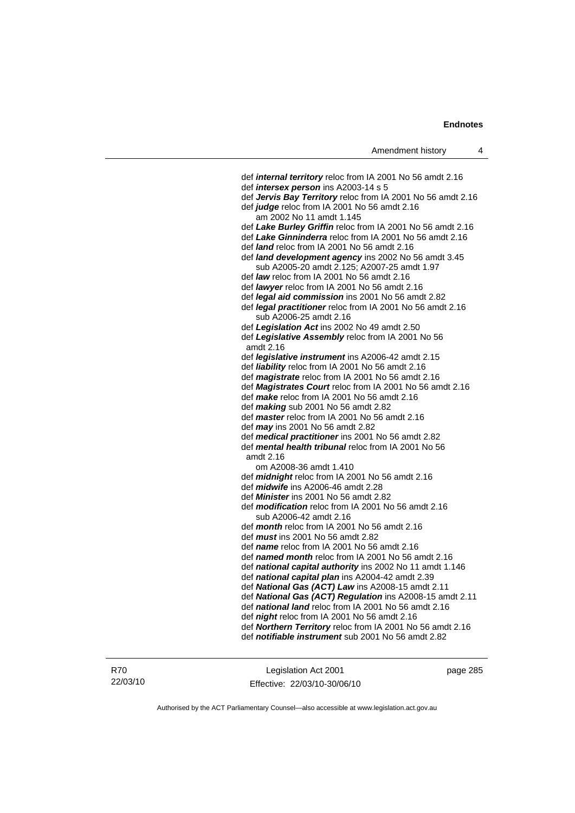def *internal territory* reloc from IA 2001 No 56 amdt 2.16 def *intersex person* ins A2003-14 s 5 def *Jervis Bay Territory* reloc from IA 2001 No 56 amdt 2.16 def *judge* reloc from IA 2001 No 56 amdt 2.16 am 2002 No 11 amdt 1.145 def *Lake Burley Griffin* reloc from IA 2001 No 56 amdt 2.16 def *Lake Ginninderra* reloc from IA 2001 No 56 amdt 2.16 def *land* reloc from IA 2001 No 56 amdt 2.16 def *land development agency* ins 2002 No 56 amdt 3.45 sub A2005-20 amdt 2.125; A2007-25 amdt 1.97 def *law* reloc from IA 2001 No 56 amdt 2.16 def *lawyer* reloc from IA 2001 No 56 amdt 2.16 def *legal aid commission* ins 2001 No 56 amdt 2.82 def *legal practitioner* reloc from IA 2001 No 56 amdt 2.16 sub A2006-25 amdt 2.16 def *Legislation Act* ins 2002 No 49 amdt 2.50 def *Legislative Assembly* reloc from IA 2001 No 56 amdt 2.16 def *legislative instrument* ins A2006-42 amdt 2.15 def *liability* reloc from IA 2001 No 56 amdt 2.16 def *magistrate* reloc from IA 2001 No 56 amdt 2.16 def *Magistrates Court* reloc from IA 2001 No 56 amdt 2.16 def *make* reloc from IA 2001 No 56 amdt 2.16 def *making* sub 2001 No 56 amdt 2.82 def *master* reloc from IA 2001 No 56 amdt 2.16 def *may* ins 2001 No 56 amdt 2.82 def *medical practitioner* ins 2001 No 56 amdt 2.82 def *mental health tribunal* reloc from IA 2001 No 56 amdt 2.16 om A2008-36 amdt 1.410 def *midnight* reloc from IA 2001 No 56 amdt 2.16 def *midwife* ins A2006-46 amdt 2.28 def *Minister* ins 2001 No 56 amdt 2.82 def *modification* reloc from IA 2001 No 56 amdt 2.16 sub A2006-42 amdt 2.16 def *month* reloc from IA 2001 No 56 amdt 2.16 def *must* ins 2001 No 56 amdt 2.82 def *name* reloc from IA 2001 No 56 amdt 2.16 def *named month* reloc from IA 2001 No 56 amdt 2.16 def *national capital authority* ins 2002 No 11 amdt 1.146 def *national capital plan* ins A2004-42 amdt 2.39 def *National Gas (ACT) Law* ins A2008-15 amdt 2.11 def *National Gas (ACT) Regulation* ins A2008-15 amdt 2.11 def *national land* reloc from IA 2001 No 56 amdt 2.16 def *night* reloc from IA 2001 No 56 amdt 2.16 def *Northern Territory* reloc from IA 2001 No 56 amdt 2.16 def *notifiable instrument* sub 2001 No 56 amdt 2.82

R70 22/03/10

Legislation Act 2001 Effective: 22/03/10-30/06/10 page 285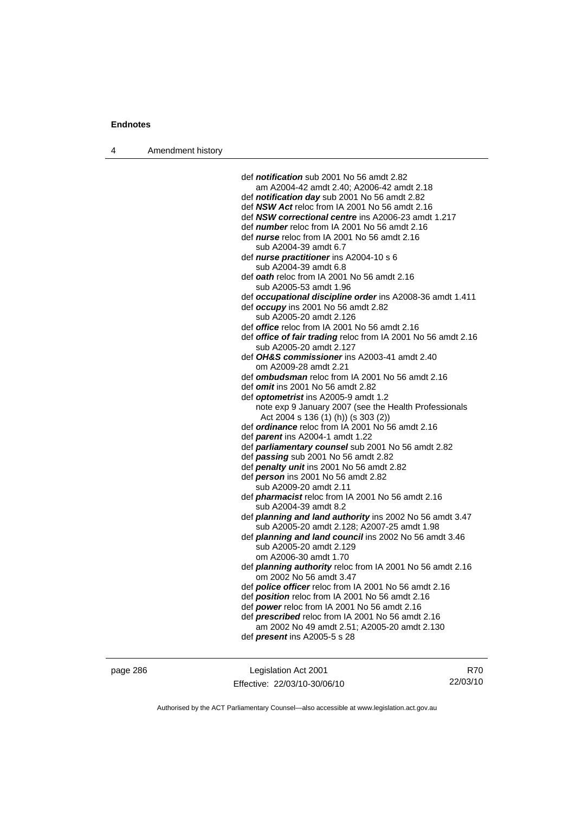| Amendment history<br>4 |  |
|------------------------|--|
|------------------------|--|

 def *notification* sub 2001 No 56 amdt 2.82 am A2004-42 amdt 2.40; A2006-42 amdt 2.18 def *notification day* sub 2001 No 56 amdt 2.82 def *NSW Act* reloc from IA 2001 No 56 amdt 2.16 def *NSW correctional centre* ins A2006-23 amdt 1.217 def *number* reloc from IA 2001 No 56 amdt 2.16 def *nurse* reloc from IA 2001 No 56 amdt 2.16 sub A2004-39 amdt 6.7 def *nurse practitioner* ins A2004-10 s 6 sub A2004-39 amdt 6.8 def *oath* reloc from IA 2001 No 56 amdt 2.16 sub A2005-53 amdt 1.96 def *occupational discipline order* ins A2008-36 amdt 1.411 def *occupy* ins 2001 No 56 amdt 2.82 sub A2005-20 amdt 2.126 def *office* reloc from IA 2001 No 56 amdt 2.16 def *office of fair trading* reloc from IA 2001 No 56 amdt 2.16 sub A2005-20 amdt 2.127 def *OH&S commissioner* ins A2003-41 amdt 2.40 om A2009-28 amdt 2.21 def *ombudsman* reloc from IA 2001 No 56 amdt 2.16 def *omit* ins 2001 No 56 amdt 2.82 def *optometrist* ins A2005-9 amdt 1.2 note exp 9 January 2007 (see the Health Professionals Act 2004 s 136 (1) (h)) (s 303 (2)) def *ordinance* reloc from IA 2001 No 56 amdt 2.16 def *parent* ins A2004-1 amdt 1.22 def *parliamentary counsel* sub 2001 No 56 amdt 2.82 def *passing* sub 2001 No 56 amdt 2.82 def *penalty unit* ins 2001 No 56 amdt 2.82 def *person* ins 2001 No 56 amdt 2.82 sub A2009-20 amdt 2.11 def *pharmacist* reloc from IA 2001 No 56 amdt 2.16 sub A2004-39 amdt 8.2 def *planning and land authority* ins 2002 No 56 amdt 3.47 sub A2005-20 amdt 2.128; A2007-25 amdt 1.98 def *planning and land council* ins 2002 No 56 amdt 3.46 sub A2005-20 amdt 2.129 om A2006-30 amdt 1.70 def *planning authority* reloc from IA 2001 No 56 amdt 2.16 om 2002 No 56 amdt 3.47 def *police officer* reloc from IA 2001 No 56 amdt 2.16 def *position* reloc from IA 2001 No 56 amdt 2.16 def *power* reloc from IA 2001 No 56 amdt 2.16 def *prescribed* reloc from IA 2001 No 56 amdt 2.16 am 2002 No 49 amdt 2.51; A2005-20 amdt 2.130 def *present* ins A2005-5 s 28

page 286 Legislation Act 2001 Effective: 22/03/10-30/06/10

R70 22/03/10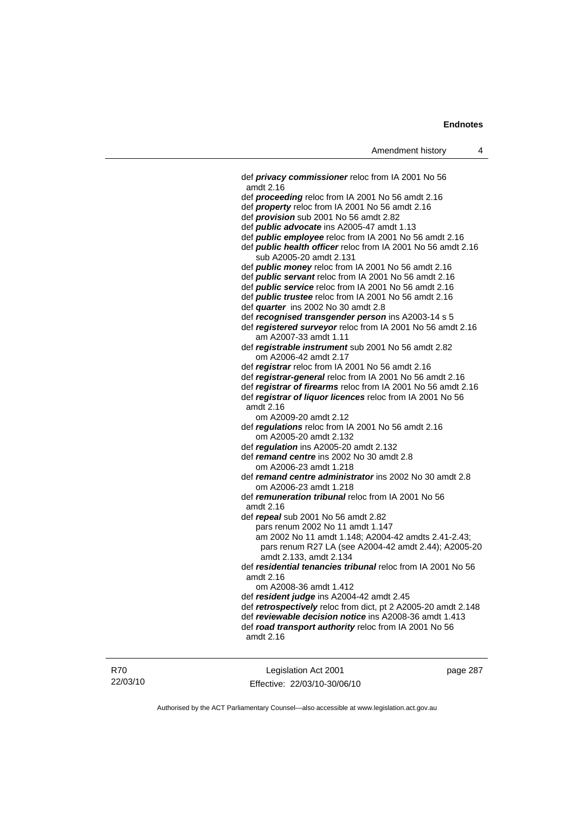def *privacy commissioner* reloc from IA 2001 No 56 amdt 2.16 def *proceeding* reloc from IA 2001 No 56 amdt 2.16 def *property* reloc from IA 2001 No 56 amdt 2.16 def *provision* sub 2001 No 56 amdt 2.82 def *public advocate* ins A2005-47 amdt 1.13 def *public employee* reloc from IA 2001 No 56 amdt 2.16 def *public health officer* reloc from IA 2001 No 56 amdt 2.16 sub A2005-20 amdt 2.131 def *public money* reloc from IA 2001 No 56 amdt 2.16 def *public servant* reloc from IA 2001 No 56 amdt 2.16 def *public service* reloc from IA 2001 No 56 amdt 2.16 def *public trustee* reloc from IA 2001 No 56 amdt 2.16 def *quarter* ins 2002 No 30 amdt 2.8 def *recognised transgender person* ins A2003-14 s 5 def *registered surveyor* reloc from IA 2001 No 56 amdt 2.16 am A2007-33 amdt 1.11 def *registrable instrument* sub 2001 No 56 amdt 2.82 om A2006-42 amdt 2.17 def *registrar* reloc from IA 2001 No 56 amdt 2.16 def *registrar-general* reloc from IA 2001 No 56 amdt 2.16 def *registrar of firearms* reloc from IA 2001 No 56 amdt 2.16 def *registrar of liquor licences* reloc from IA 2001 No 56 amdt 2.16 om A2009-20 amdt 2.12 def *regulations* reloc from IA 2001 No 56 amdt 2.16 om A2005-20 amdt 2.132 def *regulation* ins A2005-20 amdt 2.132 def *remand centre* ins 2002 No 30 amdt 2.8 om A2006-23 amdt 1.218 def *remand centre administrator* ins 2002 No 30 amdt 2.8 om A2006-23 amdt 1.218 def *remuneration tribunal* reloc from IA 2001 No 56 amdt 2.16 def *repeal* sub 2001 No 56 amdt 2.82 pars renum 2002 No 11 amdt 1.147 am 2002 No 11 amdt 1.148; A2004-42 amdts 2.41-2.43; pars renum R27 LA (see A2004-42 amdt 2.44); A2005-20 amdt 2.133, amdt 2.134 def *residential tenancies tribunal* reloc from IA 2001 No 56 amdt 2.16 om A2008-36 amdt 1.412 def *resident judge* ins A2004-42 amdt 2.45 def *retrospectively* reloc from dict, pt 2 A2005-20 amdt 2.148 def *reviewable decision notice* ins A2008-36 amdt 1.413 def *road transport authority* reloc from IA 2001 No 56 amdt 2.16

Legislation Act 2001 Effective: 22/03/10-30/06/10 page 287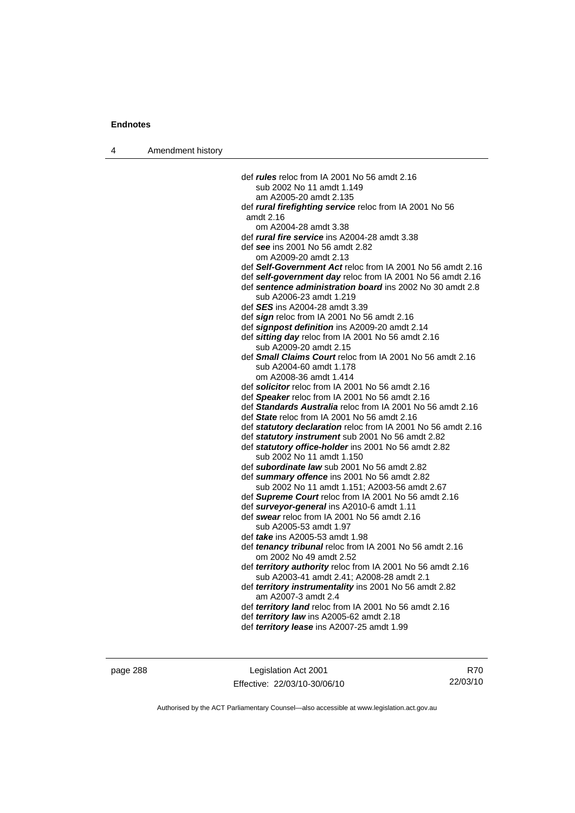4 Amendment history

 def *rules* reloc from IA 2001 No 56 amdt 2.16 sub 2002 No 11 amdt 1.149 am A2005-20 amdt 2.135 def *rural firefighting service* reloc from IA 2001 No 56 amdt 2.16 om A2004-28 amdt 3.38 def *rural fire service* ins A2004-28 amdt 3.38 def *see* ins 2001 No 56 amdt 2.82 om A2009-20 amdt 2.13 def *Self-Government Act* reloc from IA 2001 No 56 amdt 2.16 def *self-government day* reloc from IA 2001 No 56 amdt 2.16 def *sentence administration board* ins 2002 No 30 amdt 2.8 sub A2006-23 amdt 1.219 def *SES* ins A2004-28 amdt 3.39 def *sign* reloc from IA 2001 No 56 amdt 2.16 def *signpost definition* ins A2009-20 amdt 2.14 def *sitting day* reloc from IA 2001 No 56 amdt 2.16 sub A2009-20 amdt 2.15 def *Small Claims Court* reloc from IA 2001 No 56 amdt 2.16 sub A2004-60 amdt 1.178 om A2008-36 amdt 1.414 def *solicitor* reloc from IA 2001 No 56 amdt 2.16 def *Speaker* reloc from IA 2001 No 56 amdt 2.16 def *Standards Australia* reloc from IA 2001 No 56 amdt 2.16 def *State* reloc from IA 2001 No 56 amdt 2.16 def *statutory declaration* reloc from IA 2001 No 56 amdt 2.16 def *statutory instrument* sub 2001 No 56 amdt 2.82 def *statutory office-holder* ins 2001 No 56 amdt 2.82 sub 2002 No 11 amdt 1.150 def *subordinate law* sub 2001 No 56 amdt 2.82 def *summary offence* ins 2001 No 56 amdt 2.82 sub 2002 No 11 amdt 1.151; A2003-56 amdt 2.67 def *Supreme Court* reloc from IA 2001 No 56 amdt 2.16 def *surveyor-general* ins A2010-6 amdt 1.11 def *swear* reloc from IA 2001 No 56 amdt 2.16 sub A2005-53 amdt 1.97 def *take* ins A2005-53 amdt 1.98 def *tenancy tribunal* reloc from IA 2001 No 56 amdt 2.16 om 2002 No 49 amdt 2.52 def *territory authority* reloc from IA 2001 No 56 amdt 2.16 sub A2003-41 amdt 2.41; A2008-28 amdt 2.1 def *territory instrumentality* ins 2001 No 56 amdt 2.82 am A2007-3 amdt 2.4 def *territory land* reloc from IA 2001 No 56 amdt 2.16 def *territory law* ins A2005-62 amdt 2.18 def *territory lease* ins A2007-25 amdt 1.99

page 288 Legislation Act 2001 Effective: 22/03/10-30/06/10

R70 22/03/10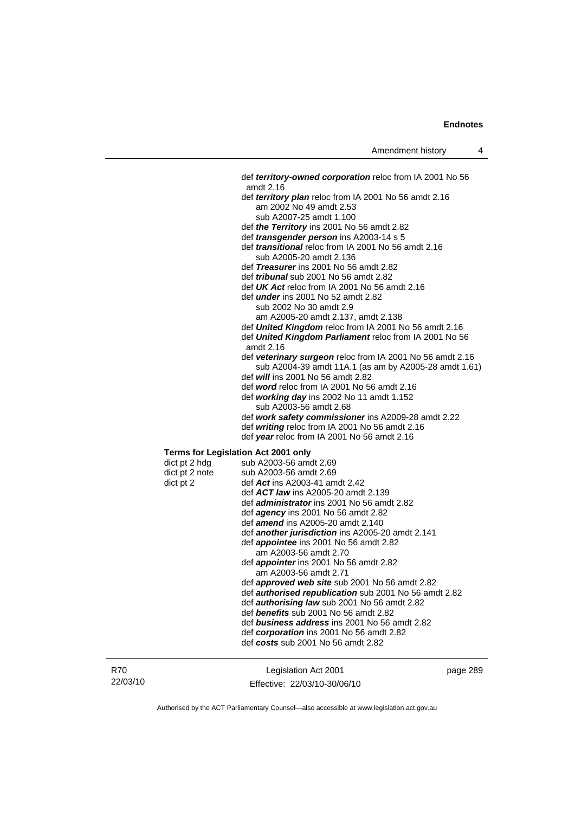def *territory-owned corporation* reloc from IA 2001 No 56 amdt 2.16 def *territory plan* reloc from IA 2001 No 56 amdt 2.16 am 2002 No 49 amdt 2.53 sub A2007-25 amdt 1.100 def *the Territory* ins 2001 No 56 amdt 2.82 def *transgender person* ins A2003-14 s 5 def *transitional* reloc from IA 2001 No 56 amdt 2.16 sub A2005-20 amdt 2.136 def *Treasurer* ins 2001 No 56 amdt 2.82 def *tribunal* sub 2001 No 56 amdt 2.82 def *UK Act* reloc from IA 2001 No 56 amdt 2.16 def *under* ins 2001 No 52 amdt 2.82 sub 2002 No 30 amdt 2.9 am A2005-20 amdt 2.137, amdt 2.138 def *United Kingdom* reloc from IA 2001 No 56 amdt 2.16 def *United Kingdom Parliament* reloc from IA 2001 No 56 amdt 2.16 def *veterinary surgeon* reloc from IA 2001 No 56 amdt 2.16 sub A2004-39 amdt 11A.1 (as am by A2005-28 amdt 1.61) def *will* ins 2001 No 56 amdt 2.82 def *word* reloc from IA 2001 No 56 amdt 2.16 def *working day* ins 2002 No 11 amdt 1.152 sub A2003-56 amdt 2.68 def *work safety commissioner* ins A2009-28 amdt 2.22 def *writing* reloc from IA 2001 No 56 amdt 2.16 def *year* reloc from IA 2001 No 56 amdt 2.16 **Terms for Legislation Act 2001 only**   $dict$  pt 2 hdg sub A2003-56 amdt 2.69 dict pt 2 note sub A2003-56 amdt 2.69 dict pt 2 def *Act* ins A2003-41 amdt 2.42 def *ACT law* ins A2005-20 amdt 2.139 def *administrator* ins 2001 No 56 amdt 2.82 def *agency* ins 2001 No 56 amdt 2.82 def *amend* ins A2005-20 amdt 2.140 def *another jurisdiction* ins A2005-20 amdt 2.141 def *appointee* ins 2001 No 56 amdt 2.82 am A2003-56 amdt 2.70 def *appointer* ins 2001 No 56 amdt 2.82 am A2003-56 amdt 2.71 def *approved web site* sub 2001 No 56 amdt 2.82 def *authorised republication* sub 2001 No 56 amdt 2.82 def *authorising law* sub 2001 No 56 amdt 2.82 def *benefits* sub 2001 No 56 amdt 2.82 def *business address* ins 2001 No 56 amdt 2.82 def *corporation* ins 2001 No 56 amdt 2.82 def *costs* sub 2001 No 56 amdt 2.82

| R70      |
|----------|
| 22/03/10 |

Legislation Act 2001 Effective: 22/03/10-30/06/10 page 289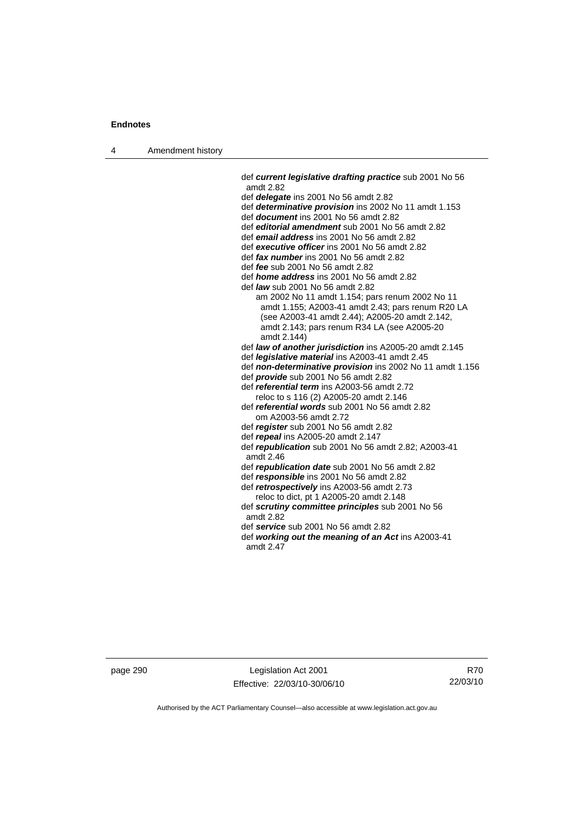4 Amendment history

 def *current legislative drafting practice* sub 2001 No 56 amdt 2.82 def *delegate* ins 2001 No 56 amdt 2.82 def *determinative provision* ins 2002 No 11 amdt 1.153 def *document* ins 2001 No 56 amdt 2.82 def *editorial amendment* sub 2001 No 56 amdt 2.82 def *email address* ins 2001 No 56 amdt 2.82 def *executive officer* ins 2001 No 56 amdt 2.82 def *fax number* ins 2001 No 56 amdt 2.82 def *fee* sub 2001 No 56 amdt 2.82 def *home address* ins 2001 No 56 amdt 2.82 def *law* sub 2001 No 56 amdt 2.82 am 2002 No 11 amdt 1.154; pars renum 2002 No 11 amdt 1.155; A2003-41 amdt 2.43; pars renum R20 LA (see A2003-41 amdt 2.44); A2005-20 amdt 2.142, amdt 2.143; pars renum R34 LA (see A2005-20 amdt 2.144) def *law of another jurisdiction* ins A2005-20 amdt 2.145 def *legislative material* ins A2003-41 amdt 2.45 def *non-determinative provision* ins 2002 No 11 amdt 1.156 def *provide* sub 2001 No 56 amdt 2.82 def *referential term* ins A2003-56 amdt 2.72 reloc to s 116 (2) A2005-20 amdt 2.146 def *referential words* sub 2001 No 56 amdt 2.82 om A2003-56 amdt 2.72 def *register* sub 2001 No 56 amdt 2.82 def *repeal* ins A2005-20 amdt 2.147 def *republication* sub 2001 No 56 amdt 2.82; A2003-41 amdt 2.46 def *republication date* sub 2001 No 56 amdt 2.82 def *responsible* ins 2001 No 56 amdt 2.82 def *retrospectively* ins A2003-56 amdt 2.73 reloc to dict, pt 1 A2005-20 amdt 2.148 def *scrutiny committee principles* sub 2001 No 56 amdt 2.82 def *service* sub 2001 No 56 amdt 2.82 def *working out the meaning of an Act* ins A2003-41 amdt 2.47

page 290 Legislation Act 2001 Effective: 22/03/10-30/06/10

R70 22/03/10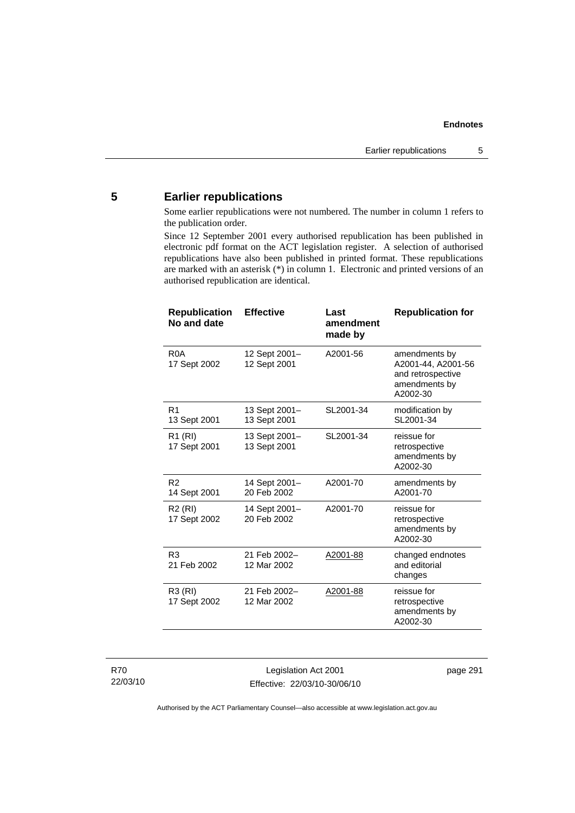# **5 Earlier republications**

Some earlier republications were not numbered. The number in column 1 refers to the publication order.

Since 12 September 2001 every authorised republication has been published in electronic pdf format on the ACT legislation register. A selection of authorised republications have also been published in printed format. These republications are marked with an asterisk (\*) in column 1. Electronic and printed versions of an authorised republication are identical.

| <b>Republication</b><br>No and date | <b>Effective</b>              | Last<br>amendment<br>made by | <b>Republication for</b>                                                              |
|-------------------------------------|-------------------------------|------------------------------|---------------------------------------------------------------------------------------|
| R <sub>0</sub> A<br>17 Sept 2002    | 12 Sept 2001-<br>12 Sept 2001 | A2001-56                     | amendments by<br>A2001-44, A2001-56<br>and retrospective<br>amendments by<br>A2002-30 |
| R <sub>1</sub><br>13 Sept 2001      | 13 Sept 2001-<br>13 Sept 2001 | SL2001-34                    | modification by<br>SL2001-34                                                          |
| R <sub>1</sub> (RI)<br>17 Sept 2001 | 13 Sept 2001-<br>13 Sept 2001 | SL2001-34                    | reissue for<br>retrospective<br>amendments by<br>A2002-30                             |
| R <sub>2</sub><br>14 Sept 2001      | 14 Sept 2001-<br>20 Feb 2002  | A2001-70                     | amendments by<br>A2001-70                                                             |
| R <sub>2</sub> (RI)<br>17 Sept 2002 | 14 Sept 2001-<br>20 Feb 2002  | A2001-70                     | reissue for<br>retrospective<br>amendments by<br>A2002-30                             |
| R <sub>3</sub><br>21 Feb 2002       | 21 Feb 2002-<br>12 Mar 2002   | A2001-88                     | changed endnotes<br>and editorial<br>changes                                          |
| <b>R3 (RI)</b><br>17 Sept 2002      | 21 Feb 2002-<br>12 Mar 2002   | A2001-88                     | reissue for<br>retrospective<br>amendments by<br>A2002-30                             |

Legislation Act 2001 Effective: 22/03/10-30/06/10 page 291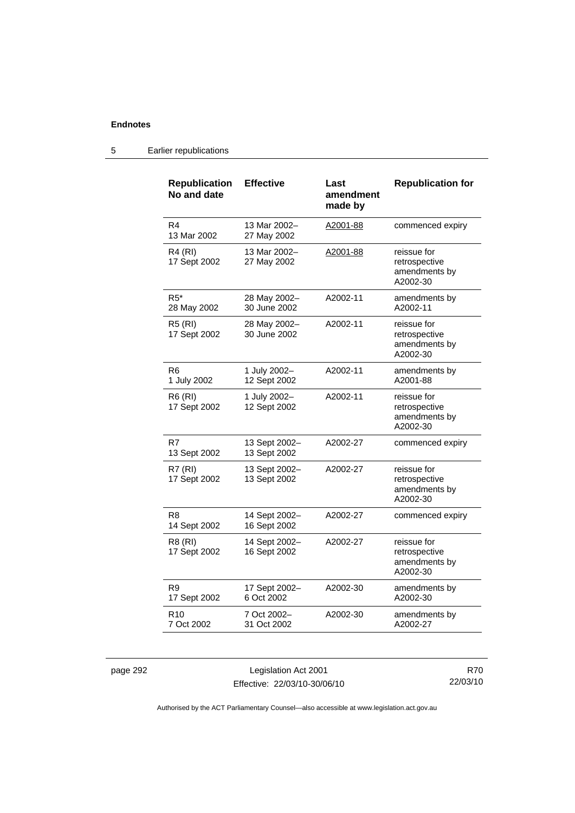| <b>Republication</b><br>No and date | <b>Effective</b>              | Last<br>amendment<br>made by | <b>Republication for</b>                                  |
|-------------------------------------|-------------------------------|------------------------------|-----------------------------------------------------------|
| R4<br>13 Mar 2002                   | 13 Mar 2002-<br>27 May 2002   | A2001-88                     | commenced expiry                                          |
| R4 (RI)<br>17 Sept 2002             | 13 Mar 2002-<br>27 May 2002   | A2001-88                     | reissue for<br>retrospective<br>amendments by<br>A2002-30 |
| $R5^*$<br>28 May 2002               | 28 May 2002-<br>30 June 2002  | A2002-11                     | amendments by<br>A2002-11                                 |
| <b>R5 (RI)</b><br>17 Sept 2002      | 28 May 2002–<br>30 June 2002  | A2002-11                     | reissue for<br>retrospective<br>amendments by<br>A2002-30 |
| R6<br>1 July 2002                   | 1 July 2002-<br>12 Sept 2002  | A2002-11                     | amendments by<br>A2001-88                                 |
| <b>R6 (RI)</b><br>17 Sept 2002      | 1 July 2002-<br>12 Sept 2002  | A2002-11                     | reissue for<br>retrospective<br>amendments by<br>A2002-30 |
| R7<br>13 Sept 2002                  | 13 Sept 2002-<br>13 Sept 2002 | A2002-27                     | commenced expiry                                          |
| R7(RI)<br>17 Sept 2002              | 13 Sept 2002-<br>13 Sept 2002 | A2002-27                     | reissue for<br>retrospective<br>amendments by<br>A2002-30 |
| R8<br>14 Sept 2002                  | 14 Sept 2002-<br>16 Sept 2002 | A2002-27                     | commenced expiry                                          |
| R8 (RI)<br>17 Sept 2002             | 14 Sept 2002-<br>16 Sept 2002 | A2002-27                     | reissue for<br>retrospective<br>amendments by<br>A2002-30 |
| R9<br>17 Sept 2002                  | 17 Sept 2002-<br>6 Oct 2002   | A2002-30                     | amendments by<br>A2002-30                                 |
| R <sub>10</sub><br>7 Oct 2002       | 7 Oct 2002-<br>31 Oct 2002    | A2002-30                     | amendments by<br>A2002-27                                 |

# 5 Earlier republications

page 292 Legislation Act 2001 Effective: 22/03/10-30/06/10

R70 22/03/10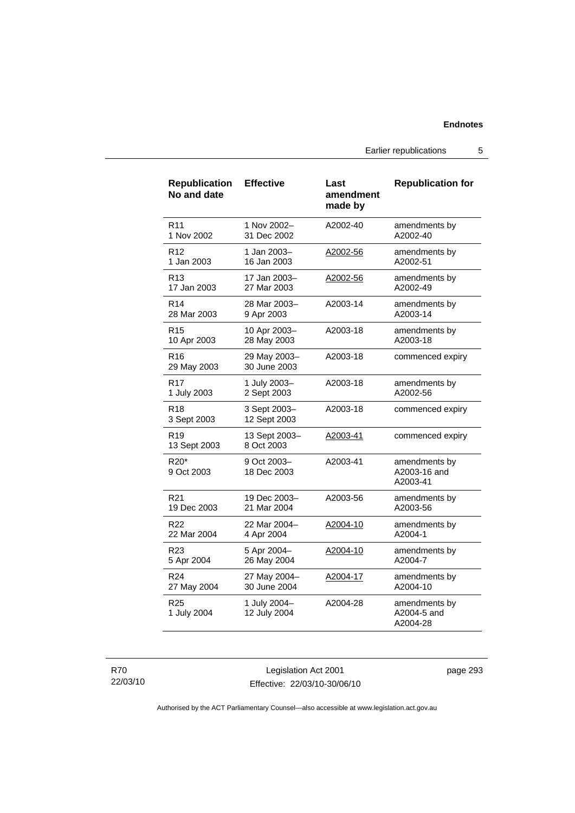Earlier republications 5

| <b>Republication</b><br>No and date        | <b>Effective</b>             | Last<br>amendment<br>made by | <b>Republication for</b>                  |
|--------------------------------------------|------------------------------|------------------------------|-------------------------------------------|
| R <sub>11</sub>                            | 1 Nov 2002-                  | A2002-40                     | amendments by                             |
| 1 Nov 2002                                 | 31 Dec 2002                  |                              | A2002-40                                  |
| R <sub>12</sub>                            | 1 Jan 2003-                  | A2002-56                     | amendments by                             |
| 1 Jan 2003                                 | 16 Jan 2003                  |                              | A2002-51                                  |
| R <sub>13</sub>                            | 17 Jan 2003-                 | A2002-56                     | amendments by                             |
| 17 Jan 2003                                | 27 Mar 2003                  |                              | A2002-49                                  |
| R <sub>14</sub>                            | 28 Mar 2003-                 | A2003-14                     | amendments by                             |
| 28 Mar 2003                                | 9 Apr 2003                   |                              | A2003-14                                  |
| R <sub>15</sub>                            | 10 Apr 2003-                 | A2003-18                     | amendments by                             |
| 10 Apr 2003                                | 28 May 2003                  |                              | A2003-18                                  |
| R <sub>16</sub><br>29 May 2003             | 29 May 2003-<br>30 June 2003 | A2003-18                     | commenced expiry                          |
| R <sub>17</sub>                            | 1 July 2003-                 | A2003-18                     | amendments by                             |
| 1 July 2003                                | 2 Sept 2003                  |                              | A2002-56                                  |
| R <sub>18</sub><br>3 Sept 2003             | 3 Sept 2003-<br>12 Sept 2003 | A2003-18                     | commenced expiry                          |
| R <sub>19</sub><br>13 Sept 2003            | 13 Sept 2003-<br>8 Oct 2003  | A2003-41                     | commenced expiry                          |
| R <sub>20</sub> <sup>*</sup><br>9 Oct 2003 | 9 Oct 2003-<br>18 Dec 2003   | A2003-41                     | amendments by<br>A2003-16 and<br>A2003-41 |
| R <sub>21</sub>                            | 19 Dec 2003-                 | A2003-56                     | amendments by                             |
| 19 Dec 2003                                | 21 Mar 2004                  |                              | A2003-56                                  |
| R22                                        | 22 Mar 2004-                 | A2004-10                     | amendments by                             |
| 22 Mar 2004                                | 4 Apr 2004                   |                              | A2004-1                                   |
| R <sub>23</sub>                            | 5 Apr 2004-                  | A2004-10                     | amendments by                             |
| 5 Apr 2004                                 | 26 May 2004                  |                              | A2004-7                                   |
| R <sub>24</sub>                            | 27 May 2004-                 | A2004-17                     | amendments by                             |
| 27 May 2004                                | 30 June 2004                 |                              | A2004-10                                  |
| R <sub>25</sub><br>1 July 2004             | 1 July 2004-<br>12 July 2004 | A2004-28                     | amendments by<br>A2004-5 and<br>A2004-28  |

R70 22/03/10

Legislation Act 2001 Effective: 22/03/10-30/06/10 page 293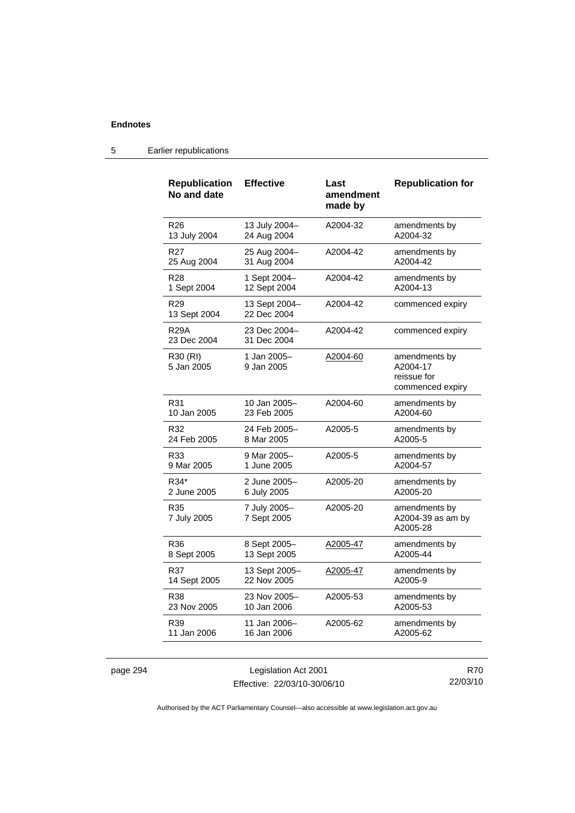| <b>Republication</b><br>No and date | <b>Effective</b>             | Last<br>amendment<br>made by | <b>Republication for</b>                                     |
|-------------------------------------|------------------------------|------------------------------|--------------------------------------------------------------|
| R <sub>26</sub>                     | 13 July 2004-                | A2004-32                     | amendments by                                                |
| 13 July 2004                        | 24 Aug 2004                  |                              | A2004-32                                                     |
| R <sub>27</sub>                     | 25 Aug 2004-                 | A2004-42                     | amendments by                                                |
| 25 Aug 2004                         | 31 Aug 2004                  |                              | A2004-42                                                     |
| R <sub>28</sub>                     | 1 Sept 2004-                 | A2004-42                     | amendments by                                                |
| 1 Sept 2004                         | 12 Sept 2004                 |                              | A2004-13                                                     |
| R <sub>29</sub><br>13 Sept 2004     | 13 Sept 2004-<br>22 Dec 2004 | A2004-42                     | commenced expiry                                             |
| R29A<br>23 Dec 2004                 | 23 Dec 2004-<br>31 Dec 2004  | A2004-42                     | commenced expiry                                             |
| R30 (RI)<br>5 Jan 2005              | 1 Jan 2005–<br>9 Jan 2005    | A2004-60                     | amendments by<br>A2004-17<br>reissue for<br>commenced expiry |
| R31                                 | 10 Jan 2005–                 | A2004-60                     | amendments by                                                |
| 10 Jan 2005                         | 23 Feb 2005                  |                              | A2004-60                                                     |
| R32                                 | 24 Feb 2005-                 | A2005-5                      | amendments by                                                |
| 24 Feb 2005                         | 8 Mar 2005                   |                              | A2005-5                                                      |
| R33                                 | 9 Mar 2005-                  | A2005-5                      | amendments by                                                |
| 9 Mar 2005                          | 1 June 2005                  |                              | A2004-57                                                     |
| R34*                                | 2 June 2005-                 | A2005-20                     | amendments by                                                |
| 2 June 2005                         | 6 July 2005                  |                              | A2005-20                                                     |
| R35<br>7 July 2005                  | 7 July 2005-<br>7 Sept 2005  | A2005-20                     | amendments by<br>A2004-39 as am by<br>A2005-28               |
| R36                                 | 8 Sept 2005-                 | A2005-47                     | amendments by                                                |
| 8 Sept 2005                         | 13 Sept 2005                 |                              | A2005-44                                                     |
| R37                                 | 13 Sept 2005-                | <u>A2005-47</u>              | amendments by                                                |
| 14 Sept 2005                        | 22 Nov 2005                  |                              | A2005-9                                                      |
| R38                                 | 23 Nov 2005-                 | A2005-53                     | amendments by                                                |
| 23 Nov 2005                         | 10 Jan 2006                  |                              | A2005-53                                                     |
| R39                                 | 11 Jan 2006-                 | A2005-62                     | amendments by                                                |
| 11 Jan 2006                         | 16 Jan 2006                  |                              | A2005-62                                                     |

# 5 Earlier republications

page 294 Legislation Act 2001 Effective: 22/03/10-30/06/10

R70 22/03/10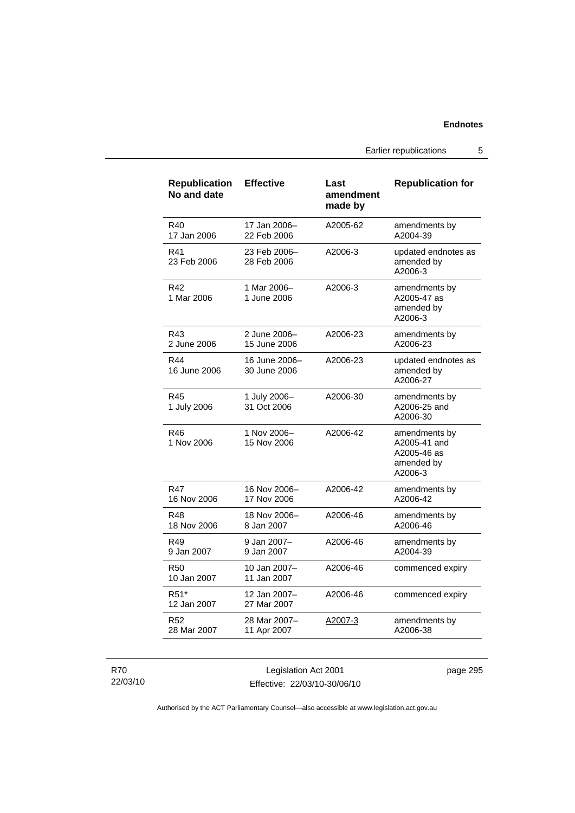Earlier republications 5

| <b>Republication</b><br>No and date | <b>Effective</b>              | Last<br>amendment<br>made by | <b>Republication for</b>                                              |
|-------------------------------------|-------------------------------|------------------------------|-----------------------------------------------------------------------|
| R40<br>17 Jan 2006                  | 17 Jan 2006-<br>22 Feb 2006   | A2005-62                     | amendments by<br>A2004-39                                             |
| R41<br>23 Feb 2006                  | 23 Feb 2006-<br>28 Feb 2006   | A2006-3                      | updated endnotes as<br>amended by<br>A2006-3                          |
| R42<br>1 Mar 2006                   | 1 Mar 2006-<br>1 June 2006    | A2006-3                      | amendments by<br>A2005-47 as<br>amended by<br>A2006-3                 |
| R43<br>2 June 2006                  | 2 June 2006-<br>15 June 2006  | A2006-23                     | amendments by<br>A2006-23                                             |
| R44<br>16 June 2006                 | 16 June 2006-<br>30 June 2006 | A2006-23                     | updated endnotes as<br>amended by<br>A2006-27                         |
| R45<br>1 July 2006                  | 1 July 2006-<br>31 Oct 2006   | A2006-30                     | amendments by<br>A2006-25 and<br>A2006-30                             |
| R46<br>1 Nov 2006                   | 1 Nov 2006-<br>15 Nov 2006    | A2006-42                     | amendments by<br>A2005-41 and<br>A2005-46 as<br>amended by<br>A2006-3 |
| <b>R47</b><br>16 Nov 2006           | 16 Nov 2006-<br>17 Nov 2006   | A2006-42                     | amendments by<br>A2006-42                                             |
| <b>R48</b><br>18 Nov 2006           | 18 Nov 2006-<br>8 Jan 2007    | A2006-46                     | amendments by<br>A2006-46                                             |
| R49<br>9 Jan 2007                   | 9 Jan 2007-<br>9 Jan 2007     | A2006-46                     | amendments by<br>A2004-39                                             |
| <b>R50</b><br>10 Jan 2007           | 10 Jan 2007-<br>11 Jan 2007   | A2006-46                     | commenced expiry                                                      |
| R <sub>51</sub> *<br>12 Jan 2007    | 12 Jan 2007-<br>27 Mar 2007   | A2006-46                     | commenced expiry                                                      |
| R <sub>52</sub><br>28 Mar 2007      | 28 Mar 2007-<br>11 Apr 2007   | A2007-3                      | amendments by<br>A2006-38                                             |

R70 22/03/10

Legislation Act 2001 Effective: 22/03/10-30/06/10 page 295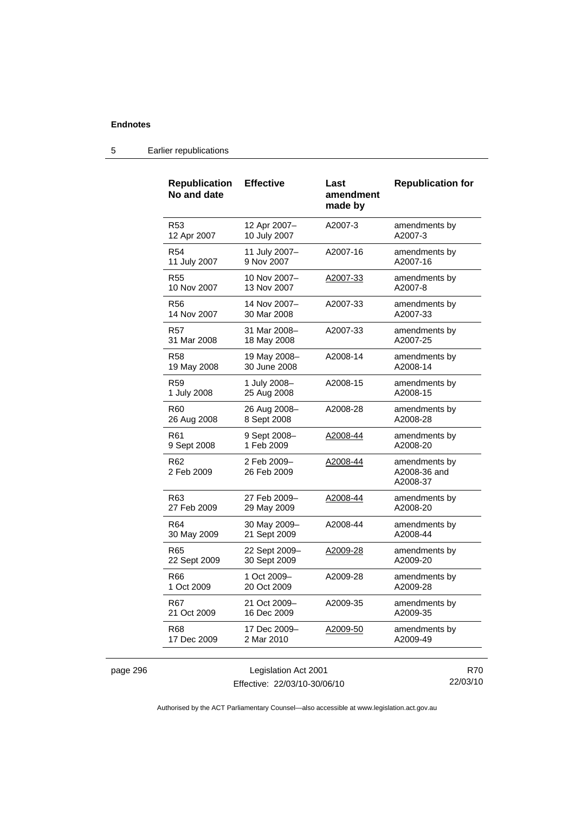| <b>Republication</b><br>No and date | <b>Effective</b>           | Last<br>amendment<br>made by | <b>Republication for</b>                  |
|-------------------------------------|----------------------------|------------------------------|-------------------------------------------|
| R53                                 | 12 Apr 2007-               | A2007-3                      | amendments by                             |
| 12 Apr 2007                         | 10 July 2007               |                              | A2007-3                                   |
| R54                                 | 11 July 2007-              | A2007-16                     | amendments by                             |
| 11 July 2007                        | 9 Nov 2007                 |                              | A2007-16                                  |
| R55                                 | 10 Nov 2007-               | A2007-33                     | amendments by                             |
| 10 Nov 2007                         | 13 Nov 2007                |                              | A2007-8                                   |
| R56                                 | 14 Nov 2007-               | A2007-33                     | amendments by                             |
| 14 Nov 2007                         | 30 Mar 2008                |                              | A2007-33                                  |
| R57                                 | 31 Mar 2008-               | A2007-33                     | amendments by                             |
| 31 Mar 2008                         | 18 May 2008                |                              | A2007-25                                  |
| <b>R58</b>                          | 19 May 2008-               | A2008-14                     | amendments by                             |
| 19 May 2008                         | 30 June 2008               |                              | A2008-14                                  |
| R59                                 | 1 July 2008-               | A2008-15                     | amendments by                             |
| 1 July 2008                         | 25 Aug 2008                |                              | A2008-15                                  |
| R60                                 | 26 Aug 2008-               | A2008-28                     | amendments by                             |
| 26 Aug 2008                         | 8 Sept 2008                |                              | A2008-28                                  |
| R61                                 | 9 Sept 2008-               | A2008-44                     | amendments by                             |
| 9 Sept 2008                         | 1 Feb 2009                 |                              | A2008-20                                  |
| R <sub>62</sub><br>2 Feb 2009       | 2 Feb 2009-<br>26 Feb 2009 | A2008-44                     | amendments by<br>A2008-36 and<br>A2008-37 |
| R63                                 | 27 Feb 2009-               | A2008-44                     | amendments by                             |
| 27 Feb 2009                         | 29 May 2009                |                              | A2008-20                                  |
| R64                                 | 30 May 2009-               | A2008-44                     | amendments by                             |
| 30 May 2009                         | 21 Sept 2009               |                              | A2008-44                                  |
| R65                                 | 22 Sept 2009-              | A2009-28                     | amendments by                             |
| 22 Sept 2009                        | 30 Sept 2009               |                              | A2009-20                                  |
| R66                                 | 1 Oct 2009-                | A2009-28                     | amendments by                             |
| 1 Oct 2009                          | 20 Oct 2009                |                              | A2009-28                                  |
| R67                                 | 21 Oct 2009-               | A2009-35                     | amendments by                             |
| 21 Oct 2009                         | 16 Dec 2009                |                              | A2009-35                                  |
| <b>R68</b>                          | 17 Dec 2009-<br>2 Mar 2010 | A2009-50                     | amendments by<br>A2009-49                 |

# 5 Earlier republications

| page 296 |
|----------|
|----------|

Effective: 22/03/10-30/06/10

R70 22/03/10